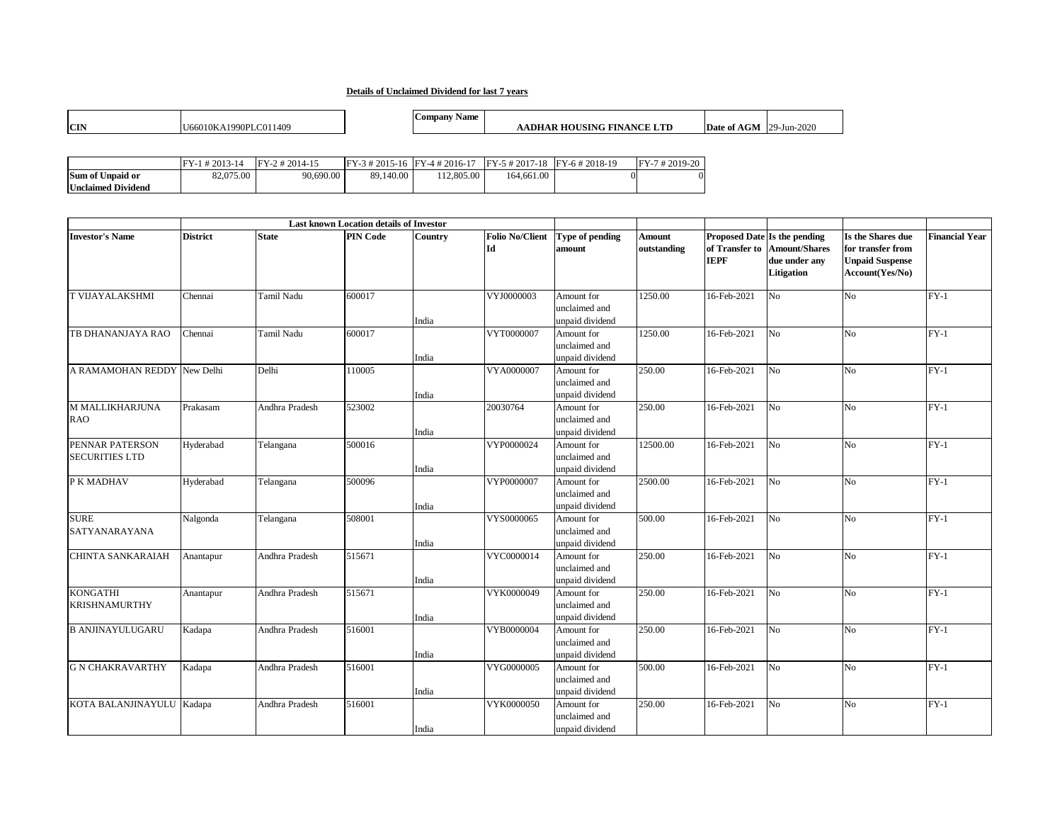## **Details of Unclaimed Dividend for last 7 years**

|            |                                         | Name<br>ompany |                                            |                                                                    |
|------------|-----------------------------------------|----------------|--------------------------------------------|--------------------------------------------------------------------|
| <b>CIN</b> | 1990PI<br>$\sqrt{2}$<br>U66010<br>- 140 |                | VТL<br>. NICT<br>'SINC<br>-FIN<br>но<br>эк | $\sim$ $\sim$ $\sim$<br>D.<br>'-Jun-∠.<br>.U2t<br>ate<br>or<br>ATV |

|                           | $#2013-14$ | $FY-$<br>$2#2014-15$ | $FY-3 # 2015-16$ $FY-4 # 2016-17$ |            | $FY-5$ # 2017-18 $FY-6$ # 2018-19 | FY-7#2019-20 |
|---------------------------|------------|----------------------|-----------------------------------|------------|-----------------------------------|--------------|
| <b>Sum of Unpaid or</b>   | 82,075.00  | 90,690.00            | 89,140.00                         | 112,805.00 | 164.661.00                        | OI.          |
| <b>Unclaimed Dividend</b> |            |                      |                                   |            |                                   |              |

|                                          |                 |                   | <b>Last known Location details of Investor</b> |         |                              |                                                |                       |                               |                                                                                     |                                                                                     |                       |
|------------------------------------------|-----------------|-------------------|------------------------------------------------|---------|------------------------------|------------------------------------------------|-----------------------|-------------------------------|-------------------------------------------------------------------------------------|-------------------------------------------------------------------------------------|-----------------------|
| <b>Investor's Name</b>                   | <b>District</b> | <b>State</b>      | <b>PIN Code</b>                                | Country | <b>Folio No/Client</b><br>Id | Type of pending<br>amount                      | Amount<br>outstanding | of Transfer to<br><b>IEPF</b> | Proposed Date Is the pending<br><b>Amount/Shares</b><br>due under any<br>Litigation | Is the Shares due<br>for transfer from<br><b>Unpaid Suspense</b><br>Account(Yes/No) | <b>Financial Year</b> |
| <b>T VIJAYALAKSHMI</b>                   | Chennai         | Tamil Nadu        | 600017                                         | India   | VYJ0000003                   | Amount for<br>unclaimed and<br>unpaid dividend | 1250.00               | 16-Feb-2021                   | N <sub>o</sub>                                                                      | N <sub>o</sub>                                                                      | $FY-1$                |
| TB DHANANJAYA RAO                        | Chennai         | <b>Tamil Nadu</b> | 600017                                         | India   | VYT0000007                   | Amount for<br>unclaimed and<br>unpaid dividend | 1250.00               | 16-Feb-2021                   | N <sub>o</sub>                                                                      | N <sub>o</sub>                                                                      | $FY-1$                |
| A RAMAMOHAN REDDY                        | New Delhi       | Delhi             | 110005                                         | India   | VYA0000007                   | Amount for<br>unclaimed and<br>unpaid dividend | 250.00                | 16-Feb-2021                   | No                                                                                  | N <sub>o</sub>                                                                      | $FY-1$                |
| <b>M MALLIKHARJUNA</b><br>RAO.           | Prakasam        | Andhra Pradesh    | 523002                                         | India   | 20030764                     | Amount for<br>unclaimed and<br>unpaid dividend | 250.00                | 16-Feb-2021                   | N <sub>o</sub>                                                                      | N <sub>o</sub>                                                                      | $FY-1$                |
| PENNAR PATERSON<br><b>SECURITIES LTD</b> | Hyderabad       | Telangana         | 500016                                         | India   | VYP0000024                   | Amount for<br>unclaimed and<br>unpaid dividend | 12500.00              | 16-Feb-2021                   | N <sub>0</sub>                                                                      | $\overline{N_{0}}$                                                                  | $FY-1$                |
| P K MADHAV                               | Hyderabad       | Telangana         | 500096                                         | India   | VYP0000007                   | Amount for<br>unclaimed and<br>unpaid dividend | 2500.00               | 16-Feb-2021                   | N <sub>o</sub>                                                                      | N <sub>o</sub>                                                                      | $FY-1$                |
| <b>SURE</b><br>SATYANARAYANA             | Nalgonda        | Telangana         | 508001                                         | India   | VYS0000065                   | Amount for<br>unclaimed and<br>unpaid dividend | 500.00                | 16-Feb-2021                   | N <sub>o</sub>                                                                      | N <sub>o</sub>                                                                      | $FY-1$                |
| CHINTA SANKARAIAH                        | Anantapur       | Andhra Pradesh    | 515671                                         | India   | VYC0000014                   | Amount for<br>unclaimed and<br>unpaid dividend | 250.00                | 16-Feb-2021                   | N <sub>0</sub>                                                                      | N <sub>o</sub>                                                                      | $FY-1$                |
| <b>KONGATHI</b><br><b>KRISHNAMURTHY</b>  | Anantapur       | Andhra Pradesh    | 515671                                         | India   | VYK0000049                   | Amount for<br>unclaimed and<br>unpaid dividend | 250.00                | 16-Feb-2021                   | N <sub>0</sub>                                                                      | N <sub>o</sub>                                                                      | $FY-1$                |
| <b>B ANJINAYULUGARU</b>                  | Kadapa          | Andhra Pradesh    | 516001                                         | India   | VYB0000004                   | Amount for<br>unclaimed and<br>unpaid dividend | 250.00                | 16-Feb-2021                   | N <sub>o</sub>                                                                      | N <sub>o</sub>                                                                      | $FY-1$                |
| <b>G N CHAKRAVARTHY</b>                  | Kadapa          | Andhra Pradesh    | 516001                                         | India   | VYG0000005                   | Amount for<br>unclaimed and<br>unpaid dividend | 500.00                | 16-Feb-2021                   | N <sub>o</sub>                                                                      | $\overline{N_{0}}$                                                                  | $FY-1$                |
| KOTA BALANJINAYULU Kadapa                |                 | Andhra Pradesh    | 516001                                         | India   | VYK0000050                   | Amount for<br>unclaimed and<br>unpaid dividend | 250.00                | 16-Feb-2021                   | N <sub>0</sub>                                                                      | N <sub>o</sub>                                                                      | $FY-1$                |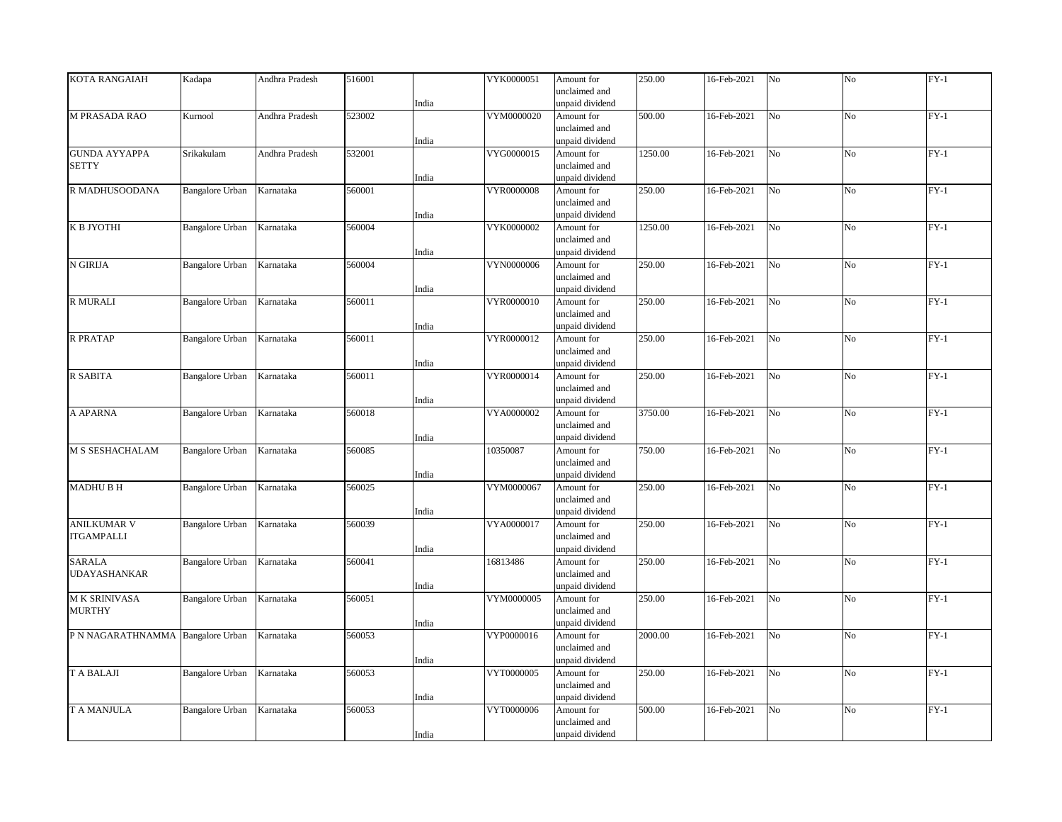| <b>KOTA RANGAIAH</b>              | Kadapa                 | Andhra Pradesh | 516001 |       | VYK0000051        | Amount for      | 250.00  | 16-Feb-2021 | No             | No             | $FY-1$ |
|-----------------------------------|------------------------|----------------|--------|-------|-------------------|-----------------|---------|-------------|----------------|----------------|--------|
|                                   |                        |                |        |       |                   | unclaimed and   |         |             |                |                |        |
|                                   |                        |                |        | India |                   | unpaid dividend |         |             |                |                |        |
| <b>M PRASADA RAO</b>              | Kurnool                | Andhra Pradesh | 523002 |       | VYM0000020        | Amount for      | 500.00  | 16-Feb-2021 | N <sub>o</sub> | N <sub>o</sub> | $FY-1$ |
|                                   |                        |                |        |       |                   | unclaimed and   |         |             |                |                |        |
|                                   |                        |                |        | India |                   | unpaid dividend |         |             |                |                |        |
| <b>GUNDA AYYAPPA</b>              | Srikakulam             | Andhra Pradesh | 532001 |       | VYG0000015        | Amount for      | 1250.00 | 16-Feb-2021 | No             | No             | $FY-1$ |
| <b>SETTY</b>                      |                        |                |        |       |                   | unclaimed and   |         |             |                |                |        |
|                                   |                        |                |        | India |                   | unpaid dividend |         |             |                |                |        |
| R MADHUSOODANA                    | <b>Bangalore Urban</b> | Karnataka      | 560001 |       | VYR0000008        | Amount for      | 250.00  | 16-Feb-2021 | No             | N <sub>o</sub> | $FY-1$ |
|                                   |                        |                |        |       |                   | unclaimed and   |         |             |                |                |        |
|                                   |                        |                |        | India |                   | unpaid dividend |         |             |                |                |        |
| К В ЈҮОТНІ                        | <b>Bangalore Urban</b> | Karnataka      | 560004 |       | VYK0000002        | Amount for      | 1250.00 | 16-Feb-2021 | $_{\rm No}$    | No             | $FY-1$ |
|                                   |                        |                |        |       |                   | unclaimed and   |         |             |                |                |        |
|                                   |                        |                |        | India |                   | unpaid dividend |         |             |                |                |        |
| N GIRIJA                          | <b>Bangalore Urban</b> | Karnataka      | 560004 |       | <b>VYN0000006</b> | Amount for      | 250.00  | 16-Feb-2021 | No             | No             | $FY-1$ |
|                                   |                        |                |        |       |                   | unclaimed and   |         |             |                |                |        |
|                                   |                        |                |        | India |                   | unpaid dividend |         |             |                |                |        |
| <b>R MURALI</b>                   | <b>Bangalore Urban</b> | Karnataka      | 560011 |       | VYR0000010        | Amount for      | 250.00  | 16-Feb-2021 | No             | No             | $FY-1$ |
|                                   |                        |                |        |       |                   | unclaimed and   |         |             |                |                |        |
|                                   |                        |                |        | India |                   | unpaid dividend |         |             |                |                |        |
| <b>R PRATAP</b>                   | <b>Bangalore Urban</b> | Karnataka      | 560011 |       | VYR0000012        | Amount for      | 250.00  | 16-Feb-2021 | No             | No             | $FY-1$ |
|                                   |                        |                |        |       |                   | unclaimed and   |         |             |                |                |        |
|                                   |                        |                |        | India |                   | unpaid dividend |         |             |                |                |        |
| R SABITA                          | Bangalore Urban        | Karnataka      | 560011 |       | VYR0000014        | Amount for      | 250.00  | 16-Feb-2021 | N <sub>o</sub> | N <sub>o</sub> | $FY-1$ |
|                                   |                        |                |        |       |                   | unclaimed and   |         |             |                |                |        |
|                                   |                        |                |        | India |                   | unpaid dividend |         |             |                |                |        |
| A APARNA                          | <b>Bangalore Urban</b> | Karnataka      | 560018 |       | VYA0000002        | Amount for      | 3750.00 | 16-Feb-2021 | No             | No             | $FY-1$ |
|                                   |                        |                |        |       |                   | unclaimed and   |         |             |                |                |        |
|                                   |                        |                |        | India |                   | unpaid dividend |         |             |                |                |        |
| M S SESHACHALAM                   | <b>Bangalore Urban</b> | Karnataka      | 560085 |       | 10350087          | Amount for      | 750.00  | 16-Feb-2021 | N <sub>o</sub> | No             | $FY-1$ |
|                                   |                        |                |        |       |                   | unclaimed and   |         |             |                |                |        |
|                                   |                        |                |        | India |                   | unpaid dividend |         |             |                |                |        |
| <b>MADHU B H</b>                  | <b>Bangalore Urban</b> | Karnataka      | 560025 |       | VYM0000067        | Amount for      | 250.00  | 16-Feb-2021 | No             | No             | $FY-1$ |
|                                   |                        |                |        |       |                   | unclaimed and   |         |             |                |                |        |
|                                   |                        |                |        | India |                   | unpaid dividend |         |             |                |                |        |
| <b>ANILKUMAR V</b>                | <b>Bangalore Urban</b> | Karnataka      | 560039 |       | VYA0000017        | Amount for      | 250.00  | 16-Feb-2021 | No             | No             | $FY-1$ |
| <b>ITGAMPALLI</b>                 |                        |                |        |       |                   | unclaimed and   |         |             |                |                |        |
|                                   |                        |                |        | India |                   | unpaid dividend |         |             |                |                |        |
| <b>SARALA</b>                     | <b>Bangalore Urban</b> | Karnataka      | 560041 |       | 16813486          | Amount for      | 250.00  | 16-Feb-2021 | No             | No             | $FY-1$ |
| UDAYASHANKAR                      |                        |                |        |       |                   | unclaimed and   |         |             |                |                |        |
|                                   |                        |                |        | India |                   | unpaid dividend |         |             |                |                |        |
| <b>MK SRINIVASA</b>               | <b>Bangalore Urban</b> | Karnataka      | 560051 |       | VYM0000005        | Amount for      | 250.00  | 16-Feb-2021 | No             | N <sub>o</sub> | $FY-1$ |
| <b>MURTHY</b>                     |                        |                |        |       |                   | unclaimed and   |         |             |                |                |        |
|                                   |                        |                |        | India |                   | unpaid dividend |         |             |                |                |        |
| P N NAGARATHNAMMA Bangalore Urban |                        | Karnataka      | 560053 |       | VYP0000016        | Amount for      | 2000.00 | 16-Feb-2021 | No             | No             | $FY-1$ |
|                                   |                        |                |        |       |                   | unclaimed and   |         |             |                |                |        |
|                                   |                        |                |        | India |                   | unpaid dividend |         |             |                |                |        |
| <b>T A BALAJI</b>                 | <b>Bangalore Urban</b> | Karnataka      | 560053 |       | VYT0000005        | Amount for      | 250.00  | 16-Feb-2021 | No             | No             | $FY-1$ |
|                                   |                        |                |        |       |                   | unclaimed and   |         |             |                |                |        |
|                                   |                        |                |        | India |                   | unpaid dividend |         |             |                |                |        |
| <b>T A MANJULA</b>                | Bangalore Urban        | Karnataka      | 560053 |       | VYT0000006        | Amount for      | 500.00  | 16-Feb-2021 | No             | No             | $FY-1$ |
|                                   |                        |                |        |       |                   | unclaimed and   |         |             |                |                |        |
|                                   |                        |                |        | India |                   | unpaid dividend |         |             |                |                |        |
|                                   |                        |                |        |       |                   |                 |         |             |                |                |        |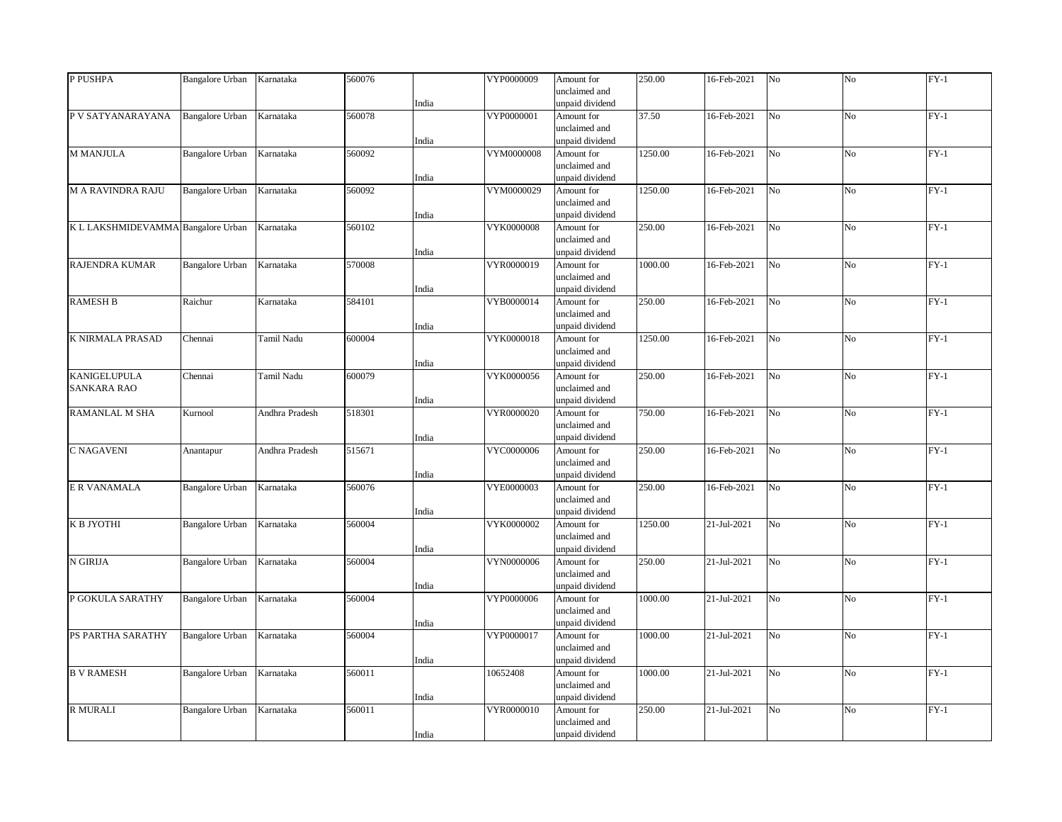| unpaid dividend<br>India<br>$FY-1$<br><b>Bangalore Urban</b><br>Karnataka<br>VYP0000001<br>37.50<br>16-Feb-2021<br>N <sub>o</sub><br>N <sub>o</sub><br>P V SATYANARAYANA<br>560078<br>Amount for<br>unclaimed and<br>India<br>unpaid dividend<br>$FY-1$<br>M MANJULA<br><b>Bangalore Urban</b><br>Karnataka<br>560092<br>VYM0000008<br>1250.00<br>16-Feb-2021<br>No<br>No<br>Amount for<br>unclaimed and<br>India<br>unpaid dividend<br><b>M A RAVINDRA RAJU</b><br>Karnataka<br>560092<br>VYM0000029<br>1250.00<br>16-Feb-2021<br>N <sub>o</sub><br>$FY-1$<br><b>Bangalore Urban</b><br>Amount for<br>N <sub>o</sub><br>unclaimed and<br>unpaid dividend<br>India<br>250.00<br>K L LAKSHMIDEVAMMA Bangalore Urban<br>Karnataka<br>560102<br><b>VYK0000008</b><br>16-Feb-2021<br>No<br>No<br>$FY-1$<br>Amount for<br>unclaimed and<br>India<br>unpaid dividend<br>Karnataka<br>570008<br>VYR0000019<br>1000.00<br>16-Feb-2021<br>N <sub>o</sub><br>No<br>$FY-1$<br><b>RAJENDRA KUMAR</b><br><b>Bangalore Urban</b><br>Amount for<br>unclaimed and<br>India<br>unpaid dividend<br>VYB0000014<br>250.00<br>$FY-1$<br><b>RAMESH B</b><br>Raichur<br>584101<br>16-Feb-2021<br>No<br>No<br>Karnataka<br>Amount for<br>unclaimed and<br>India<br>unpaid dividend<br>600004<br>VYK0000018<br>1250.00<br>16-Feb-2021<br>$FY-1$<br><b>K NIRMALA PRASAD</b><br>Chennai<br>Tamil Nadu<br>N <sub>o</sub><br>N <sub>o</sub><br>Amount for<br>unclaimed and<br>India<br>unpaid dividend<br>250.00<br>$FY-1$<br><b>KANIGELUPULA</b><br>600079<br>VYK0000056<br>16-Feb-2021<br>N <sub>o</sub><br>No<br>Chennai<br>Tamil Nadu<br>Amount for<br><b>SANKARA RAO</b><br>unclaimed and<br>India<br>unpaid dividend<br>750.00<br>$FY-1$<br><b>RAMANLAL M SHA</b><br>Andhra Pradesh<br>518301<br>VYR0000020<br>Amount for<br>16-Feb-2021<br>N <sub>o</sub><br>No<br>Kurnool<br>unclaimed and<br>India<br>unpaid dividend<br>250.00<br>515671<br>VYC0000006<br>16-Feb-2021<br>No<br>No<br>$FY-1$<br>C NAGAVENI<br>Andhra Pradesh<br>Amount for<br>Anantapur<br>unclaimed and<br>India<br>unpaid dividend<br>Karnataka<br>560076<br>VYE0000003<br>250.00<br>16-Feb-2021<br>$FY-1$<br><b>Bangalore Urban</b><br>Amount for<br>No<br>No<br>unclaimed and<br>India<br>unpaid dividend<br>Karnataka<br>1250.00<br>21-Jul-2021<br>No<br>$FY-1$<br>К В ЈҮОТНІ<br>Bangalore Urban<br>560004<br>VYK0000002<br>No<br>Amount for<br>unclaimed and<br>India<br>unpaid dividend<br>N GIRIJA<br>Karnataka<br>560004<br>VYN0000006<br>250.00<br>21-Jul-2021<br>No<br>No<br>$FY-1$<br>Bangalore Urban<br>Amount for<br>unclaimed and<br>India<br>unpaid dividend<br>Karnataka<br>1000.00<br>21-Jul-2021<br>No<br>$FY-1$<br>P GOKULA SARATHY<br><b>Bangalore Urban</b><br>560004<br>VYP0000006<br>No<br>Amount for<br>unclaimed and<br>unpaid dividend<br>India<br>Karnataka<br>560004<br>1000.00<br>21-Jul-2021<br>No<br>N <sub>o</sub><br>$FY-1$<br>PS PARTHA SARATHY<br><b>Bangalore Urban</b><br>VYP0000017<br>Amount for<br>unclaimed and<br>unpaid dividend<br>India<br>$FY-1$<br><b>B V RAMESH</b><br><b>Bangalore Urban</b><br>Karnataka<br>560011<br>10652408<br>1000.00<br>21-Jul-2021<br>No<br>No<br>Amount for<br>unclaimed and<br>India<br>unpaid dividend<br>VYR0000010<br>250.00<br>$FY-1$<br><b>R MURALI</b><br><b>Bangalore Urban</b><br>Karnataka<br>560011<br>21-Jul-2021<br>N <sub>o</sub><br>N <sub>o</sub><br>Amount for<br>unclaimed and<br>India<br>unpaid dividend | P PUSHPA     | <b>Bangalore Urban</b> | Karnataka | 560076 | VYP0000009 | Amount for    | 250.00 | 16-Feb-2021 | No | No | $FY-1$ |
|----------------------------------------------------------------------------------------------------------------------------------------------------------------------------------------------------------------------------------------------------------------------------------------------------------------------------------------------------------------------------------------------------------------------------------------------------------------------------------------------------------------------------------------------------------------------------------------------------------------------------------------------------------------------------------------------------------------------------------------------------------------------------------------------------------------------------------------------------------------------------------------------------------------------------------------------------------------------------------------------------------------------------------------------------------------------------------------------------------------------------------------------------------------------------------------------------------------------------------------------------------------------------------------------------------------------------------------------------------------------------------------------------------------------------------------------------------------------------------------------------------------------------------------------------------------------------------------------------------------------------------------------------------------------------------------------------------------------------------------------------------------------------------------------------------------------------------------------------------------------------------------------------------------------------------------------------------------------------------------------------------------------------------------------------------------------------------------------------------------------------------------------------------------------------------------------------------------------------------------------------------------------------------------------------------------------------------------------------------------------------------------------------------------------------------------------------------------------------------------------------------------------------------------------------------------------------------------------------------------------------------------------------------------------------------------------------------------------------------------------------------------------------------------------------------------------------------------------------------------------------------------------------------------------------------------------------------------------------------------------------------------------------------------------------------------------------------------------------------------------------------------------------------------------------------------------------------------------------------------------------------------------------------------------------------------------------------------------------------------------------------------------------------------------------------------------------|--------------|------------------------|-----------|--------|------------|---------------|--------|-------------|----|----|--------|
|                                                                                                                                                                                                                                                                                                                                                                                                                                                                                                                                                                                                                                                                                                                                                                                                                                                                                                                                                                                                                                                                                                                                                                                                                                                                                                                                                                                                                                                                                                                                                                                                                                                                                                                                                                                                                                                                                                                                                                                                                                                                                                                                                                                                                                                                                                                                                                                                                                                                                                                                                                                                                                                                                                                                                                                                                                                                                                                                                                                                                                                                                                                                                                                                                                                                                                                                                                                                                                                    |              |                        |           |        |            | unclaimed and |        |             |    |    |        |
|                                                                                                                                                                                                                                                                                                                                                                                                                                                                                                                                                                                                                                                                                                                                                                                                                                                                                                                                                                                                                                                                                                                                                                                                                                                                                                                                                                                                                                                                                                                                                                                                                                                                                                                                                                                                                                                                                                                                                                                                                                                                                                                                                                                                                                                                                                                                                                                                                                                                                                                                                                                                                                                                                                                                                                                                                                                                                                                                                                                                                                                                                                                                                                                                                                                                                                                                                                                                                                                    |              |                        |           |        |            |               |        |             |    |    |        |
|                                                                                                                                                                                                                                                                                                                                                                                                                                                                                                                                                                                                                                                                                                                                                                                                                                                                                                                                                                                                                                                                                                                                                                                                                                                                                                                                                                                                                                                                                                                                                                                                                                                                                                                                                                                                                                                                                                                                                                                                                                                                                                                                                                                                                                                                                                                                                                                                                                                                                                                                                                                                                                                                                                                                                                                                                                                                                                                                                                                                                                                                                                                                                                                                                                                                                                                                                                                                                                                    |              |                        |           |        |            |               |        |             |    |    |        |
|                                                                                                                                                                                                                                                                                                                                                                                                                                                                                                                                                                                                                                                                                                                                                                                                                                                                                                                                                                                                                                                                                                                                                                                                                                                                                                                                                                                                                                                                                                                                                                                                                                                                                                                                                                                                                                                                                                                                                                                                                                                                                                                                                                                                                                                                                                                                                                                                                                                                                                                                                                                                                                                                                                                                                                                                                                                                                                                                                                                                                                                                                                                                                                                                                                                                                                                                                                                                                                                    |              |                        |           |        |            |               |        |             |    |    |        |
|                                                                                                                                                                                                                                                                                                                                                                                                                                                                                                                                                                                                                                                                                                                                                                                                                                                                                                                                                                                                                                                                                                                                                                                                                                                                                                                                                                                                                                                                                                                                                                                                                                                                                                                                                                                                                                                                                                                                                                                                                                                                                                                                                                                                                                                                                                                                                                                                                                                                                                                                                                                                                                                                                                                                                                                                                                                                                                                                                                                                                                                                                                                                                                                                                                                                                                                                                                                                                                                    |              |                        |           |        |            |               |        |             |    |    |        |
|                                                                                                                                                                                                                                                                                                                                                                                                                                                                                                                                                                                                                                                                                                                                                                                                                                                                                                                                                                                                                                                                                                                                                                                                                                                                                                                                                                                                                                                                                                                                                                                                                                                                                                                                                                                                                                                                                                                                                                                                                                                                                                                                                                                                                                                                                                                                                                                                                                                                                                                                                                                                                                                                                                                                                                                                                                                                                                                                                                                                                                                                                                                                                                                                                                                                                                                                                                                                                                                    |              |                        |           |        |            |               |        |             |    |    |        |
|                                                                                                                                                                                                                                                                                                                                                                                                                                                                                                                                                                                                                                                                                                                                                                                                                                                                                                                                                                                                                                                                                                                                                                                                                                                                                                                                                                                                                                                                                                                                                                                                                                                                                                                                                                                                                                                                                                                                                                                                                                                                                                                                                                                                                                                                                                                                                                                                                                                                                                                                                                                                                                                                                                                                                                                                                                                                                                                                                                                                                                                                                                                                                                                                                                                                                                                                                                                                                                                    |              |                        |           |        |            |               |        |             |    |    |        |
|                                                                                                                                                                                                                                                                                                                                                                                                                                                                                                                                                                                                                                                                                                                                                                                                                                                                                                                                                                                                                                                                                                                                                                                                                                                                                                                                                                                                                                                                                                                                                                                                                                                                                                                                                                                                                                                                                                                                                                                                                                                                                                                                                                                                                                                                                                                                                                                                                                                                                                                                                                                                                                                                                                                                                                                                                                                                                                                                                                                                                                                                                                                                                                                                                                                                                                                                                                                                                                                    |              |                        |           |        |            |               |        |             |    |    |        |
|                                                                                                                                                                                                                                                                                                                                                                                                                                                                                                                                                                                                                                                                                                                                                                                                                                                                                                                                                                                                                                                                                                                                                                                                                                                                                                                                                                                                                                                                                                                                                                                                                                                                                                                                                                                                                                                                                                                                                                                                                                                                                                                                                                                                                                                                                                                                                                                                                                                                                                                                                                                                                                                                                                                                                                                                                                                                                                                                                                                                                                                                                                                                                                                                                                                                                                                                                                                                                                                    |              |                        |           |        |            |               |        |             |    |    |        |
|                                                                                                                                                                                                                                                                                                                                                                                                                                                                                                                                                                                                                                                                                                                                                                                                                                                                                                                                                                                                                                                                                                                                                                                                                                                                                                                                                                                                                                                                                                                                                                                                                                                                                                                                                                                                                                                                                                                                                                                                                                                                                                                                                                                                                                                                                                                                                                                                                                                                                                                                                                                                                                                                                                                                                                                                                                                                                                                                                                                                                                                                                                                                                                                                                                                                                                                                                                                                                                                    |              |                        |           |        |            |               |        |             |    |    |        |
|                                                                                                                                                                                                                                                                                                                                                                                                                                                                                                                                                                                                                                                                                                                                                                                                                                                                                                                                                                                                                                                                                                                                                                                                                                                                                                                                                                                                                                                                                                                                                                                                                                                                                                                                                                                                                                                                                                                                                                                                                                                                                                                                                                                                                                                                                                                                                                                                                                                                                                                                                                                                                                                                                                                                                                                                                                                                                                                                                                                                                                                                                                                                                                                                                                                                                                                                                                                                                                                    |              |                        |           |        |            |               |        |             |    |    |        |
|                                                                                                                                                                                                                                                                                                                                                                                                                                                                                                                                                                                                                                                                                                                                                                                                                                                                                                                                                                                                                                                                                                                                                                                                                                                                                                                                                                                                                                                                                                                                                                                                                                                                                                                                                                                                                                                                                                                                                                                                                                                                                                                                                                                                                                                                                                                                                                                                                                                                                                                                                                                                                                                                                                                                                                                                                                                                                                                                                                                                                                                                                                                                                                                                                                                                                                                                                                                                                                                    |              |                        |           |        |            |               |        |             |    |    |        |
|                                                                                                                                                                                                                                                                                                                                                                                                                                                                                                                                                                                                                                                                                                                                                                                                                                                                                                                                                                                                                                                                                                                                                                                                                                                                                                                                                                                                                                                                                                                                                                                                                                                                                                                                                                                                                                                                                                                                                                                                                                                                                                                                                                                                                                                                                                                                                                                                                                                                                                                                                                                                                                                                                                                                                                                                                                                                                                                                                                                                                                                                                                                                                                                                                                                                                                                                                                                                                                                    |              |                        |           |        |            |               |        |             |    |    |        |
|                                                                                                                                                                                                                                                                                                                                                                                                                                                                                                                                                                                                                                                                                                                                                                                                                                                                                                                                                                                                                                                                                                                                                                                                                                                                                                                                                                                                                                                                                                                                                                                                                                                                                                                                                                                                                                                                                                                                                                                                                                                                                                                                                                                                                                                                                                                                                                                                                                                                                                                                                                                                                                                                                                                                                                                                                                                                                                                                                                                                                                                                                                                                                                                                                                                                                                                                                                                                                                                    |              |                        |           |        |            |               |        |             |    |    |        |
|                                                                                                                                                                                                                                                                                                                                                                                                                                                                                                                                                                                                                                                                                                                                                                                                                                                                                                                                                                                                                                                                                                                                                                                                                                                                                                                                                                                                                                                                                                                                                                                                                                                                                                                                                                                                                                                                                                                                                                                                                                                                                                                                                                                                                                                                                                                                                                                                                                                                                                                                                                                                                                                                                                                                                                                                                                                                                                                                                                                                                                                                                                                                                                                                                                                                                                                                                                                                                                                    |              |                        |           |        |            |               |        |             |    |    |        |
|                                                                                                                                                                                                                                                                                                                                                                                                                                                                                                                                                                                                                                                                                                                                                                                                                                                                                                                                                                                                                                                                                                                                                                                                                                                                                                                                                                                                                                                                                                                                                                                                                                                                                                                                                                                                                                                                                                                                                                                                                                                                                                                                                                                                                                                                                                                                                                                                                                                                                                                                                                                                                                                                                                                                                                                                                                                                                                                                                                                                                                                                                                                                                                                                                                                                                                                                                                                                                                                    |              |                        |           |        |            |               |        |             |    |    |        |
|                                                                                                                                                                                                                                                                                                                                                                                                                                                                                                                                                                                                                                                                                                                                                                                                                                                                                                                                                                                                                                                                                                                                                                                                                                                                                                                                                                                                                                                                                                                                                                                                                                                                                                                                                                                                                                                                                                                                                                                                                                                                                                                                                                                                                                                                                                                                                                                                                                                                                                                                                                                                                                                                                                                                                                                                                                                                                                                                                                                                                                                                                                                                                                                                                                                                                                                                                                                                                                                    |              |                        |           |        |            |               |        |             |    |    |        |
|                                                                                                                                                                                                                                                                                                                                                                                                                                                                                                                                                                                                                                                                                                                                                                                                                                                                                                                                                                                                                                                                                                                                                                                                                                                                                                                                                                                                                                                                                                                                                                                                                                                                                                                                                                                                                                                                                                                                                                                                                                                                                                                                                                                                                                                                                                                                                                                                                                                                                                                                                                                                                                                                                                                                                                                                                                                                                                                                                                                                                                                                                                                                                                                                                                                                                                                                                                                                                                                    |              |                        |           |        |            |               |        |             |    |    |        |
|                                                                                                                                                                                                                                                                                                                                                                                                                                                                                                                                                                                                                                                                                                                                                                                                                                                                                                                                                                                                                                                                                                                                                                                                                                                                                                                                                                                                                                                                                                                                                                                                                                                                                                                                                                                                                                                                                                                                                                                                                                                                                                                                                                                                                                                                                                                                                                                                                                                                                                                                                                                                                                                                                                                                                                                                                                                                                                                                                                                                                                                                                                                                                                                                                                                                                                                                                                                                                                                    |              |                        |           |        |            |               |        |             |    |    |        |
|                                                                                                                                                                                                                                                                                                                                                                                                                                                                                                                                                                                                                                                                                                                                                                                                                                                                                                                                                                                                                                                                                                                                                                                                                                                                                                                                                                                                                                                                                                                                                                                                                                                                                                                                                                                                                                                                                                                                                                                                                                                                                                                                                                                                                                                                                                                                                                                                                                                                                                                                                                                                                                                                                                                                                                                                                                                                                                                                                                                                                                                                                                                                                                                                                                                                                                                                                                                                                                                    |              |                        |           |        |            |               |        |             |    |    |        |
|                                                                                                                                                                                                                                                                                                                                                                                                                                                                                                                                                                                                                                                                                                                                                                                                                                                                                                                                                                                                                                                                                                                                                                                                                                                                                                                                                                                                                                                                                                                                                                                                                                                                                                                                                                                                                                                                                                                                                                                                                                                                                                                                                                                                                                                                                                                                                                                                                                                                                                                                                                                                                                                                                                                                                                                                                                                                                                                                                                                                                                                                                                                                                                                                                                                                                                                                                                                                                                                    |              |                        |           |        |            |               |        |             |    |    |        |
|                                                                                                                                                                                                                                                                                                                                                                                                                                                                                                                                                                                                                                                                                                                                                                                                                                                                                                                                                                                                                                                                                                                                                                                                                                                                                                                                                                                                                                                                                                                                                                                                                                                                                                                                                                                                                                                                                                                                                                                                                                                                                                                                                                                                                                                                                                                                                                                                                                                                                                                                                                                                                                                                                                                                                                                                                                                                                                                                                                                                                                                                                                                                                                                                                                                                                                                                                                                                                                                    |              |                        |           |        |            |               |        |             |    |    |        |
|                                                                                                                                                                                                                                                                                                                                                                                                                                                                                                                                                                                                                                                                                                                                                                                                                                                                                                                                                                                                                                                                                                                                                                                                                                                                                                                                                                                                                                                                                                                                                                                                                                                                                                                                                                                                                                                                                                                                                                                                                                                                                                                                                                                                                                                                                                                                                                                                                                                                                                                                                                                                                                                                                                                                                                                                                                                                                                                                                                                                                                                                                                                                                                                                                                                                                                                                                                                                                                                    |              |                        |           |        |            |               |        |             |    |    |        |
|                                                                                                                                                                                                                                                                                                                                                                                                                                                                                                                                                                                                                                                                                                                                                                                                                                                                                                                                                                                                                                                                                                                                                                                                                                                                                                                                                                                                                                                                                                                                                                                                                                                                                                                                                                                                                                                                                                                                                                                                                                                                                                                                                                                                                                                                                                                                                                                                                                                                                                                                                                                                                                                                                                                                                                                                                                                                                                                                                                                                                                                                                                                                                                                                                                                                                                                                                                                                                                                    |              |                        |           |        |            |               |        |             |    |    |        |
|                                                                                                                                                                                                                                                                                                                                                                                                                                                                                                                                                                                                                                                                                                                                                                                                                                                                                                                                                                                                                                                                                                                                                                                                                                                                                                                                                                                                                                                                                                                                                                                                                                                                                                                                                                                                                                                                                                                                                                                                                                                                                                                                                                                                                                                                                                                                                                                                                                                                                                                                                                                                                                                                                                                                                                                                                                                                                                                                                                                                                                                                                                                                                                                                                                                                                                                                                                                                                                                    |              |                        |           |        |            |               |        |             |    |    |        |
|                                                                                                                                                                                                                                                                                                                                                                                                                                                                                                                                                                                                                                                                                                                                                                                                                                                                                                                                                                                                                                                                                                                                                                                                                                                                                                                                                                                                                                                                                                                                                                                                                                                                                                                                                                                                                                                                                                                                                                                                                                                                                                                                                                                                                                                                                                                                                                                                                                                                                                                                                                                                                                                                                                                                                                                                                                                                                                                                                                                                                                                                                                                                                                                                                                                                                                                                                                                                                                                    |              |                        |           |        |            |               |        |             |    |    |        |
|                                                                                                                                                                                                                                                                                                                                                                                                                                                                                                                                                                                                                                                                                                                                                                                                                                                                                                                                                                                                                                                                                                                                                                                                                                                                                                                                                                                                                                                                                                                                                                                                                                                                                                                                                                                                                                                                                                                                                                                                                                                                                                                                                                                                                                                                                                                                                                                                                                                                                                                                                                                                                                                                                                                                                                                                                                                                                                                                                                                                                                                                                                                                                                                                                                                                                                                                                                                                                                                    |              |                        |           |        |            |               |        |             |    |    |        |
|                                                                                                                                                                                                                                                                                                                                                                                                                                                                                                                                                                                                                                                                                                                                                                                                                                                                                                                                                                                                                                                                                                                                                                                                                                                                                                                                                                                                                                                                                                                                                                                                                                                                                                                                                                                                                                                                                                                                                                                                                                                                                                                                                                                                                                                                                                                                                                                                                                                                                                                                                                                                                                                                                                                                                                                                                                                                                                                                                                                                                                                                                                                                                                                                                                                                                                                                                                                                                                                    |              |                        |           |        |            |               |        |             |    |    |        |
|                                                                                                                                                                                                                                                                                                                                                                                                                                                                                                                                                                                                                                                                                                                                                                                                                                                                                                                                                                                                                                                                                                                                                                                                                                                                                                                                                                                                                                                                                                                                                                                                                                                                                                                                                                                                                                                                                                                                                                                                                                                                                                                                                                                                                                                                                                                                                                                                                                                                                                                                                                                                                                                                                                                                                                                                                                                                                                                                                                                                                                                                                                                                                                                                                                                                                                                                                                                                                                                    |              |                        |           |        |            |               |        |             |    |    |        |
|                                                                                                                                                                                                                                                                                                                                                                                                                                                                                                                                                                                                                                                                                                                                                                                                                                                                                                                                                                                                                                                                                                                                                                                                                                                                                                                                                                                                                                                                                                                                                                                                                                                                                                                                                                                                                                                                                                                                                                                                                                                                                                                                                                                                                                                                                                                                                                                                                                                                                                                                                                                                                                                                                                                                                                                                                                                                                                                                                                                                                                                                                                                                                                                                                                                                                                                                                                                                                                                    |              |                        |           |        |            |               |        |             |    |    |        |
|                                                                                                                                                                                                                                                                                                                                                                                                                                                                                                                                                                                                                                                                                                                                                                                                                                                                                                                                                                                                                                                                                                                                                                                                                                                                                                                                                                                                                                                                                                                                                                                                                                                                                                                                                                                                                                                                                                                                                                                                                                                                                                                                                                                                                                                                                                                                                                                                                                                                                                                                                                                                                                                                                                                                                                                                                                                                                                                                                                                                                                                                                                                                                                                                                                                                                                                                                                                                                                                    | E R VANAMALA |                        |           |        |            |               |        |             |    |    |        |
|                                                                                                                                                                                                                                                                                                                                                                                                                                                                                                                                                                                                                                                                                                                                                                                                                                                                                                                                                                                                                                                                                                                                                                                                                                                                                                                                                                                                                                                                                                                                                                                                                                                                                                                                                                                                                                                                                                                                                                                                                                                                                                                                                                                                                                                                                                                                                                                                                                                                                                                                                                                                                                                                                                                                                                                                                                                                                                                                                                                                                                                                                                                                                                                                                                                                                                                                                                                                                                                    |              |                        |           |        |            |               |        |             |    |    |        |
|                                                                                                                                                                                                                                                                                                                                                                                                                                                                                                                                                                                                                                                                                                                                                                                                                                                                                                                                                                                                                                                                                                                                                                                                                                                                                                                                                                                                                                                                                                                                                                                                                                                                                                                                                                                                                                                                                                                                                                                                                                                                                                                                                                                                                                                                                                                                                                                                                                                                                                                                                                                                                                                                                                                                                                                                                                                                                                                                                                                                                                                                                                                                                                                                                                                                                                                                                                                                                                                    |              |                        |           |        |            |               |        |             |    |    |        |
|                                                                                                                                                                                                                                                                                                                                                                                                                                                                                                                                                                                                                                                                                                                                                                                                                                                                                                                                                                                                                                                                                                                                                                                                                                                                                                                                                                                                                                                                                                                                                                                                                                                                                                                                                                                                                                                                                                                                                                                                                                                                                                                                                                                                                                                                                                                                                                                                                                                                                                                                                                                                                                                                                                                                                                                                                                                                                                                                                                                                                                                                                                                                                                                                                                                                                                                                                                                                                                                    |              |                        |           |        |            |               |        |             |    |    |        |
|                                                                                                                                                                                                                                                                                                                                                                                                                                                                                                                                                                                                                                                                                                                                                                                                                                                                                                                                                                                                                                                                                                                                                                                                                                                                                                                                                                                                                                                                                                                                                                                                                                                                                                                                                                                                                                                                                                                                                                                                                                                                                                                                                                                                                                                                                                                                                                                                                                                                                                                                                                                                                                                                                                                                                                                                                                                                                                                                                                                                                                                                                                                                                                                                                                                                                                                                                                                                                                                    |              |                        |           |        |            |               |        |             |    |    |        |
|                                                                                                                                                                                                                                                                                                                                                                                                                                                                                                                                                                                                                                                                                                                                                                                                                                                                                                                                                                                                                                                                                                                                                                                                                                                                                                                                                                                                                                                                                                                                                                                                                                                                                                                                                                                                                                                                                                                                                                                                                                                                                                                                                                                                                                                                                                                                                                                                                                                                                                                                                                                                                                                                                                                                                                                                                                                                                                                                                                                                                                                                                                                                                                                                                                                                                                                                                                                                                                                    |              |                        |           |        |            |               |        |             |    |    |        |
|                                                                                                                                                                                                                                                                                                                                                                                                                                                                                                                                                                                                                                                                                                                                                                                                                                                                                                                                                                                                                                                                                                                                                                                                                                                                                                                                                                                                                                                                                                                                                                                                                                                                                                                                                                                                                                                                                                                                                                                                                                                                                                                                                                                                                                                                                                                                                                                                                                                                                                                                                                                                                                                                                                                                                                                                                                                                                                                                                                                                                                                                                                                                                                                                                                                                                                                                                                                                                                                    |              |                        |           |        |            |               |        |             |    |    |        |
|                                                                                                                                                                                                                                                                                                                                                                                                                                                                                                                                                                                                                                                                                                                                                                                                                                                                                                                                                                                                                                                                                                                                                                                                                                                                                                                                                                                                                                                                                                                                                                                                                                                                                                                                                                                                                                                                                                                                                                                                                                                                                                                                                                                                                                                                                                                                                                                                                                                                                                                                                                                                                                                                                                                                                                                                                                                                                                                                                                                                                                                                                                                                                                                                                                                                                                                                                                                                                                                    |              |                        |           |        |            |               |        |             |    |    |        |
|                                                                                                                                                                                                                                                                                                                                                                                                                                                                                                                                                                                                                                                                                                                                                                                                                                                                                                                                                                                                                                                                                                                                                                                                                                                                                                                                                                                                                                                                                                                                                                                                                                                                                                                                                                                                                                                                                                                                                                                                                                                                                                                                                                                                                                                                                                                                                                                                                                                                                                                                                                                                                                                                                                                                                                                                                                                                                                                                                                                                                                                                                                                                                                                                                                                                                                                                                                                                                                                    |              |                        |           |        |            |               |        |             |    |    |        |
|                                                                                                                                                                                                                                                                                                                                                                                                                                                                                                                                                                                                                                                                                                                                                                                                                                                                                                                                                                                                                                                                                                                                                                                                                                                                                                                                                                                                                                                                                                                                                                                                                                                                                                                                                                                                                                                                                                                                                                                                                                                                                                                                                                                                                                                                                                                                                                                                                                                                                                                                                                                                                                                                                                                                                                                                                                                                                                                                                                                                                                                                                                                                                                                                                                                                                                                                                                                                                                                    |              |                        |           |        |            |               |        |             |    |    |        |
|                                                                                                                                                                                                                                                                                                                                                                                                                                                                                                                                                                                                                                                                                                                                                                                                                                                                                                                                                                                                                                                                                                                                                                                                                                                                                                                                                                                                                                                                                                                                                                                                                                                                                                                                                                                                                                                                                                                                                                                                                                                                                                                                                                                                                                                                                                                                                                                                                                                                                                                                                                                                                                                                                                                                                                                                                                                                                                                                                                                                                                                                                                                                                                                                                                                                                                                                                                                                                                                    |              |                        |           |        |            |               |        |             |    |    |        |
|                                                                                                                                                                                                                                                                                                                                                                                                                                                                                                                                                                                                                                                                                                                                                                                                                                                                                                                                                                                                                                                                                                                                                                                                                                                                                                                                                                                                                                                                                                                                                                                                                                                                                                                                                                                                                                                                                                                                                                                                                                                                                                                                                                                                                                                                                                                                                                                                                                                                                                                                                                                                                                                                                                                                                                                                                                                                                                                                                                                                                                                                                                                                                                                                                                                                                                                                                                                                                                                    |              |                        |           |        |            |               |        |             |    |    |        |
|                                                                                                                                                                                                                                                                                                                                                                                                                                                                                                                                                                                                                                                                                                                                                                                                                                                                                                                                                                                                                                                                                                                                                                                                                                                                                                                                                                                                                                                                                                                                                                                                                                                                                                                                                                                                                                                                                                                                                                                                                                                                                                                                                                                                                                                                                                                                                                                                                                                                                                                                                                                                                                                                                                                                                                                                                                                                                                                                                                                                                                                                                                                                                                                                                                                                                                                                                                                                                                                    |              |                        |           |        |            |               |        |             |    |    |        |
|                                                                                                                                                                                                                                                                                                                                                                                                                                                                                                                                                                                                                                                                                                                                                                                                                                                                                                                                                                                                                                                                                                                                                                                                                                                                                                                                                                                                                                                                                                                                                                                                                                                                                                                                                                                                                                                                                                                                                                                                                                                                                                                                                                                                                                                                                                                                                                                                                                                                                                                                                                                                                                                                                                                                                                                                                                                                                                                                                                                                                                                                                                                                                                                                                                                                                                                                                                                                                                                    |              |                        |           |        |            |               |        |             |    |    |        |
|                                                                                                                                                                                                                                                                                                                                                                                                                                                                                                                                                                                                                                                                                                                                                                                                                                                                                                                                                                                                                                                                                                                                                                                                                                                                                                                                                                                                                                                                                                                                                                                                                                                                                                                                                                                                                                                                                                                                                                                                                                                                                                                                                                                                                                                                                                                                                                                                                                                                                                                                                                                                                                                                                                                                                                                                                                                                                                                                                                                                                                                                                                                                                                                                                                                                                                                                                                                                                                                    |              |                        |           |        |            |               |        |             |    |    |        |
|                                                                                                                                                                                                                                                                                                                                                                                                                                                                                                                                                                                                                                                                                                                                                                                                                                                                                                                                                                                                                                                                                                                                                                                                                                                                                                                                                                                                                                                                                                                                                                                                                                                                                                                                                                                                                                                                                                                                                                                                                                                                                                                                                                                                                                                                                                                                                                                                                                                                                                                                                                                                                                                                                                                                                                                                                                                                                                                                                                                                                                                                                                                                                                                                                                                                                                                                                                                                                                                    |              |                        |           |        |            |               |        |             |    |    |        |
|                                                                                                                                                                                                                                                                                                                                                                                                                                                                                                                                                                                                                                                                                                                                                                                                                                                                                                                                                                                                                                                                                                                                                                                                                                                                                                                                                                                                                                                                                                                                                                                                                                                                                                                                                                                                                                                                                                                                                                                                                                                                                                                                                                                                                                                                                                                                                                                                                                                                                                                                                                                                                                                                                                                                                                                                                                                                                                                                                                                                                                                                                                                                                                                                                                                                                                                                                                                                                                                    |              |                        |           |        |            |               |        |             |    |    |        |
|                                                                                                                                                                                                                                                                                                                                                                                                                                                                                                                                                                                                                                                                                                                                                                                                                                                                                                                                                                                                                                                                                                                                                                                                                                                                                                                                                                                                                                                                                                                                                                                                                                                                                                                                                                                                                                                                                                                                                                                                                                                                                                                                                                                                                                                                                                                                                                                                                                                                                                                                                                                                                                                                                                                                                                                                                                                                                                                                                                                                                                                                                                                                                                                                                                                                                                                                                                                                                                                    |              |                        |           |        |            |               |        |             |    |    |        |
|                                                                                                                                                                                                                                                                                                                                                                                                                                                                                                                                                                                                                                                                                                                                                                                                                                                                                                                                                                                                                                                                                                                                                                                                                                                                                                                                                                                                                                                                                                                                                                                                                                                                                                                                                                                                                                                                                                                                                                                                                                                                                                                                                                                                                                                                                                                                                                                                                                                                                                                                                                                                                                                                                                                                                                                                                                                                                                                                                                                                                                                                                                                                                                                                                                                                                                                                                                                                                                                    |              |                        |           |        |            |               |        |             |    |    |        |
|                                                                                                                                                                                                                                                                                                                                                                                                                                                                                                                                                                                                                                                                                                                                                                                                                                                                                                                                                                                                                                                                                                                                                                                                                                                                                                                                                                                                                                                                                                                                                                                                                                                                                                                                                                                                                                                                                                                                                                                                                                                                                                                                                                                                                                                                                                                                                                                                                                                                                                                                                                                                                                                                                                                                                                                                                                                                                                                                                                                                                                                                                                                                                                                                                                                                                                                                                                                                                                                    |              |                        |           |        |            |               |        |             |    |    |        |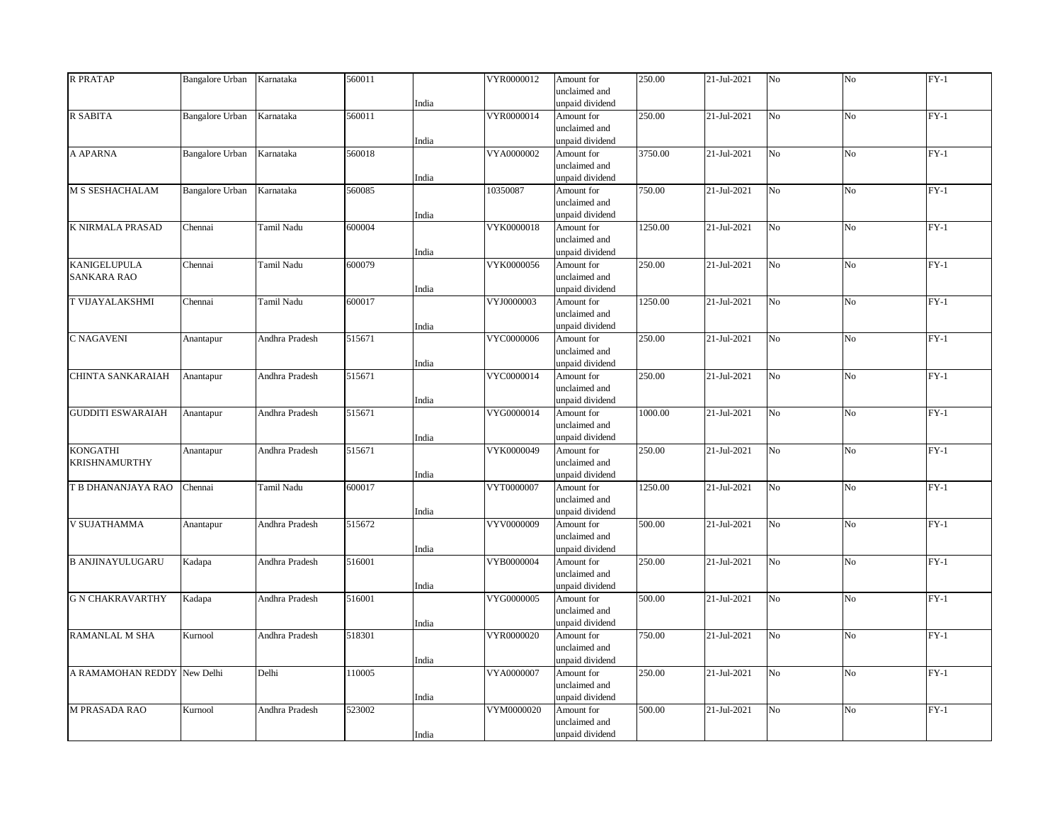| <b>R PRATAP</b>          | <b>Bangalore Urban</b> | Karnataka      | 560011 |       | VYR0000012 | Amount for                       | 250.00  | 21-Jul-2021 | N <sub>o</sub> | No             | $FY-1$ |
|--------------------------|------------------------|----------------|--------|-------|------------|----------------------------------|---------|-------------|----------------|----------------|--------|
|                          |                        |                |        |       |            | unclaimed and                    |         |             |                |                |        |
|                          |                        |                |        | India |            | unpaid dividend                  |         |             |                |                |        |
| R SABITA                 | <b>Bangalore Urban</b> | Karnataka      | 560011 |       | VYR0000014 | Amount for                       | 250.00  | 21-Jul-2021 | No             | No             | $FY-1$ |
|                          |                        |                |        |       |            | unclaimed and                    |         |             |                |                |        |
|                          |                        |                |        | India |            | unpaid dividend                  |         |             |                |                |        |
| A APARNA                 | <b>Bangalore Urban</b> | Karnataka      | 560018 |       | VYA0000002 | Amount for                       | 3750.00 | 21-Jul-2021 | No             | No             | $FY-1$ |
|                          |                        |                |        |       |            | unclaimed and                    |         |             |                |                |        |
| M S SESHACHALAM          |                        | Karnataka      | 560085 | India | 10350087   | unpaid dividend                  | 750.00  | 21-Jul-2021 | No             |                | $FY-1$ |
|                          | <b>Bangalore Urban</b> |                |        |       |            | Amount for<br>unclaimed and      |         |             |                | No             |        |
|                          |                        |                |        | India |            | unpaid dividend                  |         |             |                |                |        |
| K NIRMALA PRASAD         | Chennai                | Tamil Nadu     | 600004 |       | VYK0000018 | Amount for                       | 1250.00 | 21-Jul-2021 | No             | No             | $FY-1$ |
|                          |                        |                |        |       |            | unclaimed and                    |         |             |                |                |        |
|                          |                        |                |        | India |            | unpaid dividend                  |         |             |                |                |        |
| <b>KANIGELUPULA</b>      | Chennai                | Tamil Nadu     | 600079 |       | VYK0000056 | Amount for                       | 250.00  | 21-Jul-2021 | No             | No             | $FY-1$ |
| <b>SANKARA RAO</b>       |                        |                |        |       |            | unclaimed and                    |         |             |                |                |        |
|                          |                        |                |        | India |            | unpaid dividend                  |         |             |                |                |        |
| T VIJAYALAKSHMI          | Chennai                | Tamil Nadu     | 600017 |       | VYJ0000003 | Amount for                       | 1250.00 | 21-Jul-2021 | No             | No             | $FY-1$ |
|                          |                        |                |        |       |            | unclaimed and                    |         |             |                |                |        |
|                          |                        |                |        | India |            | unpaid dividend                  |         |             |                |                |        |
| <b>C NAGAVENI</b>        | Anantapur              | Andhra Pradesh | 515671 |       | VYC0000006 | Amount for                       | 250.00  | 21-Jul-2021 | N <sub>o</sub> | N <sub>o</sub> | $FY-1$ |
|                          |                        |                |        |       |            | unclaimed and                    |         |             |                |                |        |
|                          |                        |                |        | India |            | unpaid dividend                  |         |             |                |                |        |
| CHINTA SANKARAIAH        | Anantapur              | Andhra Pradesh | 515671 |       | VYC0000014 | Amount for                       | 250.00  | 21-Jul-2021 | N <sub>o</sub> | No             | $FY-1$ |
|                          |                        |                |        |       |            | unclaimed and                    |         |             |                |                |        |
|                          |                        |                |        | India |            | unpaid dividend                  |         |             |                |                |        |
| <b>GUDDITI ESWARAIAH</b> | Anantapur              | Andhra Pradesh | 515671 |       | VYG0000014 | Amount for                       | 1000.00 | 21-Jul-2021 | No.            | N <sub>o</sub> | $FY-1$ |
|                          |                        |                |        |       |            | unclaimed and                    |         |             |                |                |        |
|                          |                        |                |        | India |            | unpaid dividend                  |         |             |                |                |        |
| <b>KONGATHI</b>          | Anantapur              | Andhra Pradesh | 515671 |       | VYK0000049 | Amount for                       | 250.00  | 21-Jul-2021 | No             | No             | $FY-1$ |
| <b>KRISHNAMURTHY</b>     |                        |                |        |       |            | unclaimed and<br>unpaid dividend |         |             |                |                |        |
|                          | Chennai                | Tamil Nadu     | 600017 | India | VYT0000007 |                                  |         | 21-Jul-2021 | No             | No             | $FY-1$ |
| T B DHANANJAYA RAO       |                        |                |        |       |            | Amount for<br>unclaimed and      | 1250.00 |             |                |                |        |
|                          |                        |                |        | India |            | unpaid dividend                  |         |             |                |                |        |
| <b>V SUJATHAMMA</b>      | Anantapur              | Andhra Pradesh | 515672 |       | VYV0000009 | Amount for                       | 500.00  | 21-Jul-2021 | No             | No             | $FY-1$ |
|                          |                        |                |        |       |            | unclaimed and                    |         |             |                |                |        |
|                          |                        |                |        | India |            | unpaid dividend                  |         |             |                |                |        |
| <b>B ANJINAYULUGARU</b>  | Kadapa                 | Andhra Pradesh | 516001 |       | VYB0000004 | Amount for                       | 250.00  | 21-Jul-2021 | No             | No             | $FY-1$ |
|                          |                        |                |        |       |            | unclaimed and                    |         |             |                |                |        |
|                          |                        |                |        | India |            | unpaid dividend                  |         |             |                |                |        |
| <b>G N CHAKRAVARTHY</b>  | Kadapa                 | Andhra Pradesh | 516001 |       | VYG0000005 | Amount for                       | 500.00  | 21-Jul-2021 | N <sub>o</sub> | N <sub>o</sub> | $FY-1$ |
|                          |                        |                |        |       |            | unclaimed and                    |         |             |                |                |        |
|                          |                        |                |        | India |            | unpaid dividend                  |         |             |                |                |        |
| RAMANLAL M SHA           | Kurnool                | Andhra Pradesh | 518301 |       | VYR0000020 | Amount for                       | 750.00  | 21-Jul-2021 | No             | No             | $FY-1$ |
|                          |                        |                |        |       |            | unclaimed and                    |         |             |                |                |        |
|                          |                        |                |        | India |            | unpaid dividend                  |         |             |                |                |        |
| A RAMAMOHAN REDDY        | New Delhi              | Delhi          | 110005 |       | VYA0000007 | Amount for                       | 250.00  | 21-Jul-2021 | No             | No             | $FY-1$ |
|                          |                        |                |        |       |            | unclaimed and                    |         |             |                |                |        |
|                          |                        |                |        | India |            | unpaid dividend                  |         |             |                |                |        |
| <b>M PRASADA RAO</b>     | Kurnool                | Andhra Pradesh | 523002 |       | VYM0000020 | Amount for                       | 500.00  | 21-Jul-2021 | N <sub>o</sub> | No             | $FY-1$ |
|                          |                        |                |        |       |            | unclaimed and                    |         |             |                |                |        |
|                          |                        |                |        | India |            | unpaid dividend                  |         |             |                |                |        |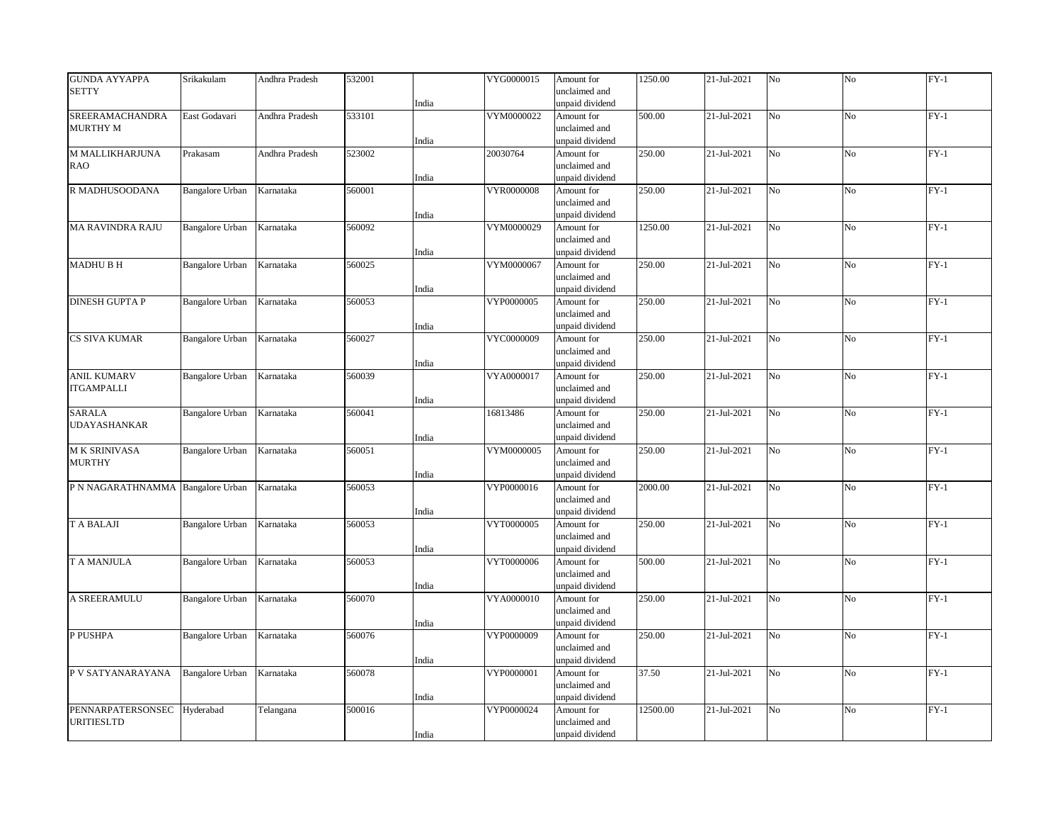| <b>GUNDA AYYAPPA</b>              | Srikakulam             | Andhra Pradesh | 532001 |       | VYG0000015        | Amount for      | 1250.00  | 21-Jul-2021 | No             | No             | $FY-1$ |
|-----------------------------------|------------------------|----------------|--------|-------|-------------------|-----------------|----------|-------------|----------------|----------------|--------|
| <b>SETTY</b>                      |                        |                |        |       |                   | unclaimed and   |          |             |                |                |        |
|                                   |                        |                |        | India |                   | unpaid dividend |          |             |                |                |        |
| <b>SREERAMACHANDRA</b>            | East Godavari          | Andhra Pradesh | 533101 |       | VYM0000022        | Amount for      | 500.00   | 21-Jul-2021 | N <sub>o</sub> | N <sub>o</sub> | $FY-1$ |
| <b>MURTHY M</b>                   |                        |                |        |       |                   | unclaimed and   |          |             |                |                |        |
|                                   |                        |                |        | India |                   | unpaid dividend |          |             |                |                |        |
| M MALLIKHARJUNA                   | Prakasam               | Andhra Pradesh | 523002 |       | 20030764          | Amount for      | 250.00   | 21-Jul-2021 | No             | No             | $FY-1$ |
| <b>RAO</b>                        |                        |                |        |       |                   | unclaimed and   |          |             |                |                |        |
|                                   |                        |                |        | India |                   | unpaid dividend |          |             |                |                |        |
| R MADHUSOODANA                    | <b>Bangalore Urban</b> | Karnataka      | 560001 |       | <b>VYR0000008</b> | Amount for      | 250.00   | 21-Jul-2021 | N <sub>o</sub> | No             | $FY-1$ |
|                                   |                        |                |        |       |                   | unclaimed and   |          |             |                |                |        |
|                                   |                        |                |        | India |                   | unpaid dividend |          |             |                |                |        |
| <b>MA RAVINDRA RAJU</b>           | <b>Bangalore Urban</b> | Karnataka      | 560092 |       | VYM0000029        | Amount for      | 1250.00  | 21-Jul-2021 | No             | No             | $FY-1$ |
|                                   |                        |                |        |       |                   | unclaimed and   |          |             |                |                |        |
|                                   |                        |                |        | India |                   | unpaid dividend |          |             |                |                |        |
| <b>MADHUBH</b>                    | Bangalore Urban        | Karnataka      | 560025 |       | VYM0000067        | Amount for      | 250.00   | 21-Jul-2021 | N <sub>o</sub> | No             | $FY-1$ |
|                                   |                        |                |        |       |                   | unclaimed and   |          |             |                |                |        |
|                                   |                        |                |        | India |                   | unpaid dividend |          |             |                |                |        |
| <b>DINESH GUPTA P</b>             | <b>Bangalore Urban</b> | Karnataka      | 560053 |       | VYP0000005        | Amount for      | 250.00   | 21-Jul-2021 | No             | No             | $FY-1$ |
|                                   |                        |                |        |       |                   | unclaimed and   |          |             |                |                |        |
|                                   |                        |                |        | India |                   | unpaid dividend |          |             |                |                |        |
| CS SIVA KUMAR                     | Bangalore Urban        | Karnataka      | 560027 |       | VYC0000009        | Amount for      | 250.00   | 21-Jul-2021 | No             | No             | $FY-1$ |
|                                   |                        |                |        |       |                   | unclaimed and   |          |             |                |                |        |
|                                   |                        |                |        | India |                   | unpaid dividend |          |             |                |                |        |
| <b>ANIL KUMARV</b>                | <b>Bangalore Urban</b> | Karnataka      | 560039 |       | VYA0000017        | Amount for      | 250.00   | 21-Jul-2021 | N <sub>o</sub> | N <sub>o</sub> | $FY-1$ |
| <b>ITGAMPALLI</b>                 |                        |                |        |       |                   | unclaimed and   |          |             |                |                |        |
|                                   |                        |                |        | India |                   | unpaid dividend |          |             |                |                |        |
| <b>SARALA</b>                     | <b>Bangalore Urban</b> | Karnataka      | 560041 |       | 16813486          | Amount for      | 250.00   | 21-Jul-2021 | N <sub>o</sub> | No             | $FY-1$ |
| <b>UDAYASHANKAR</b>               |                        |                |        |       |                   | unclaimed and   |          |             |                |                |        |
|                                   |                        |                |        | India |                   | unpaid dividend |          |             |                |                |        |
| <b>MK SRINIVASA</b>               | <b>Bangalore Urban</b> | Karnataka      | 560051 |       | VYM0000005        | Amount for      | 250.00   | 21-Jul-2021 | N <sub>o</sub> | N <sub>o</sub> | $FY-1$ |
| <b>MURTHY</b>                     |                        |                |        |       |                   | unclaimed and   |          |             |                |                |        |
|                                   |                        |                |        | India |                   | unpaid dividend |          |             |                |                |        |
| P N NAGARATHNAMMA Bangalore Urban |                        | Karnataka      | 560053 |       | VYP0000016        | Amount for      | 2000.00  | 21-Jul-2021 | N <sub>o</sub> | No             | $FY-1$ |
|                                   |                        |                |        |       |                   | unclaimed and   |          |             |                |                |        |
|                                   |                        |                |        | India |                   | unpaid dividend |          |             |                |                |        |
| <b>T A BALAJI</b>                 | <b>Bangalore Urban</b> | Karnataka      | 560053 |       | VYT0000005        | Amount for      | 250.00   | 21-Jul-2021 | N <sub>o</sub> | No             | $FY-1$ |
|                                   |                        |                |        |       |                   | unclaimed and   |          |             |                |                |        |
|                                   |                        |                |        | India |                   | unpaid dividend |          |             |                |                |        |
| T A MANJULA                       | <b>Bangalore Urban</b> | Karnataka      | 560053 |       | VYT0000006        | Amount for      | 500.00   | 21-Jul-2021 | N <sub>o</sub> | N <sub>o</sub> | $FY-1$ |
|                                   |                        |                |        |       |                   | unclaimed and   |          |             |                |                |        |
|                                   |                        |                |        | India |                   | unpaid dividend |          |             |                |                |        |
| A SREERAMULU                      | <b>Bangalore Urban</b> | Karnataka      | 560070 |       | VYA0000010        | Amount for      | 250.00   | 21-Jul-2021 | No             | No             | $FY-1$ |
|                                   |                        |                |        |       |                   | unclaimed and   |          |             |                |                |        |
|                                   |                        |                |        | India |                   | unpaid dividend |          |             |                |                |        |
| P PUSHPA                          | <b>Bangalore Urban</b> | Karnataka      | 560076 |       | VYP0000009        | Amount for      | 250.00   | 21-Jul-2021 | N <sub>o</sub> | No             | $FY-1$ |
|                                   |                        |                |        |       |                   | unclaimed and   |          |             |                |                |        |
|                                   |                        |                |        | India |                   | unpaid dividend |          |             |                |                |        |
| P V SATYANARAYANA                 | Bangalore Urban        | Karnataka      | 560078 |       | VYP0000001        | Amount for      | 37.50    | 21-Jul-2021 | N <sub>o</sub> | No             | $FY-1$ |
|                                   |                        |                |        |       |                   | unclaimed and   |          |             |                |                |        |
|                                   |                        |                |        | India |                   | unpaid dividend |          |             |                |                |        |
| PENNARPATERSONSEC Hyderabad       |                        |                | 500016 |       | VYP0000024        | Amount for      | 12500.00 | 21-Jul-2021 | No             | No             | $FY-1$ |
| <b>URITIESLTD</b>                 |                        | Telangana      |        |       |                   | unclaimed and   |          |             |                |                |        |
|                                   |                        |                |        | India |                   | unpaid dividend |          |             |                |                |        |
|                                   |                        |                |        |       |                   |                 |          |             |                |                |        |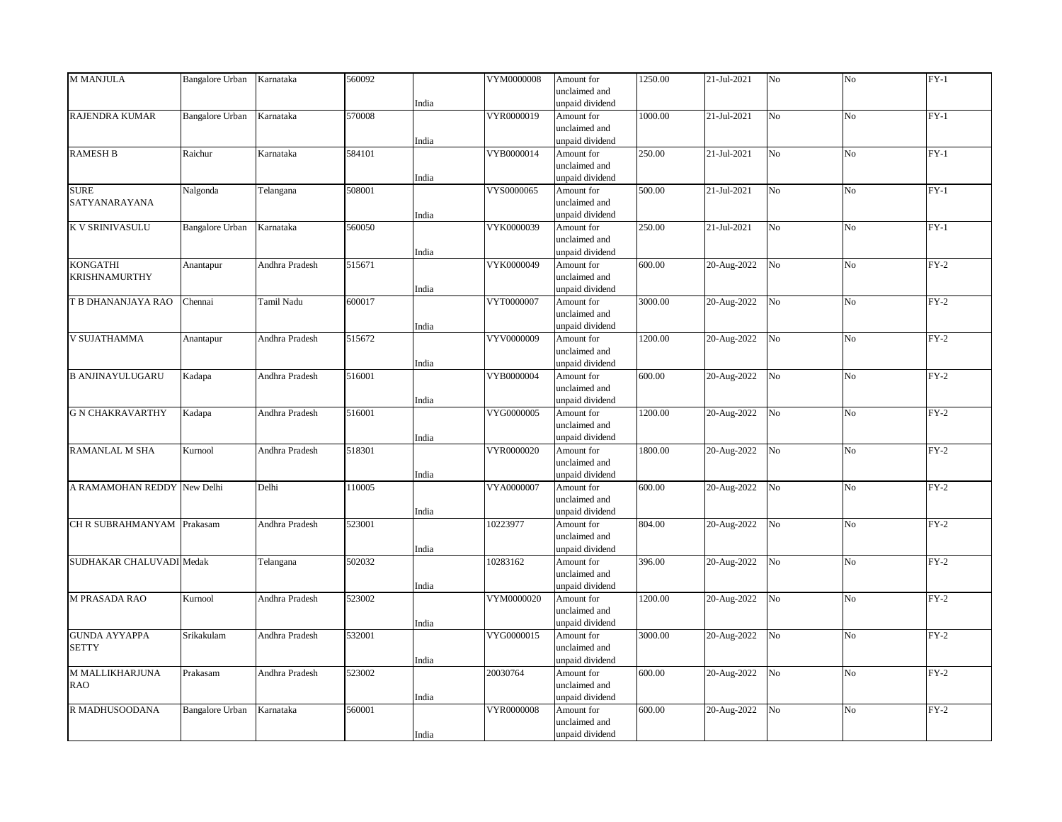| M MANJULA                   | <b>Bangalore Urban</b> | Karnataka      | 560092 |       | VYM0000008 | Amount for                       | 1250.00 | 21-Jul-2021 | No             | No             | $FY-1$ |
|-----------------------------|------------------------|----------------|--------|-------|------------|----------------------------------|---------|-------------|----------------|----------------|--------|
|                             |                        |                |        |       |            | unclaimed and                    |         |             |                |                |        |
|                             |                        |                |        | India |            | unpaid dividend                  |         |             |                |                |        |
| <b>RAJENDRA KUMAR</b>       | <b>Bangalore Urban</b> | Karnataka      | 570008 |       | VYR0000019 | Amount for                       | 1000.00 | 21-Jul-2021 | N <sub>o</sub> | N <sub>o</sub> | $FY-1$ |
|                             |                        |                |        |       |            | unclaimed and                    |         |             |                |                |        |
|                             |                        |                |        | India |            | unpaid dividend                  |         |             |                |                |        |
| <b>RAMESH B</b>             | Raichur                | Karnataka      | 584101 |       | VYB0000014 | Amount for                       | 250.00  | 21-Jul-2021 | N <sub>o</sub> | No             | $FY-1$ |
|                             |                        |                |        |       |            | unclaimed and                    |         |             |                |                |        |
| <b>SURE</b>                 |                        |                | 508001 | India | VYS0000065 | unpaid dividend<br>Amount for    | 500.00  | 21-Jul-2021 | N <sub>o</sub> | N <sub>o</sub> | $FY-1$ |
| SATYANARAYANA               | Nalgonda               | Telangana      |        |       |            | unclaimed and                    |         |             |                |                |        |
|                             |                        |                |        | India |            | unpaid dividend                  |         |             |                |                |        |
| <b>K V SRINIVASULU</b>      | <b>Bangalore Urban</b> | Karnataka      | 560050 |       | VYK0000039 | Amount for                       | 250.00  | 21-Jul-2021 | No             | No             | $FY-1$ |
|                             |                        |                |        |       |            | unclaimed and                    |         |             |                |                |        |
|                             |                        |                |        | India |            | unpaid dividend                  |         |             |                |                |        |
| <b>KONGATHI</b>             | Anantapur              | Andhra Pradesh | 515671 |       | VYK0000049 | Amount for                       | 600.00  | 20-Aug-2022 | No             | No             | $FY-2$ |
| KRISHNAMURTHY               |                        |                |        |       |            | unclaimed and                    |         |             |                |                |        |
|                             |                        |                |        | India |            | unpaid dividend                  |         |             |                |                |        |
| T B DHANANJAYA RAO          | Chennai                | Tamil Nadu     | 600017 |       | VYT0000007 | Amount for                       | 3000.00 | 20-Aug-2022 | No             | No             | $FY-2$ |
|                             |                        |                |        |       |            | unclaimed and                    |         |             |                |                |        |
|                             |                        |                |        | India |            | unpaid dividend                  |         |             |                |                |        |
| <b>V SUJATHAMMA</b>         | Anantapur              | Andhra Pradesh | 515672 |       | VYV0000009 | Amount for                       | 1200.00 | 20-Aug-2022 | No             | N <sub>o</sub> | $FY-2$ |
|                             |                        |                |        |       |            | unclaimed and                    |         |             |                |                |        |
|                             |                        |                |        | India |            | unpaid dividend                  |         |             |                |                |        |
| <b>B ANJINAYULUGARU</b>     | Kadapa                 | Andhra Pradesh | 516001 |       | VYB0000004 | Amount for                       | 600.00  | 20-Aug-2022 | N <sub>o</sub> | No             | $FY-2$ |
|                             |                        |                |        |       |            | unclaimed and                    |         |             |                |                |        |
|                             |                        |                |        | India |            | unpaid dividend                  |         |             |                |                |        |
| <b>G N CHAKRAVARTHY</b>     | Kadapa                 | Andhra Pradesh | 516001 |       | VYG0000005 | Amount for                       | 1200.00 | 20-Aug-2022 | No             | No             | $FY-2$ |
|                             |                        |                |        |       |            | unclaimed and                    |         |             |                |                |        |
| <b>RAMANLAL M SHA</b>       | Kurnool                | Andhra Pradesh | 518301 | India | VYR0000020 | unpaid dividend<br>Amount for    | 1800.00 |             | No             | No             | $FY-2$ |
|                             |                        |                |        |       |            | unclaimed and                    |         | 20-Aug-2022 |                |                |        |
|                             |                        |                |        | India |            | unpaid dividend                  |         |             |                |                |        |
| A RAMAMOHAN REDDY New Delhi |                        | Delhi          | 110005 |       | VYA0000007 | Amount for                       | 600.00  | 20-Aug-2022 | No             | No             | $FY-2$ |
|                             |                        |                |        |       |            | unclaimed and                    |         |             |                |                |        |
|                             |                        |                |        | India |            | unpaid dividend                  |         |             |                |                |        |
| CH R SUBRAHMANYAM Prakasam  |                        | Andhra Pradesh | 523001 |       | 10223977   | Amount for                       | 804.00  | 20-Aug-2022 | No             | N <sub>o</sub> | $FY-2$ |
|                             |                        |                |        |       |            | unclaimed and                    |         |             |                |                |        |
|                             |                        |                |        | India |            | unpaid dividend                  |         |             |                |                |        |
| SUDHAKAR CHALUVADI Medak    |                        | Telangana      | 502032 |       | 10283162   | Amount for                       | 396.00  | 20-Aug-2022 | N <sub>o</sub> | No             | $FY-2$ |
|                             |                        |                |        |       |            | unclaimed and                    |         |             |                |                |        |
|                             |                        |                |        | India |            | unpaid dividend                  |         |             |                |                |        |
| <b>M PRASADA RAO</b>        | Kurnool                | Andhra Pradesh | 523002 |       | VYM0000020 | Amount for                       | 1200.00 | 20-Aug-2022 | N <sub>o</sub> | N <sub>o</sub> | $FY-2$ |
|                             |                        |                |        |       |            | unclaimed and                    |         |             |                |                |        |
|                             |                        |                |        | India |            | unpaid dividend                  |         |             |                |                |        |
| <b>GUNDA AYYAPPA</b>        | Srikakulam             | Andhra Pradesh | 532001 |       | VYG0000015 | Amount for                       | 3000.00 | 20-Aug-2022 | No             | N <sub>o</sub> | $FY-2$ |
| <b>SETTY</b>                |                        |                |        |       |            | unclaimed and                    |         |             |                |                |        |
|                             |                        |                |        | India |            | unpaid dividend                  |         |             |                |                |        |
| M MALLIKHARJUNA             | Prakasam               | Andhra Pradesh | 523002 |       | 20030764   | Amount for                       | 600.00  | 20-Aug-2022 | No             | No             | $FY-2$ |
| <b>RAO</b>                  |                        |                |        | India |            | unclaimed and<br>unpaid dividend |         |             |                |                |        |
| R MADHUSOODANA              | Bangalore Urban        | Karnataka      | 560001 |       | VYR0000008 | Amount for                       | 600.00  | 20-Aug-2022 | No             | N <sub>o</sub> | $FY-2$ |
|                             |                        |                |        |       |            | unclaimed and                    |         |             |                |                |        |
|                             |                        |                |        | India |            | unpaid dividend                  |         |             |                |                |        |
|                             |                        |                |        |       |            |                                  |         |             |                |                |        |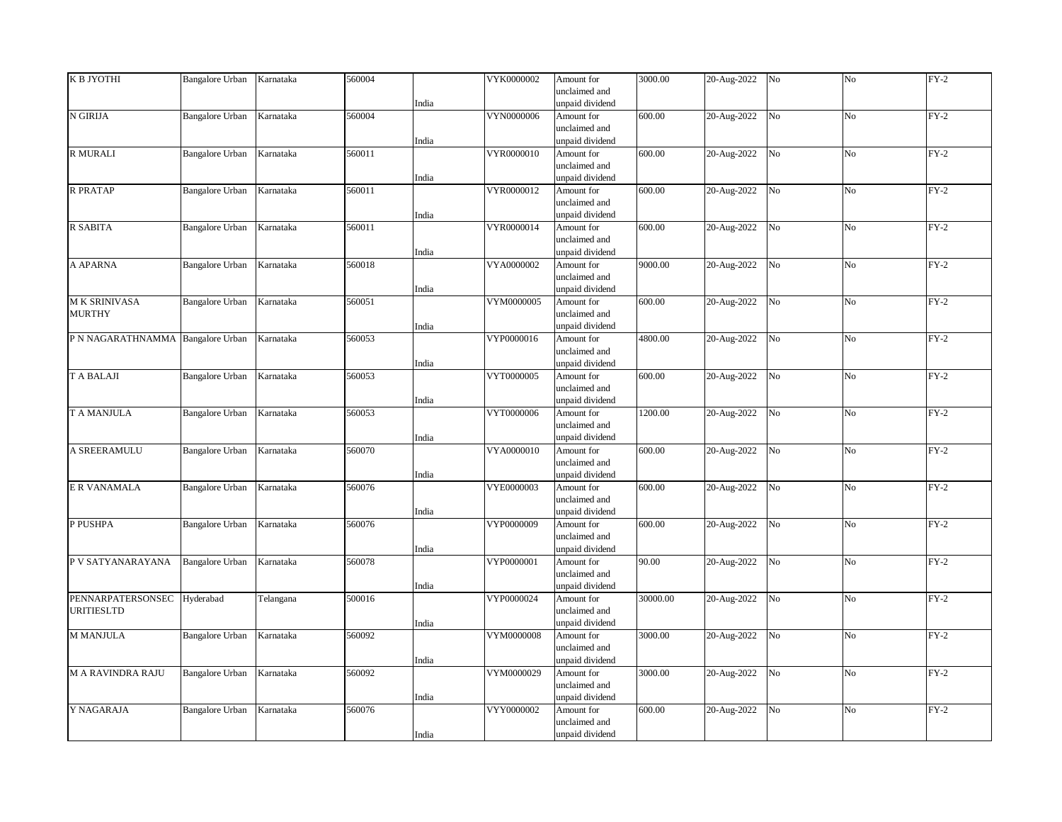| К В ЈҮОТНІ                        | <b>Bangalore Urban</b> | Karnataka | 560004 |       | VYK0000002 | Amount for      | 3000.00  | 20-Aug-2022 | No             | No             | $FY-2$ |
|-----------------------------------|------------------------|-----------|--------|-------|------------|-----------------|----------|-------------|----------------|----------------|--------|
|                                   |                        |           |        |       |            | unclaimed and   |          |             |                |                |        |
|                                   |                        |           |        | India |            | unpaid dividend |          |             |                |                |        |
| N GIRIJA                          | Bangalore Urban        | Karnataka | 560004 |       | VYN0000006 | Amount for      | 600.00   | 20-Aug-2022 | N <sub>o</sub> | N <sub>o</sub> | $FY-2$ |
|                                   |                        |           |        |       |            | unclaimed and   |          |             |                |                |        |
|                                   |                        |           |        | India |            | unpaid dividend |          |             |                |                |        |
|                                   |                        |           |        |       |            |                 |          | 20-Aug-2022 |                | No             | $FY-2$ |
| R MURALI                          | <b>Bangalore Urban</b> | Karnataka | 560011 |       | VYR0000010 | Amount for      | 600.00   |             | $\rm No$       |                |        |
|                                   |                        |           |        |       |            | unclaimed and   |          |             |                |                |        |
|                                   |                        |           |        | India |            | unpaid dividend |          |             |                |                |        |
| <b>R PRATAP</b>                   | Bangalore Urban        | Karnataka | 560011 |       | VYR0000012 | Amount for      | 600.00   | 20-Aug-2022 | N <sub>o</sub> | N <sub>o</sub> | $FY-2$ |
|                                   |                        |           |        |       |            | unclaimed and   |          |             |                |                |        |
|                                   |                        |           |        | India |            | unpaid dividend |          |             |                |                |        |
| R SABITA                          | <b>Bangalore Urban</b> | Karnataka | 560011 |       | VYR0000014 | Amount for      | 600.00   | 20-Aug-2022 | N <sub>o</sub> | No             | $FY-2$ |
|                                   |                        |           |        |       |            | unclaimed and   |          |             |                |                |        |
|                                   |                        |           |        | India |            | unpaid dividend |          |             |                |                |        |
| A APARNA                          | <b>Bangalore Urban</b> | Karnataka | 560018 |       | VYA0000002 | Amount for      | 9000.00  | 20-Aug-2022 | N <sub>o</sub> | No             | $FY-2$ |
|                                   |                        |           |        |       |            | unclaimed and   |          |             |                |                |        |
|                                   |                        |           |        | India |            | unpaid dividend |          |             |                |                |        |
| M K SRINIVASA                     | <b>Bangalore Urban</b> | Karnataka | 560051 |       | VYM0000005 | Amount for      | 600.00   | 20-Aug-2022 | N <sub>o</sub> | No             | $FY-2$ |
| <b>MURTHY</b>                     |                        |           |        |       |            | unclaimed and   |          |             |                |                |        |
|                                   |                        |           |        | India |            | unpaid dividend |          |             |                |                |        |
| P N NAGARATHNAMMA Bangalore Urban |                        | Karnataka | 560053 |       | VYP0000016 | Amount for      | 4800.00  | 20-Aug-2022 | No             | N <sub>o</sub> | $FY-2$ |
|                                   |                        |           |        |       |            | unclaimed and   |          |             |                |                |        |
|                                   |                        |           |        |       |            | unpaid dividend |          |             |                |                |        |
|                                   |                        |           |        | India |            |                 |          |             |                |                |        |
| <b>T A BALAJI</b>                 | Bangalore Urban        | Karnataka | 560053 |       | VYT0000005 | Amount for      | 600.00   | 20-Aug-2022 | No             | No             | $FY-2$ |
|                                   |                        |           |        |       |            | unclaimed and   |          |             |                |                |        |
|                                   |                        |           |        | India |            | unpaid dividend |          |             |                |                |        |
| T A MANJULA                       | <b>Bangalore Urban</b> | Karnataka | 560053 |       | VYT0000006 | Amount for      | 1200.00  | 20-Aug-2022 | No             | N <sub>o</sub> | $FY-2$ |
|                                   |                        |           |        |       |            | unclaimed and   |          |             |                |                |        |
|                                   |                        |           |        | India |            | unpaid dividend |          |             |                |                |        |
| A SREERAMULU                      | <b>Bangalore Urban</b> | Karnataka | 560070 |       | VYA0000010 | Amount for      | 600.00   | 20-Aug-2022 | N <sub>o</sub> | No             | $FY-2$ |
|                                   |                        |           |        |       |            | unclaimed and   |          |             |                |                |        |
|                                   |                        |           |        | India |            | unpaid dividend |          |             |                |                |        |
| E R VANAMALA                      | <b>Bangalore Urban</b> | Karnataka | 560076 |       | VYE0000003 | Amount for      | 600.00   | 20-Aug-2022 | No             | No             | $FY-2$ |
|                                   |                        |           |        |       |            | unclaimed and   |          |             |                |                |        |
|                                   |                        |           |        | India |            | unpaid dividend |          |             |                |                |        |
| P PUSHPA                          | <b>Bangalore Urban</b> | Karnataka | 560076 |       | VYP0000009 | Amount for      | 600.00   | 20-Aug-2022 | No             | No             | $FY-2$ |
|                                   |                        |           |        |       |            | unclaimed and   |          |             |                |                |        |
|                                   |                        |           |        | India |            | unpaid dividend |          |             |                |                |        |
| P V SATYANARAYANA                 | <b>Bangalore Urban</b> | Karnataka | 560078 |       | VYP0000001 | Amount for      | 90.00    | 20-Aug-2022 | N <sub>o</sub> | No             | $FY-2$ |
|                                   |                        |           |        |       |            | unclaimed and   |          |             |                |                |        |
|                                   |                        |           |        | India |            | unpaid dividend |          |             |                |                |        |
| <b>PENNARPATERSONSEC</b>          | Hyderabad              | Telangana | 500016 |       | VYP0000024 | Amount for      | 30000.00 | 20-Aug-2022 | N <sub>o</sub> | No             | $FY-2$ |
| URITIESLTD                        |                        |           |        |       |            | unclaimed and   |          |             |                |                |        |
|                                   |                        |           |        | India |            | unpaid dividend |          |             |                |                |        |
|                                   |                        |           |        |       |            |                 |          |             |                | N <sub>o</sub> | $FY-2$ |
| <b>M MANJULA</b>                  | <b>Bangalore Urban</b> | Karnataka | 560092 |       | VYM0000008 | Amount for      | 3000.00  | 20-Aug-2022 | No             |                |        |
|                                   |                        |           |        |       |            | unclaimed and   |          |             |                |                |        |
|                                   |                        |           |        | India |            | unpaid dividend |          |             |                |                |        |
| <b>M A RAVINDRA RAJU</b>          | Bangalore Urban        | Karnataka | 560092 |       | VYM0000029 | Amount for      | 3000.00  | 20-Aug-2022 | N <sub>o</sub> | No             | $FY-2$ |
|                                   |                        |           |        |       |            | unclaimed and   |          |             |                |                |        |
|                                   |                        |           |        | India |            | unpaid dividend |          |             |                |                |        |
| Y NAGARAJA                        | Bangalore Urban        | Karnataka | 560076 |       | VYY0000002 | Amount for      | 600.00   | 20-Aug-2022 | No             | N <sub>o</sub> | $FY-2$ |
|                                   |                        |           |        |       |            | unclaimed and   |          |             |                |                |        |
|                                   |                        |           |        | India |            | unpaid dividend |          |             |                |                |        |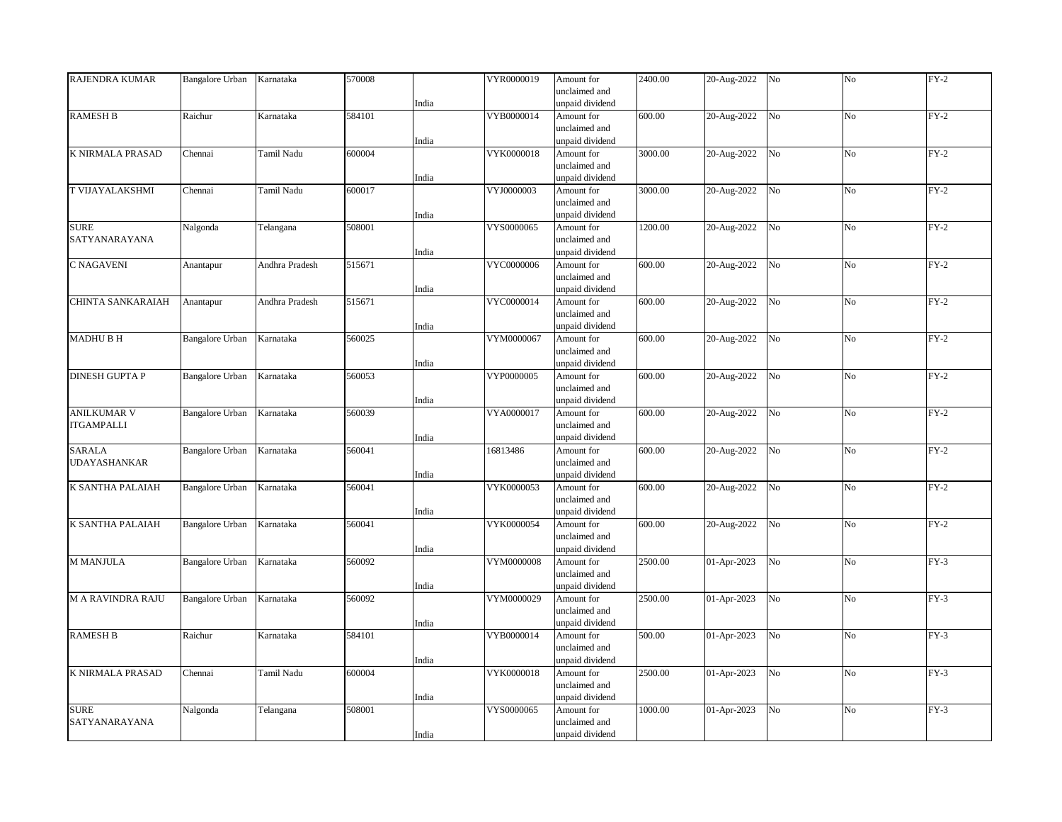| RAJENDRA KUMAR           | <b>Bangalore Urban</b> | Karnataka      | 570008 |       | VYR0000019 | Amount for      | 2400.00 | 20-Aug-2022 | No             | No             | $FY-2$ |
|--------------------------|------------------------|----------------|--------|-------|------------|-----------------|---------|-------------|----------------|----------------|--------|
|                          |                        |                |        |       |            | unclaimed and   |         |             |                |                |        |
|                          |                        |                |        | India |            | unpaid dividend |         |             |                |                |        |
| <b>RAMESH B</b>          | Raichur                | Karnataka      | 584101 |       | VYB0000014 | Amount for      | 600.00  | 20-Aug-2022 | No             | N <sub>o</sub> | $FY-2$ |
|                          |                        |                |        |       |            | unclaimed and   |         |             |                |                |        |
|                          |                        |                |        | India |            | unpaid dividend |         |             |                |                |        |
| K NIRMALA PRASAD         | Chennai                | Tamil Nadu     | 600004 |       | VYK0000018 | Amount for      | 3000.00 | 20-Aug-2022 | $_{\rm No}$    | No             | $FY-2$ |
|                          |                        |                |        |       |            | unclaimed and   |         |             |                |                |        |
|                          |                        |                |        | India |            | unpaid dividend |         |             |                |                |        |
| T VIJAYALAKSHMI          | Chennai                | Tamil Nadu     | 600017 |       | VYJ0000003 | Amount for      | 3000.00 | 20-Aug-2022 | N <sub>o</sub> | N <sub>o</sub> | $FY-2$ |
|                          |                        |                |        |       |            | unclaimed and   |         |             |                |                |        |
|                          |                        |                |        | India |            | unpaid dividend |         |             |                |                |        |
| <b>SURE</b>              | Nalgonda               | Telangana      | 508001 |       | VYS0000065 | Amount for      | 1200.00 | 20-Aug-2022 | $_{\rm No}$    | No             | $FY-2$ |
| SATYANARAYANA            |                        |                |        |       |            | unclaimed and   |         |             |                |                |        |
|                          |                        |                |        | India |            | unpaid dividend |         |             |                |                |        |
| C NAGAVENI               | Anantapur              | Andhra Pradesh | 515671 |       | VYC0000006 | Amount for      | 600.00  | 20-Aug-2022 | No             | No             | $FY-2$ |
|                          |                        |                |        |       |            | unclaimed and   |         |             |                |                |        |
|                          |                        |                |        | India |            | unpaid dividend |         |             |                |                |        |
|                          |                        |                |        |       |            |                 |         |             |                |                |        |
| CHINTA SANKARAIAH        | Anantapur              | Andhra Pradesh | 515671 |       | VYC0000014 | Amount for      | 600.00  | 20-Aug-2022 | $_{\rm No}$    | No             | $FY-2$ |
|                          |                        |                |        |       |            | unclaimed and   |         |             |                |                |        |
|                          |                        |                |        | India |            | unpaid dividend |         |             |                |                |        |
| <b>MADHUBH</b>           | Bangalore Urban        | Karnataka      | 560025 |       | VYM0000067 | Amount for      | 600.00  | 20-Aug-2022 | No             | N <sub>o</sub> | $FY-2$ |
|                          |                        |                |        |       |            | unclaimed and   |         |             |                |                |        |
|                          |                        |                |        | India |            | unpaid dividend |         |             |                |                |        |
| <b>DINESH GUPTA P</b>    | Bangalore Urban        | Karnataka      | 560053 |       | VYP0000005 | Amount for      | 600.00  | 20-Aug-2022 | N <sub>o</sub> | N <sub>o</sub> | $FY-2$ |
|                          |                        |                |        |       |            | unclaimed and   |         |             |                |                |        |
|                          |                        |                |        | India |            | unpaid dividend |         |             |                |                |        |
| <b>ANILKUMAR V</b>       | Bangalore Urban        | Karnataka      | 560039 |       | VYA0000017 | Amount for      | 600.00  | 20-Aug-2022 | No             | No             | $FY-2$ |
| <b>ITGAMPALLI</b>        |                        |                |        |       |            | unclaimed and   |         |             |                |                |        |
|                          |                        |                |        | India |            | unpaid dividend |         |             |                |                |        |
| <b>SARALA</b>            | <b>Bangalore Urban</b> | Karnataka      | 560041 |       | 16813486   | Amount for      | 600.00  | 20-Aug-2022 | N <sub>o</sub> | N <sub>o</sub> | $FY-2$ |
| <b>UDAYASHANKAR</b>      |                        |                |        |       |            | unclaimed and   |         |             |                |                |        |
|                          |                        |                |        | India |            | unpaid dividend |         |             |                |                |        |
| K SANTHA PALAIAH         | <b>Bangalore Urban</b> | Karnataka      | 560041 |       | VYK0000053 | Amount for      | 600.00  | 20-Aug-2022 | $_{\rm No}$    | No             | $FY-2$ |
|                          |                        |                |        |       |            | unclaimed and   |         |             |                |                |        |
|                          |                        |                |        | India |            | unpaid dividend |         |             |                |                |        |
| K SANTHA PALAIAH         | <b>Bangalore Urban</b> | Karnataka      | 560041 |       | VYK0000054 | Amount for      | 600.00  | 20-Aug-2022 | No             | No             | $FY-2$ |
|                          |                        |                |        |       |            | unclaimed and   |         |             |                |                |        |
|                          |                        |                |        | India |            | unpaid dividend |         |             |                |                |        |
| M MANJULA                | Bangalore Urban        | Karnataka      | 560092 |       | VYM0000008 | Amount for      | 2500.00 | 01-Apr-2023 | No             | No             | $FY-3$ |
|                          |                        |                |        |       |            | unclaimed and   |         |             |                |                |        |
|                          |                        |                |        | India |            | unpaid dividend |         |             |                |                |        |
| <b>M A RAVINDRA RAJU</b> | <b>Bangalore Urban</b> | Karnataka      | 560092 |       | VYM0000029 | Amount for      | 2500.00 | 01-Apr-2023 | No             | N <sub>o</sub> | $FY-3$ |
|                          |                        |                |        |       |            | unclaimed and   |         |             |                |                |        |
|                          |                        |                |        | India |            | unpaid dividend |         |             |                |                |        |
| <b>RAMESH B</b>          | Raichur                | Karnataka      | 584101 |       | VYB0000014 | Amount for      | 500.00  | 01-Apr-2023 | No             | No             | $FY-3$ |
|                          |                        |                |        |       |            | unclaimed and   |         |             |                |                |        |
|                          |                        |                |        | India |            | unpaid dividend |         |             |                |                |        |
| K NIRMALA PRASAD         | Chennai                | Tamil Nadu     | 600004 |       | VYK0000018 | Amount for      | 2500.00 | 01-Apr-2023 | No             | N <sub>o</sub> | $FY-3$ |
|                          |                        |                |        |       |            |                 |         |             |                |                |        |
|                          |                        |                |        |       |            | unclaimed and   |         |             |                |                |        |
|                          |                        |                |        | India |            | unpaid dividend |         |             |                |                |        |
| <b>SURE</b>              | Nalgonda               | Telangana      | 508001 |       | VYS0000065 | Amount for      | 1000.00 | 01-Apr-2023 | No             | No             | $FY-3$ |
| SATYANARAYANA            |                        |                |        |       |            | unclaimed and   |         |             |                |                |        |
|                          |                        |                |        | India |            | unpaid dividend |         |             |                |                |        |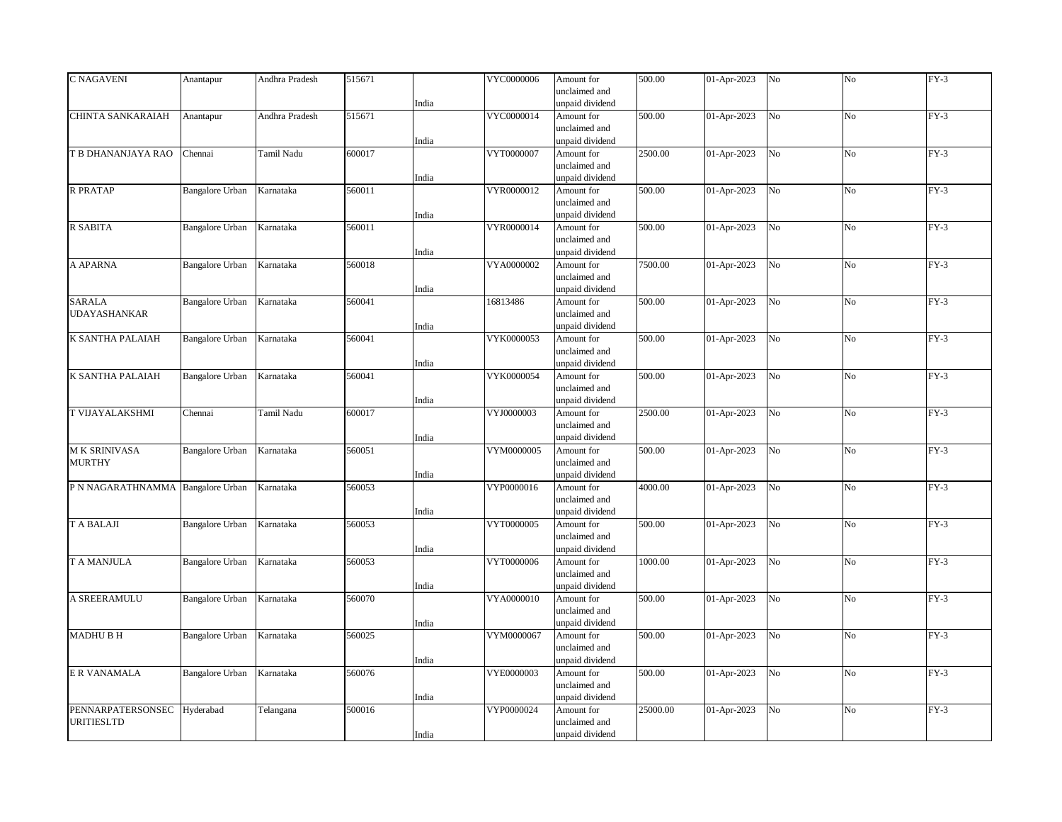| <b>C NAGAVENI</b>                 | Anantapur              | Andhra Pradesh | 515671 |       | VYC0000006 | Amount for                       | 500.00   | 01-Apr-2023 | No             | No             | $FY-3$ |
|-----------------------------------|------------------------|----------------|--------|-------|------------|----------------------------------|----------|-------------|----------------|----------------|--------|
|                                   |                        |                |        |       |            | unclaimed and                    |          |             |                |                |        |
|                                   |                        |                |        | India |            | unpaid dividend                  |          |             |                |                |        |
| CHINTA SANKARAIAH                 | Anantapur              | Andhra Pradesh | 515671 |       | VYC0000014 | Amount for                       | 500.00   | 01-Apr-2023 | No             | N <sub>o</sub> | $FY-3$ |
|                                   |                        |                |        |       |            | unclaimed and                    |          |             |                |                |        |
|                                   |                        |                |        | India |            | unpaid dividend                  |          |             |                |                |        |
| T B DHANANJAYA RAO                | Chennai                | Tamil Nadu     | 600017 |       | VYT0000007 | Amount for                       | 2500.00  | 01-Apr-2023 | $_{\rm No}$    | No             | $FY-3$ |
|                                   |                        |                |        |       |            | unclaimed and                    |          |             |                |                |        |
|                                   |                        |                |        | India |            | unpaid dividend                  |          |             |                |                |        |
| <b>R PRATAP</b>                   | <b>Bangalore Urban</b> | Karnataka      | 560011 |       | VYR0000012 | Amount for                       | 500.00   | 01-Apr-2023 | No             | N <sub>o</sub> | $FY-3$ |
|                                   |                        |                |        |       |            | unclaimed and                    |          |             |                |                |        |
|                                   |                        |                |        | India |            | unpaid dividend                  |          |             |                |                |        |
| <b>R SABITA</b>                   | <b>Bangalore Urban</b> | Karnataka      | 560011 |       | VYR0000014 | Amount for                       | 500.00   | 01-Apr-2023 | $_{\rm No}$    | No             | $FY-3$ |
|                                   |                        |                |        |       |            | unclaimed and                    |          |             |                |                |        |
|                                   |                        |                |        | India |            | unpaid dividend                  |          |             |                |                |        |
| A APARNA                          | <b>Bangalore Urban</b> | Karnataka      | 560018 |       | VYA0000002 | Amount for                       | 7500.00  | 01-Apr-2023 | N <sub>o</sub> | No             | $FY-3$ |
|                                   |                        |                |        |       |            | unclaimed and                    |          |             |                |                |        |
|                                   |                        |                |        | India |            | unpaid dividend                  |          |             |                |                |        |
| <b>SARALA</b>                     | <b>Bangalore Urban</b> | Karnataka      | 560041 |       | 16813486   | Amount for                       | 500.00   | 01-Apr-2023 | No             | No             | $FY-3$ |
| UDAYASHANKAR                      |                        |                |        |       |            | unclaimed and                    |          |             |                |                |        |
|                                   |                        |                |        | India |            | unpaid dividend                  |          |             |                |                |        |
| K SANTHA PALAIAH                  | <b>Bangalore Urban</b> | Karnataka      | 560041 |       | VYK0000053 | Amount for                       | 500.00   | 01-Apr-2023 | N <sub>o</sub> | N <sub>o</sub> | $FY-3$ |
|                                   |                        |                |        |       |            | unclaimed and                    |          |             |                |                |        |
|                                   |                        |                |        | India |            | unpaid dividend                  |          |             |                |                |        |
| K SANTHA PALAIAH                  | <b>Bangalore Urban</b> | Karnataka      | 560041 |       | VYK0000054 | Amount for                       | 500.00   | 01-Apr-2023 | No             | No             | $FY-3$ |
|                                   |                        |                |        |       |            | unclaimed and                    |          |             |                |                |        |
|                                   |                        |                |        | India |            | unpaid dividend                  |          |             |                |                |        |
| T VIJAYALAKSHMI                   | Chennai                | Tamil Nadu     | 600017 |       | VYJ0000003 | Amount for                       | 2500.00  | 01-Apr-2023 | No             | No             | $FY-3$ |
|                                   |                        |                |        |       |            | unclaimed and                    |          |             |                |                |        |
|                                   |                        |                |        | India |            | unpaid dividend                  |          |             |                |                |        |
| M K SRINIVASA                     | <b>Bangalore Urban</b> | Karnataka      | 560051 |       | VYM0000005 | Amount for                       | 500.00   | 01-Apr-2023 | No             | No             | $FY-3$ |
| <b>MURTHY</b>                     |                        |                |        |       |            | unclaimed and                    |          |             |                |                |        |
|                                   |                        |                |        | India |            | unpaid dividend                  |          |             |                |                |        |
| P N NAGARATHNAMMA Bangalore Urban |                        | Karnataka      | 560053 |       | VYP0000016 | Amount for                       | 4000.00  | 01-Apr-2023 | No             | No             | $FY-3$ |
|                                   |                        |                |        |       |            | unclaimed and                    |          |             |                |                |        |
|                                   |                        |                |        | India |            | unpaid dividend                  |          |             |                |                |        |
| T A BALAJI                        | <b>Bangalore Urban</b> | Karnataka      | 560053 |       | VYT0000005 | Amount for                       | 500.00   | 01-Apr-2023 | No             | No             | $FY-3$ |
|                                   |                        |                |        |       |            | unclaimed and                    |          |             |                |                |        |
|                                   |                        |                |        | India |            | unpaid dividend                  |          |             |                |                |        |
| T A MANJULA                       | Bangalore Urban        | Karnataka      | 560053 |       | VYT0000006 | Amount for<br>unclaimed and      | 1000.00  | 01-Apr-2023 | No             | No             | $FY-3$ |
|                                   |                        |                |        |       |            |                                  |          |             |                |                |        |
| A SREERAMULU                      |                        | Karnataka      |        | India | VYA0000010 | unpaid dividend                  | 500.00   |             | No             |                | $FY-3$ |
|                                   | <b>Bangalore Urban</b> |                | 560070 |       |            | Amount for                       |          | 01-Apr-2023 |                | No             |        |
|                                   |                        |                |        |       |            | unclaimed and<br>unpaid dividend |          |             |                |                |        |
|                                   |                        |                | 560025 | India |            |                                  |          |             | N <sub>o</sub> | N <sub>o</sub> | $FY-3$ |
| <b>MADHU B H</b>                  | Bangalore Urban        | Karnataka      |        |       | VYM0000067 | Amount for<br>unclaimed and      | 500.00   | 01-Apr-2023 |                |                |        |
|                                   |                        |                |        |       |            |                                  |          |             |                |                |        |
| <b>E R VANAMALA</b>               | <b>Bangalore Urban</b> | Karnataka      | 560076 | India | VYE0000003 | unpaid dividend<br>Amount for    | 500.00   | 01-Apr-2023 | No             | No             | $FY-3$ |
|                                   |                        |                |        |       |            |                                  |          |             |                |                |        |
|                                   |                        |                |        | India |            | unclaimed and<br>unpaid dividend |          |             |                |                |        |
| PENNARPATERSONSEC                 | Hyderabad              |                | 500016 |       | VYP0000024 | Amount for                       | 25000.00 | 01-Apr-2023 | No             | N <sub>o</sub> | $FY-3$ |
| <b>URITIESLTD</b>                 |                        | Telangana      |        |       |            | unclaimed and                    |          |             |                |                |        |
|                                   |                        |                |        |       |            |                                  |          |             |                |                |        |
|                                   |                        |                |        | India |            | unpaid dividend                  |          |             |                |                |        |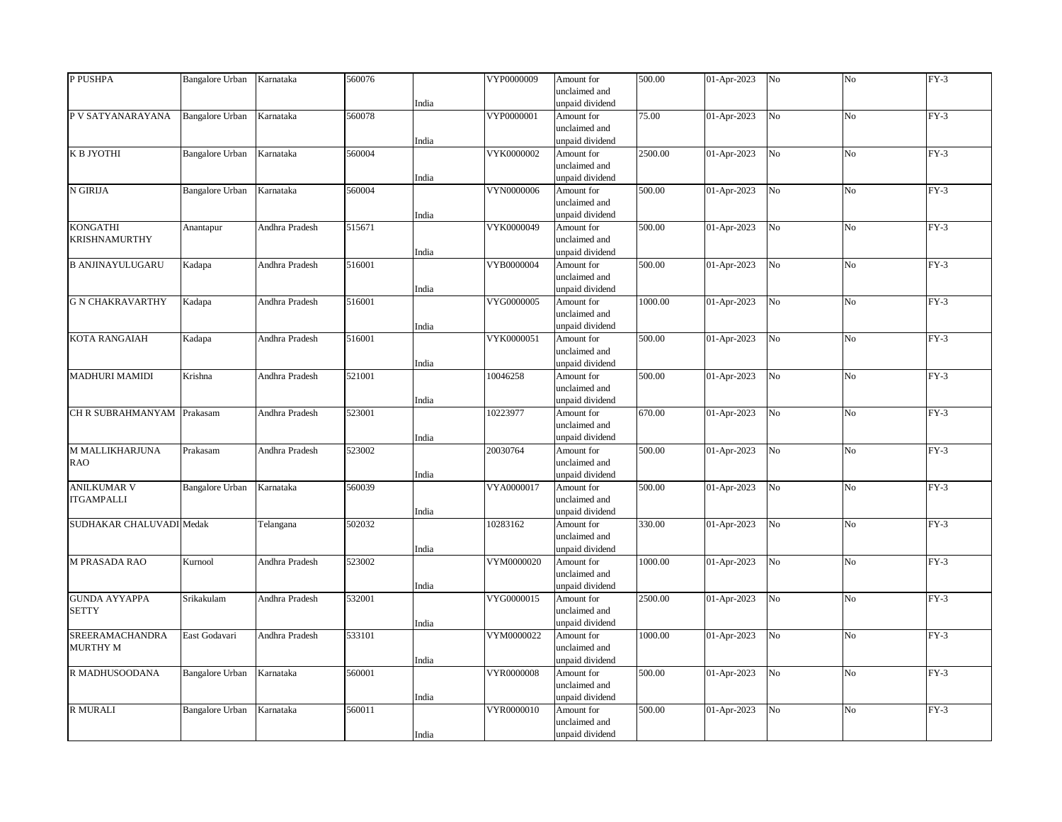| P PUSHPA                   | <b>Bangalore Urban</b> | Karnataka      | 560076 |       | VYP0000009 | Amount for                       | 500.00  | 01-Apr-2023 | No             | No             | $FY-3$ |
|----------------------------|------------------------|----------------|--------|-------|------------|----------------------------------|---------|-------------|----------------|----------------|--------|
|                            |                        |                |        | India |            | unclaimed and<br>unpaid dividend |         |             |                |                |        |
| P V SATYANARAYANA          | <b>Bangalore Urban</b> | Karnataka      | 560078 |       | VYP0000001 | Amount for                       | 75.00   | 01-Apr-2023 | No             | N <sub>o</sub> | $FY-3$ |
|                            |                        |                |        |       |            | unclaimed and                    |         |             |                |                |        |
|                            |                        |                |        | India |            | unpaid dividend                  |         |             |                |                |        |
| К В ЈҮОТНІ                 | <b>Bangalore Urban</b> | Karnataka      | 560004 |       | VYK0000002 | Amount for                       | 2500.00 | 01-Apr-2023 | No             | No             | $FY-3$ |
|                            |                        |                |        |       |            | unclaimed and                    |         |             |                |                |        |
|                            |                        |                |        | India |            | unpaid dividend                  |         |             |                |                |        |
| N GIRIJA                   | Bangalore Urban        | Karnataka      | 560004 |       | VYN0000006 | Amount for                       | 500.00  | 01-Apr-2023 | No             | N <sub>o</sub> | $FY-3$ |
|                            |                        |                |        |       |            | unclaimed and                    |         |             |                |                |        |
|                            |                        |                |        | India |            | unpaid dividend                  |         |             |                |                |        |
| <b>KONGATHI</b>            | Anantapur              | Andhra Pradesh | 515671 |       | VYK0000049 | Amount for                       | 500.00  | 01-Apr-2023 | $_{\rm No}$    | No             | $FY-3$ |
| <b>KRISHNAMURTHY</b>       |                        |                |        |       |            | unclaimed and                    |         |             |                |                |        |
|                            |                        |                |        | India |            | unpaid dividend                  |         |             |                |                |        |
| <b>B ANJINAYULUGARU</b>    | Kadapa                 | Andhra Pradesh | 516001 |       | VYB0000004 | Amount for                       | 500.00  | 01-Apr-2023 | N <sub>o</sub> | No             | $FY-3$ |
|                            |                        |                |        |       |            | unclaimed and                    |         |             |                |                |        |
|                            |                        |                |        | India |            | unpaid dividend                  |         |             |                |                |        |
| <b>G N CHAKRAVARTHY</b>    | Kadapa                 | Andhra Pradesh | 516001 |       | VYG0000005 | Amount for                       | 1000.00 | 01-Apr-2023 | No             | No             | $FY-3$ |
|                            |                        |                |        |       |            | unclaimed and                    |         |             |                |                |        |
|                            |                        |                |        | India |            | unpaid dividend                  |         |             |                |                |        |
| <b>KOTA RANGAIAH</b>       | Kadapa                 | Andhra Pradesh | 516001 |       | VYK0000051 | Amount for                       | 500.00  | 01-Apr-2023 | N <sub>o</sub> | N <sub>o</sub> | $FY-3$ |
|                            |                        |                |        |       |            | unclaimed and                    |         |             |                |                |        |
|                            |                        |                |        | India |            | unpaid dividend                  |         |             |                |                |        |
| <b>MADHURI MAMIDI</b>      | Krishna                | Andhra Pradesh | 521001 |       | 10046258   | Amount for                       | 500.00  | 01-Apr-2023 | No             | No             | $FY-3$ |
|                            |                        |                |        |       |            | unclaimed and                    |         |             |                |                |        |
| CH R SUBRAHMANYAM Prakasam |                        | Andhra Pradesh | 523001 | India | 10223977   | unpaid dividend<br>Amount for    | 670.00  | 01-Apr-2023 | No             | No             | $FY-3$ |
|                            |                        |                |        |       |            | unclaimed and                    |         |             |                |                |        |
|                            |                        |                |        | India |            | unpaid dividend                  |         |             |                |                |        |
| M MALLIKHARJUNA            | Prakasam               | Andhra Pradesh | 523002 |       | 20030764   | Amount for                       | 500.00  | 01-Apr-2023 | No             | No             | $FY-3$ |
| <b>RAO</b>                 |                        |                |        |       |            | unclaimed and                    |         |             |                |                |        |
|                            |                        |                |        | India |            | unpaid dividend                  |         |             |                |                |        |
| <b>ANILKUMAR V</b>         | Bangalore Urban        | Karnataka      | 560039 |       | VYA0000017 | Amount for                       | 500.00  | 01-Apr-2023 | No             | No             | $FY-3$ |
| <b>ITGAMPALLI</b>          |                        |                |        |       |            | unclaimed and                    |         |             |                |                |        |
|                            |                        |                |        | India |            | unpaid dividend                  |         |             |                |                |        |
| SUDHAKAR CHALUVADI Medak   |                        | Telangana      | 502032 |       | 10283162   | Amount for                       | 330.00  | 01-Apr-2023 | No             | No             | $FY-3$ |
|                            |                        |                |        |       |            | unclaimed and                    |         |             |                |                |        |
|                            |                        |                |        | India |            | unpaid dividend                  |         |             |                |                |        |
| M PRASADA RAO              | Kurnool                | Andhra Pradesh | 523002 |       | VYM0000020 | Amount for                       | 1000.00 | 01-Apr-2023 | No             | N <sub>o</sub> | $FY-3$ |
|                            |                        |                |        |       |            | unclaimed and                    |         |             |                |                |        |
|                            |                        |                |        | India |            | unpaid dividend                  |         |             |                |                |        |
| <b>GUNDA AYYAPPA</b>       | Srikakulam             | Andhra Pradesh | 532001 |       | VYG0000015 | Amount for                       | 2500.00 | 01-Apr-2023 | No             | No             | $FY-3$ |
| <b>SETTY</b>               |                        |                |        |       |            | unclaimed and                    |         |             |                |                |        |
|                            |                        |                |        | India |            | unpaid dividend                  |         |             |                |                |        |
| SREERAMACHANDRA            | East Godavari          | Andhra Pradesh | 533101 |       | VYM0000022 | Amount for                       | 1000.00 | 01-Apr-2023 | N <sub>o</sub> | N <sub>o</sub> | $FY-3$ |
| <b>MURTHY M</b>            |                        |                |        |       |            | unclaimed and                    |         |             |                |                |        |
|                            |                        |                |        | India |            | unpaid dividend                  |         |             |                |                |        |
| R MADHUSOODANA             | <b>Bangalore Urban</b> | Karnataka      | 560001 |       | VYR0000008 | Amount for                       | 500.00  | 01-Apr-2023 | No             | No             | $FY-3$ |
|                            |                        |                |        |       |            | unclaimed and                    |         |             |                |                |        |
|                            |                        |                |        | India |            | unpaid dividend                  |         |             |                |                |        |
| <b>R MURALI</b>            | <b>Bangalore Urban</b> | Karnataka      | 560011 |       | VYR0000010 | Amount for                       | 500.00  | 01-Apr-2023 | No             | N <sub>o</sub> | $FY-3$ |
|                            |                        |                |        |       |            | unclaimed and                    |         |             |                |                |        |
|                            |                        |                |        | India |            | unpaid dividend                  |         |             |                |                |        |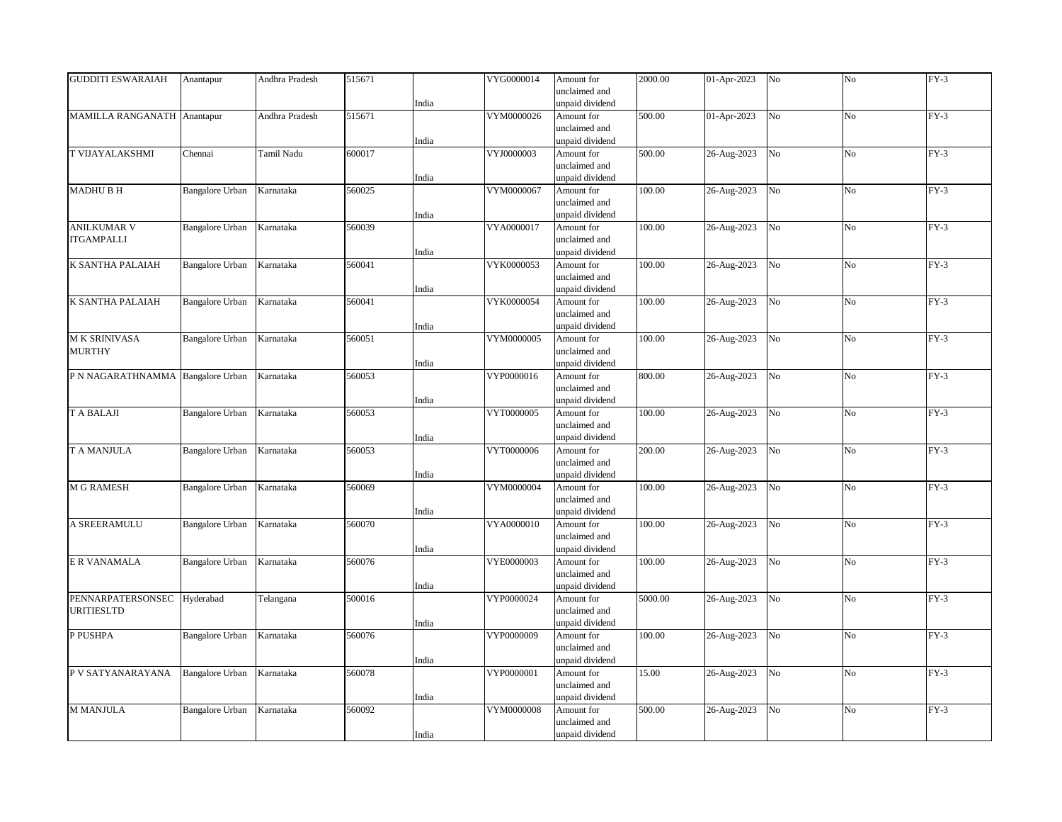| <b>GUDDITI ESWARAIAH</b>    | Anantapur              | Andhra Pradesh | 515671 |       | VYG0000014 | Amount for      | 2000.00 | 01-Apr-2023 | No             | No             | $FY-3$ |
|-----------------------------|------------------------|----------------|--------|-------|------------|-----------------|---------|-------------|----------------|----------------|--------|
|                             |                        |                |        |       |            | unclaimed and   |         |             |                |                |        |
|                             |                        |                |        | India |            | unpaid dividend |         |             |                |                |        |
| MAMILLA RANGANATH Anantapur |                        | Andhra Pradesh | 515671 |       | VYM0000026 | Amount for      | 500.00  | 01-Apr-2023 | N <sub>o</sub> | N <sub>o</sub> | $FY-3$ |
|                             |                        |                |        |       |            | unclaimed and   |         |             |                |                |        |
|                             |                        |                |        | India |            | unpaid dividend |         |             |                |                |        |
| T VIJAYALAKSHMI             | Chennai                | Tamil Nadu     | 600017 |       | VYJ0000003 | Amount for      | 500.00  | 26-Aug-2023 | No             | No             | $FY-3$ |
|                             |                        |                |        |       |            | unclaimed and   |         |             |                |                |        |
|                             |                        |                |        | India |            | unpaid dividend |         |             |                |                |        |
| <b>MADHUBH</b>              | <b>Bangalore Urban</b> | Karnataka      | 560025 |       | VYM0000067 | Amount for      | 100.00  | 26-Aug-2023 | N <sub>o</sub> | N <sub>o</sub> | $FY-3$ |
|                             |                        |                |        |       |            | unclaimed and   |         |             |                |                |        |
|                             |                        |                |        |       |            | unpaid dividend |         |             |                |                |        |
| <b>ANILKUMAR V</b>          | <b>Bangalore Urban</b> | Karnataka      | 560039 | India | VYA0000017 | Amount for      | 100.00  | 26-Aug-2023 | N <sub>o</sub> | No             | $FY-3$ |
| <b>ITGAMPALLI</b>           |                        |                |        |       |            | unclaimed and   |         |             |                |                |        |
|                             |                        |                |        |       |            |                 |         |             |                |                |        |
|                             |                        |                |        | India |            | unpaid dividend |         |             |                |                |        |
| <b>K SANTHA PALAIAH</b>     | <b>Bangalore Urban</b> | Karnataka      | 560041 |       | VYK0000053 | Amount for      | 100.00  | 26-Aug-2023 | N <sub>o</sub> | No             | $FY-3$ |
|                             |                        |                |        |       |            | unclaimed and   |         |             |                |                |        |
|                             |                        |                |        | India |            | unpaid dividend |         |             |                |                |        |
| K SANTHA PALAIAH            | <b>Bangalore Urban</b> | Karnataka      | 560041 |       | VYK0000054 | Amount for      | 100.00  | 26-Aug-2023 | N <sub>o</sub> | No             | $FY-3$ |
|                             |                        |                |        |       |            | unclaimed and   |         |             |                |                |        |
|                             |                        |                |        | India |            | unpaid dividend |         |             |                |                |        |
| M K SRINIVASA               | <b>Bangalore Urban</b> | Karnataka      | 560051 |       | VYM0000005 | Amount for      | 100.00  | 26-Aug-2023 | N <sub>o</sub> | N <sub>o</sub> | $FY-3$ |
| <b>MURTHY</b>               |                        |                |        |       |            | unclaimed and   |         |             |                |                |        |
|                             |                        |                |        | India |            | unpaid dividend |         |             |                |                |        |
| P N NAGARATHNAMMA           | <b>Bangalore Urban</b> | Karnataka      | 560053 |       | VYP0000016 | Amount for      | 800.00  | 26-Aug-2023 | No             | No             | $FY-3$ |
|                             |                        |                |        |       |            | unclaimed and   |         |             |                |                |        |
|                             |                        |                |        | India |            | unpaid dividend |         |             |                |                |        |
| <b>TABALAJI</b>             | <b>Bangalore Urban</b> | Karnataka      | 560053 |       | VYT0000005 | Amount for      | 100.00  | 26-Aug-2023 | No             | N <sub>o</sub> | $FY-3$ |
|                             |                        |                |        |       |            | unclaimed and   |         |             |                |                |        |
|                             |                        |                |        | India |            | unpaid dividend |         |             |                |                |        |
| T A MANJULA                 | <b>Bangalore Urban</b> | Karnataka      | 560053 |       | VYT0000006 | Amount for      | 200.00  | 26-Aug-2023 | N <sub>o</sub> | No             | $FY-3$ |
|                             |                        |                |        |       |            | unclaimed and   |         |             |                |                |        |
|                             |                        |                |        | India |            | unpaid dividend |         |             |                |                |        |
| M G RAMESH                  | <b>Bangalore Urban</b> | Karnataka      | 560069 |       | VYM0000004 | Amount for      | 100.00  | 26-Aug-2023 | No             | No             | $FY-3$ |
|                             |                        |                |        |       |            | unclaimed and   |         |             |                |                |        |
|                             |                        |                |        | India |            | unpaid dividend |         |             |                |                |        |
| A SREERAMULU                | <b>Bangalore Urban</b> | Karnataka      | 560070 |       | VYA0000010 | Amount for      | 100.00  | 26-Aug-2023 | N <sub>o</sub> | No             | $FY-3$ |
|                             |                        |                |        |       |            | unclaimed and   |         |             |                |                |        |
|                             |                        |                |        | India |            | unpaid dividend |         |             |                |                |        |
| E R VANAMALA                | <b>Bangalore Urban</b> | Karnataka      | 560076 |       | VYE0000003 | Amount for      | 100.00  | 26-Aug-2023 | N <sub>o</sub> | N <sub>o</sub> | $FY-3$ |
|                             |                        |                |        |       |            | unclaimed and   |         |             |                |                |        |
|                             |                        |                |        | India |            | unpaid dividend |         |             |                |                |        |
| <b>PENNARPATERSONSEC</b>    | Hyderabad              | Telangana      | 500016 |       | VYP0000024 | Amount for      | 5000.00 | 26-Aug-2023 | N <sub>o</sub> | N <sub>o</sub> | $FY-3$ |
| URITIESLTD                  |                        |                |        |       |            | unclaimed and   |         |             |                |                |        |
|                             |                        |                |        | India |            | unpaid dividend |         |             |                |                |        |
| P PUSHPA                    | <b>Bangalore Urban</b> | Karnataka      | 560076 |       | VYP0000009 | Amount for      | 100.00  | 26-Aug-2023 | N <sub>o</sub> | N <sub>o</sub> | $FY-3$ |
|                             |                        |                |        |       |            | unclaimed and   |         |             |                |                |        |
|                             |                        |                |        | India |            | unpaid dividend |         |             |                |                |        |
| P V SATYANARAYANA           | <b>Bangalore Urban</b> | Karnataka      | 560078 |       | VYP0000001 | Amount for      | 15.00   | 26-Aug-2023 | N <sub>o</sub> | N <sub>o</sub> | $FY-3$ |
|                             |                        |                |        |       |            |                 |         |             |                |                |        |
|                             |                        |                |        |       |            | unclaimed and   |         |             |                |                |        |
|                             |                        |                |        | India |            | unpaid dividend |         |             |                |                |        |
| <b>M MANJULA</b>            | <b>Bangalore Urban</b> | Karnataka      | 560092 |       | VYM0000008 | Amount for      | 500.00  | 26-Aug-2023 | No             | N <sub>o</sub> | $FY-3$ |
|                             |                        |                |        |       |            | unclaimed and   |         |             |                |                |        |
|                             |                        |                |        | India |            | unpaid dividend |         |             |                |                |        |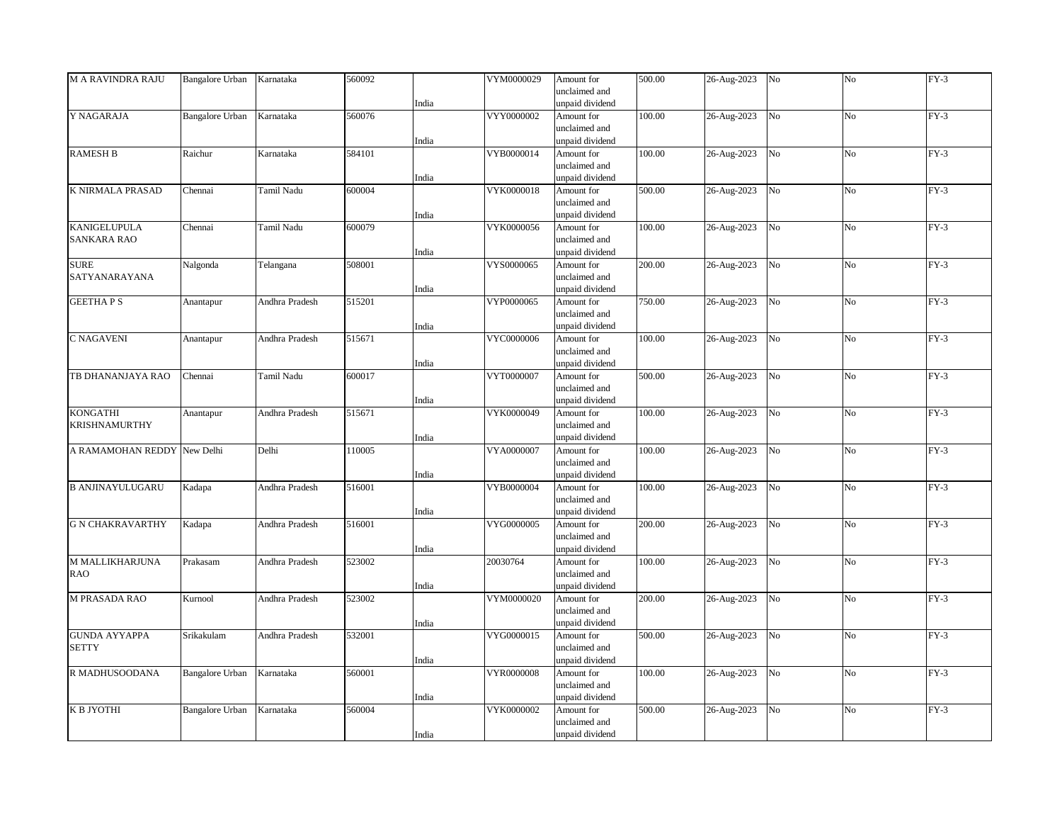| <b>M A RAVINDRA RAJU</b> | <b>Bangalore Urban</b> | Karnataka      | 560092 |       | VYM0000029 | Amount for      | 500.00 | 26-Aug-2023 | No             | No             | $FY-3$ |
|--------------------------|------------------------|----------------|--------|-------|------------|-----------------|--------|-------------|----------------|----------------|--------|
|                          |                        |                |        |       |            | unclaimed and   |        |             |                |                |        |
|                          |                        |                |        | India |            | unpaid dividend |        |             |                |                |        |
| Y NAGARAJA               | Bangalore Urban        | Karnataka      | 560076 |       | VYY0000002 | Amount for      | 100.00 | 26-Aug-2023 | No             | N <sub>o</sub> | $FY-3$ |
|                          |                        |                |        |       |            | unclaimed and   |        |             |                |                |        |
|                          |                        |                |        | India |            | unpaid dividend |        |             |                |                |        |
| <b>RAMESH B</b>          | Raichur                | Karnataka      | 584101 |       | VYB0000014 | Amount for      | 100.00 | 26-Aug-2023 | No             | No             | $FY-3$ |
|                          |                        |                |        |       |            | unclaimed and   |        |             |                |                |        |
|                          |                        |                |        | India |            | unpaid dividend |        |             |                |                |        |
| K NIRMALA PRASAD         | Chennai                | Tamil Nadu     | 600004 |       | VYK0000018 | Amount for      | 500.00 | 26-Aug-2023 | N <sub>o</sub> | N <sub>o</sub> | $FY-3$ |
|                          |                        |                |        |       |            | unclaimed and   |        |             |                |                |        |
|                          |                        |                |        | India |            | unpaid dividend |        |             |                |                |        |
| <b>KANIGELUPULA</b>      | Chennai                | Tamil Nadu     | 600079 |       | VYK0000056 | Amount for      | 100.00 | 26-Aug-2023 | $_{\rm No}$    | No             | $FY-3$ |
| <b>SANKARA RAO</b>       |                        |                |        |       |            | unclaimed and   |        |             |                |                |        |
|                          |                        |                |        | India |            | unpaid dividend |        |             |                |                |        |
| <b>SURE</b>              |                        |                | 508001 |       | VYS0000065 |                 | 200.00 | 26-Aug-2023 | No             | No             | $FY-3$ |
|                          | Nalgonda               | Telangana      |        |       |            | Amount for      |        |             |                |                |        |
| SATYANARAYANA            |                        |                |        |       |            | unclaimed and   |        |             |                |                |        |
|                          |                        |                |        | India |            | unpaid dividend |        |             |                |                |        |
| <b>GEETHAPS</b>          | Anantapur              | Andhra Pradesh | 515201 |       | VYP0000065 | Amount for      | 750.00 | 26-Aug-2023 | $_{\rm No}$    | No             | $FY-3$ |
|                          |                        |                |        |       |            | unclaimed and   |        |             |                |                |        |
|                          |                        |                |        | India |            | unpaid dividend |        |             |                |                |        |
| C NAGAVENI               | Anantapur              | Andhra Pradesh | 515671 |       | VYC0000006 | Amount for      | 100.00 | 26-Aug-2023 | No             | No             | $FY-3$ |
|                          |                        |                |        |       |            | unclaimed and   |        |             |                |                |        |
|                          |                        |                |        | India |            | unpaid dividend |        |             |                |                |        |
| TB DHANANJAYA RAO        | Chennai                | Tamil Nadu     | 600017 |       | VYT0000007 | Amount for      | 500.00 | 26-Aug-2023 | N <sub>o</sub> | N <sub>o</sub> | $FY-3$ |
|                          |                        |                |        |       |            | unclaimed and   |        |             |                |                |        |
|                          |                        |                |        | India |            | unpaid dividend |        |             |                |                |        |
| <b>KONGATHI</b>          | Anantapur              | Andhra Pradesh | 515671 |       | VYK0000049 | Amount for      | 100.00 | 26-Aug-2023 | No             | No             | $FY-3$ |
| KRISHNAMURTHY            |                        |                |        |       |            | unclaimed and   |        |             |                |                |        |
|                          |                        |                |        | India |            | unpaid dividend |        |             |                |                |        |
| A RAMAMOHAN REDDY        | New Delhi              | Delhi          | 110005 |       | VYA0000007 | Amount for      | 100.00 | 26-Aug-2023 | N <sub>o</sub> | No             | $FY-3$ |
|                          |                        |                |        |       |            | unclaimed and   |        |             |                |                |        |
|                          |                        |                |        | India |            | unpaid dividend |        |             |                |                |        |
| <b>B ANJINAYULUGARU</b>  | Kadapa                 | Andhra Pradesh | 516001 |       | VYB0000004 | Amount for      | 100.00 | 26-Aug-2023 | $_{\rm No}$    | No             | $FY-3$ |
|                          |                        |                |        |       |            | unclaimed and   |        |             |                |                |        |
|                          |                        |                |        | India |            | unpaid dividend |        |             |                |                |        |
| <b>G N CHAKRAVARTHY</b>  | Kadapa                 | Andhra Pradesh | 516001 |       | VYG0000005 | Amount for      | 200.00 | 26-Aug-2023 | No             | No             | $FY-3$ |
|                          |                        |                |        |       |            | unclaimed and   |        |             |                |                |        |
|                          |                        |                |        | India |            | unpaid dividend |        |             |                |                |        |
| M MALLIKHARJUNA          | Prakasam               | Andhra Pradesh | 523002 |       | 20030764   | Amount for      | 100.00 | 26-Aug-2023 | No             | No             | $FY-3$ |
| <b>RAO</b>               |                        |                |        |       |            | unclaimed and   |        |             |                |                |        |
|                          |                        |                |        |       |            |                 |        |             |                |                |        |
|                          |                        |                |        | India |            | unpaid dividend |        |             |                |                |        |
| <b>M PRASADA RAO</b>     | Kurnool                | Andhra Pradesh | 523002 |       | VYM0000020 | Amount for      | 200.00 | 26-Aug-2023 | No             | N <sub>o</sub> | $FY-3$ |
|                          |                        |                |        |       |            | unclaimed and   |        |             |                |                |        |
|                          |                        |                |        | India |            | unpaid dividend |        |             |                |                |        |
| <b>GUNDA AYYAPPA</b>     | Srikakulam             | Andhra Pradesh | 532001 |       | VYG0000015 | Amount for      | 500.00 | 26-Aug-2023 | No             | No             | $FY-3$ |
| <b>SETTY</b>             |                        |                |        |       |            | unclaimed and   |        |             |                |                |        |
|                          |                        |                |        | India |            | unpaid dividend |        |             |                |                |        |
| R MADHUSOODANA           | <b>Bangalore Urban</b> | Karnataka      | 560001 |       | VYR0000008 | Amount for      | 100.00 | 26-Aug-2023 | No             | N <sub>o</sub> | $FY-3$ |
|                          |                        |                |        |       |            | unclaimed and   |        |             |                |                |        |
|                          |                        |                |        | India |            | unpaid dividend |        |             |                |                |        |
| К В ЈҮОТНІ               | <b>Bangalore Urban</b> | Karnataka      | 560004 |       | VYK0000002 | Amount for      | 500.00 | 26-Aug-2023 | No             | No             | $FY-3$ |
|                          |                        |                |        |       |            | unclaimed and   |        |             |                |                |        |
|                          |                        |                |        | India |            | unpaid dividend |        |             |                |                |        |
|                          |                        |                |        |       |            |                 |        |             |                |                |        |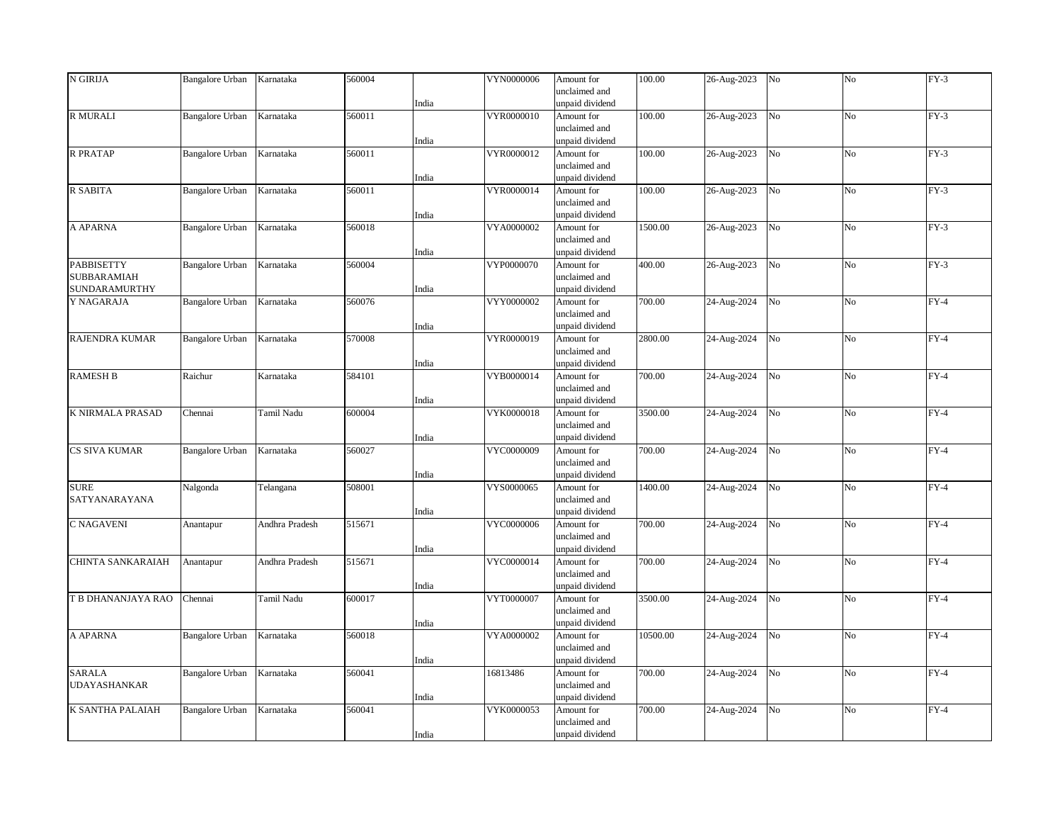| N GIRIJA            | <b>Bangalore Urban</b> | Karnataka      | 560004 |       | VYN0000006 | Amount for                    | 100.00   | 26-Aug-2023 | No             | No             | $FY-3$ |
|---------------------|------------------------|----------------|--------|-------|------------|-------------------------------|----------|-------------|----------------|----------------|--------|
|                     |                        |                |        |       |            | unclaimed and                 |          |             |                |                |        |
|                     |                        |                |        | India |            | unpaid dividend               |          |             |                |                |        |
| R MURALI            | <b>Bangalore Urban</b> | Karnataka      | 560011 |       | VYR0000010 | Amount for                    | 100.00   | 26-Aug-2023 | No             | N <sub>o</sub> | $FY-3$ |
|                     |                        |                |        |       |            | unclaimed and                 |          |             |                |                |        |
|                     |                        |                |        | India |            | unpaid dividend               |          |             |                |                |        |
| <b>R PRATAP</b>     | <b>Bangalore Urban</b> | Karnataka      | 560011 |       | VYR0000012 | Amount for                    | 100.00   | 26-Aug-2023 | No             | No             | $FY-3$ |
|                     |                        |                |        |       |            | unclaimed and                 |          |             |                |                |        |
|                     |                        |                |        | India |            | unpaid dividend               |          |             |                |                |        |
| <b>R SABITA</b>     | <b>Bangalore Urban</b> | Karnataka      | 560011 |       | VYR0000014 | Amount for                    | 100.00   | 26-Aug-2023 | N <sub>o</sub> | N <sub>o</sub> | $FY-3$ |
|                     |                        |                |        |       |            | unclaimed and                 |          |             |                |                |        |
|                     |                        |                |        | India |            | unpaid dividend               |          |             |                |                |        |
| A APARNA            | <b>Bangalore Urban</b> | Karnataka      | 560018 |       | VYA0000002 | Amount for                    | 1500.00  | 26-Aug-2023 | $_{\rm No}$    | No             | $FY-3$ |
|                     |                        |                |        |       |            | unclaimed and                 |          |             |                |                |        |
|                     |                        |                |        | India |            | unpaid dividend               |          |             |                |                |        |
| <b>PABBISETTY</b>   | <b>Bangalore Urban</b> | Karnataka      | 560004 |       | VYP0000070 | Amount for                    | 400.00   | 26-Aug-2023 | No             | No             | $FY-3$ |
| <b>SUBBARAMIAH</b>  |                        |                |        |       |            | unclaimed and                 |          |             |                |                |        |
| SUNDARAMURTHY       |                        |                |        | India |            | unpaid dividend               |          |             |                |                |        |
| Y NAGARAJA          | Bangalore Urban        | Karnataka      | 560076 |       | VYY0000002 | Amount for                    | 700.00   | 24-Aug-2024 | $_{\rm No}$    | No             | $FY-4$ |
|                     |                        |                |        |       |            | unclaimed and                 |          |             |                |                |        |
|                     |                        |                |        | India |            | unpaid dividend               |          |             |                |                |        |
| RAJENDRA KUMAR      | Bangalore Urban        | Karnataka      | 570008 |       | VYR0000019 | Amount for                    | 2800.00  | 24-Aug-2024 | No             | No             | $FY-4$ |
|                     |                        |                |        |       |            | unclaimed and                 |          |             |                |                |        |
|                     |                        |                |        | India |            | unpaid dividend               |          |             |                |                |        |
| <b>RAMESH B</b>     | Raichur                | Karnataka      | 584101 |       | VYB0000014 | Amount for                    | 700.00   | 24-Aug-2024 | N <sub>o</sub> | N <sub>o</sub> | $FY-4$ |
|                     |                        |                |        |       |            | unclaimed and                 |          |             |                |                |        |
|                     |                        |                |        | India |            | unpaid dividend               |          |             |                |                |        |
| K NIRMALA PRASAD    | Chennai                | Tamil Nadu     | 600004 |       | VYK0000018 | Amount for                    | 3500.00  | 24-Aug-2024 | No             | No             | $FY-4$ |
|                     |                        |                |        |       |            | unclaimed and                 |          |             |                |                |        |
| CS SIVA KUMAR       |                        |                | 560027 | India | VYC0000009 | unpaid dividend<br>Amount for | 700.00   |             | N <sub>o</sub> | No             | $FY-4$ |
|                     | Bangalore Urban        | Karnataka      |        |       |            | unclaimed and                 |          | 24-Aug-2024 |                |                |        |
|                     |                        |                |        | India |            | unpaid dividend               |          |             |                |                |        |
| <b>SURE</b>         |                        | Telangana      | 508001 |       | VYS0000065 | Amount for                    | 1400.00  | 24-Aug-2024 | $_{\rm No}$    | No             | $FY-4$ |
| SATYANARAYANA       | Nalgonda               |                |        |       |            | unclaimed and                 |          |             |                |                |        |
|                     |                        |                |        | India |            | unpaid dividend               |          |             |                |                |        |
| C NAGAVENI          | Anantapur              | Andhra Pradesh | 515671 |       | VYC0000006 | Amount for                    | 700.00   | 24-Aug-2024 | No             | No             | $FY-4$ |
|                     |                        |                |        |       |            | unclaimed and                 |          |             |                |                |        |
|                     |                        |                |        | India |            | unpaid dividend               |          |             |                |                |        |
| CHINTA SANKARAIAH   | Anantapur              | Andhra Pradesh | 515671 |       | VYC0000014 | Amount for                    | 700.00   | 24-Aug-2024 | No             | No             | $FY-4$ |
|                     |                        |                |        |       |            | unclaimed and                 |          |             |                |                |        |
|                     |                        |                |        | India |            | unpaid dividend               |          |             |                |                |        |
| T B DHANANJAYA RAO  | Chennai                | Tamil Nadu     | 600017 |       | VYT0000007 | Amount for                    | 3500.00  | 24-Aug-2024 | No             | N <sub>o</sub> | $FY-4$ |
|                     |                        |                |        |       |            | unclaimed and                 |          |             |                |                |        |
|                     |                        |                |        | India |            | unpaid dividend               |          |             |                |                |        |
| A APARNA            | Bangalore Urban        | Karnataka      | 560018 |       | VYA0000002 | Amount for                    | 10500.00 | 24-Aug-2024 | No             | No             | $FY-4$ |
|                     |                        |                |        |       |            | unclaimed and                 |          |             |                |                |        |
|                     |                        |                |        | India |            | unpaid dividend               |          |             |                |                |        |
| <b>SARALA</b>       | <b>Bangalore Urban</b> | Karnataka      | 560041 |       | 16813486   | Amount for                    | 700.00   | 24-Aug-2024 | No             | N <sub>o</sub> | $FY-4$ |
| <b>UDAYASHANKAR</b> |                        |                |        |       |            | unclaimed and                 |          |             |                |                |        |
|                     |                        |                |        | India |            | unpaid dividend               |          |             |                |                |        |
| K SANTHA PALAIAH    | <b>Bangalore Urban</b> | Karnataka      | 560041 |       | VYK0000053 | Amount for                    | 700.00   | 24-Aug-2024 | No             | No             | $FY-4$ |
|                     |                        |                |        |       |            | unclaimed and                 |          |             |                |                |        |
|                     |                        |                |        | India |            | unpaid dividend               |          |             |                |                |        |
|                     |                        |                |        |       |            |                               |          |             |                |                |        |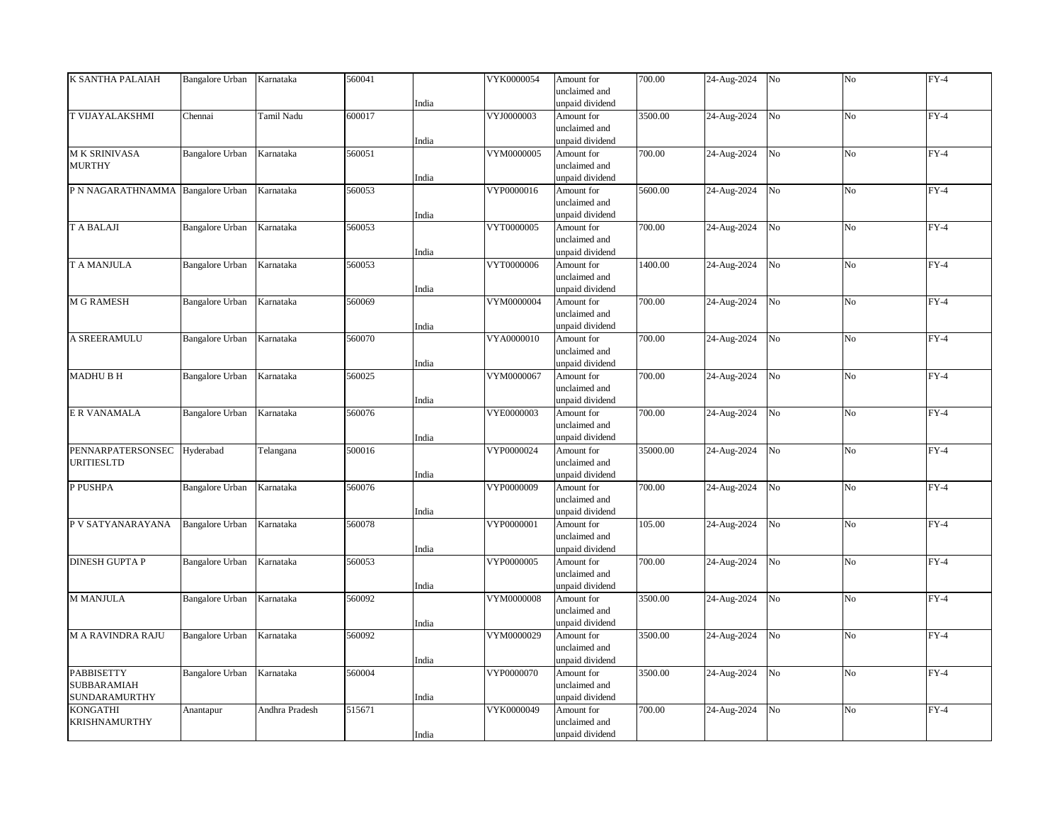| K SANTHA PALAIAH                  | <b>Bangalore Urban</b> | Karnataka      | 560041 |       | VYK0000054 | Amount for      | 700.00             | 24-Aug-2024 | No             | No             | $FY-4$ |
|-----------------------------------|------------------------|----------------|--------|-------|------------|-----------------|--------------------|-------------|----------------|----------------|--------|
|                                   |                        |                |        |       |            | unclaimed and   |                    |             |                |                |        |
|                                   |                        |                |        | India |            | unpaid dividend |                    |             |                |                |        |
| T VIJAYALAKSHMI                   | Chennai                | Tamil Nadu     | 600017 |       | VYJ0000003 | Amount for      | 3500.00            |             | N <sub>o</sub> | N <sub>o</sub> | $FY-4$ |
|                                   |                        |                |        |       |            |                 |                    | 24-Aug-2024 |                |                |        |
|                                   |                        |                |        |       |            | unclaimed and   |                    |             |                |                |        |
|                                   |                        |                |        | India |            | unpaid dividend |                    |             |                |                |        |
| M K SRINIVASA                     | <b>Bangalore Urban</b> | Karnataka      | 560051 |       | VYM0000005 | Amount for      | 700.00             | 24-Aug-2024 | No             | No             | $FY-4$ |
| <b>MURTHY</b>                     |                        |                |        |       |            | unclaimed and   |                    |             |                |                |        |
|                                   |                        |                |        | India |            | unpaid dividend |                    |             |                |                |        |
| P N NAGARATHNAMMA Bangalore Urban |                        | Karnataka      | 560053 |       | VYP0000016 | Amount for      | 5600.00            | 24-Aug-2024 | N <sub>o</sub> | N <sub>o</sub> | $FY-4$ |
|                                   |                        |                |        |       |            | unclaimed and   |                    |             |                |                |        |
|                                   |                        |                |        | India |            | unpaid dividend |                    |             |                |                |        |
| <b>TABALAJI</b>                   | <b>Bangalore Urban</b> | Karnataka      | 560053 |       | VYT0000005 | Amount for      | 700.00             | 24-Aug-2024 | N <sub>o</sub> | No             | $FY-4$ |
|                                   |                        |                |        |       |            |                 |                    |             |                |                |        |
|                                   |                        |                |        |       |            | unclaimed and   |                    |             |                |                |        |
|                                   |                        |                |        | India |            | unpaid dividend |                    |             |                |                |        |
| T A MANJULA                       | <b>Bangalore Urban</b> | Karnataka      | 560053 |       | VYT0000006 | Amount for      | 1400.00            | 24-Aug-2024 | No             | No             | $FY-4$ |
|                                   |                        |                |        |       |            | unclaimed and   |                    |             |                |                |        |
|                                   |                        |                |        | India |            | unpaid dividend |                    |             |                |                |        |
| <b>M G RAMESH</b>                 | <b>Bangalore Urban</b> | Karnataka      | 560069 |       | VYM0000004 | Amount for      | 700.00             | 24-Aug-2024 | No             | No             | $FY-4$ |
|                                   |                        |                |        |       |            | unclaimed and   |                    |             |                |                |        |
|                                   |                        |                |        | India |            | unpaid dividend |                    |             |                |                |        |
| A SREERAMULU                      | <b>Bangalore Urban</b> | Karnataka      | 560070 |       | VYA0000010 | Amount for      | 700.00             | 24-Aug-2024 | N <sub>o</sub> | No             | $FY-4$ |
|                                   |                        |                |        |       |            | unclaimed and   |                    |             |                |                |        |
|                                   |                        |                |        |       |            |                 |                    |             |                |                |        |
|                                   |                        |                |        | India |            | unpaid dividend |                    |             |                |                |        |
| <b>MADHUBH</b>                    | <b>Bangalore Urban</b> | Karnataka      | 560025 |       | VYM0000067 | Amount for      | $\frac{1}{700.00}$ | 24-Aug-2024 | N <sub>o</sub> | N <sub>o</sub> | $FY-4$ |
|                                   |                        |                |        |       |            | unclaimed and   |                    |             |                |                |        |
|                                   |                        |                |        | India |            | unpaid dividend |                    |             |                |                |        |
| E R VANAMALA                      | <b>Bangalore Urban</b> | Karnataka      | 560076 |       | VYE0000003 | Amount for      | 700.00             | 24-Aug-2024 | No             | No             | $FY-4$ |
|                                   |                        |                |        |       |            | unclaimed and   |                    |             |                |                |        |
|                                   |                        |                |        | India |            | unpaid dividend |                    |             |                |                |        |
| PENNARPATERSONSEC                 | Hyderabad              | Telangana      | 500016 |       | VYP0000024 | Amount for      | 35000.00           | 24-Aug-2024 | N <sub>o</sub> | N <sub>o</sub> | $FY-4$ |
| <b>URITIESLTD</b>                 |                        |                |        |       |            | unclaimed and   |                    |             |                |                |        |
|                                   |                        |                |        | India |            | unpaid dividend |                    |             |                |                |        |
| P PUSHPA                          | <b>Bangalore Urban</b> | Karnataka      | 560076 |       | VYP0000009 | Amount for      | 700.00             | 24-Aug-2024 | N <sub>o</sub> | No             | $FY-4$ |
|                                   |                        |                |        |       |            | unclaimed and   |                    |             |                |                |        |
|                                   |                        |                |        |       |            |                 |                    |             |                |                |        |
|                                   |                        |                |        | India |            | unpaid dividend |                    |             |                |                |        |
| P V SATYANARAYANA                 | Bangalore Urban        | Karnataka      | 560078 |       | VYP0000001 | Amount for      | 105.00             | 24-Aug-2024 | N <sub>o</sub> | N <sub>o</sub> | $FY-4$ |
|                                   |                        |                |        |       |            | unclaimed and   |                    |             |                |                |        |
|                                   |                        |                |        | India |            | unpaid dividend |                    |             |                |                |        |
| <b>DINESH GUPTA P</b>             | <b>Bangalore Urban</b> | Karnataka      | 560053 |       | VYP0000005 | Amount for      | 700.00             | 24-Aug-2024 | No             | No             | $FY-4$ |
|                                   |                        |                |        |       |            | unclaimed and   |                    |             |                |                |        |
|                                   |                        |                |        | India |            | unpaid dividend |                    |             |                |                |        |
| <b>M MANJULA</b>                  | <b>Bangalore Urban</b> | Karnataka      | 560092 |       | VYM0000008 | Amount for      | 3500.00            | 24-Aug-2024 | No             | N <sub>o</sub> | $FY-4$ |
|                                   |                        |                |        |       |            | unclaimed and   |                    |             |                |                |        |
|                                   |                        |                |        | India |            | unpaid dividend |                    |             |                |                |        |
| <b>M A RAVINDRA RAJU</b>          | Bangalore Urban        | Karnataka      | 560092 |       | VYM0000029 | Amount for      | 3500.00            | 24-Aug-2024 | No             | No             | $FY-4$ |
|                                   |                        |                |        |       |            |                 |                    |             |                |                |        |
|                                   |                        |                |        |       |            | unclaimed and   |                    |             |                |                |        |
|                                   |                        |                |        | India |            | unpaid dividend |                    |             |                |                |        |
| <b>PABBISETTY</b>                 | <b>Bangalore Urban</b> | Karnataka      | 560004 |       | VYP0000070 | Amount for      | 3500.00            | 24-Aug-2024 | N <sub>o</sub> | N <sub>o</sub> | $FY-4$ |
| SUBBARAMIAH                       |                        |                |        |       |            | unclaimed and   |                    |             |                |                |        |
| SUNDARAMURTHY                     |                        |                |        | India |            | unpaid dividend |                    |             |                |                |        |
| KONGATHI                          | Anantapur              | Andhra Pradesh | 515671 |       | VYK0000049 | Amount for      | 700.00             | 24-Aug-2024 | No             | No             | $FY-4$ |
| <b>KRISHNAMURTHY</b>              |                        |                |        |       |            | unclaimed and   |                    |             |                |                |        |
|                                   |                        |                |        | India |            | unpaid dividend |                    |             |                |                |        |
|                                   |                        |                |        |       |            |                 |                    |             |                |                |        |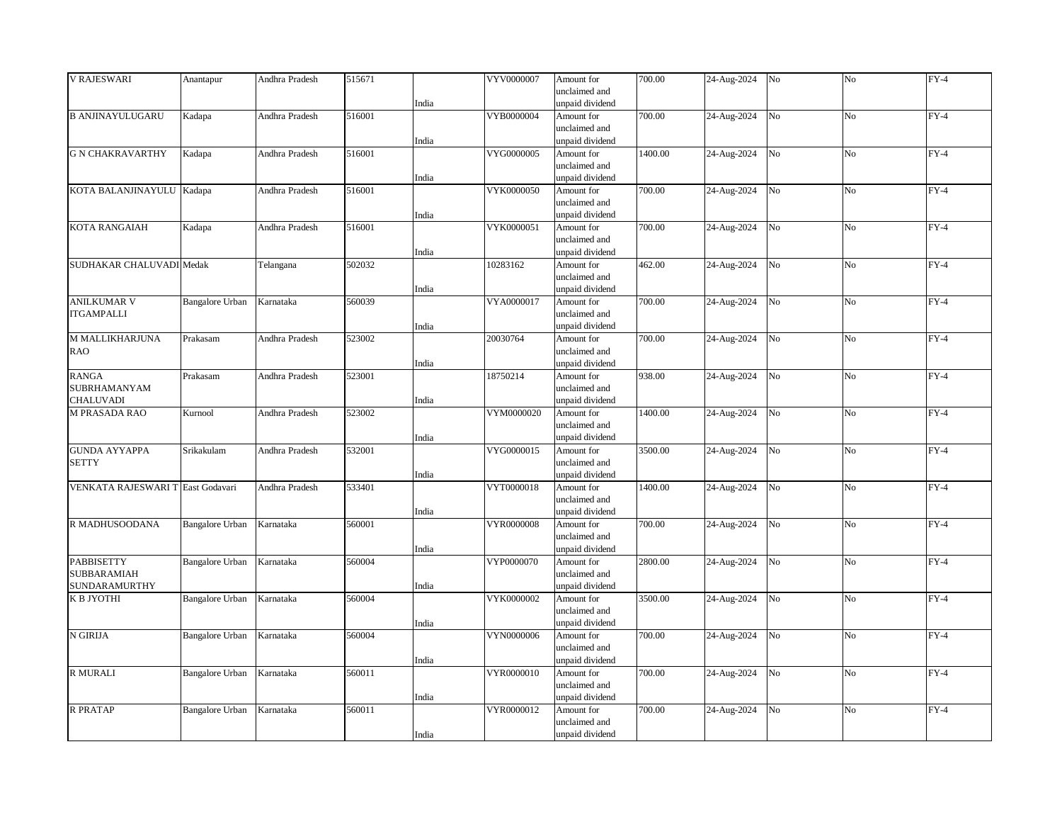| <b>V RAJESWARI</b>                | Anantapur              | Andhra Pradesh | 515671 |       | VYV0000007 | Amount for      | 700.00  | 24-Aug-2024 | No             | No             | $FY-4$ |
|-----------------------------------|------------------------|----------------|--------|-------|------------|-----------------|---------|-------------|----------------|----------------|--------|
|                                   |                        |                |        |       |            | unclaimed and   |         |             |                |                |        |
|                                   |                        |                |        | India |            | unpaid dividend |         |             |                |                |        |
| <b>B ANJINAYULUGARU</b>           | Kadapa                 | Andhra Pradesh | 516001 |       | VYB0000004 | Amount for      | 700.00  | 24-Aug-2024 | N <sub>o</sub> | N <sub>o</sub> | $FY-4$ |
|                                   |                        |                |        |       |            | unclaimed and   |         |             |                |                |        |
|                                   |                        |                |        |       |            |                 |         |             |                |                |        |
|                                   |                        |                |        | India |            | unpaid dividend |         |             |                |                |        |
| <b>G N CHAKRAVARTHY</b>           | Kadapa                 | Andhra Pradesh | 516001 |       | VYG0000005 | Amount for      | 1400.00 | 24-Aug-2024 | No             | No             | $FY-4$ |
|                                   |                        |                |        |       |            | unclaimed and   |         |             |                |                |        |
|                                   |                        |                |        | India |            | unpaid dividend |         |             |                |                |        |
| KOTA BALANJINAYULU Kadapa         |                        | Andhra Pradesh | 516001 |       | VYK0000050 | Amount for      | 700.00  | 24-Aug-2024 | N <sub>o</sub> | N <sub>o</sub> | $FY-4$ |
|                                   |                        |                |        |       |            | unclaimed and   |         |             |                |                |        |
|                                   |                        |                |        | India |            | unpaid dividend |         |             |                |                |        |
| KOTA RANGAIAH                     | Kadapa                 | Andhra Pradesh | 516001 |       | VYK0000051 | Amount for      | 700.00  | 24-Aug-2024 | N <sub>o</sub> | No             | $FY-4$ |
|                                   |                        |                |        |       |            |                 |         |             |                |                |        |
|                                   |                        |                |        |       |            | unclaimed and   |         |             |                |                |        |
|                                   |                        |                |        | India |            | unpaid dividend |         |             |                |                |        |
| SUDHAKAR CHALUVADI Medak          |                        | Telangana      | 502032 |       | 10283162   | Amount for      | 462.00  | 24-Aug-2024 | No             | No             | $FY-4$ |
|                                   |                        |                |        |       |            | unclaimed and   |         |             |                |                |        |
|                                   |                        |                |        | India |            | unpaid dividend |         |             |                |                |        |
| <b>ANILKUMAR V</b>                | <b>Bangalore Urban</b> | Karnataka      | 560039 |       | VYA0000017 | Amount for      | 700.00  | 24-Aug-2024 | No             | No             | $FY-4$ |
| <b>ITGAMPALLI</b>                 |                        |                |        |       |            | unclaimed and   |         |             |                |                |        |
|                                   |                        |                |        | India |            | unpaid dividend |         |             |                |                |        |
| M MALLIKHARJUNA                   | Prakasam               | Andhra Pradesh | 523002 |       | 20030764   | Amount for      | 700.00  | 24-Aug-2024 | N <sub>o</sub> | No             | $FY-4$ |
|                                   |                        |                |        |       |            |                 |         |             |                |                |        |
| RAO                               |                        |                |        |       |            | unclaimed and   |         |             |                |                |        |
|                                   |                        |                |        | India |            | unpaid dividend |         |             |                |                |        |
| <b>RANGA</b>                      | Prakasam               | Andhra Pradesh | 523001 |       | 18750214   | Amount for      | 938.00  | 24-Aug-2024 | N <sub>o</sub> | N <sub>o</sub> | $FY-4$ |
| SUBRHAMANYAM                      |                        |                |        |       |            | unclaimed and   |         |             |                |                |        |
| <b>CHALUVADI</b>                  |                        |                |        | India |            | unpaid dividend |         |             |                |                |        |
| M PRASADA RAO                     | Kurnool                | Andhra Pradesh | 523002 |       | VYM0000020 | Amount for      | 1400.00 | 24-Aug-2024 | No             | No             | $FY-4$ |
|                                   |                        |                |        |       |            | unclaimed and   |         |             |                |                |        |
|                                   |                        |                |        | India |            | unpaid dividend |         |             |                |                |        |
| <b>GUNDA AYYAPPA</b>              | Srikakulam             | Andhra Pradesh | 532001 |       | VYG0000015 | Amount for      | 3500.00 | 24-Aug-2024 | N <sub>o</sub> | N <sub>o</sub> | $FY-4$ |
| <b>SETTY</b>                      |                        |                |        |       |            | unclaimed and   |         |             |                |                |        |
|                                   |                        |                |        | India |            | unpaid dividend |         |             |                |                |        |
|                                   |                        |                |        |       |            |                 |         |             |                |                |        |
| VENKATA RAJESWARI T East Godavari |                        | Andhra Pradesh | 533401 |       | VYT0000018 | Amount for      | 1400.00 | 24-Aug-2024 | N <sub>o</sub> | No             | $FY-4$ |
|                                   |                        |                |        |       |            | unclaimed and   |         |             |                |                |        |
|                                   |                        |                |        | India |            | unpaid dividend |         |             |                |                |        |
| R MADHUSOODANA                    | <b>Bangalore Urban</b> | Karnataka      | 560001 |       | VYR0000008 | Amount for      | 700.00  | 24-Aug-2024 | N <sub>o</sub> | N <sub>o</sub> | $FY-4$ |
|                                   |                        |                |        |       |            | unclaimed and   |         |             |                |                |        |
|                                   |                        |                |        | India |            | unpaid dividend |         |             |                |                |        |
| <b>PABBISETTY</b>                 | <b>Bangalore Urban</b> | Karnataka      | 560004 |       | VYP0000070 | Amount for      | 2800.00 | 24-Aug-2024 | No             | No             | $FY-4$ |
| <b>SUBBARAMIAH</b>                |                        |                |        |       |            | unclaimed and   |         |             |                |                |        |
| SUNDARAMURTHY                     |                        |                |        | India |            | unpaid dividend |         |             |                |                |        |
| K B JYOTHI                        |                        | Karnataka      | 560004 |       | VYK0000002 |                 | 3500.00 | 24-Aug-2024 | No             | N <sub>o</sub> | $FY-4$ |
|                                   | <b>Bangalore Urban</b> |                |        |       |            | Amount for      |         |             |                |                |        |
|                                   |                        |                |        |       |            | unclaimed and   |         |             |                |                |        |
|                                   |                        |                |        | India |            | unpaid dividend |         |             |                |                |        |
| N GIRIJA                          | Bangalore Urban        | Karnataka      | 560004 |       | VYN0000006 | Amount for      | 700.00  | 24-Aug-2024 | No             | No             | $FY-4$ |
|                                   |                        |                |        |       |            | unclaimed and   |         |             |                |                |        |
|                                   |                        |                |        | India |            | unpaid dividend |         |             |                |                |        |
| R MURALI                          | <b>Bangalore Urban</b> | Karnataka      | 560011 |       | VYR0000010 | Amount for      | 700.00  | 24-Aug-2024 | N <sub>o</sub> | N <sub>o</sub> | $FY-4$ |
|                                   |                        |                |        |       |            | unclaimed and   |         |             |                |                |        |
|                                   |                        |                |        | India |            | unpaid dividend |         |             |                |                |        |
| <b>R PRATAP</b>                   | Bangalore Urban        | Karnataka      | 560011 |       | VYR0000012 | Amount for      | 700.00  | 24-Aug-2024 | No             | No             | $FY-4$ |
|                                   |                        |                |        |       |            |                 |         |             |                |                |        |
|                                   |                        |                |        |       |            | unclaimed and   |         |             |                |                |        |
|                                   |                        |                |        | India |            | unpaid dividend |         |             |                |                |        |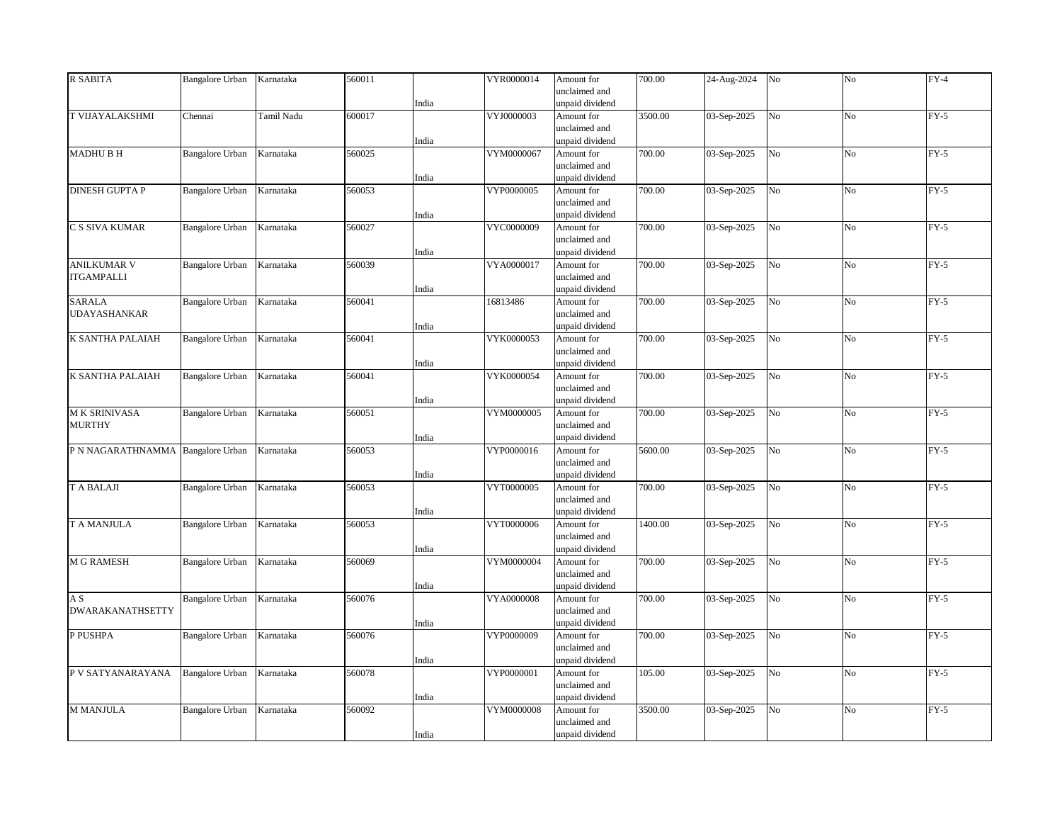| <b>R SABITA</b>                   | <b>Bangalore Urban</b> | Karnataka  | 560011 |       | VYR0000014 | Amount for      | 700.00  | 24-Aug-2024 | No             | No             | $FY-4$ |
|-----------------------------------|------------------------|------------|--------|-------|------------|-----------------|---------|-------------|----------------|----------------|--------|
|                                   |                        |            |        |       |            | unclaimed and   |         |             |                |                |        |
|                                   |                        |            |        | India |            | unpaid dividend |         |             |                |                |        |
| <b>T VIJAYALAKSHMI</b>            | Chennai                | Tamil Nadu | 600017 |       | VYJ0000003 | Amount for      | 3500.00 | 03-Sep-2025 | N <sub>o</sub> | N <sub>o</sub> | $FY-5$ |
|                                   |                        |            |        |       |            | unclaimed and   |         |             |                |                |        |
|                                   |                        |            |        | India |            | unpaid dividend |         |             |                |                |        |
| <b>MADHUBH</b>                    | <b>Bangalore Urban</b> | Karnataka  | 560025 |       | VYM0000067 | Amount for      | 700.00  | 03-Sep-2025 | No             | No             | $FY-5$ |
|                                   |                        |            |        |       |            | unclaimed and   |         |             |                |                |        |
|                                   |                        |            |        | India |            | unpaid dividend |         |             |                |                |        |
| <b>DINESH GUPTA P</b>             | Bangalore Urban        | Karnataka  | 560053 |       | VYP0000005 | Amount for      | 700.00  | 03-Sep-2025 | $_{\rm No}$    | No             | $FY-5$ |
|                                   |                        |            |        |       |            | unclaimed and   |         |             |                |                |        |
|                                   |                        |            |        | India |            | unpaid dividend |         |             |                |                |        |
| C S SIVA KUMAR                    | <b>Bangalore Urban</b> | Karnataka  | 560027 |       | VYC0000009 | Amount for      | 700.00  | 03-Sep-2025 | No             | No             | $FY-5$ |
|                                   |                        |            |        |       |            | unclaimed and   |         |             |                |                |        |
|                                   |                        |            |        | India |            | unpaid dividend |         |             |                |                |        |
| <b>ANILKUMAR V</b>                | Bangalore Urban        | Karnataka  | 560039 |       | VYA0000017 | Amount for      | 700.00  | 03-Sep-2025 | No             | No             | $FY-5$ |
| <b>ITGAMPALLI</b>                 |                        |            |        |       |            | unclaimed and   |         |             |                |                |        |
|                                   |                        |            |        | India |            | unpaid dividend |         |             |                |                |        |
| <b>SARALA</b>                     | <b>Bangalore Urban</b> | Karnataka  | 560041 |       | 16813486   | Amount for      | 700.00  | 03-Sep-2025 | No             | No             | $FY-5$ |
| <b>UDAYASHANKAR</b>               |                        |            |        |       |            | unclaimed and   |         |             |                |                |        |
|                                   |                        |            |        | India |            | unpaid dividend |         |             |                |                |        |
| K SANTHA PALAIAH                  | <b>Bangalore Urban</b> | Karnataka  | 560041 |       | VYK0000053 | Amount for      | 700.00  | 03-Sep-2025 | No             | No             | $FY-5$ |
|                                   |                        |            |        |       |            | unclaimed and   |         |             |                |                |        |
|                                   |                        |            |        | India |            | unpaid dividend |         |             |                |                |        |
| K SANTHA PALAIAH                  | <b>Bangalore Urban</b> | Karnataka  | 560041 |       | VYK0000054 | Amount for      | 700.00  | 03-Sep-2025 | No             | N <sub>o</sub> | $FY-5$ |
|                                   |                        |            |        |       |            | unclaimed and   |         |             |                |                |        |
|                                   |                        |            |        | India |            | unpaid dividend |         |             |                |                |        |
| M K SRINIVASA                     | <b>Bangalore Urban</b> | Karnataka  | 560051 |       | VYM0000005 | Amount for      | 700.00  | 03-Sep-2025 | No             | No             | $FY-5$ |
| <b>MURTHY</b>                     |                        |            |        |       |            | unclaimed and   |         |             |                |                |        |
|                                   |                        |            |        | India |            | unpaid dividend |         |             |                |                |        |
| P N NAGARATHNAMMA Bangalore Urban |                        | Karnataka  | 560053 |       | VYP0000016 | Amount for      | 5600.00 | 03-Sep-2025 | No             | N <sub>o</sub> | $FY-5$ |
|                                   |                        |            |        |       |            | unclaimed and   |         |             |                |                |        |
|                                   |                        |            |        | India |            | unpaid dividend |         |             |                |                |        |
| <b>T A BALAJI</b>                 | <b>Bangalore Urban</b> | Karnataka  | 560053 |       | VYT0000005 | Amount for      | 700.00  | 03-Sep-2025 | $_{\rm No}$    | No             | $FY-5$ |
|                                   |                        |            |        |       |            | unclaimed and   |         |             |                |                |        |
|                                   |                        |            |        | India |            | unpaid dividend |         |             |                |                |        |
| T A MANJULA                       | <b>Bangalore Urban</b> | Karnataka  | 560053 |       | VYT0000006 | Amount for      | 1400.00 | 03-Sep-2025 | No             | No             | $FY-5$ |
|                                   |                        |            |        |       |            | unclaimed and   |         |             |                |                |        |
|                                   |                        |            |        | India |            | unpaid dividend |         |             |                |                |        |
| <b>M G RAMESH</b>                 | Bangalore Urban        | Karnataka  | 560069 |       | VYM0000004 | Amount for      | 700.00  | 03-Sep-2025 | No             | N <sub>o</sub> | $FY-5$ |
|                                   |                        |            |        |       |            | unclaimed and   |         |             |                |                |        |
|                                   |                        |            |        | India |            | unpaid dividend |         |             |                |                |        |
| A S                               | <b>Bangalore Urban</b> | Karnataka  | 560076 |       | VYA0000008 | Amount for      | 700.00  | 03-Sep-2025 | No             | No             | $FY-5$ |
| <b>DWARAKANATHSETTY</b>           |                        |            |        |       |            | unclaimed and   |         |             |                |                |        |
|                                   |                        |            |        | India |            | unpaid dividend |         |             |                |                |        |
| P PUSHPA                          | <b>Bangalore Urban</b> | Karnataka  | 560076 |       | VYP0000009 | Amount for      | 700.00  | 03-Sep-2025 | No             | N <sub>o</sub> | $FY-5$ |
|                                   |                        |            |        |       |            | unclaimed and   |         |             |                |                |        |
|                                   |                        |            |        | India |            | unpaid dividend |         |             |                |                |        |
| P V SATYANARAYANA                 | <b>Bangalore Urban</b> | Karnataka  | 560078 |       | VYP0000001 | Amount for      | 105.00  | 03-Sep-2025 | No             | No             | $FY-5$ |
|                                   |                        |            |        |       |            | unclaimed and   |         |             |                |                |        |
|                                   |                        |            |        | India |            | unpaid dividend |         |             |                |                |        |
| <b>M MANJULA</b>                  | <b>Bangalore Urban</b> | Karnataka  | 560092 |       | VYM0000008 | Amount for      | 3500.00 | 03-Sep-2025 | No             | No             | $FY-5$ |
|                                   |                        |            |        |       |            | unclaimed and   |         |             |                |                |        |
|                                   |                        |            |        | India |            | unpaid dividend |         |             |                |                |        |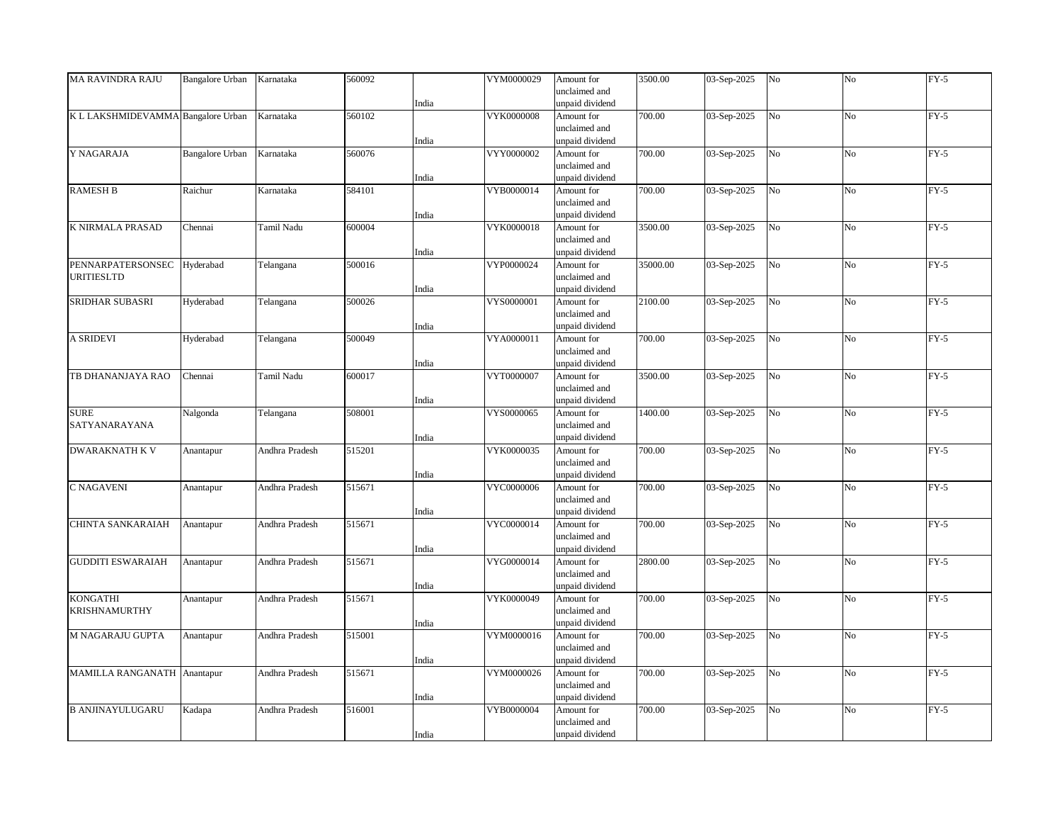| <b>MA RAVINDRA RAJU</b>            | <b>Bangalore Urban</b> | Karnataka      | 560092 |       | VYM0000029        | Amount for      | 3500.00  | 03-Sep-2025 | No              | No             | $FY-5$ |
|------------------------------------|------------------------|----------------|--------|-------|-------------------|-----------------|----------|-------------|-----------------|----------------|--------|
|                                    |                        |                |        |       |                   | unclaimed and   |          |             |                 |                |        |
|                                    |                        |                |        | India |                   | unpaid dividend |          |             |                 |                |        |
| K L LAKSHMIDEVAMMA Bangalore Urban |                        | Karnataka      | 560102 |       | <b>VYK0000008</b> | Amount for      | 700.00   | 03-Sep-2025 | No              | N <sub>o</sub> | $FY-5$ |
|                                    |                        |                |        |       |                   | unclaimed and   |          |             |                 |                |        |
|                                    |                        |                |        |       |                   |                 |          |             |                 |                |        |
|                                    |                        |                |        | India |                   | unpaid dividend |          |             |                 |                |        |
| Y NAGARAJA                         | <b>Bangalore Urban</b> | Karnataka      | 560076 |       | VYY0000002        | Amount for      | 700.00   | 03-Sep-2025 | No              | No             | $FY-5$ |
|                                    |                        |                |        |       |                   | unclaimed and   |          |             |                 |                |        |
|                                    |                        |                |        | India |                   | unpaid dividend |          |             |                 |                |        |
| <b>RAMESH B</b>                    | Raichur                | Karnataka      | 584101 |       | VYB0000014        | Amount for      | 700.00   | 03-Sep-2025 | N <sub>o</sub>  | N <sub>o</sub> | $FY-5$ |
|                                    |                        |                |        |       |                   | unclaimed and   |          |             |                 |                |        |
|                                    |                        |                |        | India |                   | unpaid dividend |          |             |                 |                |        |
| K NIRMALA PRASAD                   | Chennai                | Tamil Nadu     | 600004 |       | VYK0000018        | Amount for      | 3500.00  | 03-Sep-2025 | No              | No             | $FY-5$ |
|                                    |                        |                |        |       |                   | unclaimed and   |          |             |                 |                |        |
|                                    |                        |                |        |       |                   |                 |          |             |                 |                |        |
|                                    |                        |                |        | India |                   | unpaid dividend |          |             |                 |                |        |
| PENNARPATERSONSEC                  | Hyderabad              | Telangana      | 500016 |       | VYP0000024        | Amount for      | 35000.00 | 03-Sep-2025 | $\overline{No}$ | No             | $FY-5$ |
| <b>URITIESLTD</b>                  |                        |                |        |       |                   | unclaimed and   |          |             |                 |                |        |
|                                    |                        |                |        | India |                   | unpaid dividend |          |             |                 |                |        |
| SRIDHAR SUBASRI                    | Hyderabad              | Telangana      | 500026 |       | VYS0000001        | Amount for      | 2100.00  | 03-Sep-2025 | No              | No             | $FY-5$ |
|                                    |                        |                |        |       |                   | unclaimed and   |          |             |                 |                |        |
|                                    |                        |                |        | India |                   | unpaid dividend |          |             |                 |                |        |
| <b>A SRIDEVI</b>                   | Hyderabad              | Telangana      | 500049 |       | VYA0000011        | Amount for      | 700.00   | 03-Sep-2025 | No              | No             | $FY-5$ |
|                                    |                        |                |        |       |                   | unclaimed and   |          |             |                 |                |        |
|                                    |                        |                |        |       |                   |                 |          |             |                 |                |        |
|                                    |                        |                |        | India |                   | unpaid dividend |          |             |                 |                |        |
| TB DHANANJAYA RAO                  | Chennai                | Tamil Nadu     | 600017 |       | VYT0000007        | Amount for      | 3500.00  | 03-Sep-2025 | N <sub>o</sub>  | N <sub>o</sub> | $FY-5$ |
|                                    |                        |                |        |       |                   | unclaimed and   |          |             |                 |                |        |
|                                    |                        |                |        | India |                   | unpaid dividend |          |             |                 |                |        |
| <b>SURE</b>                        | Nalgonda               | Telangana      | 508001 |       | VYS0000065        | Amount for      | 1400.00  | 03-Sep-2025 | No              | No             | $FY-5$ |
| SATYANARAYANA                      |                        |                |        |       |                   | unclaimed and   |          |             |                 |                |        |
|                                    |                        |                |        | India |                   | unpaid dividend |          |             |                 |                |        |
| DWARAKNATH K V                     | Anantapur              | Andhra Pradesh | 515201 |       | VYK0000035        | Amount for      | 700.00   | 03-Sep-2025 | N <sub>o</sub>  | N <sub>o</sub> | $FY-5$ |
|                                    |                        |                |        |       |                   | unclaimed and   |          |             |                 |                |        |
|                                    |                        |                |        | India |                   | unpaid dividend |          |             |                 |                |        |
|                                    |                        |                |        |       |                   |                 |          |             |                 |                |        |
| C NAGAVENI                         | Anantapur              | Andhra Pradesh | 515671 |       | VYC0000006        | Amount for      | 700.00   | 03-Sep-2025 | N <sub>o</sub>  | No             | $FY-5$ |
|                                    |                        |                |        |       |                   | unclaimed and   |          |             |                 |                |        |
|                                    |                        |                |        | India |                   | unpaid dividend |          |             |                 |                |        |
| CHINTA SANKARAIAH                  | Anantapur              | Andhra Pradesh | 515671 |       | VYC0000014        | Amount for      | 700.00   | 03-Sep-2025 | N <sub>o</sub>  | N <sub>o</sub> | $FY-5$ |
|                                    |                        |                |        |       |                   | unclaimed and   |          |             |                 |                |        |
|                                    |                        |                |        | India |                   | unpaid dividend |          |             |                 |                |        |
| <b>GUDDITI ESWARAIAH</b>           | Anantapur              | Andhra Pradesh | 515671 |       | VYG0000014        | Amount for      | 2800.00  | 03-Sep-2025 | No              | No             | $FY-5$ |
|                                    |                        |                |        |       |                   | unclaimed and   |          |             |                 |                |        |
|                                    |                        |                |        | India |                   | unpaid dividend |          |             |                 |                |        |
|                                    |                        |                |        |       |                   |                 |          |             |                 |                |        |
| <b>KONGATHI</b>                    | Anantapur              | Andhra Pradesh | 515671 |       | VYK0000049        | Amount for      | 700.00   | 03-Sep-2025 | No              | N <sub>o</sub> | $FY-5$ |
| <b>KRISHNAMURTHY</b>               |                        |                |        |       |                   | unclaimed and   |          |             |                 |                |        |
|                                    |                        |                |        | India |                   | unpaid dividend |          |             |                 |                |        |
| M NAGARAJU GUPTA                   | Anantapur              | Andhra Pradesh | 515001 |       | VYM0000016        | Amount for      | 700.00   | 03-Sep-2025 | No              | No             | $FY-5$ |
|                                    |                        |                |        |       |                   | unclaimed and   |          |             |                 |                |        |
|                                    |                        |                |        | India |                   | unpaid dividend |          |             |                 |                |        |
| MAMILLA RANGANATH Anantapur        |                        | Andhra Pradesh | 515671 |       | VYM0000026        | Amount for      | 700.00   | 03-Sep-2025 | N <sub>o</sub>  | No             | $FY-5$ |
|                                    |                        |                |        |       |                   | unclaimed and   |          |             |                 |                |        |
|                                    |                        |                |        | India |                   | unpaid dividend |          |             |                 |                |        |
|                                    |                        |                |        |       |                   |                 |          |             |                 |                |        |
| <b>B ANJINAYULUGARU</b>            | Kadapa                 | Andhra Pradesh | 516001 |       | VYB0000004        | Amount for      | 700.00   | 03-Sep-2025 | No              | No             | $FY-5$ |
|                                    |                        |                |        |       |                   | unclaimed and   |          |             |                 |                |        |
|                                    |                        |                |        | India |                   | unpaid dividend |          |             |                 |                |        |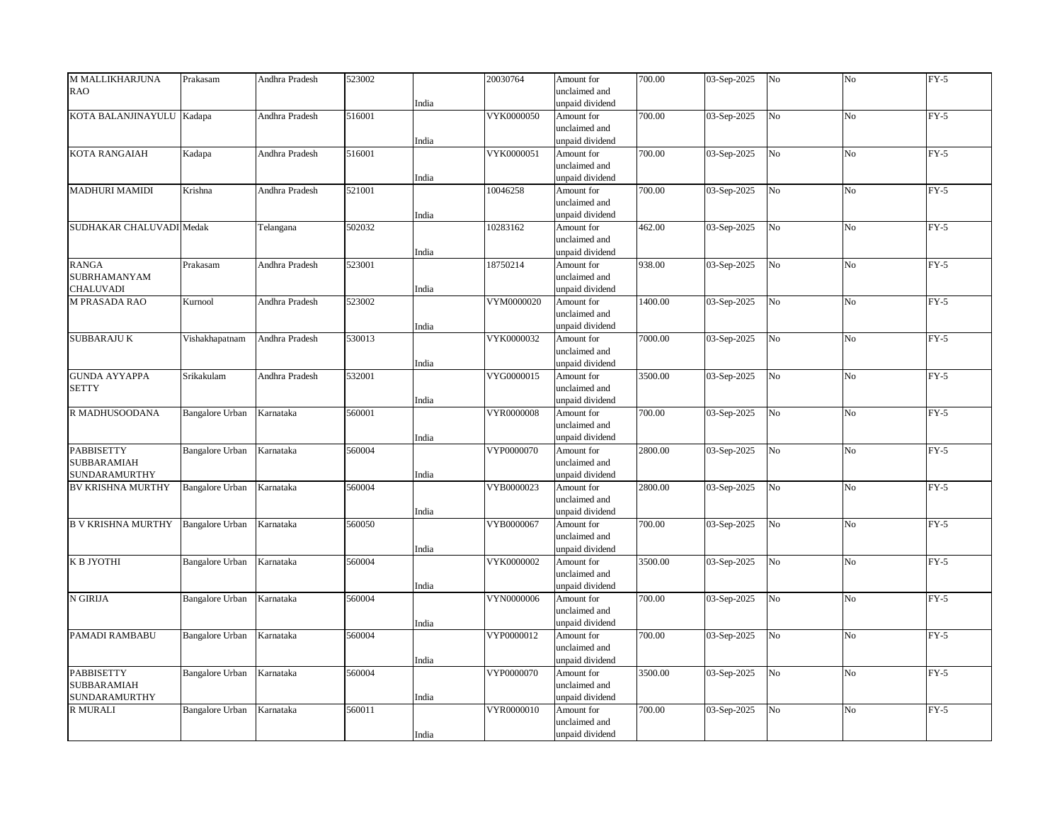| M MALLIKHARJUNA           | Prakasam               | Andhra Pradesh | 523002 |       | 20030764   | Amount for      | 700.00  | 03-Sep-2025 | No              | No             | $FY-5$ |
|---------------------------|------------------------|----------------|--------|-------|------------|-----------------|---------|-------------|-----------------|----------------|--------|
| <b>RAO</b>                |                        |                |        |       |            | unclaimed and   |         |             |                 |                |        |
|                           |                        |                |        | India |            | unpaid dividend |         |             |                 |                |        |
| KOTA BALANJINAYULU Kadapa |                        | Andhra Pradesh | 516001 |       | VYK0000050 | Amount for      | 700.00  | 03-Sep-2025 | No              | N <sub>o</sub> | $FY-5$ |
|                           |                        |                |        |       |            | unclaimed and   |         |             |                 |                |        |
|                           |                        |                |        |       |            |                 |         |             |                 |                |        |
|                           |                        |                |        | India |            | unpaid dividend |         |             |                 |                |        |
| KOTA RANGAIAH             | Kadapa                 | Andhra Pradesh | 516001 |       | VYK0000051 | Amount for      | 700.00  | 03-Sep-2025 | No              | No             | $FY-5$ |
|                           |                        |                |        |       |            | unclaimed and   |         |             |                 |                |        |
|                           |                        |                |        | India |            | unpaid dividend |         |             |                 |                |        |
| <b>MADHURI MAMIDI</b>     | Krishna                | Andhra Pradesh | 521001 |       | 10046258   | Amount for      | 700.00  | 03-Sep-2025 | N <sub>o</sub>  | N <sub>o</sub> | $FY-5$ |
|                           |                        |                |        |       |            | unclaimed and   |         |             |                 |                |        |
|                           |                        |                |        | India |            | unpaid dividend |         |             |                 |                |        |
| SUDHAKAR CHALUVADI Medak  |                        | Telangana      | 502032 |       | 10283162   | Amount for      | 462.00  | 03-Sep-2025 | N <sub>o</sub>  | No             | $FY-5$ |
|                           |                        |                |        |       |            | unclaimed and   |         |             |                 |                |        |
|                           |                        |                |        | India |            | unpaid dividend |         |             |                 |                |        |
| <b>RANGA</b>              | Prakasam               | Andhra Pradesh | 523001 |       | 18750214   | Amount for      | 938.00  | 03-Sep-2025 | $\overline{No}$ | No             | $FY-5$ |
| <b>SUBRHAMANYAM</b>       |                        |                |        |       |            | unclaimed and   |         |             |                 |                |        |
| <b>CHALUVADI</b>          |                        |                |        | India |            | unpaid dividend |         |             |                 |                |        |
| <b>M PRASADA RAO</b>      | Kurnool                | Andhra Pradesh | 523002 |       | VYM0000020 | Amount for      | 1400.00 | 03-Sep-2025 | No              | No             | $FY-5$ |
|                           |                        |                |        |       |            | unclaimed and   |         |             |                 |                |        |
|                           |                        |                |        | India |            | unpaid dividend |         |             |                 |                |        |
| <b>SUBBARAJU K</b>        | Vishakhapatnam         | Andhra Pradesh | 530013 |       | VYK0000032 | Amount for      | 7000.00 | 03-Sep-2025 | No              | No             | $FY-5$ |
|                           |                        |                |        |       |            | unclaimed and   |         |             |                 |                |        |
|                           |                        |                |        |       |            |                 |         |             |                 |                |        |
|                           |                        |                |        | India |            | unpaid dividend |         |             |                 |                |        |
| <b>GUNDA AYYAPPA</b>      | Srikakulam             | Andhra Pradesh | 532001 |       | VYG0000015 | Amount for      | 3500.00 | 03-Sep-2025 | N <sub>o</sub>  | N <sub>o</sub> | $FY-5$ |
| <b>SETTY</b>              |                        |                |        |       |            | unclaimed and   |         |             |                 |                |        |
|                           |                        |                |        | India |            | unpaid dividend |         |             |                 |                |        |
| R MADHUSOODANA            | <b>Bangalore Urban</b> | Karnataka      | 560001 |       | VYR0000008 | Amount for      | 700.00  | 03-Sep-2025 | No              | No             | $FY-5$ |
|                           |                        |                |        |       |            | unclaimed and   |         |             |                 |                |        |
|                           |                        |                |        | India |            | unpaid dividend |         |             |                 |                |        |
| PABBISETTY                | <b>Bangalore Urban</b> | Karnataka      | 560004 |       | VYP0000070 | Amount for      | 2800.00 | 03-Sep-2025 | N <sub>o</sub>  | N <sub>o</sub> | $FY-5$ |
| SUBBARAMIAH               |                        |                |        |       |            | unclaimed and   |         |             |                 |                |        |
| <b>SUNDARAMURTHY</b>      |                        |                |        | India |            | unpaid dividend |         |             |                 |                |        |
| <b>BV KRISHNA MURTHY</b>  | <b>Bangalore Urban</b> | Karnataka      | 560004 |       | VYB0000023 | Amount for      | 2800.00 | 03-Sep-2025 | N <sub>o</sub>  | No             | $FY-5$ |
|                           |                        |                |        |       |            | unclaimed and   |         |             |                 |                |        |
|                           |                        |                |        | India |            | unpaid dividend |         |             |                 |                |        |
| <b>B V KRISHNA MURTHY</b> | Bangalore Urban        | Karnataka      | 560050 |       | VYB0000067 | Amount for      | 700.00  | 03-Sep-2025 | No              | N <sub>o</sub> | $FY-5$ |
|                           |                        |                |        |       |            | unclaimed and   |         |             |                 |                |        |
|                           |                        |                |        | India |            | unpaid dividend |         |             |                 |                |        |
| К В ЈҮОТНІ                | <b>Bangalore Urban</b> | Karnataka      | 560004 |       | VYK0000002 | Amount for      | 3500.00 | 03-Sep-2025 | No              | No             | $FY-5$ |
|                           |                        |                |        |       |            | unclaimed and   |         |             |                 |                |        |
|                           |                        |                |        | India |            | unpaid dividend |         |             |                 |                |        |
| N GIRIJA                  | <b>Bangalore Urban</b> | Karnataka      | 560004 |       | VYN0000006 | Amount for      | 700.00  | 03-Sep-2025 | No              | N <sub>o</sub> | $FY-5$ |
|                           |                        |                |        |       |            | unclaimed and   |         |             |                 |                |        |
|                           |                        |                |        |       |            |                 |         |             |                 |                |        |
|                           |                        |                |        | India |            | unpaid dividend |         |             |                 |                |        |
| PAMADI RAMBABU            | Bangalore Urban        | Karnataka      | 560004 |       | VYP0000012 | Amount for      | 700.00  | 03-Sep-2025 | No              | No             | $FY-5$ |
|                           |                        |                |        |       |            | unclaimed and   |         |             |                 |                |        |
|                           |                        |                |        | India |            | unpaid dividend |         |             |                 |                |        |
| <b>PABBISETTY</b>         | <b>Bangalore Urban</b> | Karnataka      | 560004 |       | VYP0000070 | Amount for      | 3500.00 | 03-Sep-2025 | No              | N <sub>o</sub> | $FY-5$ |
| SUBBARAMIAH               |                        |                |        |       |            | unclaimed and   |         |             |                 |                |        |
| SUNDARAMURTHY             |                        |                |        | India |            | unpaid dividend |         |             |                 |                |        |
| <b>R MURALI</b>           | <b>Bangalore Urban</b> | Karnataka      | 560011 |       | VYR0000010 | Amount for      | 700.00  | 03-Sep-2025 | No              | No             | $FY-5$ |
|                           |                        |                |        |       |            | unclaimed and   |         |             |                 |                |        |
|                           |                        |                |        | India |            | unpaid dividend |         |             |                 |                |        |
|                           |                        |                |        |       |            |                 |         |             |                 |                |        |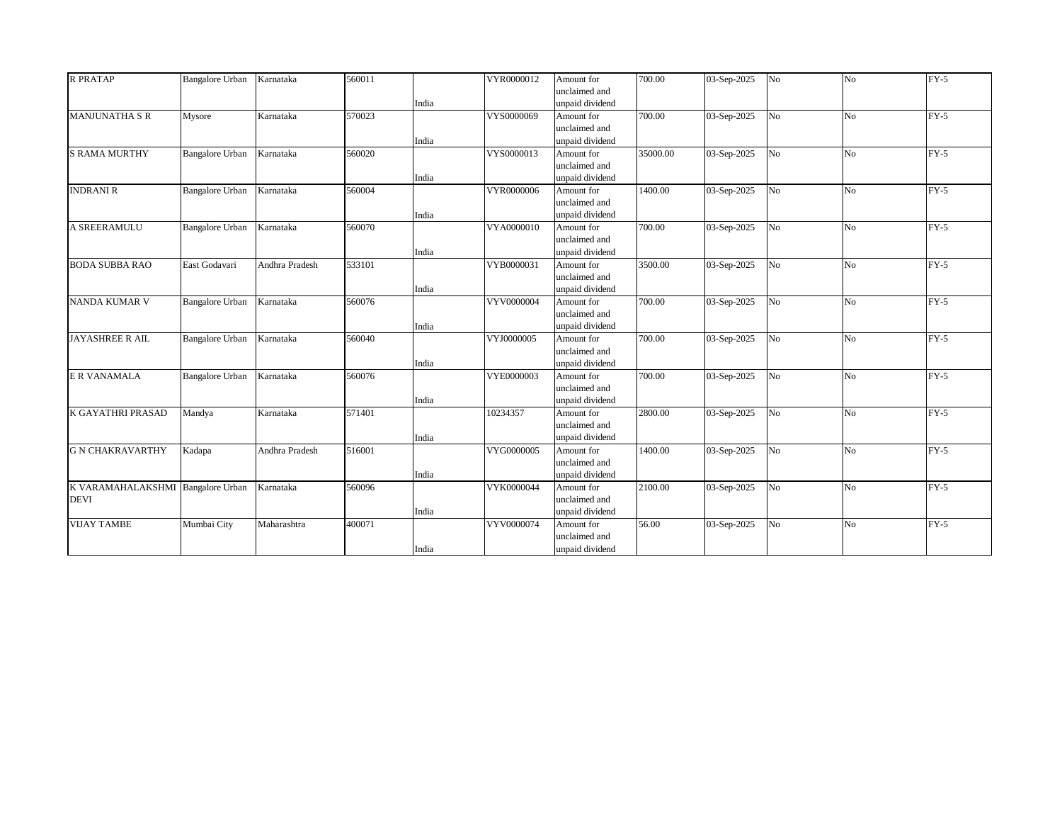| <b>R PRATAP</b>                   | <b>Bangalore Urban</b> | Karnataka      | 560011 |       | VYR0000012 | Amount for      | 700.00   | 03-Sep-2025 | No             | N <sub>o</sub> | $FY-5$ |
|-----------------------------------|------------------------|----------------|--------|-------|------------|-----------------|----------|-------------|----------------|----------------|--------|
|                                   |                        |                |        |       |            | unclaimed and   |          |             |                |                |        |
|                                   |                        |                |        | India |            | unpaid dividend |          |             |                |                |        |
| <b>MANJUNATHA S R</b>             | Mysore                 | Karnataka      | 570023 |       | VYS0000069 | Amount for      | 700.00   | 03-Sep-2025 | N <sub>o</sub> | N <sub>0</sub> | $FY-5$ |
|                                   |                        |                |        |       |            | unclaimed and   |          |             |                |                |        |
|                                   |                        |                |        | India |            | unpaid dividend |          |             |                |                |        |
| <b>S RAMA MURTHY</b>              | <b>Bangalore Urban</b> | Karnataka      | 560020 |       | VYS0000013 | Amount for      | 35000.00 | 03-Sep-2025 | No             | N <sub>o</sub> | $FY-5$ |
|                                   |                        |                |        |       |            | unclaimed and   |          |             |                |                |        |
|                                   |                        |                |        | India |            | unpaid dividend |          |             |                |                |        |
| <b>INDRANI R</b>                  | <b>Bangalore Urban</b> | Karnataka      | 560004 |       | VYR0000006 | Amount for      | 1400.00  | 03-Sep-2025 | N <sub>o</sub> | N <sub>o</sub> | $FY-5$ |
|                                   |                        |                |        |       |            | unclaimed and   |          |             |                |                |        |
|                                   |                        |                |        | India |            | unpaid dividend |          |             |                |                |        |
| A SREERAMULU                      | <b>Bangalore Urban</b> | Karnataka      | 560070 |       | VYA0000010 | Amount for      | 700.00   | 03-Sep-2025 | N <sub>o</sub> | N <sub>o</sub> | $FY-5$ |
|                                   |                        |                |        |       |            | unclaimed and   |          |             |                |                |        |
|                                   |                        |                |        | India |            | unpaid dividend |          |             |                |                |        |
| <b>BODA SUBBA RAO</b>             | East Godavari          | Andhra Pradesh | 533101 |       | VYB0000031 | Amount for      | 3500.00  | 03-Sep-2025 | N <sub>o</sub> | No             | $FY-5$ |
|                                   |                        |                |        |       |            | unclaimed and   |          |             |                |                |        |
|                                   |                        |                |        | India |            | unpaid dividend |          |             |                |                |        |
| <b>NANDA KUMAR V</b>              | <b>Bangalore Urban</b> | Karnataka      | 560076 |       | VYV0000004 | Amount for      | 700.00   | 03-Sep-2025 | N <sub>o</sub> | N <sub>o</sub> | $FY-5$ |
|                                   |                        |                |        |       |            | unclaimed and   |          |             |                |                |        |
|                                   |                        |                |        | India |            | unpaid dividend |          |             |                |                |        |
| <b>JAYASHREE R AIL</b>            | <b>Bangalore Urban</b> | Karnataka      | 560040 |       | VYJ0000005 | Amount for      | 700.00   | 03-Sep-2025 | No             | N <sub>0</sub> | $FY-5$ |
|                                   |                        |                |        |       |            | unclaimed and   |          |             |                |                |        |
|                                   |                        |                |        | India |            | unpaid dividend |          |             |                |                |        |
| E R VANAMALA                      | <b>Bangalore Urban</b> | Karnataka      | 560076 |       | VYE0000003 | Amount for      | 700.00   | 03-Sep-2025 | N <sub>o</sub> | N <sub>o</sub> | $FY-5$ |
|                                   |                        |                |        |       |            | unclaimed and   |          |             |                |                |        |
|                                   |                        |                |        | India |            | unpaid dividend |          |             |                |                |        |
| K GAYATHRI PRASAD                 | Mandya                 | Karnataka      | 571401 |       | 10234357   | Amount for      | 2800.00  | 03-Sep-2025 | N <sub>o</sub> | N <sub>o</sub> | $FY-5$ |
|                                   |                        |                |        |       |            | unclaimed and   |          |             |                |                |        |
|                                   |                        |                |        | India |            | unpaid dividend |          |             |                |                |        |
| <b>G N CHAKRAVARTHY</b>           | Kadapa                 | Andhra Pradesh | 516001 |       | VYG0000005 | Amount for      | 1400.00  | 03-Sep-2025 | N <sub>o</sub> | N <sub>0</sub> | $FY-5$ |
|                                   |                        |                |        |       |            | unclaimed and   |          |             |                |                |        |
|                                   |                        |                |        | India |            | unpaid dividend |          |             |                |                |        |
| K VARAMAHALAKSHMI Bangalore Urban |                        | Karnataka      | 560096 |       | VYK0000044 | Amount for      | 2100.00  | 03-Sep-2025 | No             | N <sub>o</sub> | $FY-5$ |
| <b>DEVI</b>                       |                        |                |        |       |            | unclaimed and   |          |             |                |                |        |
|                                   |                        |                |        | India |            | unpaid dividend |          |             |                |                |        |
| <b>VIJAY TAMBE</b>                | Mumbai City            | Maharashtra    | 400071 |       | VYV0000074 | Amount for      | 56.00    | 03-Sep-2025 | N <sub>o</sub> | N <sub>o</sub> | $FY-5$ |
|                                   |                        |                |        |       |            | unclaimed and   |          |             |                |                |        |
|                                   |                        |                |        | India |            | unpaid dividend |          |             |                |                |        |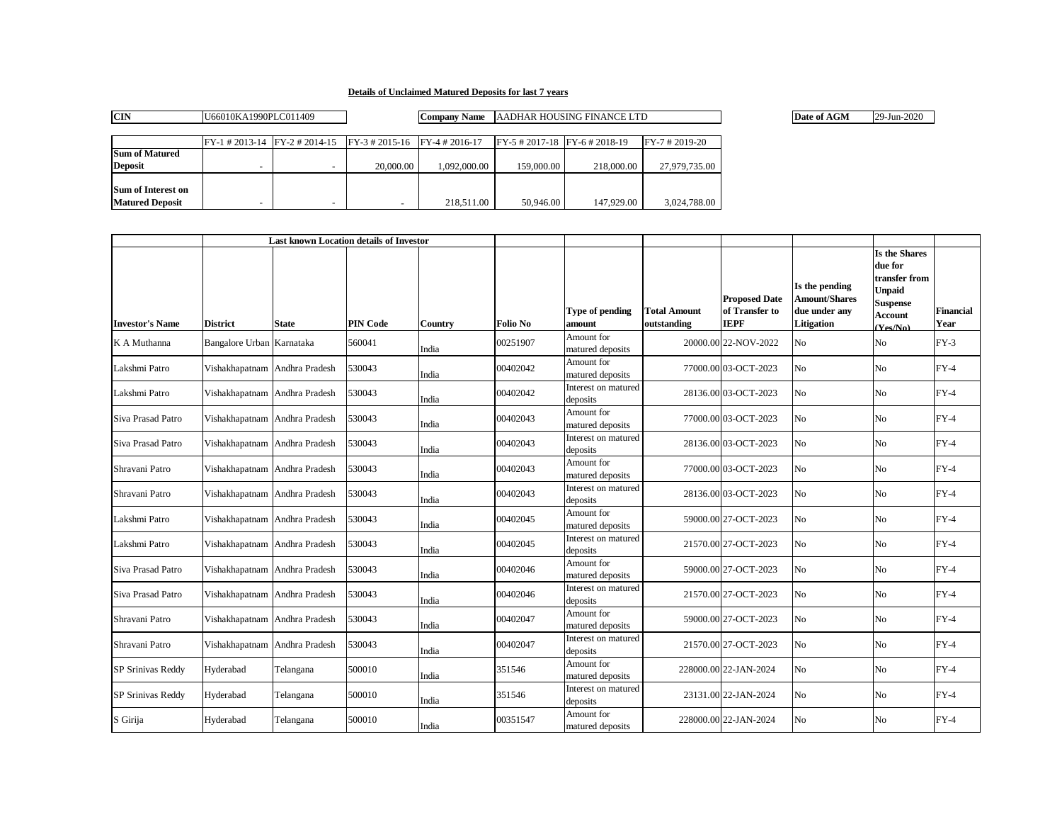## **Details of Unclaimed Matured Deposits for last 7 years**

| <b>CIN</b>             | U66010KA1990PLC011409    |                                                                                                            |           | <b>Company Name</b> | AADHAR HOUSING FINANCE LTD        |            | Date of AGM      | 29-Jun-2020 |  |
|------------------------|--------------------------|------------------------------------------------------------------------------------------------------------|-----------|---------------------|-----------------------------------|------------|------------------|-------------|--|
|                        |                          |                                                                                                            |           |                     |                                   |            |                  |             |  |
|                        |                          | $\text{[FY-1 # 2013-14 ]}$ $\text{[FY-2 # 2014-15 ]}$ $\text{[FY-3 # 2015-16 ]}$ $\text{[FY-4 # 2016-17]}$ |           |                     | $FY-5$ # 2017-18 $FY-6$ # 2018-19 |            | $FY-7 # 2019-20$ |             |  |
| <b>Sum of Matured</b>  |                          |                                                                                                            |           |                     |                                   |            |                  |             |  |
| <b>Deposit</b>         | $\overline{\phantom{0}}$ |                                                                                                            | 20,000,00 | 1.092.000.00        | 159,000.00                        | 218,000.00 | 27,979,735.00    |             |  |
|                        |                          |                                                                                                            |           |                     |                                   |            |                  |             |  |
| Sum of Interest on     |                          |                                                                                                            |           |                     |                                   |            |                  |             |  |
| <b>Matured Deposit</b> | $\overline{\phantom{0}}$ |                                                                                                            |           | 218,511.00          | 50,946.00                         | 147,929.00 | 3,024,788.00     |             |  |

|                        | <b>Last known Location details of Investor</b> |              |                 |         |                 |                                 |                                    |                                                       |                                                                              |                                                                                                                    |                   |
|------------------------|------------------------------------------------|--------------|-----------------|---------|-----------------|---------------------------------|------------------------------------|-------------------------------------------------------|------------------------------------------------------------------------------|--------------------------------------------------------------------------------------------------------------------|-------------------|
| <b>Investor's Name</b> | <b>District</b>                                | <b>State</b> | <b>PIN Code</b> | Country | <b>Folio No</b> | Type of pending<br>amount       | <b>Total Amount</b><br>outstanding | <b>Proposed Date</b><br>of Transfer to<br><b>IEPF</b> | Is the pending<br><b>Amount/Shares</b><br>due under any<br><b>Litigation</b> | <b>Is the Shares</b><br>due for<br>transfer from<br><b>Unpaid</b><br><b>Suspense</b><br><b>Account</b><br>(Yes/No) | Financial<br>Year |
| K A Muthanna           | Bangalore Urban Karnataka                      |              | 560041          | India   | 00251907        | Amount for<br>matured deposits  |                                    | 20000.00 22-NOV-2022                                  | N <sub>o</sub>                                                               | No                                                                                                                 | $FY-3$            |
| Lakshmi Patro          | Vishakhapatnam Andhra Pradesh                  |              | 530043          | India   | 00402042        | Amount for<br>matured deposits  |                                    | 77000.00 03-OCT-2023                                  | N <sub>o</sub>                                                               | N <sub>o</sub>                                                                                                     | $FY-4$            |
| Lakshmi Patro          | Vishakhapatnam Andhra Pradesh                  |              | 530043          | India   | 00402042        | Interest on matured<br>deposits |                                    | 28136.00 03-OCT-2023                                  | N <sub>o</sub>                                                               | N <sub>o</sub>                                                                                                     | $FY-4$            |
| Siva Prasad Patro      | Vishakhapatnam Andhra Pradesh                  |              | 530043          | India   | 00402043        | Amount for<br>matured deposits  |                                    | 77000.00 03-OCT-2023                                  | No                                                                           | No                                                                                                                 | $FY-4$            |
| Siva Prasad Patro      | Vishakhapatnam Andhra Pradesh                  |              | 530043          | India   | 00402043        | Interest on matured<br>deposits |                                    | 28136.00 03-OCT-2023                                  | No                                                                           | No                                                                                                                 | $FY-4$            |
| Shravani Patro         | Vishakhapatnam Andhra Pradesh                  |              | 530043          | India   | 00402043        | Amount for<br>matured deposits  |                                    | 77000.00 03-OCT-2023                                  | No                                                                           | No                                                                                                                 | $FY-4$            |
| Shravani Patro         | Vishakhapatnam Andhra Pradesh                  |              | 530043          | India   | 00402043        | Interest on matured<br>deposits |                                    | 28136.00 03-OCT-2023                                  | N <sub>o</sub>                                                               | N <sub>o</sub>                                                                                                     | $FY-4$            |
| Lakshmi Patro          | Vishakhapatnam Andhra Pradesh                  |              | 530043          | India   | 00402045        | Amount for<br>matured deposits  |                                    | 59000.00 27-OCT-2023                                  | No                                                                           | No                                                                                                                 | $FY-4$            |
| Lakshmi Patro          | Vishakhapatnam Andhra Pradesh                  |              | 530043          | India   | 00402045        | Interest on matured<br>deposits |                                    | 21570.00 27-OCT-2023                                  | N <sub>o</sub>                                                               | N <sub>o</sub>                                                                                                     | $FY-4$            |
| Siva Prasad Patro      | Vishakhapatnam Andhra Pradesh                  |              | 530043          | India   | 00402046        | Amount for<br>matured deposits  |                                    | 59000.00 27-OCT-2023                                  | N <sub>o</sub>                                                               | N <sub>o</sub>                                                                                                     | $FY-4$            |
| Siva Prasad Patro      | Vishakhapatnam Andhra Pradesh                  |              | 530043          | India   | 00402046        | Interest on matured<br>deposits |                                    | 21570.00 27-OCT-2023                                  | N <sub>o</sub>                                                               | N <sub>o</sub>                                                                                                     | $FY-4$            |
| Shravani Patro         | Vishakhapatnam Andhra Pradesh                  |              | 530043          | India   | 00402047        | Amount for<br>matured deposits  |                                    | 59000.00 27-OCT-2023                                  | No                                                                           | No                                                                                                                 | $FY-4$            |
| Shravani Patro         | Vishakhapatnam Andhra Pradesh                  |              | 530043          | India   | 00402047        | Interest on matured<br>deposits |                                    | 21570.00 27-OCT-2023                                  | No                                                                           | N <sub>o</sub>                                                                                                     | $FY-4$            |
| SP Srinivas Reddy      | Hyderabad                                      | Telangana    | 500010          | India   | 351546          | Amount for<br>matured deposits  |                                    | 228000.00 22-JAN-2024                                 | N <sub>o</sub>                                                               | N <sub>o</sub>                                                                                                     | $FY-4$            |
| SP Srinivas Reddy      | Hyderabad                                      | Telangana    | 500010          | India   | 351546          | Interest on matured<br>deposits |                                    | 23131.00 22-JAN-2024                                  | No.                                                                          | N <sub>o</sub>                                                                                                     | $FY-4$            |
| S Girija               | Hyderabad                                      | Telangana    | 500010          | India   | 00351547        | Amount for<br>matured deposits  |                                    | 228000.00 22-JAN-2024                                 | No                                                                           | No                                                                                                                 | $FY-4$            |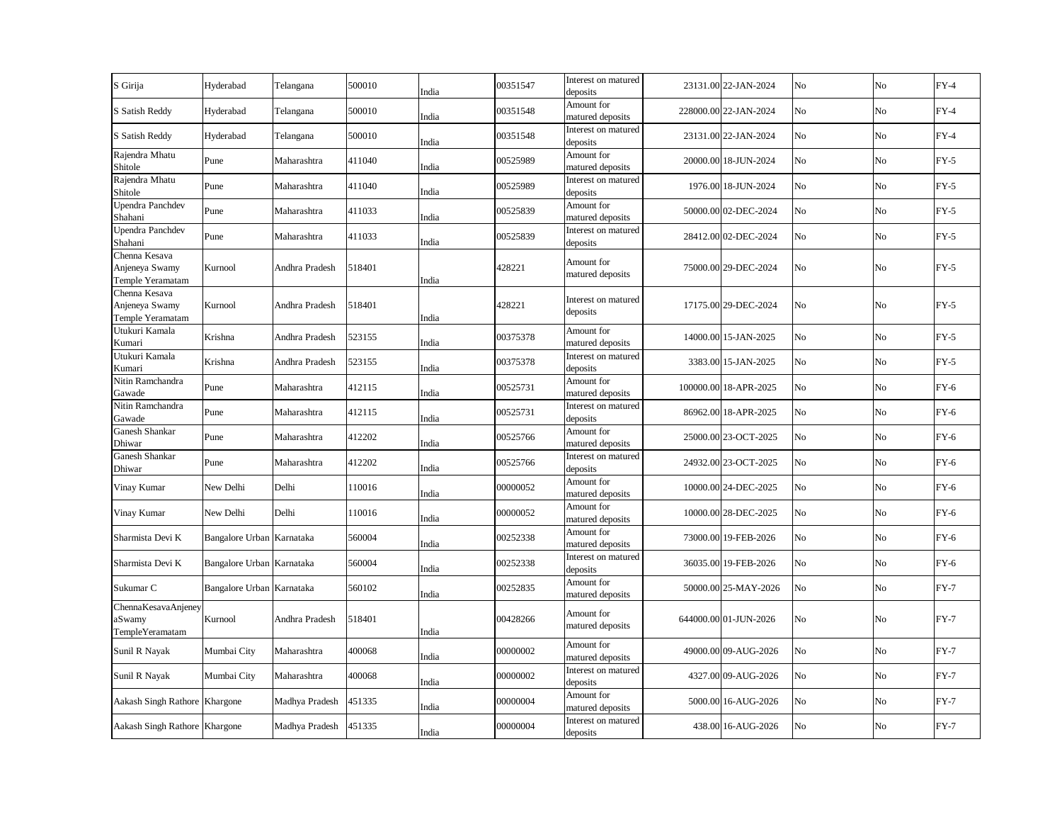| S Girija                                            | Hyderabad                 | Telangana      | 500010 | India | 00351547 | Interest on matured<br>deposits | 23131.00 22-JAN-2024  | No | No | $FY-4$ |
|-----------------------------------------------------|---------------------------|----------------|--------|-------|----------|---------------------------------|-----------------------|----|----|--------|
| S Satish Reddy                                      | Hyderabad                 | Telangana      | 500010 | India | 00351548 | Amount for<br>matured deposits  | 228000.00 22-JAN-2024 | No | No | $FY-4$ |
| S Satish Reddy                                      | Hyderabad                 | Telangana      | 500010 | India | 00351548 | Interest on matured<br>deposits | 23131.00 22-JAN-2024  | No | No | $FY-4$ |
| Rajendra Mhatu<br>Shitole                           | Pune                      | Maharashtra    | 411040 | India | 00525989 | Amount for<br>matured deposits  | 20000.00 18-JUN-2024  | No | No | $FY-5$ |
| Rajendra Mhatu<br>Shitole                           | Pune                      | Maharashtra    | 411040 | India | 00525989 | Interest on matured<br>deposits | 1976.00 18-JUN-2024   | No | No | $FY-5$ |
| Upendra Panchdev<br>Shahani                         | Pune                      | Maharashtra    | 411033 | India | 00525839 | Amount for<br>matured deposits  | 50000.00 02-DEC-2024  | No | No | $FY-5$ |
| Upendra Panchdev<br>Shahani                         | Pune                      | Maharashtra    | 411033 | India | 00525839 | Interest on matured<br>deposits | 28412.00 02-DEC-2024  | No | No | $FY-5$ |
| Chenna Kesava<br>Anjeneya Swamy<br>Temple Yeramatam | Kurnool                   | Andhra Pradesh | 518401 | India | 428221   | Amount for<br>matured deposits  | 75000.00 29-DEC-2024  | No | No | $FY-5$ |
| Chenna Kesava<br>Anjeneya Swamy<br>Temple Yeramatam | Kurnool                   | Andhra Pradesh | 518401 | India | 428221   | Interest on matured<br>deposits | 17175.00 29-DEC-2024  | No | No | $FY-5$ |
| Utukuri Kamala<br>Kumari                            | Krishna                   | Andhra Pradesh | 523155 | India | 00375378 | Amount for<br>matured deposits  | 14000.00 15-JAN-2025  | No | No | $FY-5$ |
| Utukuri Kamala<br>Kumari                            | Krishna                   | Andhra Pradesh | 523155 | India | 00375378 | Interest on matured<br>deposits | 3383.00 15-JAN-2025   | No | No | $FY-5$ |
| Nitin Ramchandra<br>Gawade                          | Pune                      | Maharashtra    | 412115 | India | 00525731 | Amount for<br>matured deposits  | 100000.00 18-APR-2025 | No | No | $FY-6$ |
| Nitin Ramchandra<br>Gawade                          | Pune                      | Maharashtra    | 412115 | India | 00525731 | Interest on matured<br>deposits | 86962.00 18-APR-2025  | No | No | $FY-6$ |
| Ganesh Shankar<br>Dhiwar                            | Pune                      | Maharashtra    | 412202 | India | 00525766 | Amount for<br>matured deposits  | 25000.00 23-OCT-2025  | No | No | $FY-6$ |
| Ganesh Shankar<br>Dhiwar                            | Pune                      | Maharashtra    | 412202 | India | 00525766 | Interest on matured<br>deposits | 24932.00 23-OCT-2025  | No | No | $FY-6$ |
| Vinay Kumar                                         | New Delhi                 | Delhi          | 110016 | India | 00000052 | Amount for<br>matured deposits  | 10000.00 24-DEC-2025  | No | No | $FY-6$ |
| Vinay Kumar                                         | New Delhi                 | Delhi          | 110016 | India | 00000052 | Amount for<br>matured deposits  | 10000.00 28-DEC-2025  | No | No | $FY-6$ |
| Sharmista Devi K                                    | Bangalore Urban Karnataka |                | 560004 | India | 00252338 | Amount for<br>matured deposits  | 73000.00 19-FEB-2026  | No | No | $FY-6$ |
| Sharmista Devi K                                    | Bangalore Urban Karnataka |                | 560004 | India | 00252338 | Interest on matured<br>deposits | 36035.00 19-FEB-2026  | No | No | $FY-6$ |
| Sukumar C                                           | Bangalore Urban Karnataka |                | 560102 | India | 00252835 | Amount for<br>matured deposits  | 50000.00 25-MAY-2026  | No | No | $FY-7$ |
| ChennaKesavaAnjeney<br>aSwamy<br>TempleYeramatam    | Kurnool                   | Andhra Pradesh | 518401 | India | 00428266 | Amount for<br>matured deposits  | 644000.00 01-JUN-2026 | No | No | $FY-7$ |
| Sunil R Nayak                                       | Mumbai City               | Maharashtra    | 400068 | India | 00000002 | Amount for<br>matured deposits  | 49000.00 09-AUG-2026  | No | No | $FY-7$ |
| Sunil R Nayak                                       | Mumbai City               | Maharashtra    | 400068 | India | 00000002 | Interest on matured<br>deposits | 4327.00 09-AUG-2026   | No | No | $FY-7$ |
| Aakash Singh Rathore Khargone                       |                           | Madhya Pradesh | 451335 | India | 00000004 | Amount for<br>matured deposits  | 5000.00 16-AUG-2026   | No | No | $FY-7$ |
| Aakash Singh Rathore Khargone                       |                           | Madhya Pradesh | 451335 | India | 00000004 | Interest on matured<br>deposits | 438.00 16-AUG-2026    | No | No | $FY-7$ |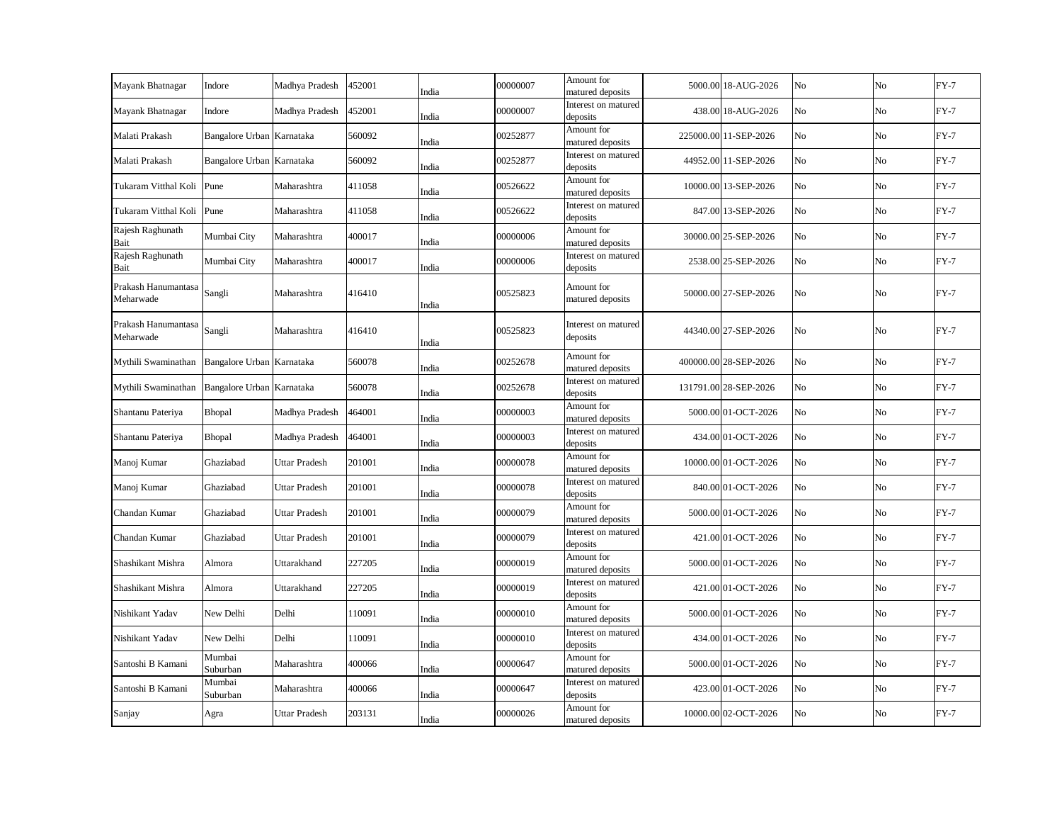| Mayank Bhatnagar                 | Indore                    | Madhya Pradesh       | 452001 | India | 00000007 | Amount for<br>matured deposits  | 5000.00 18-AUG-2026   | No | No | $FY-7$ |
|----------------------------------|---------------------------|----------------------|--------|-------|----------|---------------------------------|-----------------------|----|----|--------|
| Mayank Bhatnagar                 | Indore                    | Madhya Pradesh       | 452001 | India | 00000007 | Interest on matured<br>deposits | 438.00 18-AUG-2026    | No | No | $FY-7$ |
| Malati Prakash                   | Bangalore Urban Karnataka |                      | 560092 | India | 00252877 | Amount for<br>matured deposits  | 225000.00 11-SEP-2026 | No | No | $FY-7$ |
| Malati Prakash                   | Bangalore Urban Karnataka |                      | 560092 | India | 00252877 | Interest on matured<br>deposits | 44952.00 11-SEP-2026  | No | No | $FY-7$ |
| Tukaram Vitthal Koli             | Pune                      | Maharashtra          | 411058 | India | 00526622 | Amount for<br>matured deposits  | 10000.00 13-SEP-2026  | No | No | $FY-7$ |
| Tukaram Vitthal Koli             | Pune                      | Maharashtra          | 411058 | India | 00526622 | Interest on matured<br>deposits | 847.00 13-SEP-2026    | No | No | $FY-7$ |
| Rajesh Raghunath<br>Bait         | Mumbai City               | Maharashtra          | 400017 | India | 00000006 | Amount for<br>matured deposits  | 30000.00 25-SEP-2026  | No | No | $FY-7$ |
| Rajesh Raghunath<br>Bait         | Mumbai City               | Maharashtra          | 400017 | India | 00000006 | Interest on matured<br>deposits | 2538.00 25-SEP-2026   | No | No | $FY-7$ |
| Prakash Hanumantasa<br>Meharwade | Sangli                    | Maharashtra          | 416410 | India | 00525823 | Amount for<br>matured deposits  | 50000.00 27-SEP-2026  | No | No | $FY-7$ |
| Prakash Hanumantasa<br>Meharwade | Sangli                    | Maharashtra          | 416410 | India | 00525823 | Interest on matured<br>deposits | 44340.00 27-SEP-2026  | No | No | $FY-7$ |
| Mythili Swaminathan              | Bangalore Urban Karnataka |                      | 560078 | India | 00252678 | Amount for<br>matured deposits  | 400000.00 28-SEP-2026 | No | No | $FY-7$ |
| Mythili Swaminathan              | Bangalore Urban Karnataka |                      | 560078 | India | 00252678 | Interest on matured<br>deposits | 131791.00 28-SEP-2026 | No | No | $FY-7$ |
| Shantanu Pateriya                | Bhopal                    | Madhya Pradesh       | 464001 | India | 00000003 | Amount for<br>matured deposits  | 5000.00 01-OCT-2026   | No | No | $FY-7$ |
| Shantanu Pateriya                | Bhopal                    | Madhya Pradesh       | 464001 | India | 00000003 | Interest on matured<br>deposits | 434.00 01-OCT-2026    | No | No | $FY-7$ |
| Manoj Kumar                      | Ghaziabad                 | <b>Uttar Pradesh</b> | 201001 | India | 00000078 | Amount for<br>matured deposits  | 10000.00 01-OCT-2026  | No | No | $FY-7$ |
| Manoj Kumar                      | Ghaziabad                 | <b>Uttar Pradesh</b> | 201001 | India | 00000078 | Interest on matured<br>deposits | 840.00 01-OCT-2026    | No | No | $FY-7$ |
| Chandan Kumar                    | Ghaziabad                 | <b>Uttar Pradesh</b> | 201001 | India | 00000079 | Amount for<br>matured deposits  | 5000.00 01-OCT-2026   | No | No | $FY-7$ |
| Chandan Kumar                    | Ghaziabad                 | <b>Uttar Pradesh</b> | 201001 | India | 00000079 | Interest on matured<br>deposits | 421.00 01-OCT-2026    | No | No | $FY-7$ |
| Shashikant Mishra                | Almora                    | Uttarakhand          | 227205 | India | 00000019 | Amount for<br>matured deposits  | 5000.00 01-OCT-2026   | No | No | $FY-7$ |
| Shashikant Mishra                | Almora                    | Uttarakhand          | 227205 | India | 00000019 | Interest on matured<br>deposits | 421.00 01-OCT-2026    | No | No | $FY-7$ |
| Nishikant Yadav                  | New Delhi                 | Delhi                | 110091 | India | 00000010 | Amount for<br>matured deposits  | 5000.00 01-OCT-2026   | No | No | $FY-7$ |
| Nishikant Yadav                  | New Delhi                 | Delhi                | 110091 | India | 00000010 | Interest on matured<br>deposits | 434.00 01-OCT-2026    | No | No | $FY-7$ |
| Santoshi B Kamani                | Mumbai<br>Suburban        | Maharashtra          | 400066 | India | 00000647 | Amount for<br>matured deposits  | 5000.00 01-OCT-2026   | No | No | $FY-7$ |
| Santoshi B Kamani                | Mumbai<br>Suburban        | Maharashtra          | 400066 | India | 00000647 | Interest on matured<br>deposits | 423.00 01-OCT-2026    | No | No | $FY-7$ |
| Sanjay                           | Agra                      | <b>Uttar Pradesh</b> | 203131 | India | 00000026 | Amount for<br>matured deposits  | 10000.00 02-OCT-2026  | No | No | $FY-7$ |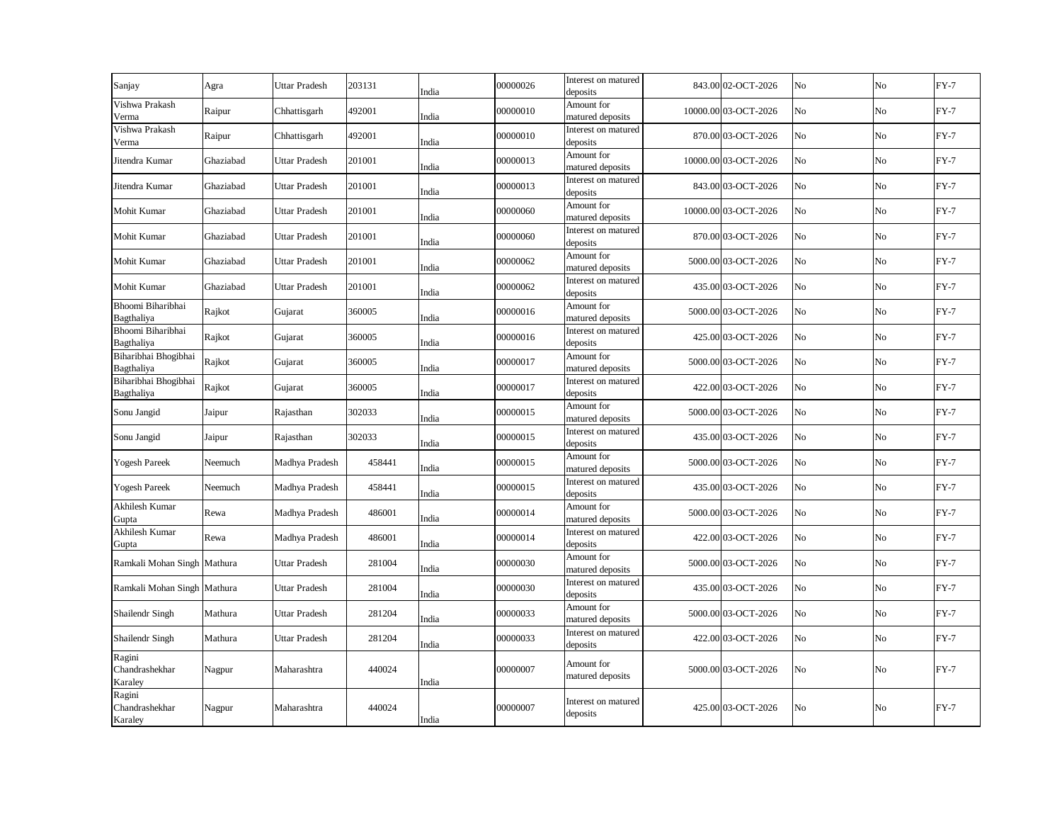| Sanjay                              | Agra      | <b>Uttar Pradesh</b> | 203131 | India | 00000026 | Interest on matured<br>deposits | 843.00 02-OCT-2026   | No | No          | $FY-7$ |
|-------------------------------------|-----------|----------------------|--------|-------|----------|---------------------------------|----------------------|----|-------------|--------|
| Vishwa Prakash<br>Verma             | Raipur    | Chhattisgarh         | 492001 | India | 00000010 | Amount for<br>matured deposits  | 10000.00 03-OCT-2026 | No | No          | $FY-7$ |
| Vishwa Prakash<br>Verma             | Raipur    | Chhattisgarh         | 492001 | India | 00000010 | Interest on matured<br>deposits | 870.00 03-OCT-2026   | No | $_{\rm No}$ | $FY-7$ |
| Jitendra Kumar                      | Ghaziabad | <b>Uttar Pradesh</b> | 201001 | India | 00000013 | Amount for<br>matured deposits  | 10000.00 03-OCT-2026 | No | No          | $FY-7$ |
| Jitendra Kumar                      | Ghaziabad | <b>Uttar Pradesh</b> | 201001 | India | 00000013 | Interest on matured<br>deposits | 843.00 03-OCT-2026   | No | $_{\rm No}$ | $FY-7$ |
| Mohit Kumar                         | Ghaziabad | Uttar Pradesh        | 201001 | India | 00000060 | Amount for<br>matured deposits  | 10000.00 03-OCT-2026 | No | No          | $FY-7$ |
| Mohit Kumar                         | Ghaziabad | <b>Uttar Pradesh</b> | 201001 | India | 00000060 | Interest on matured<br>deposits | 870.00 03-OCT-2026   | No | No          | $FY-7$ |
| Mohit Kumar                         | Ghaziabad | <b>Uttar Pradesh</b> | 201001 | India | 00000062 | Amount for<br>matured deposits  | 5000.00 03-OCT-2026  | No | No          | $FY-7$ |
| Mohit Kumar                         | Ghaziabad | <b>Uttar Pradesh</b> | 201001 | India | 00000062 | Interest on matured<br>deposits | 435.00 03-OCT-2026   | No | No          | $FY-7$ |
| Bhoomi Biharibhai<br>Bagthaliya     | Rajkot    | Gujarat              | 360005 | India | 00000016 | Amount for<br>matured deposits  | 5000.00 03-OCT-2026  | No | No          | $FY-7$ |
| Bhoomi Biharibhai<br>Bagthaliya     | Rajkot    | Gujarat              | 360005 | India | 00000016 | Interest on matured<br>deposits | 425.00 03-OCT-2026   | No | No          | $FY-7$ |
| Biharibhai Bhogibhai<br>Bagthaliya  | Rajkot    | Gujarat              | 360005 | India | 00000017 | Amount for<br>matured deposits  | 5000.00 03-OCT-2026  | No | No          | $FY-7$ |
| Biharibhai Bhogibhai<br>Bagthaliya  | Rajkot    | Gujarat              | 360005 | India | 00000017 | Interest on matured<br>deposits | 422.00 03-OCT-2026   | No | No          | $FY-7$ |
| Sonu Jangid                         | Jaipur    | Rajasthan            | 302033 | India | 00000015 | Amount for<br>matured deposits  | 5000.00 03-OCT-2026  | No | No          | $FY-7$ |
| Sonu Jangid                         | Jaipur    | Rajasthan            | 302033 | India | 00000015 | Interest on matured<br>deposits | 435.00 03-OCT-2026   | No | No          | $FY-7$ |
| <b>Yogesh Pareek</b>                | Neemuch   | Madhya Pradesh       | 458441 | India | 00000015 | Amount for<br>matured deposits  | 5000.00 03-OCT-2026  | No | No          | $FY-7$ |
| <b>Yogesh Pareek</b>                | Neemuch   | Madhya Pradesh       | 458441 | India | 00000015 | Interest on matured<br>deposits | 435.00 03-OCT-2026   | No | No          | $FY-7$ |
| Akhilesh Kumar<br>Gupta             | Rewa      | Madhya Pradesh       | 486001 | India | 00000014 | Amount for<br>matured deposits  | 5000.00 03-OCT-2026  | No | No          | $FY-7$ |
| Akhilesh Kumar<br>Gupta             | Rewa      | Madhya Pradesh       | 486001 | India | 00000014 | Interest on matured<br>deposits | 422.00 03-OCT-2026   | No | No          | $FY-7$ |
| Ramkali Mohan Singh Mathura         |           | <b>Uttar Pradesh</b> | 281004 | India | 00000030 | Amount for<br>matured deposits  | 5000.00 03-OCT-2026  | No | No          | $FY-7$ |
| Ramkali Mohan Singh Mathura         |           | Uttar Pradesh        | 281004 | India | 00000030 | Interest on matured<br>deposits | 435.00 03-OCT-2026   | No | No          | $FY-7$ |
| Shailendr Singh                     | Mathura   | <b>Uttar Pradesh</b> | 281204 | India | 00000033 | Amount for<br>matured deposits  | 5000.00 03-OCT-2026  | No | No          | $FY-7$ |
| Shailendr Singh                     | Mathura   | <b>Uttar Pradesh</b> | 281204 | India | 00000033 | Interest on matured<br>deposits | 422.00 03-OCT-2026   | No | No          | $FY-7$ |
| Ragini<br>Chandrashekhar<br>Karaley | Nagpur    | Maharashtra          | 440024 | India | 00000007 | Amount for<br>matured deposits  | 5000.00 03-OCT-2026  | No | No          | $FY-7$ |
| Ragini<br>Chandrashekhar<br>Karaley | Nagpur    | Maharashtra          | 440024 | India | 00000007 | Interest on matured<br>deposits | 425.00 03-OCT-2026   | No | No          | $FY-7$ |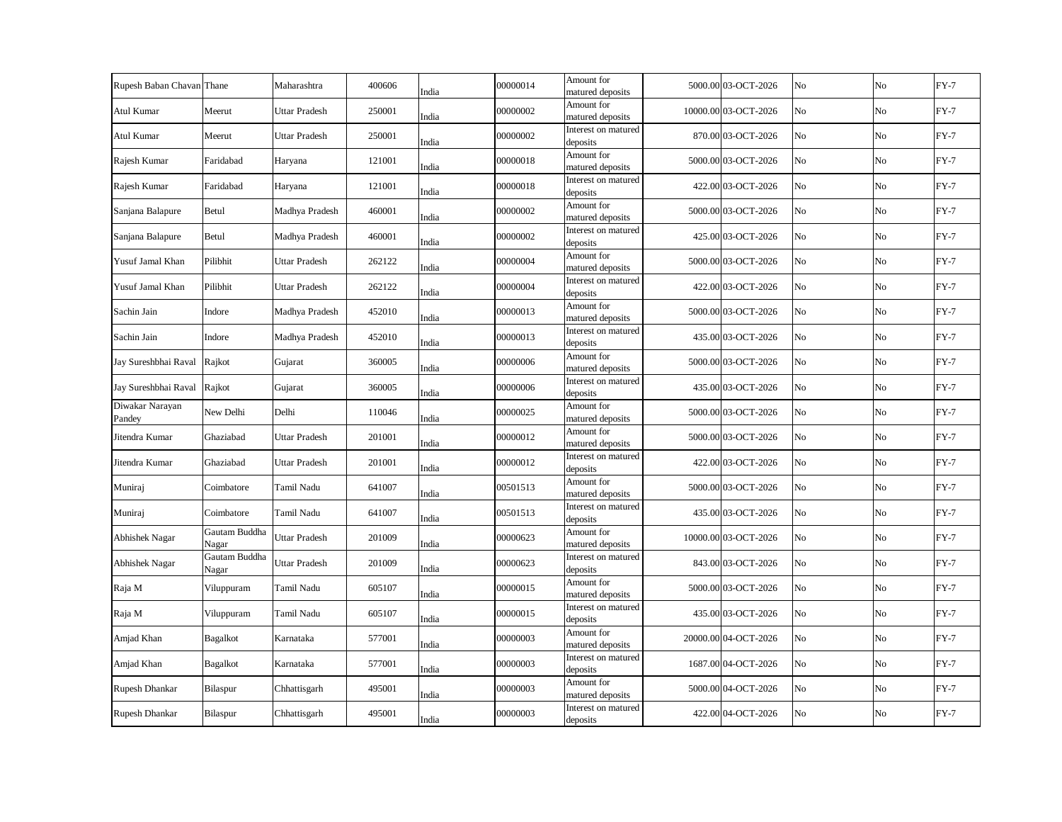| Rupesh Baban Chavan Thane |                        | Maharashtra          | 400606 | India | 00000014 | Amount for<br>matured deposits  | 5000.00 03-OCT-2026  | No | No | $FY-7$ |
|---------------------------|------------------------|----------------------|--------|-------|----------|---------------------------------|----------------------|----|----|--------|
| Atul Kumar                | Meerut                 | Uttar Pradesh        | 250001 | India | 00000002 | Amount for<br>matured deposits  | 10000.00 03-OCT-2026 | No | No | $FY-7$ |
| Atul Kumar                | Meerut                 | <b>Uttar Pradesh</b> | 250001 | India | 00000002 | Interest on matured<br>deposits | 870.00 03-OCT-2026   | No | No | $FY-7$ |
| Rajesh Kumar              | Faridabad              | Haryana              | 121001 | India | 00000018 | Amount for<br>matured deposits  | 5000.00 03-OCT-2026  | No | No | $FY-7$ |
| Rajesh Kumar              | Faridabad              | Haryana              | 121001 | India | 00000018 | Interest on matured<br>deposits | 422.00 03-OCT-2026   | No | No | $FY-7$ |
| Sanjana Balapure          | Betul                  | Madhya Pradesh       | 460001 | India | 00000002 | Amount for<br>matured deposits  | 5000.00 03-OCT-2026  | No | No | $FY-7$ |
| Sanjana Balapure          | Betul                  | Madhya Pradesh       | 460001 | India | 00000002 | Interest on matured<br>deposits | 425.00 03-OCT-2026   | No | No | $FY-7$ |
| Yusuf Jamal Khan          | Pilibhit               | Uttar Pradesh        | 262122 | India | 00000004 | Amount for<br>matured deposits  | 5000.00 03-OCT-2026  | No | No | $FY-7$ |
| Yusuf Jamal Khan          | Pilibhit               | <b>Uttar Pradesh</b> | 262122 | India | 00000004 | Interest on matured<br>deposits | 422.00 03-OCT-2026   | No | No | $FY-7$ |
| Sachin Jain               | Indore                 | Madhya Pradesh       | 452010 | India | 00000013 | Amount for<br>matured deposits  | 5000.00 03-OCT-2026  | No | No | $FY-7$ |
| Sachin Jain               | Indore                 | Madhya Pradesh       | 452010 | India | 00000013 | Interest on matured<br>deposits | 435.00 03-OCT-2026   | No | No | $FY-7$ |
| Jay Sureshbhai Raval      | Rajkot                 | Gujarat              | 360005 | India | 00000006 | Amount for<br>matured deposits  | 5000.00 03-OCT-2026  | No | No | $FY-7$ |
| Jay Sureshbhai Raval      | Rajkot                 | Gujarat              | 360005 | India | 00000006 | Interest on matured<br>deposits | 435.00 03-OCT-2026   | No | No | $FY-7$ |
| Diwakar Narayan<br>Pandey | New Delhi              | Delhi                | 110046 | India | 00000025 | Amount for<br>matured deposits  | 5000.00 03-OCT-2026  | No | No | $FY-7$ |
| Jitendra Kumar            | Ghaziabad              | <b>Uttar Pradesh</b> | 201001 | India | 00000012 | Amount for<br>matured deposits  | 5000.00 03-OCT-2026  | No | No | $FY-7$ |
| Jitendra Kumar            | Ghaziabad              | <b>Uttar Pradesh</b> | 201001 | India | 00000012 | Interest on matured<br>deposits | 422.00 03-OCT-2026   | No | No | $FY-7$ |
| Muniraj                   | Coimbatore             | Tamil Nadu           | 641007 | India | 00501513 | Amount for<br>matured deposits  | 5000.00 03-OCT-2026  | No | No | $FY-7$ |
| Muniraj                   | Coimbatore             | Tamil Nadu           | 641007 | India | 00501513 | Interest on matured<br>deposits | 435.00 03-OCT-2026   | No | No | $FY-7$ |
| Abhishek Nagar            | Gautam Buddha<br>Nagar | <b>Uttar Pradesh</b> | 201009 | India | 00000623 | Amount for<br>matured deposits  | 10000.00 03-OCT-2026 | No | No | $FY-7$ |
| Abhishek Nagar            | Gautam Buddha<br>Nagar | <b>Uttar Pradesh</b> | 201009 | India | 00000623 | Interest on matured<br>deposits | 843.00 03-OCT-2026   | No | No | $FY-7$ |
| Raja M                    | Viluppuram             | Tamil Nadu           | 605107 | India | 00000015 | Amount for<br>matured deposits  | 5000.00 03-OCT-2026  | No | No | $FY-7$ |
| Raja M                    | Viluppuram             | Tamil Nadu           | 605107 | India | 00000015 | Interest on matured<br>deposits | 435.00 03-OCT-2026   | No | No | $FY-7$ |
| Amjad Khan                | Bagalkot               | Karnataka            | 577001 | India | 00000003 | Amount for<br>matured deposits  | 20000.00 04-OCT-2026 | No | No | $FY-7$ |
| Amjad Khan                | Bagalkot               | Karnataka            | 577001 | India | 00000003 | Interest on matured<br>deposits | 1687.00 04-OCT-2026  | No | No | $FY-7$ |
| Rupesh Dhankar            | Bilaspur               | Chhattisgarh         | 495001 | India | 00000003 | Amount for<br>matured deposits  | 5000.00 04-OCT-2026  | No | No | $FY-7$ |
| Rupesh Dhankar            | Bilaspur               | Chhattisgarh         | 495001 | India | 00000003 | Interest on matured<br>deposits | 422.00 04-OCT-2026   | No | No | $FY-7$ |
|                           |                        |                      |        |       |          |                                 |                      |    |    |        |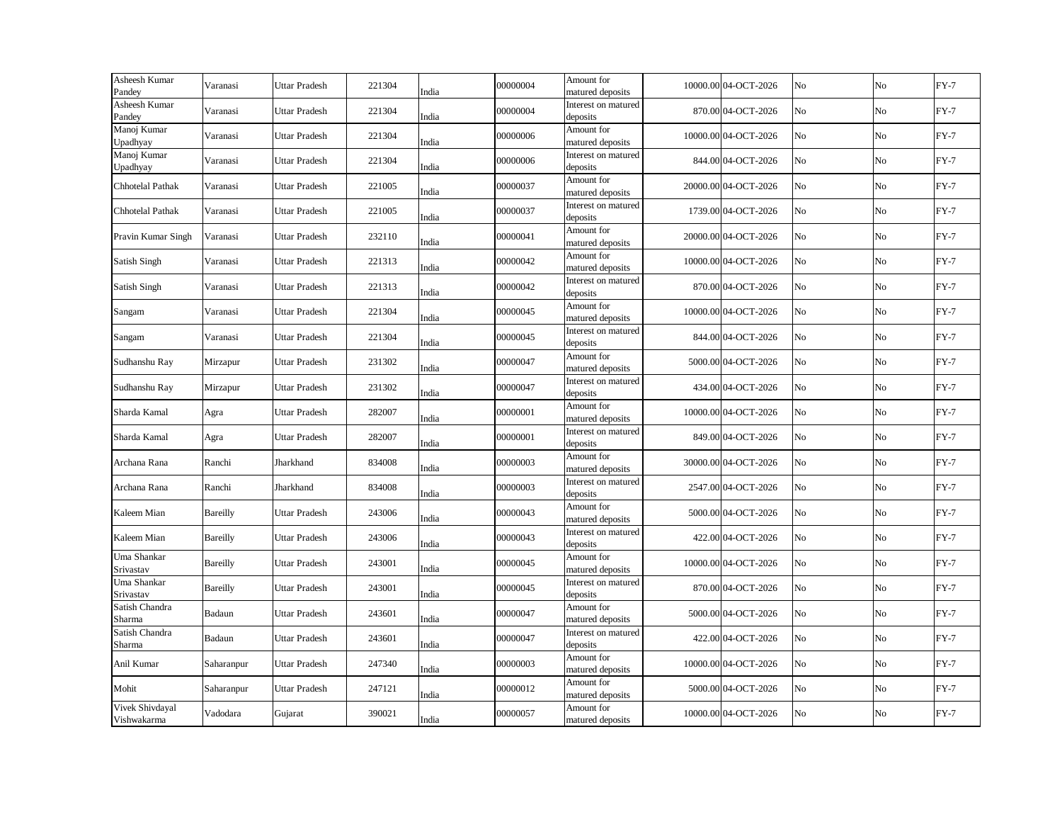| Asheesh Kumar<br>Pandey        | Varanasi   | <b>Uttar Pradesh</b> | 221304 | India | 00000004 | Amount for<br>matured deposits  | 10000.00 04-OCT-2026 | No | No  | $FY-7$ |
|--------------------------------|------------|----------------------|--------|-------|----------|---------------------------------|----------------------|----|-----|--------|
| Asheesh Kumar<br>Pandey        | Varanasi   | <b>Uttar Pradesh</b> | 221304 | India | 00000004 | Interest on matured<br>deposits | 870.00 04-OCT-2026   | No | No  | $FY-7$ |
| Manoj Kumar<br>Upadhyay        | Varanasi   | <b>Uttar Pradesh</b> | 221304 | India | 00000006 | Amount for<br>matured deposits  | 10000.00 04-OCT-2026 | No | No  | $FY-7$ |
| Manoj Kumar<br>Upadhyay        | Varanasi   | Uttar Pradesh        | 221304 | India | 00000006 | Interest on matured<br>deposits | 844.00 04-OCT-2026   | No | No  | $FY-7$ |
| Chhotelal Pathak               | Varanasi   | <b>Uttar Pradesh</b> | 221005 | India | 00000037 | Amount for<br>matured deposits  | 20000.00 04-OCT-2026 | No | No  | $FY-7$ |
| Chhotelal Pathak               | Varanasi   | Uttar Pradesh        | 221005 | India | 00000037 | Interest on matured<br>deposits | 1739.00 04-OCT-2026  | No | No  | $FY-7$ |
| Pravin Kumar Singh             | Varanasi   | <b>Uttar Pradesh</b> | 232110 | India | 00000041 | Amount for<br>matured deposits  | 20000.00 04-OCT-2026 | No | No  | $FY-7$ |
| Satish Singh                   | Varanasi   | <b>Uttar Pradesh</b> | 221313 | India | 00000042 | Amount for<br>matured deposits  | 10000.00 04-OCT-2026 | No | No  | $FY-7$ |
| Satish Singh                   | Varanasi   | <b>Uttar Pradesh</b> | 221313 | India | 00000042 | Interest on matured<br>deposits | 870.00 04-OCT-2026   | No | No  | $FY-7$ |
| Sangam                         | Varanasi   | <b>Uttar Pradesh</b> | 221304 | India | 00000045 | Amount for<br>matured deposits  | 10000.00 04-OCT-2026 | No | No  | $FY-7$ |
| Sangam                         | Varanasi   | <b>Uttar Pradesh</b> | 221304 | India | 00000045 | Interest on matured<br>deposits | 844.00 04-OCT-2026   | No | No. | $FY-7$ |
| Sudhanshu Ray                  | Mirzapur   | <b>Uttar Pradesh</b> | 231302 | India | 00000047 | Amount for<br>matured deposits  | 5000.00 04-OCT-2026  | No | No  | $FY-7$ |
| Sudhanshu Ray                  | Mirzapur   | Uttar Pradesh        | 231302 | India | 00000047 | Interest on matured<br>deposits | 434.00 04-OCT-2026   | No | No  | $FY-7$ |
| Sharda Kamal                   | Agra       | Uttar Pradesh        | 282007 | India | 00000001 | Amount for<br>matured deposits  | 10000.00 04-OCT-2026 | No | No  | $FY-7$ |
| Sharda Kamal                   | Agra       | <b>Uttar Pradesh</b> | 282007 | India | 00000001 | Interest on matured<br>deposits | 849.00 04-OCT-2026   | No | No  | $FY-7$ |
| Archana Rana                   | Ranchi     | Jharkhand            | 834008 | India | 00000003 | Amount for<br>matured deposits  | 30000.00 04-OCT-2026 | No | No  | $FY-7$ |
| Archana Rana                   | Ranchi     | Jharkhand            | 834008 | India | 00000003 | Interest on matured<br>deposits | 2547.00 04-OCT-2026  | No | No  | $FY-7$ |
| Kaleem Mian                    | Bareilly   | <b>Uttar Pradesh</b> | 243006 | India | 00000043 | Amount for<br>matured deposits  | 5000.00 04-OCT-2026  | No | No  | $FY-7$ |
| Kaleem Mian                    | Bareilly   | Uttar Pradesh        | 243006 | India | 00000043 | Interest on matured<br>deposits | 422.00 04-OCT-2026   | No | No  | $FY-7$ |
| Uma Shankar<br>Srivastav       | Bareilly   | <b>Uttar Pradesh</b> | 243001 | India | 00000045 | Amount for<br>matured deposits  | 10000.00 04-OCT-2026 | No | No  | $FY-7$ |
| Uma Shankar<br>Srivastav       | Bareilly   | <b>Uttar Pradesh</b> | 243001 | India | 00000045 | Interest on matured<br>deposits | 870.00 04-OCT-2026   | No | No  | $FY-7$ |
| Satish Chandra<br>Sharma       | Badaun     | <b>Uttar Pradesh</b> | 243601 | India | 00000047 | Amount for<br>matured deposits  | 5000.00 04-OCT-2026  | No | No  | $FY-7$ |
| Satish Chandra<br>Sharma       | Badaun     | <b>Uttar Pradesh</b> | 243601 | India | 00000047 | Interest on matured<br>deposits | 422.00 04-OCT-2026   | No | No  | $FY-7$ |
| Anil Kumar                     | Saharanpur | <b>Uttar Pradesh</b> | 247340 | India | 00000003 | Amount for<br>matured deposits  | 10000.00 04-OCT-2026 | No | No  | $FY-7$ |
| Mohit                          | Saharanpur | Uttar Pradesh        | 247121 | India | 00000012 | Amount for<br>matured deposits  | 5000.00 04-OCT-2026  | No | No  | $FY-7$ |
| Vivek Shivdayal<br>Vishwakarma | Vadodara   | Gujarat              | 390021 | India | 00000057 | Amount for<br>matured deposits  | 10000.00 04-OCT-2026 | No | No  | $FY-7$ |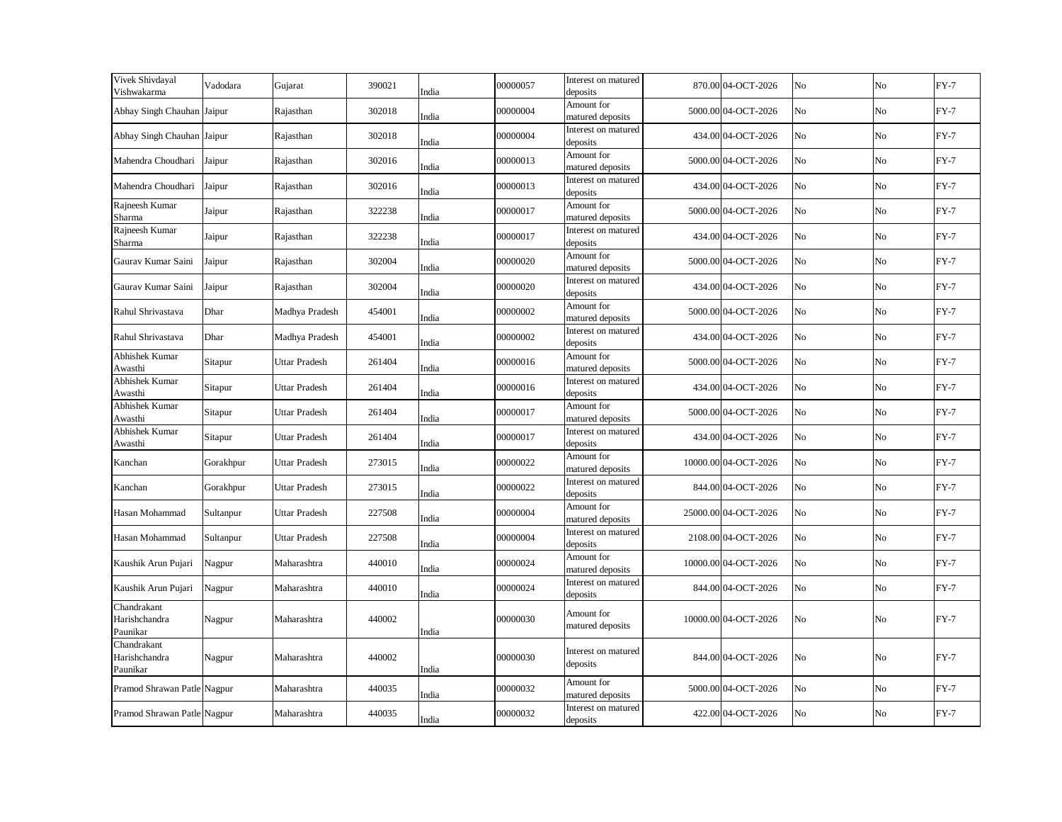| Vivek Shivdayal<br>Vishwakarma           | Vadodara  | Gujarat              | 390021 | India | 00000057 | Interest on matured<br>deposits | 870.00 04-OCT-2026   | N <sub>o</sub> | No             | $FY-7$ |
|------------------------------------------|-----------|----------------------|--------|-------|----------|---------------------------------|----------------------|----------------|----------------|--------|
| Abhay Singh Chauhan Jaipur               |           | Rajasthan            | 302018 | India | 00000004 | Amount for<br>matured deposits  | 5000.00 04-OCT-2026  | No             | No             | $FY-7$ |
| Abhay Singh Chauhan Jaipur               |           | Rajasthan            | 302018 | India | 00000004 | Interest on matured<br>deposits | 434.00 04-OCT-2026   | No             | No             | $FY-7$ |
| Mahendra Choudhari                       | Jaipur    | Rajasthan            | 302016 | India | 00000013 | Amount for<br>matured deposits  | 5000.00 04-OCT-2026  | No             | No             | $FY-7$ |
| Mahendra Choudhari                       | Jaipur    | Rajasthan            | 302016 | India | 00000013 | Interest on matured<br>deposits | 434.00 04-OCT-2026   | No             | N <sub>o</sub> | $FY-7$ |
| Rajneesh Kumar<br>Sharma                 | Jaipur    | Rajasthan            | 322238 | India | 00000017 | Amount for<br>matured deposits  | 5000.00 04-OCT-2026  | No             | No             | $FY-7$ |
| Rajneesh Kumar<br>Sharma                 | Jaipur    | Rajasthan            | 322238 | India | 00000017 | Interest on matured<br>deposits | 434.00 04-OCT-2026   | No             | No             | $FY-7$ |
| Gaurav Kumar Saini                       | Jaipur    | Rajasthan            | 302004 | India | 00000020 | Amount for<br>matured deposits  | 5000.00 04-OCT-2026  | No             | No             | $FY-7$ |
| Gaurav Kumar Saini                       | Jaipur    | Rajasthan            | 302004 | India | 00000020 | Interest on matured<br>deposits | 434.00 04-OCT-2026   | No             | No             | $FY-7$ |
| Rahul Shrivastava                        | Dhar      | Madhya Pradesh       | 454001 | India | 00000002 | Amount for<br>matured deposits  | 5000.00 04-OCT-2026  | No             | No             | $FY-7$ |
| Rahul Shrivastava                        | Dhar      | Madhya Pradesh       | 454001 | India | 00000002 | Interest on matured<br>deposits | 434.00 04-OCT-2026   | No             | No             | $FY-7$ |
| Abhishek Kumar<br>Awasthi                | Sitapur   | Uttar Pradesh        | 261404 | India | 00000016 | Amount for<br>matured deposits  | 5000.00 04-OCT-2026  | No             | No             | $FY-7$ |
| Abhishek Kumar<br>Awasthi                | Sitapur   | Uttar Pradesh        | 261404 | India | 00000016 | Interest on matured<br>deposits | 434.00 04-OCT-2026   | No             | No             | $FY-7$ |
| Abhishek Kumar<br>Awasthi                | Sitapur   | Uttar Pradesh        | 261404 | India | 00000017 | Amount for<br>matured deposits  | 5000.00 04-OCT-2026  | No             | No             | $FY-7$ |
| Abhishek Kumar<br>Awasthi                | Sitapur   | <b>Uttar Pradesh</b> | 261404 | India | 00000017 | Interest on matured<br>deposits | 434.00 04-OCT-2026   | No             | No             | $FY-7$ |
| Kanchan                                  | Gorakhpur | <b>Uttar Pradesh</b> | 273015 | India | 00000022 | Amount for<br>matured deposits  | 10000.00 04-OCT-2026 | No             | No             | $FY-7$ |
| Kanchan                                  | Gorakhpur | <b>Uttar Pradesh</b> | 273015 | India | 00000022 | Interest on matured<br>deposits | 844.00 04-OCT-2026   | No             | No             | $FY-7$ |
| Hasan Mohammad                           | Sultanpur | <b>Uttar Pradesh</b> | 227508 | India | 00000004 | Amount for<br>matured deposits  | 25000.00 04-OCT-2026 | No             | No             | $FY-7$ |
| Hasan Mohammad                           | Sultanpur | Uttar Pradesh        | 227508 | India | 00000004 | Interest on matured<br>deposits | 2108.00 04-OCT-2026  | No             | No             | $FY-7$ |
| Kaushik Arun Pujari                      | Nagpur    | Maharashtra          | 440010 | India | 00000024 | Amount for<br>matured deposits  | 10000.00 04-OCT-2026 | No             | No             | $FY-7$ |
| Kaushik Arun Pujari                      | Nagpur    | Maharashtra          | 440010 | India | 00000024 | Interest on matured<br>deposits | 844.00 04-OCT-2026   | No             | No             | $FY-7$ |
| Chandrakant<br>Harishchandra<br>Paunikar | Nagpur    | Maharashtra          | 440002 | India | 00000030 | Amount for<br>matured deposits  | 10000.00 04-OCT-2026 | No             | No             | $FY-7$ |
| Chandrakant<br>Harishchandra<br>Paunikar | Nagpur    | Maharashtra          | 440002 | India | 00000030 | Interest on matured<br>deposits | 844.00 04-OCT-2026   | No             | No             | $FY-7$ |
| Pramod Shrawan Patle Nagpur              |           | Maharashtra          | 440035 | India | 00000032 | Amount for<br>matured deposits  | 5000.00 04-OCT-2026  | No             | No             | $FY-7$ |
| Pramod Shrawan Patle Nagpur              |           | Maharashtra          | 440035 | India | 00000032 | Interest on matured<br>deposits | 422.00 04-OCT-2026   | No             | No             | $FY-7$ |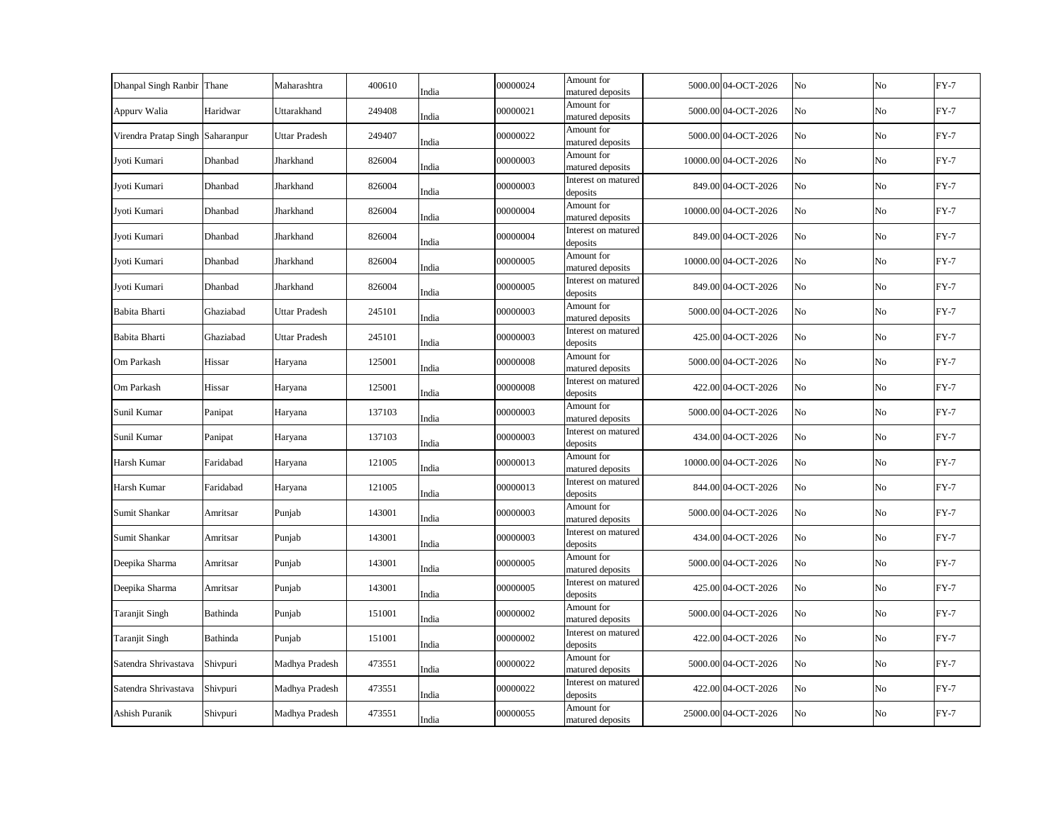| Dhanpal Singh Ranbir Thane       |           | Maharashtra          | 400610 | India | 00000024 | Amount for<br>matured deposits  | 5000.00 04-OCT-2026  | No | N <sub>o</sub> | $FY-7$ |
|----------------------------------|-----------|----------------------|--------|-------|----------|---------------------------------|----------------------|----|----------------|--------|
| Appurv Walia                     | Haridwar  | Uttarakhand          | 249408 | India | 00000021 | Amount for<br>matured deposits  | 5000.00 04-OCT-2026  | No | No             | $FY-7$ |
| Virendra Pratap Singh Saharanpur |           | Uttar Pradesh        | 249407 | India | 00000022 | Amount for<br>matured deposits  | 5000.00 04-OCT-2026  | No | No             | $FY-7$ |
| Jyoti Kumari                     | Dhanbad   | Jharkhand            | 826004 | India | 00000003 | Amount for<br>matured deposits  | 10000.00 04-OCT-2026 | No | No             | $FY-7$ |
| Jyoti Kumari                     | Dhanbad   | Jharkhand            | 826004 | India | 00000003 | Interest on matured<br>deposits | 849.00 04-OCT-2026   | No | $\rm No$       | $FY-7$ |
| Jyoti Kumari                     | Dhanbad   | Jharkhand            | 826004 | India | 00000004 | Amount for<br>matured deposits  | 10000.00 04-OCT-2026 | No | No             | $FY-7$ |
| Jyoti Kumari                     | Dhanbad   | Jharkhand            | 826004 | India | 00000004 | Interest on matured<br>deposits | 849.00 04-OCT-2026   | No | No             | $FY-7$ |
| Jyoti Kumari                     | Dhanbad   | Jharkhand            | 826004 | India | 00000005 | Amount for<br>matured deposits  | 10000.00 04-OCT-2026 | No | No             | $FY-7$ |
| Jyoti Kumari                     | Dhanbad   | Jharkhand            | 826004 | India | 00000005 | Interest on matured<br>deposits | 849.00 04-OCT-2026   | No | No             | $FY-7$ |
| Babita Bharti                    | Ghaziabad | Uttar Pradesh        | 245101 | India | 00000003 | Amount for<br>matured deposits  | 5000.00 04-OCT-2026  | No | No             | $FY-7$ |
| Babita Bharti                    | Ghaziabad | <b>Uttar Pradesh</b> | 245101 | India | 00000003 | Interest on matured<br>deposits | 425.00 04-OCT-2026   | No | No             | $FY-7$ |
| Om Parkash                       | Hissar    | Haryana              | 125001 | India | 00000008 | Amount for<br>matured deposits  | 5000.00 04-OCT-2026  | No | No             | $FY-7$ |
| Om Parkash                       | Hissar    | Haryana              | 125001 | India | 00000008 | Interest on matured<br>deposits | 422.00 04-OCT-2026   | No | No             | $FY-7$ |
| Sunil Kumar                      | Panipat   | Haryana              | 137103 | India | 00000003 | Amount for<br>matured deposits  | 5000.00 04-OCT-2026  | No | No             | $FY-7$ |
| Sunil Kumar                      | Panipat   | Haryana              | 137103 | India | 00000003 | Interest on matured<br>deposits | 434.00 04-OCT-2026   | No | No             | $FY-7$ |
| Harsh Kumar                      | Faridabad | Haryana              | 121005 | India | 00000013 | Amount for<br>matured deposits  | 10000.00 04-OCT-2026 | No | No             | $FY-7$ |
| Harsh Kumar                      | Faridabad | Haryana              | 121005 | India | 00000013 | Interest on matured<br>deposits | 844.00 04-OCT-2026   | No | No             | $FY-7$ |
| Sumit Shankar                    | Amritsar  | Punjab               | 143001 | India | 00000003 | Amount for<br>matured deposits  | 5000.00 04-OCT-2026  | No | No             | $FY-7$ |
| Sumit Shankar                    | Amritsar  | Punjab               | 143001 | India | 00000003 | Interest on matured<br>deposits | 434.00 04-OCT-2026   | No | No             | $FY-7$ |
| Deepika Sharma                   | Amritsar  | Punjab               | 143001 | India | 00000005 | Amount for<br>matured deposits  | 5000.00 04-OCT-2026  | No | No             | $FY-7$ |
| Deepika Sharma                   | Amritsar  | Punjab               | 143001 | India | 00000005 | Interest on matured<br>deposits | 425.00 04-OCT-2026   | No | No             | $FY-7$ |
| <b>Taranjit Singh</b>            | Bathinda  | Punjab               | 151001 | India | 00000002 | Amount for<br>matured deposits  | 5000.00 04-OCT-2026  | No | No             | $FY-7$ |
| Taranjit Singh                   | Bathinda  | Punjab               | 151001 | India | 00000002 | Interest on matured<br>deposits | 422.00 04-OCT-2026   | No | No             | $FY-7$ |
| Satendra Shrivastava             | Shivpuri  | Madhya Pradesh       | 473551 | India | 00000022 | Amount for<br>matured deposits  | 5000.00 04-OCT-2026  | No | No             | $FY-7$ |
| Satendra Shrivastava             | Shivpuri  | Madhya Pradesh       | 473551 | India | 00000022 | Interest on matured<br>deposits | 422.00 04-OCT-2026   | No | No             | $FY-7$ |
| Ashish Puranik                   | Shivpuri  | Madhya Pradesh       | 473551 | India | 00000055 | Amount for<br>matured deposits  | 25000.00 04-OCT-2026 | No | No             | $FY-7$ |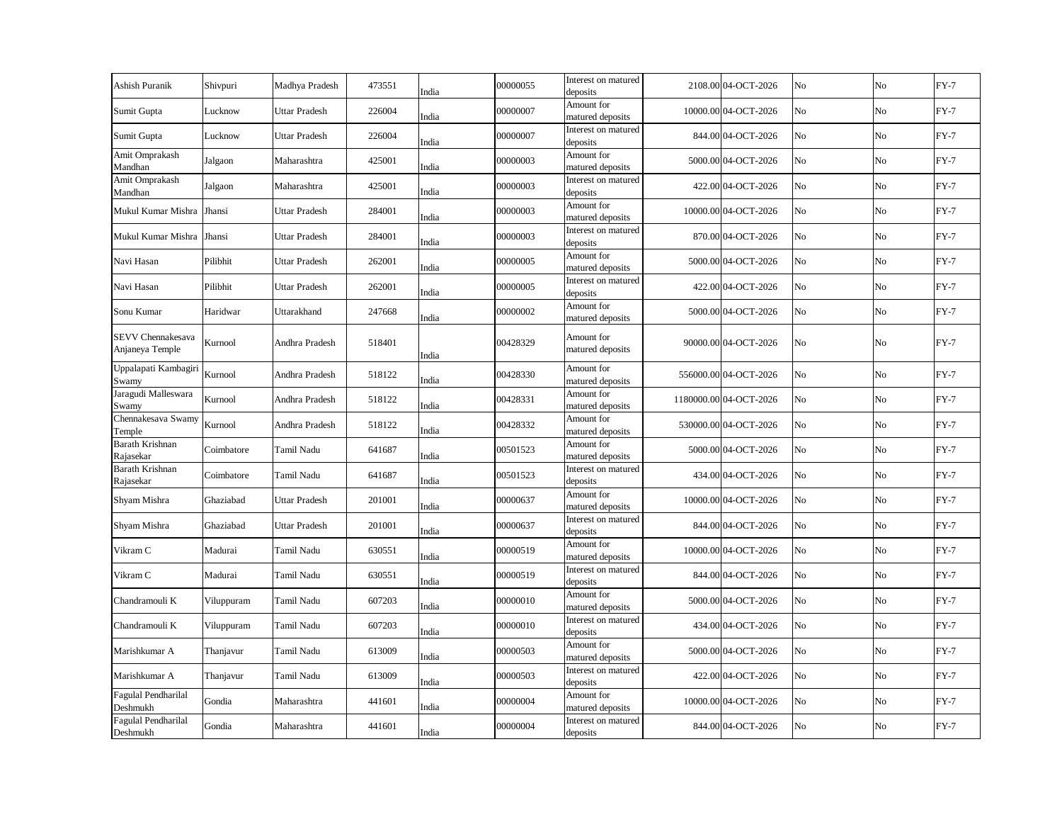| Ashish Puranik                       | Shivpuri                | Madhya Pradesh       | 473551 | India | 00000055 | Interest on matured<br>deposits | 2108.00 04-OCT-2026    | No | No             | $FY-7$ |
|--------------------------------------|-------------------------|----------------------|--------|-------|----------|---------------------------------|------------------------|----|----------------|--------|
| Sumit Gupta                          | Lucknow                 | Uttar Pradesh        | 226004 | India | 00000007 | Amount for<br>matured deposits  | 10000.00 04-OCT-2026   | No | No             | $FY-7$ |
| Sumit Gupta                          | Lucknow                 | Uttar Pradesh        | 226004 | India | 00000007 | Interest on matured<br>deposits | 844.00 04-OCT-2026     | No | No             | $FY-7$ |
| Amit Omprakash<br>Mandhan            | Jalgaon                 | Maharashtra          | 425001 | India | 00000003 | Amount for<br>matured deposits  | 5000.00 04-OCT-2026    | No | No             | $FY-7$ |
| Amit Omprakash<br>Mandhan            | Jalgaon                 | Maharashtra          | 425001 | India | 00000003 | Interest on matured<br>deposits | 422.00 04-OCT-2026     | No | No             | $FY-7$ |
| Mukul Kumar Mishra Jhansi            |                         | <b>Uttar Pradesh</b> | 284001 | India | 00000003 | Amount for<br>matured deposits  | 10000.00 04-OCT-2026   | No | No             | $FY-7$ |
| Mukul Kumar Mishra                   | Jhansi                  | <b>Uttar Pradesh</b> | 284001 | India | 00000003 | Interest on matured<br>deposits | 870.00 04-OCT-2026     | No | No             | $FY-7$ |
| Navi Hasan                           | Pilibhit                | Uttar Pradesh        | 262001 | India | 00000005 | Amount for<br>matured deposits  | 5000.00 04-OCT-2026    | No | No             | $FY-7$ |
| Navi Hasan                           | Pilibhit                | Uttar Pradesh        | 262001 | India | 00000005 | Interest on matured<br>deposits | 422.00 04-OCT-2026     | No | N <sub>o</sub> | $FY-7$ |
| Sonu Kumar                           | Haridwar                | Uttarakhand          | 247668 | India | 00000002 | Amount for<br>matured deposits  | 5000.00 04-OCT-2026    | No | No             | $FY-7$ |
| SEVV Chennakesava<br>Anjaneva Temple | Kurnool                 | Andhra Pradesh       | 518401 | India | 00428329 | Amount for<br>matured deposits  | 90000.00 04-OCT-2026   | No | No             | $FY-7$ |
| Uppalapati Kambagiri<br>Swamy        | Kurnool                 | Andhra Pradesh       | 518122 | India | 00428330 | Amount for<br>matured deposits  | 556000.00 04-OCT-2026  | No | No             | $FY-7$ |
| Jaragudi Malleswara<br>Swamy         | Kurnool                 | Andhra Pradesh       | 518122 | India | 00428331 | Amount for<br>matured deposits  | 1180000.00 04-OCT-2026 | No | No             | $FY-7$ |
| Chennakesava Swamy<br>Temple         | Kurnool                 | Andhra Pradesh       | 518122 | India | 00428332 | Amount for<br>matured deposits  | 530000.00 04-OCT-2026  | No | No             | $FY-7$ |
| Barath Krishnan<br>Rajasekar         | Coimbatore              | Tamil Nadu           | 641687 | India | 00501523 | Amount for<br>matured deposits  | 5000.00 04-OCT-2026    | No | No             | $FY-7$ |
| Barath Krishnan<br>Rajasekar         | Coimbatore              | Tamil Nadu           | 641687 | India | 00501523 | Interest on matured<br>deposits | 434.00 04-OCT-2026     | No | No             | $FY-7$ |
| Shyam Mishra                         | Ghaziabad               | <b>Uttar Pradesh</b> | 201001 | India | 00000637 | Amount for<br>matured deposits  | 10000.00 04-OCT-2026   | No | No             | $FY-7$ |
| Shyam Mishra                         | Ghaziabad               | <b>Uttar Pradesh</b> | 201001 | India | 00000637 | Interest on matured<br>deposits | 844.00 04-OCT-2026     | No | No             | $FY-7$ |
| Vikram C                             | Madurai                 | Tamil Nadu           | 630551 | India | 00000519 | Amount for<br>matured deposits  | 10000.00 04-OCT-2026   | No | No             | $FY-7$ |
| Vikram C                             | Madurai                 | Tamil Nadu           | 630551 | India | 00000519 | Interest on matured<br>deposits | 844.00 04-OCT-2026     | No | No             | $FY-7$ |
| Chandramouli K                       | Viluppuram              | Tamil Nadu           | 607203 | India | 00000010 | Amount for<br>matured deposits  | 5000.00 04-OCT-2026    | No | No             | $FY-7$ |
| Chandramouli K                       | Viluppuram              | Tamil Nadu           | 607203 | India | 00000010 | Interest on matured<br>deposits | 434.00 04-OCT-2026     | No | No             | $FY-7$ |
| Marishkumar A                        | Thanjavur               | Tamil Nadu           | 613009 | India | 00000503 | Amount for<br>matured deposits  | 5000.00 04-OCT-2026    | No | No             | $FY-7$ |
| Marishkumar A                        | Thanjavur               | Tamil Nadu           | 613009 | India | 00000503 | Interest on matured<br>deposits | 422.00 04-OCT-2026     | No | No             | $FY-7$ |
| Fagulal Pendharilal<br>Deshmukh      | Gondia                  | Maharashtra          | 441601 | India | 00000004 | Amount for<br>matured deposits  | 10000.00 04-OCT-2026   | No | No             | $FY-7$ |
| Fagulal Pendharilal<br>Deshmukh      | $\operatorname{Gondia}$ | Maharashtra          | 441601 | India | 00000004 | Interest on matured<br>deposits | 844.00 04-OCT-2026     | No | No             | $FY-7$ |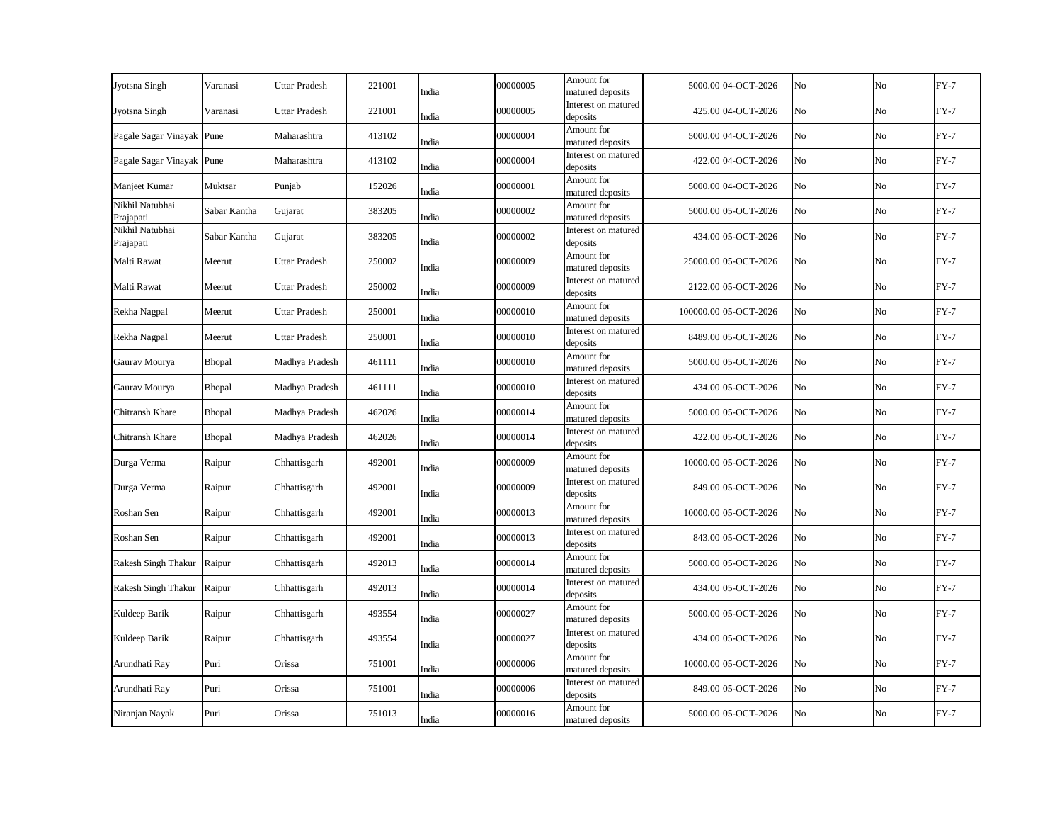| Jyotsna Singh                | Varanasi     | <b>Uttar Pradesh</b> | 221001 | India | 00000005 | Amount for<br>matured deposits  | 5000.00 04-OCT-2026   | No | No       | $FY-7$ |
|------------------------------|--------------|----------------------|--------|-------|----------|---------------------------------|-----------------------|----|----------|--------|
| Jyotsna Singh                | Varanasi     | Uttar Pradesh        | 221001 | India | 00000005 | Interest on matured<br>deposits | 425.00 04-OCT-2026    | No | No       | $FY-7$ |
| Pagale Sagar Vinayak Pune    |              | Maharashtra          | 413102 | India | 00000004 | Amount for<br>matured deposits  | 5000.00 04-OCT-2026   | No | No       | $FY-7$ |
| Pagale Sagar Vinayak Pune    |              | Maharashtra          | 413102 | India | 00000004 | Interest on matured<br>deposits | 422.00 04-OCT-2026    | No | No       | $FY-7$ |
| Manjeet Kumar                | Muktsar      | Punjab               | 152026 | India | 00000001 | Amount for<br>matured deposits  | 5000.00 04-OCT-2026   | No | $\rm No$ | $FY-7$ |
| Nikhil Natubhai<br>Prajapati | Sabar Kantha | Gujarat              | 383205 | India | 00000002 | Amount for<br>matured deposits  | 5000.00 05-OCT-2026   | No | No       | $FY-7$ |
| Nikhil Natubhai<br>Prajapati | Sabar Kantha | Gujarat              | 383205 | India | 00000002 | Interest on matured<br>deposits | 434.00 05-OCT-2026    | No | No       | $FY-7$ |
| Malti Rawat                  | Meerut       | Uttar Pradesh        | 250002 | India | 00000009 | Amount for<br>matured deposits  | 25000.00 05-OCT-2026  | No | No       | $FY-7$ |
| Malti Rawat                  | Meerut       | <b>Uttar Pradesh</b> | 250002 | India | 00000009 | Interest on matured<br>deposits | 2122.00 05-OCT-2026   | No | No       | $FY-7$ |
| Rekha Nagpal                 | Meerut       | Uttar Pradesh        | 250001 | India | 00000010 | Amount for<br>matured deposits  | 100000.00 05-OCT-2026 | No | No       | $FY-7$ |
| Rekha Nagpal                 | Meerut       | <b>Uttar Pradesh</b> | 250001 | India | 00000010 | Interest on matured<br>deposits | 8489.00 05-OCT-2026   | No | No       | $FY-7$ |
| Gaurav Mourya                | Bhopal       | Madhya Pradesh       | 461111 | India | 00000010 | Amount for<br>matured deposits  | 5000.00 05-OCT-2026   | No | No       | $FY-7$ |
| Gaurav Mourya                | Bhopal       | Madhya Pradesh       | 461111 | India | 00000010 | Interest on matured<br>deposits | 434.00 05-OCT-2026    | No | No       | $FY-7$ |
| Chitransh Khare              | Bhopal       | Madhya Pradesh       | 462026 | India | 00000014 | Amount for<br>matured deposits  | 5000.00 05-OCT-2026   | No | No       | $FY-7$ |
| Chitransh Khare              | Bhopal       | Madhya Pradesh       | 462026 | India | 00000014 | Interest on matured<br>deposits | 422.00 05-OCT-2026    | No | No       | $FY-7$ |
| Durga Verma                  | Raipur       | Chhattisgarh         | 492001 | India | 00000009 | Amount for<br>matured deposits  | 10000.00 05-OCT-2026  | No | No       | $FY-7$ |
| Durga Verma                  | Raipur       | Chhattisgarh         | 492001 | India | 00000009 | Interest on matured<br>deposits | 849.00 05-OCT-2026    | No | No       | $FY-7$ |
| Roshan Sen                   | Raipur       | Chhattisgarh         | 492001 | India | 00000013 | Amount for<br>matured deposits  | 10000.00 05-OCT-2026  | No | No       | $FY-7$ |
| Roshan Sen                   | Raipur       | Chhattisgarh         | 492001 | India | 00000013 | Interest on matured<br>deposits | 843.00 05-OCT-2026    | No | No       | $FY-7$ |
| <b>Rakesh Singh Thakur</b>   | Raipur       | Chhattisgarh         | 492013 | India | 00000014 | Amount for<br>matured deposits  | 5000.00 05-OCT-2026   | No | No       | $FY-7$ |
| Rakesh Singh Thakur          | Raipur       | Chhattisgarh         | 492013 | India | 00000014 | Interest on matured<br>deposits | 434.00 05-OCT-2026    | No | No       | $FY-7$ |
| Kuldeep Barik                | Raipur       | Chhattisgarh         | 493554 | India | 00000027 | Amount for<br>matured deposits  | 5000.00 05-OCT-2026   | No | No       | $FY-7$ |
| Kuldeep Barik                | Raipur       | Chhattisgarh         | 493554 | India | 00000027 | Interest on matured<br>deposits | 434.00 05-OCT-2026    | No | No       | $FY-7$ |
| Arundhati Ray                | Puri         | Orissa               | 751001 | India | 00000006 | Amount for<br>matured deposits  | 10000.00 05-OCT-2026  | No | No       | $FY-7$ |
| Arundhati Ray                | Puri         | Orissa               | 751001 | India | 00000006 | Interest on matured<br>deposits | 849.00 05-OCT-2026    | No | No       | $FY-7$ |
| Niranjan Nayak               | Puri         | Orissa               | 751013 | India | 00000016 | Amount for<br>matured deposits  | 5000.00 05-OCT-2026   | No | No       | $FY-7$ |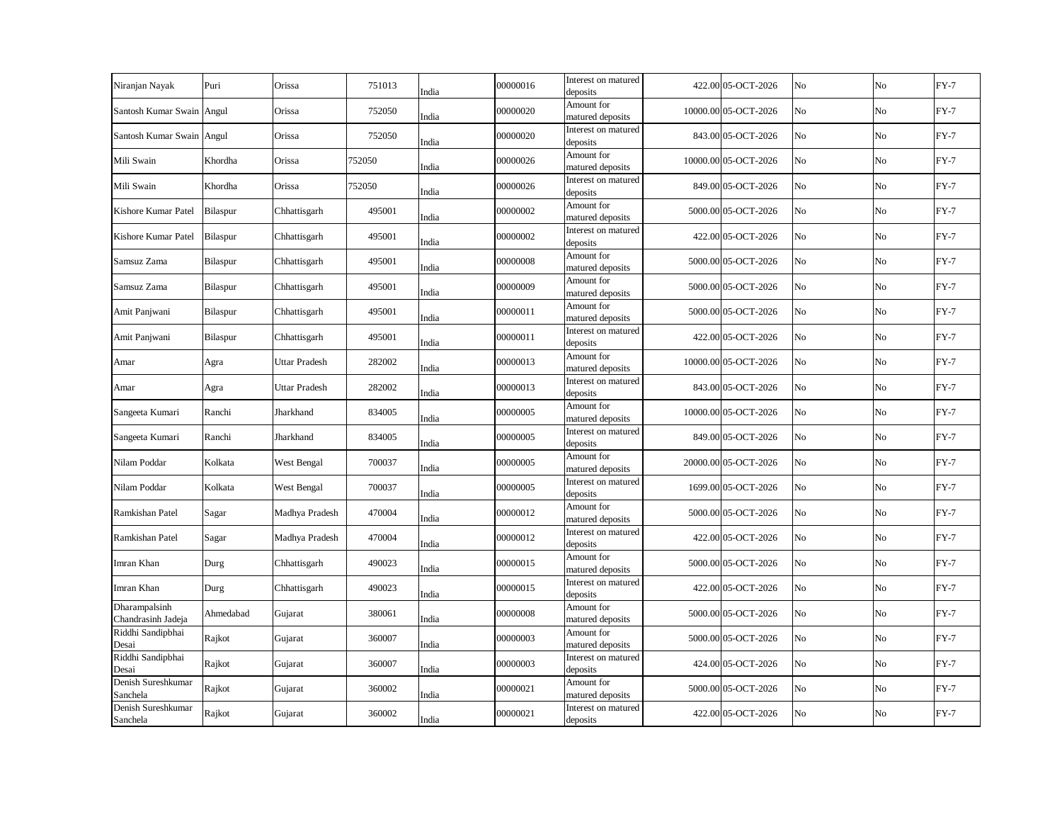| Niranjan Nayak                      | Puri      | Orissa         | 751013 | India | 00000016 | Interest on matured<br>deposits | 422.00 05-OCT-2026   | No | No | $FY-7$ |
|-------------------------------------|-----------|----------------|--------|-------|----------|---------------------------------|----------------------|----|----|--------|
| Santosh Kumar Swain Angul           |           | Orissa         | 752050 | India | 00000020 | Amount for<br>matured deposits  | 10000.00 05-OCT-2026 | No | No | $FY-7$ |
| Santosh Kumar Swain Angul           |           | Orissa         | 752050 | India | 00000020 | Interest on matured<br>deposits | 843.00 05-OCT-2026   | No | No | $FY-7$ |
| Mili Swain                          | Khordha   | Orissa         | 752050 | India | 00000026 | Amount for<br>matured deposits  | 10000.00 05-OCT-2026 | No | No | $FY-7$ |
| Mili Swain                          | Khordha   | Orissa         | 752050 | India | 00000026 | Interest on matured<br>deposits | 849.00 05-OCT-2026   | No | No | $FY-7$ |
| Kishore Kumar Patel                 | Bilaspur  | Chhattisgarh   | 495001 | India | 00000002 | Amount for<br>matured deposits  | 5000.00 05-OCT-2026  | No | No | $FY-7$ |
| Kishore Kumar Patel                 | Bilaspur  | Chhattisgarh   | 495001 | India | 00000002 | Interest on matured<br>deposits | 422.00 05-OCT-2026   | No | No | $FY-7$ |
| Samsuz Zama                         | Bilaspur  | Chhattisgarh   | 495001 | India | 00000008 | Amount for<br>matured deposits  | 5000.00 05-OCT-2026  | No | No | $FY-7$ |
| Samsuz Zama                         | Bilaspur  | Chhattisgarh   | 495001 | India | 00000009 | Amount for<br>matured deposits  | 5000.00 05-OCT-2026  | No | No | $FY-7$ |
| Amit Panjwani                       | Bilaspur  | Chhattisgarh   | 495001 | India | 00000011 | Amount for<br>matured deposits  | 5000.00 05-OCT-2026  | No | No | $FY-7$ |
| Amit Panjwani                       | Bilaspur  | Chhattisgarh   | 495001 | India | 00000011 | Interest on matured<br>deposits | 422.00 05-OCT-2026   | No | No | $FY-7$ |
| Amar                                | Agra      | Uttar Pradesh  | 282002 | India | 00000013 | Amount for<br>matured deposits  | 10000.00 05-OCT-2026 | No | No | $FY-7$ |
| Amar                                | Agra      | Uttar Pradesh  | 282002 | India | 00000013 | Interest on matured<br>deposits | 843.00 05-OCT-2026   | No | No | $FY-7$ |
| Sangeeta Kumari                     | Ranchi    | Jharkhand      | 834005 | India | 00000005 | Amount for<br>matured deposits  | 10000.00 05-OCT-2026 | No | No | $FY-7$ |
| Sangeeta Kumari                     | Ranchi    | Jharkhand      | 834005 | India | 00000005 | Interest on matured<br>deposits | 849.00 05-OCT-2026   | No | No | $FY-7$ |
| Nilam Poddar                        | Kolkata   | West Bengal    | 700037 | India | 00000005 | Amount for<br>matured deposits  | 20000.00 05-OCT-2026 | No | No | $FY-7$ |
| Nilam Poddar                        | Kolkata   | West Bengal    | 700037 | India | 00000005 | Interest on matured<br>deposits | 1699.00 05-OCT-2026  | No | No | $FY-7$ |
| Ramkishan Patel                     | Sagar     | Madhya Pradesh | 470004 | India | 00000012 | Amount for<br>matured deposits  | 5000.00 05-OCT-2026  | No | No | $FY-7$ |
| Ramkishan Patel                     | Sagar     | Madhya Pradesh | 470004 | India | 00000012 | Interest on matured<br>deposits | 422.00 05-OCT-2026   | No | No | $FY-7$ |
| Imran Khan                          | Durg      | Chhattisgarh   | 490023 | India | 00000015 | Amount for<br>matured deposits  | 5000.00 05-OCT-2026  | No | No | $FY-7$ |
| Imran Khan                          | Durg      | Chhattisgarh   | 490023 | India | 00000015 | Interest on matured<br>deposits | 422.00 05-OCT-2026   | No | No | $FY-7$ |
| Dharampalsinh<br>Chandrasinh Jadeja | Ahmedabad | Gujarat        | 380061 | India | 00000008 | Amount for<br>matured deposits  | 5000.00 05-OCT-2026  | No | No | $FY-7$ |
| Riddhi Sandipbhai<br>Desai          | Rajkot    | Gujarat        | 360007 | India | 00000003 | Amount for<br>matured deposits  | 5000.00 05-OCT-2026  | No | No | $FY-7$ |
| Riddhi Sandipbhai<br>Desai          | Rajkot    | Gujarat        | 360007 | India | 00000003 | Interest on matured<br>deposits | 424.00 05-OCT-2026   | No | No | $FY-7$ |
| Denish Sureshkumar<br>Sanchela      | Rajkot    | Gujarat        | 360002 | India | 00000021 | Amount for<br>matured deposits  | 5000.00 05-OCT-2026  | No | No | $FY-7$ |
| Denish Sureshkumar<br>Sanchela      | Rajkot    | Gujarat        | 360002 | India | 00000021 | Interest on matured<br>deposits | 422.00 05-OCT-2026   | No | No | $FY-7$ |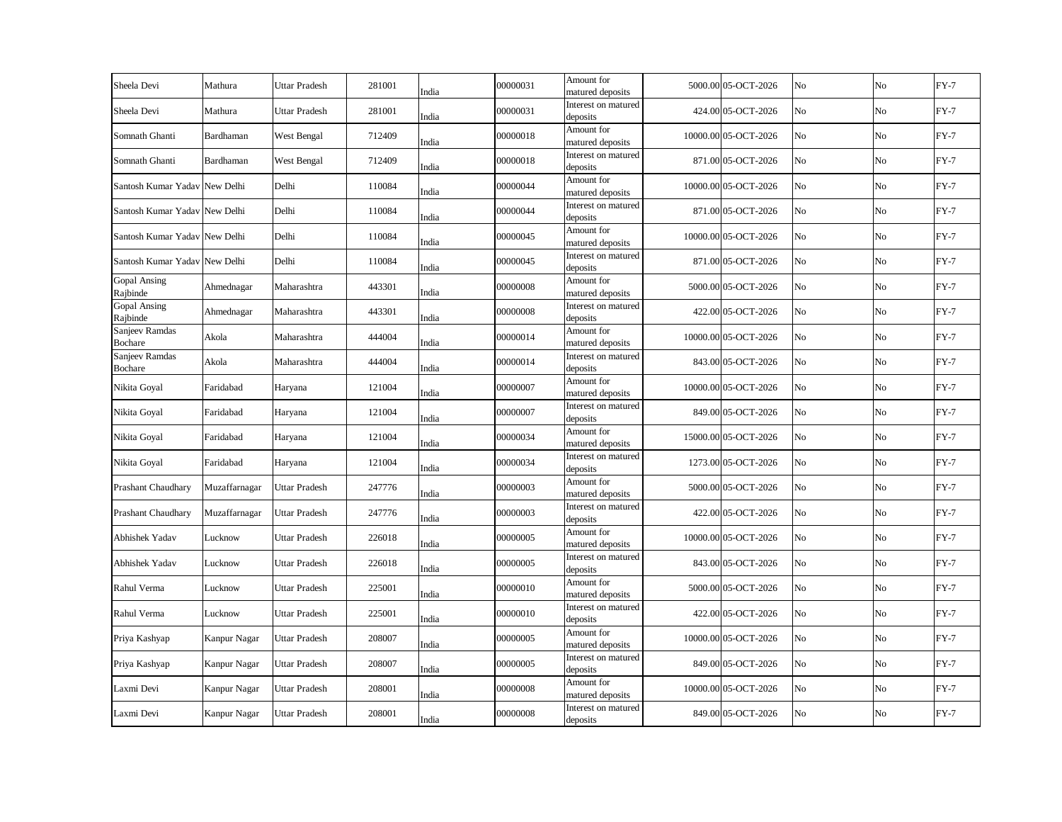| Sheela Devi                     | Mathura       | <b>Uttar Pradesh</b> | 281001 | India | 00000031 | Amount for<br>matured deposits  | 5000.00 05-OCT-2026  | No | No             | $FY-7$ |
|---------------------------------|---------------|----------------------|--------|-------|----------|---------------------------------|----------------------|----|----------------|--------|
| Sheela Devi                     | Mathura       | <b>Uttar Pradesh</b> | 281001 | India | 00000031 | Interest on matured<br>deposits | 424.00 05-OCT-2026   | No | No             | $FY-7$ |
| Somnath Ghanti                  | Bardhaman     | West Bengal          | 712409 | India | 00000018 | Amount for<br>matured deposits  | 10000.00 05-OCT-2026 | No | No             | $FY-7$ |
| Somnath Ghanti                  | Bardhaman     | West Bengal          | 712409 | India | 00000018 | Interest on matured<br>deposits | 871.00 05-OCT-2026   | No | No             | $FY-7$ |
| Santosh Kumar Yadav New Delhi   |               | Delhi                | 110084 | India | 00000044 | Amount for<br>matured deposits  | 10000.00 05-OCT-2026 | No | N <sub>o</sub> | $FY-7$ |
| Santosh Kumar Yadav New Delhi   |               | Delhi                | 110084 | India | 00000044 | Interest on matured<br>deposits | 871.00 05-OCT-2026   | No | No             | $FY-7$ |
| Santosh Kumar Yadav New Delhi   |               | Delhi                | 110084 | India | 00000045 | Amount for<br>matured deposits  | 10000.00 05-OCT-2026 | No | No             | $FY-7$ |
| Santosh Kumar Yadav New Delhi   |               | Delhi                | 110084 | India | 00000045 | Interest on matured<br>deposits | 871.00 05-OCT-2026   | No | No             | $FY-7$ |
| <b>Gopal Ansing</b><br>Rajbinde | Ahmednagar    | Maharashtra          | 443301 | India | 00000008 | Amount for<br>matured deposits  | 5000.00 05-OCT-2026  | No | No             | $FY-7$ |
| <b>Gopal Ansing</b><br>Rajbinde | Ahmednagar    | Maharashtra          | 443301 | India | 00000008 | Interest on matured<br>deposits | 422.00 05-OCT-2026   | No | No             | $FY-7$ |
| Sanjeev Ramdas<br>Bochare       | Akola         | Maharashtra          | 444004 | India | 00000014 | Amount for<br>matured deposits  | 10000.00 05-OCT-2026 | No | No             | $FY-7$ |
| Sanjeev Ramdas<br>Bochare       | Akola         | Maharashtra          | 444004 | India | 00000014 | Interest on matured<br>deposits | 843.00 05-OCT-2026   | No | No             | $FY-7$ |
| Nikita Goyal                    | Faridabad     | Haryana              | 121004 | India | 00000007 | Amount for<br>matured deposits  | 10000.00 05-OCT-2026 | No | No             | $FY-7$ |
| Nikita Goyal                    | Faridabad     | Haryana              | 121004 | India | 00000007 | Interest on matured<br>deposits | 849.00 05-OCT-2026   | No | No             | $FY-7$ |
| Nikita Goyal                    | Faridabad     | Haryana              | 121004 | India | 00000034 | Amount for<br>matured deposits  | 15000.00 05-OCT-2026 | No | No             | $FY-7$ |
| Nikita Goyal                    | Faridabad     | Haryana              | 121004 | India | 00000034 | Interest on matured<br>deposits | 1273.00 05-OCT-2026  | No | No             | $FY-7$ |
| Prashant Chaudhary              | Muzaffarnagar | Uttar Pradesh        | 247776 | India | 00000003 | Amount for<br>matured deposits  | 5000.00 05-OCT-2026  | No | No             | $FY-7$ |
| Prashant Chaudhary              | Muzaffarnagar | Uttar Pradesh        | 247776 | India | 00000003 | Interest on matured<br>deposits | 422.00 05-OCT-2026   | No | No             | $FY-7$ |
| Abhishek Yadav                  | Lucknow       | <b>Uttar Pradesh</b> | 226018 | India | 00000005 | Amount for<br>matured deposits  | 10000.00 05-OCT-2026 | No | No             | $FY-7$ |
| Abhishek Yadav                  | Lucknow       | Uttar Pradesh        | 226018 | India | 00000005 | Interest on matured<br>deposits | 843.00 05-OCT-2026   | No | No             | $FY-7$ |
| Rahul Verma                     | Lucknow       | <b>Uttar Pradesh</b> | 225001 | India | 00000010 | Amount for<br>matured deposits  | 5000.00 05-OCT-2026  | No | No             | $FY-7$ |
| Rahul Verma                     | Lucknow       | <b>Uttar Pradesh</b> | 225001 | India | 00000010 | Interest on matured<br>deposits | 422.00 05-OCT-2026   | No | No             | $FY-7$ |
| Priya Kashyap                   | Kanpur Nagar  | <b>Uttar Pradesh</b> | 208007 | India | 00000005 | Amount for<br>matured deposits  | 10000.00 05-OCT-2026 | No | No             | $FY-7$ |
| Priya Kashyap                   | Kanpur Nagar  | <b>Uttar Pradesh</b> | 208007 | India | 00000005 | Interest on matured<br>deposits | 849.00 05-OCT-2026   | No | No             | $FY-7$ |
| Laxmi Devi                      | Kanpur Nagar  | <b>Uttar Pradesh</b> | 208001 | India | 00000008 | Amount for<br>matured deposits  | 10000.00 05-OCT-2026 | No | No             | $FY-7$ |
| Laxmi Devi                      | Kanpur Nagar  | <b>Uttar Pradesh</b> | 208001 | India | 00000008 | Interest on matured<br>deposits | 849.00 05-OCT-2026   | No | No             | $FY-7$ |
|                                 |               |                      |        |       |          |                                 |                      |    |                |        |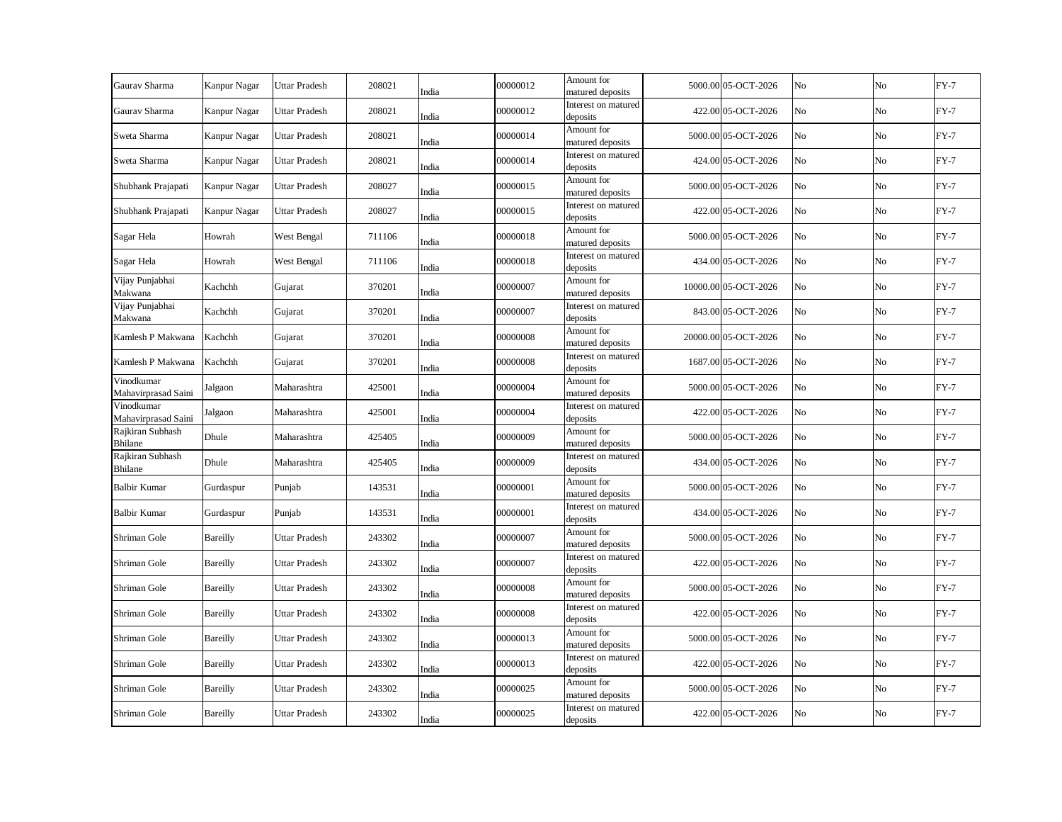| Gaurav Sharma                      | Kanpur Nagar | <b>Uttar Pradesh</b> | 208021 | India | 00000012 | Amount for<br>matured deposits  | 5000.00 05-OCT-2026  | No | No             | $FY-7$ |
|------------------------------------|--------------|----------------------|--------|-------|----------|---------------------------------|----------------------|----|----------------|--------|
| Gaurav Sharma                      | Kanpur Nagar | <b>Uttar Pradesh</b> | 208021 | India | 00000012 | Interest on matured<br>deposits | 422.00 05-OCT-2026   | No | No             | $FY-7$ |
| Sweta Sharma                       | Kanpur Nagar | <b>Uttar Pradesh</b> | 208021 | India | 00000014 | Amount for<br>matured deposits  | 5000.00 05-OCT-2026  | No | No             | $FY-7$ |
| Sweta Sharma                       | Kanpur Nagar | <b>Uttar Pradesh</b> | 208021 | India | 00000014 | Interest on matured<br>deposits | 424.00 05-OCT-2026   | No | No             | $FY-7$ |
| Shubhank Prajapati                 | Kanpur Nagar | <b>Uttar Pradesh</b> | 208027 | India | 00000015 | Amount for<br>matured deposits  | 5000.00 05-OCT-2026  | No | N <sub>o</sub> | $FY-7$ |
| Shubhank Prajapati                 | Kanpur Nagar | <b>Uttar Pradesh</b> | 208027 | India | 00000015 | Interest on matured<br>deposits | 422.00 05-OCT-2026   | No | No             | $FY-7$ |
| Sagar Hela                         | Howrah       | West Bengal          | 711106 | India | 00000018 | Amount for<br>matured deposits  | 5000.00 05-OCT-2026  | No | No             | $FY-7$ |
| Sagar Hela                         | Howrah       | West Bengal          | 711106 | India | 00000018 | Interest on matured<br>deposits | 434.00 05-OCT-2026   | No | No             | $FY-7$ |
| Vijay Punjabhai<br>Makwana         | Kachchh      | Gujarat              | 370201 | India | 00000007 | Amount for<br>matured deposits  | 10000.00 05-OCT-2026 | No | No             | $FY-7$ |
| Vijay Punjabhai<br>Makwana         | Kachchh      | Gujarat              | 370201 | India | 00000007 | Interest on matured<br>deposits | 843.00 05-OCT-2026   | No | No             | $FY-7$ |
| Kamlesh P Makwana                  | Kachchh      | Gujarat              | 370201 | India | 00000008 | Amount for<br>matured deposits  | 20000.00 05-OCT-2026 | No | No             | $FY-7$ |
| Kamlesh P Makwana                  | Kachchh      | Gujarat              | 370201 | India | 00000008 | Interest on matured<br>deposits | 1687.00 05-OCT-2026  | No | No             | $FY-7$ |
| Vinodkumar<br>Mahavirprasad Saini  | Jalgaon      | Maharashtra          | 425001 | India | 00000004 | Amount for<br>matured deposits  | 5000.00 05-OCT-2026  | No | No             | $FY-7$ |
| Vinodkumar<br>Mahavirprasad Saini  | Jalgaon      | Maharashtra          | 425001 | India | 00000004 | Interest on matured<br>deposits | 422.00 05-OCT-2026   | No | No             | $FY-7$ |
| Rajkiran Subhash<br><b>Bhilane</b> | Dhule        | Maharashtra          | 425405 | India | 00000009 | Amount for<br>matured deposits  | 5000.00 05-OCT-2026  | No | No             | $FY-7$ |
| Rajkiran Subhash<br><b>Bhilane</b> | Dhule        | Maharashtra          | 425405 | India | 00000009 | Interest on matured<br>deposits | 434.00 05-OCT-2026   | No | No             | $FY-7$ |
| <b>Balbir Kumar</b>                | Gurdaspur    | Punjab               | 143531 | India | 00000001 | Amount for<br>matured deposits  | 5000.00 05-OCT-2026  | No | No             | $FY-7$ |
| <b>Balbir Kumar</b>                | Gurdaspur    | Punjab               | 143531 | India | 00000001 | Interest on matured<br>deposits | 434.00 05-OCT-2026   | No | No             | $FY-7$ |
| Shriman Gole                       | Bareilly     | Uttar Pradesh        | 243302 | India | 00000007 | Amount for<br>matured deposits  | 5000.00 05-OCT-2026  | No | No             | $FY-7$ |
| Shriman Gole                       | Bareilly     | Uttar Pradesh        | 243302 | India | 00000007 | Interest on matured<br>deposits | 422.00 05-OCT-2026   | No | No             | $FY-7$ |
| Shriman Gole                       | Bareilly     | Uttar Pradesh        | 243302 | India | 00000008 | Amount for<br>matured deposits  | 5000.00 05-OCT-2026  | No | No             | $FY-7$ |
| Shriman Gole                       | Bareilly     | <b>Uttar Pradesh</b> | 243302 | India | 00000008 | Interest on matured<br>deposits | 422.00 05-OCT-2026   | No | No             | $FY-7$ |
| Shriman Gole                       | Bareilly     | <b>Uttar Pradesh</b> | 243302 | India | 00000013 | Amount for<br>matured deposits  | 5000.00 05-OCT-2026  | No | No             | $FY-7$ |
| Shriman Gole                       | Bareilly     | <b>Uttar Pradesh</b> | 243302 | India | 00000013 | Interest on matured<br>deposits | 422.00 05-OCT-2026   | No | No             | $FY-7$ |
| Shriman Gole                       | Bareilly     | Uttar Pradesh        | 243302 | India | 00000025 | Amount for<br>matured deposits  | 5000.00 05-OCT-2026  | No | No             | $FY-7$ |
| Shriman Gole                       | Bareilly     | <b>Uttar Pradesh</b> | 243302 | India | 00000025 | Interest on matured<br>deposits | 422.00 05-OCT-2026   | No | No             | $FY-7$ |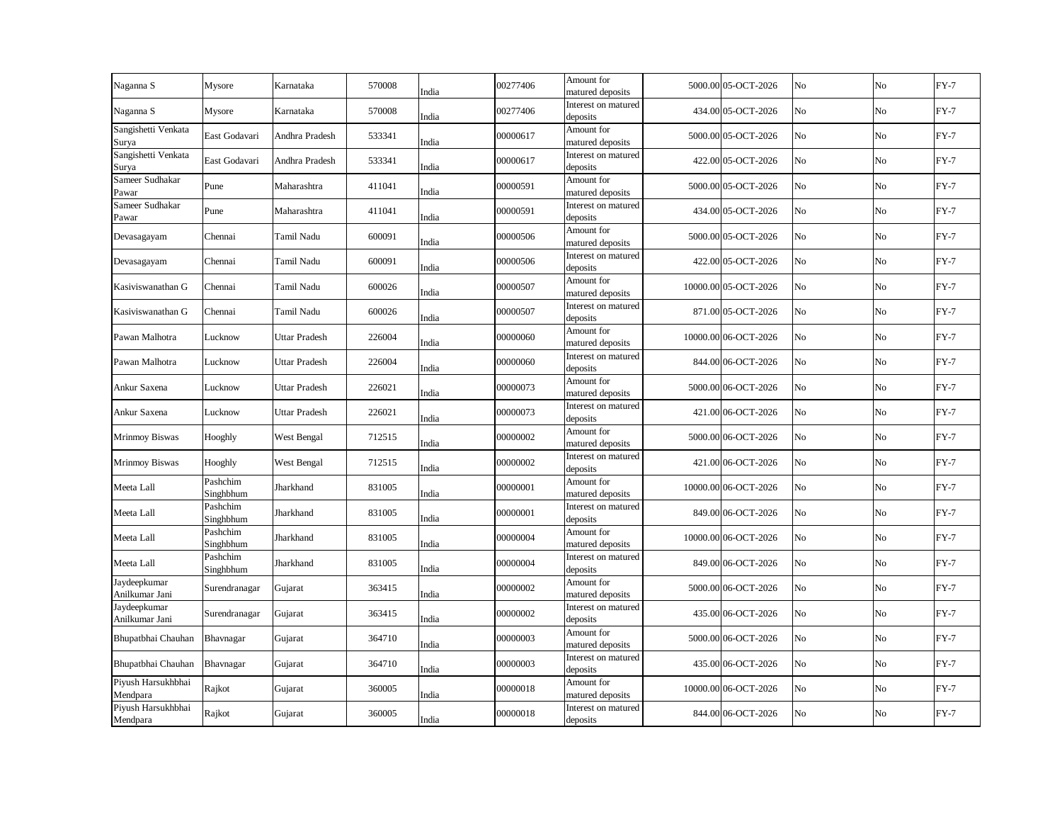| Naganna S                      | Mysore                | Karnataka            | 570008 | India | 00277406 | Amount for<br>matured deposits  | 5000.00 05-OCT-2026  | No | No             | $FY-7$ |
|--------------------------------|-----------------------|----------------------|--------|-------|----------|---------------------------------|----------------------|----|----------------|--------|
| Naganna S                      | Mysore                | Karnataka            | 570008 | India | 00277406 | Interest on matured<br>deposits | 434.00 05-OCT-2026   | No | No             | $FY-7$ |
| Sangishetti Venkata<br>Surya   | East Godavari         | Andhra Pradesh       | 533341 | India | 00000617 | Amount for<br>matured deposits  | 5000.00 05-OCT-2026  | No | No             | $FY-7$ |
| Sangishetti Venkata<br>Surya   | East Godavari         | Andhra Pradesh       | 533341 | India | 00000617 | Interest on matured<br>deposits | 422.00 05-OCT-2026   | No | No             | $FY-7$ |
| Sameer Sudhakar<br>Pawar       | Pune                  | Maharashtra          | 411041 | India | 00000591 | Amount for<br>matured deposits  | 5000.00 05-OCT-2026  | No | No             | $FY-7$ |
| Sameer Sudhakar<br>Pawar       | Pune                  | Maharashtra          | 411041 | India | 00000591 | Interest on matured<br>deposits | 434.00 05-OCT-2026   | No | N <sub>o</sub> | $FY-7$ |
| Devasagayam                    | Chennai               | Tamil Nadu           | 600091 | India | 00000506 | Amount for<br>matured deposits  | 5000.00 05-OCT-2026  | No | No             | $FY-7$ |
| Devasagayam                    | Chennai               | Tamil Nadu           | 600091 | India | 00000506 | Interest on matured<br>deposits | 422.00 05-OCT-2026   | No | No             | $FY-7$ |
| Kasiviswanathan G              | Chennai               | Tamil Nadu           | 600026 | India | 00000507 | Amount for<br>matured deposits  | 10000.00 05-OCT-2026 | No | No             | $FY-7$ |
| Kasiviswanathan G              | Chennai               | Tamil Nadu           | 600026 | India | 00000507 | Interest on matured<br>deposits | 871.00 05-OCT-2026   | No | No             | $FY-7$ |
| Pawan Malhotra                 | Lucknow               | Uttar Pradesh        | 226004 | India | 00000060 | Amount for<br>matured deposits  | 10000.00 06-OCT-2026 | No | No             | $FY-7$ |
| Pawan Malhotra                 | Lucknow               | Uttar Pradesh        | 226004 | India | 00000060 | Interest on matured<br>deposits | 844.00 06-OCT-2026   | No | No             | $FY-7$ |
| Ankur Saxena                   | Lucknow               | Uttar Pradesh        | 226021 | India | 00000073 | Amount for<br>matured deposits  | 5000.00 06-OCT-2026  | No | No             | $FY-7$ |
| Ankur Saxena                   | Lucknow               | <b>Uttar Pradesh</b> | 226021 | India | 00000073 | Interest on matured<br>deposits | 421.00 06-OCT-2026   | No | No             | $FY-7$ |
| Mrinmoy Biswas                 | Hooghly               | West Bengal          | 712515 | India | 00000002 | Amount for<br>matured deposits  | 5000.00 06-OCT-2026  | No | No             | $FY-7$ |
| Mrinmoy Biswas                 | Hooghly               | West Bengal          | 712515 | India | 00000002 | Interest on matured<br>deposits | 421.00 06-OCT-2026   | No | No             | $FY-7$ |
| Meeta Lall                     | Pashchim<br>Singhbhum | Jharkhand            | 831005 | India | 00000001 | Amount for<br>matured deposits  | 10000.00 06-OCT-2026 | No | No             | $FY-7$ |
| Meeta Lall                     | Pashchim<br>Singhbhum | Jharkhand            | 831005 | India | 00000001 | Interest on matured<br>deposits | 849.00 06-OCT-2026   | No | No             | $FY-7$ |
| Meeta Lall                     | Pashchim<br>Singhbhum | Jharkhand            | 831005 | India | 00000004 | Amount for<br>matured deposits  | 10000.00 06-OCT-2026 | No | No             | $FY-7$ |
| Meeta Lall                     | Pashchim<br>Singhbhum | Jharkhand            | 831005 | India | 00000004 | Interest on matured<br>deposits | 849.00 06-OCT-2026   | No | No             | $FY-7$ |
| Jaydeepkumar<br>Anilkumar Jani | Surendranagar         | Gujarat              | 363415 | India | 00000002 | Amount for<br>matured deposits  | 5000.00 06-OCT-2026  | No | No             | $FY-7$ |
| Jaydeepkumar<br>Anilkumar Jani | Surendranagar         | Gujarat              | 363415 | India | 00000002 | Interest on matured<br>deposits | 435.00 06-OCT-2026   | No | No             | $FY-7$ |
| Bhupatbhai Chauhan             | Bhavnagar             | Gujarat              | 364710 | India | 00000003 | Amount for<br>matured deposits  | 5000.00 06-OCT-2026  | No | No             | $FY-7$ |
| Bhupatbhai Chauhan             | Bhavnagar             | Gujarat              | 364710 | India | 00000003 | Interest on matured<br>deposits | 435.00 06-OCT-2026   | No | No             | $FY-7$ |
| Piyush Harsukhbhai<br>Mendpara | Rajkot                | Gujarat              | 360005 | India | 00000018 | Amount for<br>matured deposits  | 10000.00 06-OCT-2026 | No | No             | $FY-7$ |
| Piyush Harsukhbhai<br>Mendpara | Rajkot                | Gujarat              | 360005 | India | 00000018 | Interest on matured<br>deposits | 844.00 06-OCT-2026   | No | No             | $FY-7$ |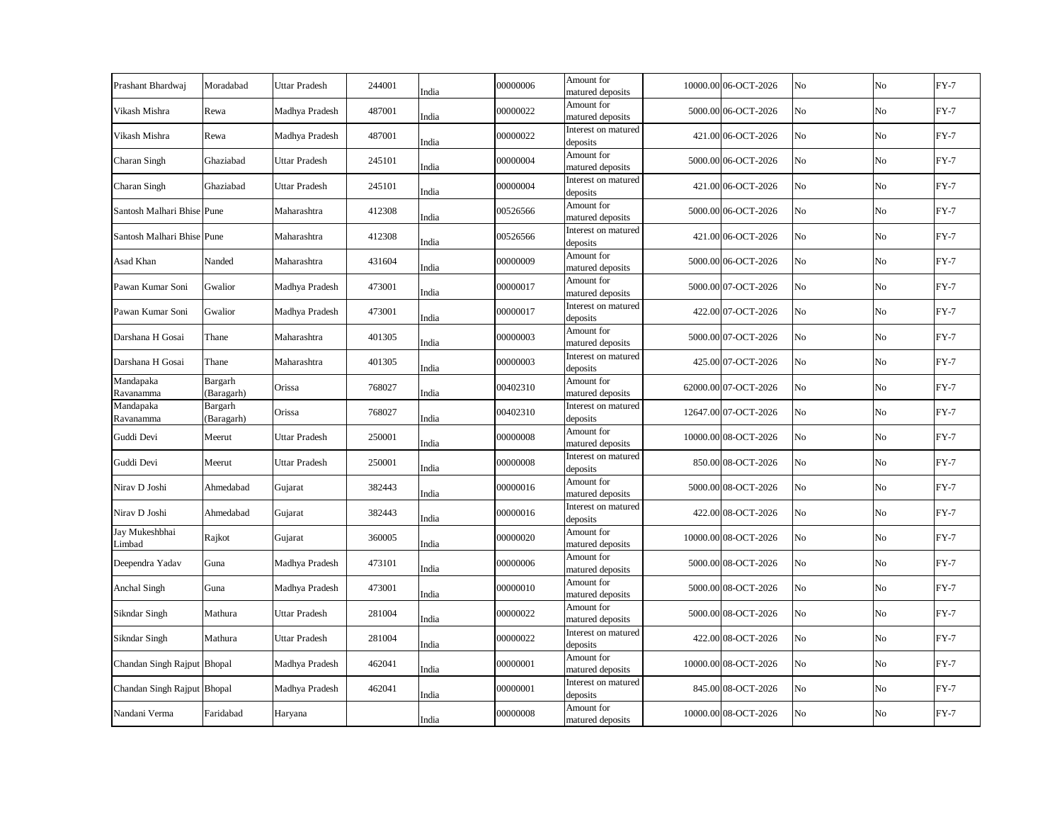| Prashant Bhardwaj           | Moradabad             | Uttar Pradesh        | 244001 | India | 00000006 | Amount for<br>matured deposits  | 10000.00 06-OCT-2026 | No | No             | $FY-7$ |
|-----------------------------|-----------------------|----------------------|--------|-------|----------|---------------------------------|----------------------|----|----------------|--------|
| Vikash Mishra               | Rewa                  | Madhya Pradesh       | 487001 | India | 00000022 | Amount for<br>matured deposits  | 5000.00 06-OCT-2026  | No | No             | $FY-7$ |
| Vikash Mishra               | Rewa                  | Madhya Pradesh       | 487001 | India | 00000022 | Interest on matured<br>deposits | 421.00 06-OCT-2026   | No | No             | $FY-7$ |
| Charan Singh                | Ghaziabad             | Uttar Pradesh        | 245101 | India | 00000004 | Amount for<br>matured deposits  | 5000.00 06-OCT-2026  | No | No             | $FY-7$ |
| Charan Singh                | Ghaziabad             | Uttar Pradesh        | 245101 | India | 00000004 | Interest on matured<br>deposits | 421.00 06-OCT-2026   | No | No             | $FY-7$ |
| Santosh Malhari Bhise Pune  |                       | Maharashtra          | 412308 | India | 00526566 | Amount for<br>matured deposits  | 5000.00 06-OCT-2026  | No | N <sub>o</sub> | $FY-7$ |
| Santosh Malhari Bhise Pune  |                       | Maharashtra          | 412308 | India | 00526566 | Interest on matured<br>deposits | 421.00 06-OCT-2026   | No | No             | $FY-7$ |
| Asad Khan                   | Nanded                | Maharashtra          | 431604 | India | 00000009 | Amount for<br>matured deposits  | 5000.00 06-OCT-2026  | No | No             | $FY-7$ |
| Pawan Kumar Soni            | Gwalior               | Madhya Pradesh       | 473001 | India | 00000017 | Amount for<br>matured deposits  | 5000.00 07-OCT-2026  | No | No             | $FY-7$ |
| Pawan Kumar Soni            | Gwalior               | Madhya Pradesh       | 473001 | India | 00000017 | Interest on matured<br>deposits | 422.00 07-OCT-2026   | No | No             | $FY-7$ |
| Darshana H Gosai            | Thane                 | Maharashtra          | 401305 | India | 00000003 | Amount for<br>matured deposits  | 5000.00 07-OCT-2026  | No | No             | $FY-7$ |
| Darshana H Gosai            | Thane                 | Maharashtra          | 401305 | India | 00000003 | Interest on matured<br>deposits | 425.00 07-OCT-2026   | No | No             | $FY-7$ |
| Mandapaka<br>Ravanamma      | Bargarh<br>(Baragarh) | Orissa               | 768027 | India | 00402310 | Amount for<br>matured deposits  | 62000.00 07-OCT-2026 | No | No             | $FY-7$ |
| Mandapaka<br>Ravanamma      | Bargarh<br>(Baragarh) | Orissa               | 768027 | India | 00402310 | Interest on matured<br>deposits | 12647.00 07-OCT-2026 | No | No             | $FY-7$ |
| Guddi Devi                  | Meerut                | Uttar Pradesh        | 250001 | India | 00000008 | Amount for<br>matured deposits  | 10000.00 08-OCT-2026 | No | No             | $FY-7$ |
| Guddi Devi                  | Meerut                | <b>Uttar Pradesh</b> | 250001 | India | 00000008 | Interest on matured<br>deposits | 850.00 08-OCT-2026   | No | No             | $FY-7$ |
| Nirav D Joshi               | Ahmedabad             | Gujarat              | 382443 | India | 00000016 | Amount for<br>matured deposits  | 5000.00 08-OCT-2026  | No | No             | $FY-7$ |
| Nirav D Joshi               | Ahmedabad             | Gujarat              | 382443 | India | 00000016 | Interest on matured<br>deposits | 422.00 08-OCT-2026   | No | No             | $FY-7$ |
| Jay Mukeshbhai<br>Limbad    | Rajkot                | Gujarat              | 360005 | India | 00000020 | Amount for<br>matured deposits  | 10000.00 08-OCT-2026 | No | No             | $FY-7$ |
| Deependra Yadav             | Guna                  | Madhya Pradesh       | 473101 | India | 00000006 | Amount for<br>matured deposits  | 5000.00 08-OCT-2026  | No | No             | $FY-7$ |
| Anchal Singh                | Guna                  | Madhya Pradesh       | 473001 | India | 00000010 | Amount for<br>matured deposits  | 5000.00 08-OCT-2026  | No | No             | $FY-7$ |
| Sikndar Singh               | Mathura               | Uttar Pradesh        | 281004 | India | 00000022 | Amount for<br>matured deposits  | 5000.00 08-OCT-2026  | No | No             | $FY-7$ |
| Sikndar Singh               | Mathura               | <b>Uttar Pradesh</b> | 281004 | India | 00000022 | Interest on matured<br>deposits | 422.00 08-OCT-2026   | No | No             | $FY-7$ |
| Chandan Singh Rajput Bhopal |                       | Madhya Pradesh       | 462041 | India | 00000001 | Amount for<br>matured deposits  | 10000.00 08-OCT-2026 | No | No             | $FY-7$ |
| Chandan Singh Rajput Bhopal |                       | Madhya Pradesh       | 462041 | India | 00000001 | Interest on matured<br>deposits | 845.00 08-OCT-2026   | No | No             | $FY-7$ |
| Nandani Verma               | Faridabad             | Haryana              |        | India | 00000008 | Amount for<br>matured deposits  | 10000.00 08-OCT-2026 | No | No             | $FY-7$ |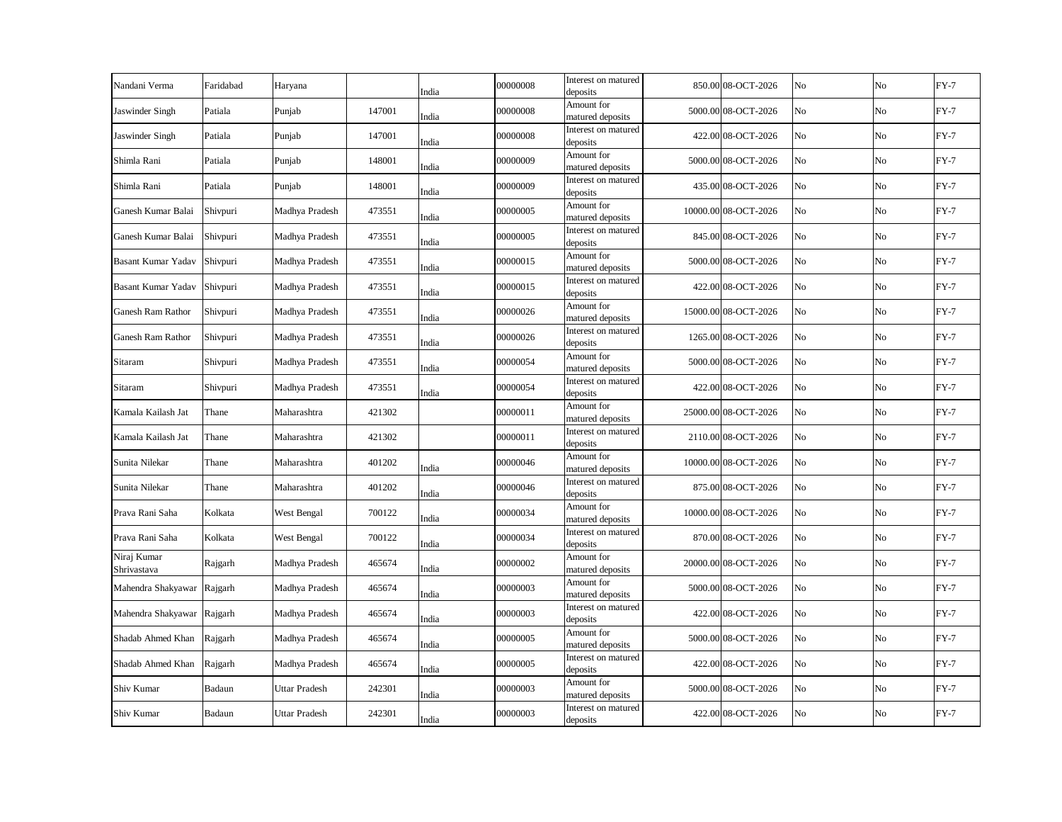| Nandani Verma              | Faridabad | Haryana              |        | India | 00000008 | Interest on matured<br>deposits | 850.00 08-OCT-2026   | No | No             | $FY-7$ |
|----------------------------|-----------|----------------------|--------|-------|----------|---------------------------------|----------------------|----|----------------|--------|
| Jaswinder Singh            | Patiala   | Punjab               | 147001 | India | 00000008 | Amount for<br>matured deposits  | 5000.00 08-OCT-2026  | No | No             | $FY-7$ |
| Jaswinder Singh            | Patiala   | Punjab               | 147001 | India | 00000008 | Interest on matured<br>deposits | 422.00 08-OCT-2026   | No | No             | $FY-7$ |
| Shimla Rani                | Patiala   | Punjab               | 148001 | India | 00000009 | Amount for<br>matured deposits  | 5000.00 08-OCT-2026  | No | No             | $FY-7$ |
| Shimla Rani                | Patiala   | Punjab               | 148001 | India | 00000009 | Interest on matured<br>deposits | 435.00 08-OCT-2026   | No | N <sub>o</sub> | $FY-7$ |
| Ganesh Kumar Balai         | Shivpuri  | Madhya Pradesh       | 473551 | India | 00000005 | Amount for<br>matured deposits  | 10000.00 08-OCT-2026 | No | No             | $FY-7$ |
| Ganesh Kumar Balai         | Shivpuri  | Madhya Pradesh       | 473551 | India | 00000005 | Interest on matured<br>deposits | 845.00 08-OCT-2026   | No | No             | $FY-7$ |
| <b>Basant Kumar Yadav</b>  | Shivpuri  | Madhya Pradesh       | 473551 | India | 00000015 | Amount for<br>matured deposits  | 5000.00 08-OCT-2026  | No | No             | $FY-7$ |
| <b>Basant Kumar Yadav</b>  | Shivpuri  | Madhya Pradesh       | 473551 | India | 00000015 | Interest on matured<br>deposits | 422.00 08-OCT-2026   | No | No             | $FY-7$ |
| Ganesh Ram Rathor          | Shivpuri  | Madhya Pradesh       | 473551 | India | 00000026 | Amount for<br>matured deposits  | 15000.00 08-OCT-2026 | No | No             | $FY-7$ |
| Ganesh Ram Rathor          | Shivpuri  | Madhya Pradesh       | 473551 | India | 00000026 | Interest on matured<br>deposits | 1265.00 08-OCT-2026  | No | No             | $FY-7$ |
| Sitaram                    | Shivpuri  | Madhya Pradesh       | 473551 | India | 00000054 | Amount for<br>matured deposits  | 5000.00 08-OCT-2026  | No | No             | $FY-7$ |
| Sitaram                    | Shivpuri  | Madhya Pradesh       | 473551 | India | 00000054 | Interest on matured<br>deposits | 422.00 08-OCT-2026   | No | No             | $FY-7$ |
| Kamala Kailash Jat         | Thane     | Maharashtra          | 421302 |       | 00000011 | Amount for<br>matured deposits  | 25000.00 08-OCT-2026 | No | No             | $FY-7$ |
| Kamala Kailash Jat         | Thane     | Maharashtra          | 421302 |       | 00000011 | Interest on matured<br>deposits | 2110.00 08-OCT-2026  | No | No             | $FY-7$ |
| Sunita Nilekar             | Thane     | Maharashtra          | 401202 | India | 00000046 | Amount for<br>matured deposits  | 10000.00 08-OCT-2026 | No | No             | $FY-7$ |
| Sunita Nilekar             | Thane     | Maharashtra          | 401202 | India | 00000046 | Interest on matured<br>deposits | 875.00 08-OCT-2026   | No | No             | $FY-7$ |
| Prava Rani Saha            | Kolkata   | West Bengal          | 700122 | India | 00000034 | Amount for<br>matured deposits  | 10000.00 08-OCT-2026 | No | No             | $FY-7$ |
| Prava Rani Saha            | Kolkata   | West Bengal          | 700122 | India | 00000034 | Interest on matured<br>deposits | 870.00 08-OCT-2026   | No | No             | $FY-7$ |
| Niraj Kumar<br>Shrivastava | Rajgarh   | Madhya Pradesh       | 465674 | India | 00000002 | Amount for<br>matured deposits  | 20000.00 08-OCT-2026 | No | No             | $FY-7$ |
| Mahendra Shakyawar Rajgarh |           | Madhya Pradesh       | 465674 | India | 00000003 | Amount for<br>matured deposits  | 5000.00 08-OCT-2026  | No | No             | $FY-7$ |
| Mahendra Shakyawar Rajgarh |           | Madhya Pradesh       | 465674 | India | 00000003 | Interest on matured<br>deposits | 422.00 08-OCT-2026   | No | No             | $FY-7$ |
| Shadab Ahmed Khan          | Rajgarh   | Madhya Pradesh       | 465674 | India | 00000005 | Amount for<br>matured deposits  | 5000.00 08-OCT-2026  | No | No             | $FY-7$ |
| Shadab Ahmed Khan          | Rajgarh   | Madhya Pradesh       | 465674 | India | 00000005 | Interest on matured<br>deposits | 422.00 08-OCT-2026   | No | No             | $FY-7$ |
| Shiv Kumar                 | Badaun    | <b>Uttar Pradesh</b> | 242301 | India | 00000003 | Amount for<br>matured deposits  | 5000.00 08-OCT-2026  | No | No             | $FY-7$ |
| Shiv Kumar                 | Badaun    | <b>Uttar Pradesh</b> | 242301 | India | 00000003 | Interest on matured<br>deposits | 422.00 08-OCT-2026   | No | No             | $FY-7$ |
|                            |           |                      |        |       |          |                                 |                      |    |                |        |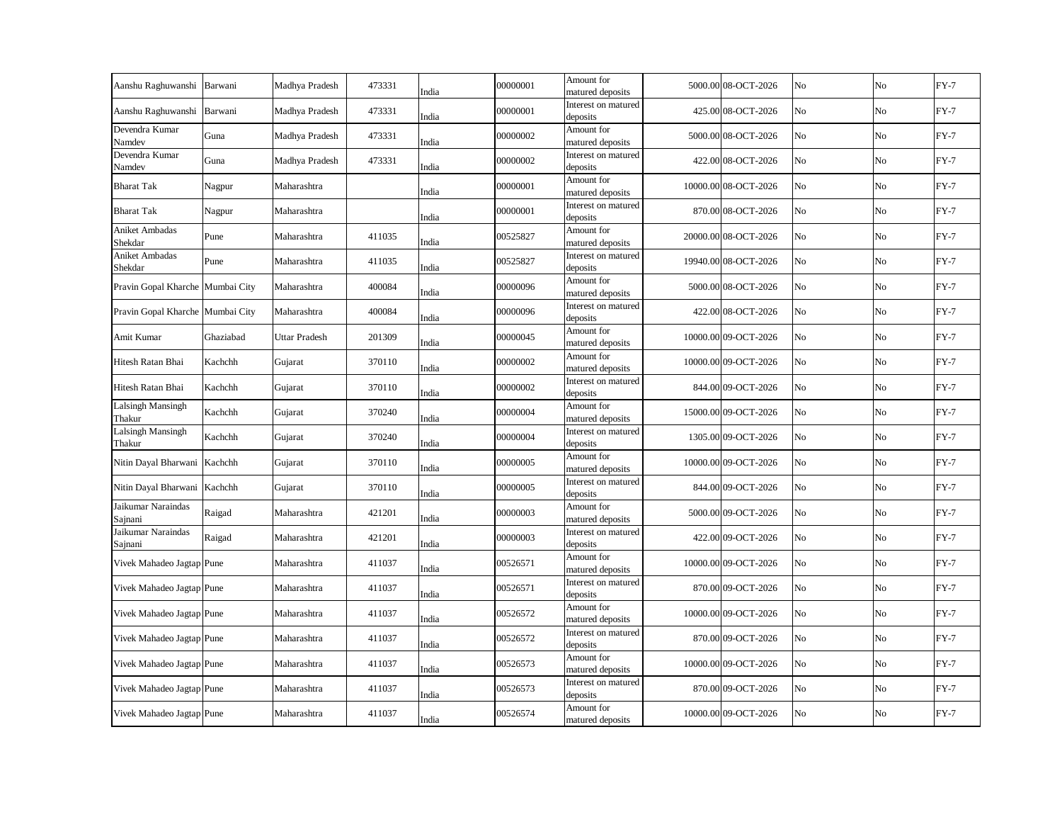| Barwani                          | Madhya Pradesh | 473331 | India | 00000001                                                             | Amount for<br>matured deposits  |                                                                                                                                                                                                                                                                                                      | No                                                                                                                                                                                                                                                                                                                                                                                                                                                                                                                                                                                                                  | No             | $FY-7$ |
|----------------------------------|----------------|--------|-------|----------------------------------------------------------------------|---------------------------------|------------------------------------------------------------------------------------------------------------------------------------------------------------------------------------------------------------------------------------------------------------------------------------------------------|---------------------------------------------------------------------------------------------------------------------------------------------------------------------------------------------------------------------------------------------------------------------------------------------------------------------------------------------------------------------------------------------------------------------------------------------------------------------------------------------------------------------------------------------------------------------------------------------------------------------|----------------|--------|
| Barwani                          | Madhya Pradesh | 473331 | India | 00000001                                                             | Interest on matured             |                                                                                                                                                                                                                                                                                                      | No                                                                                                                                                                                                                                                                                                                                                                                                                                                                                                                                                                                                                  | No             | $FY-7$ |
| Guna                             | Madhya Pradesh | 473331 |       | 00000002                                                             | Amount for                      |                                                                                                                                                                                                                                                                                                      | No                                                                                                                                                                                                                                                                                                                                                                                                                                                                                                                                                                                                                  | No             | $FY-7$ |
| Guna                             | Madhya Pradesh | 473331 |       | 00000002                                                             | Interest on matured             |                                                                                                                                                                                                                                                                                                      | No                                                                                                                                                                                                                                                                                                                                                                                                                                                                                                                                                                                                                  | No             | $FY-7$ |
| Nagpur                           | Maharashtra    |        |       | 00000001                                                             | Amount for                      |                                                                                                                                                                                                                                                                                                      | No                                                                                                                                                                                                                                                                                                                                                                                                                                                                                                                                                                                                                  | N <sub>o</sub> | $FY-7$ |
| Nagpur                           | Maharashtra    |        | India | 00000001                                                             | Interest on matured             |                                                                                                                                                                                                                                                                                                      | No                                                                                                                                                                                                                                                                                                                                                                                                                                                                                                                                                                                                                  | No             | $FY-7$ |
| Pune                             | Maharashtra    | 411035 |       | 00525827                                                             | Amount for                      |                                                                                                                                                                                                                                                                                                      | No                                                                                                                                                                                                                                                                                                                                                                                                                                                                                                                                                                                                                  | No             | $FY-7$ |
| Pune                             | Maharashtra    | 411035 |       | 00525827                                                             | Interest on matured             |                                                                                                                                                                                                                                                                                                      | No                                                                                                                                                                                                                                                                                                                                                                                                                                                                                                                                                                                                                  | No             | $FY-7$ |
| Pravin Gopal Kharche Mumbai City | Maharashtra    | 400084 | India | 00000096                                                             | Amount for                      |                                                                                                                                                                                                                                                                                                      | No                                                                                                                                                                                                                                                                                                                                                                                                                                                                                                                                                                                                                  | No             | $FY-7$ |
| Pravin Gopal Kharche Mumbai City | Maharashtra    | 400084 | India | 00000096                                                             | Interest on matured             |                                                                                                                                                                                                                                                                                                      | No                                                                                                                                                                                                                                                                                                                                                                                                                                                                                                                                                                                                                  | No             | $FY-7$ |
| Ghaziabad                        | Uttar Pradesh  | 201309 | India | 00000045                                                             | Amount for                      |                                                                                                                                                                                                                                                                                                      | No                                                                                                                                                                                                                                                                                                                                                                                                                                                                                                                                                                                                                  | No             | $FY-7$ |
| Kachchh                          | Gujarat        | 370110 | India | 00000002                                                             | Amount for                      |                                                                                                                                                                                                                                                                                                      | No                                                                                                                                                                                                                                                                                                                                                                                                                                                                                                                                                                                                                  | No             | $FY-7$ |
| Kachchh                          | Gujarat        | 370110 | India | 00000002                                                             | Interest on matured<br>deposits |                                                                                                                                                                                                                                                                                                      | No                                                                                                                                                                                                                                                                                                                                                                                                                                                                                                                                                                                                                  | No             | $FY-7$ |
| Kachchh                          | Gujarat        | 370240 | India | 00000004                                                             | Amount for                      |                                                                                                                                                                                                                                                                                                      | No                                                                                                                                                                                                                                                                                                                                                                                                                                                                                                                                                                                                                  | No             | $FY-7$ |
| Kachchh                          | Gujarat        | 370240 |       | 00000004                                                             | Interest on matured             |                                                                                                                                                                                                                                                                                                      | No                                                                                                                                                                                                                                                                                                                                                                                                                                                                                                                                                                                                                  | No             | $FY-7$ |
| Nitin Dayal Bharwani Kachchh     | Gujarat        | 370110 | India | 00000005                                                             | Amount for                      |                                                                                                                                                                                                                                                                                                      | No                                                                                                                                                                                                                                                                                                                                                                                                                                                                                                                                                                                                                  | No             | $FY-7$ |
| Nitin Dayal Bharwani Kachchh     | Gujarat        | 370110 |       | 00000005                                                             | Interest on matured             |                                                                                                                                                                                                                                                                                                      | No                                                                                                                                                                                                                                                                                                                                                                                                                                                                                                                                                                                                                  | No             | $FY-7$ |
| Raigad                           | Maharashtra    | 421201 |       | 00000003                                                             | Amount for                      |                                                                                                                                                                                                                                                                                                      | No                                                                                                                                                                                                                                                                                                                                                                                                                                                                                                                                                                                                                  | No             | $FY-7$ |
| Raigad                           | Maharashtra    | 421201 | India | 00000003                                                             | Interest on matured             |                                                                                                                                                                                                                                                                                                      | No                                                                                                                                                                                                                                                                                                                                                                                                                                                                                                                                                                                                                  | No             | $FY-7$ |
| Vivek Mahadeo Jagtap Pune        | Maharashtra    | 411037 | India | 00526571                                                             | Amount for                      |                                                                                                                                                                                                                                                                                                      | No                                                                                                                                                                                                                                                                                                                                                                                                                                                                                                                                                                                                                  | No             | $FY-7$ |
| Vivek Mahadeo Jagtap Pune        | Maharashtra    | 411037 | India | 00526571                                                             | Interest on matured<br>deposits |                                                                                                                                                                                                                                                                                                      | No                                                                                                                                                                                                                                                                                                                                                                                                                                                                                                                                                                                                                  | No             | $FY-7$ |
| Vivek Mahadeo Jagtap Pune        | Maharashtra    | 411037 | India | 00526572                                                             | Amount for<br>matured deposits  |                                                                                                                                                                                                                                                                                                      | No                                                                                                                                                                                                                                                                                                                                                                                                                                                                                                                                                                                                                  | No             | $FY-7$ |
| Vivek Mahadeo Jagtap Pune        | Maharashtra    | 411037 | India | 00526572                                                             | Interest on matured<br>deposits |                                                                                                                                                                                                                                                                                                      | No                                                                                                                                                                                                                                                                                                                                                                                                                                                                                                                                                                                                                  | No             | $FY-7$ |
| Vivek Mahadeo Jagtap Pune        | Maharashtra    | 411037 | India | 00526573                                                             | Amount for<br>matured deposits  |                                                                                                                                                                                                                                                                                                      | No                                                                                                                                                                                                                                                                                                                                                                                                                                                                                                                                                                                                                  | No             | $FY-7$ |
| Vivek Mahadeo Jagtap Pune        | Maharashtra    | 411037 | India | 00526573                                                             | Interest on matured<br>deposits |                                                                                                                                                                                                                                                                                                      | No                                                                                                                                                                                                                                                                                                                                                                                                                                                                                                                                                                                                                  | No             | $FY-7$ |
| Vivek Mahadeo Jagtap Pune        | Maharashtra    | 411037 | India | 00526574                                                             | Amount for<br>matured deposits  |                                                                                                                                                                                                                                                                                                      | No                                                                                                                                                                                                                                                                                                                                                                                                                                                                                                                                                                                                                  | No             | $FY-7$ |
|                                  |                |        |       | India<br>India<br>India<br>India<br>India<br>India<br>India<br>India |                                 | deposits<br>matured deposits<br>deposits<br>matured deposits<br>deposits<br>matured deposits<br>deposits<br>matured deposits<br>deposits<br>matured deposits<br>matured deposits<br>matured deposits<br>deposits<br>matured deposits<br>deposits<br>matured deposits<br>deposits<br>matured deposits | 5000.00 08-OCT-2026<br>425.00 08-OCT-2026<br>5000.00 08-OCT-2026<br>422.00 08-OCT-2026<br>10000.00 08-OCT-2026<br>870.00 08-OCT-2026<br>20000.00 08-OCT-2026<br>19940.00 08-OCT-2026<br>5000.00 08-OCT-2026<br>422.00 08-OCT-2026<br>10000.00 09-OCT-2026<br>10000.00 09-OCT-2026<br>844.00 09-OCT-2026<br>15000.00 09-OCT-2026<br>1305.00 09-OCT-2026<br>10000.00 09-OCT-2026<br>844.00 09-OCT-2026<br>5000.00 09-OCT-2026<br>422.00 09-OCT-2026<br>10000.00 09-OCT-2026<br>870.00 09-OCT-2026<br>10000.00 09-OCT-2026<br>870.00 09-OCT-2026<br>10000.00 09-OCT-2026<br>870.00 09-OCT-2026<br>10000.00 09-OCT-2026 |                |        |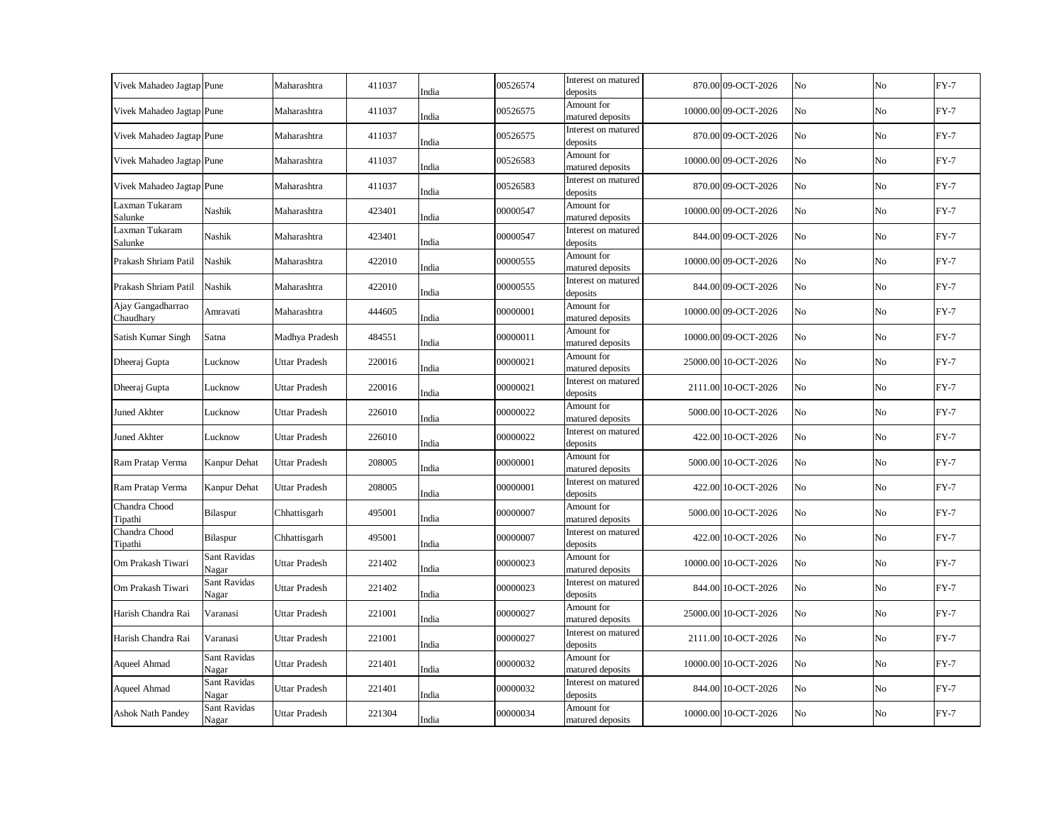| Vivek Mahadeo Jagtap Pune      |                       | Maharashtra          | 411037 | India | 00526574 | Interest on matured<br>deposits | 870.00 09-OCT-2026   | No | No             | $FY-7$ |
|--------------------------------|-----------------------|----------------------|--------|-------|----------|---------------------------------|----------------------|----|----------------|--------|
| Vivek Mahadeo Jagtap Pune      |                       | Maharashtra          | 411037 | India | 00526575 | Amount for<br>matured deposits  | 10000.00 09-OCT-2026 | No | No             | $FY-7$ |
| Vivek Mahadeo Jagtap Pune      |                       | Maharashtra          | 411037 | India | 00526575 | Interest on matured<br>deposits | 870.00 09-OCT-2026   | No | No             | $FY-7$ |
| Vivek Mahadeo Jagtap Pune      |                       | Maharashtra          | 411037 | India | 00526583 | Amount for<br>matured deposits  | 10000.00 09-OCT-2026 | No | No             | $FY-7$ |
| Vivek Mahadeo Jagtap Pune      |                       | Maharashtra          | 411037 | India | 00526583 | Interest on matured<br>deposits | 870.00 09-OCT-2026   | No | N <sub>o</sub> | $FY-7$ |
| Laxman Tukaram<br>Salunke      | Nashik                | Maharashtra          | 423401 | India | 00000547 | Amount for<br>matured deposits  | 10000.00 09-OCT-2026 | No | No             | $FY-7$ |
| Laxman Tukaram<br>Salunke      | Nashik                | Maharashtra          | 423401 | India | 00000547 | Interest on matured<br>deposits | 844.00 09-OCT-2026   | No | No             | $FY-7$ |
| Prakash Shriam Patil           | Nashik                | Maharashtra          | 422010 | India | 00000555 | Amount for<br>matured deposits  | 10000.00 09-OCT-2026 | No | No             | $FY-7$ |
| Prakash Shriam Patil           | Nashik                | Maharashtra          | 422010 | India | 00000555 | Interest on matured<br>deposits | 844.00 09-OCT-2026   | No | No             | $FY-7$ |
| Ajay Gangadharrao<br>Chaudhary | Amravati              | Maharashtra          | 444605 | India | 00000001 | Amount for<br>matured deposits  | 10000.00 09-OCT-2026 | No | No             | $FY-7$ |
| Satish Kumar Singh             | Satna                 | Madhya Pradesh       | 484551 | India | 00000011 | Amount for<br>matured deposits  | 10000.00 09-OCT-2026 | No | No             | $FY-7$ |
| Dheeraj Gupta                  | Lucknow               | Uttar Pradesh        | 220016 | India | 00000021 | Amount for<br>matured deposits  | 25000.00 10-OCT-2026 | No | No             | $FY-7$ |
| Dheeraj Gupta                  | Lucknow               | Uttar Pradesh        | 220016 | India | 00000021 | Interest on matured<br>deposits | 2111.00 10-OCT-2026  | No | No             | $FY-7$ |
| <b>Juned Akhter</b>            | Lucknow               | Uttar Pradesh        | 226010 | India | 00000022 | Amount for<br>matured deposits  | 5000.00 10-OCT-2026  | No | No             | $FY-7$ |
| Juned Akhter                   | Lucknow               | <b>Uttar Pradesh</b> | 226010 | India | 00000022 | Interest on matured<br>deposits | 422.00 10-OCT-2026   | No | No             | $FY-7$ |
| Ram Pratap Verma               | Kanpur Dehat          | <b>Uttar Pradesh</b> | 208005 | India | 00000001 | Amount for<br>matured deposits  | 5000.00 10-OCT-2026  | No | No             | $FY-7$ |
| Ram Pratap Verma               | Kanpur Dehat          | <b>Uttar Pradesh</b> | 208005 | India | 00000001 | Interest on matured<br>deposits | 422.00 10-OCT-2026   | No | No             | $FY-7$ |
| Chandra Chood<br>Tipathi       | Bilaspur              | Chhattisgarh         | 495001 | India | 00000007 | Amount for<br>matured deposits  | 5000.00 10-OCT-2026  | No | No             | $FY-7$ |
| Chandra Chood<br>Tipathi       | Bilaspur              | Chhattisgarh         | 495001 | India | 00000007 | Interest on matured<br>deposits | 422.00 10-OCT-2026   | No | No             | $FY-7$ |
| Om Prakash Tiwari              | Sant Ravidas<br>Nagar | Uttar Pradesh        | 221402 | India | 00000023 | Amount for<br>matured deposits  | 10000.00 10-OCT-2026 | No | No             | $FY-7$ |
| Om Prakash Tiwari              | Sant Ravidas<br>Nagar | Uttar Pradesh        | 221402 | India | 00000023 | Interest on matured<br>deposits | 844.00 10-OCT-2026   | No | No             | $FY-7$ |
| Harish Chandra Rai             | Varanasi              | Uttar Pradesh        | 221001 | India | 00000027 | Amount for<br>matured deposits  | 25000.00 10-OCT-2026 | No | No             | $FY-7$ |
| Harish Chandra Rai             | Varanasi              | <b>Uttar Pradesh</b> | 221001 | India | 00000027 | Interest on matured<br>deposits | 2111.00 10-OCT-2026  | No | No             | $FY-7$ |
| Aqueel Ahmad                   | Sant Ravidas<br>Nagar | <b>Uttar Pradesh</b> | 221401 | India | 00000032 | Amount for<br>matured deposits  | 10000.00 10-OCT-2026 | No | No             | $FY-7$ |
| Aqueel Ahmad                   | Sant Ravidas<br>Nagar | Uttar Pradesh        | 221401 | India | 00000032 | Interest on matured<br>deposits | 844.00 10-OCT-2026   | No | No             | $FY-7$ |
| <b>Ashok Nath Pandey</b>       | Sant Ravidas<br>Nagar | <b>Uttar Pradesh</b> | 221304 | India | 00000034 | Amount for<br>matured deposits  | 10000.00 10-OCT-2026 | No | No             | $FY-7$ |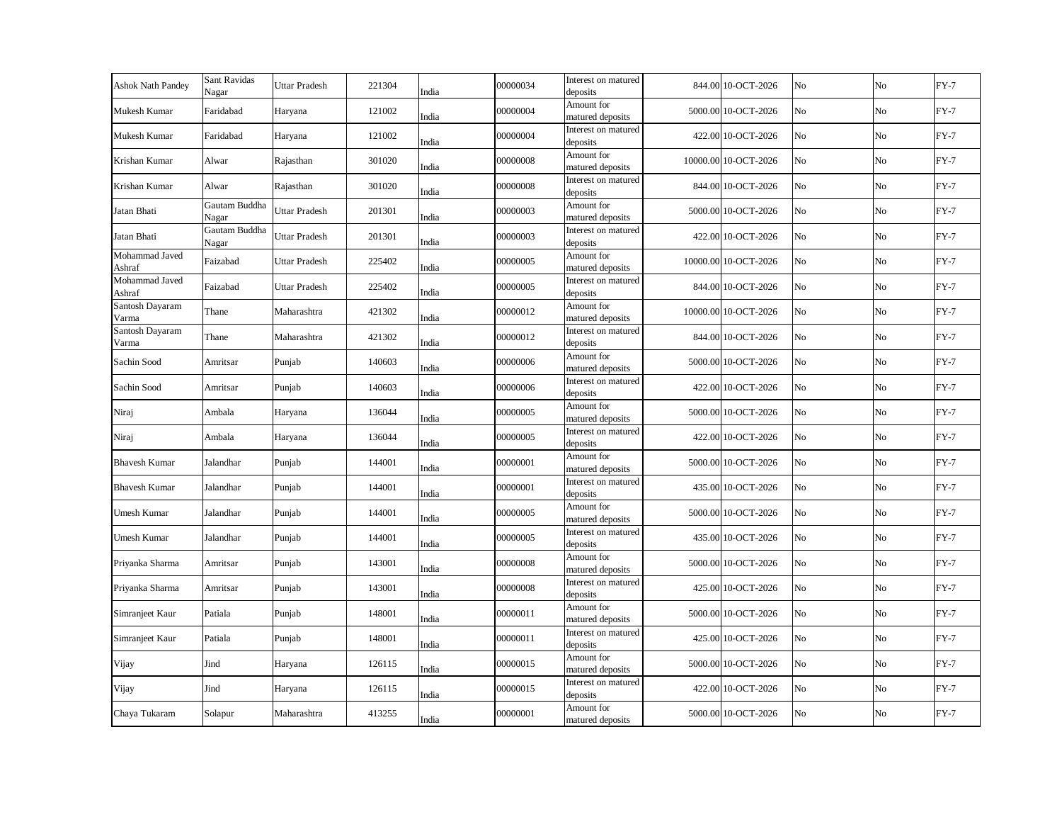| <b>Ashok Nath Pandey</b> | Sant Ravidas<br>Nagar  | <b>Uttar Pradesh</b> | 221304 | India | 00000034 | Interest on matured<br>deposits | 844.00 10-OCT-2026   | No | No | $FY-7$ |
|--------------------------|------------------------|----------------------|--------|-------|----------|---------------------------------|----------------------|----|----|--------|
| Mukesh Kumar             | Faridabad              | Haryana              | 121002 | India | 00000004 | Amount for<br>matured deposits  | 5000.00 10-OCT-2026  | No | No | $FY-7$ |
| Mukesh Kumar             | Faridabad              | Haryana              | 121002 | India | 00000004 | Interest on matured<br>deposits | 422.00 10-OCT-2026   | No | No | $FY-7$ |
| Krishan Kumar            | Alwar                  | Rajasthan            | 301020 | India | 00000008 | Amount for<br>matured deposits  | 10000.00 10-OCT-2026 | No | No | $FY-7$ |
| Krishan Kumar            | Alwar                  | Rajasthan            | 301020 | India | 00000008 | Interest on matured<br>deposits | 844.00 10-OCT-2026   | No | No | $FY-7$ |
| Jatan Bhati              | Gautam Buddha<br>Nagar | Uttar Pradesh        | 201301 | India | 00000003 | Amount for<br>matured deposits  | 5000.00 10-OCT-2026  | No | No | $FY-7$ |
| Jatan Bhati              | Gautam Buddha<br>Nagar | Uttar Pradesh        | 201301 | India | 00000003 | Interest on matured<br>deposits | 422.00 10-OCT-2026   | No | No | $FY-7$ |
| Mohammad Javed<br>Ashraf | Faizabad               | Uttar Pradesh        | 225402 | India | 00000005 | Amount for<br>matured deposits  | 10000.00 10-OCT-2026 | No | No | $FY-7$ |
| Mohammad Javed<br>Ashraf | Faizabad               | <b>Uttar Pradesh</b> | 225402 | India | 00000005 | Interest on matured<br>deposits | 844.00 10-OCT-2026   | No | No | $FY-7$ |
| Santosh Dayaram<br>Varma | Thane                  | Maharashtra          | 421302 | India | 00000012 | Amount for<br>matured deposits  | 10000.00 10-OCT-2026 | No | No | $FY-7$ |
| Santosh Dayaram<br>Varma | Thane                  | Maharashtra          | 421302 | India | 00000012 | Interest on matured<br>deposits | 844.00 10-OCT-2026   | No | No | $FY-7$ |
| Sachin Sood              | Amritsar               | Punjab               | 140603 | India | 00000006 | Amount for<br>matured deposits  | 5000.00 10-OCT-2026  | No | No | $FY-7$ |
| Sachin Sood              | Amritsar               | Punjab               | 140603 | India | 00000006 | Interest on matured<br>deposits | 422.00 10-OCT-2026   | No | No | $FY-7$ |
| Niraj                    | Ambala                 | Haryana              | 136044 | India | 00000005 | Amount for<br>matured deposits  | 5000.00 10-OCT-2026  | No | No | $FY-7$ |
| Niraj                    | Ambala                 | Haryana              | 136044 | India | 00000005 | Interest on matured<br>deposits | 422.00 10-OCT-2026   | No | No | $FY-7$ |
| <b>Bhavesh Kumar</b>     | Jalandhar              | Punjab               | 144001 | India | 00000001 | Amount for<br>matured deposits  | 5000.00 10-OCT-2026  | No | No | $FY-7$ |
| <b>Bhavesh Kumar</b>     | Jalandhar              | Punjab               | 144001 | India | 00000001 | Interest on matured<br>deposits | 435.00 10-OCT-2026   | No | No | $FY-7$ |
| Umesh Kumar              | Jalandhar              | Punjab               | 144001 | India | 00000005 | Amount for<br>matured deposits  | 5000.00 10-OCT-2026  | No | No | $FY-7$ |
| Umesh Kumar              | Jalandhar              | Punjab               | 144001 | India | 00000005 | Interest on matured<br>deposits | 435.00 10-OCT-2026   | No | No | $FY-7$ |
| Priyanka Sharma          | Amritsar               | Punjab               | 143001 | India | 00000008 | Amount for<br>matured deposits  | 5000.00 10-OCT-2026  | No | No | $FY-7$ |
| Priyanka Sharma          | Amritsar               | Punjab               | 143001 | India | 00000008 | Interest on matured<br>deposits | 425.00 10-OCT-2026   | No | No | $FY-7$ |
| Simranjeet Kaur          | Patiala                | Punjab               | 148001 | India | 00000011 | Amount for<br>matured deposits  | 5000.00 10-OCT-2026  | No | No | $FY-7$ |
| Simranjeet Kaur          | Patiala                | Punjab               | 148001 | India | 00000011 | Interest on matured<br>deposits | 425.00 10-OCT-2026   | No | No | $FY-7$ |
| Vijay                    | Jind                   | Haryana              | 126115 | India | 00000015 | Amount for<br>matured deposits  | 5000.00 10-OCT-2026  | No | No | $FY-7$ |
| Vijay                    | Jind                   | Haryana              | 126115 | India | 00000015 | Interest on matured<br>deposits | 422.00 10-OCT-2026   | No | No | $FY-7$ |
| Chaya Tukaram            | Solapur                | Maharashtra          | 413255 | India | 00000001 | Amount for<br>matured deposits  | 5000.00 10-OCT-2026  | No | No | $FY-7$ |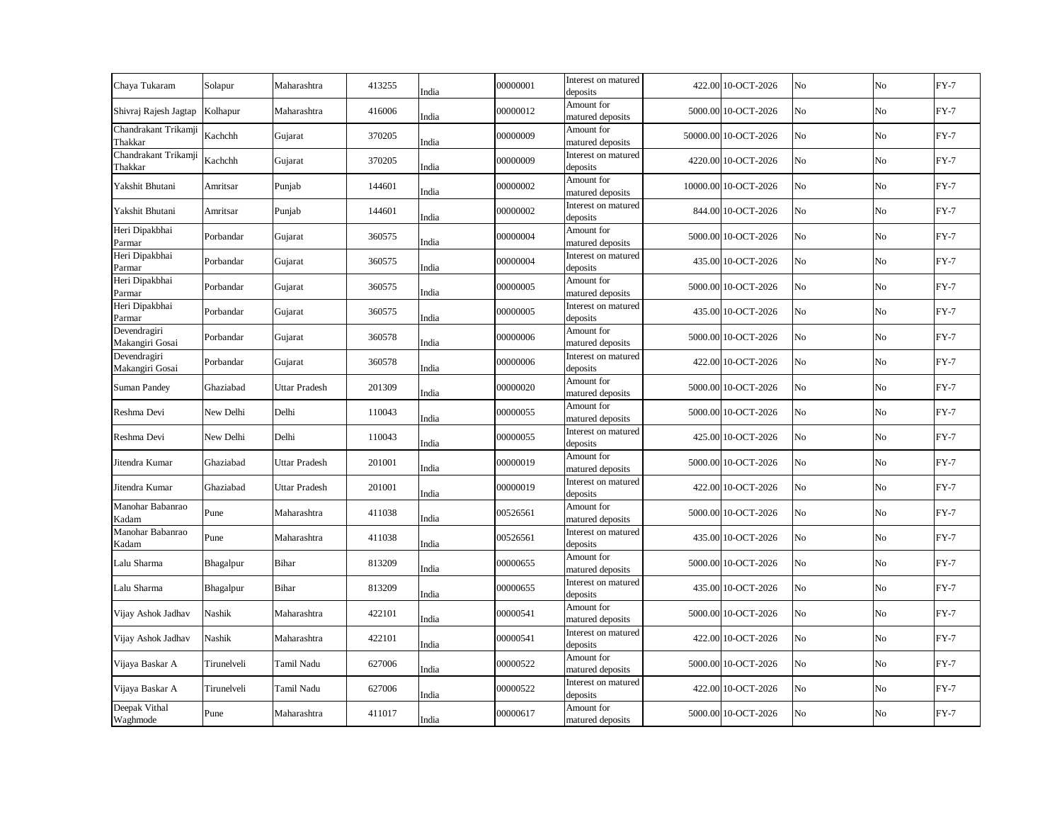| Chaya Tukaram                   | Solapur     | Maharashtra          | 413255 | India | 00000001 | Interest on matured<br>deposits | 422.00 10-OCT-2026   | No | No | $FY-7$ |
|---------------------------------|-------------|----------------------|--------|-------|----------|---------------------------------|----------------------|----|----|--------|
| Shivraj Rajesh Jagtap           | Kolhapur    | Maharashtra          | 416006 | India | 00000012 | Amount for<br>matured deposits  | 5000.00 10-OCT-2026  | No | No | $FY-7$ |
| Chandrakant Trikamji<br>Thakkar | Kachchh     | Gujarat              | 370205 | India | 00000009 | Amount for<br>matured deposits  | 50000.00 10-OCT-2026 | No | No | $FY-7$ |
| Chandrakant Trikamji<br>Thakkar | Kachchh     | Gujarat              | 370205 | India | 00000009 | Interest on matured<br>deposits | 4220.00 10-OCT-2026  | No | No | $FY-7$ |
| Yakshit Bhutani                 | Amritsar    | Punjab               | 144601 | India | 00000002 | Amount for<br>matured deposits  | 10000.00 10-OCT-2026 | No | No | $FY-7$ |
| Yakshit Bhutani                 | Amritsar    | Punjab               | 144601 | India | 00000002 | Interest on matured<br>deposits | 844.00 10-OCT-2026   | No | No | $FY-7$ |
| Heri Dipakbhai<br>Parmar        | Porbandar   | Gujarat              | 360575 | India | 00000004 | Amount for<br>matured deposits  | 5000.00 10-OCT-2026  | No | No | $FY-7$ |
| Heri Dipakbhai<br>Parmar        | Porbandar   | Gujarat              | 360575 | India | 00000004 | Interest on matured<br>deposits | 435.00 10-OCT-2026   | No | No | $FY-7$ |
| Heri Dipakbhai<br>Parmar        | Porbandar   | Gujarat              | 360575 | India | 00000005 | Amount for<br>matured deposits  | 5000.00 10-OCT-2026  | No | No | $FY-7$ |
| Heri Dipakbhai<br>Parmar        | Porbandar   | Gujarat              | 360575 | India | 00000005 | Interest on matured<br>deposits | 435.00 10-OCT-2026   | No | No | $FY-7$ |
| Devendragiri<br>Makangiri Gosai | Porbandar   | Gujarat              | 360578 | India | 00000006 | Amount for<br>matured deposits  | 5000.00 10-OCT-2026  | No | No | $FY-7$ |
| Devendragiri<br>Makangiri Gosai | Porbandar   | Gujarat              | 360578 | India | 00000006 | Interest on matured<br>deposits | 422.00 10-OCT-2026   | No | No | $FY-7$ |
| Suman Pandey                    | Ghaziabad   | Uttar Pradesh        | 201309 | India | 00000020 | Amount for<br>matured deposits  | 5000.00 10-OCT-2026  | No | No | $FY-7$ |
| Reshma Devi                     | New Delhi   | Delhi                | 110043 | India | 00000055 | Amount for<br>matured deposits  | 5000.00 10-OCT-2026  | No | No | $FY-7$ |
| Reshma Devi                     | New Delhi   | Delhi                | 110043 | India | 00000055 | Interest on matured<br>deposits | 425.00 10-OCT-2026   | No | No | $FY-7$ |
| Jitendra Kumar                  | Ghaziabad   | <b>Uttar Pradesh</b> | 201001 | India | 00000019 | Amount for<br>matured deposits  | 5000.00 10-OCT-2026  | No | No | $FY-7$ |
| Jitendra Kumar                  | Ghaziabad   | <b>Uttar Pradesh</b> | 201001 | India | 00000019 | Interest on matured<br>deposits | 422.00 10-OCT-2026   | No | No | $FY-7$ |
| Manohar Babanrao<br>Kadam       | Pune        | Maharashtra          | 411038 | India | 00526561 | Amount for<br>matured deposits  | 5000.00 10-OCT-2026  | No | No | $FY-7$ |
| Manohar Babanrao<br>Kadam       | Pune        | Maharashtra          | 411038 | India | 00526561 | Interest on matured<br>deposits | 435.00 10-OCT-2026   | No | No | $FY-7$ |
| Lalu Sharma                     | Bhagalpur   | <b>Bihar</b>         | 813209 | India | 00000655 | Amount for<br>matured deposits  | 5000.00 10-OCT-2026  | No | No | $FY-7$ |
| Lalu Sharma                     | Bhagalpur   | Bihar                | 813209 | India | 00000655 | Interest on matured<br>deposits | 435.00 10-OCT-2026   | No | No | $FY-7$ |
| Vijay Ashok Jadhav              | Nashik      | Maharashtra          | 422101 | India | 00000541 | Amount for<br>matured deposits  | 5000.00 10-OCT-2026  | No | No | $FY-7$ |
| Vijay Ashok Jadhav              | Nashik      | Maharashtra          | 422101 | India | 00000541 | Interest on matured<br>deposits | 422.00 10-OCT-2026   | No | No | $FY-7$ |
| Vijaya Baskar A                 | Tirunelveli | Tamil Nadu           | 627006 | India | 00000522 | Amount for<br>matured deposits  | 5000.00 10-OCT-2026  | No | No | $FY-7$ |
| Vijaya Baskar A                 | Tirunelveli | Tamil Nadu           | 627006 | India | 00000522 | Interest on matured<br>deposits | 422.00 10-OCT-2026   | No | No | $FY-7$ |
| Deepak Vithal<br>Waghmode       | Pune        | Maharashtra          | 411017 | India | 00000617 | Amount for<br>matured deposits  | 5000.00 10-OCT-2026  | No | No | $FY-7$ |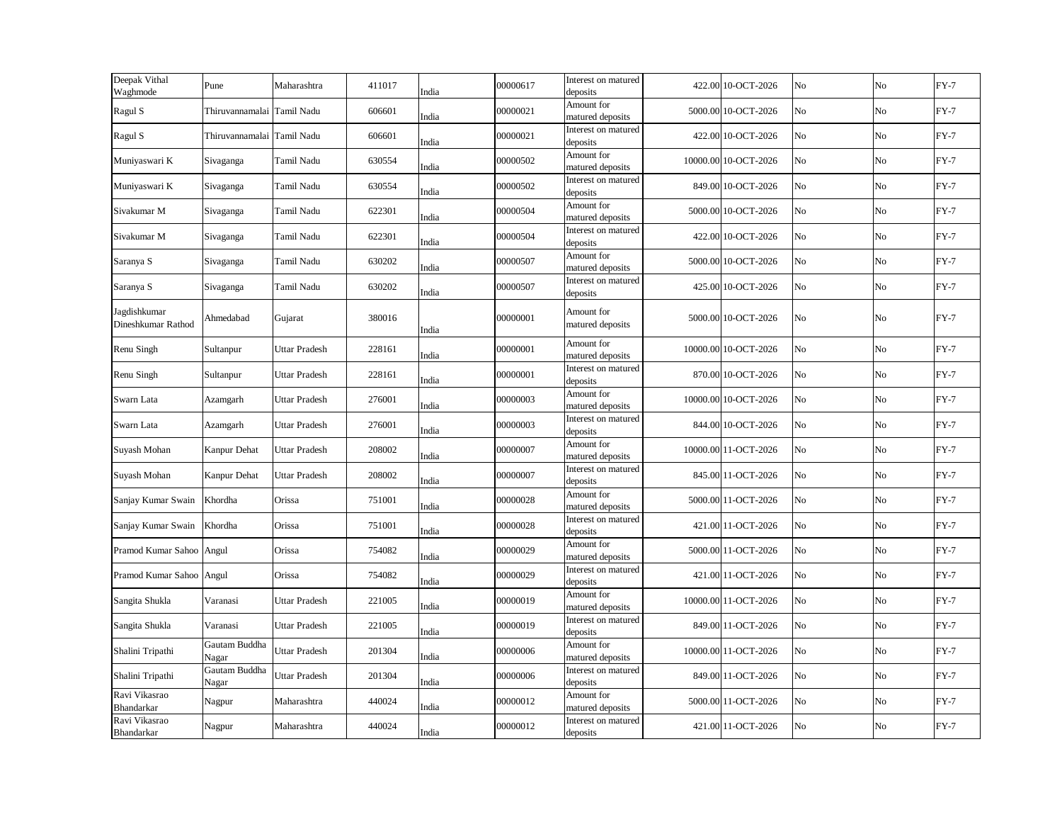| Deepak Vithal<br>Waghmode          | Pune                       | Maharashtra          | 411017 | India | 00000617 | Interest on matured<br>deposits | 422.00 10-OCT-2026   | No | No | $FY-7$ |
|------------------------------------|----------------------------|----------------------|--------|-------|----------|---------------------------------|----------------------|----|----|--------|
| Ragul S                            | Thiruvannamalai Tamil Nadu |                      | 606601 | India | 00000021 | Amount for<br>matured deposits  | 5000.00 10-OCT-2026  | No | No | $FY-7$ |
| Ragul S                            | Thiruvannamalai Tamil Nadu |                      | 606601 | India | 00000021 | Interest on matured<br>deposits | 422.00 10-OCT-2026   | No | No | $FY-7$ |
| Muniyaswari K                      | Sivaganga                  | Tamil Nadu           | 630554 | India | 00000502 | Amount for<br>matured deposits  | 10000.00 10-OCT-2026 | No | No | $FY-7$ |
| Muniyaswari K                      | Sivaganga                  | Tamil Nadu           | 630554 | India | 00000502 | Interest on matured<br>deposits | 849.00 10-OCT-2026   | No | No | $FY-7$ |
| Sivakumar M                        | Sivaganga                  | Tamil Nadu           | 622301 | India | 00000504 | Amount for<br>matured deposits  | 5000.00 10-OCT-2026  | No | No | $FY-7$ |
| Sivakumar M                        | Sivaganga                  | Tamil Nadu           | 622301 | India | 00000504 | Interest on matured<br>deposits | 422.00 10-OCT-2026   | No | No | $FY-7$ |
| Saranya S                          | Sivaganga                  | Tamil Nadu           | 630202 | India | 00000507 | Amount for<br>matured deposits  | 5000.00 10-OCT-2026  | No | No | $FY-7$ |
| Saranya S                          | Sivaganga                  | Tamil Nadu           | 630202 | India | 00000507 | Interest on matured<br>deposits | 425.00 10-OCT-2026   | No | No | $FY-7$ |
| Jagdishkumar<br>Dineshkumar Rathod | Ahmedabad                  | Gujarat              | 380016 | India | 00000001 | Amount for<br>matured deposits  | 5000.00 10-OCT-2026  | No | No | $FY-7$ |
| Renu Singh                         | Sultanpur                  | Uttar Pradesh        | 228161 | India | 00000001 | Amount for<br>matured deposits  | 10000.00 10-OCT-2026 | No | No | $FY-7$ |
| Renu Singh                         | Sultanpur                  | <b>Uttar Pradesh</b> | 228161 | India | 00000001 | Interest on matured<br>deposits | 870.00 10-OCT-2026   | No | No | $FY-7$ |
| Swarn Lata                         | Azamgarh                   | <b>Uttar Pradesh</b> | 276001 | India | 00000003 | Amount for<br>matured deposits  | 10000.00 10-OCT-2026 | No | No | $FY-7$ |
| Swarn Lata                         | Azamgarh                   | <b>Uttar Pradesh</b> | 276001 | India | 00000003 | Interest on matured<br>deposits | 844.00 10-OCT-2026   | No | No | $FY-7$ |
| Suyash Mohan                       | Kanpur Dehat               | <b>Uttar Pradesh</b> | 208002 | India | 00000007 | Amount for<br>matured deposits  | 10000.00 11-OCT-2026 | No | No | $FY-7$ |
| Suyash Mohan                       | Kanpur Dehat               | <b>Uttar Pradesh</b> | 208002 | India | 00000007 | Interest on matured<br>deposits | 845.00 11-OCT-2026   | No | No | $FY-7$ |
| Sanjay Kumar Swain                 | Khordha                    | Orissa               | 751001 | India | 00000028 | Amount for<br>matured deposits  | 5000.00 11-OCT-2026  | No | No | $FY-7$ |
| Sanjay Kumar Swain                 | Khordha                    | Orissa               | 751001 | India | 00000028 | Interest on matured<br>deposits | 421.00 11-OCT-2026   | No | No | $FY-7$ |
| Pramod Kumar Sahoo Angul           |                            | Orissa               | 754082 | India | 00000029 | Amount for<br>matured deposits  | 5000.00 11-OCT-2026  | No | No | $FY-7$ |
| Pramod Kumar Sahoo Angul           |                            | Orissa               | 754082 | India | 00000029 | Interest on matured<br>deposits | 421.00 11-OCT-2026   | No | No | $FY-7$ |
| Sangita Shukla                     | Varanasi                   | Uttar Pradesh        | 221005 | India | 00000019 | Amount for<br>matured deposits  | 10000.00 11-OCT-2026 | No | No | $FY-7$ |
| Sangita Shukla                     | Varanasi                   | Uttar Pradesh        | 221005 | India | 00000019 | Interest on matured<br>deposits | 849.00 11-OCT-2026   | No | No | $FY-7$ |
| Shalini Tripathi                   | Gautam Buddha<br>Nagar     | Uttar Pradesh        | 201304 | India | 00000006 | Amount for<br>matured deposits  | 10000.00 11-OCT-2026 | No | No | $FY-7$ |
| Shalini Tripathi                   | Gautam Buddha<br>Nagar     | Uttar Pradesh        | 201304 | India | 00000006 | Interest on matured<br>deposits | 849.00 11-OCT-2026   | No | No | $FY-7$ |
| Ravi Vikasrao<br>Bhandarkar        | Nagpur                     | Maharashtra          | 440024 | India | 00000012 | Amount for<br>matured deposits  | 5000.00 11-OCT-2026  | No | No | $FY-7$ |
| Ravi Vikasrao<br>Bhandarkar        | Nagpur                     | Maharashtra          | 440024 | India | 00000012 | Interest on matured<br>deposits | 421.00 11-OCT-2026   | No | No | $FY-7$ |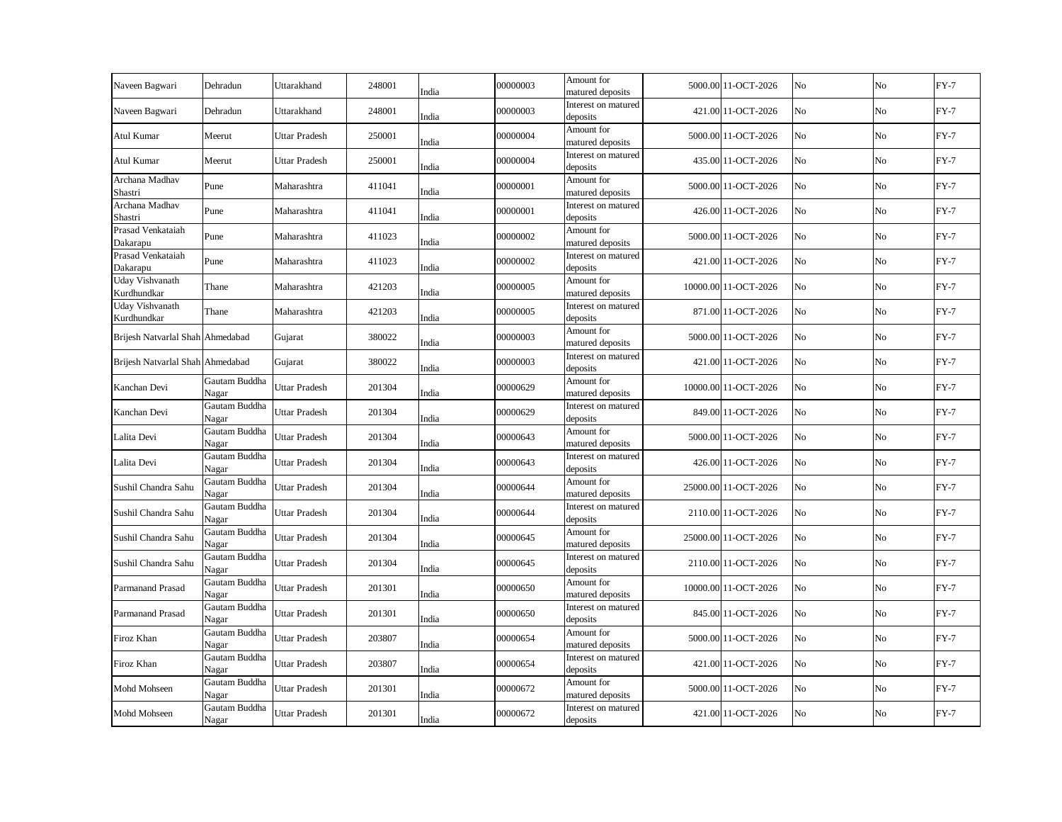| Naveen Bagwari                   | Dehradun               | Uttarakhand          | 248001 | India | 00000003 | Amount for<br>matured deposits  | 5000.00 11-OCT-2026  | No | No       | $FY-7$ |
|----------------------------------|------------------------|----------------------|--------|-------|----------|---------------------------------|----------------------|----|----------|--------|
| Naveen Bagwari                   | Dehradun               | Uttarakhand          | 248001 | India | 00000003 | Interest on matured<br>deposits | 421.00 11-OCT-2026   | No | No       | $FY-7$ |
| Atul Kumar                       | Meerut                 | <b>Uttar Pradesh</b> | 250001 | India | 00000004 | Amount for<br>matured deposits  | 5000.00 11-OCT-2026  | No | No       | $FY-7$ |
| Atul Kumar                       | Meerut                 | Uttar Pradesh        | 250001 | India | 00000004 | Interest on matured<br>deposits | 435.00 11-OCT-2026   | No | No       | $FY-7$ |
| Archana Madhav<br>Shastri        | Pune                   | Maharashtra          | 411041 | India | 00000001 | Amount for<br>matured deposits  | 5000.00 11-OCT-2026  | No | $\rm No$ | $FY-7$ |
| Archana Madhav<br>Shastri        | Pune                   | Maharashtra          | 411041 | India | 00000001 | Interest on matured<br>deposits | 426.00 11-OCT-2026   | No | No       | $FY-7$ |
| Prasad Venkataiah<br>Dakarapu    | Pune                   | Maharashtra          | 411023 | India | 00000002 | Amount for<br>matured deposits  | 5000.00 11-OCT-2026  | No | No       | $FY-7$ |
| Prasad Venkataiah<br>Dakarapu    | Pune                   | Maharashtra          | 411023 | India | 00000002 | Interest on matured<br>deposits | 421.00 11-OCT-2026   | No | No       | $FY-7$ |
| Uday Vishvanath<br>Kurdhundkar   | Thane                  | Maharashtra          | 421203 | India | 00000005 | Amount for<br>matured deposits  | 10000.00 11-OCT-2026 | No | No       | $FY-7$ |
| Uday Vishvanath<br>Kurdhundkar   | Thane                  | Maharashtra          | 421203 | India | 00000005 | Interest on matured<br>deposits | 871.00 11-OCT-2026   | No | No       | $FY-7$ |
| Brijesh Natvarlal Shah Ahmedabad |                        | Gujarat              | 380022 | India | 00000003 | Amount for<br>matured deposits  | 5000.00 11-OCT-2026  | No | No       | $FY-7$ |
| Brijesh Natvarlal Shah Ahmedabad |                        | Gujarat              | 380022 | India | 00000003 | Interest on matured<br>deposits | 421.00 11-OCT-2026   | No | No       | $FY-7$ |
| Kanchan Devi                     | Gautam Buddha<br>Nagar | Uttar Pradesh        | 201304 | India | 00000629 | Amount for<br>matured deposits  | 10000.00 11-OCT-2026 | No | No       | $FY-7$ |
| Kanchan Devi                     | Gautam Buddha<br>Nagar | Jttar Pradesh        | 201304 | India | 00000629 | Interest on matured<br>deposits | 849.00 11-OCT-2026   | No | No       | $FY-7$ |
| Lalita Devi                      | Gautam Buddha<br>Nagar | Uttar Pradesh        | 201304 | India | 00000643 | Amount for<br>matured deposits  | 5000.00 11-OCT-2026  | No | No       | $FY-7$ |
| Lalita Devi                      | Gautam Buddha<br>Nagar | Uttar Pradesh        | 201304 | India | 00000643 | Interest on matured<br>deposits | 426.00 11-OCT-2026   | No | No       | $FY-7$ |
| Sushil Chandra Sahu              | Gautam Buddha<br>Nagar | Uttar Pradesh        | 201304 | India | 00000644 | Amount for<br>matured deposits  | 25000.00 11-OCT-2026 | No | No       | $FY-7$ |
| Sushil Chandra Sahu              | Gautam Buddha<br>Nagar | Uttar Pradesh        | 201304 | India | 00000644 | Interest on matured<br>deposits | 2110.00 11-OCT-2026  | No | No       | $FY-7$ |
| Sushil Chandra Sahu              | Gautam Buddha<br>Nagar | Uttar Pradesh        | 201304 | India | 00000645 | Amount for<br>matured deposits  | 25000.00 11-OCT-2026 | No | No       | $FY-7$ |
| Sushil Chandra Sahu              | Gautam Buddha<br>Nagar | Uttar Pradesh        | 201304 | India | 00000645 | Interest on matured<br>deposits | 2110.00 11-OCT-2026  | No | No       | $FY-7$ |
| Parmanand Prasad                 | Gautam Buddha<br>Nagar | Uttar Pradesh        | 201301 | India | 00000650 | Amount for<br>matured deposits  | 10000.00 11-OCT-2026 | No | No       | $FY-7$ |
| <b>Parmanand Prasad</b>          | Gautam Buddha<br>Nagar | Uttar Pradesh        | 201301 | India | 00000650 | Interest on matured<br>deposits | 845.00 11-OCT-2026   | No | No       | $FY-7$ |
| Firoz Khan                       | Gautam Buddha<br>Nagar | Uttar Pradesh        | 203807 | India | 00000654 | Amount for<br>matured deposits  | 5000.00 11-OCT-2026  | No | No       | $FY-7$ |
| Firoz Khan                       | Gautam Buddha<br>Nagar | Uttar Pradesh        | 203807 | India | 00000654 | Interest on matured<br>deposits | 421.00 11-OCT-2026   | No | No       | $FY-7$ |
| Mohd Mohseen                     | Gautam Buddha<br>Nagar | Jttar Pradesh        | 201301 | India | 00000672 | Amount for<br>matured deposits  | 5000.00 11-OCT-2026  | No | No       | $FY-7$ |
| Mohd Mohseen                     | Gautam Buddha<br>Nagar | Jttar Pradesh        | 201301 | India | 00000672 | Interest on matured<br>deposits | 421.00 11-OCT-2026   | No | No       | $FY-7$ |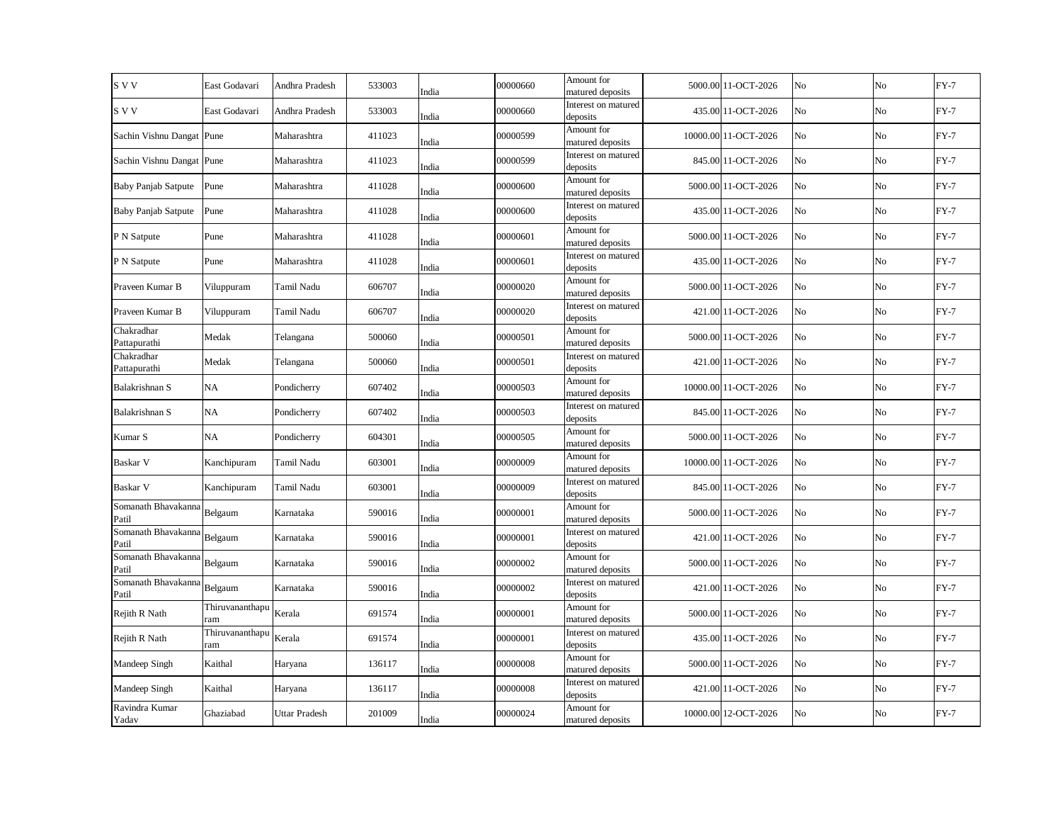| S V V                        | East Godavari          | Andhra Pradesh       | 533003 | India | 00000660 | Amount for<br>matured deposits  | 5000.00 11-OCT-2026  | No | No  | $FY-7$ |
|------------------------------|------------------------|----------------------|--------|-------|----------|---------------------------------|----------------------|----|-----|--------|
| S V V                        | East Godavari          | Andhra Pradesh       | 533003 | India | 00000660 | Interest on matured<br>deposits | 435.00 11-OCT-2026   | No | No  | $FY-7$ |
| Sachin Vishnu Dangat Pune    |                        | Maharashtra          | 411023 | India | 00000599 | Amount for<br>matured deposits  | 10000.00 11-OCT-2026 | No | No  | $FY-7$ |
| Sachin Vishnu Dangat Pune    |                        | Maharashtra          | 411023 | India | 00000599 | Interest on matured<br>deposits | 845.00 11-OCT-2026   | No | No  | $FY-7$ |
| <b>Baby Panjab Satpute</b>   | Pune                   | Maharashtra          | 411028 | India | 00000600 | Amount for<br>matured deposits  | 5000.00 11-OCT-2026  | No | No  | $FY-7$ |
| <b>Baby Panjab Satpute</b>   | Pune                   | Maharashtra          | 411028 | India | 00000600 | Interest on matured<br>deposits | 435.00 11-OCT-2026   | No | No  | $FY-7$ |
| P N Satpute                  | Pune                   | Maharashtra          | 411028 | India | 00000601 | Amount for<br>matured deposits  | 5000.00 11-OCT-2026  | No | No  | $FY-7$ |
| P N Satpute                  | Pune                   | Maharashtra          | 411028 | India | 00000601 | Interest on matured<br>deposits | 435.00 11-OCT-2026   | No | No  | $FY-7$ |
| Praveen Kumar B              | Viluppuram             | Tamil Nadu           | 606707 | India | 00000020 | Amount for<br>matured deposits  | 5000.00 11-OCT-2026  | No | No  | $FY-7$ |
| Praveen Kumar B              | Viluppuram             | Tamil Nadu           | 606707 | India | 00000020 | Interest on matured<br>deposits | 421.00 11-OCT-2026   | No | No  | $FY-7$ |
| Chakradhar<br>Pattapurathi   | Medak                  | Telangana            | 500060 | India | 00000501 | Amount for<br>matured deposits  | 5000.00 11-OCT-2026  | No | No  | $FY-7$ |
| Chakradhar<br>Pattapurathi   | Medak                  | Telangana            | 500060 | India | 00000501 | Interest on matured<br>deposits | 421.00 11-OCT-2026   | No | No  | $FY-7$ |
| Balakrishnan S               | NA                     | Pondicherry          | 607402 | India | 00000503 | Amount for<br>matured deposits  | 10000.00 11-OCT-2026 | No | No  | $FY-7$ |
| Balakrishnan S               | NA                     | Pondicherry          | 607402 | India | 00000503 | Interest on matured<br>deposits | 845.00 11-OCT-2026   | No | No  | $FY-7$ |
| Kumar S                      | <b>NA</b>              | Pondicherry          | 604301 | India | 00000505 | Amount for<br>matured deposits  | 5000.00 11-OCT-2026  | No | No  | $FY-7$ |
| <b>Baskar V</b>              | Kanchipuram            | <b>Tamil Nadu</b>    | 603001 | India | 00000009 | Amount for<br>matured deposits  | 10000.00 11-OCT-2026 | No | No  | $FY-7$ |
| Baskar V                     | Kanchipuram            | Tamil Nadu           | 603001 | India | 00000009 | Interest on matured<br>deposits | 845.00 11-OCT-2026   | No | No  | $FY-7$ |
| Somanath Bhavakanna<br>Patil | Belgaum                | Karnataka            | 590016 | India | 00000001 | Amount for<br>matured deposits  | 5000.00 11-OCT-2026  | No | No  | $FY-7$ |
| Somanath Bhavakanna<br>Patil | Belgaum                | Karnataka            | 590016 | India | 00000001 | Interest on matured<br>deposits | 421.00 11-OCT-2026   | No | No  | $FY-7$ |
| Somanath Bhavakanna<br>Patil | Belgaum                | Karnataka            | 590016 | India | 00000002 | Amount for<br>matured deposits  | 5000.00 11-OCT-2026  | No | No. | $FY-7$ |
| Somanath Bhavakanna<br>Patil | Belgaum                | Karnataka            | 590016 | India | 00000002 | Interest on matured<br>deposits | 421.00 11-OCT-2026   | No | No  | $FY-7$ |
| Rejith R Nath                | Thiruvananthapu<br>am: | Kerala               | 691574 | India | 00000001 | Amount for<br>matured deposits  | 5000.00 11-OCT-2026  | No | No  | $FY-7$ |
| Rejith R Nath                | Thiruvananthapu<br>ram | Kerala               | 691574 | India | 00000001 | Interest on matured<br>deposits | 435.00 11-OCT-2026   | No | No  | $FY-7$ |
| Mandeep Singh                | Kaithal                | Haryana              | 136117 | India | 00000008 | Amount for<br>matured deposits  | 5000.00 11-OCT-2026  | No | No  | $FY-7$ |
| Mandeep Singh                | Kaithal                | Haryana              | 136117 | India | 00000008 | Interest on matured<br>deposits | 421.00 11-OCT-2026   | No | No  | $FY-7$ |
| Ravindra Kumar<br>Yadav      | Ghaziabad              | <b>Uttar Pradesh</b> | 201009 | India | 00000024 | Amount for<br>matured deposits  | 10000.00 12-OCT-2026 | No | No  | $FY-7$ |
|                              |                        |                      |        |       |          |                                 |                      |    |     |        |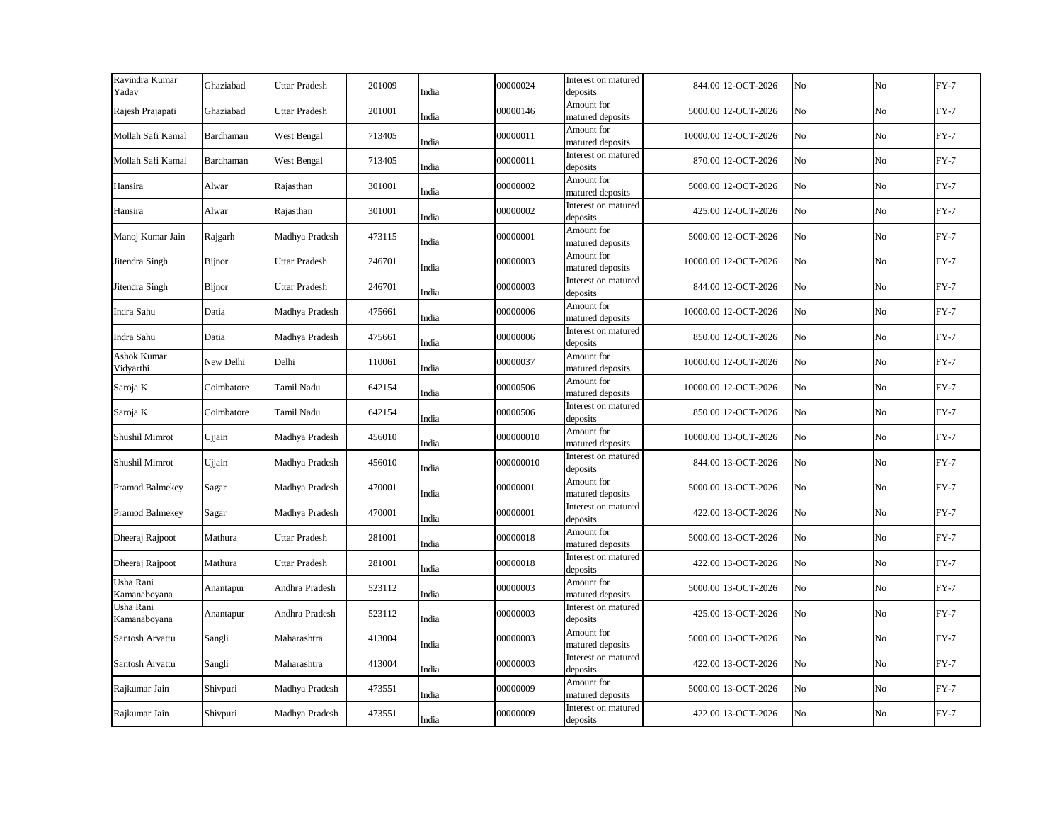| Ravindra Kumar<br>Yadav   | Ghaziabad     | <b>Uttar Pradesh</b> | 201009 | India | 00000024  | Interest on matured<br>deposits | 844.00 12-OCT-2026   | No | No | $FY-7$ |
|---------------------------|---------------|----------------------|--------|-------|-----------|---------------------------------|----------------------|----|----|--------|
| Rajesh Prajapati          | Ghaziabad     | <b>Uttar Pradesh</b> | 201001 | India | 00000146  | Amount for<br>matured deposits  | 5000.00 12-OCT-2026  | No | No | $FY-7$ |
| Mollah Safi Kamal         | Bardhaman     | West Bengal          | 713405 | India | 00000011  | Amount for<br>matured deposits  | 10000.00 12-OCT-2026 | No | No | $FY-7$ |
| Mollah Safi Kamal         | Bardhaman     | West Bengal          | 713405 | India | 00000011  | Interest on matured<br>deposits | 870.00 12-OCT-2026   | No | No | $FY-7$ |
| Hansira                   | Alwar         | Rajasthan            | 301001 | India | 00000002  | Amount for<br>matured deposits  | 5000.00 12-OCT-2026  | No | No | $FY-7$ |
| Hansira                   | Alwar         | Rajasthan            | 301001 | India | 00000002  | Interest on matured<br>deposits | 425.00 12-OCT-2026   | No | No | $FY-7$ |
| Manoj Kumar Jain          | Rajgarh       | Madhya Pradesh       | 473115 | India | 00000001  | Amount for<br>matured deposits  | 5000.00 12-OCT-2026  | No | No | $FY-7$ |
| Jitendra Singh            | <b>Bijnor</b> | <b>Uttar Pradesh</b> | 246701 | India | 00000003  | Amount for<br>matured deposits  | 10000.00 12-OCT-2026 | No | No | $FY-7$ |
| Jitendra Singh            | Bijnor        | <b>Uttar Pradesh</b> | 246701 | India | 00000003  | Interest on matured<br>deposits | 844.00 12-OCT-2026   | No | No | $FY-7$ |
| Indra Sahu                | Datia         | Madhya Pradesh       | 475661 | India | 00000006  | Amount for<br>matured deposits  | 10000.00 12-OCT-2026 | No | No | $FY-7$ |
| Indra Sahu                | Datia         | Madhya Pradesh       | 475661 | India | 00000006  | Interest on matured<br>deposits | 850.00 12-OCT-2026   | No | No | $FY-7$ |
| Ashok Kumar<br>Vidyarthi  | New Delhi     | Delhi                | 110061 | India | 00000037  | Amount for<br>matured deposits  | 10000.00 12-OCT-2026 | No | No | $FY-7$ |
| Saroja K                  | Coimbatore    | Tamil Nadu           | 642154 | India | 00000506  | Amount for<br>matured deposits  | 10000.00 12-OCT-2026 | No | No | $FY-7$ |
| Saroja K                  | Coimbatore    | Tamil Nadu           | 642154 | India | 00000506  | Interest on matured<br>deposits | 850.00 12-OCT-2026   | No | No | $FY-7$ |
| Shushil Mimrot            | Ujjain        | Madhya Pradesh       | 456010 | India | 000000010 | Amount for<br>matured deposits  | 10000.00 13-OCT-2026 | No | No | $FY-7$ |
| Shushil Mimrot            | Ujjain        | Madhya Pradesh       | 456010 | India | 000000010 | Interest on matured<br>deposits | 844.00 13-OCT-2026   | No | No | $FY-7$ |
| Pramod Balmekey           | Sagar         | Madhya Pradesh       | 470001 | India | 00000001  | Amount for<br>matured deposits  | 5000.00 13-OCT-2026  | No | No | $FY-7$ |
| Pramod Balmekey           | Sagar         | Madhya Pradesh       | 470001 | India | 00000001  | Interest on matured<br>deposits | 422.00 13-OCT-2026   | No | No | $FY-7$ |
| Dheeraj Rajpoot           | Mathura       | <b>Uttar Pradesh</b> | 281001 | India | 00000018  | Amount for<br>matured deposits  | 5000.00 13-OCT-2026  | No | No | $FY-7$ |
| Dheeraj Rajpoot           | Mathura       | Uttar Pradesh        | 281001 | India | 00000018  | Interest on matured<br>deposits | 422.00 13-OCT-2026   | No | No | $FY-7$ |
| Usha Rani<br>Kamanaboyana | Anantapur     | Andhra Pradesh       | 523112 | India | 00000003  | Amount for<br>matured deposits  | 5000.00 13-OCT-2026  | No | No | $FY-7$ |
| Usha Rani<br>Kamanaboyana | Anantapur     | Andhra Pradesh       | 523112 | India | 00000003  | Interest on matured<br>deposits | 425.00 13-OCT-2026   | No | No | $FY-7$ |
| Santosh Arvattu           | Sangli        | Maharashtra          | 413004 | India | 00000003  | Amount for<br>matured deposits  | 5000.00 13-OCT-2026  | No | No | $FY-7$ |
| Santosh Arvattu           | Sangli        | Maharashtra          | 413004 | India | 00000003  | Interest on matured<br>deposits | 422.00 13-OCT-2026   | No | No | $FY-7$ |
| Rajkumar Jain             | Shivpuri      | Madhya Pradesh       | 473551 | India | 00000009  | Amount for<br>matured deposits  | 5000.00 13-OCT-2026  | No | No | $FY-7$ |
| Rajkumar Jain             | Shivpuri      | Madhya Pradesh       | 473551 | India | 00000009  | Interest on matured<br>deposits | 422.00 13-OCT-2026   | No | No | $FY-7$ |
|                           |               |                      |        |       |           |                                 |                      |    |    |        |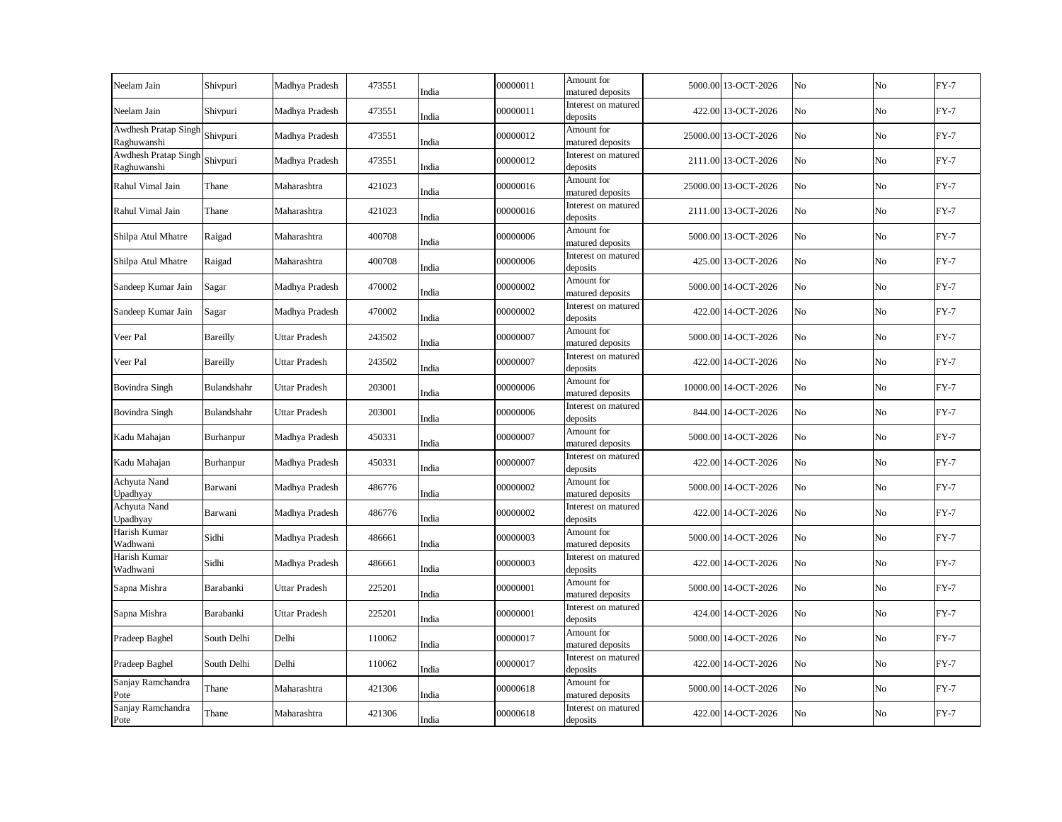| Neelam Jain                         | Shivpuri    | Madhya Pradesh       | 473551 | India | 00000011 | Amount for<br>matured deposits  | 5000.00 13-OCT-2026  | No | No | $FY-7$ |
|-------------------------------------|-------------|----------------------|--------|-------|----------|---------------------------------|----------------------|----|----|--------|
| Neelam Jain                         | Shivpuri    | Madhya Pradesh       | 473551 | India | 00000011 | Interest on matured<br>deposits | 422.00 13-OCT-2026   | No | No | $FY-7$ |
| Awdhesh Pratap Singh<br>Raghuwanshi | Shivpuri    | Madhya Pradesh       | 473551 | India | 00000012 | Amount for<br>matured deposits  | 25000.00 13-OCT-2026 | No | No | $FY-7$ |
| Awdhesh Pratap Singh<br>Raghuwanshi | Shivpuri    | Madhya Pradesh       | 473551 | India | 00000012 | Interest on matured<br>deposits | 2111.00 13-OCT-2026  | No | No | $FY-7$ |
| Rahul Vimal Jain                    | Thane       | Maharashtra          | 421023 | India | 00000016 | Amount for<br>matured deposits  | 25000.00 13-OCT-2026 | No | No | $FY-7$ |
| Rahul Vimal Jain                    | Thane       | Maharashtra          | 421023 | India | 00000016 | Interest on matured<br>deposits | 2111.00 13-OCT-2026  | No | No | $FY-7$ |
| Shilpa Atul Mhatre                  | Raigad      | Maharashtra          | 400708 | India | 00000006 | Amount for<br>matured deposits  | 5000.00 13-OCT-2026  | No | No | $FY-7$ |
| Shilpa Atul Mhatre                  | Raigad      | Maharashtra          | 400708 | India | 00000006 | Interest on matured<br>deposits | 425.00 13-OCT-2026   | No | No | $FY-7$ |
| Sandeep Kumar Jain                  | Sagar       | Madhya Pradesh       | 470002 | India | 00000002 | Amount for<br>matured deposits  | 5000.00 14-OCT-2026  | No | No | $FY-7$ |
| Sandeep Kumar Jain                  | Sagar       | Madhya Pradesh       | 470002 | India | 00000002 | Interest on matured<br>deposits | 422.00 14-OCT-2026   | No | No | $FY-7$ |
| Veer Pal                            | Bareilly    | Uttar Pradesh        | 243502 | India | 00000007 | Amount for<br>matured deposits  | 5000.00 14-OCT-2026  | No | No | $FY-7$ |
| Veer Pal                            | Bareilly    | Uttar Pradesh        | 243502 | India | 00000007 | Interest on matured<br>deposits | 422.00 14-OCT-2026   | No | No | $FY-7$ |
| <b>Bovindra Singh</b>               | Bulandshahr | Uttar Pradesh        | 203001 | India | 00000006 | Amount for<br>matured deposits  | 10000.00 14-OCT-2026 | No | No | $FY-7$ |
| <b>Bovindra Singh</b>               | Bulandshahr | <b>Uttar Pradesh</b> | 203001 | India | 00000006 | Interest on matured<br>deposits | 844.00 14-OCT-2026   | No | No | $FY-7$ |
| Kadu Mahajan                        | Burhanpur   | Madhya Pradesh       | 450331 | India | 00000007 | Amount for<br>matured deposits  | 5000.00 14-OCT-2026  | No | No | $FY-7$ |
| Kadu Mahajan                        | Burhanpur   | Madhya Pradesh       | 450331 | India | 00000007 | Interest on matured<br>deposits | 422.00 14-OCT-2026   | No | No | $FY-7$ |
| Achyuta Nand<br>Upadhyay            | Barwani     | Madhya Pradesh       | 486776 | India | 00000002 | Amount for<br>matured deposits  | 5000.00 14-OCT-2026  | No | No | $FY-7$ |
| Achyuta Nand<br>Upadhyay            | Barwani     | Madhya Pradesh       | 486776 | India | 00000002 | Interest on matured<br>deposits | 422.00 14-OCT-2026   | No | No | $FY-7$ |
| Harish Kumar<br>Wadhwani            | Sidhi       | Madhya Pradesh       | 486661 | India | 00000003 | Amount for<br>matured deposits  | 5000.00 14-OCT-2026  | No | No | $FY-7$ |
| Harish Kumar<br>Wadhwani            | Sidhi       | Madhya Pradesh       | 486661 | India | 00000003 | Interest on matured<br>deposits | 422.00 14-OCT-2026   | No | No | $FY-7$ |
| Sapna Mishra                        | Barabanki   | <b>Uttar Pradesh</b> | 225201 | India | 00000001 | Amount for<br>matured deposits  | 5000.00 14-OCT-2026  | No | No | $FY-7$ |
| Sapna Mishra                        | Barabanki   | <b>Uttar Pradesh</b> | 225201 | India | 00000001 | Interest on matured<br>deposits | 424.00 14-OCT-2026   | No | No | $FY-7$ |
| Pradeep Baghel                      | South Delhi | Delhi                | 110062 | India | 00000017 | Amount for<br>matured deposits  | 5000.00 14-OCT-2026  | No | No | $FY-7$ |
| Pradeep Baghel                      | South Delhi | Delhi                | 110062 | India | 00000017 | Interest on matured<br>deposits | 422.00 14-OCT-2026   | No | No | $FY-7$ |
| Sanjay Ramchandra<br>Pote           | Thane       | Maharashtra          | 421306 | India | 00000618 | Amount for<br>matured deposits  | 5000.00 14-OCT-2026  | No | No | $FY-7$ |
| Sanjay Ramchandra<br>Pote           | Thane       | Maharashtra          | 421306 | India | 00000618 | Interest on matured<br>deposits | 422.00 14-OCT-2026   | No | No | $FY-7$ |
|                                     |             |                      |        |       |          |                                 |                      |    |    |        |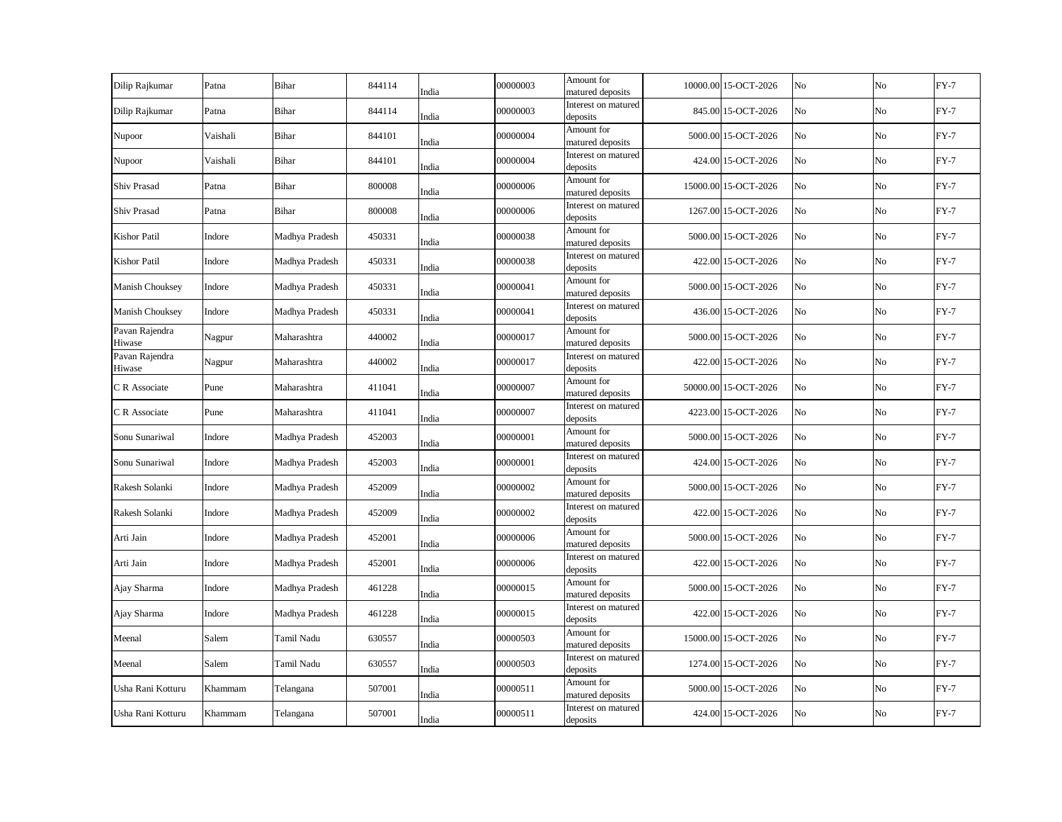|                          |          |                |        |       |          | Amount for                      |                      |    |    |        |
|--------------------------|----------|----------------|--------|-------|----------|---------------------------------|----------------------|----|----|--------|
| Dilip Rajkumar           | Patna    | <b>Bihar</b>   | 844114 | India | 00000003 | matured deposits                | 10000.00 15-OCT-2026 | No | No | $FY-7$ |
| Dilip Rajkumar           | Patna    | Bihar          | 844114 | India | 00000003 | Interest on matured<br>deposits | 845.00 15-OCT-2026   | No | No | $FY-7$ |
| Nupoor                   | Vaishali | Bihar          | 844101 | India | 00000004 | Amount for<br>matured deposits  | 5000.00 15-OCT-2026  | No | No | $FY-7$ |
| Nupoor                   | Vaishali | Bihar          | 844101 | India | 00000004 | Interest on matured<br>deposits | 424.00 15-OCT-2026   | No | No | $FY-7$ |
| Shiv Prasad              | Patna    | Bihar          | 800008 | India | 00000006 | Amount for<br>matured deposits  | 15000.00 15-OCT-2026 | No | No | $FY-7$ |
| Shiv Prasad              | Patna    | Bihar          | 800008 | India | 00000006 | Interest on matured<br>deposits | 1267.00 15-OCT-2026  | No | No | $FY-7$ |
| Kishor Patil             | Indore   | Madhya Pradesh | 450331 | India | 00000038 | Amount for<br>matured deposits  | 5000.00 15-OCT-2026  | No | No | $FY-7$ |
| Kishor Patil             | Indore   | Madhya Pradesh | 450331 | India | 00000038 | Interest on matured<br>deposits | 422.00 15-OCT-2026   | No | No | $FY-7$ |
| Manish Chouksey          | Indore   | Madhya Pradesh | 450331 | India | 00000041 | Amount for<br>matured deposits  | 5000.00 15-OCT-2026  | No | No | $FY-7$ |
| Manish Chouksey          | Indore   | Madhya Pradesh | 450331 | India | 00000041 | Interest on matured<br>deposits | 436.00 15-OCT-2026   | No | No | $FY-7$ |
| Pavan Rajendra<br>Hiwase | Nagpur   | Maharashtra    | 440002 | India | 00000017 | Amount for<br>matured deposits  | 5000.00 15-OCT-2026  | No | No | $FY-7$ |
| Pavan Rajendra<br>Hiwase | Nagpur   | Maharashtra    | 440002 | India | 00000017 | Interest on matured<br>deposits | 422.00 15-OCT-2026   | No | No | $FY-7$ |
| C R Associate            | Pune     | Maharashtra    | 411041 | India | 00000007 | Amount for<br>matured deposits  | 50000.00 15-OCT-2026 | No | No | $FY-7$ |
| C R Associate            | Pune     | Maharashtra    | 411041 | India | 00000007 | Interest on matured<br>deposits | 4223.00 15-OCT-2026  | No | No | $FY-7$ |
| Sonu Sunariwal           | Indore   | Madhya Pradesh | 452003 | India | 00000001 | Amount for<br>matured deposits  | 5000.00 15-OCT-2026  | No | No | $FY-7$ |
| Sonu Sunariwal           | Indore   | Madhya Pradesh | 452003 | India | 00000001 | Interest on matured<br>deposits | 424.00 15-OCT-2026   | No | No | $FY-7$ |
| Rakesh Solanki           | Indore   | Madhya Pradesh | 452009 | India | 00000002 | Amount for<br>matured deposits  | 5000.00 15-OCT-2026  | No | No | $FY-7$ |
| Rakesh Solanki           | Indore   | Madhya Pradesh | 452009 | India | 00000002 | Interest on matured<br>deposits | 422.00 15-OCT-2026   | No | No | $FY-7$ |
| Arti Jain                | Indore   | Madhya Pradesh | 452001 | India | 00000006 | Amount for<br>matured deposits  | 5000.00 15-OCT-2026  | No | No | $FY-7$ |
| Arti Jain                | Indore   | Madhya Pradesh | 452001 | India | 00000006 | Interest on matured<br>deposits | 422.00 15-OCT-2026   | No | No | $FY-7$ |
| Ajay Sharma              | Indore   | Madhya Pradesh | 461228 | India | 00000015 | Amount for<br>matured deposits  | 5000.00 15-OCT-2026  | No | No | $FY-7$ |
| Ajay Sharma              | Indore   | Madhya Pradesh | 461228 | India | 00000015 | Interest on matured<br>deposits | 422.00 15-OCT-2026   | No | No | $FY-7$ |
| Meenal                   | Salem    | Tamil Nadu     | 630557 | India | 00000503 | Amount for<br>matured deposits  | 15000.00 15-OCT-2026 | No | No | $FY-7$ |
| Meenal                   | Salem    | Tamil Nadu     | 630557 | India | 00000503 | Interest on matured<br>deposits | 1274.00 15-OCT-2026  | No | No | $FY-7$ |
| Usha Rani Kotturu        | Khammam  | Telangana      | 507001 | India | 00000511 | Amount for<br>matured deposits  | 5000.00 15-OCT-2026  | No | No | $FY-7$ |
| Usha Rani Kotturu        | Khammam  | Telangana      | 507001 | India | 00000511 | Interest on matured<br>deposits | 424.00 15-OCT-2026   | No | No | $FY-7$ |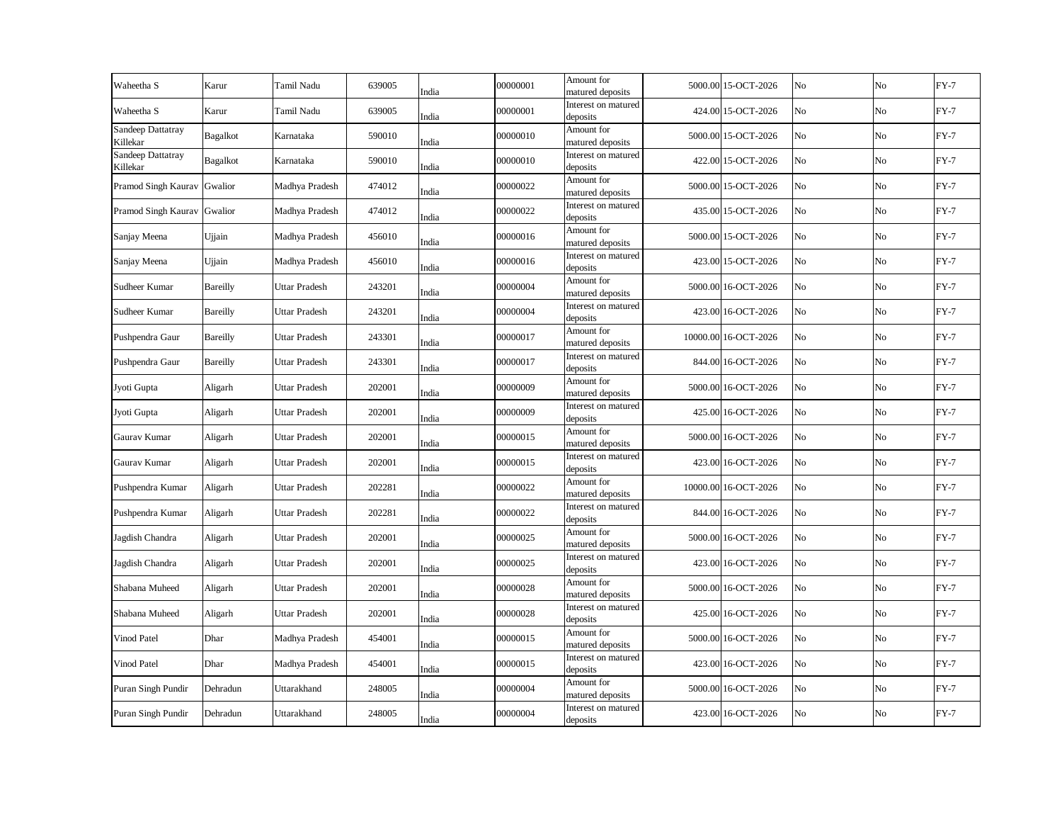| Waheetha S                    | Karur    | Tamil Nadu           | 639005 | India | 00000001 | Amount for<br>matured deposits  | 5000.00 15-OCT-2026  | No | No       | $FY-7$ |
|-------------------------------|----------|----------------------|--------|-------|----------|---------------------------------|----------------------|----|----------|--------|
| Waheetha S                    | Karur    | Tamil Nadu           | 639005 | India | 00000001 | Interest on matured<br>deposits | 424.00 15-OCT-2026   | No | No       | $FY-7$ |
| Sandeep Dattatray<br>Killekar | Bagalkot | Karnataka            | 590010 | India | 00000010 | Amount for<br>matured deposits  | 5000.00 15-OCT-2026  | No | $\rm No$ | $FY-7$ |
| Sandeep Dattatray<br>Killekar | Bagalkot | Karnataka            | 590010 | India | 00000010 | Interest on matured<br>deposits | 422.00 15-OCT-2026   | No | No       | $FY-7$ |
| Pramod Singh Kaurav Gwalior   |          | Madhya Pradesh       | 474012 | India | 00000022 | Amount for<br>matured deposits  | 5000.00 15-OCT-2026  | No | $\rm No$ | $FY-7$ |
| Pramod Singh Kaurav Gwalior   |          | Madhya Pradesh       | 474012 | India | 00000022 | Interest on matured<br>deposits | 435.00 15-OCT-2026   | No | $\rm No$ | $FY-7$ |
| Sanjay Meena                  | Ujjain   | Madhya Pradesh       | 456010 | India | 00000016 | Amount for<br>matured deposits  | 5000.00 15-OCT-2026  | No | No       | $FY-7$ |
| Sanjay Meena                  | Ujjain   | Madhya Pradesh       | 456010 | India | 00000016 | Interest on matured<br>deposits | 423.00 15-OCT-2026   | No | No       | $FY-7$ |
| Sudheer Kumar                 | Bareilly | <b>Uttar Pradesh</b> | 243201 | India | 00000004 | Amount for<br>matured deposits  | 5000.00 16-OCT-2026  | No | No       | $FY-7$ |
| Sudheer Kumar                 | Bareilly | <b>Uttar Pradesh</b> | 243201 | India | 00000004 | Interest on matured<br>deposits | 423.00 16-OCT-2026   | No | No       | $FY-7$ |
| Pushpendra Gaur               | Bareilly | <b>Uttar Pradesh</b> | 243301 | India | 00000017 | Amount for<br>matured deposits  | 10000.00 16-OCT-2026 | No | No       | $FY-7$ |
| Pushpendra Gaur               | Bareilly | <b>Uttar Pradesh</b> | 243301 | India | 00000017 | Interest on matured<br>deposits | 844.00 16-OCT-2026   | No | No       | $FY-7$ |
| Jyoti Gupta                   | Aligarh  | <b>Uttar Pradesh</b> | 202001 | India | 00000009 | Amount for<br>matured deposits  | 5000.00 16-OCT-2026  | No | $\rm No$ | $FY-7$ |
| Jyoti Gupta                   | Aligarh  | Uttar Pradesh        | 202001 | India | 00000009 | Interest on matured<br>deposits | 425.00 16-OCT-2026   | No | No       | $FY-7$ |
| Gaurav Kumar                  | Aligarh  | <b>Uttar Pradesh</b> | 202001 | India | 00000015 | Amount for<br>matured deposits  | 5000.00 16-OCT-2026  | No | No       | $FY-7$ |
| Gaurav Kumar                  | Aligarh  | <b>Uttar Pradesh</b> | 202001 | India | 00000015 | Interest on matured<br>deposits | 423.00 16-OCT-2026   | No | $\rm No$ | $FY-7$ |
| Pushpendra Kumar              | Aligarh  | <b>Uttar Pradesh</b> | 202281 | India | 00000022 | Amount for<br>matured deposits  | 10000.00 16-OCT-2026 | No | No       | $FY-7$ |
| Pushpendra Kumar              | Aligarh  | <b>Uttar Pradesh</b> | 202281 | India | 00000022 | Interest on matured<br>deposits | 844.00 16-OCT-2026   | No | $\rm No$ | $FY-7$ |
| Jagdish Chandra               | Aligarh  | Uttar Pradesh        | 202001 | India | 00000025 | Amount for<br>matured deposits  | 5000.00 16-OCT-2026  | No | No       | $FY-7$ |
| Jagdish Chandra               | Aligarh  | <b>Uttar Pradesh</b> | 202001 | India | 00000025 | Interest on matured<br>deposits | 423.00 16-OCT-2026   | No | No       | $FY-7$ |
| Shabana Muheed                | Aligarh  | Uttar Pradesh        | 202001 | India | 00000028 | Amount for<br>matured deposits  | 5000.00 16-OCT-2026  | No | No       | $FY-7$ |
| Shabana Muheed                | Aligarh  | <b>Uttar Pradesh</b> | 202001 | India | 00000028 | Interest on matured<br>deposits | 425.00 16-OCT-2026   | No | No       | $FY-7$ |
| Vinod Patel                   | Dhar     | Madhya Pradesh       | 454001 | India | 00000015 | Amount for<br>matured deposits  | 5000.00 16-OCT-2026  | No | No       | $FY-7$ |
| Vinod Patel                   | Dhar     | Madhya Pradesh       | 454001 | India | 00000015 | Interest on matured<br>deposits | 423.00 16-OCT-2026   | No | No       | $FY-7$ |
| Puran Singh Pundir            | Dehradun | Uttarakhand          | 248005 | India | 00000004 | Amount for<br>matured deposits  | 5000.00 16-OCT-2026  | No | No       | $FY-7$ |
| Puran Singh Pundir            | Dehradun | Uttarakhand          | 248005 | India | 00000004 | Interest on matured<br>deposits | 423.00 16-OCT-2026   | No | No       | $FY-7$ |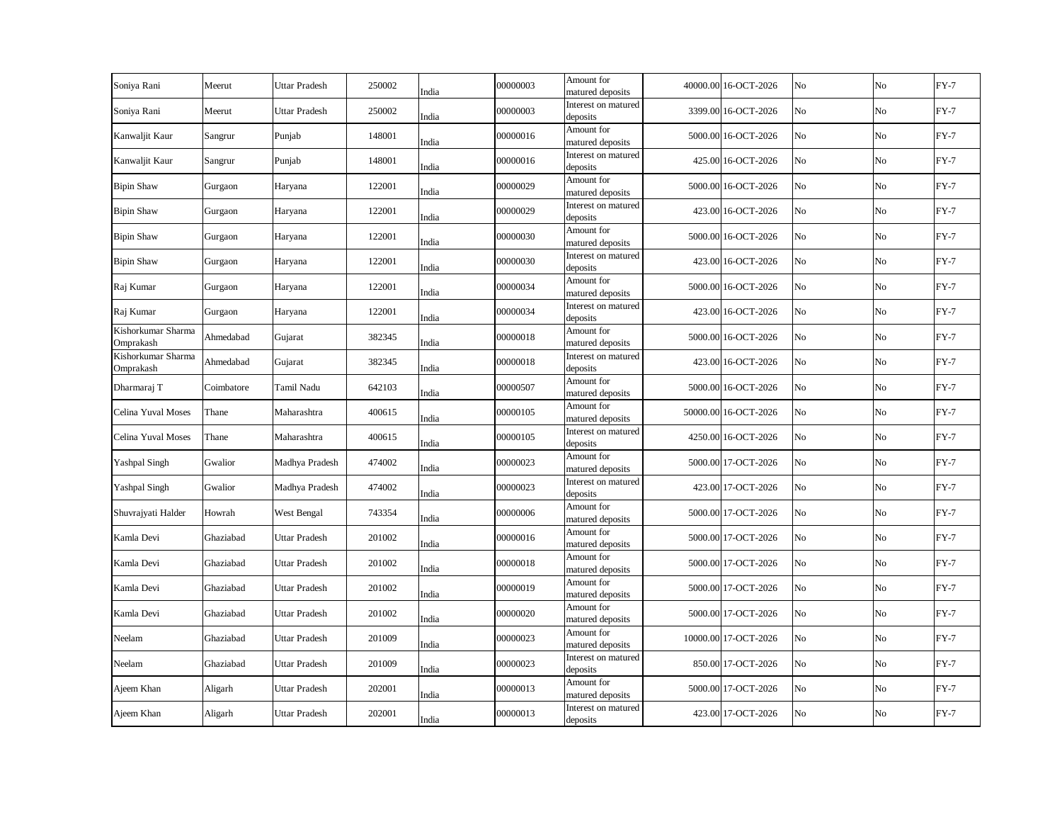| Meerut     | <b>Uttar Pradesh</b> | 250002 | India | 00000003                                                                      | Amount for<br>matured deposits  |                                                                                                                                                                                                                      | No                                                                                                                                                                                                                                                                                                                                                                                                                                                                                                                                                                                                            | No          | $FY-7$ |
|------------|----------------------|--------|-------|-------------------------------------------------------------------------------|---------------------------------|----------------------------------------------------------------------------------------------------------------------------------------------------------------------------------------------------------------------|---------------------------------------------------------------------------------------------------------------------------------------------------------------------------------------------------------------------------------------------------------------------------------------------------------------------------------------------------------------------------------------------------------------------------------------------------------------------------------------------------------------------------------------------------------------------------------------------------------------|-------------|--------|
| Meerut     | <b>Uttar Pradesh</b> | 250002 | India | 00000003                                                                      | Interest on matured             |                                                                                                                                                                                                                      | No                                                                                                                                                                                                                                                                                                                                                                                                                                                                                                                                                                                                            | No          | $FY-7$ |
| Sangrur    | Punjab               | 148001 |       | 00000016                                                                      | Amount for                      |                                                                                                                                                                                                                      | No                                                                                                                                                                                                                                                                                                                                                                                                                                                                                                                                                                                                            | No          | $FY-7$ |
| Sangrur    | Punjab               | 148001 |       | 00000016                                                                      | Interest on matured             |                                                                                                                                                                                                                      | No                                                                                                                                                                                                                                                                                                                                                                                                                                                                                                                                                                                                            | No          | $FY-7$ |
| Gurgaon    | Haryana              | 122001 |       | 00000029                                                                      | Amount for                      |                                                                                                                                                                                                                      | No                                                                                                                                                                                                                                                                                                                                                                                                                                                                                                                                                                                                            | No          | $FY-7$ |
| Gurgaon    | Haryana              | 122001 |       | 00000029                                                                      | Interest on matured             |                                                                                                                                                                                                                      | No                                                                                                                                                                                                                                                                                                                                                                                                                                                                                                                                                                                                            | No          | $FY-7$ |
| Gurgaon    | Haryana              | 122001 |       | 00000030                                                                      | Amount for                      |                                                                                                                                                                                                                      | No                                                                                                                                                                                                                                                                                                                                                                                                                                                                                                                                                                                                            | $\rm No$    | $FY-7$ |
| Gurgaon    | Haryana              | 122001 |       | 00000030                                                                      | Interest on matured             |                                                                                                                                                                                                                      | No                                                                                                                                                                                                                                                                                                                                                                                                                                                                                                                                                                                                            | No          | $FY-7$ |
| Gurgaon    | Haryana              | 122001 |       | 00000034                                                                      | Amount for                      |                                                                                                                                                                                                                      | No                                                                                                                                                                                                                                                                                                                                                                                                                                                                                                                                                                                                            | No          | $FY-7$ |
| Gurgaon    | Haryana              | 122001 |       | 00000034                                                                      | Interest on matured             |                                                                                                                                                                                                                      | No                                                                                                                                                                                                                                                                                                                                                                                                                                                                                                                                                                                                            | No          | $FY-7$ |
| Ahmedabad  | Gujarat              | 382345 |       | 00000018                                                                      | Amount for                      |                                                                                                                                                                                                                      | No                                                                                                                                                                                                                                                                                                                                                                                                                                                                                                                                                                                                            | No          | $FY-7$ |
| Ahmedabad  | Gujarat              | 382345 | India | 00000018                                                                      | Interest on matured             |                                                                                                                                                                                                                      | No                                                                                                                                                                                                                                                                                                                                                                                                                                                                                                                                                                                                            | No          | $FY-7$ |
| Coimbatore | Tamil Nadu           | 642103 | India | 00000507                                                                      | Amount for<br>matured deposits  |                                                                                                                                                                                                                      | No                                                                                                                                                                                                                                                                                                                                                                                                                                                                                                                                                                                                            | No          | $FY-7$ |
| Thane      | Maharashtra          | 400615 | India | 00000105                                                                      | Amount for<br>matured deposits  |                                                                                                                                                                                                                      | No                                                                                                                                                                                                                                                                                                                                                                                                                                                                                                                                                                                                            | No          | $FY-7$ |
| Thane      | Maharashtra          | 400615 | India | 00000105                                                                      | Interest on matured             |                                                                                                                                                                                                                      | No                                                                                                                                                                                                                                                                                                                                                                                                                                                                                                                                                                                                            | No          | $FY-7$ |
| Gwalior    | Madhya Pradesh       | 474002 | India | 00000023                                                                      | Amount for<br>matured deposits  |                                                                                                                                                                                                                      | No                                                                                                                                                                                                                                                                                                                                                                                                                                                                                                                                                                                                            | No          | $FY-7$ |
| Gwalior    | Madhya Pradesh       | 474002 | India | 00000023                                                                      | Interest on matured             |                                                                                                                                                                                                                      | No                                                                                                                                                                                                                                                                                                                                                                                                                                                                                                                                                                                                            | No          | $FY-7$ |
| Howrah     | West Bengal          | 743354 | India | 00000006                                                                      | Amount for<br>matured deposits  |                                                                                                                                                                                                                      | No                                                                                                                                                                                                                                                                                                                                                                                                                                                                                                                                                                                                            | No          | $FY-7$ |
| Ghaziabad  | Uttar Pradesh        | 201002 | India | 00000016                                                                      | Amount for                      |                                                                                                                                                                                                                      | No                                                                                                                                                                                                                                                                                                                                                                                                                                                                                                                                                                                                            | No          | $FY-7$ |
| Ghaziabad  | Uttar Pradesh        | 201002 | India | 00000018                                                                      | Amount for<br>matured deposits  |                                                                                                                                                                                                                      | No                                                                                                                                                                                                                                                                                                                                                                                                                                                                                                                                                                                                            | No          | $FY-7$ |
| Ghaziabad  | Uttar Pradesh        | 201002 | India | 00000019                                                                      | Amount for<br>matured deposits  |                                                                                                                                                                                                                      | No                                                                                                                                                                                                                                                                                                                                                                                                                                                                                                                                                                                                            | No          | $FY-7$ |
| Ghaziabad  | <b>Uttar Pradesh</b> | 201002 | India | 00000020                                                                      | Amount for<br>matured deposits  |                                                                                                                                                                                                                      | No                                                                                                                                                                                                                                                                                                                                                                                                                                                                                                                                                                                                            | No          | $FY-7$ |
| Ghaziabad  | <b>Uttar Pradesh</b> | 201009 | India | 00000023                                                                      | Amount for<br>matured deposits  |                                                                                                                                                                                                                      | No                                                                                                                                                                                                                                                                                                                                                                                                                                                                                                                                                                                                            | No          | $FY-7$ |
| Ghaziabad  | <b>Uttar Pradesh</b> | 201009 | India | 00000023                                                                      | Interest on matured<br>deposits |                                                                                                                                                                                                                      | No                                                                                                                                                                                                                                                                                                                                                                                                                                                                                                                                                                                                            | $_{\rm No}$ | $FY-7$ |
| Aligarh    | Uttar Pradesh        | 202001 | India | 00000013                                                                      | Amount for<br>matured deposits  |                                                                                                                                                                                                                      | No                                                                                                                                                                                                                                                                                                                                                                                                                                                                                                                                                                                                            | No          | $FY-7$ |
| Aligarh    | Uttar Pradesh        | 202001 | India | 00000013                                                                      | Interest on matured<br>deposits |                                                                                                                                                                                                                      | No                                                                                                                                                                                                                                                                                                                                                                                                                                                                                                                                                                                                            | No          | $FY-7$ |
|            |                      |        |       | India<br>India<br>India<br>India<br>India<br>India<br>India<br>India<br>India |                                 | deposits<br>matured deposits<br>deposits<br>matured deposits<br>deposits<br>matured deposits<br>deposits<br>matured deposits<br>deposits<br>matured deposits<br>deposits<br>deposits<br>deposits<br>matured deposits | 40000.00 16-OCT-2026<br>3399.00 16-OCT-2026<br>5000.00 16-OCT-2026<br>425.00 16-OCT-2026<br>5000.00 16-OCT-2026<br>423.00 16-OCT-2026<br>5000.00 16-OCT-2026<br>423.00 16-OCT-2026<br>5000.00 16-OCT-2026<br>423.00 16-OCT-2026<br>5000.00 16-OCT-2026<br>423.00 16-OCT-2026<br>5000.00 16-OCT-2026<br>50000.00 16-OCT-2026<br>4250.00 16-OCT-2026<br>5000.00 17-OCT-2026<br>423.00 17-OCT-2026<br>5000.00 17-OCT-2026<br>5000.00 17-OCT-2026<br>5000.00 17-OCT-2026<br>5000.00 17-OCT-2026<br>5000.00 17-OCT-2026<br>10000.00 17-OCT-2026<br>850.00 17-OCT-2026<br>5000.00 17-OCT-2026<br>423.00 17-OCT-2026 |             |        |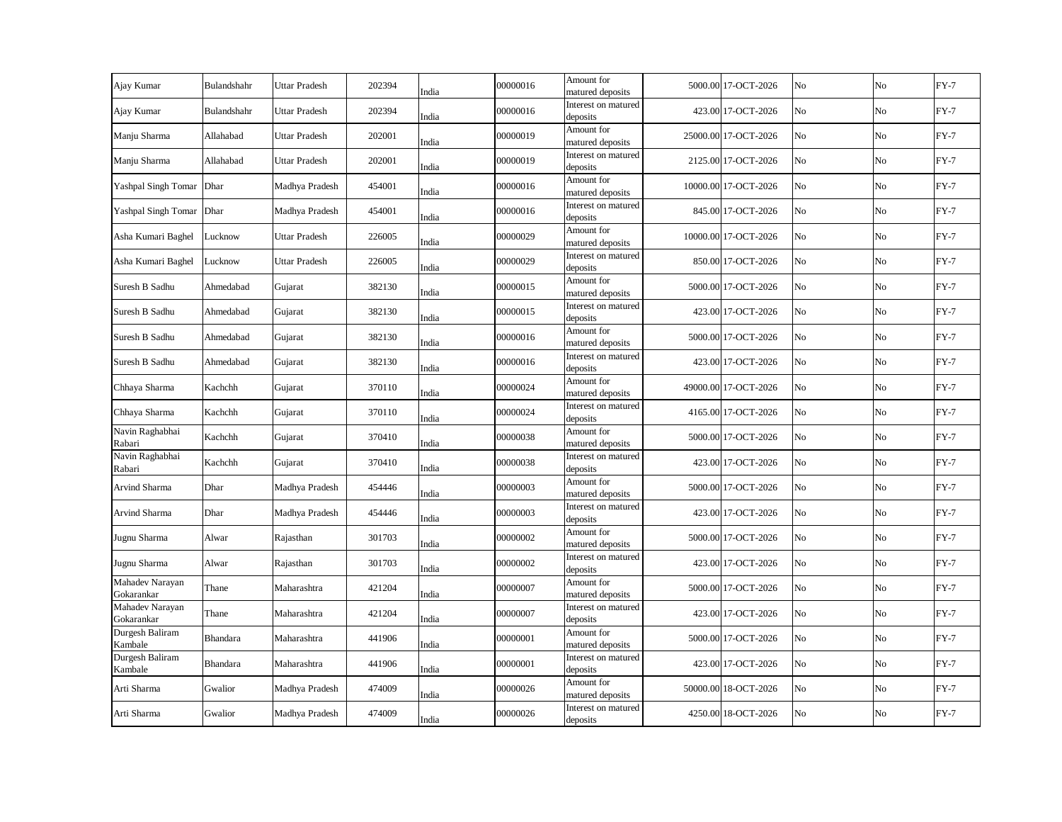| Ajay Kumar                    | Bulandshahr     | <b>Uttar Pradesh</b> | 202394 | India | 00000016 | Amount for<br>matured deposits  | 5000.00 17-OCT-2026  | No | No             | $FY-7$ |
|-------------------------------|-----------------|----------------------|--------|-------|----------|---------------------------------|----------------------|----|----------------|--------|
| Ajay Kumar                    | Bulandshahr     | <b>Uttar Pradesh</b> | 202394 | India | 00000016 | Interest on matured<br>deposits | 423.00 17-OCT-2026   | No | No             | $FY-7$ |
| Manju Sharma                  | Allahabad       | <b>Uttar Pradesh</b> | 202001 | India | 00000019 | Amount for<br>matured deposits  | 25000.00 17-OCT-2026 | No | No             | $FY-7$ |
| Manju Sharma                  | Allahabad       | <b>Uttar Pradesh</b> | 202001 | India | 00000019 | Interest on matured<br>deposits | 2125.00 17-OCT-2026  | No | No             | $FY-7$ |
| Yashpal Singh Tomar Dhar      |                 | Madhya Pradesh       | 454001 | India | 00000016 | Amount for<br>matured deposits  | 10000.00 17-OCT-2026 | No | N <sub>o</sub> | $FY-7$ |
| Yashpal Singh Tomar Dhar      |                 | Madhya Pradesh       | 454001 | India | 00000016 | Interest on matured<br>deposits | 845.00 17-OCT-2026   | No | No             | $FY-7$ |
| Asha Kumari Baghel            | Lucknow         | <b>Uttar Pradesh</b> | 226005 | India | 00000029 | Amount for<br>matured deposits  | 10000.00 17-OCT-2026 | No | No             | $FY-7$ |
| Asha Kumari Baghel            | Lucknow         | <b>Uttar Pradesh</b> | 226005 | India | 00000029 | Interest on matured<br>deposits | 850.00 17-OCT-2026   | No | No             | $FY-7$ |
| Suresh B Sadhu                | Ahmedabad       | Gujarat              | 382130 | India | 00000015 | Amount for<br>matured deposits  | 5000.00 17-OCT-2026  | No | No             | $FY-7$ |
| Suresh B Sadhu                | Ahmedabad       | Gujarat              | 382130 | India | 00000015 | Interest on matured<br>deposits | 423.00 17-OCT-2026   | No | No             | $FY-7$ |
| Suresh B Sadhu                | Ahmedabad       | Gujarat              | 382130 | India | 00000016 | Amount for<br>matured deposits  | 5000.00 17-OCT-2026  | No | No             | $FY-7$ |
| Suresh B Sadhu                | Ahmedabad       | Gujarat              | 382130 | India | 00000016 | Interest on matured<br>deposits | 423.00 17-OCT-2026   | No | No             | $FY-7$ |
| Chhaya Sharma                 | Kachchh         | Gujarat              | 370110 | India | 00000024 | Amount for<br>matured deposits  | 49000.00 17-OCT-2026 | No | No             | $FY-7$ |
| Chhaya Sharma                 | Kachchh         | Gujarat              | 370110 | India | 00000024 | Interest on matured<br>deposits | 4165.00 17-OCT-2026  | No | No             | $FY-7$ |
| Navin Raghabhai<br>Rabari     | Kachchh         | Gujarat              | 370410 | India | 00000038 | Amount for<br>matured deposits  | 5000.00 17-OCT-2026  | No | No             | $FY-7$ |
| Navin Raghabhai<br>Rabari     | Kachchh         | Gujarat              | 370410 | India | 00000038 | Interest on matured<br>deposits | 423.00 17-OCT-2026   | No | No             | $FY-7$ |
| Arvind Sharma                 | Dhar            | Madhya Pradesh       | 454446 | India | 00000003 | Amount for<br>matured deposits  | 5000.00 17-OCT-2026  | No | No             | $FY-7$ |
| Arvind Sharma                 | Dhar            | Madhya Pradesh       | 454446 | India | 00000003 | Interest on matured<br>deposits | 423.00 17-OCT-2026   | No | No             | $FY-7$ |
| Jugnu Sharma                  | Alwar           | Rajasthan            | 301703 | India | 00000002 | Amount for<br>matured deposits  | 5000.00 17-OCT-2026  | No | No             | $FY-7$ |
| Jugnu Sharma                  | Alwar           | Rajasthan            | 301703 | India | 00000002 | Interest on matured<br>deposits | 423.00 17-OCT-2026   | No | No             | $FY-7$ |
| Mahadev Narayan<br>Gokarankar | Thane           | Maharashtra          | 421204 | India | 00000007 | Amount for<br>matured deposits  | 5000.00 17-OCT-2026  | No | No             | $FY-7$ |
| Mahadev Narayan<br>Gokarankar | Thane           | Maharashtra          | 421204 | India | 00000007 | Interest on matured<br>deposits | 423.00 17-OCT-2026   | No | No             | $FY-7$ |
| Durgesh Baliram<br>Kambale    | Bhandara        | Maharashtra          | 441906 | India | 00000001 | Amount for<br>matured deposits  | 5000.00 17-OCT-2026  | No | No             | $FY-7$ |
| Durgesh Baliram<br>Kambale    | <b>Bhandara</b> | Maharashtra          | 441906 | India | 00000001 | Interest on matured<br>deposits | 423.00 17-OCT-2026   | No | No             | $FY-7$ |
| Arti Sharma                   | Gwalior         | Madhya Pradesh       | 474009 | India | 00000026 | Amount for<br>matured deposits  | 50000.00 18-OCT-2026 | No | No             | $FY-7$ |
| Arti Sharma                   | Gwalior         | Madhya Pradesh       | 474009 | India | 00000026 | Interest on matured<br>deposits | 4250.00 18-OCT-2026  | No | No             | $FY-7$ |
|                               |                 |                      |        |       |          |                                 |                      |    |                |        |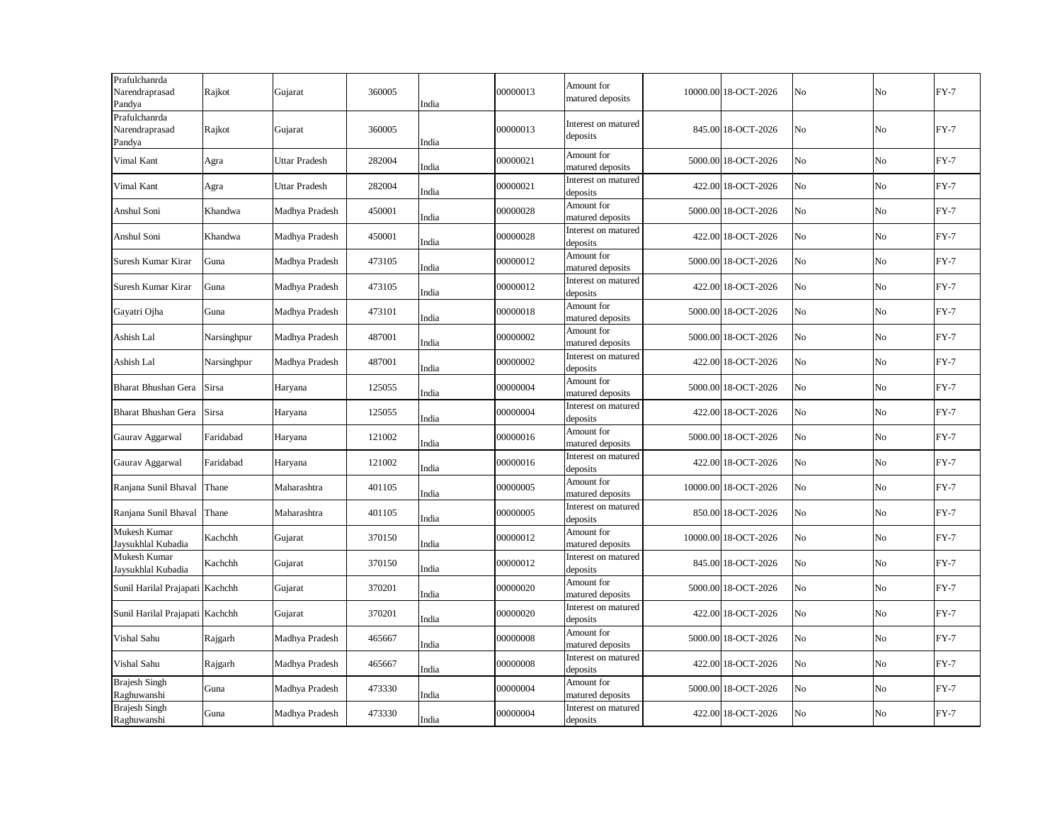| Prafulchanrda<br>Narendraprasad<br>Pandya | Rajkot      | Gujarat              | 360005 | India | 00000013 | Amount for<br>matured deposits  | 10000.00 18-OCT-2026 | No | No | $FY-7$ |
|-------------------------------------------|-------------|----------------------|--------|-------|----------|---------------------------------|----------------------|----|----|--------|
| Prafulchanrda<br>Narendraprasad<br>Pandya | Rajkot      | Gujarat              | 360005 | India | 00000013 | Interest on matured<br>deposits | 845.00 18-OCT-2026   | No | No | $FY-7$ |
| Vimal Kant                                | Agra        | Uttar Pradesh        | 282004 | India | 00000021 | Amount for<br>matured deposits  | 5000.00 18-OCT-2026  | No | No | $FY-7$ |
| Vimal Kant                                | Agra        | <b>Uttar Pradesh</b> | 282004 | India | 00000021 | Interest on matured<br>deposits | 422.00 18-OCT-2026   | No | No | $FY-7$ |
| Anshul Soni                               | Khandwa     | Madhya Pradesh       | 450001 | India | 00000028 | Amount for<br>matured deposits  | 5000.00 18-OCT-2026  | No | No | $FY-7$ |
| Anshul Soni                               | Khandwa     | Madhya Pradesh       | 450001 | India | 00000028 | Interest on matured<br>deposits | 422.00 18-OCT-2026   | No | No | $FY-7$ |
| Suresh Kumar Kirar                        | Guna        | Madhya Pradesh       | 473105 | India | 00000012 | Amount for<br>matured deposits  | 5000.00 18-OCT-2026  | No | No | $FY-7$ |
| Suresh Kumar Kirar                        | Guna        | Madhya Pradesh       | 473105 | India | 00000012 | Interest on matured<br>deposits | 422.00 18-OCT-2026   | No | No | $FY-7$ |
| Gayatri Ojha                              | Guna        | Madhya Pradesh       | 473101 | India | 00000018 | Amount for<br>matured deposits  | 5000.00 18-OCT-2026  | No | No | $FY-7$ |
| Ashish Lal                                | Narsinghpur | Madhya Pradesh       | 487001 | India | 00000002 | Amount for<br>matured deposits  | 5000.00 18-OCT-2026  | No | No | $FY-7$ |
| Ashish Lal                                | Narsinghpur | Madhya Pradesh       | 487001 | India | 00000002 | Interest on matured<br>deposits | 422.00 18-OCT-2026   | No | No | $FY-7$ |
| Bharat Bhushan Gera                       | Sirsa       | Haryana              | 125055 | India | 00000004 | Amount for<br>matured deposits  | 5000.00 18-OCT-2026  | No | No | $FY-7$ |
| Bharat Bhushan Gera                       | Sirsa       | Haryana              | 125055 | India | 00000004 | Interest on matured<br>deposits | 422.00 18-OCT-2026   | No | No | $FY-7$ |
| Gaurav Aggarwal                           | Faridabad   | Haryana              | 121002 | India | 00000016 | Amount for<br>matured deposits  | 5000.00 18-OCT-2026  | No | No | $FY-7$ |
| Gaurav Aggarwal                           | Faridabad   | Haryana              | 121002 | India | 00000016 | Interest on matured<br>deposits | 422.00 18-OCT-2026   | No | No | $FY-7$ |
| Ranjana Sunil Bhaval                      | Thane       | Maharashtra          | 401105 | India | 00000005 | Amount for<br>matured deposits  | 10000.00 18-OCT-2026 | No | No | $FY-7$ |
| Ranjana Sunil Bhaval                      | Thane       | Maharashtra          | 401105 | India | 00000005 | Interest on matured<br>deposits | 850.00 18-OCT-2026   | No | No | $FY-7$ |
| Mukesh Kumar<br>Jaysukhlal Kubadia        | Kachchh     | Gujarat              | 370150 | India | 00000012 | Amount for<br>matured deposits  | 10000.00 18-OCT-2026 | No | No | $FY-7$ |
| Mukesh Kumar<br>Jaysukhlal Kubadia        | Kachchh     | Gujarat              | 370150 | India | 00000012 | Interest on matured<br>deposits | 845.00 18-OCT-2026   | No | No | $FY-7$ |
| Sunil Harilal Prajapati Kachchh           |             | Gujarat              | 370201 | India | 00000020 | Amount for<br>matured deposits  | 5000.00 18-OCT-2026  | No | No | $FY-7$ |
| Sunil Harilal Prajapati Kachchh           |             | Gujarat              | 370201 | India | 00000020 | Interest on matured<br>deposits | 422.00 18-OCT-2026   | No | No | $FY-7$ |
| Vishal Sahu                               | Rajgarh     | Madhya Pradesh       | 465667 | India | 00000008 | Amount for<br>matured deposits  | 5000.00 18-OCT-2026  | No | No | $FY-7$ |
| Vishal Sahu                               | Rajgarh     | Madhya Pradesh       | 465667 | India | 00000008 | Interest on matured<br>deposits | 422.00 18-OCT-2026   | No | No | $FY-7$ |
| <b>Brajesh Singh</b><br>Raghuwanshi       | Guna        | Madhya Pradesh       | 473330 | India | 00000004 | Amount for<br>matured deposits  | 5000.00 18-OCT-2026  | No | No | $FY-7$ |
| <b>Brajesh Singh</b><br>Raghuwanshi       | Guna        | Madhya Pradesh       | 473330 | India | 00000004 | Interest on matured<br>deposits | 422.00 18-OCT-2026   | No | No | $FY-7$ |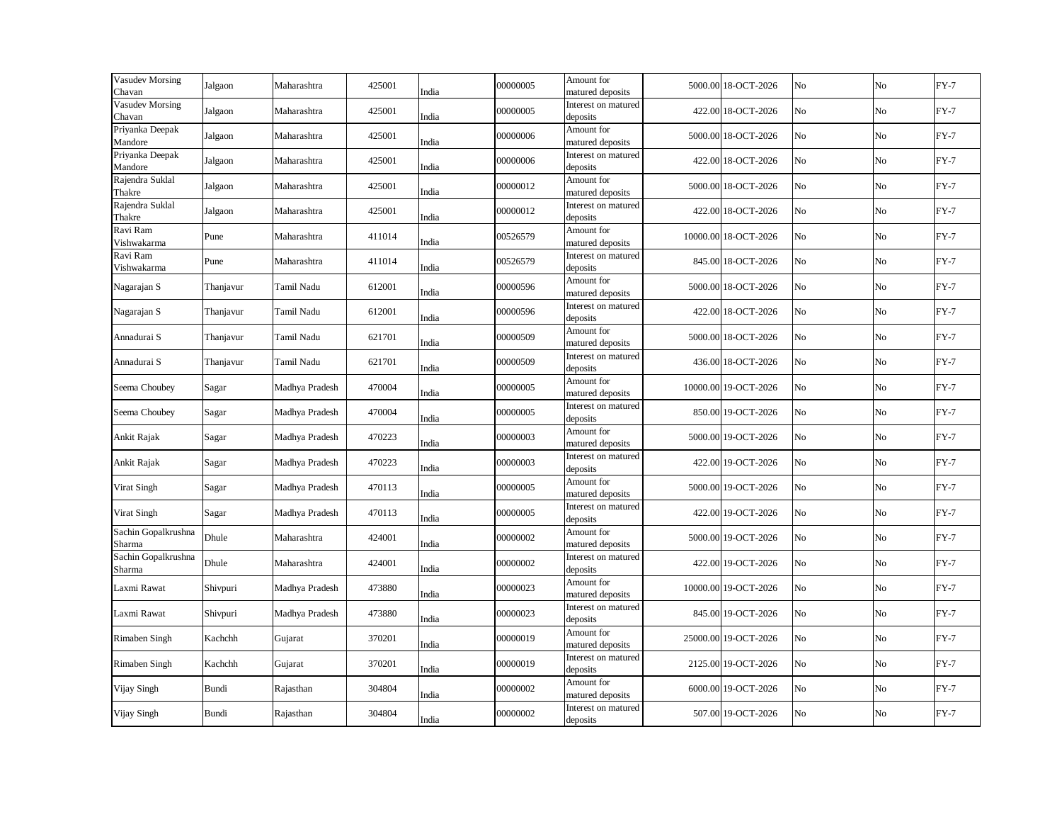| Vasudev Morsing<br>Chavan     | Jalgaon   | Maharashtra    | 425001 | India | 00000005 | Amount for<br>matured deposits  | 5000.00 18-OCT-2026  | No | No | $FY-7$ |
|-------------------------------|-----------|----------------|--------|-------|----------|---------------------------------|----------------------|----|----|--------|
| Vasudev Morsing<br>Chavan     | Jalgaon   | Maharashtra    | 425001 | India | 00000005 | Interest on matured<br>deposits | 422.00 18-OCT-2026   | No | No | $FY-7$ |
| Priyanka Deepak<br>Mandore    | Jalgaon   | Maharashtra    | 425001 | India | 00000006 | Amount for<br>matured deposits  | 5000.00 18-OCT-2026  | No | No | $FY-7$ |
| Priyanka Deepak<br>Mandore    | Jalgaon   | Maharashtra    | 425001 | India | 00000006 | Interest on matured<br>deposits | 422.00 18-OCT-2026   | No | No | $FY-7$ |
| Rajendra Suklal<br>Thakre     | Jalgaon   | Maharashtra    | 425001 | India | 00000012 | Amount for<br>matured deposits  | 5000.00 18-OCT-2026  | No | No | $FY-7$ |
| Rajendra Suklal<br>Thakre     | Jalgaon   | Maharashtra    | 425001 | India | 00000012 | Interest on matured<br>deposits | 422.00 18-OCT-2026   | No | No | $FY-7$ |
| Ravi Ram<br>Vishwakarma       | Pune      | Maharashtra    | 411014 | India | 00526579 | Amount for<br>matured deposits  | 10000.00 18-OCT-2026 | No | No | $FY-7$ |
| Ravi Ram<br>Vishwakarma       | Pune      | Maharashtra    | 411014 | India | 00526579 | Interest on matured<br>deposits | 845.00 18-OCT-2026   | No | No | $FY-7$ |
| Nagarajan S                   | Thanjavur | Tamil Nadu     | 612001 | India | 00000596 | Amount for<br>matured deposits  | 5000.00 18-OCT-2026  | No | No | $FY-7$ |
| Nagarajan S                   | Thanjavur | Tamil Nadu     | 612001 | India | 00000596 | Interest on matured<br>deposits | 422.00 18-OCT-2026   | No | No | $FY-7$ |
| Annadurai S                   | Thanjavur | Tamil Nadu     | 621701 | India | 00000509 | Amount for<br>matured deposits  | 5000.00 18-OCT-2026  | No | No | $FY-7$ |
| Annadurai S                   | Thanjavur | Tamil Nadu     | 621701 | India | 00000509 | Interest on matured<br>deposits | 436.00 18-OCT-2026   | No | No | $FY-7$ |
| Seema Choubey                 | Sagar     | Madhya Pradesh | 470004 | India | 00000005 | Amount for<br>matured deposits  | 10000.00 19-OCT-2026 | No | No | $FY-7$ |
| Seema Choubey                 | Sagar     | Madhya Pradesh | 470004 | India | 00000005 | Interest on matured<br>deposits | 850.00 19-OCT-2026   | No | No | $FY-7$ |
| Ankit Rajak                   | Sagar     | Madhya Pradesh | 470223 | India | 00000003 | Amount for<br>matured deposits  | 5000.00 19-OCT-2026  | No | No | $FY-7$ |
| Ankit Rajak                   | Sagar     | Madhya Pradesh | 470223 | India | 00000003 | Interest on matured<br>deposits | 422.00 19-OCT-2026   | No | No | $FY-7$ |
| Virat Singh                   | Sagar     | Madhya Pradesh | 470113 | India | 00000005 | Amount for<br>matured deposits  | 5000.00 19-OCT-2026  | No | No | $FY-7$ |
| Virat Singh                   | Sagar     | Madhya Pradesh | 470113 | India | 00000005 | Interest on matured<br>deposits | 422.00 19-OCT-2026   | No | No | $FY-7$ |
| Sachin Gopalkrushna<br>Sharma | Dhule     | Maharashtra    | 424001 | India | 00000002 | Amount for<br>matured deposits  | 5000.00 19-OCT-2026  | No | No | $FY-7$ |
| Sachin Gopalkrushna<br>Sharma | Dhule     | Maharashtra    | 424001 | India | 00000002 | Interest on matured<br>deposits | 422.00 19-OCT-2026   | No | No | $FY-7$ |
| Laxmi Rawat                   | Shivpuri  | Madhya Pradesh | 473880 | India | 00000023 | Amount for<br>matured deposits  | 10000.00 19-OCT-2026 | No | No | $FY-7$ |
| Laxmi Rawat                   | Shivpuri  | Madhya Pradesh | 473880 | India | 00000023 | Interest on matured<br>deposits | 845.00 19-OCT-2026   | No | No | $FY-7$ |
| Rimaben Singh                 | Kachchh   | Gujarat        | 370201 | India | 00000019 | Amount for<br>matured deposits  | 25000.00 19-OCT-2026 | No | No | $FY-7$ |
| Rimaben Singh                 | Kachchh   | Gujarat        | 370201 | India | 00000019 | Interest on matured<br>deposits | 2125.00 19-OCT-2026  | No | No | $FY-7$ |
| Vijay Singh                   | Bundi     | Rajasthan      | 304804 | India | 00000002 | Amount for<br>matured deposits  | 6000.00 19-OCT-2026  | No | No | $FY-7$ |
| Vijay Singh                   | Bundi     | Rajasthan      | 304804 | India | 00000002 | Interest on matured<br>deposits | 507.00 19-OCT-2026   | No | No | $FY-7$ |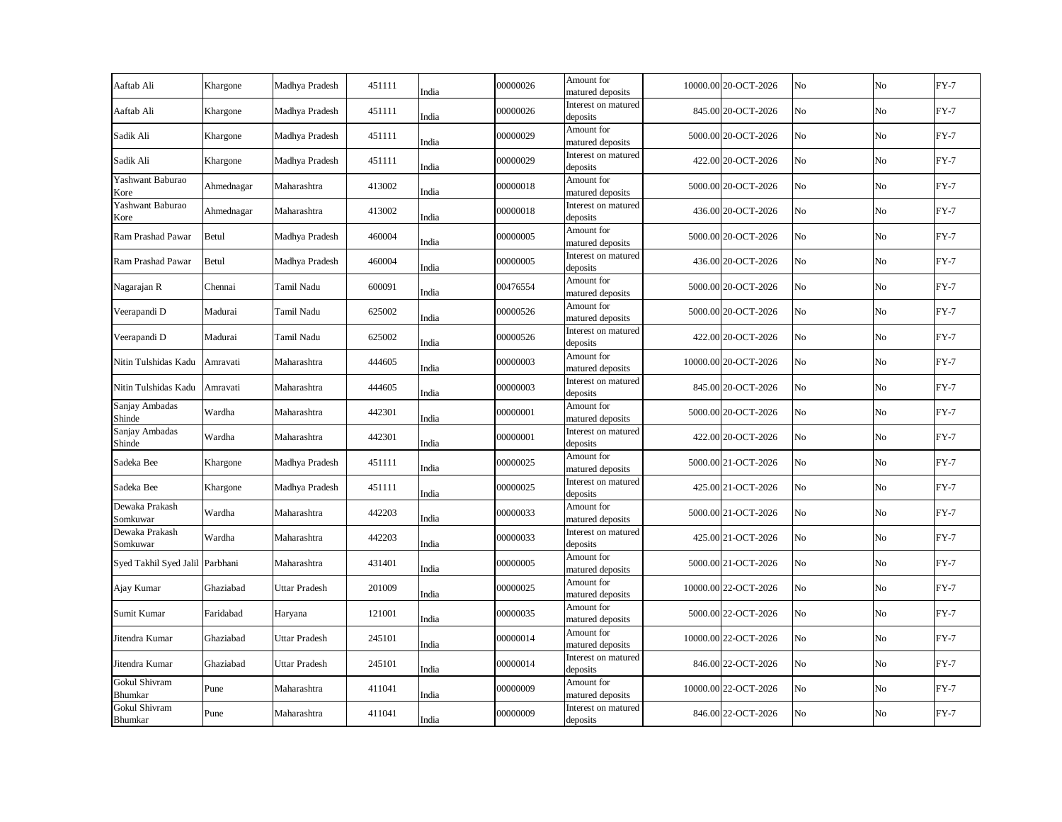| Khargone                        | Madhya Pradesh       | 451111 | India | 00000026                                                                                                                   | Amount for<br>matured deposits  |                                                                                                                                                                                                                                                                                                      | No                                                                                                                                                                                                                                                                                                                                                                                                                                                                                                                                                                                                           | No             | $FY-7$ |
|---------------------------------|----------------------|--------|-------|----------------------------------------------------------------------------------------------------------------------------|---------------------------------|------------------------------------------------------------------------------------------------------------------------------------------------------------------------------------------------------------------------------------------------------------------------------------------------------|--------------------------------------------------------------------------------------------------------------------------------------------------------------------------------------------------------------------------------------------------------------------------------------------------------------------------------------------------------------------------------------------------------------------------------------------------------------------------------------------------------------------------------------------------------------------------------------------------------------|----------------|--------|
| Khargone                        | Madhya Pradesh       | 451111 | India | 00000026                                                                                                                   | Interest on matured<br>deposits |                                                                                                                                                                                                                                                                                                      | No                                                                                                                                                                                                                                                                                                                                                                                                                                                                                                                                                                                                           | No             | $FY-7$ |
| Khargone                        | Madhya Pradesh       | 451111 | India | 00000029                                                                                                                   | Amount for                      |                                                                                                                                                                                                                                                                                                      | No                                                                                                                                                                                                                                                                                                                                                                                                                                                                                                                                                                                                           | No             | $FY-7$ |
| Khargone                        | Madhya Pradesh       | 451111 |       | 00000029                                                                                                                   | Interest on matured             |                                                                                                                                                                                                                                                                                                      | No                                                                                                                                                                                                                                                                                                                                                                                                                                                                                                                                                                                                           | No             | $FY-7$ |
| Ahmednagar                      | Maharashtra          | 413002 |       | 00000018                                                                                                                   | Amount for                      |                                                                                                                                                                                                                                                                                                      | No                                                                                                                                                                                                                                                                                                                                                                                                                                                                                                                                                                                                           | N <sub>o</sub> | $FY-7$ |
| Ahmednagar                      | Maharashtra          | 413002 | India | 00000018                                                                                                                   | Interest on matured             |                                                                                                                                                                                                                                                                                                      | No                                                                                                                                                                                                                                                                                                                                                                                                                                                                                                                                                                                                           | No             | $FY-7$ |
| Betul                           | Madhya Pradesh       | 460004 |       | 00000005                                                                                                                   | Amount for                      |                                                                                                                                                                                                                                                                                                      | No                                                                                                                                                                                                                                                                                                                                                                                                                                                                                                                                                                                                           | No             | $FY-7$ |
| Betul                           | Madhya Pradesh       | 460004 |       | 00000005                                                                                                                   | Interest on matured             |                                                                                                                                                                                                                                                                                                      | No                                                                                                                                                                                                                                                                                                                                                                                                                                                                                                                                                                                                           | No             | $FY-7$ |
| Chennai                         | Tamil Nadu           | 600091 |       | 00476554                                                                                                                   | Amount for                      |                                                                                                                                                                                                                                                                                                      | No                                                                                                                                                                                                                                                                                                                                                                                                                                                                                                                                                                                                           | No             | $FY-7$ |
| Madurai                         | Tamil Nadu           | 625002 |       | 00000526                                                                                                                   | Amount for                      |                                                                                                                                                                                                                                                                                                      | No                                                                                                                                                                                                                                                                                                                                                                                                                                                                                                                                                                                                           | No             | $FY-7$ |
| Madurai                         | Tamil Nadu           | 625002 |       | 00000526                                                                                                                   | Interest on matured             |                                                                                                                                                                                                                                                                                                      | No                                                                                                                                                                                                                                                                                                                                                                                                                                                                                                                                                                                                           | No             | $FY-7$ |
| Amravati                        | Maharashtra          | 444605 |       | 00000003                                                                                                                   | Amount for                      |                                                                                                                                                                                                                                                                                                      | No                                                                                                                                                                                                                                                                                                                                                                                                                                                                                                                                                                                                           | No             | $FY-7$ |
| Amravati                        | Maharashtra          | 444605 |       | 00000003                                                                                                                   | Interest on matured             |                                                                                                                                                                                                                                                                                                      | No                                                                                                                                                                                                                                                                                                                                                                                                                                                                                                                                                                                                           | No             | $FY-7$ |
| Wardha                          | Maharashtra          | 442301 |       | 00000001                                                                                                                   | Amount for                      |                                                                                                                                                                                                                                                                                                      | No                                                                                                                                                                                                                                                                                                                                                                                                                                                                                                                                                                                                           | No             | $FY-7$ |
| Wardha                          | Maharashtra          | 442301 |       | 00000001                                                                                                                   | Interest on matured             |                                                                                                                                                                                                                                                                                                      | No                                                                                                                                                                                                                                                                                                                                                                                                                                                                                                                                                                                                           | No             | $FY-7$ |
| Khargone                        | Madhya Pradesh       | 451111 |       | 00000025                                                                                                                   | Amount for                      |                                                                                                                                                                                                                                                                                                      | No                                                                                                                                                                                                                                                                                                                                                                                                                                                                                                                                                                                                           | No             | $FY-7$ |
| Khargone                        | Madhya Pradesh       | 451111 |       | 00000025                                                                                                                   | Interest on matured             |                                                                                                                                                                                                                                                                                                      | No                                                                                                                                                                                                                                                                                                                                                                                                                                                                                                                                                                                                           | No             | $FY-7$ |
| Wardha                          | Maharashtra          | 442203 |       | 00000033                                                                                                                   | Amount for                      |                                                                                                                                                                                                                                                                                                      | No                                                                                                                                                                                                                                                                                                                                                                                                                                                                                                                                                                                                           | No             | $FY-7$ |
| Wardha                          | Maharashtra          | 442203 | India | 00000033                                                                                                                   | Interest on matured             |                                                                                                                                                                                                                                                                                                      | No                                                                                                                                                                                                                                                                                                                                                                                                                                                                                                                                                                                                           | No             | $FY-7$ |
| Syed Takhil Syed Jalil Parbhani | Maharashtra          | 431401 | India | 00000005                                                                                                                   | Amount for                      |                                                                                                                                                                                                                                                                                                      | No                                                                                                                                                                                                                                                                                                                                                                                                                                                                                                                                                                                                           | No             | $FY-7$ |
| Ghaziabad                       | <b>Uttar Pradesh</b> | 201009 | India | 00000025                                                                                                                   | Amount for<br>matured deposits  |                                                                                                                                                                                                                                                                                                      | No                                                                                                                                                                                                                                                                                                                                                                                                                                                                                                                                                                                                           | No             | $FY-7$ |
| Faridabad                       | Haryana              | 121001 | India | 00000035                                                                                                                   | Amount for<br>matured deposits  |                                                                                                                                                                                                                                                                                                      | No                                                                                                                                                                                                                                                                                                                                                                                                                                                                                                                                                                                                           | No             | $FY-7$ |
| Ghaziabad                       | <b>Uttar Pradesh</b> | 245101 | India | 00000014                                                                                                                   | Amount for<br>matured deposits  |                                                                                                                                                                                                                                                                                                      | No                                                                                                                                                                                                                                                                                                                                                                                                                                                                                                                                                                                                           | No             | $FY-7$ |
| Ghaziabad                       | <b>Uttar Pradesh</b> | 245101 | India | 00000014                                                                                                                   | Interest on matured<br>deposits |                                                                                                                                                                                                                                                                                                      | No                                                                                                                                                                                                                                                                                                                                                                                                                                                                                                                                                                                                           | No             | $FY-7$ |
| Pune                            | Maharashtra          | 411041 | India | 00000009                                                                                                                   | Amount for<br>matured deposits  |                                                                                                                                                                                                                                                                                                      | No                                                                                                                                                                                                                                                                                                                                                                                                                                                                                                                                                                                                           | No             | $FY-7$ |
| Pune                            | Maharashtra          | 411041 | India | 00000009                                                                                                                   | Interest on matured<br>deposits |                                                                                                                                                                                                                                                                                                      | No                                                                                                                                                                                                                                                                                                                                                                                                                                                                                                                                                                                                           | No             | $FY-7$ |
|                                 |                      |        |       | India<br>India<br>India<br>India<br>India<br>India<br>India<br>India<br>India<br>India<br>India<br>India<br>India<br>India |                                 | matured deposits<br>deposits<br>matured deposits<br>deposits<br>matured deposits<br>deposits<br>matured deposits<br>matured deposits<br>deposits<br>matured deposits<br>deposits<br>matured deposits<br>deposits<br>matured deposits<br>deposits<br>matured deposits<br>deposits<br>matured deposits | 10000.00 20-OCT-2026<br>845.00 20-OCT-2026<br>5000.00 20-OCT-2026<br>422.00 20-OCT-2026<br>5000.00 20-OCT-2026<br>436.00 20-OCT-2026<br>5000.00 20-OCT-2026<br>436.00 20-OCT-2026<br>5000.00 20-OCT-2026<br>5000.00 20-OCT-2026<br>422.00 20-OCT-2026<br>10000.00 20-OCT-2026<br>845.00 20-OCT-2026<br>5000.00 20-OCT-2026<br>422.00 20-OCT-2026<br>5000.00 21-OCT-2026<br>425.00 21-OCT-2026<br>5000.00 21-OCT-2026<br>425.00 21-OCT-2026<br>5000.00 21-OCT-2026<br>10000.00 22-OCT-2026<br>5000.00 22-OCT-2026<br>10000.00 22-OCT-2026<br>846.00 22-OCT-2026<br>10000.00 22-OCT-2026<br>846.00 22-OCT-2026 |                |        |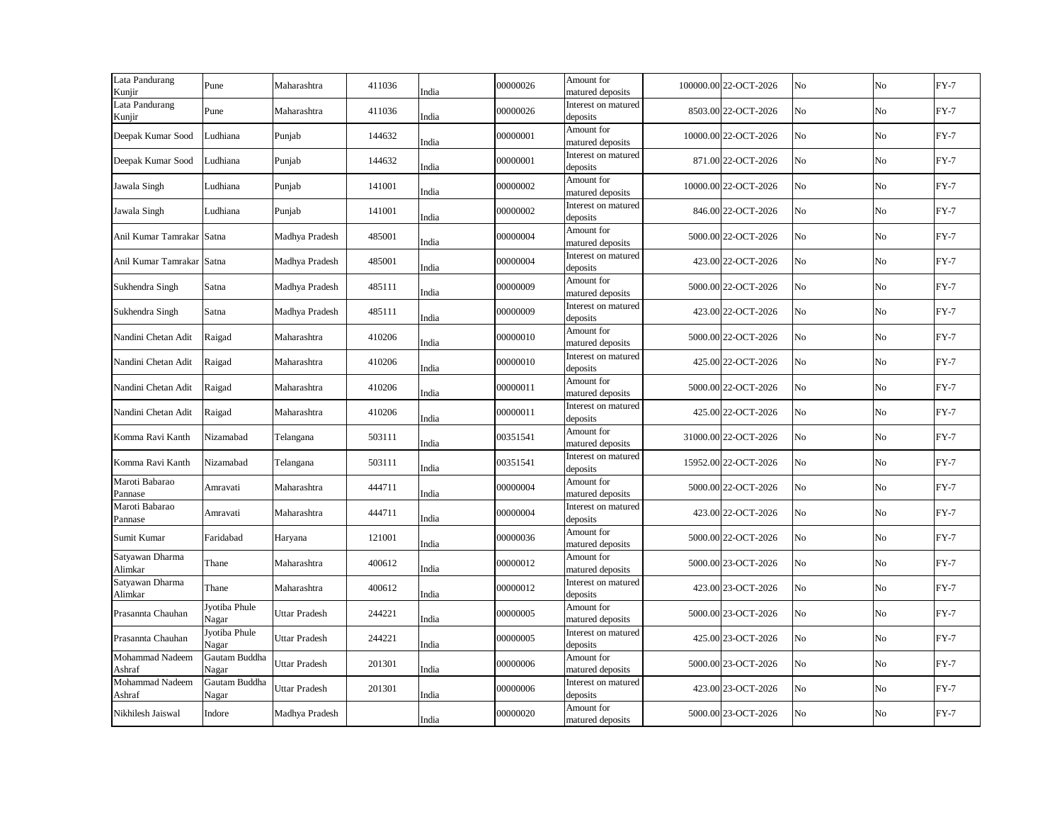| Lata Pandurang<br>Kunjir   | Pune                   | Maharashtra    | 411036 | India | 00000026 | Amount for<br>matured deposits  | 100000.00 22-OCT-2026 | No | No             | $FY-7$ |
|----------------------------|------------------------|----------------|--------|-------|----------|---------------------------------|-----------------------|----|----------------|--------|
| Lata Pandurang<br>Kunjir   | Pune                   | Maharashtra    | 411036 | India | 00000026 | Interest on matured<br>deposits | 8503.00 22-OCT-2026   | No | No             | $FY-7$ |
| Deepak Kumar Sood          | Ludhiana               | Punjab         | 144632 | India | 00000001 | Amount for<br>matured deposits  | 10000.00 22-OCT-2026  | No | No             | $FY-7$ |
| Deepak Kumar Sood          | Ludhiana               | Punjab         | 144632 | India | 00000001 | Interest on matured<br>deposits | 871.00 22-OCT-2026    | No | No             | $FY-7$ |
| Jawala Singh               | Ludhiana               | Punjab         | 141001 | India | 00000002 | Amount for<br>matured deposits  | 10000.00 22-OCT-2026  | No | No             | $FY-7$ |
| Jawala Singh               | Ludhiana               | Punjab         | 141001 | India | 00000002 | Interest on matured<br>deposits | 846.00 22-OCT-2026    | No | No             | $FY-7$ |
| Anil Kumar Tamrakar Satna  |                        | Madhya Pradesh | 485001 | India | 00000004 | Amount for<br>matured deposits  | 5000.00 22-OCT-2026   | No | No             | $FY-7$ |
| Anil Kumar Tamrakar Satna  |                        | Madhya Pradesh | 485001 | India | 00000004 | Interest on matured<br>deposits | 423.00 22-OCT-2026    | No | No             | $FY-7$ |
| Sukhendra Singh            | Satna                  | Madhya Pradesh | 485111 | India | 00000009 | Amount for<br>matured deposits  | 5000.00 22-OCT-2026   | No | No             | $FY-7$ |
| Sukhendra Singh            | Satna                  | Madhya Pradesh | 485111 | India | 00000009 | Interest on matured<br>deposits | 423.00 22-OCT-2026    | No | No             | $FY-7$ |
| Nandini Chetan Adit        | Raigad                 | Maharashtra    | 410206 | India | 00000010 | Amount for<br>matured deposits  | 5000.00 22-OCT-2026   | No | No             | $FY-7$ |
| Nandini Chetan Adit        | Raigad                 | Maharashtra    | 410206 | India | 00000010 | Interest on matured<br>deposits | 425.00 22-OCT-2026    | No | No             | $FY-7$ |
| Nandini Chetan Adit        | Raigad                 | Maharashtra    | 410206 | India | 00000011 | Amount for<br>matured deposits  | 5000.00 22-OCT-2026   | No | No             | $FY-7$ |
| Nandini Chetan Adit        | Raigad                 | Maharashtra    | 410206 | India | 00000011 | Interest on matured<br>deposits | 425.00 22-OCT-2026    | No | No             | $FY-7$ |
| Komma Ravi Kanth           | Nizamabad              | Telangana      | 503111 | India | 00351541 | Amount for<br>matured deposits  | 31000.00 22-OCT-2026  | No | No             | $FY-7$ |
| Komma Ravi Kanth           | Nizamabad              | Telangana      | 503111 | India | 00351541 | Interest on matured<br>deposits | 15952.00 22-OCT-2026  | No | No             | $FY-7$ |
| Maroti Babarao<br>Pannase  | Amravati               | Maharashtra    | 444711 | India | 00000004 | Amount for<br>matured deposits  | 5000.00 22-OCT-2026   | No | No             | $FY-7$ |
| Maroti Babarao<br>Pannase  | Amravati               | Maharashtra    | 444711 | India | 00000004 | Interest on matured<br>deposits | 423.00 22-OCT-2026    | No | N <sub>o</sub> | $FY-7$ |
| Sumit Kumar                | Faridabad              | Haryana        | 121001 | India | 00000036 | Amount for<br>matured deposits  | 5000.00 22-OCT-2026   | No | No             | $FY-7$ |
| Satyawan Dharma<br>Alimkar | Thane                  | Maharashtra    | 400612 | India | 00000012 | Amount for<br>matured deposits  | 5000.00 23-OCT-2026   | No | No             | $FY-7$ |
| Satyawan Dharma<br>Alimkar | Thane                  | Maharashtra    | 400612 | India | 00000012 | Interest on matured<br>deposits | 423.00 23-OCT-2026    | No | No             | $FY-7$ |
| Prasannta Chauhan          | Jyotiba Phule<br>Nagar | Uttar Pradesh  | 244221 | India | 00000005 | Amount for<br>matured deposits  | 5000.00 23-OCT-2026   | No | No             | $FY-7$ |
| Prasannta Chauhan          | Jyotiba Phule<br>Nagar | Uttar Pradesh  | 244221 | India | 00000005 | Interest on matured<br>deposits | 425.00 23-OCT-2026    | No | No             | $FY-7$ |
| Mohammad Nadeem<br>Ashraf  | Gautam Buddha<br>Nagar | Uttar Pradesh  | 201301 | India | 00000006 | Amount for<br>matured deposits  | 5000.00 23-OCT-2026   | No | No             | $FY-7$ |
| Mohammad Nadeem<br>Ashraf  | Gautam Buddha<br>Nagar | Uttar Pradesh  | 201301 | India | 00000006 | Interest on matured<br>deposits | 423.00 23-OCT-2026    | No | No             | $FY-7$ |
| Nikhilesh Jaiswal          | Indore                 | Madhya Pradesh |        | India | 00000020 | Amount for<br>matured deposits  | 5000.00 23-OCT-2026   | No | No             | $FY-7$ |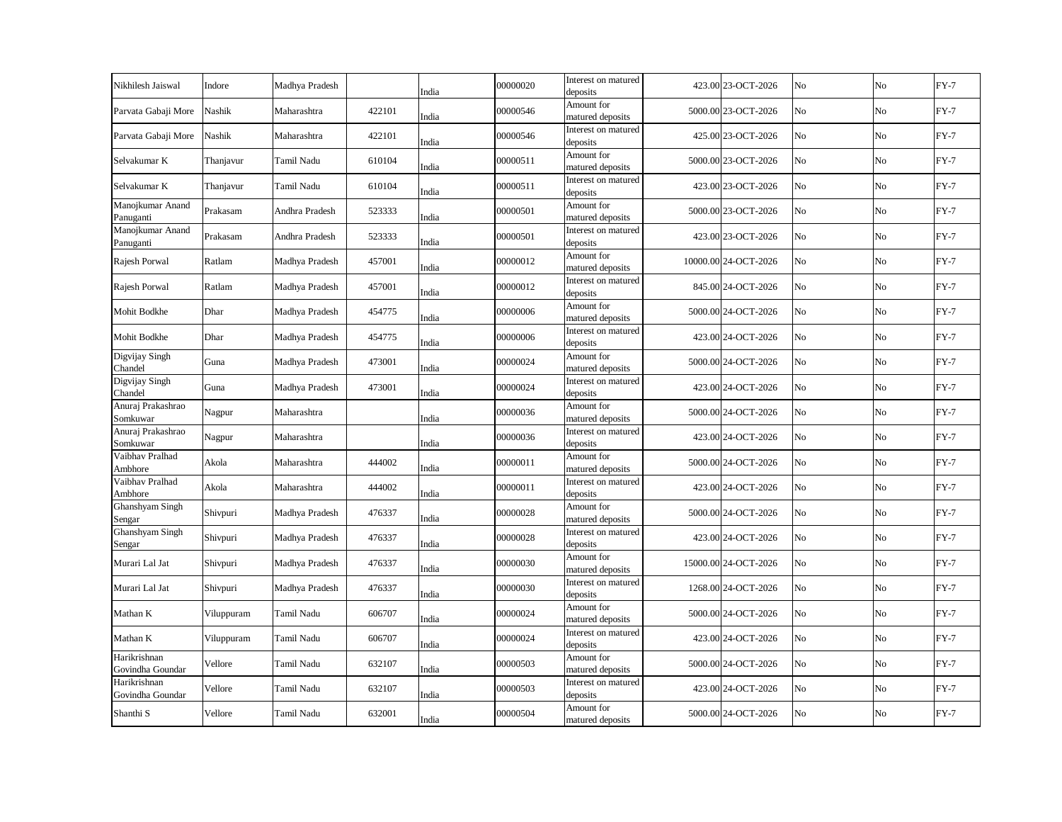| Nikhilesh Jaiswal                | Indore     | Madhya Pradesh |        | India | 00000020 | Interest on matured<br>deposits | 423.00 23-OCT-2026   | No             | No | $FY-7$ |
|----------------------------------|------------|----------------|--------|-------|----------|---------------------------------|----------------------|----------------|----|--------|
| Parvata Gabaji More              | Nashik     | Maharashtra    | 422101 | India | 00000546 | Amount for<br>matured deposits  | 5000.00 23-OCT-2026  | No             | No | $FY-7$ |
| Parvata Gabaji More              | Nashik     | Maharashtra    | 422101 | India | 00000546 | Interest on matured<br>deposits | 425.00 23-OCT-2026   | No             | No | $FY-7$ |
| Selvakumar K                     | Thanjavur  | Tamil Nadu     | 610104 | India | 00000511 | Amount for<br>matured deposits  | 5000.00 23-OCT-2026  | N <sub>o</sub> | No | $FY-7$ |
| Selvakumar K                     | Thanjavur  | Tamil Nadu     | 610104 | India | 00000511 | Interest on matured<br>deposits | 423.00 23-OCT-2026   | No             | No | $FY-7$ |
| Manojkumar Anand<br>Panuganti    | Prakasam   | Andhra Pradesh | 523333 | India | 00000501 | Amount for<br>matured deposits  | 5000.00 23-OCT-2026  | N <sub>o</sub> | No | $FY-7$ |
| Manojkumar Anand<br>Panuganti    | Prakasam   | Andhra Pradesh | 523333 | India | 00000501 | Interest on matured<br>deposits | 423.00 23-OCT-2026   | No             | No | $FY-7$ |
| Rajesh Porwal                    | Ratlam     | Madhya Pradesh | 457001 | India | 00000012 | Amount for<br>matured deposits  | 10000.00 24-OCT-2026 | No             | No | $FY-7$ |
| Rajesh Porwal                    | Ratlam     | Madhya Pradesh | 457001 | India | 00000012 | Interest on matured<br>deposits | 845.00 24-OCT-2026   | No             | No | $FY-7$ |
| Mohit Bodkhe                     | Dhar       | Madhya Pradesh | 454775 | India | 00000006 | Amount for<br>matured deposits  | 5000.00 24-OCT-2026  | No             | No | $FY-7$ |
| Mohit Bodkhe                     | Dhar       | Madhya Pradesh | 454775 | India | 00000006 | Interest on matured<br>deposits | 423.00 24-OCT-2026   | No             | No | $FY-7$ |
| Digvijay Singh<br>Chandel        | Guna       | Madhya Pradesh | 473001 | India | 00000024 | Amount for<br>matured deposits  | 5000.00 24-OCT-2026  | No             | No | $FY-7$ |
| Digvijay Singh<br>Chandel        | Guna       | Madhya Pradesh | 473001 | India | 00000024 | Interest on matured<br>deposits | 423.00 24-OCT-2026   | No             | No | $FY-7$ |
| Anuraj Prakashrao<br>Somkuwar    | Nagpur     | Maharashtra    |        | India | 00000036 | Amount for<br>matured deposits  | 5000.00 24-OCT-2026  | No             | No | $FY-7$ |
| Anuraj Prakashrao<br>Somkuwar    | Nagpur     | Maharashtra    |        | India | 00000036 | Interest on matured<br>deposits | 423.00 24-OCT-2026   | No             | No | $FY-7$ |
| Vaibhav Pralhad<br>Ambhore       | Akola      | Maharashtra    | 444002 | India | 00000011 | Amount for<br>matured deposits  | 5000.00 24-OCT-2026  | No             | No | $FY-7$ |
| Vaibhav Pralhad<br>Ambhore       | Akola      | Maharashtra    | 444002 | India | 00000011 | Interest on matured<br>deposits | 423.00 24-OCT-2026   | No             | No | $FY-7$ |
| Ghanshyam Singh<br>Sengar        | Shivpuri   | Madhya Pradesh | 476337 | India | 00000028 | Amount for<br>matured deposits  | 5000.00 24-OCT-2026  | No             | No | $FY-7$ |
| Ghanshyam Singh<br>Sengar        | Shivpuri   | Madhya Pradesh | 476337 | India | 00000028 | Interest on matured<br>deposits | 423.00 24-OCT-2026   | No             | No | $FY-7$ |
| Murari Lal Jat                   | Shivpuri   | Madhya Pradesh | 476337 | India | 00000030 | Amount for<br>matured deposits  | 15000.00 24-OCT-2026 | No             | No | $FY-7$ |
| Murari Lal Jat                   | Shivpuri   | Madhya Pradesh | 476337 | India | 00000030 | Interest on matured<br>deposits | 1268.00 24-OCT-2026  | No             | No | $FY-7$ |
| Mathan K                         | Viluppuram | Tamil Nadu     | 606707 | India | 00000024 | Amount for<br>matured deposits  | 5000.00 24-OCT-2026  | No             | No | $FY-7$ |
| Mathan K                         | Viluppuram | Tamil Nadu     | 606707 | India | 00000024 | Interest on matured<br>deposits | 423.00 24-OCT-2026   | No             | No | $FY-7$ |
| Harikrishnan<br>Govindha Goundar | Vellore    | Tamil Nadu     | 632107 | India | 00000503 | Amount for<br>matured deposits  | 5000.00 24-OCT-2026  | No             | No | $FY-7$ |
| Harikrishnan<br>Govindha Goundar | Vellore    | Tamil Nadu     | 632107 | India | 00000503 | Interest on matured<br>deposits | 423.00 24-OCT-2026   | No             | No | $FY-7$ |
| Shanthi S                        | Vellore    | Tamil Nadu     | 632001 | India | 00000504 | Amount for<br>matured deposits  | 5000.00 24-OCT-2026  | No             | No | $FY-7$ |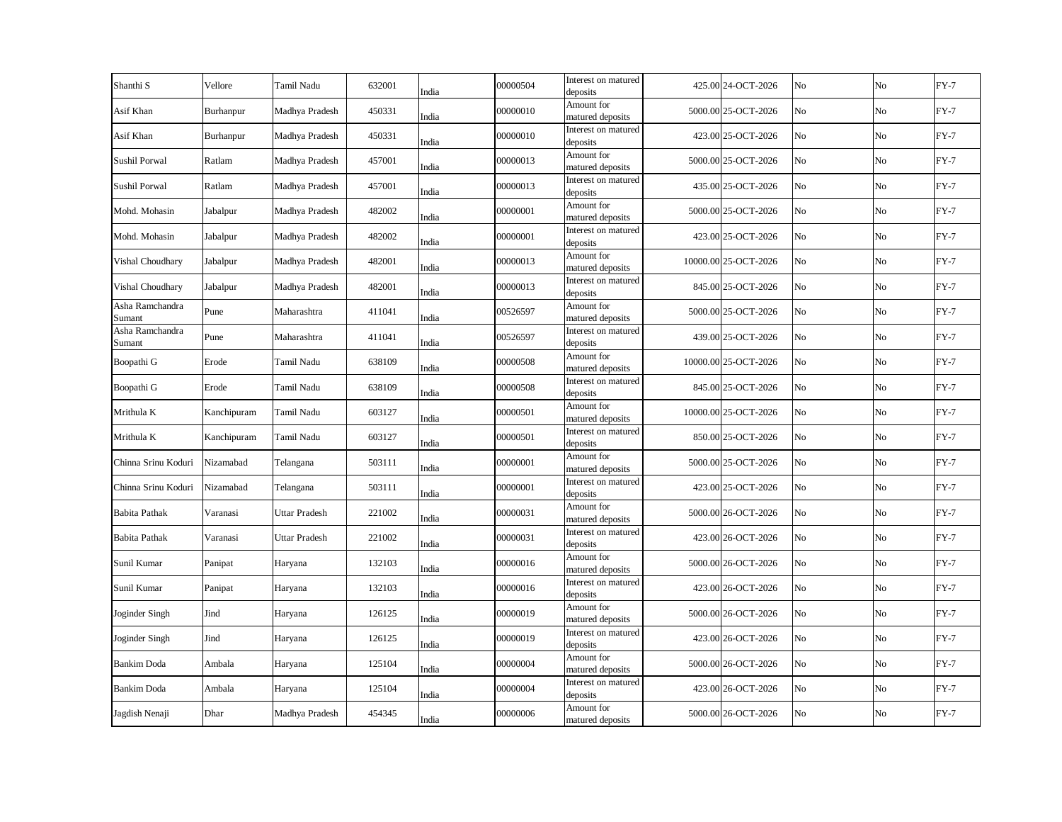| Shanthi <sub>S</sub>      | Vellore     | Tamil Nadu     | 632001 | India | 00000504 | Interest on matured<br>deposits | 425.00 24-OCT-2026   | No | No          | $FY-7$ |
|---------------------------|-------------|----------------|--------|-------|----------|---------------------------------|----------------------|----|-------------|--------|
| Asif Khan                 | Burhanpur   | Madhya Pradesh | 450331 | India | 00000010 | Amount for<br>matured deposits  | 5000.00 25-OCT-2026  | No | No          | $FY-7$ |
| Asif Khan                 | Burhanpur   | Madhya Pradesh | 450331 | India | 00000010 | Interest on matured<br>deposits | 423.00 25-OCT-2026   | No | $\rm No$    | $FY-7$ |
| Sushil Porwal             | Ratlam      | Madhya Pradesh | 457001 | India | 00000013 | Amount for<br>matured deposits  | 5000.00 25-OCT-2026  | No | No          | $FY-7$ |
| Sushil Porwal             | Ratlam      | Madhya Pradesh | 457001 | India | 00000013 | Interest on matured<br>deposits | 435.00 25-OCT-2026   | No | $\rm No$    | $FY-7$ |
| Mohd. Mohasin             | Jabalpur    | Madhya Pradesh | 482002 | India | 00000001 | Amount for<br>matured deposits  | 5000.00 25-OCT-2026  | No | No          | $FY-7$ |
| Mohd. Mohasin             | Jabalpur    | Madhya Pradesh | 482002 | India | 00000001 | Interest on matured<br>deposits | 423.00 25-OCT-2026   | No | $\rm No$    | $FY-7$ |
| Vishal Choudhary          | Jabalpur    | Madhya Pradesh | 482001 | India | 00000013 | Amount for<br>matured deposits  | 10000.00 25-OCT-2026 | No | No          | $FY-7$ |
| Vishal Choudhary          | Jabalpur    | Madhya Pradesh | 482001 | India | 00000013 | Interest on matured<br>deposits | 845.00 25-OCT-2026   | No | No          | $FY-7$ |
| Asha Ramchandra<br>Sumant | Pune        | Maharashtra    | 411041 | India | 00526597 | Amount for<br>matured deposits  | 5000.00 25-OCT-2026  | No | No          | $FY-7$ |
| Asha Ramchandra<br>Sumant | Pune        | Maharashtra    | 411041 | India | 00526597 | Interest on matured<br>deposits | 439.00 25-OCT-2026   | No | No          | $FY-7$ |
| Boopathi G                | Erode       | Tamil Nadu     | 638109 | India | 00000508 | Amount for<br>matured deposits  | 10000.00 25-OCT-2026 | No | No          | $FY-7$ |
| Boopathi G                | Erode       | Tamil Nadu     | 638109 | India | 00000508 | Interest on matured<br>deposits | 845.00 25-OCT-2026   | No | No          | $FY-7$ |
| Mrithula K                | Kanchipuram | Tamil Nadu     | 603127 | India | 00000501 | Amount for<br>matured deposits  | 10000.00 25-OCT-2026 | No | No          | $FY-7$ |
| Mrithula K                | Kanchipuram | Tamil Nadu     | 603127 | India | 00000501 | Interest on matured<br>deposits | 850.00 25-OCT-2026   | No | No          | $FY-7$ |
| Chinna Srinu Koduri       | Nizamabad   | Telangana      | 503111 | India | 00000001 | Amount for<br>matured deposits  | 5000.00 25-OCT-2026  | No | No          | $FY-7$ |
| Chinna Srinu Koduri       | Nizamabad   | Telangana      | 503111 | India | 00000001 | Interest on matured<br>deposits | 423.00 25-OCT-2026   | No | No          | $FY-7$ |
| Babita Pathak             | Varanasi    | Uttar Pradesh  | 221002 | India | 00000031 | Amount for<br>matured deposits  | 5000.00 26-OCT-2026  | No | No          | $FY-7$ |
| Babita Pathak             | Varanasi    | Uttar Pradesh  | 221002 | India | 00000031 | Interest on matured<br>deposits | 423.00 26-OCT-2026   | No | No          | $FY-7$ |
| Sunil Kumar               | Panipat     | Haryana        | 132103 | India | 00000016 | Amount for<br>matured deposits  | 5000.00 26-OCT-2026  | No | $_{\rm No}$ | $FY-7$ |
| Sunil Kumar               | Panipat     | Haryana        | 132103 | India | 00000016 | Interest on matured<br>deposits | 423.00 26-OCT-2026   | No | No          | $FY-7$ |
| Joginder Singh            | Jind        | Haryana        | 126125 | India | 00000019 | Amount for<br>matured deposits  | 5000.00 26-OCT-2026  | No | No          | $FY-7$ |
| Joginder Singh            | Jind        | Haryana        | 126125 | India | 00000019 | Interest on matured<br>deposits | 423.00 26-OCT-2026   | No | $_{\rm No}$ | $FY-7$ |
| <b>Bankim Doda</b>        | Ambala      | Haryana        | 125104 | India | 00000004 | Amount for<br>matured deposits  | 5000.00 26-OCT-2026  | No | No          | $FY-7$ |
| Bankim Doda               | Ambala      | Haryana        | 125104 | India | 00000004 | Interest on matured<br>deposits | 423.00 26-OCT-2026   | No | No          | $FY-7$ |
| Jagdish Nenaji            | Dhar        | Madhya Pradesh | 454345 | India | 00000006 | Amount for<br>matured deposits  | 5000.00 26-OCT-2026  | No | No          | $FY-7$ |
|                           |             |                |        |       |          |                                 |                      |    |             |        |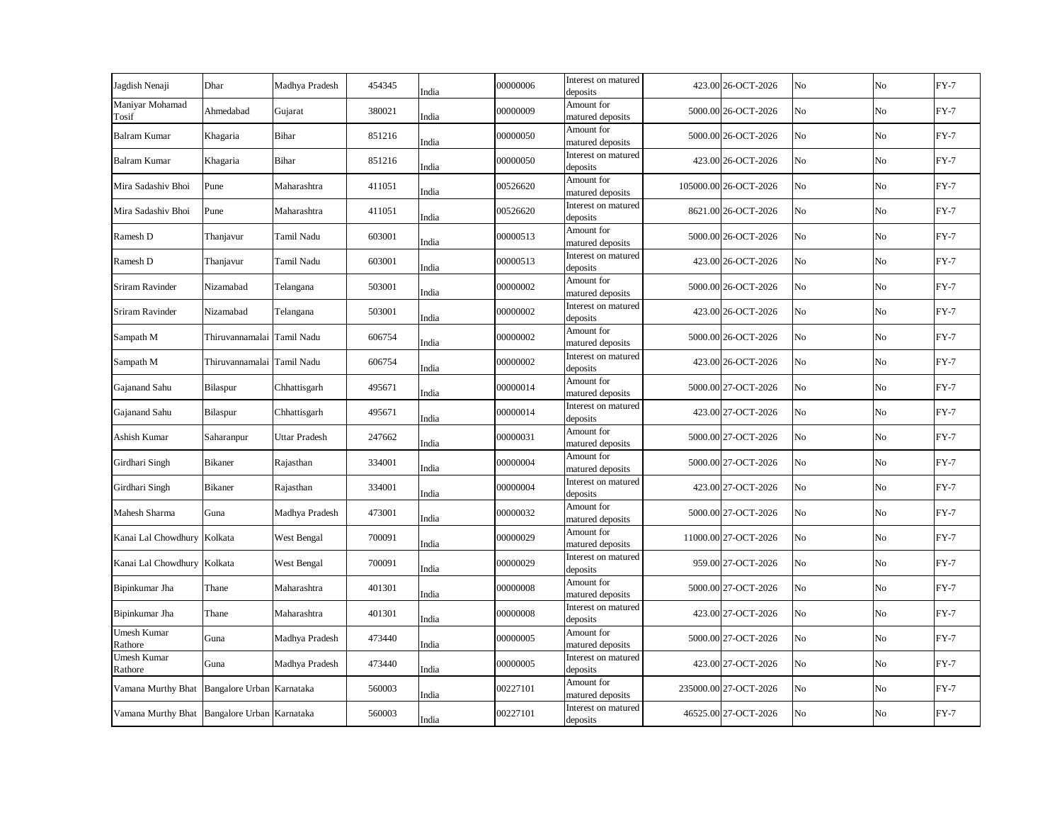| Jagdish Nenaji                               | Dhar                       | Madhya Pradesh | 454345 | India | 00000006 | Interest on matured<br>deposits | 423.00 26-OCT-2026    | No | No             | $FY-7$ |
|----------------------------------------------|----------------------------|----------------|--------|-------|----------|---------------------------------|-----------------------|----|----------------|--------|
| Maniyar Mohamad<br>Tosif                     | Ahmedabad                  | Gujarat        | 380021 | India | 00000009 | Amount for<br>matured deposits  | 5000.00 26-OCT-2026   | No | No             | $FY-7$ |
| <b>Balram Kumar</b>                          | Khagaria                   | Bihar          | 851216 | India | 00000050 | Amount for<br>matured deposits  | 5000.00 26-OCT-2026   | No | No             | $FY-7$ |
| <b>Balram Kumar</b>                          | Khagaria                   | Bihar          | 851216 | India | 00000050 | Interest on matured<br>deposits | 423.00 26-OCT-2026    | No | No             | $FY-7$ |
| Mira Sadashiv Bhoi                           | Pune                       | Maharashtra    | 411051 | India | 00526620 | Amount for<br>matured deposits  | 105000.00 26-OCT-2026 | No | N <sub>o</sub> | $FY-7$ |
| Mira Sadashiv Bhoi                           | Pune                       | Maharashtra    | 411051 | India | 00526620 | Interest on matured<br>deposits | 8621.00 26-OCT-2026   | No | No             | $FY-7$ |
| Ramesh D                                     | Thanjavur                  | Tamil Nadu     | 603001 | India | 00000513 | Amount for<br>matured deposits  | 5000.00 26-OCT-2026   | No | No             | $FY-7$ |
| Ramesh D                                     | Thanjavur                  | Tamil Nadu     | 603001 | India | 00000513 | Interest on matured<br>deposits | 423.00 26-OCT-2026    | No | No             | $FY-7$ |
| Sriram Ravinder                              | Nizamabad                  | Telangana      | 503001 | India | 00000002 | Amount for<br>matured deposits  | 5000.00 26-OCT-2026   | No | No             | $FY-7$ |
| Sriram Ravinder                              | Nizamabad                  | Telangana      | 503001 | India | 00000002 | Interest on matured<br>deposits | 423.00 26-OCT-2026    | No | No             | $FY-7$ |
| Sampath M                                    | Thiruvannamalai Tamil Nadu |                | 606754 | India | 00000002 | Amount for<br>matured deposits  | 5000.00 26-OCT-2026   | No | No             | $FY-7$ |
| Sampath M                                    | Thiruvannamalai Tamil Nadu |                | 606754 | India | 00000002 | Interest on matured<br>deposits | 423.00 26-OCT-2026    | No | No             | $FY-7$ |
| Gajanand Sahu                                | Bilaspur                   | Chhattisgarh   | 495671 | India | 00000014 | Amount for<br>matured deposits  | 5000.00 27-OCT-2026   | No | No             | $FY-7$ |
| Gajanand Sahu                                | Bilaspur                   | Chhattisgarh   | 495671 | India | 00000014 | Interest on matured<br>deposits | 423.00 27-OCT-2026    | No | No             | $FY-7$ |
| Ashish Kumar                                 | Saharanpur                 | Uttar Pradesh  | 247662 | India | 00000031 | Amount for<br>matured deposits  | 5000.00 27-OCT-2026   | No | No             | $FY-7$ |
| Girdhari Singh                               | Bikaner                    | Rajasthan      | 334001 | India | 00000004 | Amount for<br>matured deposits  | 5000.00 27-OCT-2026   | No | No             | $FY-7$ |
| Girdhari Singh                               | Bikaner                    | Rajasthan      | 334001 | India | 00000004 | Interest on matured<br>deposits | 423.00 27-OCT-2026    | No | No             | $FY-7$ |
| Mahesh Sharma                                | Guna                       | Madhya Pradesh | 473001 | India | 00000032 | Amount for<br>matured deposits  | 5000.00 27-OCT-2026   | No | No             | $FY-7$ |
| Kanai Lal Chowdhury                          | Kolkata                    | West Bengal    | 700091 | India | 00000029 | Amount for<br>matured deposits  | 11000.00 27-OCT-2026  | No | No             | $FY-7$ |
| Kanai Lal Chowdhury                          | Kolkata                    | West Bengal    | 700091 | India | 00000029 | Interest on matured<br>deposits | 959.00 27-OCT-2026    | No | No             | $FY-7$ |
| Bipinkumar Jha                               | Thane                      | Maharashtra    | 401301 | India | 00000008 | Amount for<br>matured deposits  | 5000.00 27-OCT-2026   | No | No             | $FY-7$ |
| Bipinkumar Jha                               | Thane                      | Maharashtra    | 401301 | India | 00000008 | Interest on matured<br>deposits | 423.00 27-OCT-2026    | No | No             | $FY-7$ |
| Umesh Kumar<br>Rathore                       | Guna                       | Madhya Pradesh | 473440 | India | 00000005 | Amount for<br>matured deposits  | 5000.00 27-OCT-2026   | No | No             | $FY-7$ |
| Umesh Kumar<br>Rathore                       | Guna                       | Madhya Pradesh | 473440 | India | 00000005 | Interest on matured<br>deposits | 423.00 27-OCT-2026    | No | No             | $FY-7$ |
| Vamana Murthy Bhat                           | Bangalore Urban Karnataka  |                | 560003 | India | 00227101 | Amount for<br>matured deposits  | 235000.00 27-OCT-2026 | No | No             | $FY-7$ |
| Vamana Murthy Bhat Bangalore Urban Karnataka |                            |                | 560003 | India | 00227101 | Interest on matured<br>deposits | 46525.00 27-OCT-2026  | No | No             | $FY-7$ |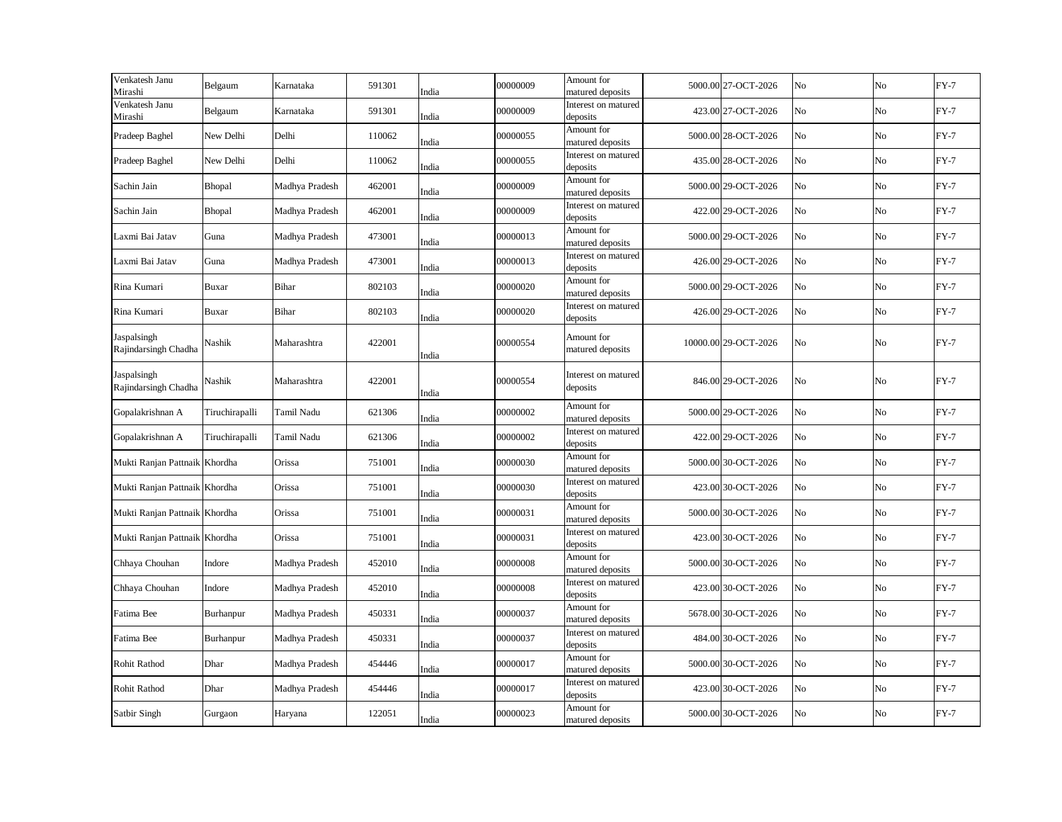| Venkatesh Janu<br>Mirashi           | Belgaum               | Karnataka      | 591301 | India | 00000009 | Amount for<br>matured deposits  | 5000.00 27-OCT-2026  | No | No | $FY-7$ |
|-------------------------------------|-----------------------|----------------|--------|-------|----------|---------------------------------|----------------------|----|----|--------|
| Venkatesh Janu<br>Mirashi           | Belgaum               | Karnataka      | 591301 | India | 00000009 | Interest on matured<br>deposits | 423.00 27-OCT-2026   | No | No | $FY-7$ |
| Pradeep Baghel                      | New Delhi             | Delhi          | 110062 | India | 00000055 | Amount for<br>matured deposits  | 5000.00 28-OCT-2026  | No | No | $FY-7$ |
| Pradeep Baghel                      | New Delhi             | Delhi          | 110062 | India | 00000055 | Interest on matured<br>deposits | 435.00 28-OCT-2026   | No | No | $FY-7$ |
| Sachin Jain                         | Bhopal                | Madhya Pradesh | 462001 | India | 00000009 | Amount for<br>matured deposits  | 5000.00 29-OCT-2026  | No | No | $FY-7$ |
| Sachin Jain                         | Bhopal                | Madhya Pradesh | 462001 | India | 00000009 | Interest on matured<br>deposits | 422.00 29-OCT-2026   | No | No | $FY-7$ |
| Laxmi Bai Jatav                     | Guna                  | Madhya Pradesh | 473001 | India | 00000013 | Amount for<br>matured deposits  | 5000.00 29-OCT-2026  | No | No | $FY-7$ |
| Laxmi Bai Jatav                     | Guna                  | Madhya Pradesh | 473001 | India | 00000013 | Interest on matured<br>deposits | 426.00 29-OCT-2026   | No | No | $FY-7$ |
| Rina Kumari                         | <b>Buxar</b>          | Bihar          | 802103 | India | 00000020 | Amount for<br>matured deposits  | 5000.00 29-OCT-2026  | No | No | $FY-7$ |
| Rina Kumari                         | Buxar                 | Bihar          | 802103 | India | 00000020 | Interest on matured<br>deposits | 426.00 29-OCT-2026   | No | No | $FY-7$ |
| Jaspalsingh<br>Rajindarsingh Chadha | Nashik                | Maharashtra    | 422001 | India | 00000554 | Amount for<br>matured deposits  | 10000.00 29-OCT-2026 | No | No | $FY-7$ |
| Jaspalsingh<br>Rajindarsingh Chadha | Nashik                | Maharashtra    | 422001 | India | 00000554 | Interest on matured<br>deposits | 846.00 29-OCT-2026   | No | No | $FY-7$ |
| Gopalakrishnan A                    | <b>Tiruchirapalli</b> | Tamil Nadu     | 621306 | India | 00000002 | Amount for<br>matured deposits  | 5000.00 29-OCT-2026  | No | No | $FY-7$ |
| Gopalakrishnan A                    | Tiruchirapalli        | Tamil Nadu     | 621306 | India | 00000002 | Interest on matured<br>deposits | 422.00 29-OCT-2026   | No | No | $FY-7$ |
| Mukti Ranjan Pattnaik Khordha       |                       | Orissa         | 751001 | India | 00000030 | Amount for<br>matured deposits  | 5000.00 30-OCT-2026  | No | No | $FY-7$ |
| Mukti Ranjan Pattnaik Khordha       |                       | Orissa         | 751001 | India | 00000030 | Interest on matured<br>deposits | 423.00 30-OCT-2026   | No | No | $FY-7$ |
| Mukti Ranjan Pattnaik Khordha       |                       | Orissa         | 751001 | India | 00000031 | Amount for<br>matured deposits  | 5000.00 30-OCT-2026  | No | No | $FY-7$ |
| Mukti Ranjan Pattnaik Khordha       |                       | Orissa         | 751001 | India | 00000031 | Interest on matured<br>deposits | 423.00 30-OCT-2026   | No | No | $FY-7$ |
| Chhaya Chouhan                      | Indore                | Madhya Pradesh | 452010 | India | 00000008 | Amount for<br>matured deposits  | 5000.00 30-OCT-2026  | No | No | $FY-7$ |
| Chhaya Chouhan                      | Indore                | Madhya Pradesh | 452010 | India | 00000008 | Interest on matured<br>deposits | 423.00 30-OCT-2026   | No | No | $FY-7$ |
| Fatima Bee                          | Burhanpur             | Madhya Pradesh | 450331 | India | 00000037 | Amount for<br>matured deposits  | 5678.00 30-OCT-2026  | No | No | $FY-7$ |
| Fatima Bee                          | Burhanpur             | Madhya Pradesh | 450331 | India | 00000037 | Interest on matured<br>deposits | 484.00 30-OCT-2026   | No | No | $FY-7$ |
| Rohit Rathod                        | Dhar                  | Madhya Pradesh | 454446 | India | 00000017 | Amount for<br>matured deposits  | 5000.00 30-OCT-2026  | No | No | $FY-7$ |
| Rohit Rathod                        | Dhar                  | Madhya Pradesh | 454446 | India | 00000017 | Interest on matured<br>deposits | 423.00 30-OCT-2026   | No | No | $FY-7$ |
| Satbir Singh                        | Gurgaon               | Haryana        | 122051 | India | 00000023 | Amount for<br>matured deposits  | 5000.00 30-OCT-2026  | No | No | $FY-7$ |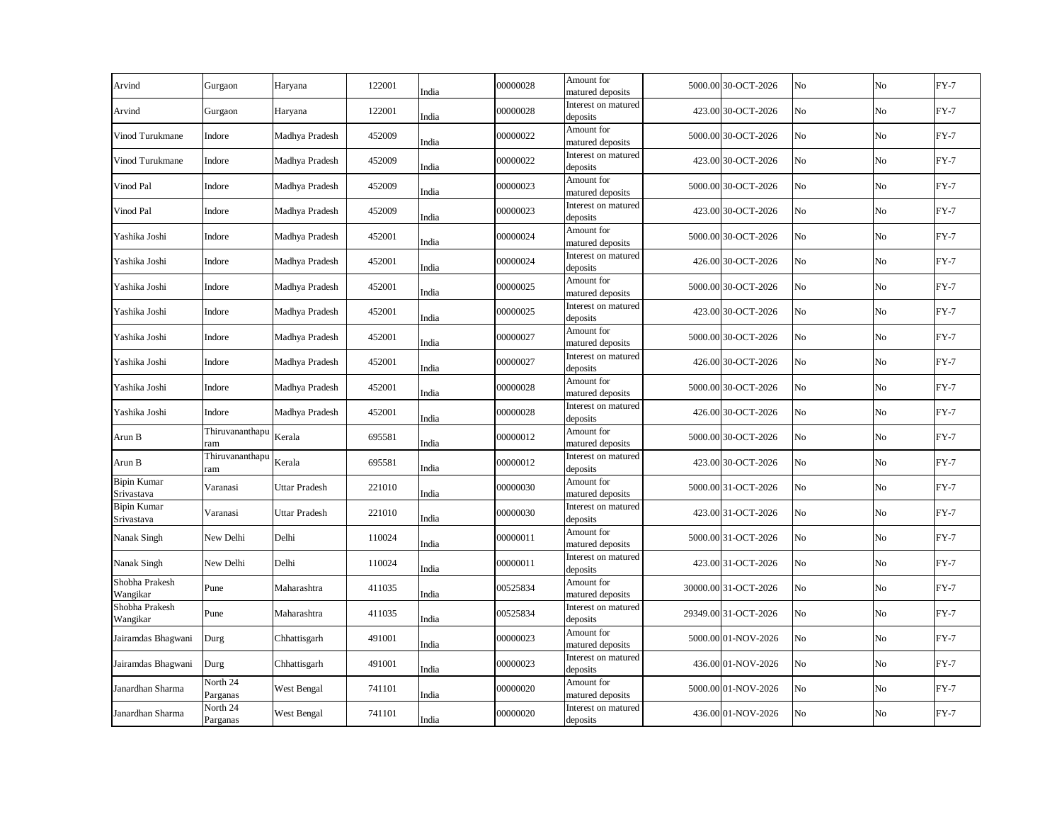| Arvind                           | Gurgaon                | Haryana              | 122001 | India | 00000028 | Amount for<br>matured deposits  | 5000.00 30-OCT-2026  | No | No             | $FY-7$ |
|----------------------------------|------------------------|----------------------|--------|-------|----------|---------------------------------|----------------------|----|----------------|--------|
| Arvind                           | Gurgaon                | Haryana              | 122001 | India | 00000028 | Interest on matured<br>deposits | 423.00 30-OCT-2026   | No | No             | $FY-7$ |
| Vinod Turukmane                  | Indore                 | Madhya Pradesh       | 452009 | India | 00000022 | Amount for<br>matured deposits  | 5000.00 30-OCT-2026  | No | No             | $FY-7$ |
| Vinod Turukmane                  | Indore                 | Madhya Pradesh       | 452009 | India | 00000022 | Interest on matured<br>deposits | 423.00 30-OCT-2026   | No | No             | $FY-7$ |
| Vinod Pal                        | Indore                 | Madhya Pradesh       | 452009 | India | 00000023 | Amount for<br>matured deposits  | 5000.00 30-OCT-2026  | No | N <sub>o</sub> | $FY-7$ |
| Vinod Pal                        | Indore                 | Madhya Pradesh       | 452009 | India | 00000023 | Interest on matured<br>deposits | 423.00 30-OCT-2026   | No | No             | $FY-7$ |
| Yashika Joshi                    | Indore                 | Madhya Pradesh       | 452001 | India | 00000024 | Amount for<br>matured deposits  | 5000.00 30-OCT-2026  | No | No             | $FY-7$ |
| Yashika Joshi                    | Indore                 | Madhya Pradesh       | 452001 | India | 00000024 | Interest on matured<br>deposits | 426.00 30-OCT-2026   | No | No             | $FY-7$ |
| Yashika Joshi                    | Indore                 | Madhya Pradesh       | 452001 | India | 00000025 | Amount for<br>matured deposits  | 5000.00 30-OCT-2026  | No | No             | $FY-7$ |
| Yashika Joshi                    | Indore                 | Madhya Pradesh       | 452001 | India | 00000025 | Interest on matured<br>deposits | 423.00 30-OCT-2026   | No | No             | $FY-7$ |
| Yashika Joshi                    | Indore                 | Madhya Pradesh       | 452001 | India | 00000027 | Amount for<br>matured deposits  | 5000.00 30-OCT-2026  | No | No             | $FY-7$ |
| Yashika Joshi                    | Indore                 | Madhya Pradesh       | 452001 | India | 00000027 | Interest on matured<br>deposits | 426.00 30-OCT-2026   | No | No             | $FY-7$ |
| Yashika Joshi                    | Indore                 | Madhya Pradesh       | 452001 | India | 00000028 | Amount for<br>matured deposits  | 5000.00 30-OCT-2026  | No | No             | $FY-7$ |
| Yashika Joshi                    | Indore                 | Madhya Pradesh       | 452001 | India | 00000028 | Interest on matured<br>deposits | 426.00 30-OCT-2026   | No | No             | $FY-7$ |
| Arun B                           | Thiruvananthapu<br>ram | Kerala               | 695581 | India | 00000012 | Amount for<br>matured deposits  | 5000.00 30-OCT-2026  | No | No             | $FY-7$ |
| Arun B                           | Thiruvananthapu<br>ram | Kerala               | 695581 | India | 00000012 | Interest on matured<br>deposits | 423.00 30-OCT-2026   | No | No             | $FY-7$ |
| <b>Bipin Kumar</b><br>Srivastava | Varanasi               | <b>Uttar Pradesh</b> | 221010 | India | 00000030 | Amount for<br>matured deposits  | 5000.00 31-OCT-2026  | No | No             | $FY-7$ |
| <b>Bipin Kumar</b><br>Srivastava | Varanasi               | <b>Uttar Pradesh</b> | 221010 | India | 00000030 | Interest on matured<br>deposits | 423.00 31-OCT-2026   | No | No             | $FY-7$ |
| Nanak Singh                      | New Delhi              | Delhi                | 110024 | India | 00000011 | Amount for<br>matured deposits  | 5000.00 31-OCT-2026  | No | No             | $FY-7$ |
| Nanak Singh                      | New Delhi              | Delhi                | 110024 | India | 00000011 | Interest on matured<br>deposits | 423.00 31-OCT-2026   | No | No             | $FY-7$ |
| Shobha Prakesh<br>Wangikar       | Pune                   | Maharashtra          | 411035 | India | 00525834 | Amount for<br>matured deposits  | 30000.00 31-OCT-2026 | No | No             | $FY-7$ |
| Shobha Prakesh<br>Wangikar       | Pune                   | Maharashtra          | 411035 | India | 00525834 | Interest on matured<br>deposits | 29349.00 31-OCT-2026 | No | No             | $FY-7$ |
| Jairamdas Bhagwani               | Durg                   | Chhattisgarh         | 491001 | India | 00000023 | Amount for<br>matured deposits  | 5000.00 01-NOV-2026  | No | No             | $FY-7$ |
| Jairamdas Bhagwani               | Durg                   | Chhattisgarh         | 491001 | India | 00000023 | Interest on matured<br>deposits | 436.00 01-NOV-2026   | No | No             | $FY-7$ |
| Janardhan Sharma                 | North 24<br>Parganas   | West Bengal          | 741101 | India | 00000020 | Amount for<br>matured deposits  | 5000.00 01-NOV-2026  | No | No             | $FY-7$ |
| Janardhan Sharma                 | North 24<br>Parganas   | West Bengal          | 741101 | India | 00000020 | Interest on matured<br>deposits | 436.00 01-NOV-2026   | No | No             | $FY-7$ |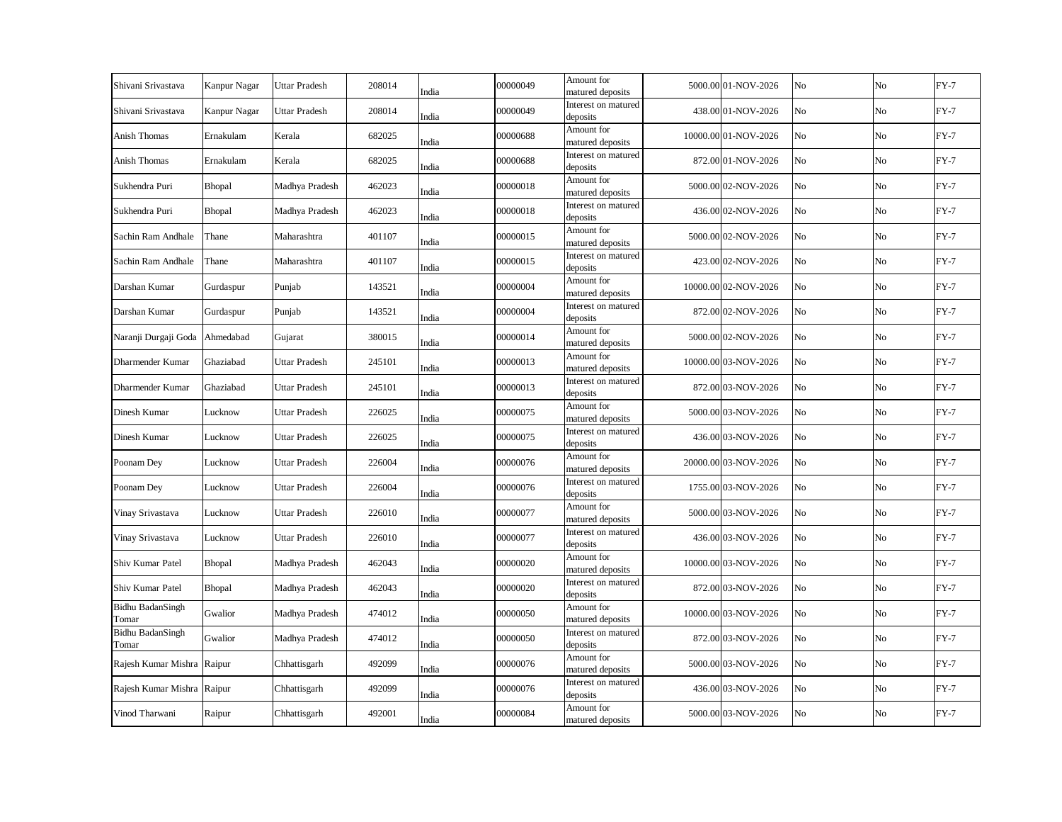| Shivani Srivastava         | Kanpur Nagar | <b>Uttar Pradesh</b> | 208014 | India | 00000049 | Amount for<br>matured deposits  | 5000.00 01-NOV-2026  | No | No       | $FY-7$ |
|----------------------------|--------------|----------------------|--------|-------|----------|---------------------------------|----------------------|----|----------|--------|
| Shivani Srivastava         | Kanpur Nagar | <b>Uttar Pradesh</b> | 208014 | India | 00000049 | Interest on matured<br>deposits | 438.00 01-NOV-2026   | No | No       | $FY-7$ |
| Anish Thomas               | Ernakulam    | Kerala               | 682025 | India | 00000688 | Amount for<br>matured deposits  | 10000.00 01-NOV-2026 | No | $\rm No$ | $FY-7$ |
| Anish Thomas               | Ernakulam    | Kerala               | 682025 | India | 00000688 | Interest on matured<br>deposits | 872.00 01-NOV-2026   | No | No       | $FY-7$ |
| Sukhendra Puri             | Bhopal       | Madhya Pradesh       | 462023 | India | 00000018 | Amount for<br>matured deposits  | 5000.00 02-NOV-2026  | No | $\rm No$ | $FY-7$ |
| Sukhendra Puri             | Bhopal       | Madhya Pradesh       | 462023 | India | 00000018 | Interest on matured<br>deposits | 436.00 02-NOV-2026   | No | No       | $FY-7$ |
| Sachin Ram Andhale         | Thane        | Maharashtra          | 401107 | India | 00000015 | Amount for<br>matured deposits  | 5000.00 02-NOV-2026  | No | No       | $FY-7$ |
| Sachin Ram Andhale         | Thane        | Maharashtra          | 401107 | India | 00000015 | Interest on matured<br>deposits | 423.00 02-NOV-2026   | No | No       | $FY-7$ |
| Darshan Kumar              | Gurdaspur    | Punjab               | 143521 | India | 00000004 | Amount for<br>matured deposits  | 10000.00 02-NOV-2026 | No | $\rm No$ | $FY-7$ |
| Darshan Kumar              | Gurdaspur    | Punjab               | 143521 | India | 00000004 | Interest on matured<br>deposits | 872.00 02-NOV-2026   | No | No       | $FY-7$ |
| Naranji Durgaji Goda       | Ahmedabad    | Gujarat              | 380015 | India | 00000014 | Amount for<br>matured deposits  | 5000.00 02-NOV-2026  | No | No       | $FY-7$ |
| Dharmender Kumar           | Ghaziabad    | Uttar Pradesh        | 245101 | India | 00000013 | Amount for<br>matured deposits  | 10000.00 03-NOV-2026 | No | No       | $FY-7$ |
| Dharmender Kumar           | Ghaziabad    | <b>Uttar Pradesh</b> | 245101 | India | 00000013 | Interest on matured<br>deposits | 872.00 03-NOV-2026   | No | $\rm No$ | $FY-7$ |
| Dinesh Kumar               | Lucknow      | Uttar Pradesh        | 226025 | India | 00000075 | Amount for<br>matured deposits  | 5000.00 03-NOV-2026  | No | No       | $FY-7$ |
| Dinesh Kumar               | Lucknow      | <b>Uttar Pradesh</b> | 226025 | India | 00000075 | Interest on matured<br>deposits | 436.00 03-NOV-2026   | No | No       | $FY-7$ |
| Poonam Dey                 | Lucknow      | <b>Uttar Pradesh</b> | 226004 | India | 00000076 | Amount for<br>matured deposits  | 20000.00 03-NOV-2026 | No | $\rm No$ | $FY-7$ |
| Poonam Dey                 | Lucknow      | <b>Uttar Pradesh</b> | 226004 | India | 00000076 | Interest on matured<br>deposits | 1755.00 03-NOV-2026  | No | No       | $FY-7$ |
| Vinay Srivastava           | Lucknow      | <b>Uttar Pradesh</b> | 226010 | India | 00000077 | Amount for<br>matured deposits  | 5000.00 03-NOV-2026  | No | No       | $FY-7$ |
| Vinay Srivastava           | Lucknow      | Uttar Pradesh        | 226010 | India | 00000077 | Interest on matured<br>deposits | 436.00 03-NOV-2026   | No | No       | $FY-7$ |
| Shiv Kumar Patel           | Bhopal       | Madhya Pradesh       | 462043 | India | 00000020 | Amount for<br>matured deposits  | 10000.00 03-NOV-2026 | No | No       | $FY-7$ |
| Shiv Kumar Patel           | Bhopal       | Madhya Pradesh       | 462043 | India | 00000020 | Interest on matured<br>deposits | 872.00 03-NOV-2026   | No | No       | $FY-7$ |
| Bidhu BadanSingh<br>Tomar  | Gwalior      | Madhya Pradesh       | 474012 | India | 00000050 | Amount for<br>matured deposits  | 10000.00 03-NOV-2026 | No | No       | $FY-7$ |
| Bidhu BadanSingh<br>Tomar  | Gwalior      | Madhya Pradesh       | 474012 | India | 00000050 | Interest on matured<br>deposits | 872.00 03-NOV-2026   | No | No       | $FY-7$ |
| Rajesh Kumar Mishra Raipur |              | Chhattisgarh         | 492099 | India | 00000076 | Amount for<br>matured deposits  | 5000.00 03-NOV-2026  | No | No       | $FY-7$ |
| Rajesh Kumar Mishra Raipur |              | Chhattisgarh         | 492099 | India | 00000076 | Interest on matured<br>deposits | 436.00 03-NOV-2026   | No | No       | $FY-7$ |
| Vinod Tharwani             | Raipur       | Chhattisgarh         | 492001 | India | 00000084 | Amount for<br>matured deposits  | 5000.00 03-NOV-2026  | No | No       | $FY-7$ |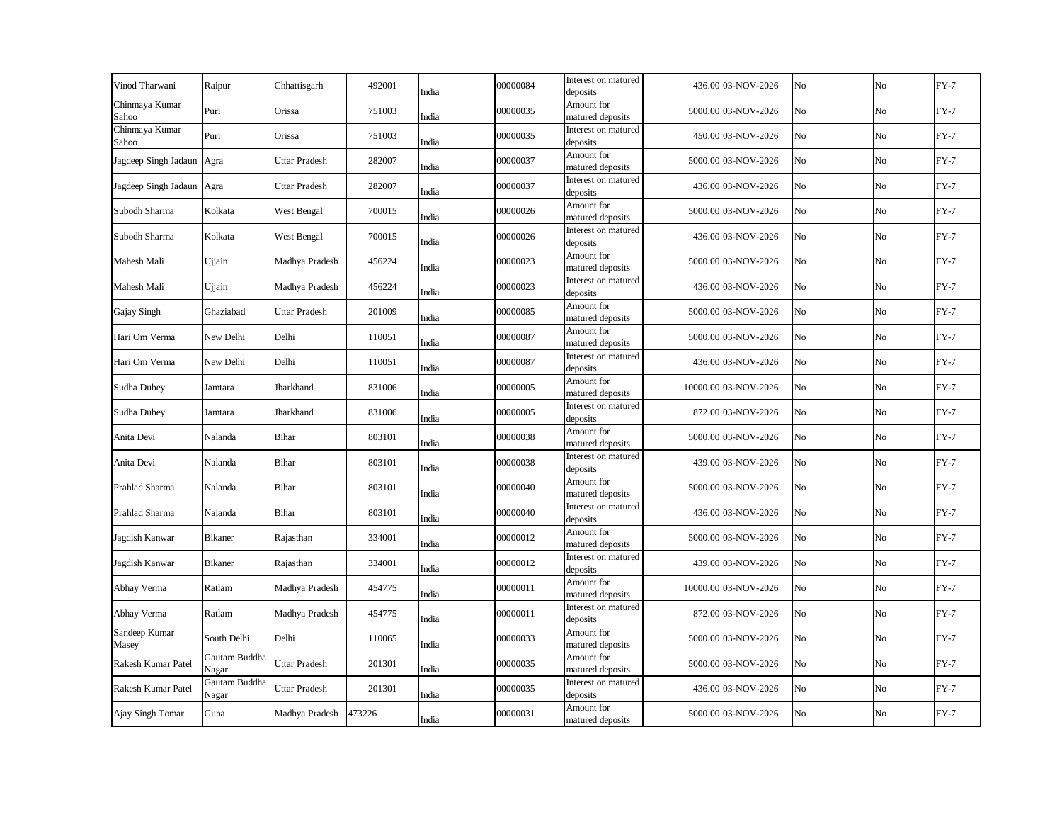| Vinod Tharwani            | Raipur                 | Chhattisgarh         | 492001 | India | 00000084 | Interest on matured<br>deposits | 436.00 03-NOV-2026   | No             | No | $FY-7$ |
|---------------------------|------------------------|----------------------|--------|-------|----------|---------------------------------|----------------------|----------------|----|--------|
| Chinmaya Kumar<br>Sahoo   | Puri                   | Orissa               | 751003 | India | 00000035 | Amount for<br>matured deposits  | 5000.00 03-NOV-2026  | No             | No | $FY-7$ |
| Chinmaya Kumar<br>Sahoo   | Puri                   | Orissa               | 751003 | India | 00000035 | Interest on matured<br>deposits | 450.00 03-NOV-2026   | No             | No | $FY-7$ |
| Jagdeep Singh Jadaun Agra |                        | Uttar Pradesh        | 282007 | India | 00000037 | Amount for<br>matured deposits  | 5000.00 03-NOV-2026  | N <sub>o</sub> | No | $FY-7$ |
| Jagdeep Singh Jadaun      | Agra                   | Uttar Pradesh        | 282007 | India | 00000037 | Interest on matured<br>deposits | 436.00 03-NOV-2026   | No             | No | $FY-7$ |
| Subodh Sharma             | Kolkata                | West Bengal          | 700015 | India | 00000026 | Amount for<br>matured deposits  | 5000.00 03-NOV-2026  | No             | No | $FY-7$ |
| Subodh Sharma             | Kolkata                | West Bengal          | 700015 | India | 00000026 | Interest on matured<br>deposits | 436.00 03-NOV-2026   | No             | No | $FY-7$ |
| Mahesh Mali               | Ujjain                 | Madhya Pradesh       | 456224 | India | 00000023 | Amount for<br>matured deposits  | 5000.00 03-NOV-2026  | No             | No | $FY-7$ |
| Mahesh Mali               | Ujjain                 | Madhya Pradesh       | 456224 | India | 00000023 | Interest on matured<br>deposits | 436.00 03-NOV-2026   | No             | No | $FY-7$ |
| Gajay Singh               | Ghaziabad              | <b>Uttar Pradesh</b> | 201009 | India | 00000085 | Amount for<br>matured deposits  | 5000.00 03-NOV-2026  | No             | No | $FY-7$ |
| Hari Om Verma             | New Delhi              | Delhi                | 110051 | India | 00000087 | Amount for<br>matured deposits  | 5000.00 03-NOV-2026  | No             | No | $FY-7$ |
| Hari Om Verma             | New Delhi              | Delhi                | 110051 | India | 00000087 | Interest on matured<br>deposits | 436.00 03-NOV-2026   | No             | No | $FY-7$ |
| Sudha Dubey               | Jamtara                | Jharkhand            | 831006 | India | 00000005 | Amount for<br>matured deposits  | 10000.00 03-NOV-2026 | No             | No | $FY-7$ |
| Sudha Dubey               | Jamtara                | Jharkhand            | 831006 | India | 00000005 | Interest on matured<br>deposits | 872.00 03-NOV-2026   | No             | No | $FY-7$ |
| Anita Devi                | Nalanda                | Bihar                | 803101 | India | 00000038 | Amount for<br>matured deposits  | 5000.00 03-NOV-2026  | No             | No | $FY-7$ |
| Anita Devi                | Nalanda                | Bihar                | 803101 | India | 00000038 | Interest on matured<br>deposits | 439.00 03-NOV-2026   | No             | No | $FY-7$ |
| Prahlad Sharma            | Nalanda                | Bihar                | 803101 | India | 00000040 | Amount for<br>matured deposits  | 5000.00 03-NOV-2026  | No             | No | $FY-7$ |
| Prahlad Sharma            | Nalanda                | Bihar                | 803101 | India | 00000040 | Interest on matured<br>deposits | 436.00 03-NOV-2026   | No             | No | $FY-7$ |
| Jagdish Kanwar            | <b>Bikaner</b>         | Rajasthan            | 334001 | India | 00000012 | Amount for<br>matured deposits  | 5000.00 03-NOV-2026  | No             | No | $FY-7$ |
| Jagdish Kanwar            | <b>Bikaner</b>         | Rajasthan            | 334001 | India | 00000012 | Interest on matured<br>deposits | 439.00 03-NOV-2026   | No             | No | $FY-7$ |
| Abhay Verma               | Ratlam                 | Madhya Pradesh       | 454775 | India | 00000011 | Amount for<br>matured deposits  | 10000.00 03-NOV-2026 | No             | No | $FY-7$ |
| Abhay Verma               | Ratlam                 | Madhya Pradesh       | 454775 | India | 00000011 | Interest on matured<br>deposits | 872.00 03-NOV-2026   | No             | No | $FY-7$ |
| Sandeep Kumar<br>Masey    | South Delhi            | Delhi                | 110065 | India | 00000033 | Amount for<br>matured deposits  | 5000.00 03-NOV-2026  | No             | No | $FY-7$ |
| Rakesh Kumar Patel        | Gautam Buddha<br>Nagar | <b>Uttar Pradesh</b> | 201301 | India | 00000035 | Amount for<br>matured deposits  | 5000.00 03-NOV-2026  | No             | No | $FY-7$ |
| Rakesh Kumar Patel        | Gautam Buddha<br>Nagar | Uttar Pradesh        | 201301 | India | 00000035 | Interest on matured<br>deposits | 436.00 03-NOV-2026   | No             | No | $FY-7$ |
| Ajay Singh Tomar          | Guna                   | Madhya Pradesh       | 473226 | India | 00000031 | Amount for<br>matured deposits  | 5000.00 03-NOV-2026  | No             | No | $FY-7$ |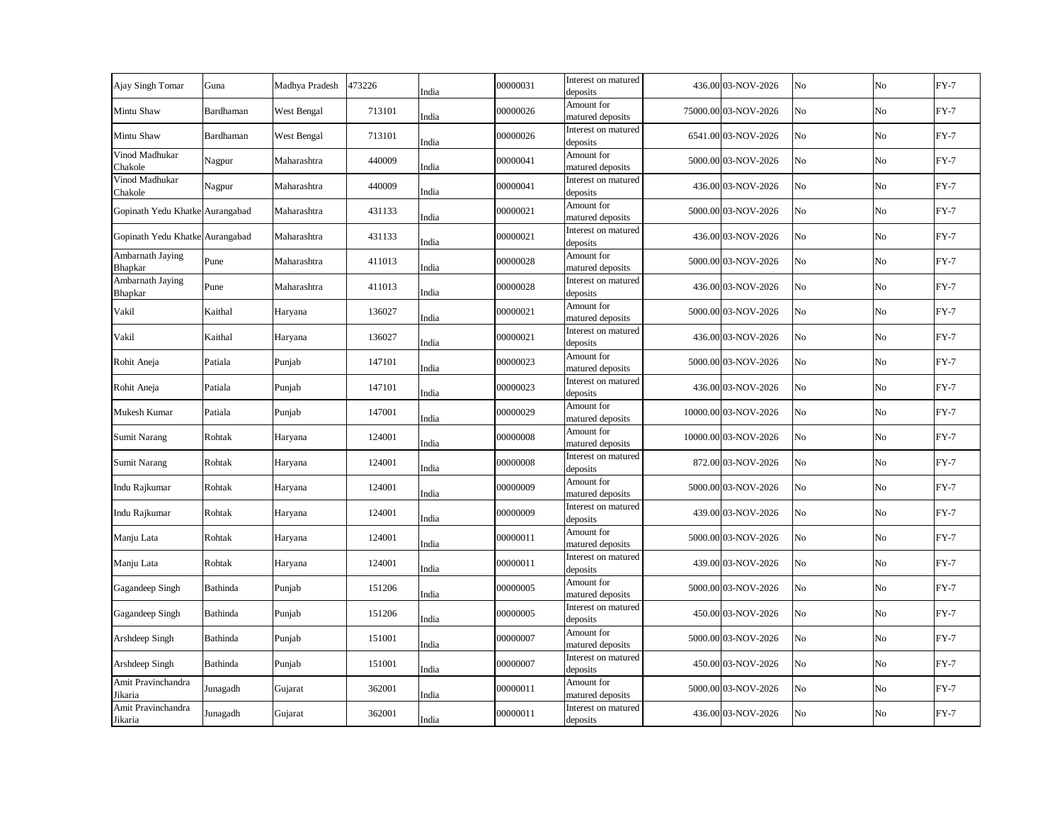| Ajay Singh Tomar                   | Guna      | Madhya Pradesh | 473226 | India | 00000031 | Interest on matured<br>deposits | 436.00 03-NOV-2026   | No | No | $FY-7$ |
|------------------------------------|-----------|----------------|--------|-------|----------|---------------------------------|----------------------|----|----|--------|
| Mintu Shaw                         | Bardhaman | West Bengal    | 713101 | India | 00000026 | Amount for<br>matured deposits  | 75000.00 03-NOV-2026 | No | No | $FY-7$ |
| Mintu Shaw                         | Bardhaman | West Bengal    | 713101 | India | 00000026 | Interest on matured<br>deposits | 6541.00 03-NOV-2026  | No | No | $FY-7$ |
| Vinod Madhukar<br>Chakole          | Nagpur    | Maharashtra    | 440009 | India | 00000041 | Amount for<br>matured deposits  | 5000.00 03-NOV-2026  | No | No | $FY-7$ |
| Vinod Madhukar<br>Chakole          | Nagpur    | Maharashtra    | 440009 | India | 00000041 | Interest on matured<br>deposits | 436.00 03-NOV-2026   | No | No | $FY-7$ |
| Gopinath Yedu Khatke Aurangabad    |           | Maharashtra    | 431133 | India | 00000021 | Amount for<br>matured deposits  | 5000.00 03-NOV-2026  | No | No | $FY-7$ |
| Gopinath Yedu Khatke Aurangabad    |           | Maharashtra    | 431133 | India | 00000021 | Interest on matured<br>deposits | 436.00 03-NOV-2026   | No | No | $FY-7$ |
| Ambarnath Jaying<br><b>Bhapkar</b> | Pune      | Maharashtra    | 411013 | India | 00000028 | Amount for<br>matured deposits  | 5000.00 03-NOV-2026  | No | No | $FY-7$ |
| Ambarnath Jaying<br>Bhapkar        | Pune      | Maharashtra    | 411013 | India | 00000028 | Interest on matured<br>deposits | 436.00 03-NOV-2026   | No | No | $FY-7$ |
| Vakil                              | Kaithal   | Haryana        | 136027 | India | 00000021 | Amount for<br>matured deposits  | 5000.00 03-NOV-2026  | No | No | $FY-7$ |
| Vakil                              | Kaithal   | Haryana        | 136027 | India | 00000021 | Interest on matured<br>deposits | 436.00 03-NOV-2026   | No | No | $FY-7$ |
| Rohit Aneja                        | Patiala   | Punjab         | 147101 | India | 00000023 | Amount for<br>matured deposits  | 5000.00 03-NOV-2026  | No | No | $FY-7$ |
| Rohit Aneja                        | Patiala   | Punjab         | 147101 | India | 00000023 | Interest on matured<br>deposits | 436.00 03-NOV-2026   | No | No | $FY-7$ |
| Mukesh Kumar                       | Patiala   | Punjab         | 147001 | India | 00000029 | Amount for<br>matured deposits  | 10000.00 03-NOV-2026 | No | No | $FY-7$ |
| <b>Sumit Narang</b>                | Rohtak    | Haryana        | 124001 | India | 00000008 | Amount for<br>matured deposits  | 10000.00 03-NOV-2026 | No | No | $FY-7$ |
| <b>Sumit Narang</b>                | Rohtak    | Haryana        | 124001 | India | 00000008 | Interest on matured<br>deposits | 872.00 03-NOV-2026   | No | No | $FY-7$ |
| Indu Rajkumar                      | Rohtak    | Haryana        | 124001 | India | 00000009 | Amount for<br>matured deposits  | 5000.00 03-NOV-2026  | No | No | $FY-7$ |
| Indu Rajkumar                      | Rohtak    | Haryana        | 124001 | India | 00000009 | Interest on matured<br>deposits | 439.00 03-NOV-2026   | No | No | $FY-7$ |
| Manju Lata                         | Rohtak    | Haryana        | 124001 | India | 00000011 | Amount for<br>matured deposits  | 5000.00 03-NOV-2026  | No | No | $FY-7$ |
| Manju Lata                         | Rohtak    | Haryana        | 124001 | India | 00000011 | Interest on matured<br>deposits | 439.00 03-NOV-2026   | No | No | $FY-7$ |
| Gagandeep Singh                    | Bathinda  | Punjab         | 151206 | India | 00000005 | Amount for<br>matured deposits  | 5000.00 03-NOV-2026  | No | No | $FY-7$ |
| Gagandeep Singh                    | Bathinda  | Punjab         | 151206 | India | 00000005 | Interest on matured<br>deposits | 450.00 03-NOV-2026   | No | No | $FY-7$ |
| Arshdeep Singh                     | Bathinda  | Punjab         | 151001 | India | 00000007 | Amount for<br>matured deposits  | 5000.00 03-NOV-2026  | No | No | $FY-7$ |
| Arshdeep Singh                     | Bathinda  | Punjab         | 151001 | India | 00000007 | Interest on matured<br>deposits | 450.00 03-NOV-2026   | No | No | $FY-7$ |
| Amit Pravinchandra<br>Jikaria      | Junagadh  | Gujarat        | 362001 | India | 00000011 | Amount for<br>matured deposits  | 5000.00 03-NOV-2026  | No | No | $FY-7$ |
| Amit Pravinchandra<br>Jikaria      | Junagadh  | Gujarat        | 362001 | India | 00000011 | Interest on matured<br>deposits | 436.00 03-NOV-2026   | No | No | $FY-7$ |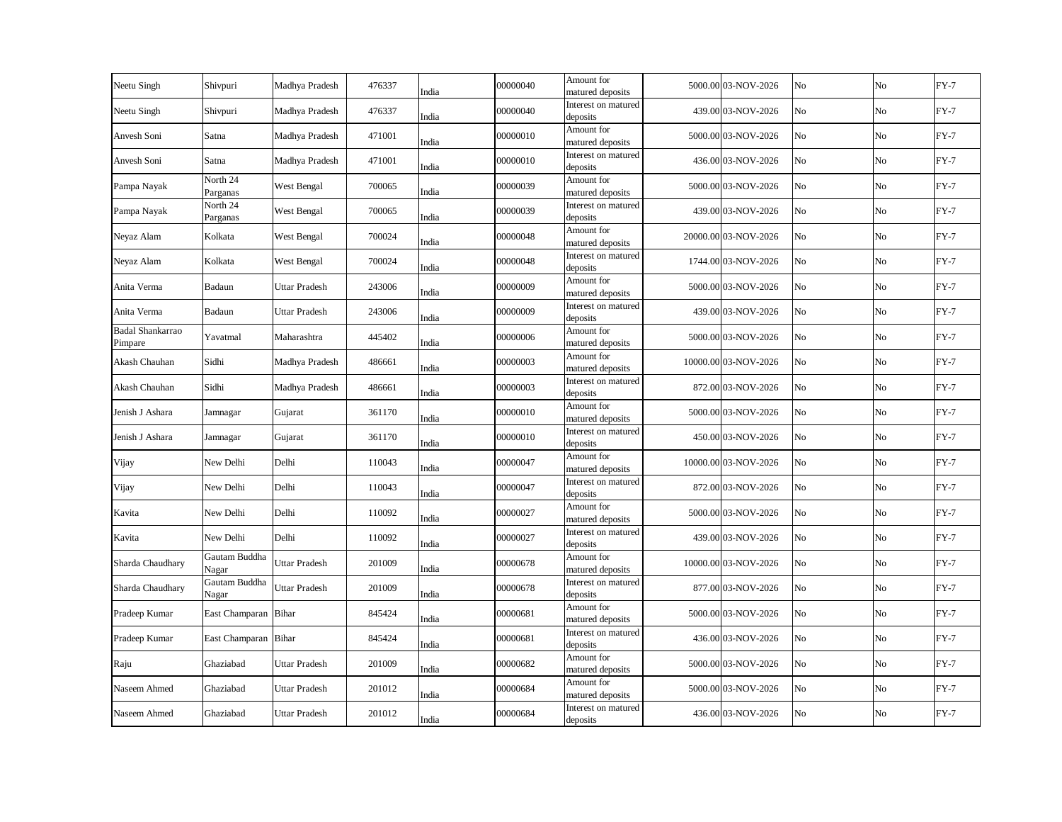| Neetu Singh                 | Shivpuri               | Madhya Pradesh       | 476337 | India | 00000040 | Amount for<br>matured deposits  | 5000.00 03-NOV-2026  | No | No | $FY-7$ |
|-----------------------------|------------------------|----------------------|--------|-------|----------|---------------------------------|----------------------|----|----|--------|
| Neetu Singh                 | Shivpuri               | Madhya Pradesh       | 476337 | India | 00000040 | Interest on matured<br>deposits | 439.00 03-NOV-2026   | No | No | $FY-7$ |
| Anvesh Soni                 | Satna                  | Madhya Pradesh       | 471001 | India | 00000010 | Amount for<br>matured deposits  | 5000.00 03-NOV-2026  | No | No | $FY-7$ |
| Anvesh Soni                 | Satna                  | Madhya Pradesh       | 471001 | India | 00000010 | Interest on matured<br>deposits | 436.00 03-NOV-2026   | No | No | $FY-7$ |
| Pampa Nayak                 | North 24<br>Parganas   | West Bengal          | 700065 | India | 00000039 | Amount for<br>matured deposits  | 5000.00 03-NOV-2026  | No | No | $FY-7$ |
| Pampa Nayak                 | North 24<br>Parganas   | West Bengal          | 700065 | India | 00000039 | Interest on matured<br>deposits | 439.00 03-NOV-2026   | No | No | $FY-7$ |
| Neyaz Alam                  | Kolkata                | West Bengal          | 700024 | India | 00000048 | Amount for<br>matured deposits  | 20000.00 03-NOV-2026 | No | No | $FY-7$ |
| Neyaz Alam                  | Kolkata                | West Bengal          | 700024 | India | 00000048 | Interest on matured<br>deposits | 1744.00 03-NOV-2026  | No | No | $FY-7$ |
| Anita Verma                 | Badaun                 | <b>Uttar Pradesh</b> | 243006 | India | 00000009 | Amount for<br>matured deposits  | 5000.00 03-NOV-2026  | No | No | $FY-7$ |
| Anita Verma                 | Badaun                 | Uttar Pradesh        | 243006 | India | 00000009 | Interest on matured<br>deposits | 439.00 03-NOV-2026   | No | No | $FY-7$ |
| Badal Shankarrao<br>Pimpare | Yavatmal               | Maharashtra          | 445402 | India | 00000006 | Amount for<br>matured deposits  | 5000.00 03-NOV-2026  | No | No | $FY-7$ |
| Akash Chauhan               | Sidhi                  | Madhya Pradesh       | 486661 | India | 00000003 | Amount for<br>matured deposits  | 10000.00 03-NOV-2026 | No | No | $FY-7$ |
| Akash Chauhan               | Sidhi                  | Madhya Pradesh       | 486661 | India | 00000003 | Interest on matured<br>deposits | 872.00 03-NOV-2026   | No | No | $FY-7$ |
| Jenish J Ashara             | Jamnagar               | Gujarat              | 361170 | India | 00000010 | Amount for<br>matured deposits  | 5000.00 03-NOV-2026  | No | No | $FY-7$ |
| Jenish J Ashara             | Jamnagar               | Gujarat              | 361170 | India | 00000010 | Interest on matured<br>deposits | 450.00 03-NOV-2026   | No | No | $FY-7$ |
| Vijay                       | New Delhi              | Delhi                | 110043 | India | 00000047 | Amount for<br>matured deposits  | 10000.00 03-NOV-2026 | No | No | $FY-7$ |
| Vijay                       | New Delhi              | Delhi                | 110043 | India | 00000047 | Interest on matured<br>deposits | 872.00 03-NOV-2026   | No | No | $FY-7$ |
| Kavita                      | New Delhi              | Delhi                | 110092 | India | 00000027 | Amount for<br>matured deposits  | 5000.00 03-NOV-2026  | No | No | $FY-7$ |
| Kavita                      | New Delhi              | Delhi                | 110092 | India | 00000027 | Interest on matured<br>deposits | 439.00 03-NOV-2026   | No | No | $FY-7$ |
| Sharda Chaudhary            | Gautam Buddha<br>Nagar | Uttar Pradesh        | 201009 | India | 00000678 | Amount for<br>matured deposits  | 10000.00 03-NOV-2026 | No | No | $FY-7$ |
| Sharda Chaudhary            | Gautam Buddha<br>Nagar | Uttar Pradesh        | 201009 | India | 00000678 | Interest on matured<br>deposits | 877.00 03-NOV-2026   | No | No | $FY-7$ |
| Pradeep Kumar               | East Champaran Bihar   |                      | 845424 | India | 00000681 | Amount for<br>matured deposits  | 5000.00 03-NOV-2026  | No | No | $FY-7$ |
| Pradeep Kumar               | East Champaran Bihar   |                      | 845424 | India | 00000681 | Interest on matured<br>deposits | 436.00 03-NOV-2026   | No | No | $FY-7$ |
| Raju                        | Ghaziabad              | <b>Uttar Pradesh</b> | 201009 | India | 00000682 | Amount for<br>matured deposits  | 5000.00 03-NOV-2026  | No | No | $FY-7$ |
| Naseem Ahmed                | Ghaziabad              | Uttar Pradesh        | 201012 | India | 00000684 | Amount for<br>matured deposits  | 5000.00 03-NOV-2026  | No | No | $FY-7$ |
| Naseem Ahmed                | Ghaziabad              | <b>Uttar Pradesh</b> | 201012 | India | 00000684 | Interest on matured<br>deposits | 436.00 03-NOV-2026   | No | No | $FY-7$ |
|                             |                        |                      |        |       |          |                                 |                      |    |    |        |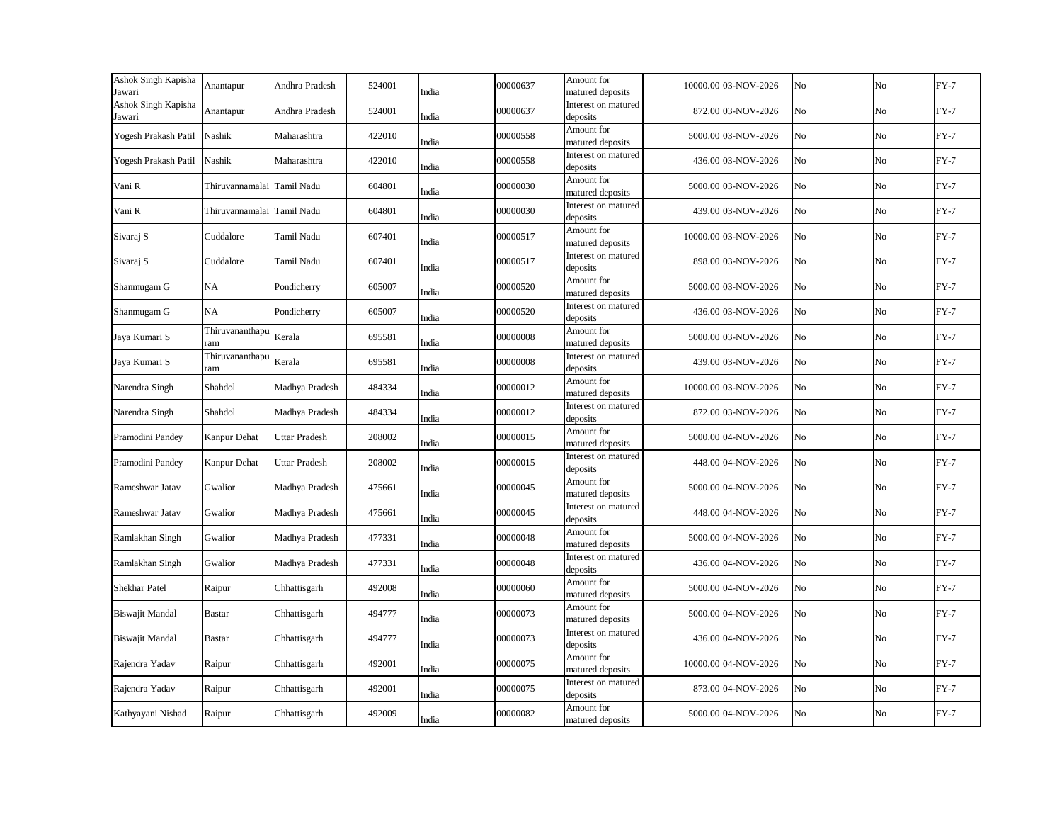| Ashok Singh Kapisha<br>Jawari | Anantapur                  | Andhra Pradesh       | 524001 | India | 00000637 | Amount for<br>matured deposits  | 10000.00 03-NOV-2026 | No | No | $FY-7$ |
|-------------------------------|----------------------------|----------------------|--------|-------|----------|---------------------------------|----------------------|----|----|--------|
| Ashok Singh Kapisha<br>Jawari | Anantapur                  | Andhra Pradesh       | 524001 | India | 00000637 | Interest on matured<br>deposits | 872.00 03-NOV-2026   | No | No | $FY-7$ |
| Yogesh Prakash Patil          | Nashik                     | Maharashtra          | 422010 | India | 00000558 | Amount for<br>matured deposits  | 5000.00 03-NOV-2026  | No | No | $FY-7$ |
| Yogesh Prakash Patil          | Nashik                     | Maharashtra          | 422010 | India | 00000558 | Interest on matured<br>deposits | 436.00 03-NOV-2026   | No | No | $FY-7$ |
| Vani R                        | Thiruvannamalai Tamil Nadu |                      | 604801 | India | 00000030 | Amount for<br>matured deposits  | 5000.00 03-NOV-2026  | No | No | $FY-7$ |
| Vani R                        | Thiruvannamalai Tamil Nadu |                      | 604801 | India | 00000030 | Interest on matured<br>deposits | 439.00 03-NOV-2026   | No | No | $FY-7$ |
| Sivaraj S                     | Cuddalore                  | Tamil Nadu           | 607401 | India | 00000517 | Amount for<br>matured deposits  | 10000.00 03-NOV-2026 | No | No | $FY-7$ |
| Sivaraj S                     | Cuddalore                  | Tamil Nadu           | 607401 | India | 00000517 | Interest on matured<br>deposits | 898.00 03-NOV-2026   | No | No | $FY-7$ |
| Shanmugam G                   | <b>NA</b>                  | Pondicherry          | 605007 | India | 00000520 | Amount for<br>matured deposits  | 5000.00 03-NOV-2026  | No | No | $FY-7$ |
| Shanmugam G                   | NA                         | Pondicherry          | 605007 | India | 00000520 | Interest on matured<br>deposits | 436.00 03-NOV-2026   | No | No | $FY-7$ |
| Jaya Kumari S                 | Thiruvananthapu<br>ram     | Kerala               | 695581 | India | 00000008 | Amount for<br>matured deposits  | 5000.00 03-NOV-2026  | No | No | $FY-7$ |
| Jaya Kumari S                 | Thiruvananthapu<br>ram     | Kerala               | 695581 | India | 00000008 | Interest on matured<br>deposits | 439.00 03-NOV-2026   | No | No | $FY-7$ |
| Narendra Singh                | Shahdol                    | Madhya Pradesh       | 484334 | India | 00000012 | Amount for<br>matured deposits  | 10000.00 03-NOV-2026 | No | No | $FY-7$ |
| Narendra Singh                | Shahdol                    | Madhya Pradesh       | 484334 | India | 00000012 | Interest on matured<br>deposits | 872.00 03-NOV-2026   | No | No | $FY-7$ |
| Pramodini Pandey              | Kanpur Dehat               | <b>Uttar Pradesh</b> | 208002 | India | 00000015 | Amount for<br>matured deposits  | 5000.00 04-NOV-2026  | No | No | $FY-7$ |
| Pramodini Pandey              | Kanpur Dehat               | <b>Uttar Pradesh</b> | 208002 | India | 00000015 | Interest on matured<br>deposits | 448.00 04-NOV-2026   | No | No | $FY-7$ |
| Rameshwar Jatav               | Gwalior                    | Madhya Pradesh       | 475661 | India | 00000045 | Amount for<br>matured deposits  | 5000.00 04-NOV-2026  | No | No | $FY-7$ |
| Rameshwar Jatav               | Gwalior                    | Madhya Pradesh       | 475661 | India | 00000045 | Interest on matured<br>deposits | 448.00 04-NOV-2026   | No | No | $FY-7$ |
| Ramlakhan Singh               | Gwalior                    | Madhya Pradesh       | 477331 | India | 00000048 | Amount for<br>matured deposits  | 5000.00 04-NOV-2026  | No | No | $FY-7$ |
| Ramlakhan Singh               | Gwalior                    | Madhya Pradesh       | 477331 | India | 00000048 | Interest on matured<br>deposits | 436.00 04-NOV-2026   | No | No | $FY-7$ |
| Shekhar Patel                 | Raipur                     | Chhattisgarh         | 492008 | India | 00000060 | Amount for<br>matured deposits  | 5000.00 04-NOV-2026  | No | No | $FY-7$ |
| <b>Biswajit Mandal</b>        | <b>Bastar</b>              | Chhattisgarh         | 494777 | India | 00000073 | Amount for<br>matured deposits  | 5000.00 04-NOV-2026  | No | No | $FY-7$ |
| <b>Biswajit Mandal</b>        | <b>Bastar</b>              | Chhattisgarh         | 494777 | India | 00000073 | Interest on matured<br>deposits | 436.00 04-NOV-2026   | No | No | $FY-7$ |
| Rajendra Yadav                | Raipur                     | Chhattisgarh         | 492001 | India | 00000075 | Amount for<br>matured deposits  | 10000.00 04-NOV-2026 | No | No | $FY-7$ |
| Rajendra Yadav                | Raipur                     | Chhattisgarh         | 492001 | India | 00000075 | Interest on matured<br>deposits | 873.00 04-NOV-2026   | No | No | $FY-7$ |
| Kathyayani Nishad             | Raipur                     | Chhattisgarh         | 492009 | India | 00000082 | Amount for<br>matured deposits  | 5000.00 04-NOV-2026  | No | No | $FY-7$ |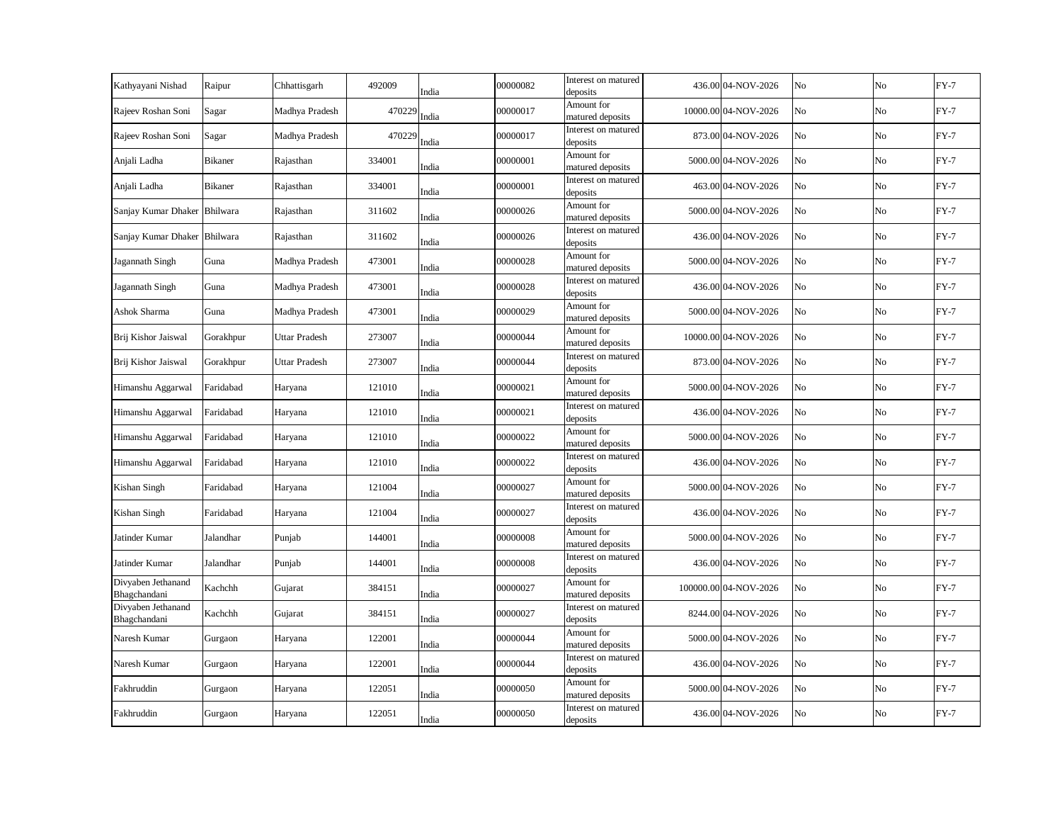| Kathyayani Nishad                  | Raipur         | Chhattisgarh   | 492009 | India | 00000082 | Interest on matured<br>deposits | 436.00 04-NOV-2026    | No             | No | $FY-7$ |
|------------------------------------|----------------|----------------|--------|-------|----------|---------------------------------|-----------------------|----------------|----|--------|
| Rajeev Roshan Soni                 | Sagar          | Madhya Pradesh | 470229 | India | 00000017 | Amount for<br>matured deposits  | 10000.00 04-NOV-2026  | No             | No | $FY-7$ |
| Rajeev Roshan Soni                 | Sagar          | Madhya Pradesh | 470229 | India | 00000017 | Interest on matured<br>deposits | 873.00 04-NOV-2026    | No             | No | $FY-7$ |
| Anjali Ladha                       | <b>Bikaner</b> | Rajasthan      | 334001 | India | 00000001 | Amount for<br>matured deposits  | 5000.00 04-NOV-2026   | N <sub>o</sub> | No | $FY-7$ |
| Anjali Ladha                       | <b>Bikaner</b> | Rajasthan      | 334001 | India | 00000001 | Interest on matured<br>deposits | 463.00 04-NOV-2026    | No             | No | $FY-7$ |
| Sanjay Kumar Dhaker Bhilwara       |                | Rajasthan      | 311602 | India | 00000026 | Amount for<br>matured deposits  | 5000.00 04-NOV-2026   | No             | No | $FY-7$ |
| Sanjay Kumar Dhaker Bhilwara       |                | Rajasthan      | 311602 | India | 00000026 | Interest on matured<br>deposits | 436.00 04-NOV-2026    | No             | No | $FY-7$ |
| Jagannath Singh                    | Guna           | Madhya Pradesh | 473001 | India | 00000028 | Amount for<br>matured deposits  | 5000.00 04-NOV-2026   | No             | No | $FY-7$ |
| Jagannath Singh                    | Guna           | Madhya Pradesh | 473001 | India | 00000028 | Interest on matured<br>deposits | 436.00 04-NOV-2026    | No             | No | $FY-7$ |
| Ashok Sharma                       | Guna           | Madhya Pradesh | 473001 | India | 00000029 | Amount for<br>matured deposits  | 5000.00 04-NOV-2026   | No             | No | $FY-7$ |
| Brij Kishor Jaiswal                | Gorakhpur      | Uttar Pradesh  | 273007 | India | 00000044 | Amount for<br>matured deposits  | 10000.00 04-NOV-2026  | No             | No | $FY-7$ |
| Brij Kishor Jaiswal                | Gorakhpur      | Uttar Pradesh  | 273007 | India | 00000044 | Interest on matured<br>deposits | 873.00 04-NOV-2026    | No             | No | $FY-7$ |
| Himanshu Aggarwal                  | Faridabad      | Haryana        | 121010 | India | 00000021 | Amount for<br>matured deposits  | 5000.00 04-NOV-2026   | No             | No | $FY-7$ |
| Himanshu Aggarwal                  | Faridabad      | Haryana        | 121010 | India | 00000021 | Interest on matured<br>deposits | 436.00 04-NOV-2026    | No             | No | $FY-7$ |
| Himanshu Aggarwal                  | Faridabad      | Haryana        | 121010 | India | 00000022 | Amount for<br>matured deposits  | 5000.00 04-NOV-2026   | No             | No | $FY-7$ |
| Himanshu Aggarwal                  | Faridabad      | Haryana        | 121010 | India | 00000022 | Interest on matured<br>deposits | 436.00 04-NOV-2026    | No             | No | $FY-7$ |
| Kishan Singh                       | Faridabad      | Haryana        | 121004 | India | 00000027 | Amount for<br>matured deposits  | 5000.00 04-NOV-2026   | No             | No | $FY-7$ |
| Kishan Singh                       | Faridabad      | Haryana        | 121004 | India | 00000027 | Interest on matured<br>deposits | 436.00 04-NOV-2026    | No             | No | $FY-7$ |
| Jatinder Kumar                     | Jalandhar      | Punjab         | 144001 | India | 00000008 | Amount for<br>matured deposits  | 5000.00 04-NOV-2026   | No             | No | $FY-7$ |
| Jatinder Kumar                     | Jalandhar      | Punjab         | 144001 | India | 00000008 | Interest on matured<br>deposits | 436.00 04-NOV-2026    | No             | No | $FY-7$ |
| Divyaben Jethanand<br>Bhagchandani | Kachchh        | Gujarat        | 384151 | India | 00000027 | Amount for<br>matured deposits  | 100000.00 04-NOV-2026 | No             | No | $FY-7$ |
| Divyaben Jethanand<br>Bhagchandani | Kachchh        | Gujarat        | 384151 | India | 00000027 | Interest on matured<br>deposits | 8244.00 04-NOV-2026   | No             | No | $FY-7$ |
| Naresh Kumar                       | Gurgaon        | Haryana        | 122001 | India | 00000044 | Amount for<br>matured deposits  | 5000.00 04-NOV-2026   | No             | No | $FY-7$ |
| Naresh Kumar                       | Gurgaon        | Haryana        | 122001 | India | 00000044 | Interest on matured<br>deposits | 436.00 04-NOV-2026    | No             | No | $FY-7$ |
| Fakhruddin                         | Gurgaon        | Haryana        | 122051 | India | 00000050 | Amount for<br>matured deposits  | 5000.00 04-NOV-2026   | No             | No | $FY-7$ |
| Fakhruddin                         | Gurgaon        | Haryana        | 122051 | India | 00000050 | Interest on matured<br>deposits | 436.00 04-NOV-2026    | No             | No | $FY-7$ |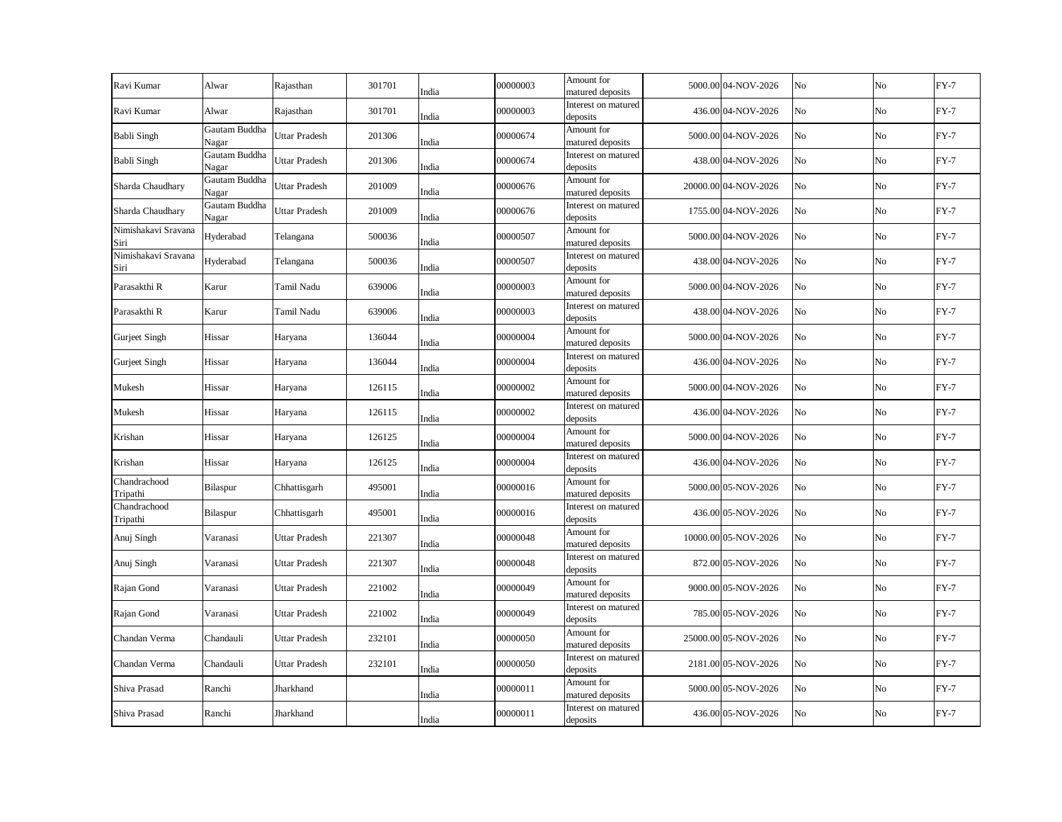| Ravi Kumar                  | Alwar                  | Rajasthan            | 301701 | India | 00000003 | Amount for<br>matured deposits  | 5000.00 04-NOV-2026  | No | No       | $FY-7$ |
|-----------------------------|------------------------|----------------------|--------|-------|----------|---------------------------------|----------------------|----|----------|--------|
| Ravi Kumar                  | Alwar                  | Rajasthan            | 301701 | India | 00000003 | Interest on matured<br>deposits | 436.00 04-NOV-2026   | No | No       | $FY-7$ |
| <b>Babli Singh</b>          | Gautam Buddha<br>Nagar | Uttar Pradesh        | 201306 | India | 00000674 | Amount for<br>matured deposits  | 5000.00 04-NOV-2026  | No | No       | $FY-7$ |
| <b>Babli Singh</b>          | Gautam Buddha<br>Nagar | Uttar Pradesh        | 201306 | India | 00000674 | Interest on matured<br>deposits | 438.00 04-NOV-2026   | No | No       | $FY-7$ |
| Sharda Chaudhary            | Gautam Buddha<br>Nagar | Uttar Pradesh        | 201009 | India | 00000676 | Amount for<br>matured deposits  | 20000.00 04-NOV-2026 | No | No       | $FY-7$ |
| Sharda Chaudhary            | Gautam Buddha<br>Nagar | Uttar Pradesh        | 201009 | India | 00000676 | Interest on matured<br>deposits | 1755.00 04-NOV-2026  | No | No       | $FY-7$ |
| Nimishakavi Sravana<br>Siri | Hyderabad              | Telangana            | 500036 | India | 00000507 | Amount for<br>matured deposits  | 5000.00 04-NOV-2026  | No | No       | $FY-7$ |
| Nimishakavi Sravana<br>Siri | Hyderabad              | Telangana            | 500036 | India | 00000507 | Interest on matured<br>deposits | 438.00 04-NOV-2026   | No | No       | $FY-7$ |
| Parasakthi R                | Karur                  | Tamil Nadu           | 639006 | India | 00000003 | Amount for<br>matured deposits  | 5000.00 04-NOV-2026  | No | No       | $FY-7$ |
| Parasakthi R                | Karur                  | Tamil Nadu           | 639006 | India | 00000003 | Interest on matured<br>deposits | 438.00 04-NOV-2026   | No | $\rm No$ | $FY-7$ |
| Gurjeet Singh               | Hissar                 | Haryana              | 136044 | India | 00000004 | Amount for<br>matured deposits  | 5000.00 04-NOV-2026  | No | No       | $FY-7$ |
| Gurjeet Singh               | Hissar                 | Haryana              | 136044 | India | 00000004 | Interest on matured<br>deposits | 436.00 04-NOV-2026   | No | No       | $FY-7$ |
| Mukesh                      | Hissar                 | Haryana              | 126115 | India | 00000002 | Amount for<br>matured deposits  | 5000.00 04-NOV-2026  | No | No       | $FY-7$ |
| Mukesh                      | Hissar                 | Haryana              | 126115 | India | 00000002 | Interest on matured<br>deposits | 436.00 04-NOV-2026   | No | $\rm No$ | $FY-7$ |
| Krishan                     | Hissar                 | Haryana              | 126125 | India | 00000004 | Amount for<br>matured deposits  | 5000.00 04-NOV-2026  | No | No       | $FY-7$ |
| Krishan                     | Hissar                 | Haryana              | 126125 | India | 00000004 | Interest on matured<br>deposits | 436.00 04-NOV-2026   | No | No       | $FY-7$ |
| Chandrachood<br>Tripathi    | Bilaspur               | Chhattisgarh         | 495001 | India | 00000016 | Amount for<br>matured deposits  | 5000.00 05-NOV-2026  | No | No       | $FY-7$ |
| Chandrachood<br>Tripathi    | Bilaspur               | Chhattisgarh         | 495001 | India | 00000016 | Interest on matured<br>deposits | 436.00 05-NOV-2026   | No | No       | $FY-7$ |
| Anuj Singh                  | Varanasi               | Uttar Pradesh        | 221307 | India | 00000048 | Amount for<br>matured deposits  | 10000.00 05-NOV-2026 | No | No       | $FY-7$ |
| Anuj Singh                  | Varanasi               | <b>Uttar Pradesh</b> | 221307 | India | 00000048 | Interest on matured<br>deposits | 872.00 05-NOV-2026   | No | No       | $FY-7$ |
| Rajan Gond                  | Varanasi               | Uttar Pradesh        | 221002 | India | 00000049 | Amount for<br>matured deposits  | 9000.00 05-NOV-2026  | No | No       | $FY-7$ |
| Rajan Gond                  | Varanasi               | <b>Uttar Pradesh</b> | 221002 | India | 00000049 | Interest on matured<br>deposits | 785.00 05-NOV-2026   | No | No       | $FY-7$ |
| Chandan Verma               | Chandauli              | <b>Uttar Pradesh</b> | 232101 | India | 00000050 | Amount for<br>matured deposits  | 25000.00 05-NOV-2026 | No | No       | $FY-7$ |
| Chandan Verma               | Chandauli              | <b>Uttar Pradesh</b> | 232101 | India | 00000050 | Interest on matured<br>deposits | 2181.00 05-NOV-2026  | No | No       | $FY-7$ |
| Shiva Prasad                | Ranchi                 | Jharkhand            |        | India | 00000011 | Amount for<br>matured deposits  | 5000.00 05-NOV-2026  | No | No       | $FY-7$ |
| Shiva Prasad                | Ranchi                 | Jharkhand            |        | India | 00000011 | Interest on matured<br>deposits | 436.00 05-NOV-2026   | No | No       | $FY-7$ |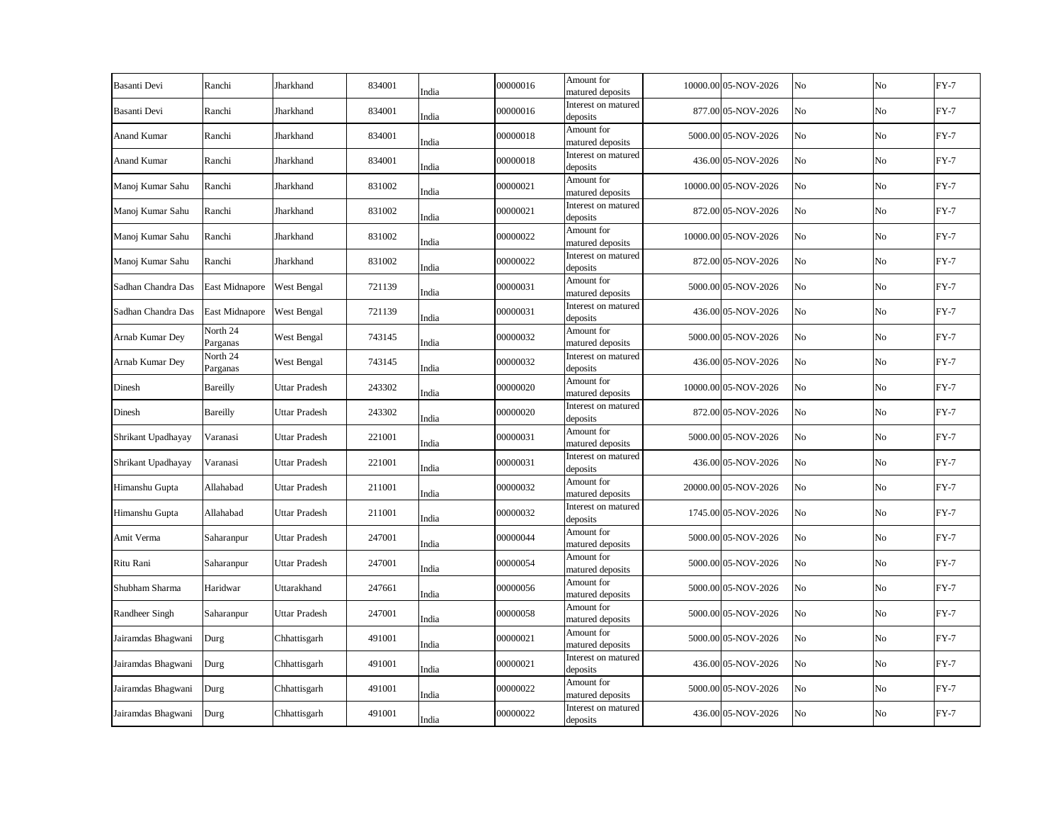| Basanti Devi       | Ranchi                | Jharkhand            | 834001 | India | 00000016 | Amount for<br>matured deposits  | 10000.00 05-NOV-2026 | No | No          | $FY-7$ |
|--------------------|-----------------------|----------------------|--------|-------|----------|---------------------------------|----------------------|----|-------------|--------|
| Basanti Devi       | Ranchi                | Jharkhand            | 834001 | India | 00000016 | Interest on matured<br>deposits | 877.00 05-NOV-2026   | No | No          | $FY-7$ |
| <b>Anand Kumar</b> | Ranchi                | Jharkhand            | 834001 | India | 00000018 | Amount for<br>matured deposits  | 5000.00 05-NOV-2026  | No | No          | $FY-7$ |
| <b>Anand Kumar</b> | Ranchi                | Jharkhand            | 834001 | India | 00000018 | Interest on matured<br>deposits | 436.00 05-NOV-2026   | No | No          | $FY-7$ |
| Manoj Kumar Sahu   | Ranchi                | Jharkhand            | 831002 | India | 00000021 | Amount for<br>matured deposits  | 10000.00 05-NOV-2026 | No | No          | $FY-7$ |
| Manoj Kumar Sahu   | Ranchi                | Jharkhand            | 831002 | India | 00000021 | Interest on matured<br>deposits | 872.00 05-NOV-2026   | No | No          | $FY-7$ |
| Manoj Kumar Sahu   | Ranchi                | Jharkhand            | 831002 | India | 00000022 | Amount for<br>matured deposits  | 10000.00 05-NOV-2026 | No | No          | $FY-7$ |
| Manoj Kumar Sahu   | Ranchi                | Jharkhand            | 831002 | India | 00000022 | Interest on matured<br>deposits | 872.00 05-NOV-2026   | No | No          | $FY-7$ |
| Sadhan Chandra Das | East Midnapore        | West Bengal          | 721139 | India | 00000031 | Amount for<br>matured deposits  | 5000.00 05-NOV-2026  | No | No          | $FY-7$ |
| Sadhan Chandra Das | <b>East Midnapore</b> | West Bengal          | 721139 | India | 00000031 | Interest on matured<br>deposits | 436.00 05-NOV-2026   | No | No          | $FY-7$ |
| Arnab Kumar Dey    | North 24<br>Parganas  | West Bengal          | 743145 | India | 00000032 | Amount for<br>matured deposits  | 5000.00 05-NOV-2026  | No | No          | $FY-7$ |
| Arnab Kumar Dev    | North 24<br>Parganas  | West Bengal          | 743145 | India | 00000032 | Interest on matured<br>deposits | 436.00 05-NOV-2026   | No | No          | $FY-7$ |
| Dinesh             | <b>Bareilly</b>       | Uttar Pradesh        | 243302 | India | 00000020 | Amount for<br>matured deposits  | 10000.00 05-NOV-2026 | No | No          | $FY-7$ |
| Dinesh             | Bareilly              | Uttar Pradesh        | 243302 | India | 00000020 | Interest on matured<br>deposits | 872.00 05-NOV-2026   | No | $_{\rm No}$ | $FY-7$ |
| Shrikant Upadhayay | Varanasi              | <b>Uttar Pradesh</b> | 221001 | India | 00000031 | Amount for<br>matured deposits  | 5000.00 05-NOV-2026  | No | No          | $FY-7$ |
| Shrikant Upadhayay | Varanasi              | <b>Uttar Pradesh</b> | 221001 | India | 00000031 | Interest on matured<br>deposits | 436.00 05-NOV-2026   | No | No          | $FY-7$ |
| Himanshu Gupta     | Allahabad             | Uttar Pradesh        | 211001 | India | 00000032 | Amount for<br>matured deposits  | 20000.00 05-NOV-2026 | No | No          | $FY-7$ |
| Himanshu Gupta     | Allahabad             | Uttar Pradesh        | 211001 | India | 00000032 | Interest on matured<br>deposits | 1745.00 05-NOV-2026  | No | No          | $FY-7$ |
| Amit Verma         | Saharanpur            | Uttar Pradesh        | 247001 | India | 00000044 | Amount for<br>matured deposits  | 5000.00 05-NOV-2026  | No | No          | $FY-7$ |
| Ritu Rani          | Saharanpur            | Uttar Pradesh        | 247001 | India | 00000054 | Amount for<br>matured deposits  | 5000.00 05-NOV-2026  | No | No          | $FY-7$ |
| Shubham Sharma     | Haridwar              | Uttarakhand          | 247661 | India | 00000056 | Amount for<br>matured deposits  | 5000.00 05-NOV-2026  | No | No          | $FY-7$ |
| Randheer Singh     | Saharanpur            | <b>Uttar Pradesh</b> | 247001 | India | 00000058 | Amount for<br>matured deposits  | 5000.00 05-NOV-2026  | No | No          | $FY-7$ |
| Jairamdas Bhagwani | Durg                  | Chhattisgarh         | 491001 | India | 00000021 | Amount for<br>matured deposits  | 5000.00 05-NOV-2026  | No | No          | $FY-7$ |
| Jairamdas Bhagwani | Durg                  | Chhattisgarh         | 491001 | India | 00000021 | Interest on matured<br>deposits | 436.00 05-NOV-2026   | No | No          | $FY-7$ |
| Jairamdas Bhagwani | Durg                  | Chhattisgarh         | 491001 | India | 00000022 | Amount for<br>matured deposits  | 5000.00 05-NOV-2026  | No | No          | $FY-7$ |
| Jairamdas Bhagwani | Durg                  | Chhattisgarh         | 491001 | India | 00000022 | Interest on matured<br>deposits | 436.00 05-NOV-2026   | No | No          | $FY-7$ |
|                    |                       |                      |        |       |          |                                 |                      |    |             |        |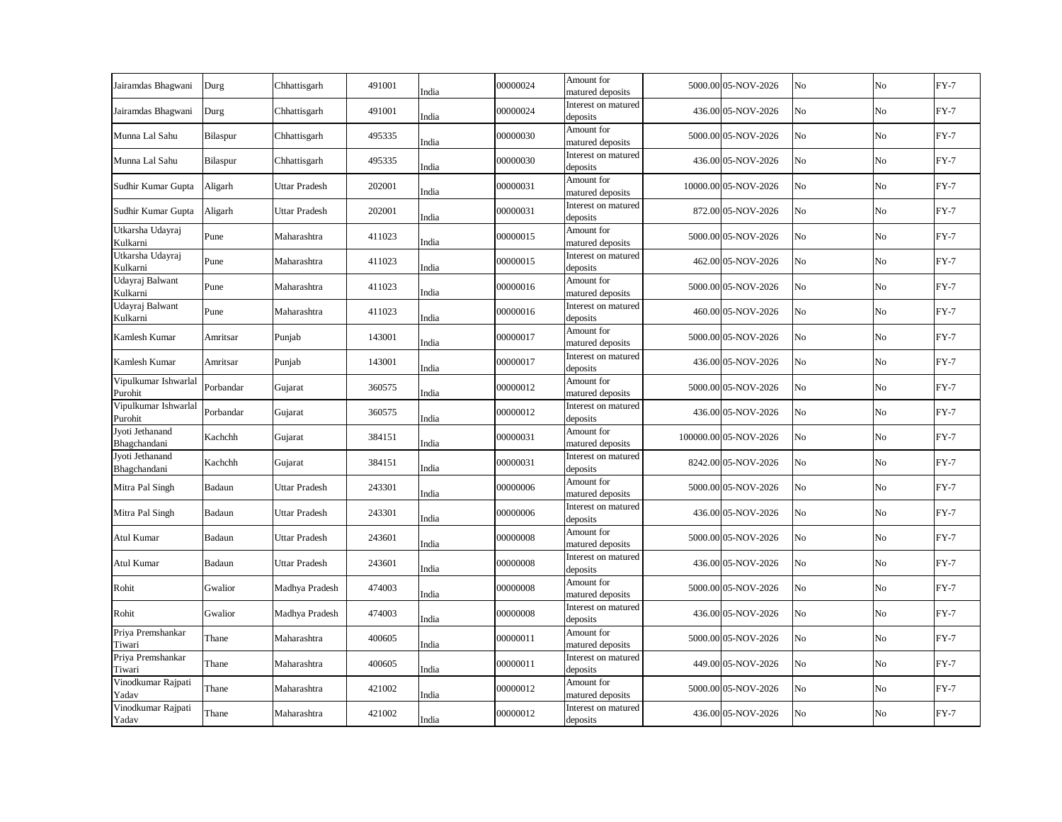| Jairamdas Bhagwani              | Durg      | Chhattisgarh         | 491001 | India | 00000024 | Amount for<br>matured deposits  | 5000.00 05-NOV-2026   | No | No             | $FY-7$ |
|---------------------------------|-----------|----------------------|--------|-------|----------|---------------------------------|-----------------------|----|----------------|--------|
| Jairamdas Bhagwani              | Durg      | Chhattisgarh         | 491001 | India | 00000024 | Interest on matured<br>deposits | 436.00 05-NOV-2026    | No | No             | $FY-7$ |
| Munna Lal Sahu                  | Bilaspur  | Chhattisgarh         | 495335 | India | 00000030 | Amount for<br>matured deposits  | 5000.00 05-NOV-2026   | No | No             | $FY-7$ |
| Munna Lal Sahu                  | Bilaspur  | Chhattisgarh         | 495335 | India | 00000030 | Interest on matured<br>deposits | 436.00 05-NOV-2026    | No | No             | $FY-7$ |
| Sudhir Kumar Gupta              | Aligarh   | Uttar Pradesh        | 202001 | India | 00000031 | Amount for<br>matured deposits  | 10000.00 05-NOV-2026  | No | N <sub>o</sub> | $FY-7$ |
| Sudhir Kumar Gupta              | Aligarh   | Uttar Pradesh        | 202001 | India | 00000031 | Interest on matured<br>deposits | 872.00 05-NOV-2026    | No | No             | $FY-7$ |
| Utkarsha Udayraj<br>Kulkarni    | Pune      | Maharashtra          | 411023 | India | 00000015 | Amount for<br>matured deposits  | 5000.00 05-NOV-2026   | No | No             | $FY-7$ |
| Utkarsha Udayraj<br>Kulkarni    | Pune      | Maharashtra          | 411023 | India | 00000015 | Interest on matured<br>deposits | 462.00 05-NOV-2026    | No | No             | $FY-7$ |
| Udayraj Balwant<br>Kulkarni     | Pune      | Maharashtra          | 411023 | India | 00000016 | Amount for<br>matured deposits  | 5000.00 05-NOV-2026   | No | No             | $FY-7$ |
| Udayraj Balwant<br>Kulkarni     | Pune      | Maharashtra          | 411023 | India | 00000016 | Interest on matured<br>deposits | 460.00 05-NOV-2026    | No | No             | $FY-7$ |
| Kamlesh Kumar                   | Amritsar  | Punjab               | 143001 | India | 00000017 | Amount for<br>matured deposits  | 5000.00 05-NOV-2026   | No | No             | $FY-7$ |
| Kamlesh Kumar                   | Amritsar  | Punjab               | 143001 | India | 00000017 | Interest on matured<br>deposits | 436.00 05-NOV-2026    | No | No             | $FY-7$ |
| Vipulkumar Ishwarlal<br>Purohit | Porbandar | Gujarat              | 360575 | India | 00000012 | Amount for<br>matured deposits  | 5000.00 05-NOV-2026   | No | No             | $FY-7$ |
| Vipulkumar Ishwarlal<br>Purohit | Porbandar | Gujarat              | 360575 | India | 00000012 | Interest on matured<br>deposits | 436.00 05-NOV-2026    | No | No             | $FY-7$ |
| Jyoti Jethanand<br>Bhagchandani | Kachchh   | Gujarat              | 384151 | India | 00000031 | Amount for<br>matured deposits  | 100000.00 05-NOV-2026 | No | No             | $FY-7$ |
| Jyoti Jethanand<br>Bhagchandani | Kachchh   | Gujarat              | 384151 | India | 00000031 | Interest on matured<br>deposits | 8242.00 05-NOV-2026   | No | No             | $FY-7$ |
| Mitra Pal Singh                 | Badaun    | <b>Uttar Pradesh</b> | 243301 | India | 00000006 | Amount for<br>matured deposits  | 5000.00 05-NOV-2026   | No | No             | $FY-7$ |
| Mitra Pal Singh                 | Badaun    | <b>Uttar Pradesh</b> | 243301 | India | 00000006 | Interest on matured<br>deposits | 436.00 05-NOV-2026    | No | No             | $FY-7$ |
| Atul Kumar                      | Badaun    | Uttar Pradesh        | 243601 | India | 00000008 | Amount for<br>matured deposits  | 5000.00 05-NOV-2026   | No | No             | $FY-7$ |
| Atul Kumar                      | Badaun    | Uttar Pradesh        | 243601 | India | 00000008 | Interest on matured<br>deposits | 436.00 05-NOV-2026    | No | No             | $FY-7$ |
| Rohit                           | Gwalior   | Madhya Pradesh       | 474003 | India | 00000008 | Amount for<br>matured deposits  | 5000.00 05-NOV-2026   | No | No             | $FY-7$ |
| Rohit                           | Gwalior   | Madhya Pradesh       | 474003 | India | 00000008 | Interest on matured<br>deposits | 436.00 05-NOV-2026    | No | No             | $FY-7$ |
| Priya Premshankar<br>Tiwari     | Thane     | Maharashtra          | 400605 | India | 00000011 | Amount for<br>matured deposits  | 5000.00 05-NOV-2026   | No | No             | $FY-7$ |
| Priya Premshankar<br>Tiwari     | Thane     | Maharashtra          | 400605 | India | 00000011 | Interest on matured<br>deposits | 449.00 05-NOV-2026    | No | No             | $FY-7$ |
| Vinodkumar Rajpati<br>Yadav     | Thane     | Maharashtra          | 421002 | India | 00000012 | Amount for<br>matured deposits  | 5000.00 05-NOV-2026   | No | No             | $FY-7$ |
| Vinodkumar Rajpati<br>Yadav     | Thane     | Maharashtra          | 421002 | India | 00000012 | Interest on matured<br>deposits | 436.00 05-NOV-2026    | No | No             | $FY-7$ |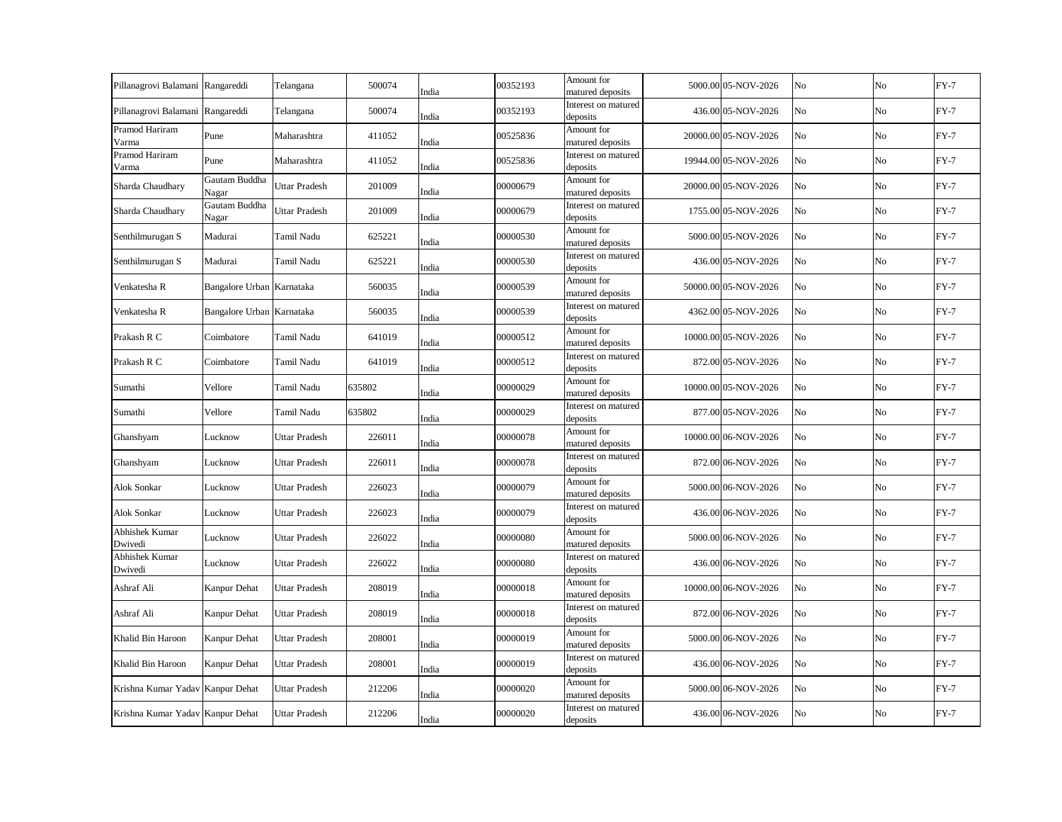| Pillanagrovi Balamani Rangareddi |                           | Telangana            | 500074 | India | 00352193 | Amount for<br>matured deposits  | 5000.00 05-NOV-2026  | No | N <sub>o</sub> | $FY-7$ |
|----------------------------------|---------------------------|----------------------|--------|-------|----------|---------------------------------|----------------------|----|----------------|--------|
| Pillanagrovi Balamani Rangareddi |                           | Telangana            | 500074 | India | 00352193 | Interest on matured<br>deposits | 436.00 05-NOV-2026   | No | No             | $FY-7$ |
| Pramod Hariram<br>Varma          | Pune                      | Maharashtra          | 411052 | India | 00525836 | Amount for<br>matured deposits  | 20000.00 05-NOV-2026 | No | No             | $FY-7$ |
| Pramod Hariram<br>Varma          | Pune                      | Maharashtra          | 411052 | India | 00525836 | Interest on matured<br>deposits | 19944.00 05-NOV-2026 | No | No             | $FY-7$ |
| Sharda Chaudhary                 | Gautam Buddha<br>Nagar    | Uttar Pradesh        | 201009 | India | 00000679 | Amount for<br>matured deposits  | 20000.00 05-NOV-2026 | No | No             | $FY-7$ |
| Sharda Chaudhary                 | Gautam Buddha<br>Nagar    | Uttar Pradesh        | 201009 | India | 00000679 | Interest on matured<br>deposits | 1755.00 05-NOV-2026  | No | No             | $FY-7$ |
| Senthilmurugan S                 | Madurai                   | <b>Tamil Nadu</b>    | 625221 | India | 00000530 | Amount for<br>matured deposits  | 5000.00 05-NOV-2026  | No | No             | $FY-7$ |
| Senthilmurugan S                 | Madurai                   | Tamil Nadu           | 625221 | India | 00000530 | Interest on matured<br>deposits | 436.00 05-NOV-2026   | No | No             | $FY-7$ |
| Venkatesha R                     | Bangalore Urban Karnataka |                      | 560035 | India | 00000539 | Amount for<br>matured deposits  | 50000.00 05-NOV-2026 | No | No             | $FY-7$ |
| Venkatesha R                     | Bangalore Urban Karnataka |                      | 560035 | India | 00000539 | Interest on matured<br>deposits | 4362.00 05-NOV-2026  | No | No             | $FY-7$ |
| Prakash R C                      | Coimbatore                | Tamil Nadu           | 641019 | India | 00000512 | Amount for<br>matured deposits  | 10000.00 05-NOV-2026 | No | No             | $FY-7$ |
| Prakash R C                      | Coimbatore                | Tamil Nadu           | 641019 | India | 00000512 | Interest on matured<br>deposits | 872.00 05-NOV-2026   | No | No             | $FY-7$ |
| Sumathi                          | Vellore                   | Tamil Nadu           | 635802 | India | 00000029 | Amount for<br>matured deposits  | 10000.00 05-NOV-2026 | No | No             | $FY-7$ |
| Sumathi                          | Vellore                   | Tamil Nadu           | 635802 | India | 00000029 | Interest on matured<br>deposits | 877.00 05-NOV-2026   | No | No             | $FY-7$ |
| Ghanshyam                        | Lucknow                   | Uttar Pradesh        | 226011 | India | 00000078 | Amount for<br>matured deposits  | 10000.00 06-NOV-2026 | No | No             | $FY-7$ |
| Ghanshyam                        | Lucknow                   | <b>Uttar Pradesh</b> | 226011 | India | 00000078 | Interest on matured<br>deposits | 872.00 06-NOV-2026   | No | No             | $FY-7$ |
| <b>Alok Sonkar</b>               | Lucknow                   | Uttar Pradesh        | 226023 | India | 00000079 | Amount for<br>matured deposits  | 5000.00 06-NOV-2026  | No | No             | $FY-7$ |
| Alok Sonkar                      | Lucknow                   | Uttar Pradesh        | 226023 | India | 00000079 | Interest on matured<br>deposits | 436.00 06-NOV-2026   | No | No             | $FY-7$ |
| Abhishek Kumar<br>Dwivedi        | Lucknow                   | Uttar Pradesh        | 226022 | India | 00000080 | Amount for<br>matured deposits  | 5000.00 06-NOV-2026  | No | No             | $FY-7$ |
| Abhishek Kumar<br>Dwivedi        | Lucknow                   | Uttar Pradesh        | 226022 | India | 00000080 | Interest on matured<br>deposits | 436.00 06-NOV-2026   | No | No             | $FY-7$ |
| Ashraf Ali                       | Kanpur Dehat              | <b>Uttar Pradesh</b> | 208019 | India | 00000018 | Amount for<br>matured deposits  | 10000.00 06-NOV-2026 | No | No             | $FY-7$ |
| Ashraf Ali                       | Kanpur Dehat              | <b>Uttar Pradesh</b> | 208019 | India | 00000018 | Interest on matured<br>deposits | 872.00 06-NOV-2026   | No | No             | $FY-7$ |
| Khalid Bin Haroon                | Kanpur Dehat              | <b>Uttar Pradesh</b> | 208001 | India | 00000019 | Amount for<br>matured deposits  | 5000.00 06-NOV-2026  | No | No             | $FY-7$ |
| Khalid Bin Haroon                | Kanpur Dehat              | <b>Uttar Pradesh</b> | 208001 | India | 00000019 | Interest on matured<br>deposits | 436.00 06-NOV-2026   | No | No             | $FY-7$ |
| Krishna Kumar Yadav              | Kanpur Dehat              | Uttar Pradesh        | 212206 | India | 00000020 | Amount for<br>matured deposits  | 5000.00 06-NOV-2026  | No | No             | $FY-7$ |
| Krishna Kumar Yadav Kanpur Dehat |                           | <b>Uttar Pradesh</b> | 212206 | India | 00000020 | Interest on matured<br>deposits | 436.00 06-NOV-2026   | No | No             | $FY-7$ |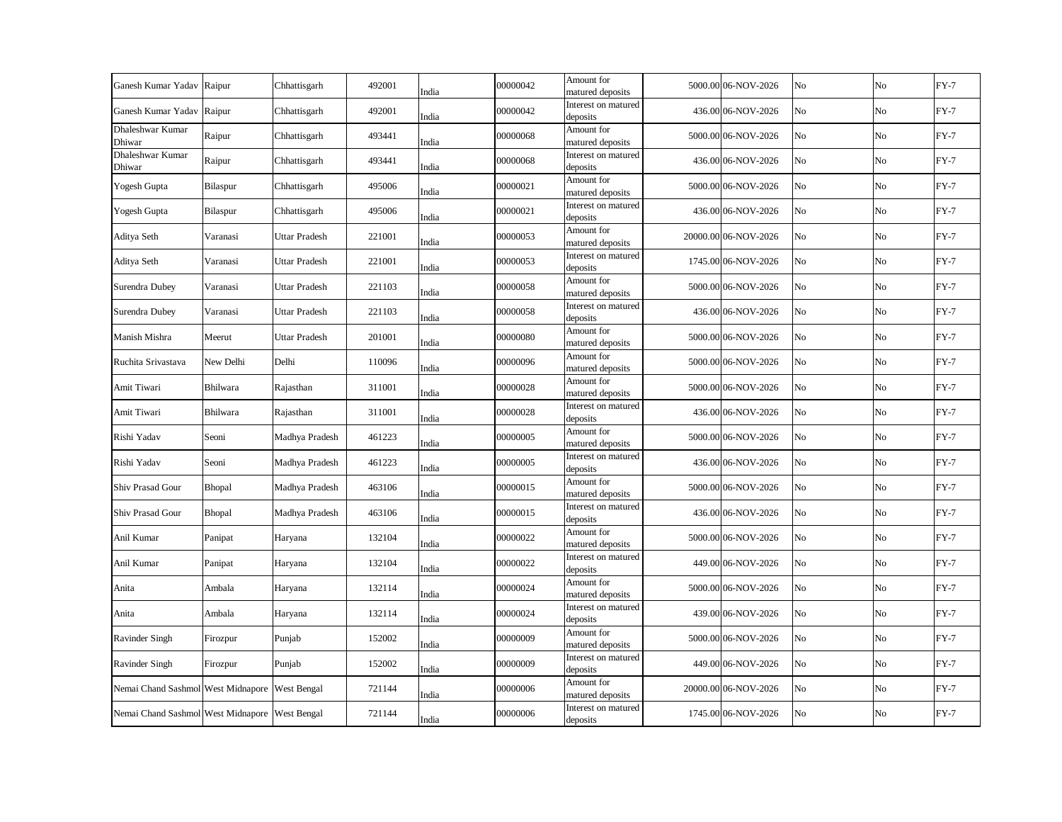| Ganesh Kumar Yadav Raipur | Chhattisgarh         | 492001                                                                                           | India | 00000042                                                                                                 | Amount for<br>matured deposits  |                                                                                                                                                                                                                                      | No                                                                                                                                                                                                                                                                                                                                                                                                                                                                                                                                                                                                         | No | $FY-7$ |
|---------------------------|----------------------|--------------------------------------------------------------------------------------------------|-------|----------------------------------------------------------------------------------------------------------|---------------------------------|--------------------------------------------------------------------------------------------------------------------------------------------------------------------------------------------------------------------------------------|------------------------------------------------------------------------------------------------------------------------------------------------------------------------------------------------------------------------------------------------------------------------------------------------------------------------------------------------------------------------------------------------------------------------------------------------------------------------------------------------------------------------------------------------------------------------------------------------------------|----|--------|
| Raipur                    | Chhattisgarh         | 492001                                                                                           |       | 00000042                                                                                                 | Interest on matured             |                                                                                                                                                                                                                                      | No                                                                                                                                                                                                                                                                                                                                                                                                                                                                                                                                                                                                         | No | $FY-7$ |
| Raipur                    | Chhattisgarh         | 493441                                                                                           |       | 00000068                                                                                                 | Amount for                      |                                                                                                                                                                                                                                      | No                                                                                                                                                                                                                                                                                                                                                                                                                                                                                                                                                                                                         | No | $FY-7$ |
| Raipur                    | Chhattisgarh         | 493441                                                                                           |       | 00000068                                                                                                 | Interest on matured             |                                                                                                                                                                                                                                      | No                                                                                                                                                                                                                                                                                                                                                                                                                                                                                                                                                                                                         | No | $FY-7$ |
| Bilaspur                  | Chhattisgarh         | 495006                                                                                           |       | 00000021                                                                                                 | Amount for                      |                                                                                                                                                                                                                                      | No                                                                                                                                                                                                                                                                                                                                                                                                                                                                                                                                                                                                         | No | $FY-7$ |
| Bilaspur                  | Chhattisgarh         | 495006                                                                                           |       | 00000021                                                                                                 | Interest on matured             |                                                                                                                                                                                                                                      | No                                                                                                                                                                                                                                                                                                                                                                                                                                                                                                                                                                                                         | No | $FY-7$ |
| Varanasi                  | Uttar Pradesh        | 221001                                                                                           |       | 00000053                                                                                                 | Amount for                      |                                                                                                                                                                                                                                      | No                                                                                                                                                                                                                                                                                                                                                                                                                                                                                                                                                                                                         | No | $FY-7$ |
| Varanasi                  | Uttar Pradesh        | 221001                                                                                           |       | 00000053                                                                                                 | Interest on matured             |                                                                                                                                                                                                                                      | No                                                                                                                                                                                                                                                                                                                                                                                                                                                                                                                                                                                                         | No | $FY-7$ |
| Varanasi                  | <b>Uttar Pradesh</b> | 221103                                                                                           |       | 00000058                                                                                                 | Amount for                      |                                                                                                                                                                                                                                      | No                                                                                                                                                                                                                                                                                                                                                                                                                                                                                                                                                                                                         | No | $FY-7$ |
| Varanasi                  | Uttar Pradesh        | 221103                                                                                           |       | 00000058                                                                                                 | Interest on matured             |                                                                                                                                                                                                                                      | No                                                                                                                                                                                                                                                                                                                                                                                                                                                                                                                                                                                                         | No | $FY-7$ |
| Meerut                    | Uttar Pradesh        | 201001                                                                                           |       | 00000080                                                                                                 | Amount for                      |                                                                                                                                                                                                                                      | No                                                                                                                                                                                                                                                                                                                                                                                                                                                                                                                                                                                                         | No | $FY-7$ |
| New Delhi                 | Delhi                | 110096                                                                                           |       | 00000096                                                                                                 | Amount for                      |                                                                                                                                                                                                                                      | No                                                                                                                                                                                                                                                                                                                                                                                                                                                                                                                                                                                                         | No | $FY-7$ |
| Bhilwara                  | Rajasthan            | 311001                                                                                           |       | 00000028                                                                                                 | Amount for                      |                                                                                                                                                                                                                                      | No                                                                                                                                                                                                                                                                                                                                                                                                                                                                                                                                                                                                         | No | $FY-7$ |
| Bhilwara                  | Rajasthan            | 311001                                                                                           | India | 00000028                                                                                                 | Interest on matured             |                                                                                                                                                                                                                                      | No                                                                                                                                                                                                                                                                                                                                                                                                                                                                                                                                                                                                         | No | $FY-7$ |
| Seoni                     | Madhya Pradesh       | 461223                                                                                           | India | 00000005                                                                                                 | Amount for<br>matured deposits  |                                                                                                                                                                                                                                      | No                                                                                                                                                                                                                                                                                                                                                                                                                                                                                                                                                                                                         | No | $FY-7$ |
| Seoni                     | Madhya Pradesh       | 461223                                                                                           | India | 00000005                                                                                                 | Interest on matured<br>deposits |                                                                                                                                                                                                                                      | No                                                                                                                                                                                                                                                                                                                                                                                                                                                                                                                                                                                                         | No | $FY-7$ |
| Bhopal                    | Madhya Pradesh       | 463106                                                                                           | India | 00000015                                                                                                 | Amount for<br>matured deposits  |                                                                                                                                                                                                                                      | No                                                                                                                                                                                                                                                                                                                                                                                                                                                                                                                                                                                                         | No | $FY-7$ |
| Bhopal                    | Madhya Pradesh       | 463106                                                                                           | India | 00000015                                                                                                 | Interest on matured<br>deposits |                                                                                                                                                                                                                                      | No                                                                                                                                                                                                                                                                                                                                                                                                                                                                                                                                                                                                         | No | $FY-7$ |
| Panipat                   | Haryana              | 132104                                                                                           | India | 00000022                                                                                                 | Amount for                      |                                                                                                                                                                                                                                      | No                                                                                                                                                                                                                                                                                                                                                                                                                                                                                                                                                                                                         | No | $FY-7$ |
| Panipat                   | Haryana              | 132104                                                                                           | India | 00000022                                                                                                 | Interest on matured<br>deposits |                                                                                                                                                                                                                                      | No                                                                                                                                                                                                                                                                                                                                                                                                                                                                                                                                                                                                         | No | $FY-7$ |
| Ambala                    | Haryana              | 132114                                                                                           | India | 00000024                                                                                                 | Amount for<br>matured deposits  |                                                                                                                                                                                                                                      | No                                                                                                                                                                                                                                                                                                                                                                                                                                                                                                                                                                                                         | No | $FY-7$ |
| Ambala                    | Haryana              | 132114                                                                                           | India | 00000024                                                                                                 | Interest on matured<br>deposits |                                                                                                                                                                                                                                      | No                                                                                                                                                                                                                                                                                                                                                                                                                                                                                                                                                                                                         | No | $FY-7$ |
| Firozpur                  | Punjab               | 152002                                                                                           | India | 00000009                                                                                                 | Amount for<br>matured deposits  |                                                                                                                                                                                                                                      | No                                                                                                                                                                                                                                                                                                                                                                                                                                                                                                                                                                                                         | No | $FY-7$ |
| Firozpur                  | Punjab               | 152002                                                                                           | India | 00000009                                                                                                 | Interest on matured<br>deposits |                                                                                                                                                                                                                                      | No                                                                                                                                                                                                                                                                                                                                                                                                                                                                                                                                                                                                         | No | $FY-7$ |
|                           |                      | 721144                                                                                           | India | 00000006                                                                                                 | Amount for<br>matured deposits  |                                                                                                                                                                                                                                      | No                                                                                                                                                                                                                                                                                                                                                                                                                                                                                                                                                                                                         | No | $FY-7$ |
|                           |                      | 721144                                                                                           | India | 00000006                                                                                                 | Interest on matured<br>deposits |                                                                                                                                                                                                                                      | No                                                                                                                                                                                                                                                                                                                                                                                                                                                                                                                                                                                                         | No | $FY-7$ |
|                           |                      | Nemai Chand Sashmol West Midnapore West Bengal<br>Nemai Chand Sashmol West Midnapore West Bengal |       | India<br>India<br>India<br>India<br>India<br>India<br>India<br>India<br>India<br>India<br>India<br>India |                                 | deposits<br>matured deposits<br>deposits<br>matured deposits<br>deposits<br>matured deposits<br>deposits<br>matured deposits<br>deposits<br>matured deposits<br>matured deposits<br>matured deposits<br>deposits<br>matured deposits | 5000.00 06-NOV-2026<br>436.00 06-NOV-2026<br>5000.00 06-NOV-2026<br>436.00 06-NOV-2026<br>5000.00 06-NOV-2026<br>436.00 06-NOV-2026<br>20000.00 06-NOV-2026<br>1745.00 06-NOV-2026<br>5000.00 06-NOV-2026<br>436.00 06-NOV-2026<br>5000.00 06-NOV-2026<br>5000.00 06-NOV-2026<br>5000.00 06-NOV-2026<br>436.00 06-NOV-2026<br>5000.00 06-NOV-2026<br>436.00 06-NOV-2026<br>5000.00 06-NOV-2026<br>436.00 06-NOV-2026<br>5000.00 06-NOV-2026<br>449.00 06-NOV-2026<br>5000.00 06-NOV-2026<br>439.00 06-NOV-2026<br>5000.00 06-NOV-2026<br>449.00 06-NOV-2026<br>20000.00 06-NOV-2026<br>1745.00 06-NOV-2026 |    |        |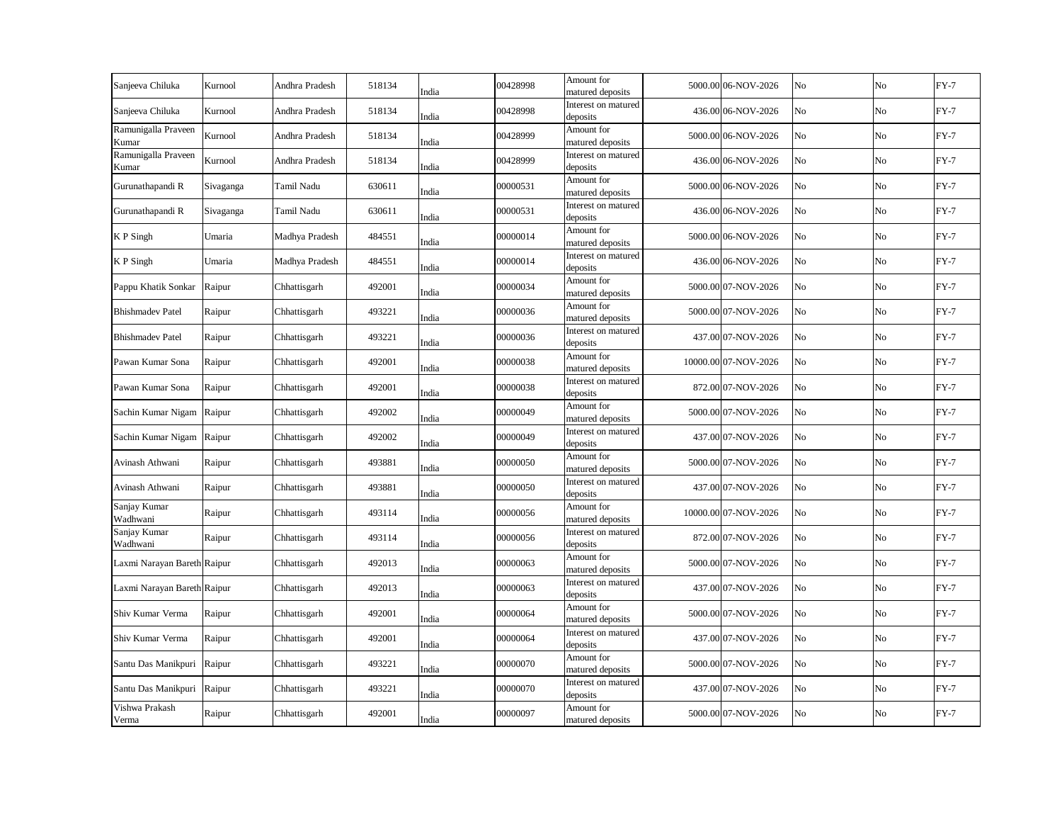| Sanjeeva Chiluka             | Kurnool   | Andhra Pradesh | 518134 | India | 00428998 | Amount for<br>matured deposits  | 5000.00 06-NOV-2026  | No | No             | $FY-7$ |
|------------------------------|-----------|----------------|--------|-------|----------|---------------------------------|----------------------|----|----------------|--------|
| Sanjeeva Chiluka             | Kurnool   | Andhra Pradesh | 518134 | India | 00428998 | Interest on matured<br>deposits | 436.00 06-NOV-2026   | No | No             | $FY-7$ |
| Ramunigalla Praveen<br>Kumar | Kurnool   | Andhra Pradesh | 518134 | India | 00428999 | Amount for<br>matured deposits  | 5000.00 06-NOV-2026  | No | No             | $FY-7$ |
| Ramunigalla Praveen<br>Kumar | Kurnool   | Andhra Pradesh | 518134 | India | 00428999 | Interest on matured<br>deposits | 436.00 06-NOV-2026   | No | No             | $FY-7$ |
| Gurunathapandi R             | Sivaganga | Tamil Nadu     | 630611 | India | 00000531 | Amount for<br>matured deposits  | 5000.00 06-NOV-2026  | No | N <sub>o</sub> | $FY-7$ |
| Gurunathapandi R             | Sivaganga | Tamil Nadu     | 630611 | India | 00000531 | Interest on matured<br>deposits | 436.00 06-NOV-2026   | No | No             | $FY-7$ |
| K P Singh                    | Umaria    | Madhya Pradesh | 484551 | India | 00000014 | Amount for<br>matured deposits  | 5000.00 06-NOV-2026  | No | No             | $FY-7$ |
| K P Singh                    | Umaria    | Madhya Pradesh | 484551 | India | 00000014 | Interest on matured<br>deposits | 436.00 06-NOV-2026   | No | No             | $FY-7$ |
| Pappu Khatik Sonkar          | Raipur    | Chhattisgarh   | 492001 | India | 00000034 | Amount for<br>matured deposits  | 5000.00 07-NOV-2026  | No | No             | $FY-7$ |
| <b>Bhishmadev Patel</b>      | Raipur    | Chhattisgarh   | 493221 | India | 00000036 | Amount for<br>matured deposits  | 5000.00 07-NOV-2026  | No | No             | $FY-7$ |
| <b>Bhishmadev Patel</b>      | Raipur    | Chhattisgarh   | 493221 | India | 00000036 | Interest on matured<br>deposits | 437.00 07-NOV-2026   | No | No             | $FY-7$ |
| Pawan Kumar Sona             | Raipur    | Chhattisgarh   | 492001 | India | 00000038 | Amount for<br>matured deposits  | 10000.00 07-NOV-2026 | No | No             | $FY-7$ |
| Pawan Kumar Sona             | Raipur    | Chhattisgarh   | 492001 | India | 00000038 | Interest on matured<br>deposits | 872.00 07-NOV-2026   | No | No             | $FY-7$ |
| Sachin Kumar Nigam           | Raipur    | Chhattisgarh   | 492002 | India | 00000049 | Amount for<br>matured deposits  | 5000.00 07-NOV-2026  | No | No             | $FY-7$ |
| Sachin Kumar Nigam           | Raipur    | Chhattisgarh   | 492002 | India | 00000049 | Interest on matured<br>deposits | 437.00 07-NOV-2026   | No | No             | $FY-7$ |
| Avinash Athwani              | Raipur    | Chhattisgarh   | 493881 | India | 00000050 | Amount for<br>matured deposits  | 5000.00 07-NOV-2026  | No | No             | $FY-7$ |
| Avinash Athwani              | Raipur    | Chhattisgarh   | 493881 | India | 00000050 | Interest on matured<br>deposits | 437.00 07-NOV-2026   | No | No             | $FY-7$ |
| Sanjay Kumar<br>Wadhwani     | Raipur    | Chhattisgarh   | 493114 | India | 00000056 | Amount for<br>matured deposits  | 10000.00 07-NOV-2026 | No | No             | $FY-7$ |
| Sanjay Kumar<br>Wadhwani     | Raipur    | Chhattisgarh   | 493114 | India | 00000056 | Interest on matured<br>deposits | 872.00 07-NOV-2026   | No | No             | $FY-7$ |
| Laxmi Narayan Bareth Raipur  |           | Chhattisgarh   | 492013 | India | 00000063 | Amount for<br>matured deposits  | 5000.00 07-NOV-2026  | No | No             | $FY-7$ |
| Laxmi Narayan Bareth Raipur  |           | Chhattisgarh   | 492013 | India | 00000063 | Interest on matured<br>deposits | 437.00 07-NOV-2026   | No | No             | $FY-7$ |
| Shiv Kumar Verma             | Raipur    | Chhattisgarh   | 492001 | India | 00000064 | Amount for<br>matured deposits  | 5000.00 07-NOV-2026  | No | No             | $FY-7$ |
| Shiv Kumar Verma             | Raipur    | Chhattisgarh   | 492001 | India | 00000064 | Interest on matured<br>deposits | 437.00 07-NOV-2026   | No | No             | $FY-7$ |
| Santu Das Manikpuri          | Raipur    | Chhattisgarh   | 493221 | India | 00000070 | Amount for<br>matured deposits  | 5000.00 07-NOV-2026  | No | No             | $FY-7$ |
| Santu Das Manikpuri          | Raipur    | Chhattisgarh   | 493221 | India | 00000070 | Interest on matured<br>deposits | 437.00 07-NOV-2026   | No | No             | $FY-7$ |
| Vishwa Prakash<br>Verma      | Raipur    | Chhattisgarh   | 492001 | India | 00000097 | Amount for<br>matured deposits  | 5000.00 07-NOV-2026  | No | No             | $FY-7$ |
|                              |           |                |        |       |          |                                 |                      |    |                |        |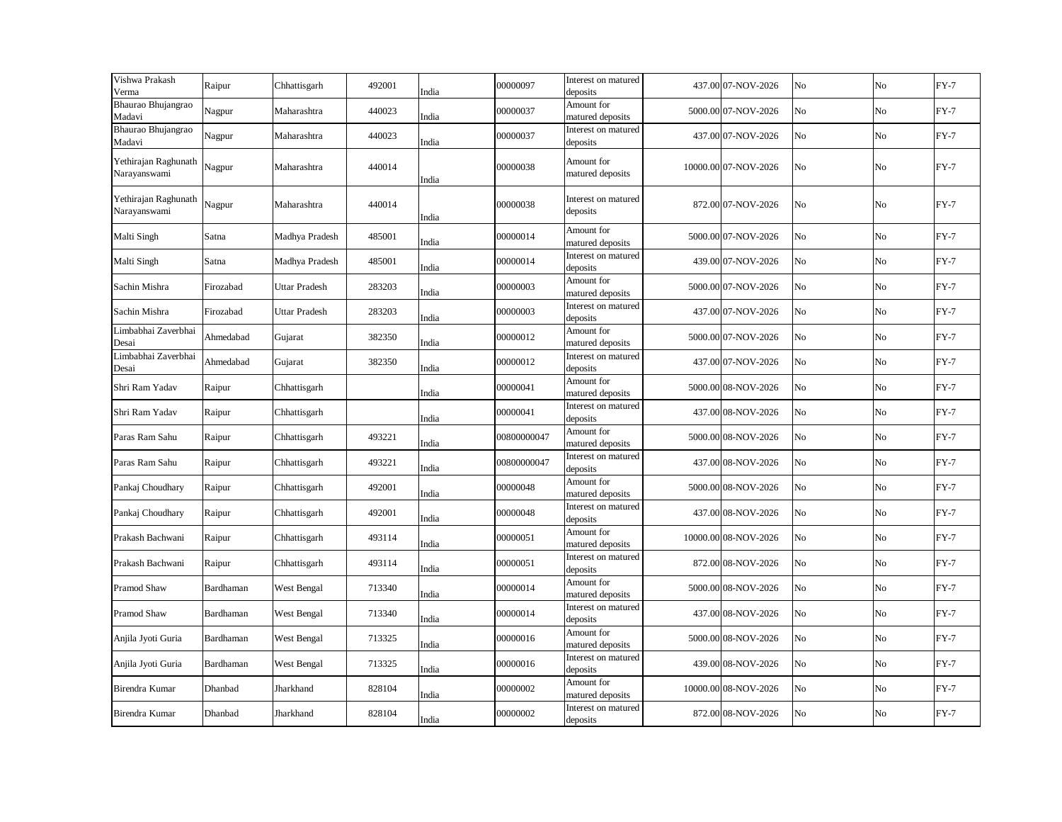| Vishwa Prakash<br>Verma              | Raipur    | Chhattisgarh         | 492001 | India | 00000097    | Interest on matured<br>deposits | 437.00 07-NOV-2026   | No | No | $FY-7$ |
|--------------------------------------|-----------|----------------------|--------|-------|-------------|---------------------------------|----------------------|----|----|--------|
| Bhaurao Bhujangrao<br>Madavi         | Nagpur    | Maharashtra          | 440023 | India | 00000037    | Amount for<br>matured deposits  | 5000.00 07-NOV-2026  | No | No | $FY-7$ |
| Bhaurao Bhujangrao<br>Madavi         | Nagpur    | Maharashtra          | 440023 | India | 00000037    | Interest on matured<br>deposits | 437.00 07-NOV-2026   | No | No | $FY-7$ |
| Yethirajan Raghunath<br>Narayanswami | Nagpur    | Maharashtra          | 440014 | India | 00000038    | Amount for<br>matured deposits  | 10000.00 07-NOV-2026 | No | No | $FY-7$ |
| Yethirajan Raghunath<br>Narayanswami | Nagpur    | Maharashtra          | 440014 | India | 00000038    | Interest on matured<br>deposits | 872.00 07-NOV-2026   | No | No | $FY-7$ |
| Malti Singh                          | Satna     | Madhya Pradesh       | 485001 | India | 00000014    | Amount for<br>matured deposits  | 5000.00 07-NOV-2026  | No | No | $FY-7$ |
| Malti Singh                          | Satna     | Madhya Pradesh       | 485001 | India | 00000014    | Interest on matured<br>deposits | 439.00 07-NOV-2026   | No | No | $FY-7$ |
| Sachin Mishra                        | Firozabad | <b>Uttar Pradesh</b> | 283203 | India | 00000003    | Amount for<br>matured deposits  | 5000.00 07-NOV-2026  | No | No | $FY-7$ |
| Sachin Mishra                        | Firozabad | Uttar Pradesh        | 283203 | India | 00000003    | Interest on matured<br>deposits | 437.00 07-NOV-2026   | No | No | $FY-7$ |
| Limbabhai Zaverbhai<br>Desai         | Ahmedabad | Gujarat              | 382350 | India | 00000012    | Amount for<br>matured deposits  | 5000.00 07-NOV-2026  | No | No | $FY-7$ |
| Limbabhai Zaverbhai<br>Desai         | Ahmedabad | Gujarat              | 382350 | India | 00000012    | Interest on matured<br>deposits | 437.00 07-NOV-2026   | No | No | $FY-7$ |
| Shri Ram Yadav                       | Raipur    | Chhattisgarh         |        | India | 00000041    | Amount for<br>matured deposits  | 5000.00 08-NOV-2026  | No | No | $FY-7$ |
| Shri Ram Yadav                       | Raipur    | Chhattisgarh         |        | India | 00000041    | Interest on matured<br>deposits | 437.00 08-NOV-2026   | No | No | $FY-7$ |
| Paras Ram Sahu                       | Raipur    | Chhattisgarh         | 493221 | India | 00800000047 | Amount for<br>matured deposits  | 5000.00 08-NOV-2026  | No | No | $FY-7$ |
| Paras Ram Sahu                       | Raipur    | Chhattisgarh         | 493221 | India | 00800000047 | Interest on matured<br>deposits | 437.00 08-NOV-2026   | No | No | $FY-7$ |
| Pankaj Choudhary                     | Raipur    | Chhattisgarh         | 492001 | India | 00000048    | Amount for<br>matured deposits  | 5000.00 08-NOV-2026  | No | No | $FY-7$ |
| Pankaj Choudhary                     | Raipur    | Chhattisgarh         | 492001 | India | 00000048    | Interest on matured<br>deposits | 437.00 08-NOV-2026   | No | No | $FY-7$ |
| Prakash Bachwani                     | Raipur    | Chhattisgarh         | 493114 | India | 00000051    | Amount for<br>matured deposits  | 10000.00 08-NOV-2026 | No | No | $FY-7$ |
| Prakash Bachwani                     | Raipur    | Chhattisgarh         | 493114 | India | 00000051    | Interest on matured<br>deposits | 872.00 08-NOV-2026   | No | No | $FY-7$ |
| Pramod Shaw                          | Bardhaman | West Bengal          | 713340 | India | 00000014    | Amount for<br>matured deposits  | 5000.00 08-NOV-2026  | No | No | $FY-7$ |
| Pramod Shaw                          | Bardhaman | West Bengal          | 713340 | India | 00000014    | Interest on matured<br>deposits | 437.00 08-NOV-2026   | No | No | $FY-7$ |
| Anjila Jyoti Guria                   | Bardhaman | West Bengal          | 713325 | India | 00000016    | Amount for<br>matured deposits  | 5000.00 08-NOV-2026  | No | No | $FY-7$ |
| Anjila Jyoti Guria                   | Bardhaman | West Bengal          | 713325 | India | 00000016    | Interest on matured<br>deposits | 439.00 08-NOV-2026   | No | No | $FY-7$ |
| Birendra Kumar                       | Dhanbad   | Jharkhand            | 828104 | India | 00000002    | Amount for<br>matured deposits  | 10000.00 08-NOV-2026 | No | No | $FY-7$ |
| Birendra Kumar                       | Dhanbad   | Jharkhand            | 828104 | India | 00000002    | Interest on matured<br>deposits | 872.00 08-NOV-2026   | No | No | $FY-7$ |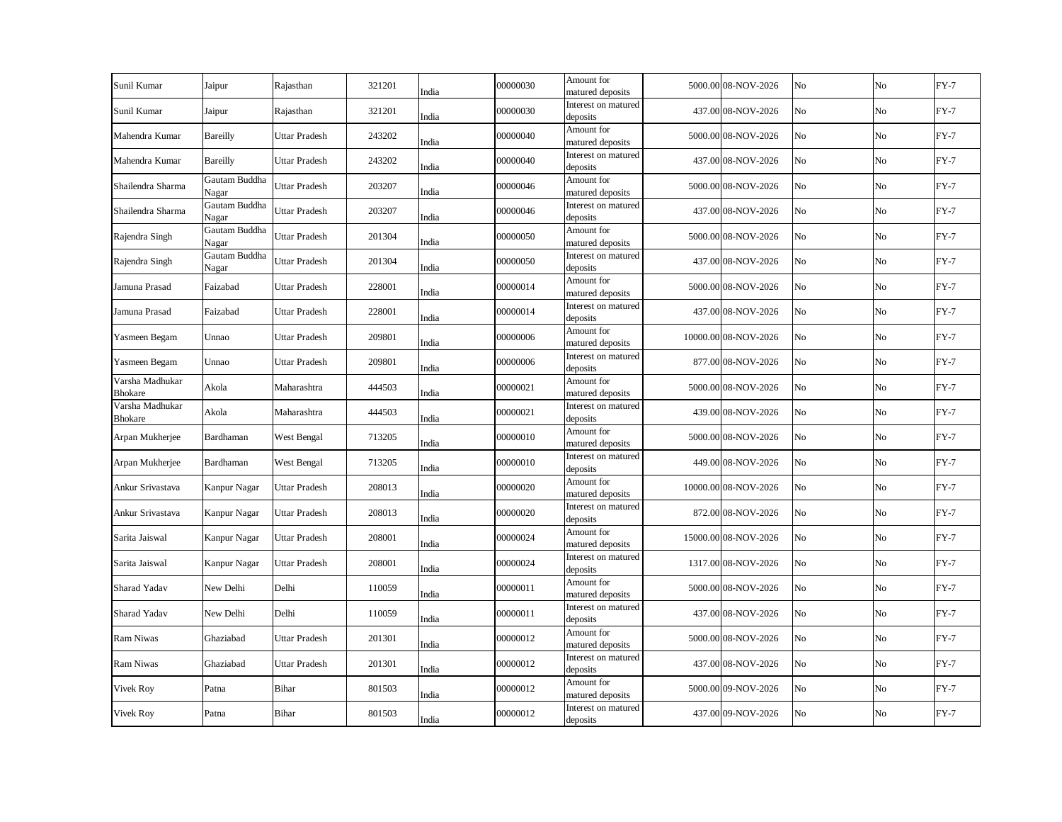| Sunil Kumar                       | Jaipur                 | Rajasthan            | 321201 | India | 00000030 | Amount for<br>matured deposits  | 5000.00 08-NOV-2026  | No | No             | $FY-7$ |
|-----------------------------------|------------------------|----------------------|--------|-------|----------|---------------------------------|----------------------|----|----------------|--------|
| Sunil Kumar                       | Jaipur                 | Rajasthan            | 321201 | India | 00000030 | Interest on matured<br>deposits | 437.00 08-NOV-2026   | No | No             | $FY-7$ |
| Mahendra Kumar                    | <b>Bareilly</b>        | <b>Uttar Pradesh</b> | 243202 | India | 00000040 | Amount for<br>matured deposits  | 5000.00 08-NOV-2026  | No | No             | $FY-7$ |
| Mahendra Kumar                    | Bareilly               | <b>Uttar Pradesh</b> | 243202 | India | 00000040 | Interest on matured<br>deposits | 437.00 08-NOV-2026   | No | No             | $FY-7$ |
| Shailendra Sharma                 | Gautam Buddha<br>Nagar | Uttar Pradesh        | 203207 | India | 00000046 | Amount for<br>matured deposits  | 5000.00 08-NOV-2026  | No | N <sub>o</sub> | $FY-7$ |
| Shailendra Sharma                 | Gautam Buddha<br>Nagar | Uttar Pradesh        | 203207 | India | 00000046 | Interest on matured<br>deposits | 437.00 08-NOV-2026   | No | No             | $FY-7$ |
| Rajendra Singh                    | Gautam Buddha<br>Nagar | Uttar Pradesh        | 201304 | India | 00000050 | Amount for<br>matured deposits  | 5000.00 08-NOV-2026  | No | No             | $FY-7$ |
| Rajendra Singh                    | Gautam Buddha<br>Nagar | Uttar Pradesh        | 201304 | India | 00000050 | Interest on matured<br>deposits | 437.00 08-NOV-2026   | No | No             | $FY-7$ |
| Jamuna Prasad                     | Faizabad               | <b>Uttar Pradesh</b> | 228001 | India | 00000014 | Amount for<br>matured deposits  | 5000.00 08-NOV-2026  | No | No             | $FY-7$ |
| Jamuna Prasad                     | Faizabad               | <b>Uttar Pradesh</b> | 228001 | India | 00000014 | Interest on matured<br>deposits | 437.00 08-NOV-2026   | No | No             | $FY-7$ |
| Yasmeen Begam                     | Unnao                  | Uttar Pradesh        | 209801 | India | 00000006 | Amount for<br>matured deposits  | 10000.00 08-NOV-2026 | No | No             | $FY-7$ |
| Yasmeen Begam                     | Unnao                  | Uttar Pradesh        | 209801 | India | 00000006 | Interest on matured<br>deposits | 877.00 08-NOV-2026   | No | No             | $FY-7$ |
| Varsha Madhukar<br><b>Bhokare</b> | Akola                  | Maharashtra          | 444503 | India | 00000021 | Amount for<br>matured deposits  | 5000.00 08-NOV-2026  | No | No             | $FY-7$ |
| Varsha Madhukar<br><b>Bhokare</b> | Akola                  | Maharashtra          | 444503 | India | 00000021 | Interest on matured<br>deposits | 439.00 08-NOV-2026   | No | No             | $FY-7$ |
| Arpan Mukherjee                   | Bardhaman              | West Bengal          | 713205 | India | 00000010 | Amount for<br>matured deposits  | 5000.00 08-NOV-2026  | No | No             | $FY-7$ |
| Arpan Mukherjee                   | Bardhaman              | West Bengal          | 713205 | India | 00000010 | Interest on matured<br>deposits | 449.00 08-NOV-2026   | No | No             | $FY-7$ |
| Ankur Srivastava                  | Kanpur Nagar           | <b>Uttar Pradesh</b> | 208013 | India | 00000020 | Amount for<br>matured deposits  | 10000.00 08-NOV-2026 | No | No             | $FY-7$ |
| Ankur Srivastava                  | Kanpur Nagar           | <b>Uttar Pradesh</b> | 208013 | India | 00000020 | Interest on matured<br>deposits | 872.00 08-NOV-2026   | No | No             | $FY-7$ |
| Sarita Jaiswal                    | Kanpur Nagar           | <b>Uttar Pradesh</b> | 208001 | India | 00000024 | Amount for<br>matured deposits  | 15000.00 08-NOV-2026 | No | No             | $FY-7$ |
| Sarita Jaiswal                    | Kanpur Nagar           | Uttar Pradesh        | 208001 | India | 00000024 | Interest on matured<br>deposits | 1317.00 08-NOV-2026  | No | No             | $FY-7$ |
| Sharad Yadav                      | New Delhi              | Delhi                | 110059 | India | 00000011 | Amount for<br>matured deposits  | 5000.00 08-NOV-2026  | No | No             | $FY-7$ |
| Sharad Yadav                      | New Delhi              | Delhi                | 110059 | India | 00000011 | Interest on matured<br>deposits | 437.00 08-NOV-2026   | No | No             | $FY-7$ |
| <b>Ram Niwas</b>                  | Ghaziabad              | <b>Uttar Pradesh</b> | 201301 | India | 00000012 | Amount for<br>matured deposits  | 5000.00 08-NOV-2026  | No | No             | $FY-7$ |
| Ram Niwas                         | Ghaziabad              | <b>Uttar Pradesh</b> | 201301 | India | 00000012 | Interest on matured<br>deposits | 437.00 08-NOV-2026   | No | No             | $FY-7$ |
| Vivek Roy                         | Patna                  | Bihar                | 801503 | India | 00000012 | Amount for<br>matured deposits  | 5000.00 09-NOV-2026  | No | No             | $FY-7$ |
| <b>Vivek Roy</b>                  | Patna                  | Bihar                | 801503 | India | 00000012 | Interest on matured<br>deposits | 437.00 09-NOV-2026   | No | No             | $FY-7$ |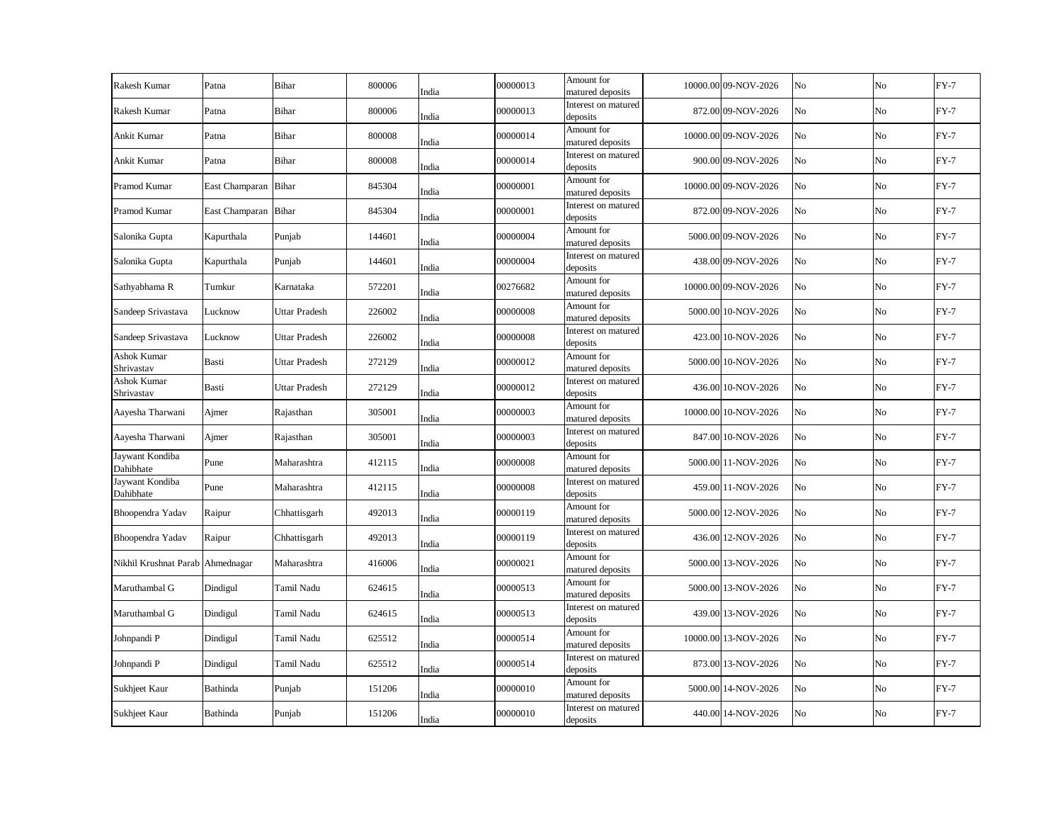| Rakesh Kumar                     | Patna                | Bihar                | 800006 | India | 00000013 | Amount for<br>matured deposits  | 10000.00 09-NOV-2026 | No | No | $FY-7$ |
|----------------------------------|----------------------|----------------------|--------|-------|----------|---------------------------------|----------------------|----|----|--------|
| Rakesh Kumar                     | Patna                | Bihar                | 800006 | India | 00000013 | Interest on matured<br>deposits | 872.00 09-NOV-2026   | No | No | $FY-7$ |
| Ankit Kumar                      | Patna                | Bihar                | 800008 | India | 00000014 | Amount for<br>matured deposits  | 10000.00 09-NOV-2026 | No | No | $FY-7$ |
| Ankit Kumar                      | Patna                | Bihar                | 800008 | India | 00000014 | Interest on matured<br>deposits | 900.00 09-NOV-2026   | No | No | $FY-7$ |
| Pramod Kumar                     | East Champaran Bihar |                      | 845304 | India | 00000001 | Amount for<br>matured deposits  | 10000.00 09-NOV-2026 | No | No | $FY-7$ |
| Pramod Kumar                     | East Champaran Bihar |                      | 845304 | India | 00000001 | Interest on matured<br>deposits | 872.00 09-NOV-2026   | No | No | $FY-7$ |
| Salonika Gupta                   | Kapurthala           | Punjab               | 144601 | India | 00000004 | Amount for<br>matured deposits  | 5000.00 09-NOV-2026  | No | No | $FY-7$ |
| Salonika Gupta                   | Kapurthala           | Punjab               | 144601 | India | 00000004 | Interest on matured<br>deposits | 438.00 09-NOV-2026   | No | No | $FY-7$ |
| Sathyabhama R                    | Tumkur               | Karnataka            | 572201 | India | 00276682 | Amount for<br>matured deposits  | 10000.00 09-NOV-2026 | No | No | $FY-7$ |
| Sandeep Srivastava               | Lucknow              | <b>Uttar Pradesh</b> | 226002 | India | 00000008 | Amount for<br>matured deposits  | 5000.00 10-NOV-2026  | No | No | $FY-7$ |
| Sandeep Srivastava               | Lucknow              | Uttar Pradesh        | 226002 | India | 00000008 | Interest on matured<br>deposits | 423.00 10-NOV-2026   | No | No | $FY-7$ |
| Ashok Kumar<br>Shrivastav        | Basti                | <b>Uttar Pradesh</b> | 272129 | India | 00000012 | Amount for<br>matured deposits  | 5000.00 10-NOV-2026  | No | No | $FY-7$ |
| Ashok Kumar<br>Shrivastav        | Basti                | Uttar Pradesh        | 272129 | India | 00000012 | Interest on matured<br>deposits | 436.00 10-NOV-2026   | No | No | $FY-7$ |
| Aayesha Tharwani                 | Ajmer                | Rajasthan            | 305001 | India | 00000003 | Amount for<br>matured deposits  | 10000.00 10-NOV-2026 | No | No | $FY-7$ |
| Aayesha Tharwani                 | Ajmer                | Rajasthan            | 305001 | India | 00000003 | Interest on matured<br>deposits | 847.00 10-NOV-2026   | No | No | $FY-7$ |
| Jaywant Kondiba<br>Dahibhate     | Pune                 | Maharashtra          | 412115 | India | 00000008 | Amount for<br>matured deposits  | 5000.00 11-NOV-2026  | No | No | $FY-7$ |
| Jaywant Kondiba<br>Dahibhate     | Pune                 | Maharashtra          | 412115 | India | 00000008 | Interest on matured<br>deposits | 459.00 11-NOV-2026   | No | No | $FY-7$ |
| Bhoopendra Yadav                 | Raipur               | Chhattisgarh         | 492013 | India | 00000119 | Amount for<br>matured deposits  | 5000.00 12-NOV-2026  | No | No | $FY-7$ |
| Bhoopendra Yadav                 | Raipur               | Chhattisgarh         | 492013 | India | 00000119 | Interest on matured<br>deposits | 436.00 12-NOV-2026   | No | No | $FY-7$ |
| Nikhil Krushnat Parab Ahmednagar |                      | Maharashtra          | 416006 | India | 00000021 | Amount for<br>matured deposits  | 5000.00 13-NOV-2026  | No | No | $FY-7$ |
| Maruthambal G                    | Dindigul             | Tamil Nadu           | 624615 | India | 00000513 | Amount for<br>matured deposits  | 5000.00 13-NOV-2026  | No | No | $FY-7$ |
| Maruthambal G                    | Dindigul             | Tamil Nadu           | 624615 | India | 00000513 | Interest on matured<br>deposits | 439.00 13-NOV-2026   | No | No | $FY-7$ |
| Johnpandi P                      | Dindigul             | Tamil Nadu           | 625512 | India | 00000514 | Amount for<br>matured deposits  | 10000.00 13-NOV-2026 | No | No | $FY-7$ |
| Johnpandi P                      | Dindigul             | Tamil Nadu           | 625512 | India | 00000514 | Interest on matured<br>deposits | 873.00 13-NOV-2026   | No | No | $FY-7$ |
| Sukhjeet Kaur                    | Bathinda             | Punjab               | 151206 | India | 00000010 | Amount for<br>matured deposits  | 5000.00 14-NOV-2026  | No | No | $FY-7$ |
| Sukhjeet Kaur                    | Bathinda             | Punjab               | 151206 | India | 00000010 | Interest on matured<br>deposits | 440.00 14-NOV-2026   | No | No | $FY-7$ |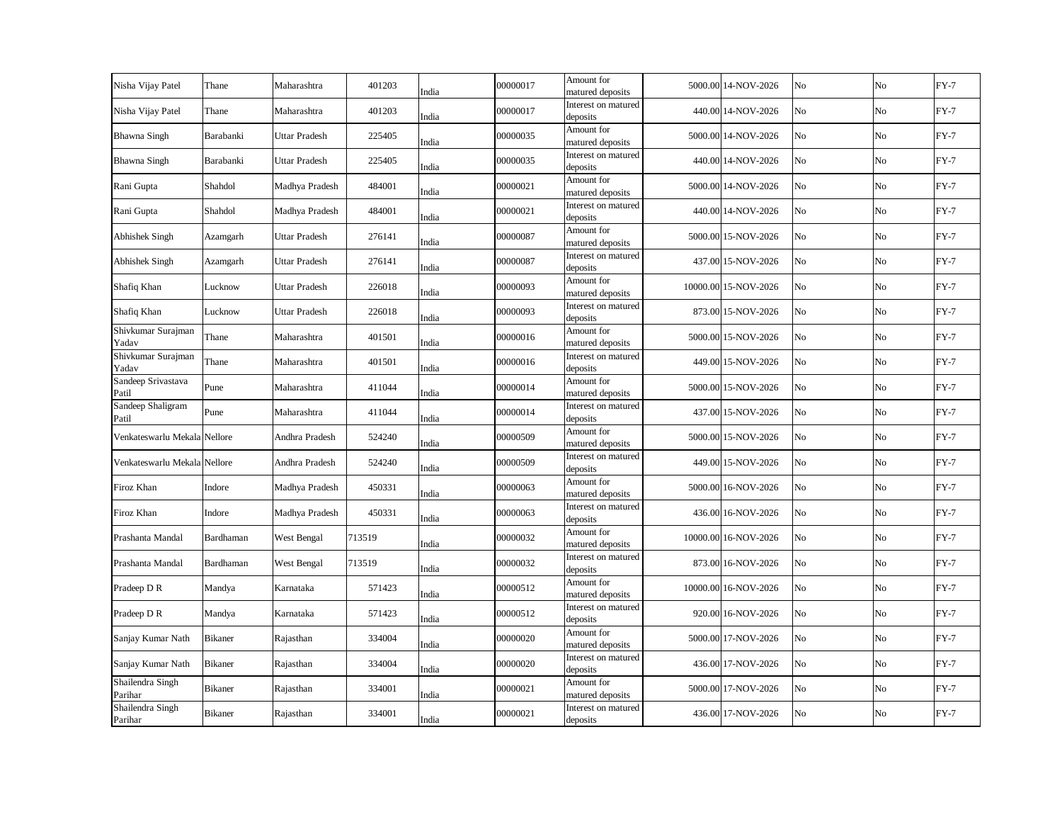| Nisha Vijay Patel            | Thane          | Maharashtra          | 401203 | India | 00000017 | Amount for<br>matured deposits  | 5000.00 14-NOV-2026  | No | No | $FY-7$ |
|------------------------------|----------------|----------------------|--------|-------|----------|---------------------------------|----------------------|----|----|--------|
| Nisha Vijay Patel            | Thane          | Maharashtra          | 401203 | India | 00000017 | Interest on matured<br>deposits | 440.00 14-NOV-2026   | No | No | $FY-7$ |
| <b>Bhawna Singh</b>          | Barabanki      | <b>Uttar Pradesh</b> | 225405 | India | 00000035 | Amount for<br>matured deposits  | 5000.00 14-NOV-2026  | No | No | $FY-7$ |
| <b>Bhawna Singh</b>          | Barabanki      | Uttar Pradesh        | 225405 | India | 00000035 | Interest on matured<br>deposits | 440.00 14-NOV-2026   | No | No | $FY-7$ |
| Rani Gupta                   | Shahdol        | Madhya Pradesh       | 484001 | India | 00000021 | Amount for<br>matured deposits  | 5000.00 14-NOV-2026  | No | No | $FY-7$ |
| Rani Gupta                   | Shahdol        | Madhya Pradesh       | 484001 | India | 00000021 | Interest on matured<br>deposits | 440.00 14-NOV-2026   | No | No | $FY-7$ |
| Abhishek Singh               | Azamgarh       | Uttar Pradesh        | 276141 | India | 00000087 | Amount for<br>matured deposits  | 5000.00 15-NOV-2026  | No | No | $FY-7$ |
| Abhishek Singh               | Azamgarh       | Uttar Pradesh        | 276141 | India | 00000087 | Interest on matured<br>deposits | 437.00 15-NOV-2026   | No | No | $FY-7$ |
| Shafiq Khan                  | Lucknow        | Uttar Pradesh        | 226018 | India | 00000093 | Amount for<br>matured deposits  | 10000.00 15-NOV-2026 | No | No | $FY-7$ |
| Shafiq Khan                  | Lucknow        | Uttar Pradesh        | 226018 | India | 00000093 | Interest on matured<br>deposits | 873.00 15-NOV-2026   | No | No | $FY-7$ |
| Shivkumar Surajman<br>Yadav  | Thane          | Maharashtra          | 401501 | India | 00000016 | Amount for<br>matured deposits  | 5000.00 15-NOV-2026  | No | No | $FY-7$ |
| Shivkumar Surajman<br>Yadav  | Thane          | Maharashtra          | 401501 | India | 00000016 | Interest on matured<br>deposits | 449.00 15-NOV-2026   | No | No | $FY-7$ |
| Sandeep Srivastava<br>Patil  | Pune           | Maharashtra          | 411044 | India | 00000014 | Amount for<br>matured deposits  | 5000.00 15-NOV-2026  | No | No | $FY-7$ |
| Sandeep Shaligram<br>Patil   | Pune           | Maharashtra          | 411044 | India | 00000014 | Interest on matured<br>deposits | 437.00 15-NOV-2026   | No | No | $FY-7$ |
| Venkateswarlu Mekala Nellore |                | Andhra Pradesh       | 524240 | India | 00000509 | Amount for<br>matured deposits  | 5000.00 15-NOV-2026  | No | No | $FY-7$ |
| Venkateswarlu Mekala Nellore |                | Andhra Pradesh       | 524240 | India | 00000509 | Interest on matured<br>deposits | 449.00 15-NOV-2026   | No | No | $FY-7$ |
| Firoz Khan                   | Indore         | Madhya Pradesh       | 450331 | India | 00000063 | Amount for<br>matured deposits  | 5000.00 16-NOV-2026  | No | No | $FY-7$ |
| Firoz Khan                   | Indore         | Madhya Pradesh       | 450331 | India | 00000063 | Interest on matured<br>deposits | 436.00 16-NOV-2026   | No | No | $FY-7$ |
| Prashanta Mandal             | Bardhaman      | West Bengal          | 713519 | India | 00000032 | Amount for<br>matured deposits  | 10000.00 16-NOV-2026 | No | No | $FY-7$ |
| Prashanta Mandal             | Bardhaman      | West Bengal          | 713519 | India | 00000032 | Interest on matured<br>deposits | 873.00 16-NOV-2026   | No | No | $FY-7$ |
| Pradeep D R                  | Mandya         | Karnataka            | 571423 | India | 00000512 | Amount for<br>matured deposits  | 10000.00 16-NOV-2026 | No | No | $FY-7$ |
| Pradeep D R                  | Mandya         | Karnataka            | 571423 | India | 00000512 | Interest on matured<br>deposits | 920.00 16-NOV-2026   | No | No | $FY-7$ |
| Sanjay Kumar Nath            | Bikaner        | Rajasthan            | 334004 | India | 00000020 | Amount for<br>matured deposits  | 5000.00 17-NOV-2026  | No | No | $FY-7$ |
| Sanjay Kumar Nath            | <b>Bikaner</b> | Rajasthan            | 334004 | India | 00000020 | Interest on matured<br>deposits | 436.00 17-NOV-2026   | No | No | $FY-7$ |
| Shailendra Singh<br>Parihar  | Bikaner        | Rajasthan            | 334001 | India | 00000021 | Amount for<br>matured deposits  | 5000.00 17-NOV-2026  | No | No | $FY-7$ |
| Shailendra Singh<br>Parihar  | Bikaner        | Rajasthan            | 334001 | India | 00000021 | Interest on matured<br>deposits | 436.00 17-NOV-2026   | No | No | $FY-7$ |
|                              |                |                      |        |       |          |                                 |                      |    |    |        |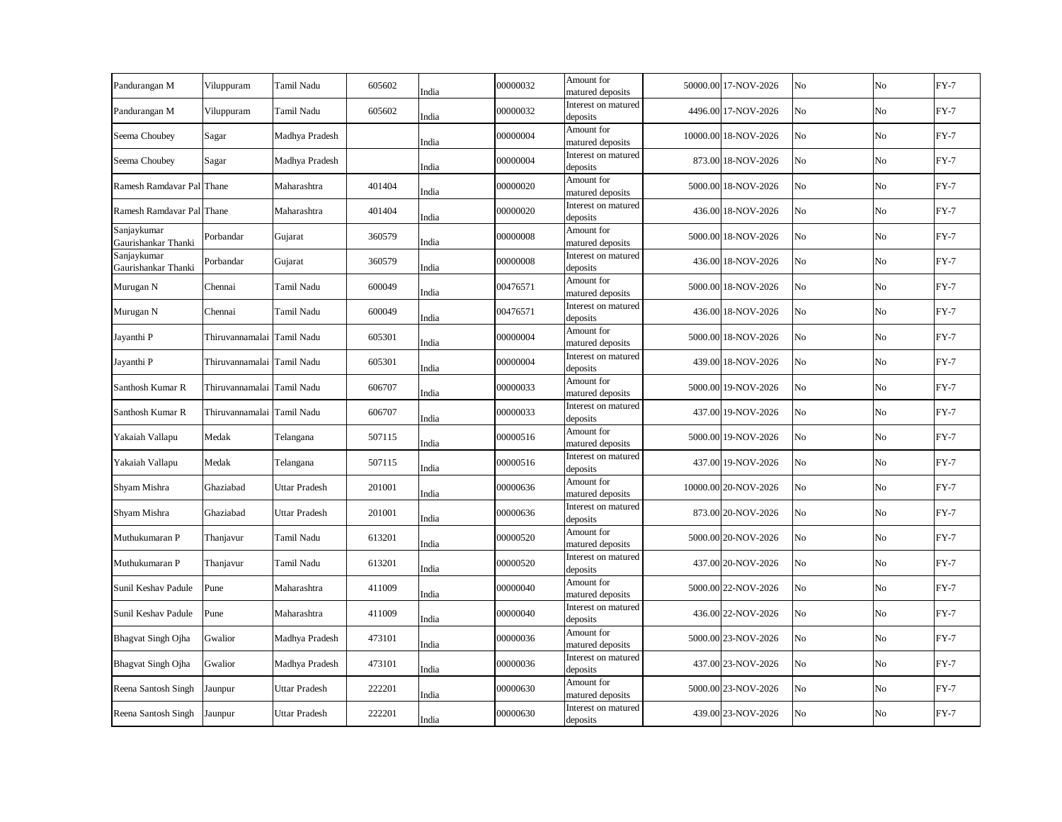| Pandurangan M                      | Viluppuram                 | Tamil Nadu           | 605602 | India | 00000032 | Amount for<br>matured deposits  | 50000.00 17-NOV-2026 | No | No          | $FY-7$ |
|------------------------------------|----------------------------|----------------------|--------|-------|----------|---------------------------------|----------------------|----|-------------|--------|
| Pandurangan M                      | Viluppuram                 | Tamil Nadu           | 605602 | India | 00000032 | Interest on matured<br>deposits | 4496.00 17-NOV-2026  | No | No          | $FY-7$ |
| Seema Choubey                      | Sagar                      | Madhya Pradesh       |        | India | 00000004 | Amount for<br>matured deposits  | 10000.00 18-NOV-2026 | No | No          | $FY-7$ |
| Seema Choubey                      | Sagar                      | Madhya Pradesh       |        | India | 00000004 | Interest on matured<br>deposits | 873.00 18-NOV-2026   | No | No          | $FY-7$ |
| Ramesh Ramdavar Pal Thane          |                            | Maharashtra          | 401404 | India | 00000020 | Amount for<br>matured deposits  | 5000.00 18-NOV-2026  | No | $_{\rm No}$ | $FY-7$ |
| Ramesh Ramdavar Pal Thane          |                            | Maharashtra          | 401404 | India | 00000020 | Interest on matured<br>deposits | 436.00 18-NOV-2026   | No | No          | $FY-7$ |
| Sanjaykumar<br>Gaurishankar Thanki | Porbandar                  | Gujarat              | 360579 | India | 00000008 | Amount for<br>matured deposits  | 5000.00 18-NOV-2026  | No | No          | $FY-7$ |
| Sanjaykumar<br>Gaurishankar Thanki | Porbandar                  | Gujarat              | 360579 | India | 00000008 | Interest on matured<br>deposits | 436.00 18-NOV-2026   | No | No          | $FY-7$ |
| Murugan N                          | Chennai                    | Tamil Nadu           | 600049 | India | 00476571 | Amount for<br>matured deposits  | 5000.00 18-NOV-2026  | No | No          | $FY-7$ |
| Murugan N                          | Chennai                    | Tamil Nadu           | 600049 | India | 00476571 | Interest on matured<br>deposits | 436.00 18-NOV-2026   | No | No          | $FY-7$ |
| Jayanthi P                         | Thiruvannamalai Tamil Nadu |                      | 605301 | India | 00000004 | Amount for<br>matured deposits  | 5000.00 18-NOV-2026  | No | No          | $FY-7$ |
| Jayanthi P                         | Thiruvannamalai Tamil Nadu |                      | 605301 | India | 00000004 | Interest on matured<br>deposits | 439.00 18-NOV-2026   | No | No          | $FY-7$ |
| Santhosh Kumar R                   | Thiruvannamalai Tamil Nadu |                      | 606707 | India | 00000033 | Amount for<br>matured deposits  | 5000.00 19-NOV-2026  | No | No          | $FY-7$ |
| Santhosh Kumar R                   | Thiruvannamalai Tamil Nadu |                      | 606707 | India | 00000033 | Interest on matured<br>deposits | 437.00 19-NOV-2026   | No | No          | $FY-7$ |
| Yakaiah Vallapu                    | Medak                      | Telangana            | 507115 | India | 00000516 | Amount for<br>matured deposits  | 5000.00 19-NOV-2026  | No | No          | $FY-7$ |
| Yakaiah Vallapu                    | Medak                      | Telangana            | 507115 | India | 00000516 | Interest on matured<br>deposits | 437.00 19-NOV-2026   | No | No          | $FY-7$ |
| Shyam Mishra                       | Ghaziabad                  | <b>Uttar Pradesh</b> | 201001 | India | 00000636 | Amount for<br>matured deposits  | 10000.00 20-NOV-2026 | No | No          | $FY-7$ |
| Shyam Mishra                       | Ghaziabad                  | <b>Uttar Pradesh</b> | 201001 | India | 00000636 | Interest on matured<br>deposits | 873.00 20-NOV-2026   | No | No          | $FY-7$ |
| Muthukumaran P                     | Thanjavur                  | Tamil Nadu           | 613201 | India | 00000520 | Amount for<br>matured deposits  | 5000.00 20-NOV-2026  | No | No          | $FY-7$ |
| Muthukumaran P                     | Thanjavur                  | Tamil Nadu           | 613201 | India | 00000520 | Interest on matured<br>deposits | 437.00 20-NOV-2026   | No | No          | $FY-7$ |
| Sunil Keshav Padule                | Pune                       | Maharashtra          | 411009 | India | 00000040 | Amount for<br>matured deposits  | 5000.00 22-NOV-2026  | No | No          | $FY-7$ |
| Sunil Keshav Padule                | Pune                       | Maharashtra          | 411009 | India | 00000040 | Interest on matured<br>deposits | 436.00 22-NOV-2026   | No | No          | $FY-7$ |
| <b>Bhagvat Singh Ojha</b>          | Gwalior                    | Madhya Pradesh       | 473101 | India | 00000036 | Amount for<br>matured deposits  | 5000.00 23-NOV-2026  | No | No          | $FY-7$ |
| <b>Bhagvat Singh Ojha</b>          | Gwalior                    | Madhya Pradesh       | 473101 | India | 00000036 | Interest on matured<br>deposits | 437.00 23-NOV-2026   | No | No          | $FY-7$ |
| Reena Santosh Singh                | Jaunpur                    | Uttar Pradesh        | 222201 | India | 00000630 | Amount for<br>matured deposits  | 5000.00 23-NOV-2026  | No | No          | $FY-7$ |
| Reena Santosh Singh                | Jaunpur                    | Uttar Pradesh        | 222201 | India | 00000630 | Interest on matured<br>deposits | 439.00 23-NOV-2026   | No | No          | $FY-7$ |
|                                    |                            |                      |        |       |          |                                 |                      |    |             |        |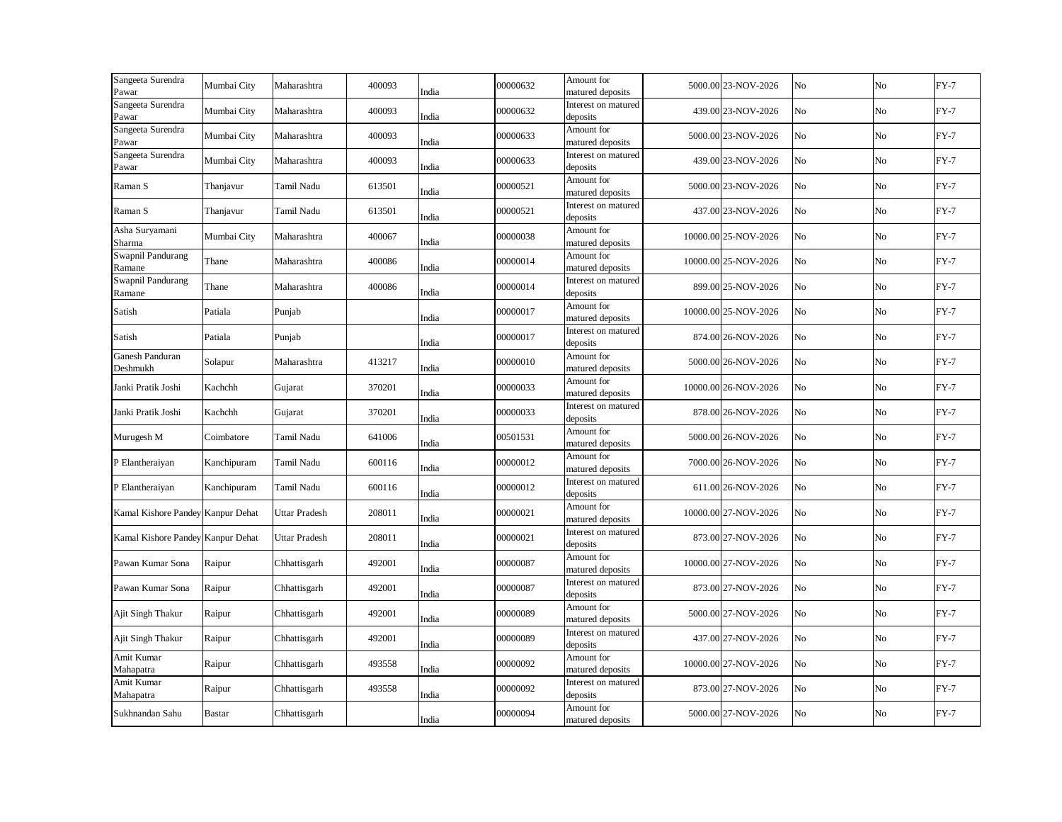| Sangeeta Surendra<br>Pawar        | Mumbai City   | Maharashtra          | 400093 | India | 00000632 | Amount for<br>matured deposits  | 5000.00 23-NOV-2026  | No | No             | $FY-7$ |
|-----------------------------------|---------------|----------------------|--------|-------|----------|---------------------------------|----------------------|----|----------------|--------|
| Sangeeta Surendra<br>Pawar        | Mumbai City   | Maharashtra          | 400093 | India | 00000632 | Interest on matured<br>deposits | 439.00 23-NOV-2026   | No | No             | $FY-7$ |
| Sangeeta Surendra<br>Pawar        | Mumbai City   | Maharashtra          | 400093 | India | 00000633 | Amount for<br>matured deposits  | 5000.00 23-NOV-2026  | No | No             | $FY-7$ |
| Sangeeta Surendra<br>Pawar        | Mumbai City   | Maharashtra          | 400093 | India | 00000633 | Interest on matured<br>deposits | 439.00 23-NOV-2026   | No | No             | $FY-7$ |
| Raman S                           | Thanjavur     | Tamil Nadu           | 613501 | India | 00000521 | Amount for<br>matured deposits  | 5000.00 23-NOV-2026  | No | N <sub>o</sub> | $FY-7$ |
| Raman S                           | Thanjavur     | Tamil Nadu           | 613501 | India | 00000521 | Interest on matured<br>deposits | 437.00 23-NOV-2026   | No | No             | $FY-7$ |
| Asha Suryamani<br>Sharma          | Mumbai City   | Maharashtra          | 400067 | India | 00000038 | Amount for<br>matured deposits  | 10000.00 25-NOV-2026 | No | No             | $FY-7$ |
| Swapnil Pandurang<br>Ramane       | Thane         | Maharashtra          | 400086 | India | 00000014 | Amount for<br>matured deposits  | 10000.00 25-NOV-2026 | No | No             | $FY-7$ |
| Swapnil Pandurang<br>Ramane       | Thane         | Maharashtra          | 400086 | India | 00000014 | Interest on matured<br>deposits | 899.00 25-NOV-2026   | No | No             | $FY-7$ |
| Satish                            | Patiala       | Punjab               |        | India | 00000017 | Amount for<br>matured deposits  | 10000.00 25-NOV-2026 | No | No             | $FY-7$ |
| Satish                            | Patiala       | Punjab               |        | India | 00000017 | Interest on matured<br>deposits | 874.00 26-NOV-2026   | No | No             | $FY-7$ |
| Ganesh Panduran<br>Deshmukh       | Solapur       | Maharashtra          | 413217 | India | 00000010 | Amount for<br>matured deposits  | 5000.00 26-NOV-2026  | No | No             | $FY-7$ |
| Janki Pratik Joshi                | Kachchh       | Gujarat              | 370201 | India | 00000033 | Amount for<br>matured deposits  | 10000.00 26-NOV-2026 | No | No             | $FY-7$ |
| Janki Pratik Joshi                | Kachchh       | Gujarat              | 370201 | India | 00000033 | Interest on matured<br>deposits | 878.00 26-NOV-2026   | No | No             | $FY-7$ |
| Murugesh M                        | Coimbatore    | Tamil Nadu           | 641006 | India | 00501531 | Amount for<br>matured deposits  | 5000.00 26-NOV-2026  | No | No             | $FY-7$ |
| P Elantheraiyan                   | Kanchipuram   | Tamil Nadu           | 600116 | India | 00000012 | Amount for<br>matured deposits  | 7000.00 26-NOV-2026  | No | No             | $FY-7$ |
| P Elantheraiyan                   | Kanchipuram   | Tamil Nadu           | 600116 | India | 00000012 | Interest on matured<br>deposits | 611.00 26-NOV-2026   | No | No             | $FY-7$ |
| Kamal Kishore Pandey Kanpur Dehat |               | <b>Uttar Pradesh</b> | 208011 | India | 00000021 | Amount for<br>matured deposits  | 10000.00 27-NOV-2026 | No | No             | $FY-7$ |
| Kamal Kishore Pandey Kanpur Dehat |               | <b>Uttar Pradesh</b> | 208011 | India | 00000021 | Interest on matured<br>deposits | 873.00 27-NOV-2026   | No | No             | $FY-7$ |
| Pawan Kumar Sona                  | Raipur        | Chhattisgarh         | 492001 | India | 00000087 | Amount for<br>matured deposits  | 10000.00 27-NOV-2026 | No | No             | $FY-7$ |
| Pawan Kumar Sona                  | Raipur        | Chhattisgarh         | 492001 | India | 00000087 | Interest on matured<br>deposits | 873.00 27-NOV-2026   | No | No             | $FY-7$ |
| Ajit Singh Thakur                 | Raipur        | Chhattisgarh         | 492001 | India | 00000089 | Amount for<br>matured deposits  | 5000.00 27-NOV-2026  | No | No             | $FY-7$ |
| Ajit Singh Thakur                 | Raipur        | Chhattisgarh         | 492001 | India | 00000089 | Interest on matured<br>deposits | 437.00 27-NOV-2026   | No | No             | $FY-7$ |
| Amit Kumar<br>Mahapatra           | Raipur        | Chhattisgarh         | 493558 | India | 00000092 | Amount for<br>matured deposits  | 10000.00 27-NOV-2026 | No | No             | $FY-7$ |
| Amit Kumar<br>Mahapatra           | Raipur        | Chhattisgarh         | 493558 | India | 00000092 | Interest on matured<br>deposits | 873.00 27-NOV-2026   | No | No             | $FY-7$ |
| Sukhnandan Sahu                   | <b>Bastar</b> | Chhattisgarh         |        | India | 00000094 | Amount for<br>matured deposits  | 5000.00 27-NOV-2026  | No | No             | $FY-7$ |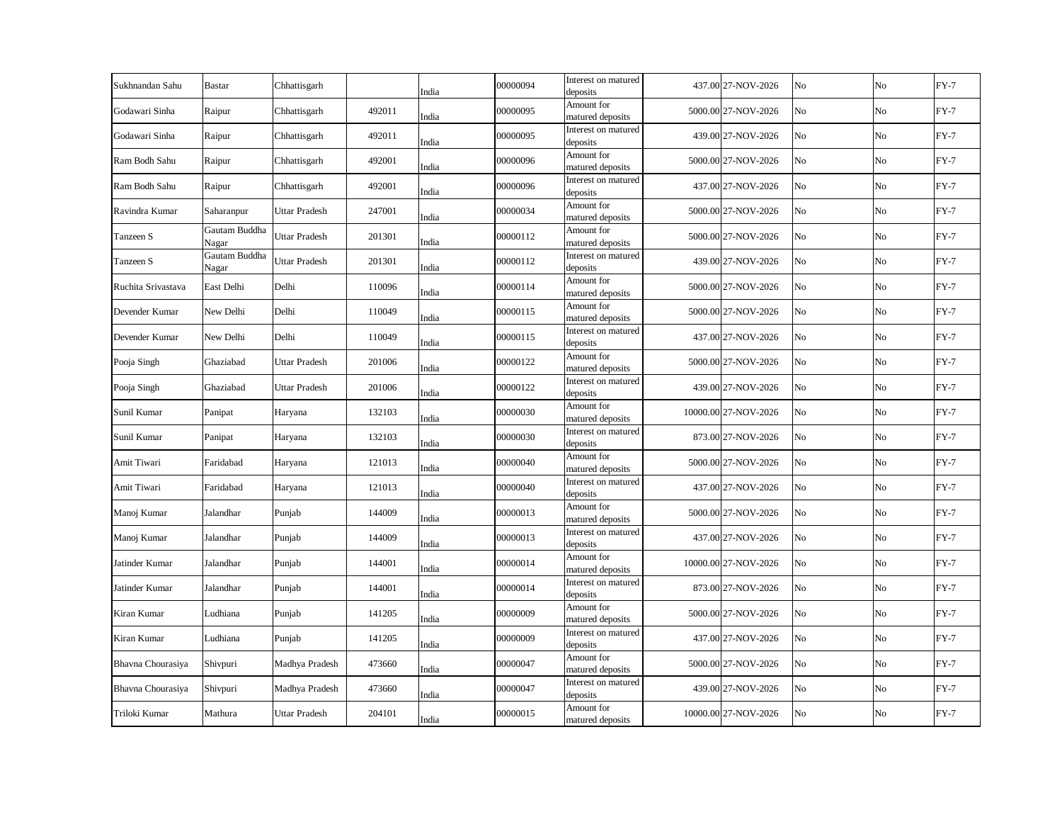| Sukhnandan Sahu    | <b>Bastar</b>          | Chhattisgarh         |        | India | 00000094 | Interest on matured<br>deposits | 437.00 27-NOV-2026   | No | No             | $FY-7$ |
|--------------------|------------------------|----------------------|--------|-------|----------|---------------------------------|----------------------|----|----------------|--------|
| Godawari Sinha     | Raipur                 | Chhattisgarh         | 492011 | India | 00000095 | Amount for<br>matured deposits  | 5000.00 27-NOV-2026  | No | No             | $FY-7$ |
| Godawari Sinha     | Raipur                 | Chhattisgarh         | 492011 | India | 00000095 | Interest on matured<br>deposits | 439.00 27-NOV-2026   | No | No             | $FY-7$ |
| Ram Bodh Sahu      | Raipur                 | Chhattisgarh         | 492001 | India | 00000096 | Amount for<br>matured deposits  | 5000.00 27-NOV-2026  | No | No             | $FY-7$ |
| Ram Bodh Sahu      | Raipur                 | Chhattisgarh         | 492001 | India | 00000096 | Interest on matured<br>deposits | 437.00 27-NOV-2026   | No | N <sub>o</sub> | $FY-7$ |
| Ravindra Kumar     | Saharanpur             | Uttar Pradesh        | 247001 | India | 00000034 | Amount for<br>matured deposits  | 5000.00 27-NOV-2026  | No | No             | $FY-7$ |
| Tanzeen S          | Gautam Buddha<br>Nagar | Uttar Pradesh        | 201301 | India | 00000112 | Amount for<br>matured deposits  | 5000.00 27-NOV-2026  | No | No             | $FY-7$ |
| Tanzeen S          | Gautam Buddha<br>Nagar | Uttar Pradesh        | 201301 | India | 00000112 | Interest on matured<br>deposits | 439.00 27-NOV-2026   | No | No             | $FY-7$ |
| Ruchita Srivastava | East Delhi             | Delhi                | 110096 | India | 00000114 | Amount for<br>matured deposits  | 5000.00 27-NOV-2026  | No | No             | $FY-7$ |
| Devender Kumar     | New Delhi              | Delhi                | 110049 | India | 00000115 | Amount for<br>matured deposits  | 5000.00 27-NOV-2026  | No | No             | $FY-7$ |
| Devender Kumar     | New Delhi              | Delhi                | 110049 | India | 00000115 | Interest on matured<br>deposits | 437.00 27-NOV-2026   | No | No             | $FY-7$ |
| Pooja Singh        | Ghaziabad              | Uttar Pradesh        | 201006 | India | 00000122 | Amount for<br>matured deposits  | 5000.00 27-NOV-2026  | No | No             | $FY-7$ |
| Pooja Singh        | Ghaziabad              | Uttar Pradesh        | 201006 | India | 00000122 | Interest on matured<br>deposits | 439.00 27-NOV-2026   | No | No             | $FY-7$ |
| Sunil Kumar        | Panipat                | Haryana              | 132103 | India | 00000030 | Amount for<br>matured deposits  | 10000.00 27-NOV-2026 | No | No             | $FY-7$ |
| Sunil Kumar        | Panipat                | Haryana              | 132103 | India | 00000030 | Interest on matured<br>deposits | 873.00 27-NOV-2026   | No | No             | $FY-7$ |
| Amit Tiwari        | Faridabad              | Haryana              | 121013 | India | 00000040 | Amount for<br>matured deposits  | 5000.00 27-NOV-2026  | No | No             | $FY-7$ |
| Amit Tiwari        | Faridabad              | Haryana              | 121013 | India | 00000040 | Interest on matured<br>deposits | 437.00 27-NOV-2026   | No | No             | $FY-7$ |
| Manoj Kumar        | Jalandhar              | Punjab               | 144009 | India | 00000013 | Amount for<br>matured deposits  | 5000.00 27-NOV-2026  | No | No             | $FY-7$ |
| Manoj Kumar        | Jalandhar              | Punjab               | 144009 | India | 00000013 | Interest on matured<br>deposits | 437.00 27-NOV-2026   | No | No             | $FY-7$ |
| Jatinder Kumar     | Jalandhar              | Punjab               | 144001 | India | 00000014 | Amount for<br>matured deposits  | 10000.00 27-NOV-2026 | No | No             | $FY-7$ |
| Jatinder Kumar     | Jalandhar              | Punjab               | 144001 | India | 00000014 | Interest on matured<br>deposits | 873.00 27-NOV-2026   | No | No             | $FY-7$ |
| Kiran Kumar        | Ludhiana               | Punjab               | 141205 | India | 00000009 | Amount for<br>matured deposits  | 5000.00 27-NOV-2026  | No | No             | $FY-7$ |
| Kiran Kumar        | Ludhiana               | Punjab               | 141205 | India | 00000009 | Interest on matured<br>deposits | 437.00 27-NOV-2026   | No | No             | $FY-7$ |
| Bhavna Chourasiya  | Shivpuri               | Madhya Pradesh       | 473660 | India | 00000047 | Amount for<br>matured deposits  | 5000.00 27-NOV-2026  | No | No             | $FY-7$ |
| Bhavna Chourasiya  | Shivpuri               | Madhya Pradesh       | 473660 | India | 00000047 | Interest on matured<br>deposits | 439.00 27-NOV-2026   | No | No             | $FY-7$ |
| Triloki Kumar      | Mathura                | <b>Uttar Pradesh</b> | 204101 | India | 00000015 | Amount for<br>matured deposits  | 10000.00 27-NOV-2026 | No | No             | $FY-7$ |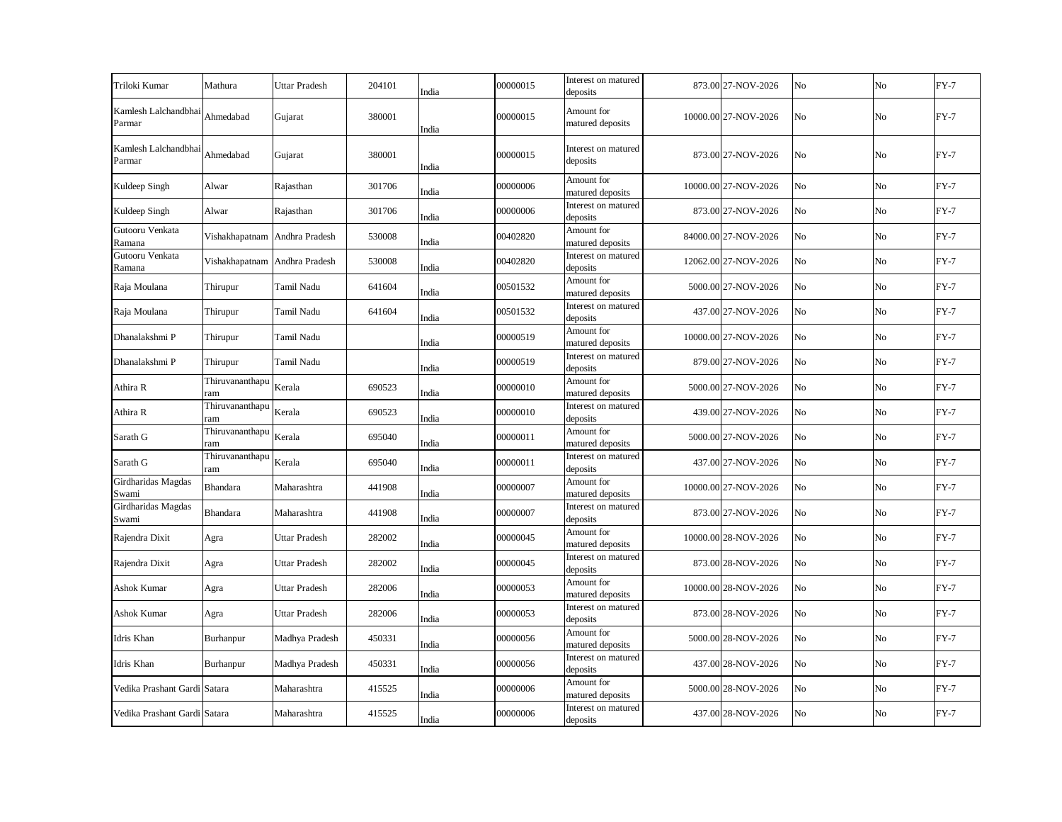| Triloki Kumar                  | Mathura                       | <b>Uttar Pradesh</b> | 204101 | India | 00000015 | Interest on matured<br>deposits | 873.00 27-NOV-2026   | No             | No             | $FY-7$ |
|--------------------------------|-------------------------------|----------------------|--------|-------|----------|---------------------------------|----------------------|----------------|----------------|--------|
| Kamlesh Lalchandbhai<br>Parmar | Ahmedabad                     | Gujarat              | 380001 | India | 00000015 | Amount for<br>matured deposits  | 10000.00 27-NOV-2026 | No             | N <sub>0</sub> | $FY-7$ |
| Kamlesh Lalchandbhai<br>Parmar | Ahmedabad                     | Gujarat              | 380001 | India | 00000015 | Interest on matured<br>deposits | 873.00 27-NOV-2026   | No             | No             | $FY-7$ |
| Kuldeep Singh                  | Alwar                         | Rajasthan            | 301706 | India | 00000006 | Amount for<br>matured deposits  | 10000.00 27-NOV-2026 | No             | No             | $FY-7$ |
| Kuldeep Singh                  | Alwar                         | Rajasthan            | 301706 | India | 00000006 | Interest on matured<br>deposits | 873.00 27-NOV-2026   | N <sub>o</sub> | $\rm No$       | $FY-7$ |
| Gutooru Venkata<br>Ramana      | Vishakhapatnam Andhra Pradesh |                      | 530008 | India | 00402820 | Amount for<br>matured deposits  | 84000.00 27-NOV-2026 | No             | No             | $FY-7$ |
| Gutooru Venkata<br>Ramana      | Vishakhapatnam Andhra Pradesh |                      | 530008 | India | 00402820 | Interest on matured<br>deposits | 12062.00 27-NOV-2026 | No             | No             | $FY-7$ |
| Raja Moulana                   | Thirupur                      | Tamil Nadu           | 641604 | India | 00501532 | Amount for<br>matured deposits  | 5000.00 27-NOV-2026  | No             | No             | $FY-7$ |
| Raja Moulana                   | Thirupur                      | Tamil Nadu           | 641604 | India | 00501532 | Interest on matured<br>deposits | 437.00 27-NOV-2026   | No             | No             | $FY-7$ |
| Dhanalakshmi P                 | Thirupur                      | Tamil Nadu           |        | India | 00000519 | Amount for<br>matured deposits  | 10000.00 27-NOV-2026 | No             | No             | $FY-7$ |
| Dhanalakshmi P                 | Thirupur                      | Tamil Nadu           |        | India | 00000519 | Interest on matured<br>deposits | 879.00 27-NOV-2026   | No             | No             | $FY-7$ |
| Athira R                       | Thiruvananthapu<br>ram        | Kerala               | 690523 | India | 00000010 | Amount for<br>matured deposits  | 5000.00 27-NOV-2026  | No             | No             | $FY-7$ |
| Athira R                       | Thiruvananthapu<br>ram        | Kerala               | 690523 | India | 00000010 | Interest on matured<br>deposits | 439.00 27-NOV-2026   | No             | No             | $FY-7$ |
| Sarath G                       | Thiruvananthapu<br>ram        | Kerala               | 695040 | India | 00000011 | Amount for<br>matured deposits  | 5000.00 27-NOV-2026  | No             | No             | $FY-7$ |
| Sarath G                       | Thiruvananthapu<br>ram        | Kerala               | 695040 | India | 00000011 | Interest on matured<br>deposits | 437.00 27-NOV-2026   | No             | $\rm No$       | $FY-7$ |
| Girdharidas Magdas<br>Swami    | Bhandara                      | Maharashtra          | 441908 | India | 00000007 | Amount for<br>matured deposits  | 10000.00 27-NOV-2026 | No             | No             | $FY-7$ |
| Girdharidas Magdas<br>Swami    | Bhandara                      | Maharashtra          | 441908 | India | 00000007 | Interest on matured<br>deposits | 873.00 27-NOV-2026   | No             | No             | $FY-7$ |
| Rajendra Dixit                 | Agra                          | Uttar Pradesh        | 282002 | India | 00000045 | Amount for<br>matured deposits  | 10000.00 28-NOV-2026 | No             | No             | $FY-7$ |
| Rajendra Dixit                 | Agra                          | Uttar Pradesh        | 282002 | India | 00000045 | Interest on matured<br>deposits | 873.00 28-NOV-2026   | No             | $\rm No$       | $FY-7$ |
| Ashok Kumar                    | Agra                          | Uttar Pradesh        | 282006 | India | 00000053 | Amount for<br>matured deposits  | 10000.00 28-NOV-2026 | No             | No             | $FY-7$ |
| Ashok Kumar                    | Agra                          | Uttar Pradesh        | 282006 | India | 00000053 | Interest on matured<br>deposits | 873.00 28-NOV-2026   | No             | No             | $FY-7$ |
| Idris Khan                     | Burhanpur                     | Madhya Pradesh       | 450331 | India | 00000056 | Amount for<br>matured deposits  | 5000.00 28-NOV-2026  | No             | No             | $FY-7$ |
| Idris Khan                     | Burhanpur                     | Madhya Pradesh       | 450331 | India | 00000056 | Interest on matured<br>deposits | 437.00 28-NOV-2026   | No             | No             | $FY-7$ |
| Vedika Prashant Gardi Satara   |                               | Maharashtra          | 415525 | India | 00000006 | Amount for<br>matured deposits  | 5000.00 28-NOV-2026  | No             | No             | $FY-7$ |
| Vedika Prashant Gardi Satara   |                               | Maharashtra          | 415525 | India | 00000006 | Interest on matured<br>deposits | 437.00 28-NOV-2026   | No             | No             | $FY-7$ |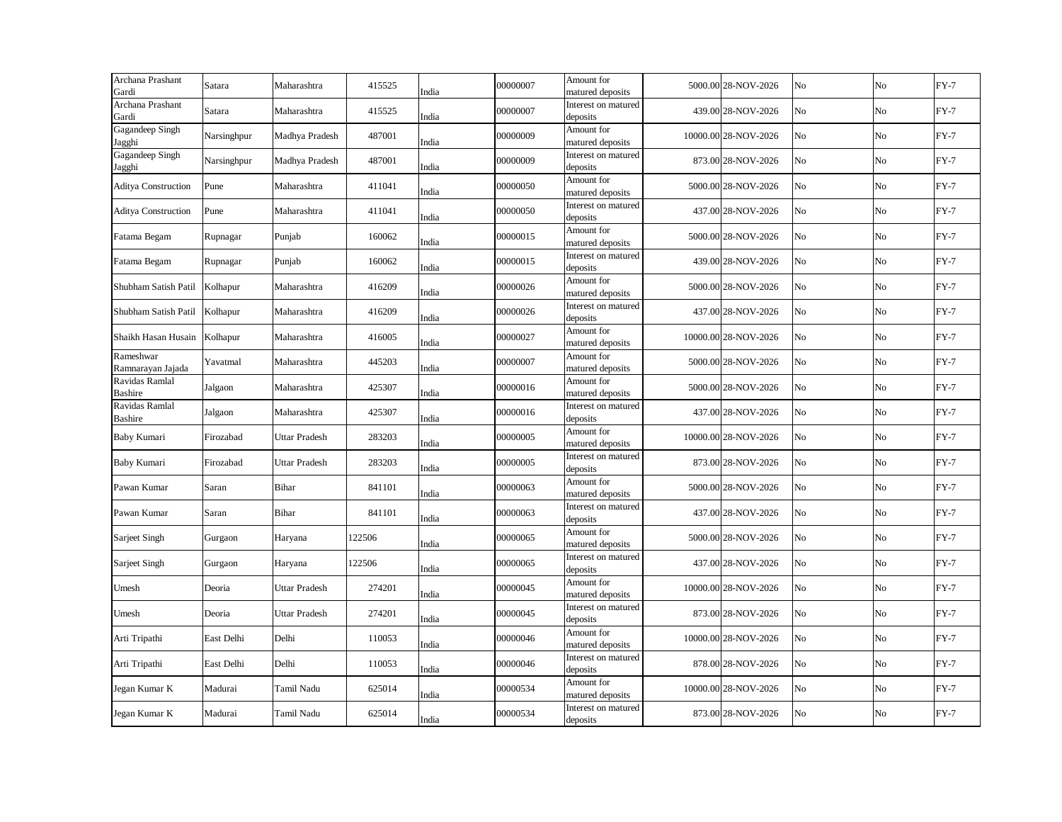| Archana Prashant<br>Gardi        | Satara      | Maharashtra          | 415525 | India | 00000007 | Amount for<br>matured deposits  | 5000.00 28-NOV-2026  | No             | No       | $FY-7$ |
|----------------------------------|-------------|----------------------|--------|-------|----------|---------------------------------|----------------------|----------------|----------|--------|
| Archana Prashant<br>Gardi        | Satara      | Maharashtra          | 415525 | India | 00000007 | Interest on matured<br>deposits | 439.00 28-NOV-2026   | No             | No       | $FY-7$ |
| Gagandeep Singh<br><b>Jagghi</b> | Narsinghpur | Madhya Pradesh       | 487001 | India | 00000009 | Amount for<br>matured deposits  | 10000.00 28-NOV-2026 | No             | No       | $FY-7$ |
| Gagandeep Singh<br>Jagghi        | Narsinghpur | Madhya Pradesh       | 487001 | India | 00000009 | Interest on matured<br>deposits | 873.00 28-NOV-2026   | No             | No       | $FY-7$ |
| <b>Aditya Construction</b>       | Pune        | Maharashtra          | 411041 | India | 00000050 | Amount for<br>matured deposits  | 5000.00 28-NOV-2026  | No             | No       | $FY-7$ |
| <b>Aditya Construction</b>       | Pune        | Maharashtra          | 411041 | India | 00000050 | Interest on matured<br>deposits | 437.00 28-NOV-2026   | No             | No       | $FY-7$ |
| Fatama Begam                     | Rupnagar    | Punjab               | 160062 | India | 00000015 | Amount for<br>matured deposits  | 5000.00 28-NOV-2026  | No             | No       | $FY-7$ |
| Fatama Begam                     | Rupnagar    | Punjab               | 160062 | India | 00000015 | Interest on matured<br>deposits | 439.00 28-NOV-2026   | No             | No       | $FY-7$ |
| Shubham Satish Patil             | Kolhapur    | Maharashtra          | 416209 | India | 00000026 | Amount for<br>matured deposits  | 5000.00 28-NOV-2026  | No             | No       | $FY-7$ |
| Shubham Satish Patil             | Kolhapur    | Maharashtra          | 416209 | India | 00000026 | Interest on matured<br>deposits | 437.00 28-NOV-2026   | No             | No       | $FY-7$ |
| Shaikh Hasan Husain              | Kolhapur    | Maharashtra          | 416005 | India | 00000027 | Amount for<br>matured deposits  | 10000.00 28-NOV-2026 | No             | No       | $FY-7$ |
| Rameshwar<br>Ramnarayan Jajada   | Yavatmal    | Maharashtra          | 445203 | India | 00000007 | Amount for<br>matured deposits  | 5000.00 28-NOV-2026  | No             | No       | $FY-7$ |
| Ravidas Ramlal<br><b>Bashire</b> | Jalgaon     | Maharashtra          | 425307 | India | 00000016 | Amount for<br>matured deposits  | 5000.00 28-NOV-2026  | No             | No       | $FY-7$ |
| Ravidas Ramlal<br>Bashire        | Jalgaon     | Maharashtra          | 425307 | India | 00000016 | Interest on matured<br>deposits | 437.00 28-NOV-2026   | No             | No       | $FY-7$ |
| Baby Kumari                      | Firozabad   | <b>Uttar Pradesh</b> | 283203 | India | 00000005 | Amount for<br>matured deposits  | 10000.00 28-NOV-2026 | No             | No       | $FY-7$ |
| Baby Kumari                      | Firozabad   | <b>Uttar Pradesh</b> | 283203 | India | 00000005 | Interest on matured<br>deposits | 873.00 28-NOV-2026   | No             | No       | $FY-7$ |
| Pawan Kumar                      | Saran       | <b>Bihar</b>         | 841101 | India | 00000063 | Amount for<br>matured deposits  | 5000.00 28-NOV-2026  | No             | No       | $FY-7$ |
| Pawan Kumar                      | Saran       | Bihar                | 841101 | India | 00000063 | Interest on matured<br>deposits | 437.00 28-NOV-2026   | N <sub>o</sub> | No       | $FY-7$ |
| Sarjeet Singh                    | Gurgaon     | Haryana              | 122506 | India | 00000065 | Amount for<br>matured deposits  | 5000.00 28-NOV-2026  | No             | No       | $FY-7$ |
| Sarjeet Singh                    | Gurgaon     | Haryana              | 122506 | India | 00000065 | Interest on matured<br>deposits | 437.00 28-NOV-2026   | No             | No       | $FY-7$ |
| Umesh                            | Deoria      | Uttar Pradesh        | 274201 | India | 00000045 | Amount for<br>matured deposits  | 10000.00 28-NOV-2026 | No             | $\rm No$ | $FY-7$ |
| Umesh                            | Deoria      | <b>Uttar Pradesh</b> | 274201 | India | 00000045 | Interest on matured<br>deposits | 873.00 28-NOV-2026   | No             | No       | $FY-7$ |
| Arti Tripathi                    | East Delhi  | Delhi                | 110053 | India | 00000046 | Amount for<br>matured deposits  | 10000.00 28-NOV-2026 | No             | No       | $FY-7$ |
| Arti Tripathi                    | East Delhi  | Delhi                | 110053 | India | 00000046 | Interest on matured<br>deposits | 878.00 28-NOV-2026   | No             | No       | $FY-7$ |
| Jegan Kumar K                    | Madurai     | Tamil Nadu           | 625014 | India | 00000534 | Amount for<br>matured deposits  | 10000.00 28-NOV-2026 | No             | No       | $FY-7$ |
| Jegan Kumar K                    | Madurai     | Tamil Nadu           | 625014 | India | 00000534 | Interest on matured<br>deposits | 873.00 28-NOV-2026   | No             | No       | $FY-7$ |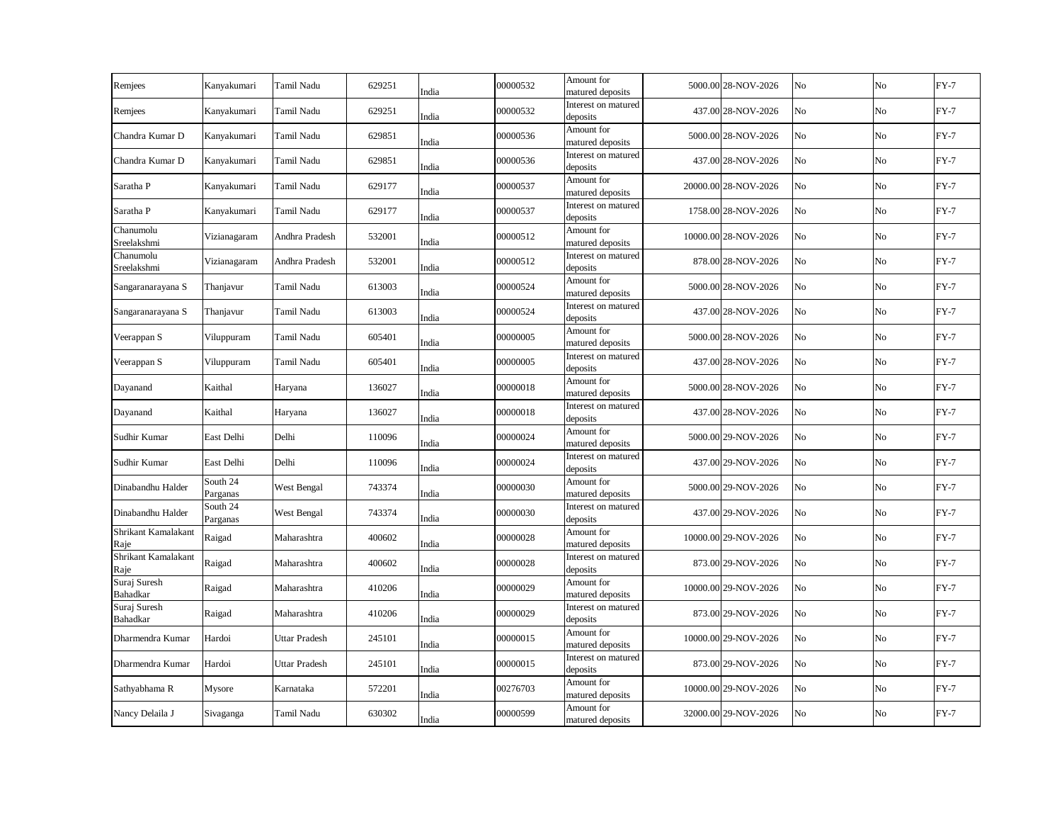| Remjees                     | Kanyakumari          | Tamil Nadu           | 629251 | India | 00000532 | Amount for<br>matured deposits  | 5000.00 28-NOV-2026  | No | No             | $FY-7$ |
|-----------------------------|----------------------|----------------------|--------|-------|----------|---------------------------------|----------------------|----|----------------|--------|
| Remjees                     | Kanyakumari          | Tamil Nadu           | 629251 | India | 00000532 | Interest on matured<br>deposits | 437.00 28-NOV-2026   | No | No             | $FY-7$ |
| Chandra Kumar D             | Kanyakumari          | Tamil Nadu           | 629851 | India | 00000536 | Amount for<br>matured deposits  | 5000.00 28-NOV-2026  | No | No             | $FY-7$ |
| Chandra Kumar D             | Kanyakumari          | Tamil Nadu           | 629851 | India | 00000536 | Interest on matured<br>deposits | 437.00 28-NOV-2026   | No | No             | $FY-7$ |
| Saratha P                   | Kanyakumari          | Tamil Nadu           | 629177 | India | 00000537 | Amount for<br>matured deposits  | 20000.00 28-NOV-2026 | No | N <sub>o</sub> | $FY-7$ |
| Saratha P                   | Kanyakumari          | Tamil Nadu           | 629177 | India | 00000537 | Interest on matured<br>deposits | 1758.00 28-NOV-2026  | No | No             | $FY-7$ |
| Chanumolu<br>Sreelakshmi    | Vizianagaram         | Andhra Pradesh       | 532001 | India | 00000512 | Amount for<br>matured deposits  | 10000.00 28-NOV-2026 | No | No             | $FY-7$ |
| Chanumolu<br>Sreelakshmi    | Vizianagaram         | Andhra Pradesh       | 532001 | India | 00000512 | Interest on matured<br>deposits | 878.00 28-NOV-2026   | No | No             | $FY-7$ |
| Sangaranarayana S           | Thanjavur            | Tamil Nadu           | 613003 | India | 00000524 | Amount for<br>matured deposits  | 5000.00 28-NOV-2026  | No | No             | $FY-7$ |
| Sangaranarayana S           | Thanjavur            | Tamil Nadu           | 613003 | India | 00000524 | Interest on matured<br>deposits | 437.00 28-NOV-2026   | No | No             | $FY-7$ |
| Veerappan S                 | Viluppuram           | Tamil Nadu           | 605401 | India | 00000005 | Amount for<br>matured deposits  | 5000.00 28-NOV-2026  | No | No             | $FY-7$ |
| Veerappan S                 | Viluppuram           | Tamil Nadu           | 605401 | India | 00000005 | Interest on matured<br>deposits | 437.00 28-NOV-2026   | No | No             | $FY-7$ |
| Dayanand                    | Kaithal              | Haryana              | 136027 | India | 00000018 | Amount for<br>matured deposits  | 5000.00 28-NOV-2026  | No | No             | $FY-7$ |
| Dayanand                    | Kaithal              | Haryana              | 136027 | India | 00000018 | Interest on matured<br>deposits | 437.00 28-NOV-2026   | No | No             | $FY-7$ |
| Sudhir Kumar                | East Delhi           | Delhi                | 110096 | India | 00000024 | Amount for<br>matured deposits  | 5000.00 29-NOV-2026  | No | No             | $FY-7$ |
| Sudhir Kumar                | East Delhi           | Delhi                | 110096 | India | 00000024 | Interest on matured<br>deposits | 437.00 29-NOV-2026   | No | No             | $FY-7$ |
| Dinabandhu Halder           | South 24<br>Parganas | West Bengal          | 743374 | India | 00000030 | Amount for<br>matured deposits  | 5000.00 29-NOV-2026  | No | No             | $FY-7$ |
| Dinabandhu Halder           | South 24<br>Parganas | West Bengal          | 743374 | India | 00000030 | Interest on matured<br>deposits | 437.00 29-NOV-2026   | No | No             | $FY-7$ |
| Shrikant Kamalakant<br>Raje | Raigad               | Maharashtra          | 400602 | India | 00000028 | Amount for<br>matured deposits  | 10000.00 29-NOV-2026 | No | No             | $FY-7$ |
| Shrikant Kamalakant<br>Raje | Raigad               | Maharashtra          | 400602 | India | 00000028 | Interest on matured<br>deposits | 873.00 29-NOV-2026   | No | No             | $FY-7$ |
| Suraj Suresh<br>Bahadkar    | Raigad               | Maharashtra          | 410206 | India | 00000029 | Amount for<br>matured deposits  | 10000.00 29-NOV-2026 | No | No             | $FY-7$ |
| Suraj Suresh<br>Bahadkar    | Raigad               | Maharashtra          | 410206 | India | 00000029 | Interest on matured<br>deposits | 873.00 29-NOV-2026   | No | No             | $FY-7$ |
| Dharmendra Kumar            | Hardoi               | <b>Uttar Pradesh</b> | 245101 | India | 00000015 | Amount for<br>matured deposits  | 10000.00 29-NOV-2026 | No | No             | $FY-7$ |
| Dharmendra Kumar            | Hardoi               | <b>Uttar Pradesh</b> | 245101 | India | 00000015 | Interest on matured<br>deposits | 873.00 29-NOV-2026   | No | No             | $FY-7$ |
| Sathyabhama R               | Mysore               | Karnataka            | 572201 | India | 00276703 | Amount for<br>matured deposits  | 10000.00 29-NOV-2026 | No | No             | $FY-7$ |
| Nancy Delaila J             | Sivaganga            | Tamil Nadu           | 630302 | India | 00000599 | Amount for<br>matured deposits  | 32000.00 29-NOV-2026 | No | No             | $FY-7$ |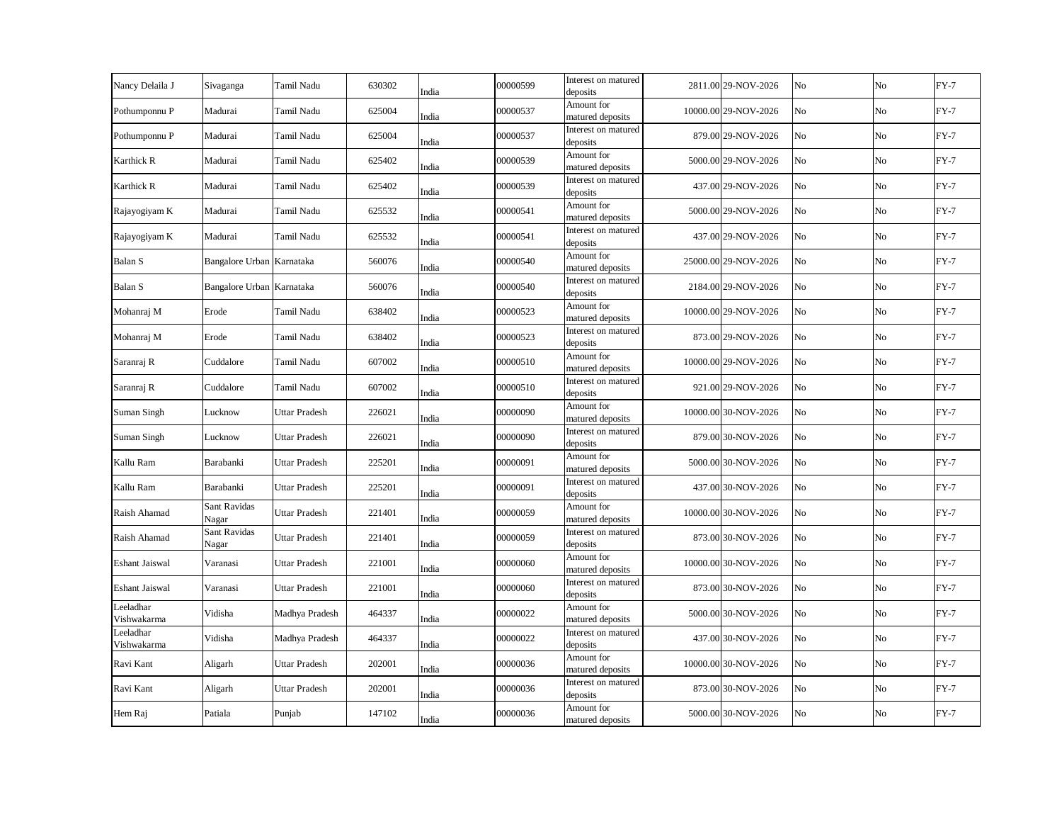| Sivaganga             | Tamil Nadu           | 630302                                                 | India | 00000599 | Interest on matured<br>deposits |                                                                                  | No                                                                                                                                                                                                                                                                                                                                                                                                                                                                                                                                                                                                              | N <sub>o</sub> | $FY-7$ |
|-----------------------|----------------------|--------------------------------------------------------|-------|----------|---------------------------------|----------------------------------------------------------------------------------|-----------------------------------------------------------------------------------------------------------------------------------------------------------------------------------------------------------------------------------------------------------------------------------------------------------------------------------------------------------------------------------------------------------------------------------------------------------------------------------------------------------------------------------------------------------------------------------------------------------------|----------------|--------|
| Madurai               | Tamil Nadu           | 625004                                                 | India | 00000537 | Amount for<br>matured deposits  |                                                                                  | No                                                                                                                                                                                                                                                                                                                                                                                                                                                                                                                                                                                                              | No             | $FY-7$ |
| Madurai               | Tamil Nadu           | 625004                                                 | India | 00000537 | Interest on matured<br>deposits |                                                                                  | No                                                                                                                                                                                                                                                                                                                                                                                                                                                                                                                                                                                                              | No             | $FY-7$ |
| Madurai               | Tamil Nadu           | 625402                                                 | India | 00000539 | Amount for<br>matured deposits  |                                                                                  | No                                                                                                                                                                                                                                                                                                                                                                                                                                                                                                                                                                                                              | No             | $FY-7$ |
| Madurai               | Tamil Nadu           | 625402                                                 | India | 00000539 | Interest on matured<br>deposits |                                                                                  | No                                                                                                                                                                                                                                                                                                                                                                                                                                                                                                                                                                                                              | N <sub>o</sub> | $FY-7$ |
| Madurai               | Tamil Nadu           | 625532                                                 | India | 00000541 | Amount for<br>matured deposits  |                                                                                  | No                                                                                                                                                                                                                                                                                                                                                                                                                                                                                                                                                                                                              | No             | $FY-7$ |
| Madurai               | Tamil Nadu           | 625532                                                 | India | 00000541 | Interest on matured             |                                                                                  | No                                                                                                                                                                                                                                                                                                                                                                                                                                                                                                                                                                                                              | $_{\rm No}$    | $FY-7$ |
|                       |                      | 560076                                                 | India | 00000540 | Amount for                      |                                                                                  | No                                                                                                                                                                                                                                                                                                                                                                                                                                                                                                                                                                                                              | No             | $FY-7$ |
|                       |                      | 560076                                                 | India | 00000540 | Interest on matured<br>deposits |                                                                                  | No                                                                                                                                                                                                                                                                                                                                                                                                                                                                                                                                                                                                              | No             | $FY-7$ |
| Erode                 | Tamil Nadu           | 638402                                                 | India | 00000523 | Amount for<br>matured deposits  |                                                                                  | No                                                                                                                                                                                                                                                                                                                                                                                                                                                                                                                                                                                                              | No             | $FY-7$ |
| Erode                 | Tamil Nadu           | 638402                                                 | India | 00000523 | Interest on matured<br>deposits |                                                                                  | No                                                                                                                                                                                                                                                                                                                                                                                                                                                                                                                                                                                                              | No             | $FY-7$ |
| Cuddalore             | Tamil Nadu           | 607002                                                 | India | 00000510 | Amount for<br>matured deposits  |                                                                                  | No                                                                                                                                                                                                                                                                                                                                                                                                                                                                                                                                                                                                              | No             | $FY-7$ |
| Cuddalore             | Tamil Nadu           | 607002                                                 | India | 00000510 | Interest on matured<br>deposits |                                                                                  | No                                                                                                                                                                                                                                                                                                                                                                                                                                                                                                                                                                                                              | No             | $FY-7$ |
| Lucknow               | Uttar Pradesh        | 226021                                                 | India | 00000090 | Amount for                      |                                                                                  | No                                                                                                                                                                                                                                                                                                                                                                                                                                                                                                                                                                                                              | No             | $FY-7$ |
| Lucknow               | <b>Uttar Pradesh</b> | 226021                                                 | India | 00000090 | Interest on matured<br>deposits |                                                                                  | No                                                                                                                                                                                                                                                                                                                                                                                                                                                                                                                                                                                                              | No             | $FY-7$ |
| Barabanki             | <b>Uttar Pradesh</b> | 225201                                                 | India | 00000091 | Amount for<br>matured deposits  |                                                                                  | No                                                                                                                                                                                                                                                                                                                                                                                                                                                                                                                                                                                                              | No             | $FY-7$ |
| Barabanki             | <b>Uttar Pradesh</b> | 225201                                                 | India | 00000091 | Interest on matured             |                                                                                  | No                                                                                                                                                                                                                                                                                                                                                                                                                                                                                                                                                                                                              | No             | $FY-7$ |
| Sant Ravidas<br>Nagar | <b>Uttar Pradesh</b> | 221401                                                 | India | 00000059 | Amount for<br>matured deposits  |                                                                                  | No                                                                                                                                                                                                                                                                                                                                                                                                                                                                                                                                                                                                              | No             | $FY-7$ |
| Sant Ravidas<br>Nagar | <b>Uttar Pradesh</b> | 221401                                                 | India | 00000059 | Interest on matured<br>deposits |                                                                                  | No                                                                                                                                                                                                                                                                                                                                                                                                                                                                                                                                                                                                              | No             | $FY-7$ |
| Varanasi              | Uttar Pradesh        | 221001                                                 | India | 00000060 | Amount for                      |                                                                                  | No                                                                                                                                                                                                                                                                                                                                                                                                                                                                                                                                                                                                              | No             | $FY-7$ |
| Varanasi              | <b>Uttar Pradesh</b> | 221001                                                 | India | 00000060 | Interest on matured<br>deposits |                                                                                  | No                                                                                                                                                                                                                                                                                                                                                                                                                                                                                                                                                                                                              | No             | $FY-7$ |
| Vidisha               | Madhya Pradesh       | 464337                                                 | India | 00000022 | Amount for<br>matured deposits  |                                                                                  | No                                                                                                                                                                                                                                                                                                                                                                                                                                                                                                                                                                                                              | No             | $FY-7$ |
| Vidisha               | Madhya Pradesh       | 464337                                                 | India | 00000022 | Interest on matured<br>deposits |                                                                                  | No                                                                                                                                                                                                                                                                                                                                                                                                                                                                                                                                                                                                              | No             | $FY-7$ |
| Aligarh               | <b>Uttar Pradesh</b> | 202001                                                 | India | 00000036 | Amount for<br>matured deposits  |                                                                                  | No                                                                                                                                                                                                                                                                                                                                                                                                                                                                                                                                                                                                              | No             | $FY-7$ |
| Aligarh               | <b>Uttar Pradesh</b> | 202001                                                 | India | 00000036 | Interest on matured<br>deposits |                                                                                  | No                                                                                                                                                                                                                                                                                                                                                                                                                                                                                                                                                                                                              | No             | $FY-7$ |
| Patiala               | Punjab               | 147102                                                 | India | 00000036 | Amount for<br>matured deposits  |                                                                                  | No                                                                                                                                                                                                                                                                                                                                                                                                                                                                                                                                                                                                              | No             | $FY-7$ |
|                       |                      | Bangalore Urban Karnataka<br>Bangalore Urban Karnataka |       |          |                                 | deposits<br>matured deposits<br>matured deposits<br>deposits<br>matured deposits | 2811.00 29-NOV-2026<br>10000.00 29-NOV-2026<br>879.00 29-NOV-2026<br>5000.00 29-NOV-2026<br>437.00 29-NOV-2026<br>5000.00 29-NOV-2026<br>437.00 29-NOV-2026<br>25000.00 29-NOV-2026<br>2184.00 29-NOV-2026<br>10000.00 29-NOV-2026<br>873.00 29-NOV-2026<br>10000.00 29-NOV-2026<br>921.00 29-NOV-2026<br>10000.00 30-NOV-2026<br>879.00 30-NOV-2026<br>5000.00 30-NOV-2026<br>437.00 30-NOV-2026<br>10000.00 30-NOV-2026<br>873.00 30-NOV-2026<br>10000.00 30-NOV-2026<br>873.00 30-NOV-2026<br>5000.00 30-NOV-2026<br>437.00 30-NOV-2026<br>10000.00 30-NOV-2026<br>873.00 30-NOV-2026<br>5000.00 30-NOV-2026 |                |        |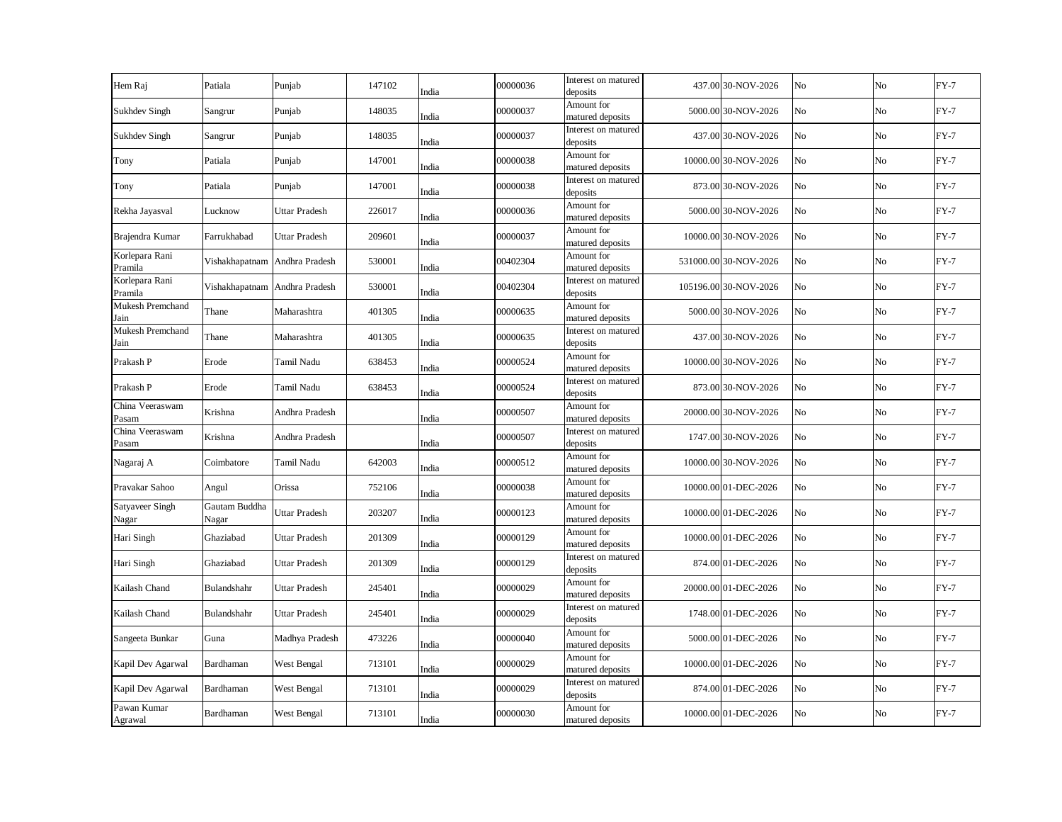| Hem Raj                   | Patiala                       | Punjab               | 147102 | India | 00000036 | Interest on matured<br>deposits | 437.00 30-NOV-2026    | No | No             | $FY-7$ |
|---------------------------|-------------------------------|----------------------|--------|-------|----------|---------------------------------|-----------------------|----|----------------|--------|
| <b>Sukhdev Singh</b>      | Sangrur                       | Punjab               | 148035 | India | 00000037 | Amount for<br>matured deposits  | 5000.00 30-NOV-2026   | No | No             | $FY-7$ |
| <b>Sukhdev Singh</b>      | Sangrur                       | Punjab               | 148035 | India | 00000037 | Interest on matured<br>deposits | 437.00 30-NOV-2026    | No | No             | $FY-7$ |
| Tony                      | Patiala                       | Punjab               | 147001 | India | 00000038 | Amount for<br>matured deposits  | 10000.00 30-NOV-2026  | No | No             | $FY-7$ |
| Tony                      | Patiala                       | Punjab               | 147001 | India | 00000038 | Interest on matured<br>deposits | 873.00 30-NOV-2026    | No | N <sub>o</sub> | $FY-7$ |
| Rekha Jayasval            | Lucknow                       | <b>Uttar Pradesh</b> | 226017 | India | 00000036 | Amount for<br>matured deposits  | 5000.00 30-NOV-2026   | No | N <sub>o</sub> | $FY-7$ |
| Brajendra Kumar           | Farrukhabad                   | <b>Uttar Pradesh</b> | 209601 | India | 00000037 | Amount for<br>matured deposits  | 10000.00 30-NOV-2026  | No | No             | $FY-7$ |
| Korlepara Rani<br>Pramila | Vishakhapatnam Andhra Pradesh |                      | 530001 | India | 00402304 | Amount for<br>matured deposits  | 531000.00 30-NOV-2026 | No | No             | $FY-7$ |
| Korlepara Rani<br>Pramila | Vishakhapatnam Andhra Pradesh |                      | 530001 | India | 00402304 | Interest on matured<br>deposits | 105196.00 30-NOV-2026 | No | No             | $FY-7$ |
| Mukesh Premchand<br>Jain  | Thane                         | Maharashtra          | 401305 | India | 00000635 | Amount for<br>matured deposits  | 5000.00 30-NOV-2026   | No | No             | $FY-7$ |
| Mukesh Premchand<br>Jain  | Thane                         | Maharashtra          | 401305 | India | 00000635 | Interest on matured<br>deposits | 437.00 30-NOV-2026    | No | No             | $FY-7$ |
| Prakash P                 | Erode                         | Tamil Nadu           | 638453 | India | 00000524 | Amount for<br>matured deposits  | 10000.00 30-NOV-2026  | No | No             | $FY-7$ |
| Prakash P                 | Erode                         | Tamil Nadu           | 638453 | India | 00000524 | Interest on matured<br>deposits | 873.00 30-NOV-2026    | No | No             | $FY-7$ |
| China Veeraswam<br>Pasam  | Krishna                       | Andhra Pradesh       |        | India | 00000507 | Amount for<br>matured deposits  | 20000.00 30-NOV-2026  | No | No             | $FY-7$ |
| China Veeraswam<br>Pasam  | Krishna                       | Andhra Pradesh       |        | India | 00000507 | Interest on matured<br>deposits | 1747.00 30-NOV-2026   | No | No             | $FY-7$ |
| Nagaraj A                 | Coimbatore                    | Tamil Nadu           | 642003 | India | 00000512 | Amount for<br>matured deposits  | 10000.00 30-NOV-2026  | No | No             | $FY-7$ |
| Pravakar Sahoo            | Angul                         | Orissa               | 752106 | India | 00000038 | Amount for<br>matured deposits  | 10000.00 01-DEC-2026  | No | No             | $FY-7$ |
| Satyaveer Singh<br>Nagar  | Gautam Buddha<br>Nagar        | Uttar Pradesh        | 203207 | India | 00000123 | Amount for<br>matured deposits  | 10000.00 01-DEC-2026  | No | No             | $FY-7$ |
| Hari Singh                | Ghaziabad                     | Uttar Pradesh        | 201309 | India | 00000129 | Amount for<br>matured deposits  | 10000.00 01-DEC-2026  | No | No             | $FY-7$ |
| Hari Singh                | Ghaziabad                     | Uttar Pradesh        | 201309 | India | 00000129 | Interest on matured<br>deposits | 874.00 01-DEC-2026    | No | No             | $FY-7$ |
| Kailash Chand             | Bulandshahr                   | <b>Uttar Pradesh</b> | 245401 | India | 00000029 | Amount for<br>matured deposits  | 20000.00 01-DEC-2026  | No | No             | $FY-7$ |
| Kailash Chand             | Bulandshahr                   | <b>Uttar Pradesh</b> | 245401 | India | 00000029 | Interest on matured<br>deposits | 1748.00 01-DEC-2026   | No | No             | $FY-7$ |
| Sangeeta Bunkar           | Guna                          | Madhya Pradesh       | 473226 | India | 00000040 | Amount for<br>matured deposits  | 5000.00 01-DEC-2026   | No | No             | $FY-7$ |
| Kapil Dev Agarwal         | Bardhaman                     | West Bengal          | 713101 | India | 00000029 | Amount for<br>matured deposits  | 10000.00 01-DEC-2026  | No | No             | $FY-7$ |
| Kapil Dev Agarwal         | Bardhaman                     | West Bengal          | 713101 | India | 00000029 | Interest on matured<br>deposits | 874.00 01-DEC-2026    | No | No             | $FY-7$ |
| Pawan Kumar<br>Agrawal    | Bardhaman                     | West Bengal          | 713101 | India | 00000030 | Amount for<br>matured deposits  | 10000.00 01-DEC-2026  | No | No             | $FY-7$ |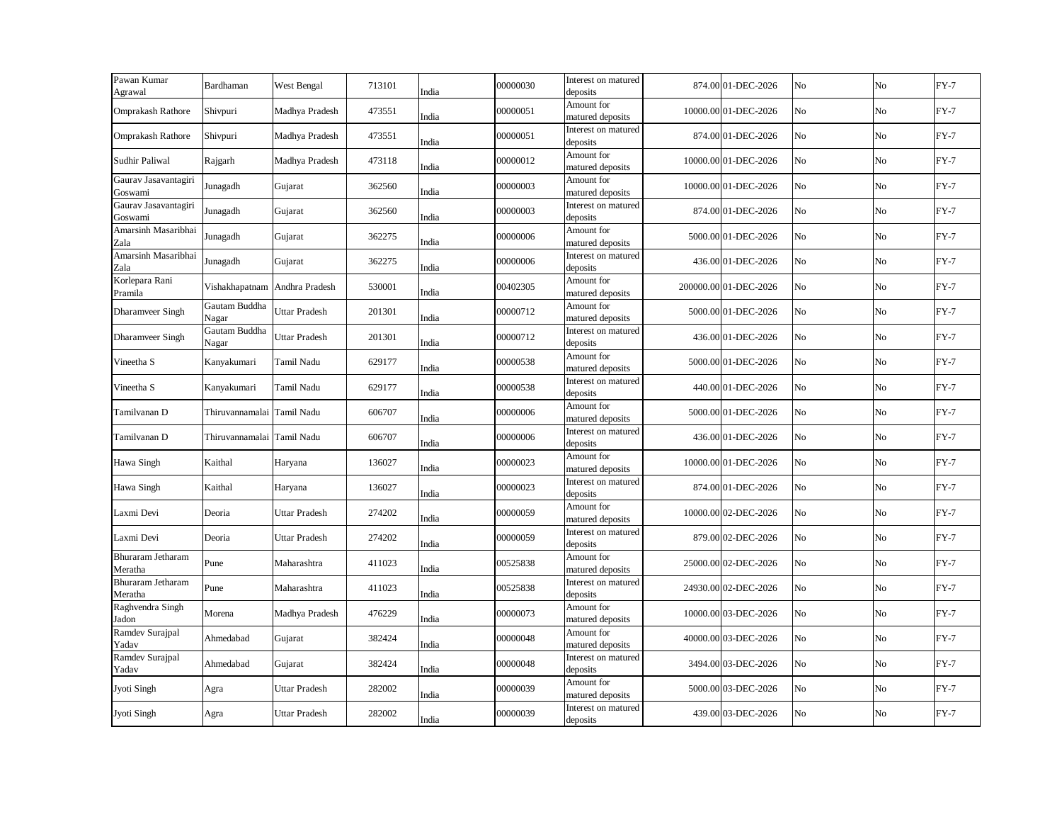| Pawan Kumar<br>Agrawal          | Bardhaman                     | West Bengal    | 713101 | India | 00000030 | Interest on matured<br>deposits | 874.00 01-DEC-2026    | No | No             | $FY-7$ |
|---------------------------------|-------------------------------|----------------|--------|-------|----------|---------------------------------|-----------------------|----|----------------|--------|
| Omprakash Rathore               | Shivpuri                      | Madhya Pradesh | 473551 | India | 00000051 | Amount for<br>matured deposits  | 10000.00 01-DEC-2026  | No | No             | $FY-7$ |
| Omprakash Rathore               | Shivpuri                      | Madhya Pradesh | 473551 | India | 00000051 | Interest on matured<br>deposits | 874.00 01-DEC-2026    | No | No             | $FY-7$ |
| Sudhir Paliwal                  | Rajgarh                       | Madhya Pradesh | 473118 | India | 00000012 | Amount for<br>matured deposits  | 10000.00 01-DEC-2026  | No | No             | $FY-7$ |
| Gaurav Jasavantagiri<br>Goswami | Junagadh                      | Gujarat        | 362560 | India | 00000003 | Amount for<br>matured deposits  | 10000.00 01-DEC-2026  | No | No             | $FY-7$ |
| Gaurav Jasavantagiri<br>Goswami | Junagadh                      | Gujarat        | 362560 | India | 00000003 | Interest on matured<br>deposits | 874.00 01-DEC-2026    | No | No             | $FY-7$ |
| Amarsinh Masaribhai<br>Zala     | Junagadh                      | Gujarat        | 362275 | India | 00000006 | Amount for<br>matured deposits  | 5000.00 01-DEC-2026   | No | No             | $FY-7$ |
| Amarsinh Masaribhai<br>Zala     | Junagadh                      | Gujarat        | 362275 | India | 00000006 | Interest on matured<br>deposits | 436.00 01-DEC-2026    | No | No             | $FY-7$ |
| Korlepara Rani<br>Pramila       | Vishakhapatnam Andhra Pradesh |                | 530001 | India | 00402305 | Amount for<br>matured deposits  | 200000.00 01-DEC-2026 | No | No             | $FY-7$ |
| Dharamveer Singh                | Gautam Buddha<br>Nagar        | Uttar Pradesh  | 201301 | India | 00000712 | Amount for<br>matured deposits  | 5000.00 01-DEC-2026   | No | No             | $FY-7$ |
| Dharamveer Singh                | Gautam Buddha<br>Nagar        | Uttar Pradesh  | 201301 | India | 00000712 | Interest on matured<br>deposits | 436.00 01-DEC-2026    | No | No             | $FY-7$ |
| Vineetha S                      | Kanyakumari                   | Tamil Nadu     | 629177 | India | 00000538 | Amount for<br>matured deposits  | 5000.00 01-DEC-2026   | No | No             | $FY-7$ |
| Vineetha S                      | Kanyakumari                   | Tamil Nadu     | 629177 | India | 00000538 | Interest on matured<br>deposits | 440.00 01-DEC-2026    | No | No             | $FY-7$ |
| Tamilvanan D                    | Thiruvannamalai               | Tamil Nadu     | 606707 | India | 00000006 | Amount for<br>matured deposits  | 5000.00 01-DEC-2026   | No | No             | $FY-7$ |
| Tamilvanan D                    | Thiruvannamalai               | Tamil Nadu     | 606707 | India | 00000006 | Interest on matured<br>deposits | 436.00 01-DEC-2026    | No | No             | $FY-7$ |
| Hawa Singh                      | Kaithal                       | Haryana        | 136027 | India | 00000023 | Amount for<br>matured deposits  | 10000.00 01-DEC-2026  | No | No             | $FY-7$ |
| Hawa Singh                      | Kaithal                       | Haryana        | 136027 | India | 00000023 | Interest on matured<br>deposits | 874.00 01-DEC-2026    | No | No             | $FY-7$ |
| Laxmi Devi                      | Deoria                        | Uttar Pradesh  | 274202 | India | 00000059 | Amount for<br>matured deposits  | 10000.00 02-DEC-2026  | No | N <sub>o</sub> | $FY-7$ |
| Laxmi Devi                      | Deoria                        | Uttar Pradesh  | 274202 | India | 00000059 | Interest on matured<br>deposits | 879.00 02-DEC-2026    | No | No             | $FY-7$ |
| Bhuraram Jetharam<br>Meratha    | Pune                          | Maharashtra    | 411023 | India | 00525838 | Amount for<br>matured deposits  | 25000.00 02-DEC-2026  | No | No             | $FY-7$ |
| Bhuraram Jetharam<br>Meratha    | Pune                          | Maharashtra    | 411023 | India | 00525838 | Interest on matured<br>deposits | 24930.00 02-DEC-2026  | No | No             | $FY-7$ |
| Raghvendra Singh<br>Jadon       | Morena                        | Madhya Pradesh | 476229 | India | 00000073 | Amount for<br>matured deposits  | 10000.00 03-DEC-2026  | No | No             | $FY-7$ |
| Ramdev Surajpal<br>Yadav        | Ahmedabad                     | Gujarat        | 382424 | India | 00000048 | Amount for<br>matured deposits  | 40000.00 03-DEC-2026  | No | No             | $FY-7$ |
| Ramdev Surajpal<br>Yadav        | Ahmedabad                     | Gujarat        | 382424 | India | 00000048 | Interest on matured<br>deposits | 3494.00 03-DEC-2026   | No | No             | $FY-7$ |
| Jyoti Singh                     | Agra                          | Uttar Pradesh  | 282002 | India | 00000039 | Amount for<br>matured deposits  | 5000.00 03-DEC-2026   | No | No             | $FY-7$ |
| Jyoti Singh                     | Agra                          | Uttar Pradesh  | 282002 | India | 00000039 | Interest on matured<br>deposits | 439.00 03-DEC-2026    | No | No             | $FY-7$ |
|                                 |                               |                |        |       |          |                                 |                       |    |                |        |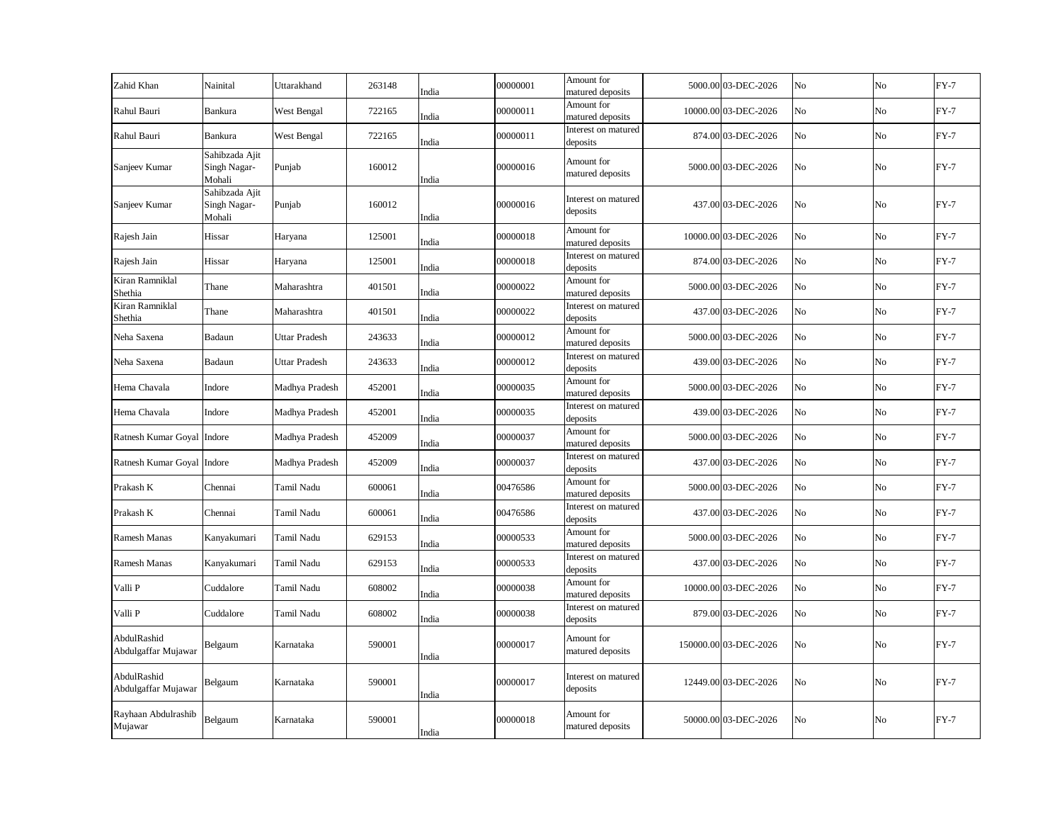| Zahid Khan                         | Nainital                                 | Uttarakhand          | 263148 | India | 00000001 | Amount for<br>matured deposits  | 5000.00 03-DEC-2026   | No | No             | $FY-7$ |
|------------------------------------|------------------------------------------|----------------------|--------|-------|----------|---------------------------------|-----------------------|----|----------------|--------|
| Rahul Bauri                        | Bankura                                  | West Bengal          | 722165 | India | 00000011 | Amount for<br>matured deposits  | 10000.00 03-DEC-2026  | No | No             | $FY-7$ |
| Rahul Bauri                        | Bankura                                  | West Bengal          | 722165 | India | 00000011 | Interest on matured<br>deposits | 874.00 03-DEC-2026    | No | No             | $FY-7$ |
| Sanjeev Kumar                      | Sahibzada Ajit<br>Singh Nagar-<br>Mohali | Punjab               | 160012 | India | 00000016 | Amount for<br>matured deposits  | 5000.00 03-DEC-2026   | No | No             | $FY-7$ |
| Sanjeev Kumar                      | Sahibzada Ajit<br>Singh Nagar-<br>Mohali | Punjab               | 160012 | India | 00000016 | Interest on matured<br>deposits | 437.00 03-DEC-2026    | No | No.            | $FY-7$ |
| Rajesh Jain                        | Hissar                                   | Haryana              | 125001 | India | 00000018 | Amount for<br>matured deposits  | 10000.00 03-DEC-2026  | No | No             | $FY-7$ |
| Rajesh Jain                        | Hissar                                   | Haryana              | 125001 | India | 00000018 | Interest on matured<br>deposits | 874.00 03-DEC-2026    | No | No             | $FY-7$ |
| Kiran Ramniklal<br>Shethia         | Thane                                    | Maharashtra          | 401501 | India | 00000022 | Amount for<br>matured deposits  | 5000.00 03-DEC-2026   | No | No             | $FY-7$ |
| Kiran Ramniklal<br>Shethia         | Thane                                    | Maharashtra          | 401501 | India | 00000022 | Interest on matured<br>deposits | 437.00 03-DEC-2026    | No | No             | $FY-7$ |
| Neha Saxena                        | Badaun                                   | <b>Uttar Pradesh</b> | 243633 | India | 00000012 | Amount for<br>matured deposits  | 5000.00 03-DEC-2026   | No | No             | $FY-7$ |
| Neha Saxena                        | Badaun                                   | <b>Uttar Pradesh</b> | 243633 | India | 00000012 | Interest on matured<br>deposits | 439.00 03-DEC-2026    | No | No             | $FY-7$ |
| Hema Chavala                       | Indore                                   | Madhya Pradesh       | 452001 | India | 00000035 | Amount for<br>matured deposits  | 5000.00 03-DEC-2026   | No | No             | $FY-7$ |
| Hema Chavala                       | Indore                                   | Madhya Pradesh       | 452001 | India | 00000035 | Interest on matured<br>deposits | 439.00 03-DEC-2026    | No | No             | $FY-7$ |
| Ratnesh Kumar Goyal Indore         |                                          | Madhya Pradesh       | 452009 | India | 00000037 | Amount for<br>matured deposits  | 5000.00 03-DEC-2026   | No | No             | $FY-7$ |
| Ratnesh Kumar Goyal Indore         |                                          | Madhya Pradesh       | 452009 | India | 00000037 | Interest on matured<br>deposits | 437.00 03-DEC-2026    | No | No             | $FY-7$ |
| Prakash K                          | Chennai                                  | Tamil Nadu           | 600061 | India | 00476586 | Amount for<br>matured deposits  | 5000.00 03-DEC-2026   | No | No             | $FY-7$ |
| Prakash K                          | Chennai                                  | Tamil Nadu           | 600061 | India | 00476586 | Interest on matured<br>deposits | 437.00 03-DEC-2026    | No | No             | $FY-7$ |
| Ramesh Manas                       | Kanyakumari                              | Tamil Nadu           | 629153 | India | 00000533 | Amount for<br>matured deposits  | 5000.00 03-DEC-2026   | No | No             | $FY-7$ |
| Ramesh Manas                       | Kanyakumari                              | Tamil Nadu           | 629153 | India | 00000533 | Interest on matured<br>deposits | 437.00 03-DEC-2026    | No | No             | $FY-7$ |
| Valli P                            | Cuddalore                                | Tamil Nadu           | 608002 | India | 00000038 | Amount for<br>matured deposits  | 10000.00 03-DEC-2026  | No | No             | $FY-7$ |
| Valli P                            | Cuddalore                                | Tamil Nadu           | 608002 | India | 00000038 | Interest on matured<br>deposits | 879.00 03-DEC-2026    | No | No             | $FY-7$ |
| AbdulRashid<br>Abdulgaffar Mujawar | Belgaum                                  | Karnataka            | 590001 | India | 00000017 | Amount for<br>matured deposits  | 150000.00 03-DEC-2026 | No | N <sub>o</sub> | $FY-7$ |
| AbdulRashid<br>Abdulgaffar Mujawar | Belgaum                                  | Karnataka            | 590001 | India | 00000017 | Interest on matured<br>deposits | 12449.00 03-DEC-2026  | No | No             | $FY-7$ |
| Rayhaan Abdulrashib<br>Mujawar     | Belgaum                                  | Karnataka            | 590001 | India | 00000018 | Amount for<br>matured deposits  | 50000.00 03-DEC-2026  | No | No             | $FY-7$ |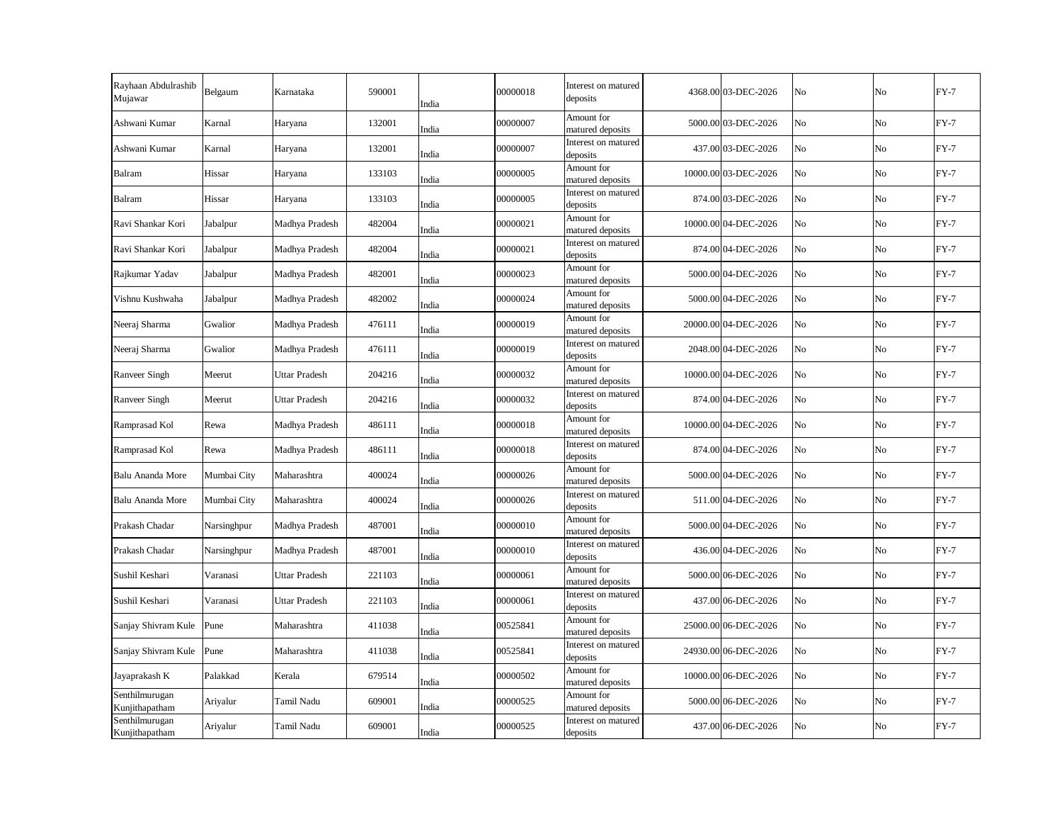| Rayhaan Abdulrashib<br>Mujawar   | Belgaum     | Karnataka            | 590001 | India | 00000018 | Interest on matured<br>deposits | 4368.00 03-DEC-2026  | No             | No       | $FY-7$ |
|----------------------------------|-------------|----------------------|--------|-------|----------|---------------------------------|----------------------|----------------|----------|--------|
| Ashwani Kumar                    | Karnal      | Haryana              | 132001 | India | 00000007 | Amount for<br>matured deposits  | 5000.00 03-DEC-2026  | N <sub>o</sub> | No       | $FY-7$ |
| Ashwani Kumar                    | Karnal      | Haryana              | 132001 | India | 00000007 | Interest on matured<br>deposits | 437.00 03-DEC-2026   | No             | No       | $FY-7$ |
| Balram                           | Hissar      | Haryana              | 133103 | India | 00000005 | Amount for<br>matured deposits  | 10000.00 03-DEC-2026 | N <sub>o</sub> | No       | $FY-7$ |
| Balram                           | Hissar      | Haryana              | 133103 | India | 00000005 | Interest on matured<br>deposits | 874.00 03-DEC-2026   | No             | No       | $FY-7$ |
| Ravi Shankar Kori                | Jabalpur    | Madhya Pradesh       | 482004 | India | 00000021 | Amount for<br>matured deposits  | 10000.00 04-DEC-2026 | No             | No       | $FY-7$ |
| Ravi Shankar Kori                | Jabalpur    | Madhya Pradesh       | 482004 | India | 00000021 | Interest on matured<br>deposits | 874.00 04-DEC-2026   | No             | No       | $FY-7$ |
| Rajkumar Yadav                   | Jabalpur    | Madhya Pradesh       | 482001 | India | 00000023 | Amount for<br>matured deposits  | 5000.00 04-DEC-2026  | No             | No       | $FY-7$ |
| Vishnu Kushwaha                  | Jabalpur    | Madhya Pradesh       | 482002 | India | 00000024 | Amount for<br>matured deposits  | 5000.00 04-DEC-2026  | No             | No       | $FY-7$ |
| Neeraj Sharma                    | Gwalior     | Madhya Pradesh       | 476111 | India | 00000019 | Amount for<br>matured deposits  | 20000.00 04-DEC-2026 | No             | No       | $FY-7$ |
| Neeraj Sharma                    | Gwalior     | Madhya Pradesh       | 476111 | India | 00000019 | Interest on matured<br>deposits | 2048.00 04-DEC-2026  | No             | No       | $FY-7$ |
| Ranveer Singh                    | Meerut      | Uttar Pradesh        | 204216 | India | 00000032 | Amount for<br>matured deposits  | 10000.00 04-DEC-2026 | N <sub>o</sub> | No       | $FY-7$ |
| Ranveer Singh                    | Meerut      | <b>Uttar Pradesh</b> | 204216 | India | 00000032 | Interest on matured<br>deposits | 874.00 04-DEC-2026   | No             | No       | $FY-7$ |
| Ramprasad Kol                    | Rewa        | Madhya Pradesh       | 486111 | India | 00000018 | Amount for<br>matured deposits  | 10000.00 04-DEC-2026 | No             | No       | $FY-7$ |
| Ramprasad Kol                    | Rewa        | Madhya Pradesh       | 486111 | India | 00000018 | Interest on matured<br>deposits | 874.00 04-DEC-2026   | No             | No       | $FY-7$ |
| Balu Ananda More                 | Mumbai City | Maharashtra          | 400024 | India | 00000026 | Amount for<br>matured deposits  | 5000.00 04-DEC-2026  | No             | No       | $FY-7$ |
| Balu Ananda More                 | Mumbai City | Maharashtra          | 400024 | India | 00000026 | Interest on matured<br>deposits | 511.00 04-DEC-2026   | No             | $\rm No$ | $FY-7$ |
| Prakash Chadar                   | Narsinghpur | Madhya Pradesh       | 487001 | India | 00000010 | Amount for<br>matured deposits  | 5000.00 04-DEC-2026  | No             | No       | $FY-7$ |
| Prakash Chadar                   | Narsinghpur | Madhya Pradesh       | 487001 | India | 00000010 | Interest on matured<br>deposits | 436.00 04-DEC-2026   | No             | No       | $FY-7$ |
| Sushil Keshari                   | Varanasi    | Uttar Pradesh        | 221103 | India | 00000061 | Amount for<br>matured deposits  | 5000.00 06-DEC-2026  | No             | No       | $FY-7$ |
| Sushil Keshari                   | Varanasi    | <b>Uttar Pradesh</b> | 221103 | India | 00000061 | Interest on matured<br>deposits | 437.00 06-DEC-2026   | No             | No       | $FY-7$ |
| Sanjay Shivram Kule              | Pune        | Maharashtra          | 411038 | India | 00525841 | Amount for<br>matured deposits  | 25000.00 06-DEC-2026 | No             | No       | $FY-7$ |
| Sanjay Shivram Kule              | Pune        | Maharashtra          | 411038 | India | 00525841 | Interest on matured<br>deposits | 24930.00 06-DEC-2026 | No             | No       | $FY-7$ |
| Jayaprakash K                    | Palakkad    | Kerala               | 679514 | India | 00000502 | Amount for<br>matured deposits  | 10000.00 06-DEC-2026 | No             | No       | $FY-7$ |
| Senthilmurugan<br>Kunjithapatham | Ariyalur    | Tamil Nadu           | 609001 | India | 00000525 | Amount for<br>matured deposits  | 5000.00 06-DEC-2026  | No             | No       | $FY-7$ |
| Senthilmurugan<br>Kunjithapatham | Ariyalur    | Tamil Nadu           | 609001 | India | 00000525 | Interest on matured<br>deposits | 437.00 06-DEC-2026   | No             | No       | $FY-7$ |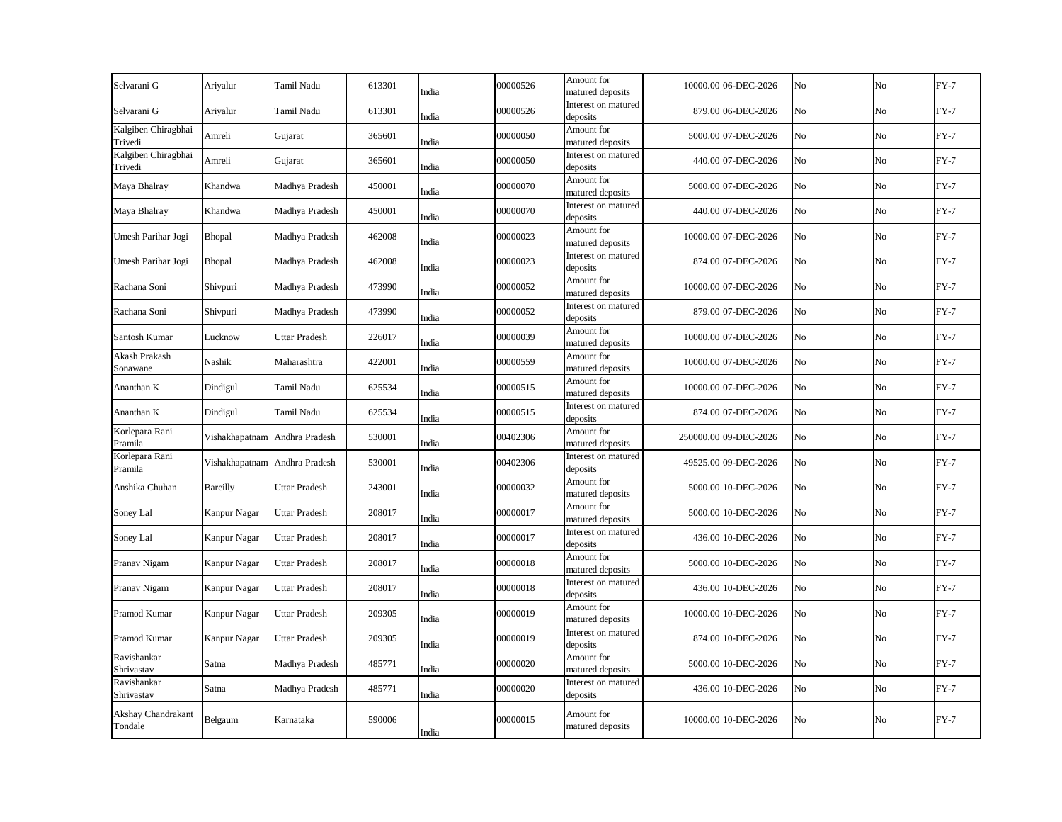| Selvarani G                           | Ariyalur                      | Tamil Nadu           | 613301 | India | 00000526 | Amount for<br>matured deposits  | 10000.00 06-DEC-2026  | No | No             | $FY-7$ |
|---------------------------------------|-------------------------------|----------------------|--------|-------|----------|---------------------------------|-----------------------|----|----------------|--------|
| Selvarani G                           | Ariyalur                      | Tamil Nadu           | 613301 | India | 00000526 | Interest on matured<br>deposits | 879.00 06-DEC-2026    | No | No             | $FY-7$ |
| Kalgiben Chiragbhai<br><b>Trivedi</b> | Amreli                        | Gujarat              | 365601 | India | 00000050 | Amount for<br>matured deposits  | 5000.00 07-DEC-2026   | No | No             | $FY-7$ |
| Kalgiben Chiragbhai<br>Trivedi        | Amreli                        | Gujarat              | 365601 | India | 00000050 | Interest on matured<br>deposits | 440.00 07-DEC-2026    | No | No             | $FY-7$ |
| Maya Bhalray                          | Khandwa                       | Madhya Pradesh       | 450001 | India | 00000070 | Amount for<br>matured deposits  | 5000.00 07-DEC-2026   | No | N <sub>o</sub> | $FY-7$ |
| Maya Bhalray                          | Khandwa                       | Madhya Pradesh       | 450001 | India | 00000070 | Interest on matured<br>deposits | 440.00 07-DEC-2026    | No | No             | $FY-7$ |
| Umesh Parihar Jogi                    | Bhopal                        | Madhya Pradesh       | 462008 | India | 00000023 | Amount for<br>matured deposits  | 10000.00 07-DEC-2026  | No | No             | $FY-7$ |
| Umesh Parihar Jogi                    | Bhopal                        | Madhya Pradesh       | 462008 | India | 00000023 | Interest on matured<br>deposits | 874.00 07-DEC-2026    | No | No             | $FY-7$ |
| Rachana Soni                          | Shivpuri                      | Madhya Pradesh       | 473990 | India | 00000052 | Amount for<br>matured deposits  | 10000.00 07-DEC-2026  | No | No             | $FY-7$ |
| Rachana Soni                          | Shivpuri                      | Madhya Pradesh       | 473990 | India | 00000052 | Interest on matured<br>deposits | 879.00 07-DEC-2026    | No | No             | $FY-7$ |
| Santosh Kumar                         | Lucknow                       | <b>Uttar Pradesh</b> | 226017 | India | 00000039 | Amount for<br>matured deposits  | 10000.00 07-DEC-2026  | No | No             | $FY-7$ |
| Akash Prakash<br>Sonawane             | Nashik                        | Maharashtra          | 422001 | India | 00000559 | Amount for<br>matured deposits  | 10000.00 07-DEC-2026  | No | No             | $FY-7$ |
| Ananthan K                            | Dindigul                      | Tamil Nadu           | 625534 | India | 00000515 | Amount for<br>matured deposits  | 10000.00 07-DEC-2026  | No | No             | $FY-7$ |
| Ananthan K                            | Dindigul                      | Tamil Nadu           | 625534 | India | 00000515 | Interest on matured<br>deposits | 874.00 07-DEC-2026    | No | No             | $FY-7$ |
| Korlepara Rani<br>Pramila             | Vishakhapatnam Andhra Pradesh |                      | 530001 | India | 00402306 | Amount for<br>matured deposits  | 250000.00 09-DEC-2026 | No | No             | $FY-7$ |
| Korlepara Rani<br>Pramila             | Vishakhapatnam Andhra Pradesh |                      | 530001 | India | 00402306 | Interest on matured<br>deposits | 49525.00 09-DEC-2026  | No | No             | $FY-7$ |
| Anshika Chuhan                        | Bareilly                      | <b>Uttar Pradesh</b> | 243001 | India | 00000032 | Amount for<br>matured deposits  | 5000.00 10-DEC-2026   | No | No             | $FY-7$ |
| Soney Lal                             | Kanpur Nagar                  | <b>Uttar Pradesh</b> | 208017 | India | 00000017 | Amount for<br>matured deposits  | 5000.00 10-DEC-2026   | No | No             | $FY-7$ |
| Soney Lal                             | Kanpur Nagar                  | Uttar Pradesh        | 208017 | India | 00000017 | Interest on matured<br>deposits | 436.00 10-DEC-2026    | No | No             | $FY-7$ |
| Pranav Nigam                          | Kanpur Nagar                  | Uttar Pradesh        | 208017 | India | 00000018 | Amount for<br>matured deposits  | 5000.00 10-DEC-2026   | No | No             | $FY-7$ |
| Pranav Nigam                          | Kanpur Nagar                  | <b>Uttar Pradesh</b> | 208017 | India | 00000018 | Interest on matured<br>deposits | 436.00 10-DEC-2026    | No | No             | $FY-7$ |
| Pramod Kumar                          | Kanpur Nagar                  | <b>Uttar Pradesh</b> | 209305 | India | 00000019 | Amount for<br>matured deposits  | 10000.00 10-DEC-2026  | No | No             | $FY-7$ |
| Pramod Kumar                          | Kanpur Nagar                  | Uttar Pradesh        | 209305 | India | 00000019 | Interest on matured<br>deposits | 874.00 10-DEC-2026    | No | No             | $FY-7$ |
| Ravishankar<br>Shrivastav             | Satna                         | Madhya Pradesh       | 485771 | India | 00000020 | Amount for<br>matured deposits  | 5000.00 10-DEC-2026   | No | No             | $FY-7$ |
| Ravishankar<br>Shrivastav             | Satna                         | Madhya Pradesh       | 485771 | India | 00000020 | Interest on matured<br>deposits | 436.00 10-DEC-2026    | No | No             | $FY-7$ |
| Akshay Chandrakant<br>Tondale         | Belgaum                       | Karnataka            | 590006 | India | 00000015 | Amount for<br>matured deposits  | 10000.00 10-DEC-2026  | No | No             | $FY-7$ |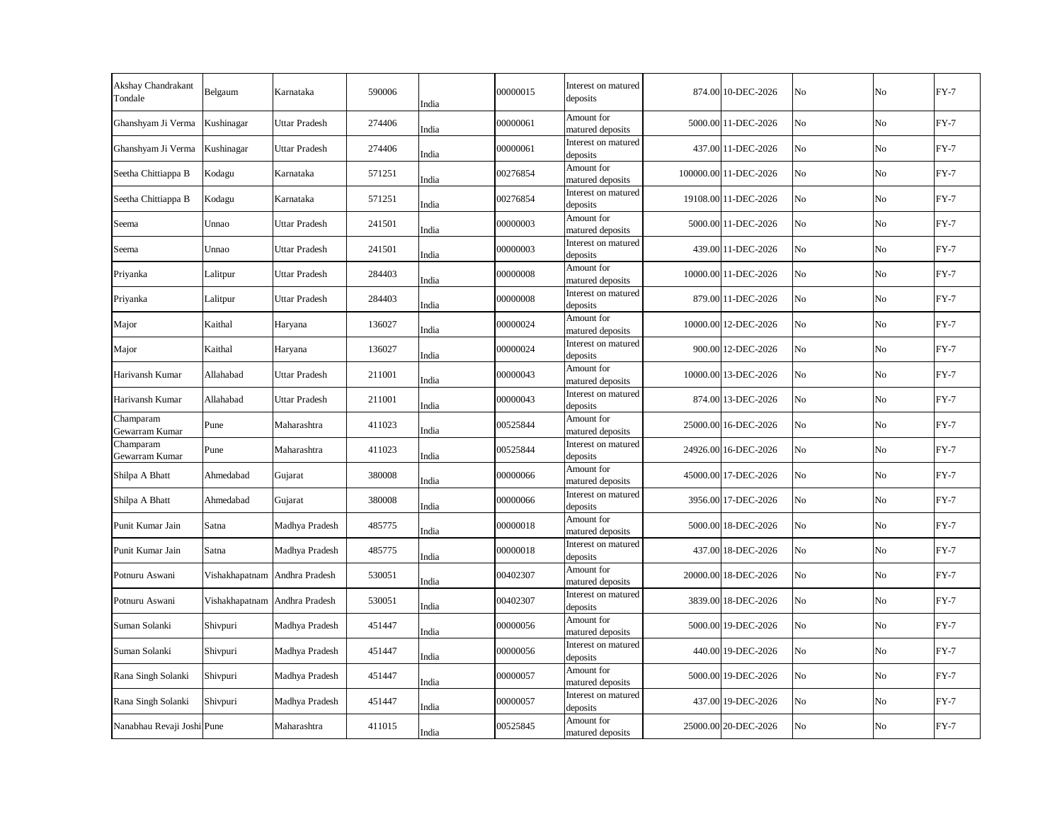| Akshay Chandrakant<br>Tondale | Belgaum                       | Karnataka            | 590006 | India | 00000015 | Interest on matured<br>deposits | 874.00 10-DEC-2026    | No             | No | $FY-7$ |
|-------------------------------|-------------------------------|----------------------|--------|-------|----------|---------------------------------|-----------------------|----------------|----|--------|
| Ghanshyam Ji Verma            | Kushinagar                    | <b>Uttar Pradesh</b> | 274406 | India | 00000061 | Amount for<br>matured deposits  | 5000.00 11-DEC-2026   | N <sub>o</sub> | No | $FY-7$ |
| Ghanshyam Ji Verma            | Kushinagar                    | <b>Uttar Pradesh</b> | 274406 | India | 00000061 | Interest on matured<br>deposits | 437.00 11-DEC-2026    | No             | No | $FY-7$ |
| Seetha Chittiappa B           | Kodagu                        | Karnataka            | 571251 | India | 00276854 | Amount for<br>matured deposits  | 100000.00 11-DEC-2026 | No             | No | $FY-7$ |
| Seetha Chittiappa B           | Kodagu                        | Karnataka            | 571251 | India | 00276854 | Interest on matured<br>deposits | 19108.00 11-DEC-2026  | No             | No | $FY-7$ |
| Seema                         | Unnao                         | Uttar Pradesh        | 241501 | India | 00000003 | Amount for<br>matured deposits  | 5000.00 11-DEC-2026   | No             | No | $FY-7$ |
| Seema                         | Unnao                         | <b>Uttar Pradesh</b> | 241501 | India | 00000003 | Interest on matured<br>deposits | 439.00 11-DEC-2026    | No             | No | $FY-7$ |
| Priyanka                      | Lalitpur                      | <b>Uttar Pradesh</b> | 284403 | India | 00000008 | Amount for<br>matured deposits  | 10000.00 11-DEC-2026  | No             | No | $FY-7$ |
| Priyanka                      | Lalitpur                      | <b>Uttar Pradesh</b> | 284403 | India | 00000008 | Interest on matured<br>deposits | 879.00 11-DEC-2026    | No             | No | $FY-7$ |
| Major                         | Kaithal                       | Haryana              | 136027 | India | 00000024 | Amount for<br>matured deposits  | 10000.00 12-DEC-2026  | No             | No | $FY-7$ |
| Major                         | Kaithal                       | Haryana              | 136027 | India | 00000024 | Interest on matured<br>deposits | 900.00 12-DEC-2026    | No             | No | $FY-7$ |
| Harivansh Kumar               | Allahabad                     | Uttar Pradesh        | 211001 | India | 00000043 | Amount for<br>matured deposits  | 10000.00 13-DEC-2026  | N <sub>o</sub> | No | $FY-7$ |
| Harivansh Kumar               | Allahabad                     | <b>Uttar Pradesh</b> | 211001 | India | 00000043 | Interest on matured<br>deposits | 874.00 13-DEC-2026    | No             | No | $FY-7$ |
| Champaram<br>Gewarram Kumar   | Pune                          | Maharashtra          | 411023 | India | 00525844 | Amount for<br>matured deposits  | 25000.00 16-DEC-2026  | No             | No | $FY-7$ |
| Champaram<br>Gewarram Kumar   | Pune                          | Maharashtra          | 411023 | India | 00525844 | Interest on matured<br>deposits | 24926.00 16-DEC-2026  | No             | No | $FY-7$ |
| Shilpa A Bhatt                | Ahmedabad                     | Gujarat              | 380008 | India | 00000066 | Amount for<br>matured deposits  | 45000.00 17-DEC-2026  | No             | No | $FY-7$ |
| Shilpa A Bhatt                | Ahmedabad                     | Gujarat              | 380008 | India | 00000066 | Interest on matured<br>deposits | 3956.00 17-DEC-2026   | No             | No | $FY-7$ |
| Punit Kumar Jain              | Satna                         | Madhya Pradesh       | 485775 | India | 00000018 | Amount for<br>matured deposits  | 5000.00 18-DEC-2026   | N <sub>o</sub> | No | $FY-7$ |
| Punit Kumar Jain              | Satna                         | Madhya Pradesh       | 485775 | India | 00000018 | Interest on matured<br>deposits | 437.00 18-DEC-2026    | No             | No | $FY-7$ |
| Potnuru Aswani                | Vishakhapatnam Andhra Pradesh |                      | 530051 | India | 00402307 | Amount for<br>matured deposits  | 20000.00 18-DEC-2026  | No             | No | $FY-7$ |
| Potnuru Aswani                | Vishakhapatnam Andhra Pradesh |                      | 530051 | India | 00402307 | Interest on matured<br>deposits | 3839.00 18-DEC-2026   | No             | No | $FY-7$ |
| Suman Solanki                 | Shivpuri                      | Madhya Pradesh       | 451447 | India | 00000056 | Amount for<br>matured deposits  | 5000.00 19-DEC-2026   | No             | No | $FY-7$ |
| Suman Solanki                 | Shivpuri                      | Madhya Pradesh       | 451447 | India | 00000056 | Interest on matured<br>deposits | 440.00 19-DEC-2026    | No             | No | $FY-7$ |
| Rana Singh Solanki            | Shivpuri                      | Madhya Pradesh       | 451447 | India | 00000057 | Amount for<br>matured deposits  | 5000.00 19-DEC-2026   | No             | No | $FY-7$ |
| Rana Singh Solanki            | Shivpuri                      | Madhya Pradesh       | 451447 | India | 00000057 | Interest on matured<br>deposits | 437.00 19-DEC-2026    | No             | No | $FY-7$ |
| Nanabhau Revaji Joshi Pune    |                               | Maharashtra          | 411015 | India | 00525845 | Amount for<br>matured deposits  | 25000.00 20-DEC-2026  | No             | No | $FY-7$ |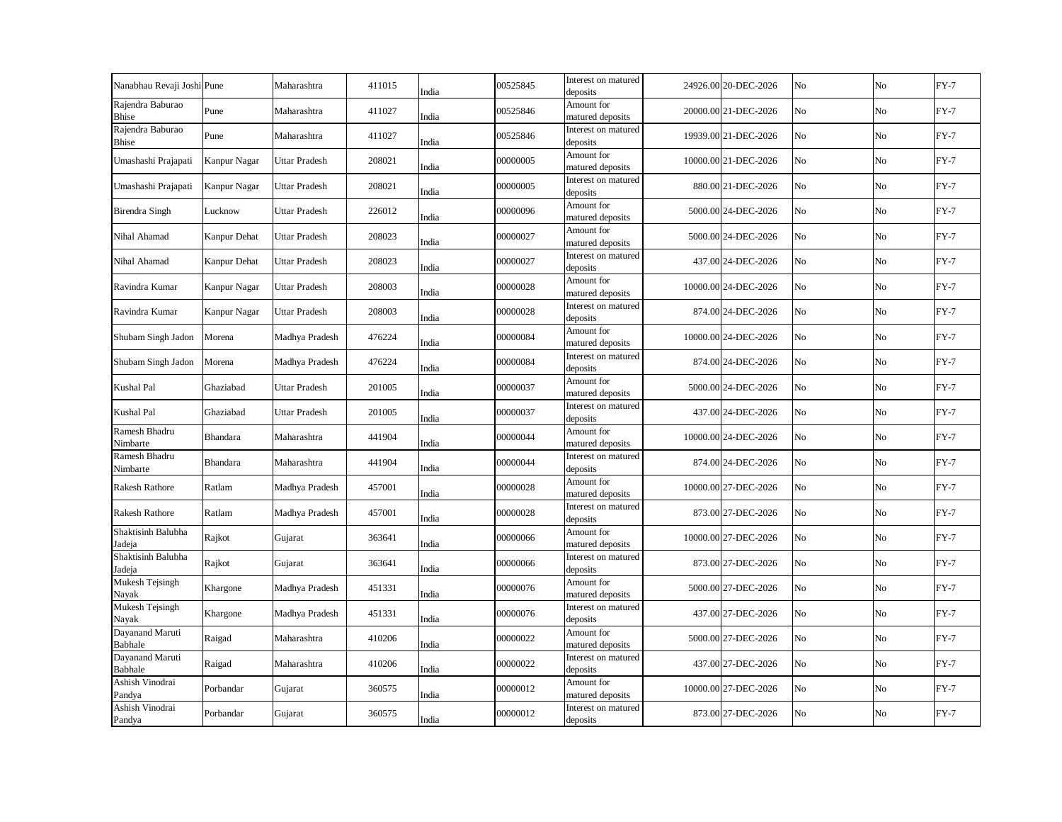| Nanabhau Revaji Joshi Pune   |              | Maharashtra          | 411015 | India | 00525845 | Interest on matured<br>deposits | 24926.00 20-DEC-2026 | No | No             | $FY-7$ |
|------------------------------|--------------|----------------------|--------|-------|----------|---------------------------------|----------------------|----|----------------|--------|
| Rajendra Baburao<br>Bhise    | Pune         | Maharashtra          | 411027 | India | 00525846 | Amount for<br>matured deposits  | 20000.00 21-DEC-2026 | No | No             | $FY-7$ |
| Rajendra Baburao<br>Bhise    | Pune         | Maharashtra          | 411027 | India | 00525846 | Interest on matured<br>deposits | 19939.00 21-DEC-2026 | No | No             | $FY-7$ |
| Umashashi Prajapati          | Kanpur Nagar | <b>Uttar Pradesh</b> | 208021 | India | 00000005 | Amount for<br>matured deposits  | 10000.00 21-DEC-2026 | No | No             | $FY-7$ |
| Umashashi Prajapati          | Kanpur Nagar | <b>Uttar Pradesh</b> | 208021 | India | 00000005 | Interest on matured<br>deposits | 880.00 21-DEC-2026   | No | N <sub>o</sub> | $FY-7$ |
| <b>Birendra Singh</b>        | Lucknow      | Uttar Pradesh        | 226012 | India | 00000096 | Amount for<br>matured deposits  | 5000.00 24-DEC-2026  | No | No             | $FY-7$ |
| Nihal Ahamad                 | Kanpur Dehat | <b>Uttar Pradesh</b> | 208023 | India | 00000027 | Amount for<br>matured deposits  | 5000.00 24-DEC-2026  | No | No             | $FY-7$ |
| Nihal Ahamad                 | Kanpur Dehat | <b>Uttar Pradesh</b> | 208023 | India | 00000027 | Interest on matured<br>deposits | 437.00 24-DEC-2026   | No | No             | $FY-7$ |
| Ravindra Kumar               | Kanpur Nagar | <b>Uttar Pradesh</b> | 208003 | India | 00000028 | Amount for<br>matured deposits  | 10000.00 24-DEC-2026 | No | No             | $FY-7$ |
| Ravindra Kumar               | Kanpur Nagar | <b>Uttar Pradesh</b> | 208003 | India | 00000028 | Interest on matured<br>deposits | 874.00 24-DEC-2026   | No | No             | $FY-7$ |
| Shubam Singh Jadon           | Morena       | Madhya Pradesh       | 476224 | India | 00000084 | Amount for<br>matured deposits  | 10000.00 24-DEC-2026 | No | No             | $FY-7$ |
| Shubam Singh Jadon           | Morena       | Madhya Pradesh       | 476224 | India | 00000084 | Interest on matured<br>deposits | 874.00 24-DEC-2026   | No | No             | $FY-7$ |
| <b>Kushal Pal</b>            | Ghaziabad    | Uttar Pradesh        | 201005 | India | 00000037 | Amount for<br>matured deposits  | 5000.00 24-DEC-2026  | No | No             | $FY-7$ |
| Kushal Pal                   | Ghaziabad    | Uttar Pradesh        | 201005 | India | 00000037 | Interest on matured<br>deposits | 437.00 24-DEC-2026   | No | No             | $FY-7$ |
| Ramesh Bhadru<br>Nimbarte    | Bhandara     | Maharashtra          | 441904 | India | 00000044 | Amount for<br>matured deposits  | 10000.00 24-DEC-2026 | No | No             | $FY-7$ |
| Ramesh Bhadru<br>Nimbarte    | Bhandara     | Maharashtra          | 441904 | India | 00000044 | Interest on matured<br>deposits | 874.00 24-DEC-2026   | No | No             | $FY-7$ |
| <b>Rakesh Rathore</b>        | Ratlam       | Madhya Pradesh       | 457001 | India | 00000028 | Amount for<br>matured deposits  | 10000.00 27-DEC-2026 | No | No             | $FY-7$ |
| <b>Rakesh Rathore</b>        | Ratlam       | Madhya Pradesh       | 457001 | India | 00000028 | Interest on matured<br>deposits | 873.00 27-DEC-2026   | No | No             | $FY-7$ |
| Shaktisinh Balubha<br>adeja  | Rajkot       | Gujarat              | 363641 | India | 00000066 | Amount for<br>matured deposits  | 10000.00 27-DEC-2026 | No | No             | $FY-7$ |
| Shaktisinh Balubha<br>Jadeja | Rajkot       | Gujarat              | 363641 | India | 00000066 | Interest on matured<br>deposits | 873.00 27-DEC-2026   | No | No             | $FY-7$ |
| Mukesh Tejsingh<br>Nayak     | Khargone     | Madhya Pradesh       | 451331 | India | 00000076 | Amount for<br>matured deposits  | 5000.00 27-DEC-2026  | No | No             | $FY-7$ |
| Mukesh Tejsingh<br>Nayak     | Khargone     | Madhya Pradesh       | 451331 | India | 00000076 | Interest on matured<br>deposits | 437.00 27-DEC-2026   | No | No             | $FY-7$ |
| Dayanand Maruti<br>Babhale   | Raigad       | Maharashtra          | 410206 | India | 00000022 | Amount for<br>matured deposits  | 5000.00 27-DEC-2026  | No | No             | $FY-7$ |
| Dayanand Maruti<br>Babhale   | Raigad       | Maharashtra          | 410206 | India | 00000022 | Interest on matured<br>deposits | 437.00 27-DEC-2026   | No | No             | $FY-7$ |
| Ashish Vinodrai<br>Pandya    | Porbandar    | Gujarat              | 360575 | India | 00000012 | Amount for<br>matured deposits  | 10000.00 27-DEC-2026 | No | No             | $FY-7$ |
| Ashish Vinodrai<br>Pandya    | Porbandar    | Gujarat              | 360575 | India | 00000012 | Interest on matured<br>deposits | 873.00 27-DEC-2026   | No | No             | $FY-7$ |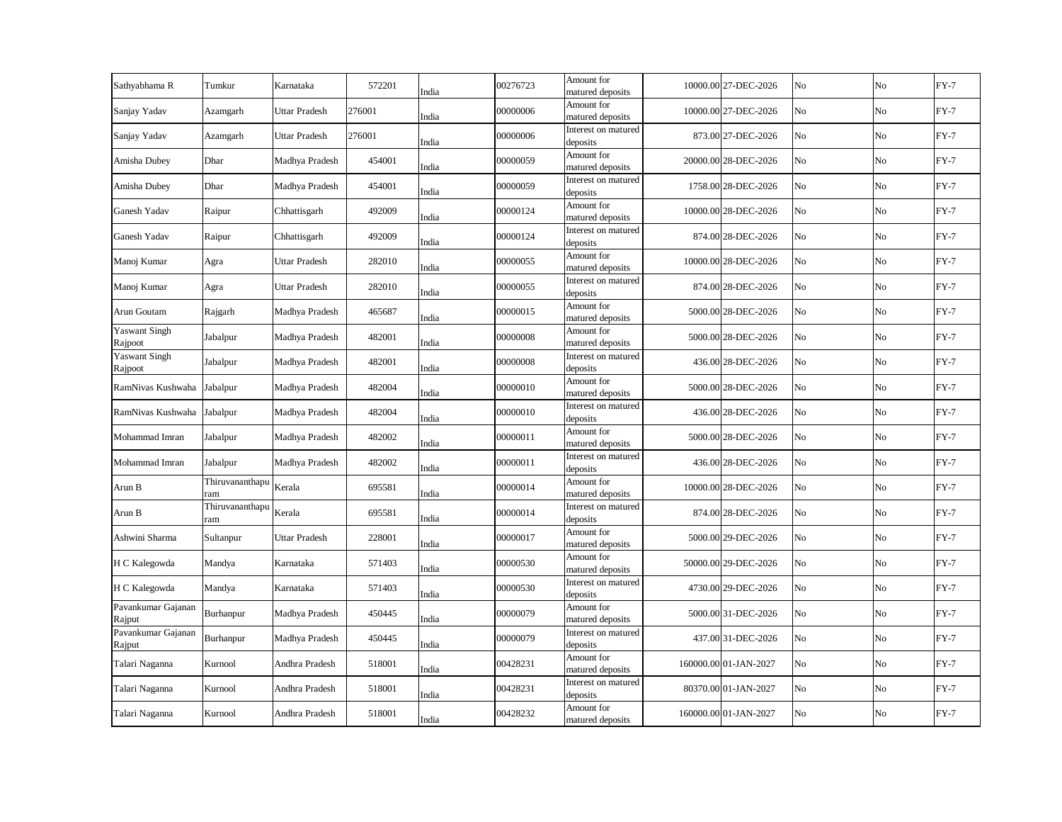| Sathyabhama R                   | Tumkur                 | Karnataka            | 572201 | India | 00276723 | Amount for<br>matured deposits  | 10000.00 27-DEC-2026  | No             | No | $FY-7$ |
|---------------------------------|------------------------|----------------------|--------|-------|----------|---------------------------------|-----------------------|----------------|----|--------|
| Sanjay Yadav                    | Azamgarh               | Uttar Pradesh        | 276001 | India | 00000006 | Amount for<br>matured deposits  | 10000.00 27-DEC-2026  | No             | No | $FY-7$ |
| Sanjay Yadav                    | Azamgarh               | <b>Uttar Pradesh</b> | 276001 | India | 00000006 | Interest on matured<br>deposits | 873.00 27-DEC-2026    | No             | No | $FY-7$ |
| Amisha Dubey                    | Dhar                   | Madhya Pradesh       | 454001 | India | 00000059 | Amount for<br>matured deposits  | 20000.00 28-DEC-2026  | N <sub>o</sub> | No | $FY-7$ |
| Amisha Dubey                    | Dhar                   | Madhya Pradesh       | 454001 | India | 00000059 | Interest on matured<br>deposits | 1758.00 28-DEC-2026   | No             | No | $FY-7$ |
| Ganesh Yadav                    | Raipur                 | Chhattisgarh         | 492009 | India | 00000124 | Amount for<br>matured deposits  | 10000.00 28-DEC-2026  | No             | No | $FY-7$ |
| Ganesh Yadav                    | Raipur                 | Chhattisgarh         | 492009 | India | 00000124 | Interest on matured<br>deposits | 874.00 28-DEC-2026    | No             | No | $FY-7$ |
| Manoj Kumar                     | Agra                   | Uttar Pradesh        | 282010 | India | 00000055 | Amount for<br>matured deposits  | 10000.00 28-DEC-2026  | No             | No | $FY-7$ |
| Manoj Kumar                     | Agra                   | <b>Uttar Pradesh</b> | 282010 | India | 00000055 | Interest on matured<br>deposits | 874.00 28-DEC-2026    | No             | No | $FY-7$ |
| Arun Goutam                     | Rajgarh                | Madhya Pradesh       | 465687 | India | 00000015 | Amount for<br>matured deposits  | 5000.00 28-DEC-2026   | No             | No | $FY-7$ |
| <b>Yaswant Singh</b><br>Rajpoot | Jabalpur               | Madhya Pradesh       | 482001 | India | 00000008 | Amount for<br>matured deposits  | 5000.00 28-DEC-2026   | No             | No | $FY-7$ |
| Yaswant Singh<br>Rajpoot        | Jabalpur               | Madhya Pradesh       | 482001 | India | 00000008 | Interest on matured<br>deposits | 436.00 28-DEC-2026    | No             | No | $FY-7$ |
| RamNivas Kushwaha               | Jabalpur               | Madhya Pradesh       | 482004 | India | 00000010 | Amount for<br>matured deposits  | 5000.00 28-DEC-2026   | No             | No | $FY-7$ |
| RamNivas Kushwaha               | Jabalpur               | Madhya Pradesh       | 482004 | India | 00000010 | Interest on matured<br>deposits | 436.00 28-DEC-2026    | No             | No | $FY-7$ |
| Mohammad Imran                  | Jabalpur               | Madhya Pradesh       | 482002 | India | 00000011 | Amount for<br>matured deposits  | 5000.00 28-DEC-2026   | No             | No | $FY-7$ |
| Mohammad Imran                  | Jabalpur               | Madhya Pradesh       | 482002 | India | 00000011 | Interest on matured<br>deposits | 436.00 28-DEC-2026    | No             | No | $FY-7$ |
| Arun B                          | Thiruvananthapu<br>ram | Kerala               | 695581 | India | 00000014 | Amount for<br>matured deposits  | 10000.00 28-DEC-2026  | No             | No | $FY-7$ |
| Arun B                          | Thiruvananthapu<br>ram | Kerala               | 695581 | India | 00000014 | Interest on matured<br>deposits | 874.00 28-DEC-2026    | No             | No | $FY-7$ |
| Ashwini Sharma                  | Sultanpur              | Uttar Pradesh        | 228001 | India | 00000017 | Amount for<br>matured deposits  | 5000.00 29-DEC-2026   | No             | No | $FY-7$ |
| H C Kalegowda                   | Mandya                 | Karnataka            | 571403 | India | 00000530 | Amount for<br>matured deposits  | 50000.00 29-DEC-2026  | No             | No | $FY-7$ |
| H C Kalegowda                   | Mandya                 | Karnataka            | 571403 | India | 00000530 | Interest on matured<br>deposits | 4730.00 29-DEC-2026   | No             | No | $FY-7$ |
| Pavankumar Gajanan<br>Rajput    | Burhanpur              | Madhya Pradesh       | 450445 | India | 00000079 | Amount for<br>matured deposits  | 5000.00 31-DEC-2026   | No             | No | $FY-7$ |
| Pavankumar Gajanan<br>Rajput    | Burhanpur              | Madhya Pradesh       | 450445 | India | 00000079 | Interest on matured<br>deposits | 437.00 31-DEC-2026    | No             | No | $FY-7$ |
| Talari Naganna                  | Kurnool                | Andhra Pradesh       | 518001 | India | 00428231 | Amount for<br>matured deposits  | 160000.00 01-JAN-2027 | No             | No | $FY-7$ |
| Talari Naganna                  | Kurnool                | Andhra Pradesh       | 518001 | India | 00428231 | Interest on matured<br>deposits | 80370.00 01-JAN-2027  | No             | No | $FY-7$ |
| Talari Naganna                  | Kurnool                | Andhra Pradesh       | 518001 | India | 00428232 | Amount for<br>matured deposits  | 160000.00 01-JAN-2027 | No             | No | $FY-7$ |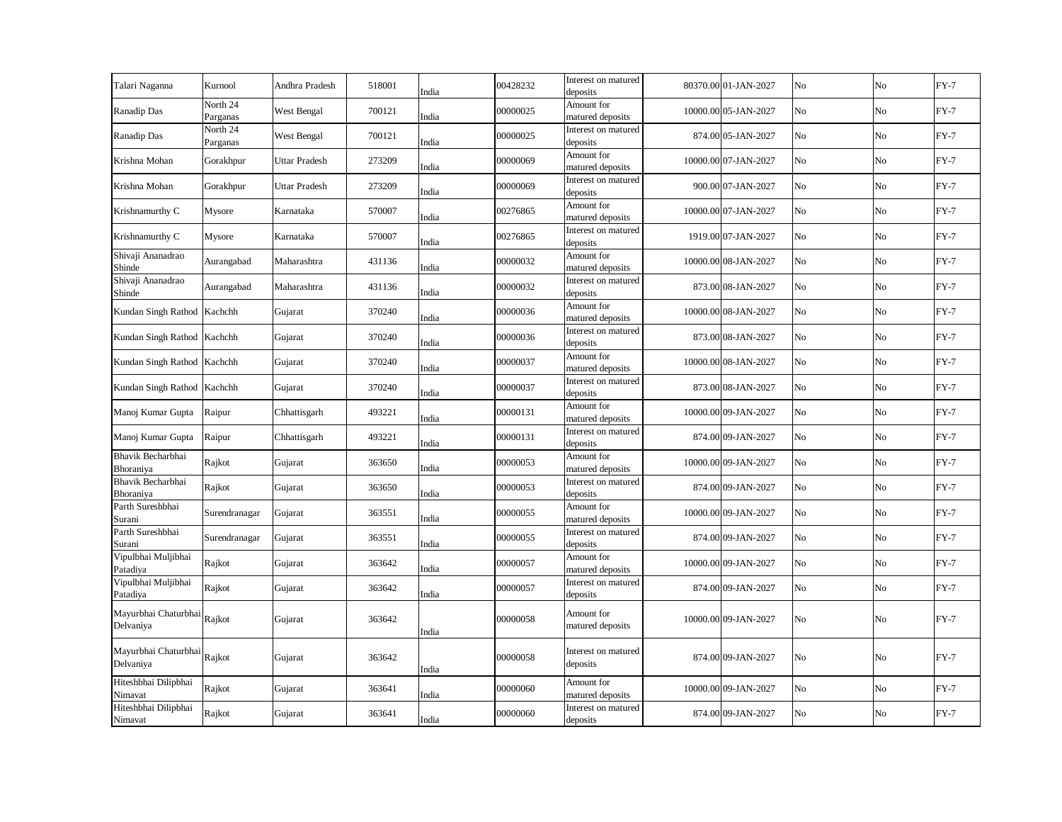| Talari Naganna                           | Kurnool              | Andhra Pradesh       | 518001 | India | 00428232 | Interest on matured<br>deposits | 80370.00 01-JAN-2027 | No | No             | $FY-7$ |
|------------------------------------------|----------------------|----------------------|--------|-------|----------|---------------------------------|----------------------|----|----------------|--------|
| Ranadip Das                              | North 24<br>Parganas | West Bengal          | 700121 | India | 00000025 | Amount for<br>matured deposits  | 10000.00 05-JAN-2027 | No | No             | $FY-7$ |
| Ranadip Das                              | North 24<br>Parganas | West Bengal          | 700121 | India | 00000025 | Interest on matured<br>deposits | 874.00 05-JAN-2027   | No | No             | $FY-7$ |
| Krishna Mohan                            | Gorakhpur            | Uttar Pradesh        | 273209 | India | 00000069 | Amount for<br>matured deposits  | 10000.00 07-JAN-2027 | No | No             | $FY-7$ |
| Krishna Mohan                            | Gorakhpur            | <b>Uttar Pradesh</b> | 273209 | India | 00000069 | Interest on matured<br>deposits | 900.00 07-JAN-2027   | No | No             | $FY-7$ |
| Krishnamurthy C                          | Mysore               | Karnataka            | 570007 | India | 00276865 | Amount for<br>matured deposits  | 10000.00 07-JAN-2027 | No | N <sub>o</sub> | $FY-7$ |
| Krishnamurthy C                          | Mysore               | Karnataka            | 570007 | India | 00276865 | Interest on matured<br>deposits | 1919.00 07-JAN-2027  | No | No             | $FY-7$ |
| Shivaji Ananadrao<br>Shinde              | Aurangabad           | Maharashtra          | 431136 | India | 00000032 | Amount for<br>matured deposits  | 10000.00 08-JAN-2027 | No | No             | $FY-7$ |
| Shivaji Ananadrao<br>Shinde              | Aurangabad           | Maharashtra          | 431136 | India | 00000032 | Interest on matured<br>deposits | 873.00 08-JAN-2027   | No | No             | $FY-7$ |
| Kundan Singh Rathod Kachchh              |                      | Gujarat              | 370240 | India | 00000036 | Amount for<br>matured deposits  | 10000.00 08-JAN-2027 | No | No             | $FY-7$ |
| Kundan Singh Rathod Kachchh              |                      | Gujarat              | 370240 | India | 00000036 | Interest on matured<br>deposits | 873.00 08-JAN-2027   | No | No             | $FY-7$ |
| Kundan Singh Rathod Kachchh              |                      | Gujarat              | 370240 | India | 00000037 | Amount for<br>matured deposits  | 10000.00 08-JAN-2027 | No | No             | $FY-7$ |
| Kundan Singh Rathod Kachchh              |                      | Gujarat              | 370240 | India | 00000037 | Interest on matured<br>deposits | 873.00 08-JAN-2027   | No | No             | $FY-7$ |
| Manoj Kumar Gupta                        | Raipur               | Chhattisgarh         | 493221 | India | 00000131 | Amount for<br>matured deposits  | 10000.00 09-JAN-2027 | No | No             | $FY-7$ |
| Manoj Kumar Gupta                        | Raipur               | Chhattisgarh         | 493221 | India | 00000131 | Interest on matured<br>deposits | 874.00 09-JAN-2027   | No | No             | $FY-7$ |
| Bhavik Becharbhai<br>Bhoraniya           | Rajkot               | Gujarat              | 363650 | India | 00000053 | Amount for<br>matured deposits  | 10000.00 09-JAN-2027 | No | No             | $FY-7$ |
| Bhavik Becharbhai<br>Bhoraniya           | Rajkot               | Gujarat              | 363650 | India | 00000053 | Interest on matured<br>deposits | 874.00 09-JAN-2027   | No | No             | $FY-7$ |
| Parth Sureshbhai<br>Surani               | Surendranagar        | Gujarat              | 363551 | India | 00000055 | Amount for<br>matured deposits  | 10000.00 09-JAN-2027 | No | No             | $FY-7$ |
| Parth Sureshbhai<br>Surani               | Surendranagar        | Gujarat              | 363551 | India | 00000055 | Interest on matured<br>deposits | 874.00 09-JAN-2027   | No | No             | $FY-7$ |
| Vipulbhai Muljibhai<br>Patadiya          | Rajkot               | Gujarat              | 363642 | India | 00000057 | Amount for<br>matured deposits  | 10000.00 09-JAN-2027 | No | No             | $FY-7$ |
| Vipulbhai Muljibhai<br>Patadiya          | Rajkot               | Gujarat              | 363642 | India | 00000057 | Interest on matured<br>deposits | 874.00 09-JAN-2027   | No | No             | $FY-7$ |
| Mayurbhai Chaturbhai Rajkot<br>Delvaniya |                      | Gujarat              | 363642 | India | 00000058 | Amount for<br>matured deposits  | 10000.00 09-JAN-2027 | No | No             | $FY-7$ |
| Mayurbhai Chaturbhai Rajkot<br>Delvaniya |                      | Gujarat              | 363642 | India | 00000058 | Interest on matured<br>deposits | 874.00 09-JAN-2027   | No | No             | $FY-7$ |
| Hiteshbhai Dilipbhai<br>Nimavat          | Rajkot               | Gujarat              | 363641 | India | 00000060 | Amount for<br>matured deposits  | 10000.00 09-JAN-2027 | No | No             | $FY-7$ |
| Hiteshbhai Dilipbhai<br>Nimavat          | Rajkot               | Gujarat              | 363641 | India | 00000060 | Interest on matured<br>deposits | 874.00 09-JAN-2027   | No | No             | $FY-7$ |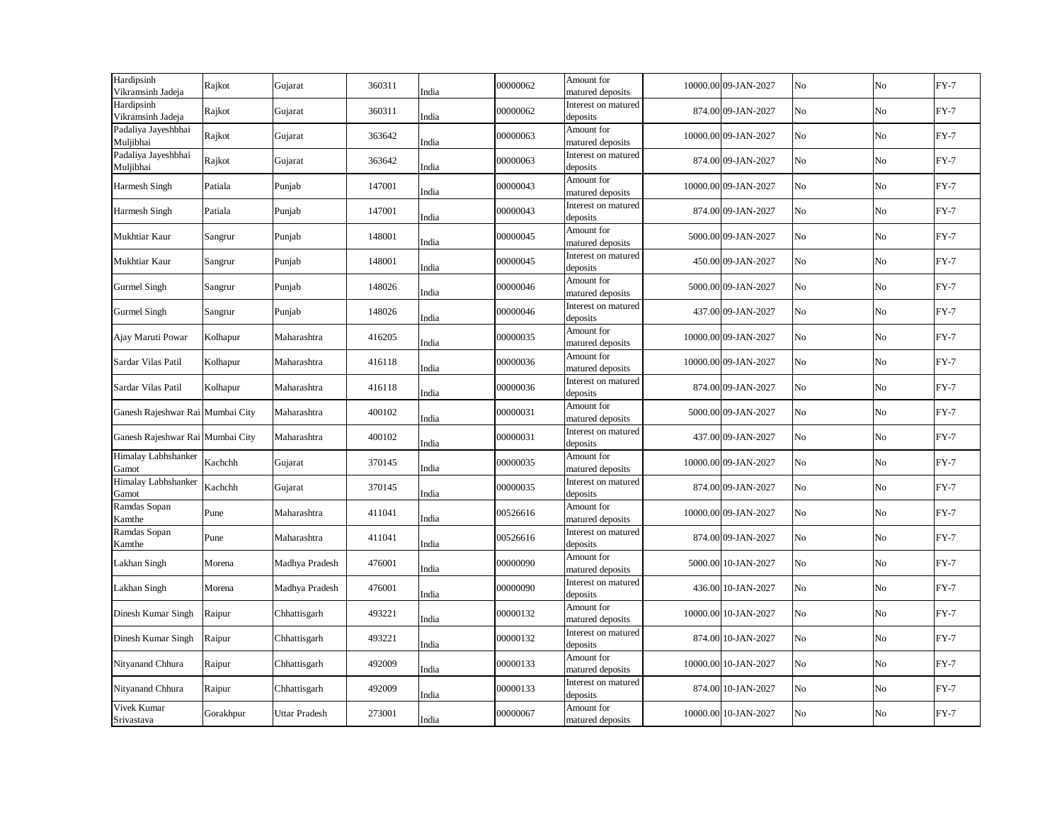| Hardipsinh<br>Vikramsinh Jadeja  | Rajkot    | Gujarat              | 360311 | India | 00000062 | Amount for<br>matured deposits  | 10000.00 09-JAN-2027 | No | No | $FY-7$ |
|----------------------------------|-----------|----------------------|--------|-------|----------|---------------------------------|----------------------|----|----|--------|
| Hardipsinh<br>Vikramsinh Jadeja  | Rajkot    | Gujarat              | 360311 | India | 00000062 | Interest on matured<br>deposits | 874.00 09-JAN-2027   | No | No | $FY-7$ |
| Padaliya Jayeshbhai<br>Muljibhai | Rajkot    | Gujarat              | 363642 | India | 00000063 | Amount for<br>matured deposits  | 10000.00 09-JAN-2027 | No | No | $FY-7$ |
| Padaliya Jayeshbhai<br>Muljibhai | Rajkot    | Gujarat              | 363642 | India | 00000063 | Interest on matured<br>deposits | 874.00 09-JAN-2027   | No | No | $FY-7$ |
| Harmesh Singh                    | Patiala   | Punjab               | 147001 | India | 00000043 | Amount for<br>matured deposits  | 10000.00 09-JAN-2027 | No | No | $FY-7$ |
| Harmesh Singh                    | Patiala   | Punjab               | 147001 | India | 00000043 | Interest on matured<br>deposits | 874.00 09-JAN-2027   | No | No | $FY-7$ |
| Mukhtiar Kaur                    | Sangrur   | Punjab               | 148001 | India | 00000045 | Amount for<br>matured deposits  | 5000.00 09-JAN-2027  | No | No | $FY-7$ |
| Mukhtiar Kaur                    | Sangrur   | Punjab               | 148001 | India | 00000045 | Interest on matured<br>deposits | 450.00 09-JAN-2027   | No | No | $FY-7$ |
| Gurmel Singh                     | Sangrur   | Punjab               | 148026 | India | 00000046 | Amount for<br>matured deposits  | 5000.00 09-JAN-2027  | No | No | $FY-7$ |
| Gurmel Singh                     | Sangrur   | Punjab               | 148026 | India | 00000046 | Interest on matured<br>deposits | 437.00 09-JAN-2027   | No | No | $FY-7$ |
| Ajay Maruti Powar                | Kolhapur  | Maharashtra          | 416205 | India | 00000035 | Amount for<br>matured deposits  | 10000.00 09-JAN-2027 | No | No | $FY-7$ |
| Sardar Vilas Patil               | Kolhapur  | Maharashtra          | 416118 | India | 00000036 | Amount for<br>matured deposits  | 10000.00 09-JAN-2027 | No | No | $FY-7$ |
| Sardar Vilas Patil               | Kolhapur  | Maharashtra          | 416118 | India | 00000036 | Interest on matured<br>deposits | 874.00 09-JAN-2027   | No | No | $FY-7$ |
| Ganesh Rajeshwar Rai Mumbai City |           | Maharashtra          | 400102 | India | 00000031 | Amount for<br>matured deposits  | 5000.00 09-JAN-2027  | No | No | $FY-7$ |
| Ganesh Rajeshwar Rai Mumbai City |           | Maharashtra          | 400102 | India | 00000031 | Interest on matured<br>deposits | 437.00 09-JAN-2027   | No | No | $FY-7$ |
| Himalay Labhshanker<br>Gamot     | Kachchh   | Gujarat              | 370145 | India | 00000035 | Amount for<br>matured deposits  | 10000.00 09-JAN-2027 | No | No | $FY-7$ |
| Himalay Labhshanker<br>Gamot     | Kachchh   | Gujarat              | 370145 | India | 00000035 | Interest on matured<br>deposits | 874.00 09-JAN-2027   | No | No | $FY-7$ |
| Ramdas Sopan<br>Kamthe           | Pune      | Maharashtra          | 411041 | India | 00526616 | Amount for<br>matured deposits  | 10000.00 09-JAN-2027 | No | No | $FY-7$ |
| Ramdas Sopan<br>Kamthe           | Pune      | Maharashtra          | 411041 | India | 00526616 | Interest on matured<br>deposits | 874.00 09-JAN-2027   | No | No | $FY-7$ |
| Lakhan Singh                     | Morena    | Madhya Pradesh       | 476001 | India | 00000090 | Amount for<br>matured deposits  | 5000.00 10-JAN-2027  | No | No | $FY-7$ |
| Lakhan Singh                     | Morena    | Madhya Pradesh       | 476001 | India | 00000090 | Interest on matured<br>deposits | 436.00 10-JAN-2027   | No | No | $FY-7$ |
| Dinesh Kumar Singh               | Raipur    | Chhattisgarh         | 493221 | India | 00000132 | Amount for<br>matured deposits  | 10000.00 10-JAN-2027 | No | No | $FY-7$ |
| Dinesh Kumar Singh               | Raipur    | Chhattisgarh         | 493221 | India | 00000132 | Interest on matured<br>deposits | 874.00 10-JAN-2027   | No | No | $FY-7$ |
| Nityanand Chhura                 | Raipur    | Chhattisgarh         | 492009 | India | 00000133 | Amount for<br>matured deposits  | 10000.00 10-JAN-2027 | No | No | $FY-7$ |
| Nityanand Chhura                 | Raipur    | Chhattisgarh         | 492009 | India | 00000133 | Interest on matured<br>deposits | 874.00 10-JAN-2027   | No | No | $FY-7$ |
| Vivek Kumar<br>Srivastava        | Gorakhpur | <b>Uttar Pradesh</b> | 273001 | India | 00000067 | Amount for<br>matured deposits  | 10000.00 10-JAN-2027 | No | No | $FY-7$ |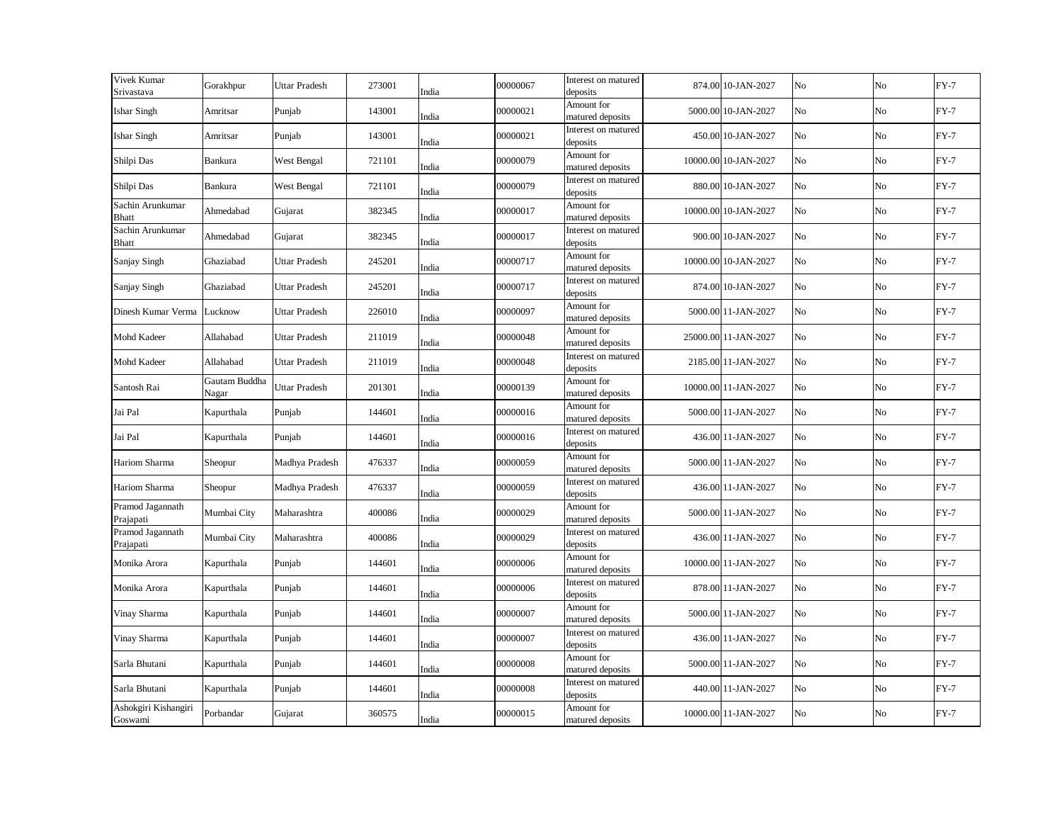| Vivek Kumar<br>Srivastava        | Gorakhpur              | <b>Uttar Pradesh</b> | 273001 | India | 00000067 | Interest on matured<br>deposits | 874.00 10-JAN-2027   | No | No | $FY-7$ |
|----------------------------------|------------------------|----------------------|--------|-------|----------|---------------------------------|----------------------|----|----|--------|
| <b>Ishar Singh</b>               | Amritsar               | Punjab               | 143001 | India | 00000021 | Amount for<br>matured deposits  | 5000.00 10-JAN-2027  | No | No | $FY-7$ |
| <b>Ishar Singh</b>               | Amritsar               | Punjab               | 143001 | India | 00000021 | Interest on matured<br>deposits | 450.00 10-JAN-2027   | No | No | $FY-7$ |
| Shilpi Das                       | Bankura                | West Bengal          | 721101 | India | 00000079 | Amount for<br>matured deposits  | 10000.00 10-JAN-2027 | No | No | $FY-7$ |
| Shilpi Das                       | Bankura                | West Bengal          | 721101 | India | 00000079 | Interest on matured<br>deposits | 880.00 10-JAN-2027   | No | No | $FY-7$ |
| Sachin Arunkumar<br>Bhatt        | Ahmedabad              | Gujarat              | 382345 | India | 00000017 | Amount for<br>matured deposits  | 10000.00 10-JAN-2027 | No | No | $FY-7$ |
| Sachin Arunkumar<br><b>Bhatt</b> | Ahmedabad              | Gujarat              | 382345 | India | 00000017 | Interest on matured<br>deposits | 900.00 10-JAN-2027   | No | No | $FY-7$ |
| Sanjay Singh                     | Ghaziabad              | <b>Uttar Pradesh</b> | 245201 | India | 00000717 | Amount for<br>matured deposits  | 10000.00 10-JAN-2027 | No | No | $FY-7$ |
| Sanjay Singh                     | Ghaziabad              | Uttar Pradesh        | 245201 | India | 00000717 | Interest on matured<br>deposits | 874.00 10-JAN-2027   | No | No | $FY-7$ |
| Dinesh Kumar Verma               | Lucknow                | <b>Uttar Pradesh</b> | 226010 | India | 00000097 | Amount for<br>matured deposits  | 5000.00 11-JAN-2027  | No | No | $FY-7$ |
| Mohd Kadeer                      | Allahabad              | Uttar Pradesh        | 211019 | India | 00000048 | Amount for<br>matured deposits  | 25000.00 11-JAN-2027 | No | No | $FY-7$ |
| Mohd Kadeer                      | Allahabad              | Uttar Pradesh        | 211019 | India | 00000048 | Interest on matured<br>deposits | 2185.00 11-JAN-2027  | No | No | $FY-7$ |
| Santosh Rai                      | Gautam Buddha<br>Nagar | Uttar Pradesh        | 201301 | India | 00000139 | Amount for<br>matured deposits  | 10000.00 11-JAN-2027 | No | No | $FY-7$ |
| Jai Pal                          | Kapurthala             | Punjab               | 144601 | India | 00000016 | Amount for<br>matured deposits  | 5000.00 11-JAN-2027  | No | No | $FY-7$ |
| Jai Pal                          | Kapurthala             | Punjab               | 144601 | India | 00000016 | Interest on matured<br>deposits | 436.00 11-JAN-2027   | No | No | $FY-7$ |
| Hariom Sharma                    | Sheopur                | Madhya Pradesh       | 476337 | India | 00000059 | Amount for<br>matured deposits  | 5000.00 11-JAN-2027  | No | No | $FY-7$ |
| Hariom Sharma                    | Sheopur                | Madhya Pradesh       | 476337 | India | 00000059 | Interest on matured<br>deposits | 436.00 11-JAN-2027   | No | No | $FY-7$ |
| Pramod Jagannath<br>Prajapati    | Mumbai City            | Maharashtra          | 400086 | India | 00000029 | Amount for<br>matured deposits  | 5000.00 11-JAN-2027  | No | No | $FY-7$ |
| Pramod Jagannath<br>Prajapati    | Mumbai City            | Maharashtra          | 400086 | India | 00000029 | Interest on matured<br>deposits | 436.00 11-JAN-2027   | No | No | $FY-7$ |
| Monika Arora                     | Kapurthala             | Punjab               | 144601 | India | 00000006 | Amount for<br>matured deposits  | 10000.00 11-JAN-2027 | No | No | $FY-7$ |
| Monika Arora                     | Kapurthala             | Punjab               | 144601 | India | 00000006 | Interest on matured<br>deposits | 878.00 11-JAN-2027   | No | No | $FY-7$ |
| Vinay Sharma                     | Kapurthala             | Punjab               | 144601 | India | 00000007 | Amount for<br>matured deposits  | 5000.00 11-JAN-2027  | No | No | $FY-7$ |
| Vinay Sharma                     | Kapurthala             | Punjab               | 144601 | India | 00000007 | Interest on matured<br>deposits | 436.00 11-JAN-2027   | No | No | $FY-7$ |
| Sarla Bhutani                    | Kapurthala             | Punjab               | 144601 | India | 00000008 | Amount for<br>matured deposits  | 5000.00 11-JAN-2027  | No | No | $FY-7$ |
| Sarla Bhutani                    | Kapurthala             | Punjab               | 144601 | India | 00000008 | Interest on matured<br>deposits | 440.00 11-JAN-2027   | No | No | $FY-7$ |
| Ashokgiri Kishangiri<br>Goswami  | Porbandar              | Gujarat              | 360575 | India | 00000015 | Amount for<br>matured deposits  | 10000.00 11-JAN-2027 | No | No | $FY-7$ |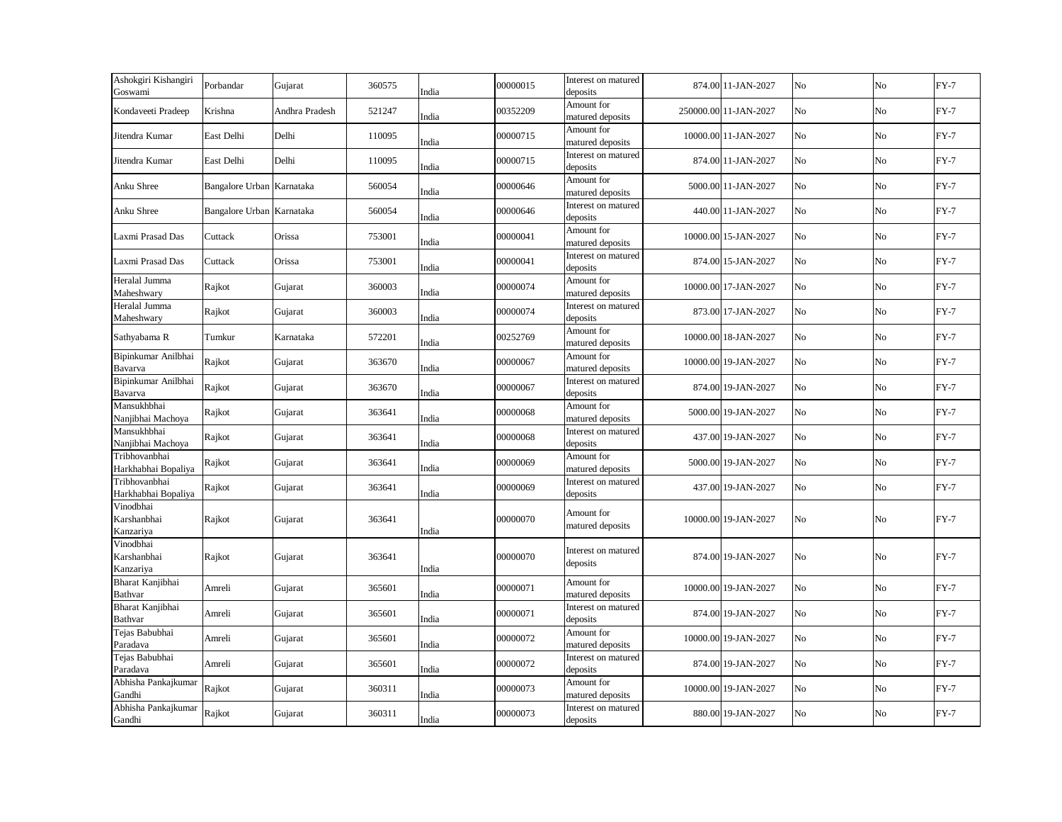| Ashokgiri Kishangiri<br>Goswami       | Porbandar                 | Gujarat        | 360575 | India | 00000015 | Interest on matured<br>deposits | 874.00 11-JAN-2027    | No | No             | $FY-7$ |
|---------------------------------------|---------------------------|----------------|--------|-------|----------|---------------------------------|-----------------------|----|----------------|--------|
| Kondaveeti Pradeep                    | Krishna                   | Andhra Pradesh | 521247 | India | 00352209 | Amount for<br>matured deposits  | 250000.00 11-JAN-2027 | No | No             | $FY-7$ |
| Jitendra Kumar                        | East Delhi                | Delhi          | 110095 | India | 00000715 | Amount for<br>matured deposits  | 10000.00 11-JAN-2027  | No | No             | $FY-7$ |
| Jitendra Kumar                        | East Delhi                | Delhi          | 110095 | India | 00000715 | Interest on matured<br>deposits | 874.00 11-JAN-2027    | No | No             | $FY-7$ |
| Anku Shree                            | Bangalore Urban Karnataka |                | 560054 | India | 00000646 | Amount for<br>matured deposits  | 5000.00 11-JAN-2027   | No | N <sub>o</sub> | $FY-7$ |
| Anku Shree                            | Bangalore Urban Karnataka |                | 560054 | India | 00000646 | Interest on matured<br>deposits | 440.00 11-JAN-2027    | No | No             | $FY-7$ |
| Laxmi Prasad Das                      | Cuttack                   | Orissa         | 753001 | India | 00000041 | Amount for<br>matured deposits  | 10000.00 15-JAN-2027  | No | No             | $FY-7$ |
| Laxmi Prasad Das                      | Cuttack                   | Orissa         | 753001 | India | 00000041 | Interest on matured<br>deposits | 874.00 15-JAN-2027    | No | No             | $FY-7$ |
| Heralal Jumma<br>Maheshwary           | Rajkot                    | Gujarat        | 360003 | India | 00000074 | Amount for<br>matured deposits  | 10000.00 17-JAN-2027  | No | No             | $FY-7$ |
| Heralal Jumma<br>Maheshwary           | Rajkot                    | Gujarat        | 360003 | India | 00000074 | Interest on matured<br>deposits | 873.00 17-JAN-2027    | No | No             | $FY-7$ |
| Sathyabama R                          | Tumkur                    | Karnataka      | 572201 | India | 00252769 | Amount for<br>matured deposits  | 10000.00 18-JAN-2027  | No | No             | $FY-7$ |
| Bipinkumar Anilbhai<br>Bavarva        | Rajkot                    | Gujarat        | 363670 | India | 00000067 | Amount for<br>matured deposits  | 10000.00 19-JAN-2027  | No | No             | $FY-7$ |
| Bipinkumar Anilbhai<br>Bavarva        | Rajkot                    | Gujarat        | 363670 | India | 00000067 | Interest on matured<br>deposits | 874.00 19-JAN-2027    | No | No             | $FY-7$ |
| Mansukhbhai<br>Nanjibhai Machoya      | Rajkot                    | Gujarat        | 363641 | India | 00000068 | Amount for<br>matured deposits  | 5000.00 19-JAN-2027   | No | No             | $FY-7$ |
| Mansukhbhai<br>Nanjibhai Machoya      | Rajkot                    | Gujarat        | 363641 | India | 00000068 | Interest on matured<br>deposits | 437.00 19-JAN-2027    | No | No             | $FY-7$ |
| Tribhovanbhai<br>Harkhabhai Bopaliya  | Rajkot                    | Gujarat        | 363641 | India | 00000069 | Amount for<br>matured deposits  | 5000.00 19-JAN-2027   | No | No             | $FY-7$ |
| Tribhovanbhai<br>Harkhabhai Bopaliya  | Rajkot                    | Gujarat        | 363641 | India | 00000069 | Interest on matured<br>deposits | 437.00 19-JAN-2027    | No | No             | $FY-7$ |
| Vinodbhai<br>Karshanbhai<br>Kanzariya | Rajkot                    | Gujarat        | 363641 | India | 00000070 | Amount for<br>matured deposits  | 10000.00 19-JAN-2027  | No | No             | $FY-7$ |
| Vinodbhai<br>Karshanbhai<br>Kanzariya | Rajkot                    | Gujarat        | 363641 | India | 00000070 | Interest on matured<br>deposits | 874.00 19-JAN-2027    | No | No             | $FY-7$ |
| Bharat Kanjibhai<br>Bathvar           | Amreli                    | Gujarat        | 365601 | India | 00000071 | Amount for<br>matured deposits  | 10000.00 19-JAN-2027  | No | No             | $FY-7$ |
| Bharat Kanjibhai<br>Bathvar           | Amreli                    | Gujarat        | 365601 | India | 00000071 | Interest on matured<br>deposits | 874.00 19-JAN-2027    | No | No             | $FY-7$ |
| Tejas Babubhai<br>Paradava            | Amreli                    | Gujarat        | 365601 | India | 00000072 | Amount for<br>matured deposits  | 10000.00 19-JAN-2027  | No | No             | $FY-7$ |
| Tejas Babubhai<br>Paradava            | Amreli                    | Gujarat        | 365601 | India | 00000072 | Interest on matured<br>deposits | 874.00 19-JAN-2027    | No | No             | $FY-7$ |
| Abhisha Pankajkumar<br>Gandhi         | Rajkot                    | Gujarat        | 360311 | India | 00000073 | Amount for<br>matured deposits  | 10000.00 19-JAN-2027  | No | No             | $FY-7$ |
| Abhisha Pankajkumar<br>Gandhi         | Rajkot                    | Gujarat        | 360311 | India | 00000073 | Interest on matured<br>deposits | 880.00 19-JAN-2027    | No | No             | $FY-7$ |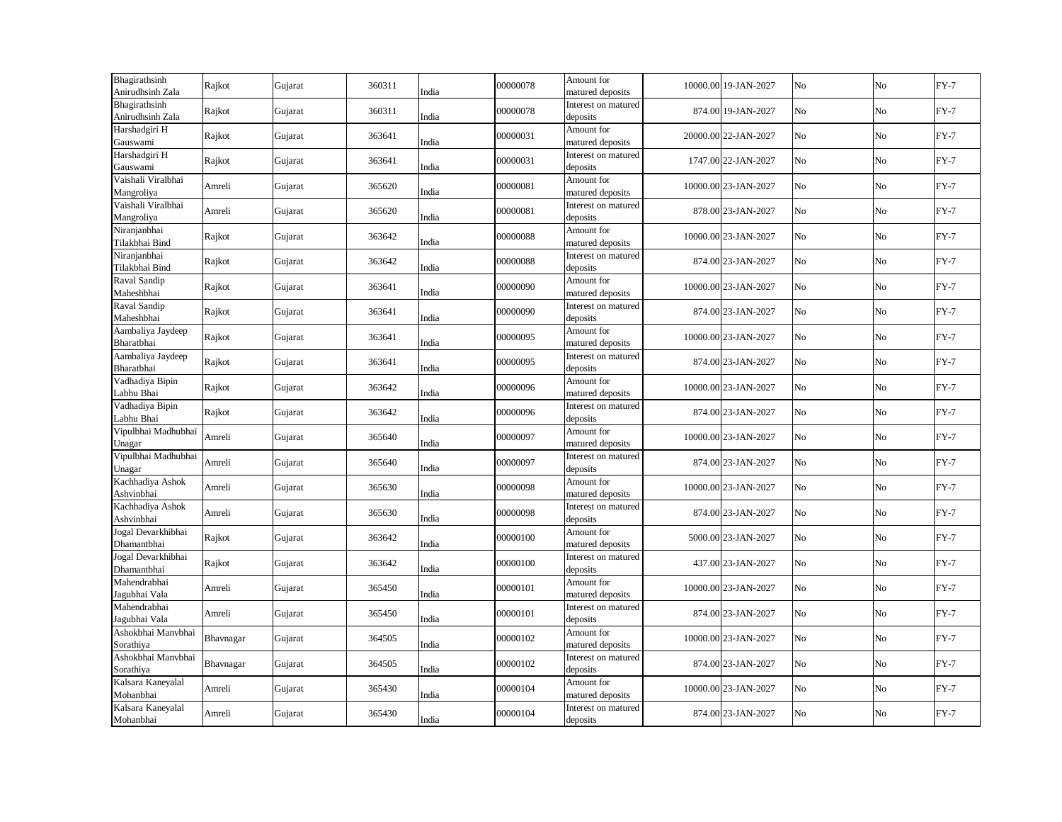| Bhagirathsinh<br>Anirudhsinh Zala | Rajkot    | Gujarat | 360311 | India | 00000078 | Amount for<br>matured deposits  | 10000.00 19-JAN-2027 | No | No          | $FY-7$ |
|-----------------------------------|-----------|---------|--------|-------|----------|---------------------------------|----------------------|----|-------------|--------|
| Bhagirathsinh<br>Anirudhsinh Zala | Rajkot    | Gujarat | 360311 | India | 00000078 | Interest on matured<br>deposits | 874.00 19-JAN-2027   | No | No          | $FY-7$ |
| Harshadgiri H<br>Gauswami         | Rajkot    | Gujarat | 363641 | India | 00000031 | Amount for<br>matured deposits  | 20000.00 22-JAN-2027 | No | $_{\rm No}$ | $FY-7$ |
| Harshadgiri H<br>Gauswami         | Rajkot    | Gujarat | 363641 | India | 00000031 | Interest on matured<br>deposits | 1747.00 22-JAN-2027  | No | No          | $FY-7$ |
| Vaishali Viralbhai<br>Mangroliya  | Amreli    | Gujarat | 365620 | India | 00000081 | Amount for<br>matured deposits  | 10000.00 23-JAN-2027 | No | $_{\rm No}$ | $FY-7$ |
| Vaishali Viralbhai<br>Mangroliya  | Amreli    | Gujarat | 365620 | India | 00000081 | Interest on matured<br>deposits | 878.00 23-JAN-2027   | No | No          | $FY-7$ |
| Niranjanbhai<br>Tilakbhai Bind    | Rajkot    | Gujarat | 363642 | India | 00000088 | Amount for<br>matured deposits  | 10000.00 23-JAN-2027 | No | $_{\rm No}$ | $FY-7$ |
| Niranjanbhai<br>Tilakbhai Bind    | Rajkot    | Gujarat | 363642 | India | 00000088 | Interest on matured<br>deposits | 874.00 23-JAN-2027   | No | No          | $FY-7$ |
| Raval Sandip<br>Maheshbhai        | Rajkot    | Gujarat | 363641 | India | 00000090 | Amount for<br>matured deposits  | 10000.00 23-JAN-2027 | No | $_{\rm No}$ | $FY-7$ |
| Raval Sandip<br>Maheshbhai        | Rajkot    | Gujarat | 363641 | India | 00000090 | Interest on matured<br>deposits | 874.00 23-JAN-2027   | No | No          | $FY-7$ |
| Aambaliya Jaydeep<br>Bharatbhai   | Rajkot    | Gujarat | 363641 | India | 00000095 | Amount for<br>matured deposits  | 10000.00 23-JAN-2027 | No | No          | $FY-7$ |
| Aambaliya Jaydeep<br>Bharatbhai   | Rajkot    | Gujarat | 363641 | India | 00000095 | Interest on matured<br>deposits | 874.00 23-JAN-2027   | No | No          | $FY-7$ |
| Vadhadiya Bipin<br>Labhu Bhai     | Rajkot    | Gujarat | 363642 | India | 00000096 | Amount for<br>matured deposits  | 10000.00 23-JAN-2027 | No | No          | $FY-7$ |
| Vadhadiya Bipin<br>Labhu Bhai     | Rajkot    | Gujarat | 363642 | India | 00000096 | Interest on matured<br>deposits | 874.00 23-JAN-2027   | No | No          | $FY-7$ |
| Vipulbhai Madhubhai<br>Unagar     | Amreli    | Gujarat | 365640 | India | 00000097 | Amount for<br>matured deposits  | 10000.00 23-JAN-2027 | No | No          | $FY-7$ |
| Vipulbhai Madhubhai<br>Unagar     | Amreli    | Gujarat | 365640 | India | 00000097 | Interest on matured<br>deposits | 874.00 23-JAN-2027   | No | $_{\rm No}$ | $FY-7$ |
| Kachhadiya Ashok<br>Ashvinbhai    | Amreli    | Gujarat | 365630 | India | 00000098 | Amount for<br>matured deposits  | 10000.00 23-JAN-2027 | No | No          | $FY-7$ |
| Kachhadiya Ashok<br>Ashvinbhai    | Amreli    | Gujarat | 365630 | India | 00000098 | Interest on matured<br>deposits | 874.00 23-JAN-2027   | No | No          | $FY-7$ |
| Jogal Devarkhibhai<br>Dhamantbhai | Rajkot    | Gujarat | 363642 | India | 00000100 | Amount for<br>matured deposits  | 5000.00 23-JAN-2027  | No | No          | $FY-7$ |
| Jogal Devarkhibhai<br>Dhamantbhai | Rajkot    | Gujarat | 363642 | India | 00000100 | Interest on matured<br>deposits | 437.00 23-JAN-2027   | No | No          | $FY-7$ |
| Mahendrabhai<br>Jagubhai Vala     | Amreli    | Gujarat | 365450 | India | 00000101 | Amount for<br>matured deposits  | 10000.00 23-JAN-2027 | No | No          | $FY-7$ |
| Mahendrabhai<br>Jagubhai Vala     | Amreli    | Gujarat | 365450 | India | 00000101 | Interest on matured<br>deposits | 874.00 23-JAN-2027   | No | No          | $FY-7$ |
| Ashokbhai Manvbhai<br>Sorathiya   | Bhavnagar | Gujarat | 364505 | India | 00000102 | Amount for<br>matured deposits  | 10000.00 23-JAN-2027 | No | No          | $FY-7$ |
| Ashokbhai Manvbhai<br>Sorathiya   | Bhavnagar | Gujarat | 364505 | India | 00000102 | Interest on matured<br>deposits | 874.00 23-JAN-2027   | No | No          | $FY-7$ |
| Kalsara Kaneyalal<br>Mohanbhai    | Amreli    | Gujarat | 365430 | India | 00000104 | Amount for<br>matured deposits  | 10000.00 23-JAN-2027 | No | No          | $FY-7$ |
| Kalsara Kaneyalal<br>Mohanbhai    | Amreli    | Gujarat | 365430 | India | 00000104 | Interest on matured<br>deposits | 874.00 23-JAN-2027   | No | No          | $FY-7$ |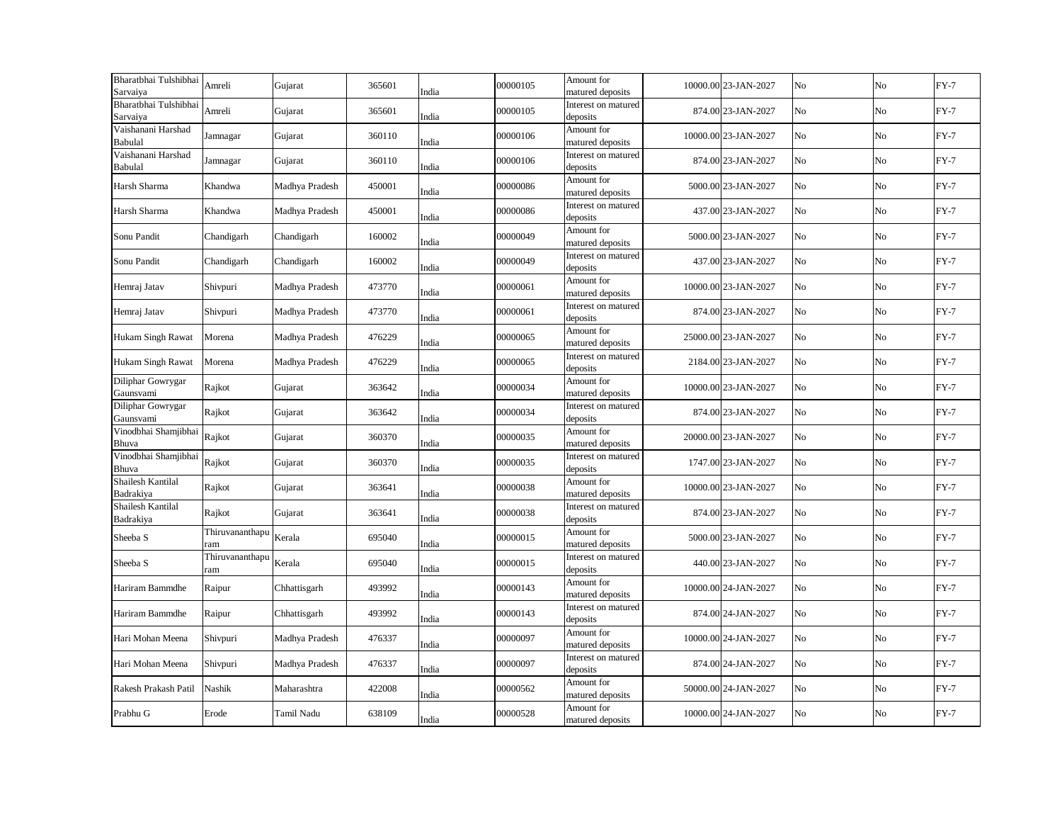| Bharatbhai Tulshibhai                | Amreli                 | Gujarat        | 365601 |       | 00000105 | Amount for                      | 10000.00 23-JAN-2027 | No | No | $FY-7$ |
|--------------------------------------|------------------------|----------------|--------|-------|----------|---------------------------------|----------------------|----|----|--------|
| Sarvaiya                             |                        |                |        | India |          | matured deposits                |                      |    |    |        |
| Bharatbhai Tulshibhai<br>Sarvaiya    | Amreli                 | Gujarat        | 365601 | India | 00000105 | Interest on matured<br>deposits | 874.00 23-JAN-2027   | No | No | $FY-7$ |
| Vaishanani Harshad<br>Babulal        | Jamnagar               | Gujarat        | 360110 | India | 00000106 | Amount for<br>matured deposits  | 10000.00 23-JAN-2027 | No | No | $FY-7$ |
| Vaishanani Harshad<br>Babulal        | Jamnagar               | Gujarat        | 360110 | India | 00000106 | Interest on matured<br>deposits | 874.00 23-JAN-2027   | No | No | $FY-7$ |
| Harsh Sharma                         | Khandwa                | Madhya Pradesh | 450001 | India | 00000086 | Amount for<br>matured deposits  | 5000.00 23-JAN-2027  | No | No | $FY-7$ |
| Harsh Sharma                         | Khandwa                | Madhya Pradesh | 450001 | India | 00000086 | Interest on matured<br>deposits | 437.00 23-JAN-2027   | No | No | $FY-7$ |
| Sonu Pandit                          | Chandigarh             | Chandigarh     | 160002 | India | 00000049 | Amount for<br>matured deposits  | 5000.00 23-JAN-2027  | No | No | $FY-7$ |
| Sonu Pandit                          | Chandigarh             | Chandigarh     | 160002 | India | 00000049 | Interest on matured<br>deposits | 437.00 23-JAN-2027   | No | No | $FY-7$ |
| Hemraj Jatav                         | Shivpuri               | Madhya Pradesh | 473770 | India | 00000061 | Amount for<br>matured deposits  | 10000.00 23-JAN-2027 | No | No | $FY-7$ |
| Hemraj Jatav                         | Shivpuri               | Madhya Pradesh | 473770 | India | 00000061 | Interest on matured<br>deposits | 874.00 23-JAN-2027   | No | No | $FY-7$ |
| <b>Hukam Singh Rawat</b>             | Morena                 | Madhya Pradesh | 476229 | India | 00000065 | Amount for<br>matured deposits  | 25000.00 23-JAN-2027 | No | No | $FY-7$ |
| <b>Hukam Singh Rawat</b>             | Morena                 | Madhya Pradesh | 476229 | India | 00000065 | Interest on matured<br>deposits | 2184.00 23-JAN-2027  | No | No | $FY-7$ |
| Diliphar Gowrygar<br>Gaunsvami       | Rajkot                 | Gujarat        | 363642 | India | 00000034 | Amount for<br>matured deposits  | 10000.00 23-JAN-2027 | No | No | $FY-7$ |
| Diliphar Gowrygar<br>Gaunsvami       | Rajkot                 | Gujarat        | 363642 | India | 00000034 | Interest on matured<br>deposits | 874.00 23-JAN-2027   | No | No | $FY-7$ |
| Vinodbhai Shamjibhai<br>Bhuva        | Rajkot                 | Gujarat        | 360370 | India | 00000035 | Amount for<br>matured deposits  | 20000.00 23-JAN-2027 | No | No | $FY-7$ |
| Vinodbhai Shamjibhai Rajkot<br>Bhuva |                        | Gujarat        | 360370 | India | 00000035 | Interest on matured<br>deposits | 1747.00 23-JAN-2027  | No | No | $FY-7$ |
| Shailesh Kantilal<br>Badrakiya       | Rajkot                 | Gujarat        | 363641 | India | 00000038 | Amount for<br>matured deposits  | 10000.00 23-JAN-2027 | No | No | $FY-7$ |
| Shailesh Kantilal<br>Badrakiya       | Rajkot                 | Gujarat        | 363641 | India | 00000038 | Interest on matured<br>deposits | 874.00 23-JAN-2027   | No | No | $FY-7$ |
| Sheeba S                             | Thiruvananthapu<br>ram | Kerala         | 695040 | India | 00000015 | Amount for<br>matured deposits  | 5000.00 23-JAN-2027  | No | No | $FY-7$ |
| Sheeba S                             | Thiruvananthapu<br>ram | Kerala         | 695040 | India | 00000015 | Interest on matured<br>deposits | 440.00 23-JAN-2027   | No | No | $FY-7$ |
| Hariram Bammdhe                      | Raipur                 | Chhattisgarh   | 493992 | India | 00000143 | Amount for<br>matured deposits  | 10000.00 24-JAN-2027 | No | No | $FY-7$ |
| Hariram Bammdhe                      | Raipur                 | Chhattisgarh   | 493992 | India | 00000143 | Interest on matured<br>deposits | 874.00 24-JAN-2027   | No | No | $FY-7$ |
| Hari Mohan Meena                     | Shivpuri               | Madhya Pradesh | 476337 | India | 00000097 | Amount for<br>matured deposits  | 10000.00 24-JAN-2027 | No | No | $FY-7$ |
| Hari Mohan Meena                     | Shivpuri               | Madhya Pradesh | 476337 | India | 00000097 | Interest on matured<br>deposits | 874.00 24-JAN-2027   | No | No | $FY-7$ |
| Rakesh Prakash Patil                 | Nashik                 | Maharashtra    | 422008 | India | 00000562 | Amount for<br>matured deposits  | 50000.00 24-JAN-2027 | No | No | $FY-7$ |
| Prabhu G                             | Erode                  | Tamil Nadu     | 638109 | India | 00000528 | Amount for<br>matured deposits  | 10000.00 24-JAN-2027 | No | No | $FY-7$ |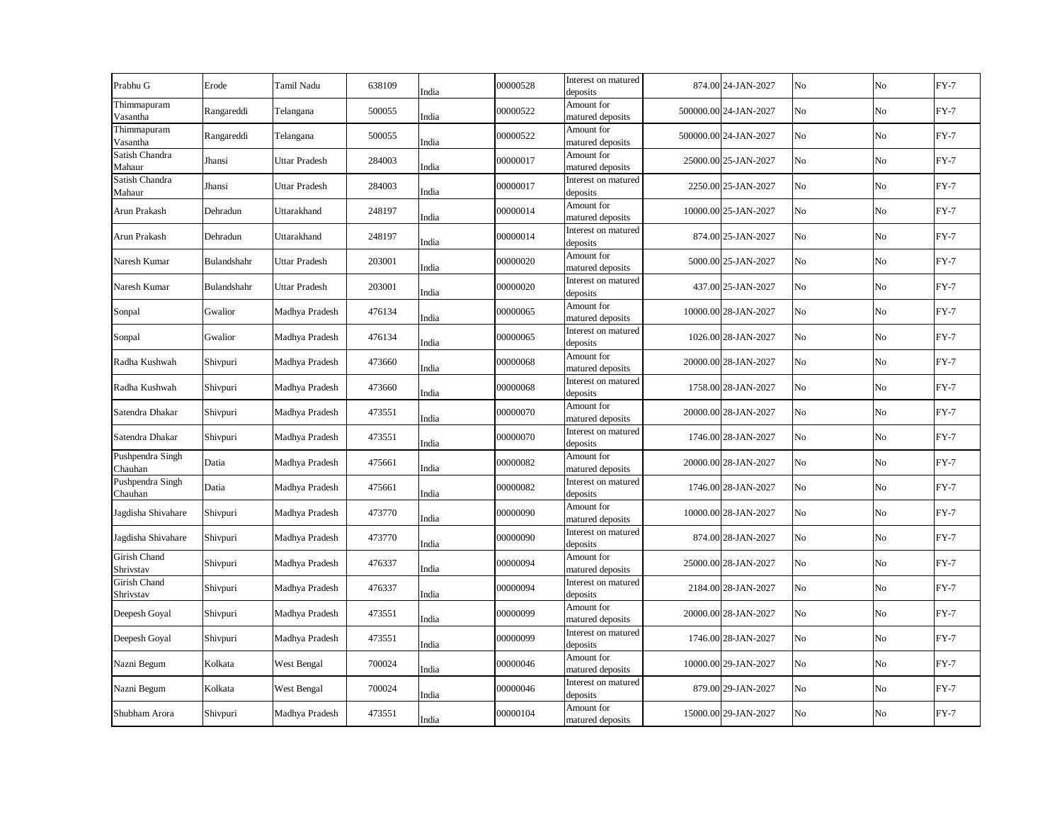| Prabhu G                    | Erode       | Tamil Nadu           | 638109 | India | 00000528 | Interest on matured<br>deposits | 874.00 24-JAN-2027    | No | No             | $FY-7$ |
|-----------------------------|-------------|----------------------|--------|-------|----------|---------------------------------|-----------------------|----|----------------|--------|
| Thimmapuram<br>Vasantha     | Rangareddi  | Telangana            | 500055 | India | 00000522 | Amount for<br>matured deposits  | 500000.00 24-JAN-2027 | No | No             | $FY-7$ |
| Thimmapuram<br>Vasantha     | Rangareddi  | Telangana            | 500055 | India | 00000522 | Amount for<br>matured deposits  | 500000.00 24-JAN-2027 | No | No             | $FY-7$ |
| Satish Chandra<br>Mahaur    | Jhansi      | Uttar Pradesh        | 284003 | India | 00000017 | Amount for<br>matured deposits  | 25000.00 25-JAN-2027  | No | No             | $FY-7$ |
| Satish Chandra<br>Mahaur    | Jhansi      | <b>Uttar Pradesh</b> | 284003 | India | 00000017 | Interest on matured<br>deposits | 2250.00 25-JAN-2027   | No | N <sub>o</sub> | $FY-7$ |
| Arun Prakash                | Dehradun    | Uttarakhand          | 248197 | India | 00000014 | Amount for<br>matured deposits  | 10000.00 25-JAN-2027  | No | No             | $FY-7$ |
| Arun Prakash                | Dehradun    | Uttarakhand          | 248197 | India | 00000014 | Interest on matured<br>deposits | 874.00 25-JAN-2027    | No | No             | $FY-7$ |
| Naresh Kumar                | Bulandshahr | Uttar Pradesh        | 203001 | India | 00000020 | Amount for<br>matured deposits  | 5000.00 25-JAN-2027   | No | No             | $FY-7$ |
| Naresh Kumar                | Bulandshahr | <b>Uttar Pradesh</b> | 203001 | India | 00000020 | Interest on matured<br>deposits | 437.00 25-JAN-2027    | No | No             | $FY-7$ |
| Sonpal                      | Gwalior     | Madhya Pradesh       | 476134 | India | 00000065 | Amount for<br>matured deposits  | 10000.00 28-JAN-2027  | No | No             | $FY-7$ |
| Sonpal                      | Gwalior     | Madhya Pradesh       | 476134 | India | 00000065 | Interest on matured<br>deposits | 1026.00 28-JAN-2027   | No | No             | $FY-7$ |
| Radha Kushwah               | Shivpuri    | Madhya Pradesh       | 473660 | India | 00000068 | Amount for<br>matured deposits  | 20000.00 28-JAN-2027  | No | No             | $FY-7$ |
| Radha Kushwah               | Shivpuri    | Madhya Pradesh       | 473660 | India | 00000068 | Interest on matured<br>deposits | 1758.00 28-JAN-2027   | No | No             | $FY-7$ |
| Satendra Dhakar             | Shivpuri    | Madhya Pradesh       | 473551 | India | 00000070 | Amount for<br>matured deposits  | 20000.00 28-JAN-2027  | No | No             | $FY-7$ |
| Satendra Dhakar             | Shivpuri    | Madhya Pradesh       | 473551 | India | 00000070 | Interest on matured<br>deposits | 1746.00 28-JAN-2027   | No | No             | $FY-7$ |
| Pushpendra Singh<br>Chauhan | Datia       | Madhya Pradesh       | 475661 | India | 00000082 | Amount for<br>matured deposits  | 20000.00 28-JAN-2027  | No | No             | $FY-7$ |
| Pushpendra Singh<br>Chauhan | Datia       | Madhya Pradesh       | 475661 | India | 00000082 | Interest on matured<br>deposits | 1746.00 28-JAN-2027   | No | No             | $FY-7$ |
| Jagdisha Shivahare          | Shivpuri    | Madhya Pradesh       | 473770 | India | 00000090 | Amount for<br>matured deposits  | 10000.00 28-JAN-2027  | No | No             | $FY-7$ |
| Jagdisha Shivahare          | Shivpuri    | Madhya Pradesh       | 473770 | India | 00000090 | Interest on matured<br>deposits | 874.00 28-JAN-2027    | No | No             | $FY-7$ |
| Girish Chand<br>Shrivstav   | Shivpuri    | Madhya Pradesh       | 476337 | India | 00000094 | Amount for<br>matured deposits  | 25000.00 28-JAN-2027  | No | No             | $FY-7$ |
| Girish Chand<br>Shrivstav   | Shivpuri    | Madhya Pradesh       | 476337 | India | 00000094 | Interest on matured<br>deposits | 2184.00 28-JAN-2027   | No | No             | $FY-7$ |
| Deepesh Goyal               | Shivpuri    | Madhya Pradesh       | 473551 | India | 00000099 | Amount for<br>matured deposits  | 20000.00 28-JAN-2027  | No | No             | $FY-7$ |
| Deepesh Goyal               | Shivpuri    | Madhya Pradesh       | 473551 | India | 00000099 | Interest on matured<br>deposits | 1746.00 28-JAN-2027   | No | No             | $FY-7$ |
| Nazni Begum                 | Kolkata     | West Bengal          | 700024 | India | 00000046 | Amount for<br>matured deposits  | 10000.00 29-JAN-2027  | No | No             | $FY-7$ |
| Nazni Begum                 | Kolkata     | West Bengal          | 700024 | India | 00000046 | Interest on matured<br>deposits | 879.00 29-JAN-2027    | No | No             | $FY-7$ |
| Shubham Arora               | Shivpuri    | Madhya Pradesh       | 473551 | India | 00000104 | Amount for<br>matured deposits  | 15000.00 29-JAN-2027  | No | No             | $FY-7$ |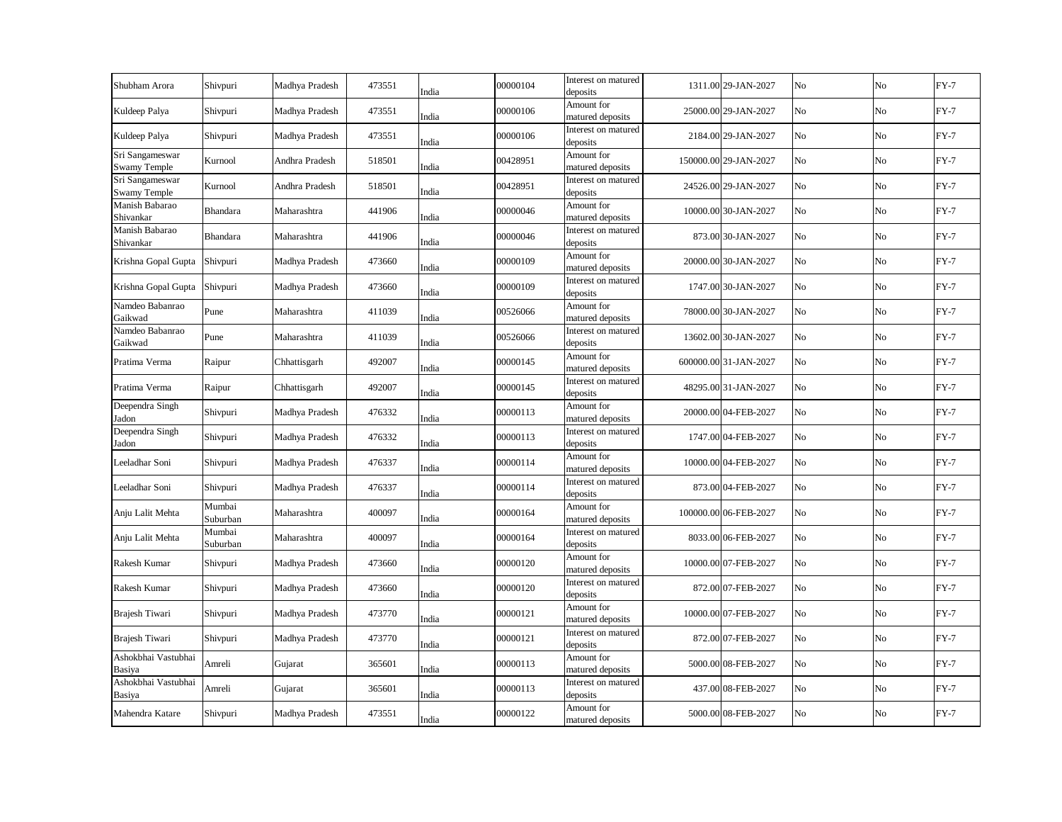| Shubham Arora                          | Shivpuri           | Madhya Pradesh | 473551 | India | 00000104 | Interest on matured<br>deposits | 1311.00 29-JAN-2027   | No | No | $FY-7$ |
|----------------------------------------|--------------------|----------------|--------|-------|----------|---------------------------------|-----------------------|----|----|--------|
| Kuldeep Palya                          | Shivpuri           | Madhya Pradesh | 473551 | India | 00000106 | Amount for<br>matured deposits  | 25000.00 29-JAN-2027  | No | No | $FY-7$ |
| Kuldeep Palya                          | Shivpuri           | Madhya Pradesh | 473551 | India | 00000106 | Interest on matured<br>deposits | 2184.00 29-JAN-2027   | No | No | $FY-7$ |
| Sri Sangameswar<br><b>Swamy Temple</b> | Kurnool            | Andhra Pradesh | 518501 | India | 00428951 | Amount for<br>matured deposits  | 150000.00 29-JAN-2027 | No | No | $FY-7$ |
| Sri Sangameswar<br><b>Swamy Temple</b> | Kurnool            | Andhra Pradesh | 518501 | India | 00428951 | Interest on matured<br>deposits | 24526.00 29-JAN-2027  | No | No | $FY-7$ |
| Manish Babarao<br>Shivankar            | Bhandara           | Maharashtra    | 441906 | India | 00000046 | Amount for<br>matured deposits  | 10000.00 30-JAN-2027  | No | No | $FY-7$ |
| Manish Babarao<br>Shivankar            | Bhandara           | Maharashtra    | 441906 | India | 00000046 | Interest on matured<br>deposits | 873.00 30-JAN-2027    | No | No | $FY-7$ |
| Krishna Gopal Gupta                    | Shivpuri           | Madhya Pradesh | 473660 | India | 00000109 | Amount for<br>matured deposits  | 20000.00 30-JAN-2027  | No | No | $FY-7$ |
| Krishna Gopal Gupta                    | Shivpuri           | Madhya Pradesh | 473660 | India | 00000109 | Interest on matured<br>deposits | 1747.00 30-JAN-2027   | No | No | $FY-7$ |
| Namdeo Babanrao<br>Gaikwad             | Pune               | Maharashtra    | 411039 | India | 00526066 | Amount for<br>matured deposits  | 78000.00 30-JAN-2027  | No | No | $FY-7$ |
| Namdeo Babanrao<br>Gaikwad             | Pune               | Maharashtra    | 411039 | India | 00526066 | Interest on matured<br>deposits | 13602.00 30-JAN-2027  | No | No | $FY-7$ |
| Pratima Verma                          | Raipur             | Chhattisgarh   | 492007 | India | 00000145 | Amount for<br>matured deposits  | 600000.00 31-JAN-2027 | No | No | $FY-7$ |
| Pratima Verma                          | Raipur             | Chhattisgarh   | 492007 | India | 00000145 | Interest on matured<br>deposits | 48295.00 31-JAN-2027  | No | No | $FY-7$ |
| Deependra Singh<br>Jadon               | Shivpuri           | Madhya Pradesh | 476332 | India | 00000113 | Amount for<br>matured deposits  | 20000.00 04-FEB-2027  | No | No | $FY-7$ |
| Deependra Singh<br>Jadon               | Shivpuri           | Madhya Pradesh | 476332 | India | 00000113 | Interest on matured<br>deposits | 1747.00 04-FEB-2027   | No | No | $FY-7$ |
| Leeladhar Soni                         | Shivpuri           | Madhya Pradesh | 476337 | India | 00000114 | Amount for<br>matured deposits  | 10000.00 04-FEB-2027  | No | No | $FY-7$ |
| Leeladhar Soni                         | Shivpuri           | Madhya Pradesh | 476337 | India | 00000114 | Interest on matured<br>deposits | 873.00 04-FEB-2027    | No | No | $FY-7$ |
| Anju Lalit Mehta                       | Mumbai<br>Suburban | Maharashtra    | 400097 | India | 00000164 | Amount for<br>matured deposits  | 100000.00 06-FEB-2027 | No | No | $FY-7$ |
| Anju Lalit Mehta                       | Mumbai<br>Suburban | Maharashtra    | 400097 | India | 00000164 | Interest on matured<br>deposits | 8033.00 06-FEB-2027   | No | No | $FY-7$ |
| Rakesh Kumar                           | Shivpuri           | Madhya Pradesh | 473660 | India | 00000120 | Amount for<br>matured deposits  | 10000.00 07-FEB-2027  | No | No | $FY-7$ |
| Rakesh Kumar                           | Shivpuri           | Madhya Pradesh | 473660 | India | 00000120 | Interest on matured<br>deposits | 872.00 07-FEB-2027    | No | No | $FY-7$ |
| Brajesh Tiwari                         | Shivpuri           | Madhya Pradesh | 473770 | India | 00000121 | Amount for<br>matured deposits  | 10000.00 07-FEB-2027  | No | No | $FY-7$ |
| Brajesh Tiwari                         | Shivpuri           | Madhya Pradesh | 473770 | India | 00000121 | Interest on matured<br>deposits | 872.00 07-FEB-2027    | No | No | $FY-7$ |
| Ashokbhai Vastubhai<br>Basiya          | Amreli             | Gujarat        | 365601 | India | 00000113 | Amount for<br>matured deposits  | 5000.00 08-FEB-2027   | No | No | $FY-7$ |
| Ashokbhai Vastubhai<br>Basiya          | Amreli             | Gujarat        | 365601 | India | 00000113 | Interest on matured<br>deposits | 437.00 08-FEB-2027    | No | No | $FY-7$ |
| Mahendra Katare                        | Shivpuri           | Madhya Pradesh | 473551 | India | 00000122 | Amount for<br>matured deposits  | 5000.00 08-FEB-2027   | No | No | $FY-7$ |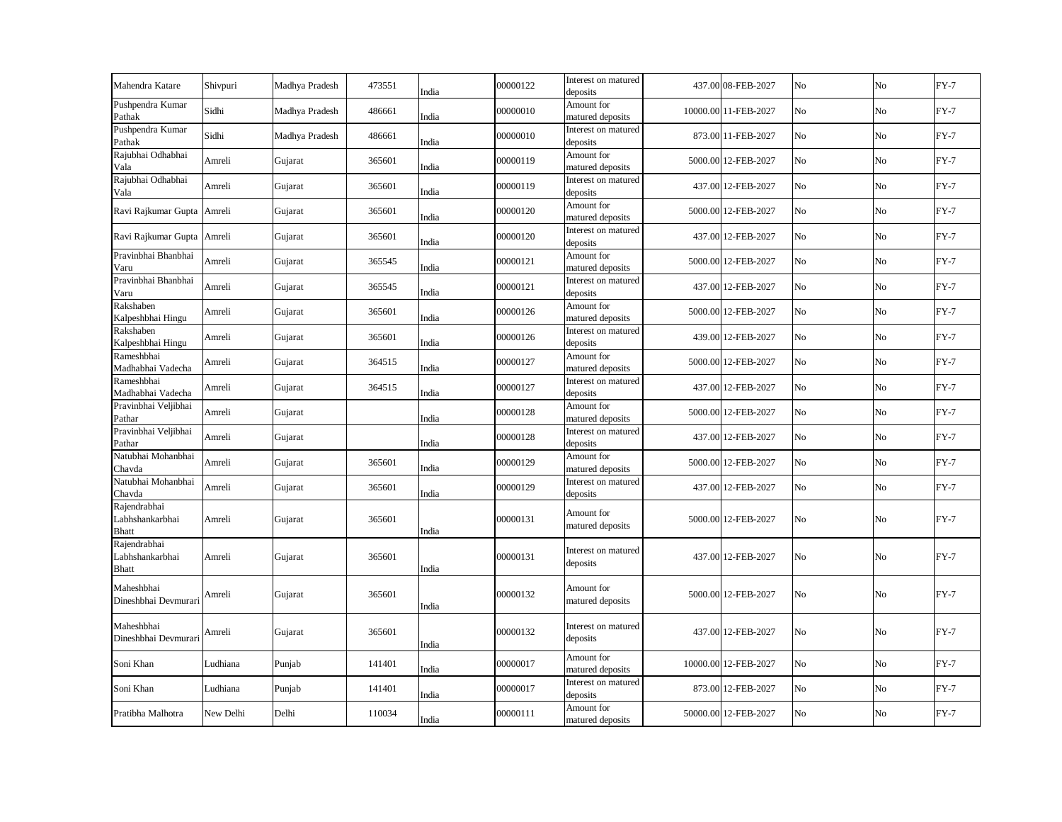| Mahendra Katare                                 | Shivpuri  | Madhya Pradesh | 473551 | India | 00000122 | Interest on matured<br>deposits | 437.00 08-FEB-2027   | No | No             | $FY-7$ |
|-------------------------------------------------|-----------|----------------|--------|-------|----------|---------------------------------|----------------------|----|----------------|--------|
| Pushpendra Kumar<br>Pathak                      | Sidhi     | Madhya Pradesh | 486661 | India | 00000010 | Amount for<br>matured deposits  | 10000.00 11-FEB-2027 | No | No             | $FY-7$ |
| Pushpendra Kumar<br>Pathak                      | Sidhi     | Madhya Pradesh | 486661 | India | 00000010 | Interest on matured<br>deposits | 873.00 11-FEB-2027   | No | No             | $FY-7$ |
| Rajubhai Odhabhai<br>Vala                       | Amreli    | Gujarat        | 365601 | India | 00000119 | Amount for<br>matured deposits  | 5000.00 12-FEB-2027  | No | No             | $FY-7$ |
| Rajubhai Odhabhai<br>Vala                       | Amreli    | Gujarat        | 365601 | India | 00000119 | Interest on matured<br>deposits | 437.00 12-FEB-2027   | No | No             | $FY-7$ |
| Ravi Rajkumar Gupta Amreli                      |           | Gujarat        | 365601 | India | 00000120 | Amount for<br>matured deposits  | 5000.00 12-FEB-2027  | No | N <sub>o</sub> | $FY-7$ |
| Ravi Rajkumar Gupta Amreli                      |           | Gujarat        | 365601 | India | 00000120 | Interest on matured<br>deposits | 437.00 12-FEB-2027   | No | No             | $FY-7$ |
| Pravinbhai Bhanbhai<br>Varu                     | Amreli    | Gujarat        | 365545 | India | 00000121 | Amount for<br>matured deposits  | 5000.00 12-FEB-2027  | No | No             | $FY-7$ |
| Pravinbhai Bhanbhai<br>Varu                     | Amreli    | Gujarat        | 365545 | India | 00000121 | Interest on matured<br>deposits | 437.00 12-FEB-2027   | No | No             | $FY-7$ |
| Rakshaben<br>Kalpeshbhai Hingu                  | Amreli    | Gujarat        | 365601 | India | 00000126 | Amount for<br>matured deposits  | 5000.00 12-FEB-2027  | No | No             | $FY-7$ |
| Rakshaben<br>Kalpeshbhai Hingu                  | Amreli    | Gujarat        | 365601 | India | 00000126 | Interest on matured<br>deposits | 439.00 12-FEB-2027   | No | No             | $FY-7$ |
| Rameshbhai<br>Madhabhai Vadecha                 | Amreli    | Gujarat        | 364515 | India | 00000127 | Amount for<br>matured deposits  | 5000.00 12-FEB-2027  | No | No             | $FY-7$ |
| Rameshbhai<br>Madhabhai Vadecha                 | Amreli    | Gujarat        | 364515 | India | 00000127 | Interest on matured<br>deposits | 437.00 12-FEB-2027   | No | No             | $FY-7$ |
| Pravinbhai Veljibhai<br>Pathar                  | Amreli    | Gujarat        |        | India | 00000128 | Amount for<br>matured deposits  | 5000.00 12-FEB-2027  | No | No             | $FY-7$ |
| Pravinbhai Veljibhai<br>Pathar                  | Amreli    | Gujarat        |        | India | 00000128 | Interest on matured<br>deposits | 437.00 12-FEB-2027   | No | No             | $FY-7$ |
| Natubhai Mohanbhai<br>Chavda                    | Amreli    | Gujarat        | 365601 | India | 00000129 | Amount for<br>matured deposits  | 5000.00 12-FEB-2027  | No | No             | $FY-7$ |
| Natubhai Mohanbhai<br>Chavda                    | Amreli    | Gujarat        | 365601 | India | 00000129 | Interest on matured<br>deposits | 437.00 12-FEB-2027   | No | No             | $FY-7$ |
| Rajendrabhai<br>Labhshankarbhai<br><b>Bhatt</b> | Amreli    | Gujarat        | 365601 | India | 00000131 | Amount for<br>matured deposits  | 5000.00 12-FEB-2027  | No | No             | $FY-7$ |
| Rajendrabhai<br>Labhshankarbhai<br><b>Bhatt</b> | Amreli    | Gujarat        | 365601 | India | 00000131 | Interest on matured<br>deposits | 437.00 12-FEB-2027   | No | N <sub>o</sub> | $FY-7$ |
| Maheshbhai<br>Dineshbhai Devmurari              | Amreli    | Gujarat        | 365601 | India | 00000132 | Amount for<br>matured deposits  | 5000.00 12-FEB-2027  | No | No             | $FY-7$ |
| Maheshbhai<br>Dineshbhai Devmurari              | Amreli    | Gujarat        | 365601 | India | 00000132 | Interest on matured<br>deposits | 437.00 12-FEB-2027   | No | No             | $FY-7$ |
| Soni Khan                                       | Ludhiana  | Punjab         | 141401 | India | 00000017 | Amount for<br>matured deposits  | 10000.00 12-FEB-2027 | No | No             | $FY-7$ |
| Soni Khan                                       | Ludhiana  | Punjab         | 141401 | India | 00000017 | Interest on matured<br>deposits | 873.00 12-FEB-2027   | No | No             | $FY-7$ |
| Pratibha Malhotra                               | New Delhi | Delhi          | 110034 | India | 00000111 | Amount for<br>matured deposits  | 50000.00 12-FEB-2027 | No | No             | $FY-7$ |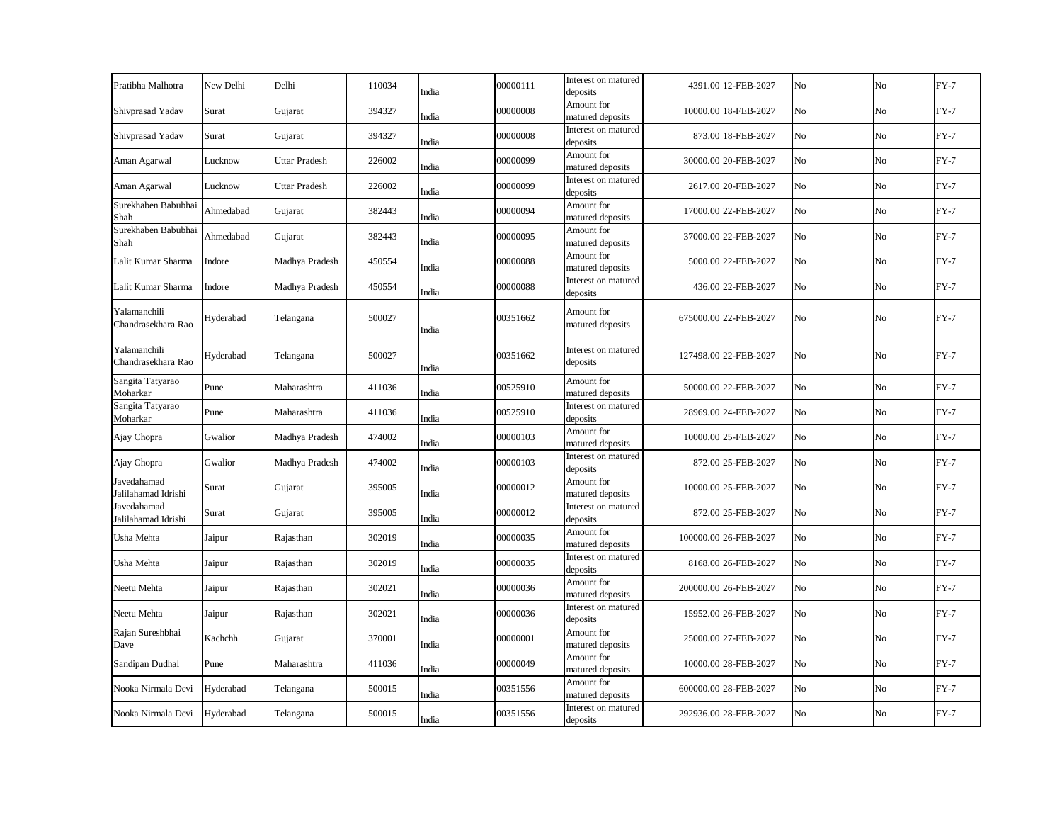| Pratibha Malhotra                  | New Delhi | Delhi          | 110034 | India | 00000111 | Interest on matured<br>deposits | 4391.00 12-FEB-2027   | No | No | $FY-7$ |
|------------------------------------|-----------|----------------|--------|-------|----------|---------------------------------|-----------------------|----|----|--------|
| Shivprasad Yadav                   | Surat     | Gujarat        | 394327 | India | 00000008 | Amount for<br>matured deposits  | 10000.00 18-FEB-2027  | No | No | $FY-7$ |
| Shivprasad Yadav                   | Surat     | Gujarat        | 394327 | India | 00000008 | Interest on matured<br>deposits | 873.00 18-FEB-2027    | No | No | $FY-7$ |
| Aman Agarwal                       | Lucknow   | Uttar Pradesh  | 226002 | India | 00000099 | Amount for<br>matured deposits  | 30000.00 20-FEB-2027  | No | No | $FY-7$ |
| Aman Agarwal                       | Lucknow   | Uttar Pradesh  | 226002 | India | 00000099 | Interest on matured<br>deposits | 2617.00 20-FEB-2027   | No | No | $FY-7$ |
| Surekhaben Babubhai<br>Shah        | Ahmedabad | Gujarat        | 382443 | India | 00000094 | Amount for<br>matured deposits  | 17000.00 22-FEB-2027  | No | No | $FY-7$ |
| Surekhaben Babubhai<br>Shah        | Ahmedabad | Gujarat        | 382443 | India | 00000095 | Amount for<br>matured deposits  | 37000.00 22-FEB-2027  | No | No | $FY-7$ |
| Lalit Kumar Sharma                 | Indore    | Madhya Pradesh | 450554 | India | 00000088 | Amount for<br>matured deposits  | 5000.00 22-FEB-2027   | No | No | $FY-7$ |
| Lalit Kumar Sharma                 | Indore    | Madhya Pradesh | 450554 | India | 00000088 | Interest on matured<br>deposits | 436.00 22-FEB-2027    | No | No | $FY-7$ |
| Yalamanchili<br>Chandrasekhara Rao | Hyderabad | Telangana      | 500027 | India | 00351662 | Amount for<br>matured deposits  | 675000.00 22-FEB-2027 | No | No | $FY-7$ |
| Yalamanchili<br>Chandrasekhara Rao | Hyderabad | Telangana      | 500027 | India | 00351662 | Interest on matured<br>deposits | 127498.00 22-FEB-2027 | No | No | $FY-7$ |
| Sangita Tatyarao<br>Moharkar       | Pune      | Maharashtra    | 411036 | India | 00525910 | Amount for<br>matured deposits  | 50000.00 22-FEB-2027  | No | No | $FY-7$ |
| Sangita Tatyarao<br>Moharkar       | Pune      | Maharashtra    | 411036 | India | 00525910 | Interest on matured<br>deposits | 28969.00 24-FEB-2027  | No | No | $FY-7$ |
| Ajay Chopra                        | Gwalior   | Madhya Pradesh | 474002 | India | 00000103 | Amount for<br>matured deposits  | 10000.00 25-FEB-2027  | No | No | $FY-7$ |
| Ajay Chopra                        | Gwalior   | Madhya Pradesh | 474002 | India | 00000103 | Interest on matured<br>deposits | 872.00 25-FEB-2027    | No | No | $FY-7$ |
| Javedahamad<br>Jalilahamad Idrishi | Surat     | Gujarat        | 395005 | India | 00000012 | Amount for<br>matured deposits  | 10000.00 25-FEB-2027  | No | No | $FY-7$ |
| Javedahamad<br>Jalilahamad Idrishi | Surat     | Gujarat        | 395005 | India | 00000012 | Interest on matured<br>deposits | 872.00 25-FEB-2027    | No | No | $FY-7$ |
| Usha Mehta                         | Jaipur    | Rajasthan      | 302019 | India | 00000035 | Amount for<br>matured deposits  | 100000.00 26-FEB-2027 | No | No | $FY-7$ |
| Usha Mehta                         | Jaipur    | Rajasthan      | 302019 | India | 00000035 | Interest on matured<br>deposits | 8168.00 26-FEB-2027   | No | No | $FY-7$ |
| Neetu Mehta                        | Jaipur    | Rajasthan      | 302021 | India | 00000036 | Amount for<br>matured deposits  | 200000.00 26-FEB-2027 | No | No | $FY-7$ |
| Neetu Mehta                        | Jaipur    | Rajasthan      | 302021 | India | 00000036 | Interest on matured<br>deposits | 15952.00 26-FEB-2027  | No | No | $FY-7$ |
| Rajan Sureshbhai<br>Dave           | Kachchh   | Gujarat        | 370001 | India | 00000001 | Amount for<br>matured deposits  | 25000.00 27-FEB-2027  | No | No | $FY-7$ |
| Sandipan Dudhal                    | Pune      | Maharashtra    | 411036 | India | 00000049 | Amount for<br>matured deposits  | 10000.00 28-FEB-2027  | No | No | $FY-7$ |
| Nooka Nirmala Devi                 | Hyderabad | Telangana      | 500015 | India | 00351556 | Amount for<br>matured deposits  | 600000.00 28-FEB-2027 | No | No | $FY-7$ |
| Nooka Nirmala Devi                 | Hyderabad | Telangana      | 500015 | India | 00351556 | Interest on matured<br>deposits | 292936.00 28-FEB-2027 | No | No | $FY-7$ |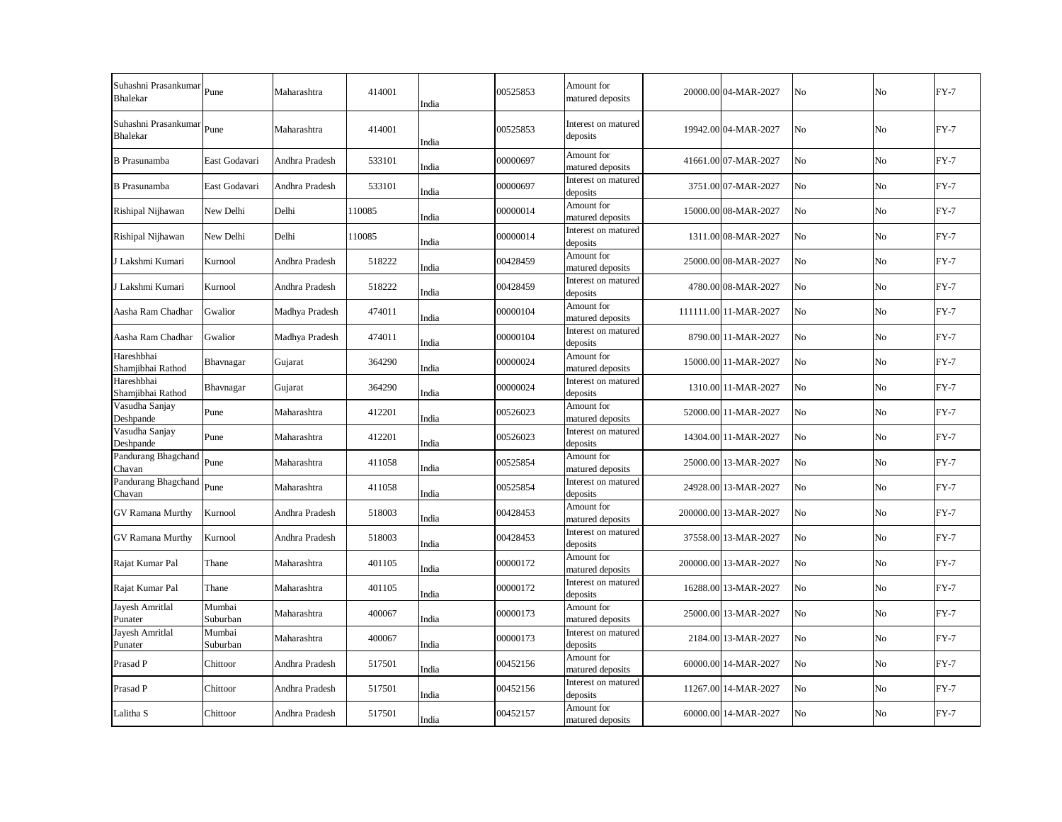| Suhashni Prasankumar<br><b>Bhalekar</b> | Pune               | Maharashtra    | 414001 | India | 00525853 | Amount for<br>matured deposits  | 20000.00 04-MAR-2027  | No             | No | $FY-7$ |
|-----------------------------------------|--------------------|----------------|--------|-------|----------|---------------------------------|-----------------------|----------------|----|--------|
| Suhashni Prasankumar<br><b>Bhalekar</b> | Pune               | Maharashtra    | 414001 | India | 00525853 | Interest on matured<br>deposits | 19942.00 04-MAR-2027  | No             | No | $FY-7$ |
| <b>B</b> Prasunamba                     | East Godavari      | Andhra Pradesh | 533101 | India | 00000697 | Amount for<br>matured deposits  | 41661.00 07-MAR-2027  | No             | No | $FY-7$ |
| <b>B</b> Prasunamba                     | East Godavari      | Andhra Pradesh | 533101 | India | 00000697 | Interest on matured<br>deposits | 3751.00 07-MAR-2027   | No             | No | $FY-7$ |
| Rishipal Nijhawan                       | New Delhi          | Delhi          | 110085 | India | 00000014 | Amount for<br>matured deposits  | 15000.00 08-MAR-2027  | No             | No | $FY-7$ |
| Rishipal Nijhawan                       | New Delhi          | Delhi          | 110085 | India | 00000014 | Interest on matured<br>deposits | 1311.00 08-MAR-2027   | No             | No | $FY-7$ |
| J Lakshmi Kumari                        | Kurnool            | Andhra Pradesh | 518222 | India | 00428459 | Amount for<br>matured deposits  | 25000.00 08-MAR-2027  | No             | No | $FY-7$ |
| J Lakshmi Kumari                        | Kurnool            | Andhra Pradesh | 518222 | India | 00428459 | Interest on matured<br>deposits | 4780.00 08-MAR-2027   | No             | No | $FY-7$ |
| Aasha Ram Chadhar                       | Gwalior            | Madhya Pradesh | 474011 | India | 00000104 | Amount for<br>matured deposits  | 111111.00 11-MAR-2027 | No             | No | $FY-7$ |
| Aasha Ram Chadhar                       | Gwalior            | Madhya Pradesh | 474011 | India | 00000104 | Interest on matured<br>deposits | 8790.00 11-MAR-2027   | No             | No | $FY-7$ |
| Hareshbhai<br>Shamjibhai Rathod         | Bhavnagar          | Gujarat        | 364290 | India | 00000024 | Amount for<br>matured deposits  | 15000.00 11-MAR-2027  | No             | No | $FY-7$ |
| Hareshbhai<br>Shamjibhai Rathod         | Bhavnagar          | Gujarat        | 364290 | India | 00000024 | Interest on matured<br>deposits | 1310.00 11-MAR-2027   | No             | No | $FY-7$ |
| Vasudha Sanjay<br>Deshpande             | Pune               | Maharashtra    | 412201 | India | 00526023 | Amount for<br>matured deposits  | 52000.00 11-MAR-2027  | No             | No | $FY-7$ |
| Vasudha Sanjay<br>Deshpande             | Pune               | Maharashtra    | 412201 | India | 00526023 | Interest on matured<br>deposits | 14304.00 11-MAR-2027  | No             | No | $FY-7$ |
| Pandurang Bhagchand<br>Chavan           | Pune               | Maharashtra    | 411058 | India | 00525854 | Amount for<br>matured deposits  | 25000.00 13-MAR-2027  | N <sub>o</sub> | No | $FY-7$ |
| Pandurang Bhagchand<br>Chavan           | Pune               | Maharashtra    | 411058 | India | 00525854 | Interest on matured<br>deposits | 24928.00 13-MAR-2027  | No             | No | $FY-7$ |
| <b>GV Ramana Murthy</b>                 | Kurnool            | Andhra Pradesh | 518003 | India | 00428453 | Amount for<br>matured deposits  | 200000.00 13-MAR-2027 | No             | No | $FY-7$ |
| <b>GV Ramana Murthy</b>                 | Kurnool            | Andhra Pradesh | 518003 | India | 00428453 | Interest on matured<br>deposits | 37558.00 13-MAR-2027  | No             | No | $FY-7$ |
| Rajat Kumar Pal                         | Thane              | Maharashtra    | 401105 | India | 00000172 | Amount for<br>matured deposits  | 200000.00 13-MAR-2027 | No             | No | $FY-7$ |
| Rajat Kumar Pal                         | Thane              | Maharashtra    | 401105 | India | 00000172 | Interest on matured<br>deposits | 16288.00 13-MAR-2027  | No             | No | $FY-7$ |
| Jayesh Amritlal<br>Punater              | Mumbai<br>Suburban | Maharashtra    | 400067 | India | 00000173 | Amount for<br>matured deposits  | 25000.00 13-MAR-2027  | No             | No | $FY-7$ |
| Jayesh Amritlal<br>Punater              | Mumbai<br>Suburban | Maharashtra    | 400067 | India | 00000173 | Interest on matured<br>deposits | 2184.00 13-MAR-2027   | No             | No | $FY-7$ |
| Prasad P                                | Chittoor           | Andhra Pradesh | 517501 | India | 00452156 | Amount for<br>matured deposits  | 60000.00 14-MAR-2027  | No             | No | $FY-7$ |
| Prasad P                                | Chittoor           | Andhra Pradesh | 517501 | India | 00452156 | Interest on matured<br>deposits | 11267.00 14-MAR-2027  | No             | No | $FY-7$ |
| Lalitha S                               | Chittoor           | Andhra Pradesh | 517501 | India | 00452157 | Amount for<br>matured deposits  | 60000.00 14-MAR-2027  | No             | No | $FY-7$ |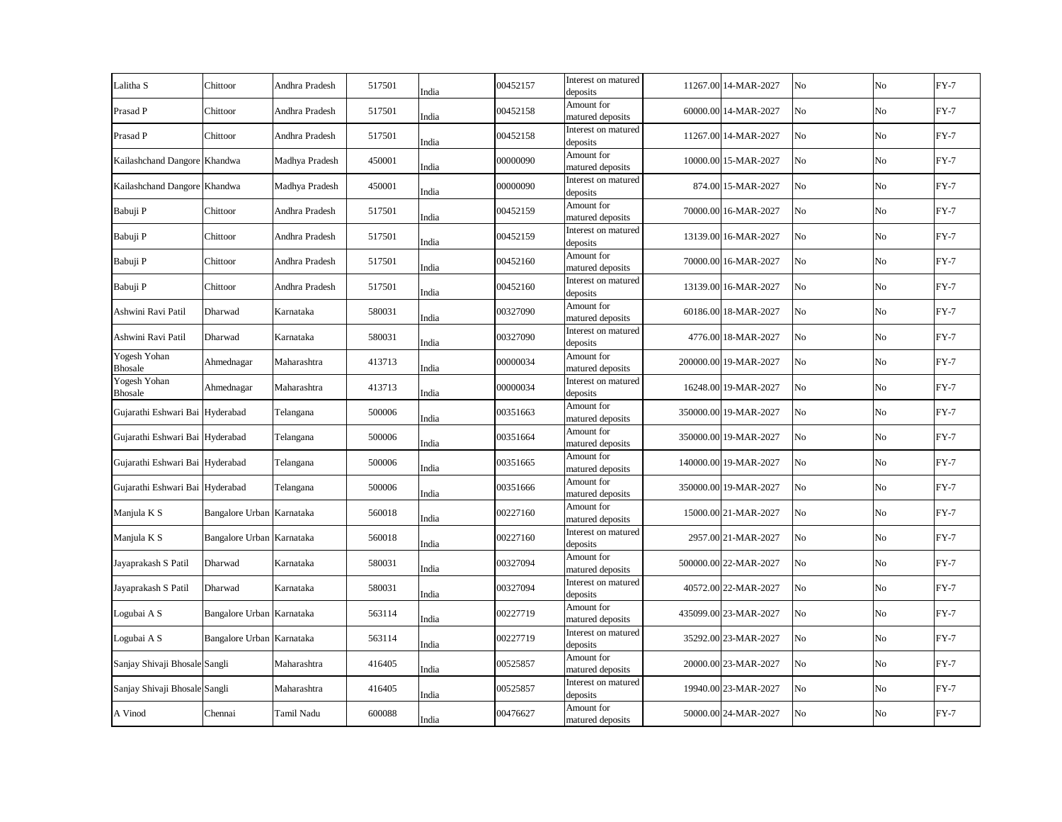| Chittoor                        | Andhra Pradesh | 517501                                                                                                           | India | 00452157                         | Interest on matured<br>deposits |                                                                                                                                                                              | No                                                                                                                                                                                                                                                                                                                                                                                                                                                                                                                                                                                                                                              | No             | $FY-7$ |
|---------------------------------|----------------|------------------------------------------------------------------------------------------------------------------|-------|----------------------------------|---------------------------------|------------------------------------------------------------------------------------------------------------------------------------------------------------------------------|-------------------------------------------------------------------------------------------------------------------------------------------------------------------------------------------------------------------------------------------------------------------------------------------------------------------------------------------------------------------------------------------------------------------------------------------------------------------------------------------------------------------------------------------------------------------------------------------------------------------------------------------------|----------------|--------|
| Chittoor                        | Andhra Pradesh | 517501                                                                                                           | India | 00452158                         | Amount for<br>matured deposits  |                                                                                                                                                                              | No                                                                                                                                                                                                                                                                                                                                                                                                                                                                                                                                                                                                                                              | No             | $FY-7$ |
| Chittoor                        | Andhra Pradesh | 517501                                                                                                           | India | 00452158                         | Interest on matured<br>deposits |                                                                                                                                                                              | No                                                                                                                                                                                                                                                                                                                                                                                                                                                                                                                                                                                                                                              | No             | $FY-7$ |
| Kailashchand Dangore Khandwa    | Madhya Pradesh | 450001                                                                                                           |       | 00000090                         | Amount for                      |                                                                                                                                                                              | No                                                                                                                                                                                                                                                                                                                                                                                                                                                                                                                                                                                                                                              | No             | $FY-7$ |
| Kailashchand Dangore Khandwa    | Madhya Pradesh | 450001                                                                                                           |       | 00000090                         | Interest on matured             |                                                                                                                                                                              | No                                                                                                                                                                                                                                                                                                                                                                                                                                                                                                                                                                                                                                              | N <sub>o</sub> | $FY-7$ |
| Chittoor                        | Andhra Pradesh | 517501                                                                                                           | India | 00452159                         | Amount for                      |                                                                                                                                                                              | No                                                                                                                                                                                                                                                                                                                                                                                                                                                                                                                                                                                                                                              | No             | $FY-7$ |
| Chittoor                        | Andhra Pradesh | 517501                                                                                                           |       | 00452159                         | Interest on matured             |                                                                                                                                                                              | No                                                                                                                                                                                                                                                                                                                                                                                                                                                                                                                                                                                                                                              | No             | $FY-7$ |
| Chittoor                        | Andhra Pradesh | 517501                                                                                                           |       | 00452160                         | Amount for                      |                                                                                                                                                                              | No                                                                                                                                                                                                                                                                                                                                                                                                                                                                                                                                                                                                                                              | No             | $FY-7$ |
| Chittoor                        | Andhra Pradesh | 517501                                                                                                           | India | 00452160                         | Interest on matured             |                                                                                                                                                                              | No                                                                                                                                                                                                                                                                                                                                                                                                                                                                                                                                                                                                                                              | No             | $FY-7$ |
| Dharwad                         | Karnataka      | 580031                                                                                                           | India | 00327090                         | Amount for                      |                                                                                                                                                                              | No                                                                                                                                                                                                                                                                                                                                                                                                                                                                                                                                                                                                                                              | No             | $FY-7$ |
| Dharwad                         | Karnataka      | 580031                                                                                                           | India | 00327090                         | Interest on matured<br>deposits |                                                                                                                                                                              | No                                                                                                                                                                                                                                                                                                                                                                                                                                                                                                                                                                                                                                              | No             | $FY-7$ |
| Ahmednagar                      | Maharashtra    | 413713                                                                                                           | India | 00000034                         | Amount for                      |                                                                                                                                                                              | No                                                                                                                                                                                                                                                                                                                                                                                                                                                                                                                                                                                                                                              | No             | $FY-7$ |
| Ahmednagar                      | Maharashtra    | 413713                                                                                                           | India | 00000034                         | Interest on matured<br>deposits |                                                                                                                                                                              | No                                                                                                                                                                                                                                                                                                                                                                                                                                                                                                                                                                                                                                              | No             | $FY-7$ |
| Gujarathi Eshwari Bai Hyderabad | Telangana      | 500006                                                                                                           | India | 00351663                         | Amount for                      |                                                                                                                                                                              | No                                                                                                                                                                                                                                                                                                                                                                                                                                                                                                                                                                                                                                              | No             | $FY-7$ |
| Gujarathi Eshwari Bai Hyderabad | Telangana      | 500006                                                                                                           | India | 00351664                         | Amount for<br>matured deposits  |                                                                                                                                                                              | No                                                                                                                                                                                                                                                                                                                                                                                                                                                                                                                                                                                                                                              | No             | $FY-7$ |
| Gujarathi Eshwari Bai Hyderabad | Telangana      | 500006                                                                                                           | India | 00351665                         | Amount for<br>matured deposits  |                                                                                                                                                                              | No                                                                                                                                                                                                                                                                                                                                                                                                                                                                                                                                                                                                                                              | No             | $FY-7$ |
| Gujarathi Eshwari Bai Hyderabad | Telangana      | 500006                                                                                                           | India | 00351666                         | Amount for<br>matured deposits  |                                                                                                                                                                              | No                                                                                                                                                                                                                                                                                                                                                                                                                                                                                                                                                                                                                                              | No             | $FY-7$ |
|                                 |                | 560018                                                                                                           | India | 00227160                         | Amount for                      |                                                                                                                                                                              | No                                                                                                                                                                                                                                                                                                                                                                                                                                                                                                                                                                                                                                              | No             | $FY-7$ |
|                                 |                | 560018                                                                                                           | India | 00227160                         | Interest on matured<br>deposits |                                                                                                                                                                              | No                                                                                                                                                                                                                                                                                                                                                                                                                                                                                                                                                                                                                                              | No             | $FY-7$ |
| Dharwad                         | Karnataka      | 580031                                                                                                           | India | 00327094                         | Amount for<br>matured deposits  |                                                                                                                                                                              | No                                                                                                                                                                                                                                                                                                                                                                                                                                                                                                                                                                                                                                              | No             | $FY-7$ |
| Dharwad                         | Karnataka      | 580031                                                                                                           | India | 00327094                         | Interest on matured<br>deposits |                                                                                                                                                                              | No                                                                                                                                                                                                                                                                                                                                                                                                                                                                                                                                                                                                                                              | No             | $FY-7$ |
|                                 |                | 563114                                                                                                           | India | 00227719                         | Amount for<br>matured deposits  |                                                                                                                                                                              | No                                                                                                                                                                                                                                                                                                                                                                                                                                                                                                                                                                                                                                              | No             | $FY-7$ |
|                                 |                | 563114                                                                                                           | India | 00227719                         | Interest on matured<br>deposits |                                                                                                                                                                              | No                                                                                                                                                                                                                                                                                                                                                                                                                                                                                                                                                                                                                                              | No             | $FY-7$ |
| Sanjay Shivaji Bhosale Sangli   | Maharashtra    | 416405                                                                                                           | India | 00525857                         | Amount for<br>matured deposits  |                                                                                                                                                                              | No                                                                                                                                                                                                                                                                                                                                                                                                                                                                                                                                                                                                                                              | No             | $FY-7$ |
| Sanjay Shivaji Bhosale Sangli   | Maharashtra    | 416405                                                                                                           | India | 00525857                         | Interest on matured<br>deposits |                                                                                                                                                                              | No                                                                                                                                                                                                                                                                                                                                                                                                                                                                                                                                                                                                                                              | No             | $FY-7$ |
| Chennai                         | Tamil Nadu     | 600088                                                                                                           | India | 00476627                         | Amount for<br>matured deposits  |                                                                                                                                                                              | No                                                                                                                                                                                                                                                                                                                                                                                                                                                                                                                                                                                                                                              | No             | $FY-7$ |
|                                 |                | Bangalore Urban Karnataka<br>Bangalore Urban Karnataka<br>Bangalore Urban Karnataka<br>Bangalore Urban Karnataka |       | India<br>India<br>India<br>India |                                 | matured deposits<br>deposits<br>matured deposits<br>deposits<br>matured deposits<br>deposits<br>matured deposits<br>matured deposits<br>matured deposits<br>matured deposits | 11267.00 14-MAR-2027<br>60000.00 14-MAR-2027<br>11267.00 14-MAR-2027<br>10000.00 15-MAR-2027<br>874.00 15-MAR-2027<br>70000.00 16-MAR-2027<br>13139.00 16-MAR-2027<br>70000.00 16-MAR-2027<br>13139.00 16-MAR-2027<br>60186.00 18-MAR-2027<br>4776.00 18-MAR-2027<br>200000.00 19-MAR-2027<br>16248.00 19-MAR-2027<br>350000.00 19-MAR-2027<br>350000.00 19-MAR-2027<br>140000.00 19-MAR-2027<br>350000.00 19-MAR-2027<br>15000.00 21-MAR-2027<br>2957.00 21-MAR-2027<br>500000.00 22-MAR-2027<br>40572.00 22-MAR-2027<br>435099.00 23-MAR-2027<br>35292.00 23-MAR-2027<br>20000.00 23-MAR-2027<br>19940.00 23-MAR-2027<br>50000.00 24-MAR-2027 |                |        |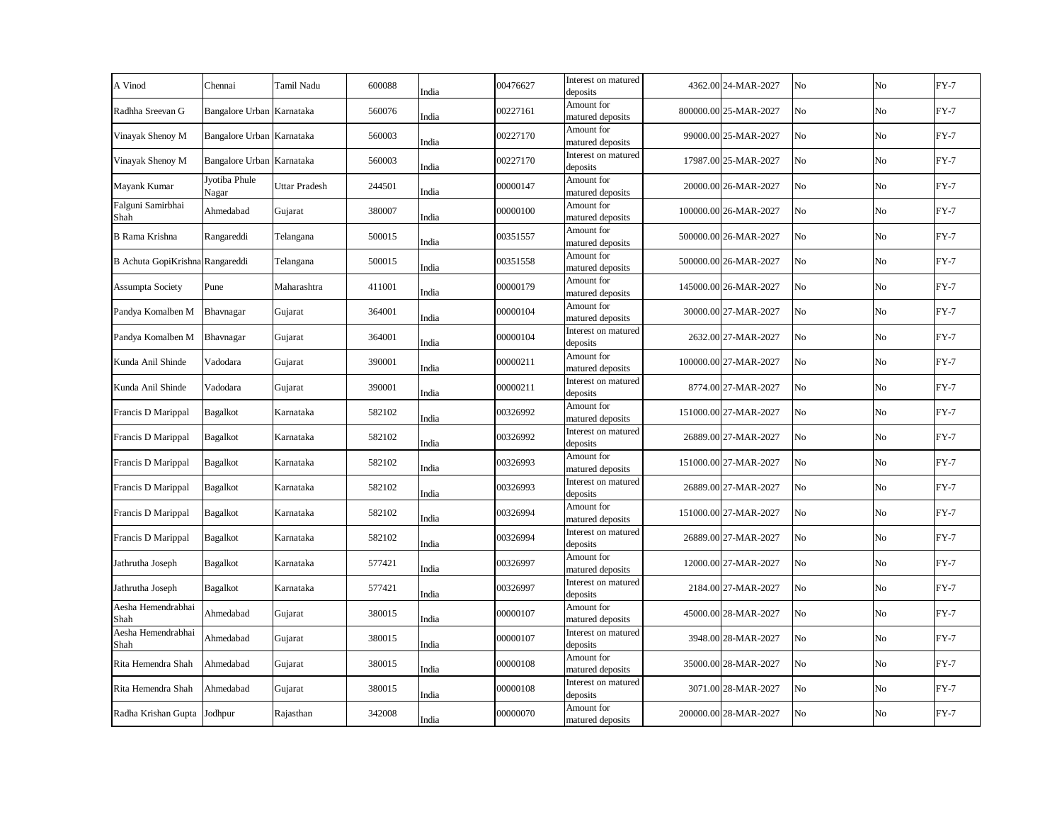| A Vinod                         | Chennai                   | Tamil Nadu    | 600088 | India | 00476627 | Interest on matured<br>deposits | 4362.00 24-MAR-2027   | No | No | $FY-7$ |
|---------------------------------|---------------------------|---------------|--------|-------|----------|---------------------------------|-----------------------|----|----|--------|
| Radhha Sreevan G                | Bangalore Urban Karnataka |               | 560076 | India | 00227161 | Amount for<br>matured deposits  | 800000.00 25-MAR-2027 | No | No | $FY-7$ |
| Vinayak Shenoy M                | Bangalore Urban Karnataka |               | 560003 | India | 00227170 | Amount for<br>matured deposits  | 99000.00 25-MAR-2027  | No | No | $FY-7$ |
| Vinayak Shenoy M                | Bangalore Urban Karnataka |               | 560003 | India | 00227170 | Interest on matured<br>deposits | 17987.00 25-MAR-2027  | No | No | $FY-7$ |
| Mayank Kumar                    | Jyotiba Phule<br>Nagar    | Uttar Pradesh | 244501 | India | 00000147 | Amount for<br>matured deposits  | 20000.00 26-MAR-2027  | No | No | $FY-7$ |
| Falguni Samirbhai<br>Shah       | Ahmedabad                 | Gujarat       | 380007 | India | 00000100 | Amount for<br>matured deposits  | 100000.00 26-MAR-2027 | No | No | $FY-7$ |
| <b>B</b> Rama Krishna           | Rangareddi                | Telangana     | 500015 | India | 00351557 | Amount for<br>matured deposits  | 500000.00 26-MAR-2027 | No | No | $FY-7$ |
| B Achuta GopiKrishna Rangareddi |                           | Telangana     | 500015 | India | 00351558 | Amount for<br>matured deposits  | 500000.00 26-MAR-2027 | No | No | $FY-7$ |
| <b>Assumpta Society</b>         | Pune                      | Maharashtra   | 411001 | India | 00000179 | Amount for<br>matured deposits  | 145000.00 26-MAR-2027 | No | No | $FY-7$ |
| Pandya Komalben M               | Bhavnagar                 | Gujarat       | 364001 | India | 00000104 | Amount for<br>matured deposits  | 30000.00 27-MAR-2027  | No | No | $FY-7$ |
| Pandya Komalben M               | Bhavnagar                 | Gujarat       | 364001 | India | 00000104 | Interest on matured<br>deposits | 2632.00 27-MAR-2027   | No | No | $FY-7$ |
| Kunda Anil Shinde               | Vadodara                  | Gujarat       | 390001 | India | 00000211 | Amount for<br>matured deposits  | 100000.00 27-MAR-2027 | No | No | $FY-7$ |
| Kunda Anil Shinde               | Vadodara                  | Gujarat       | 390001 | India | 00000211 | Interest on matured<br>deposits | 8774.00 27-MAR-2027   | No | No | $FY-7$ |
| Francis D Marippal              | <b>Bagalkot</b>           | Karnataka     | 582102 | India | 00326992 | Amount for<br>matured deposits  | 151000.00 27-MAR-2027 | No | No | $FY-7$ |
| Francis D Marippal              | <b>Bagalkot</b>           | Karnataka     | 582102 | India | 00326992 | Interest on matured<br>deposits | 26889.00 27-MAR-2027  | No | No | $FY-7$ |
| Francis D Marippal              | <b>Bagalkot</b>           | Karnataka     | 582102 | India | 00326993 | Amount for<br>matured deposits  | 151000.00 27-MAR-2027 | No | No | $FY-7$ |
| Francis D Marippal              | <b>Bagalkot</b>           | Karnataka     | 582102 | India | 00326993 | Interest on matured<br>deposits | 26889.00 27-MAR-2027  | No | No | $FY-7$ |
| Francis D Marippal              | <b>Bagalkot</b>           | Karnataka     | 582102 | India | 00326994 | Amount for<br>matured deposits  | 151000.00 27-MAR-2027 | No | No | $FY-7$ |
| Francis D Marippal              | Bagalkot                  | Karnataka     | 582102 | India | 00326994 | Interest on matured<br>deposits | 26889.00 27-MAR-2027  | No | No | $FY-7$ |
| Jathrutha Joseph                | Bagalkot                  | Karnataka     | 577421 | India | 00326997 | Amount for<br>matured deposits  | 12000.00 27-MAR-2027  | No | No | $FY-7$ |
| Jathrutha Joseph                | <b>Bagalkot</b>           | Karnataka     | 577421 | India | 00326997 | Interest on matured<br>deposits | 2184.00 27-MAR-2027   | No | No | $FY-7$ |
| Aesha Hemendrabhai<br>Shah      | Ahmedabad                 | Gujarat       | 380015 | India | 00000107 | Amount for<br>matured deposits  | 45000.00 28-MAR-2027  | No | No | $FY-7$ |
| Aesha Hemendrabhai<br>Shah      | Ahmedabad                 | Gujarat       | 380015 | India | 00000107 | Interest on matured<br>deposits | 3948.00 28-MAR-2027   | No | No | $FY-7$ |
| Rita Hemendra Shah              | Ahmedabad                 | Gujarat       | 380015 | India | 00000108 | Amount for<br>matured deposits  | 35000.00 28-MAR-2027  | No | No | $FY-7$ |
| Rita Hemendra Shah              | Ahmedabad                 | Gujarat       | 380015 | India | 00000108 | Interest on matured<br>deposits | 3071.00 28-MAR-2027   | No | No | $FY-7$ |
| Radha Krishan Gupta             | Jodhpur                   | Rajasthan     | 342008 | India | 00000070 | Amount for<br>matured deposits  | 200000.00 28-MAR-2027 | No | No | $FY-7$ |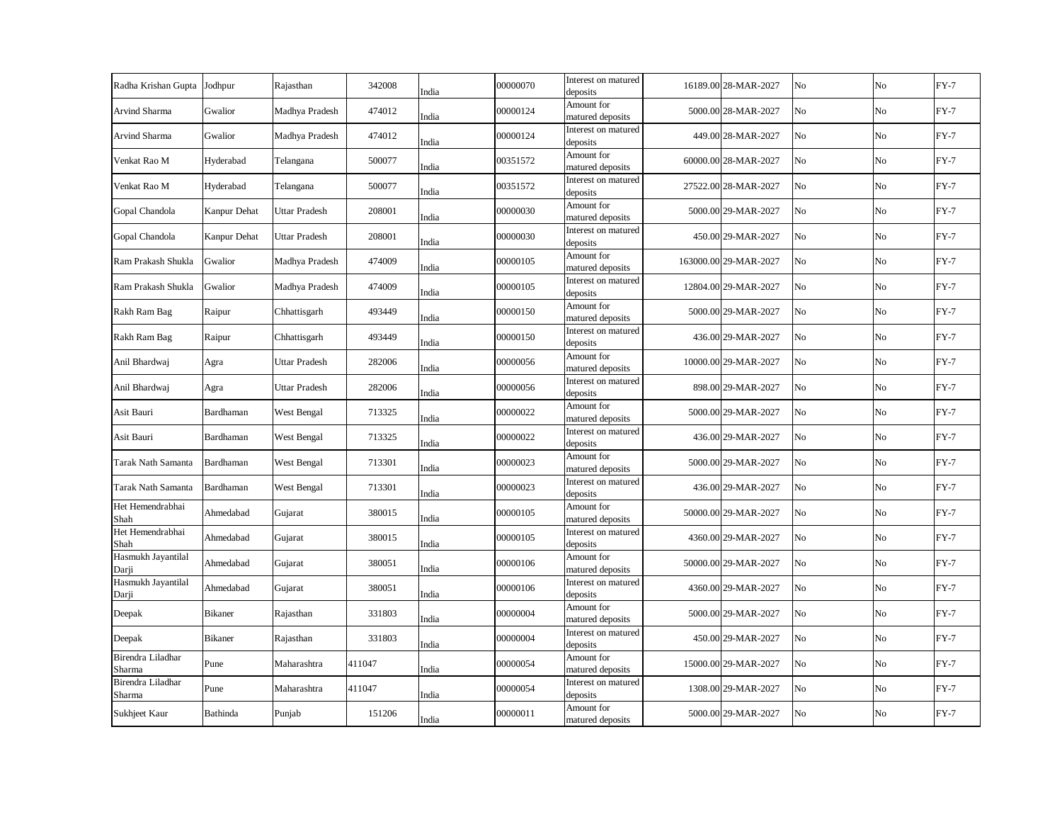| Radha Krishan Gupta         | Jodhpur        | Rajasthan            | 342008 | India | 00000070 | Interest on matured<br>deposits | 16189.00 28-MAR-2027  | N <sub>o</sub> | No | $FY-7$ |
|-----------------------------|----------------|----------------------|--------|-------|----------|---------------------------------|-----------------------|----------------|----|--------|
| Arvind Sharma               | Gwalior        | Madhya Pradesh       | 474012 | India | 00000124 | Amount for<br>matured deposits  | 5000.00 28-MAR-2027   | No             | No | $FY-7$ |
| Arvind Sharma               | Gwalior        | Madhya Pradesh       | 474012 | India | 00000124 | Interest on matured<br>deposits | 449.00 28-MAR-2027    | No             | No | $FY-7$ |
| Venkat Rao M                | Hyderabad      | Telangana            | 500077 | India | 00351572 | Amount for<br>matured deposits  | 60000.00 28-MAR-2027  | No             | No | $FY-7$ |
| Venkat Rao M                | Hyderabad      | Telangana            | 500077 | India | 00351572 | Interest on matured<br>deposits | 27522.00 28-MAR-2027  | No             | No | $FY-7$ |
| Gopal Chandola              | Kanpur Dehat   | <b>Uttar Pradesh</b> | 208001 | India | 00000030 | Amount for<br>matured deposits  | 5000.00 29-MAR-2027   | No             | No | $FY-7$ |
| Gopal Chandola              | Kanpur Dehat   | <b>Uttar Pradesh</b> | 208001 | India | 00000030 | Interest on matured<br>deposits | 450.00 29-MAR-2027    | No             | No | $FY-7$ |
| Ram Prakash Shukla          | Gwalior        | Madhya Pradesh       | 474009 | India | 00000105 | Amount for<br>matured deposits  | 163000.00 29-MAR-2027 | No             | No | $FY-7$ |
| Ram Prakash Shukla          | Gwalior        | Madhya Pradesh       | 474009 | India | 00000105 | Interest on matured<br>deposits | 12804.00 29-MAR-2027  | No             | No | $FY-7$ |
| Rakh Ram Bag                | Raipur         | Chhattisgarh         | 493449 | India | 00000150 | Amount for<br>matured deposits  | 5000.00 29-MAR-2027   | No             | No | $FY-7$ |
| Rakh Ram Bag                | Raipur         | Chhattisgarh         | 493449 | India | 00000150 | Interest on matured<br>deposits | 436.00 29-MAR-2027    | No             | No | $FY-7$ |
| Anil Bhardwaj               | Agra           | Uttar Pradesh        | 282006 | India | 00000056 | Amount for<br>matured deposits  | 10000.00 29-MAR-2027  | No             | No | $FY-7$ |
| Anil Bhardwaj               | Agra           | Uttar Pradesh        | 282006 | India | 00000056 | Interest on matured<br>deposits | 898.00 29-MAR-2027    | No             | No | $FY-7$ |
| Asit Bauri                  | Bardhaman      | West Bengal          | 713325 | India | 00000022 | Amount for<br>matured deposits  | 5000.00 29-MAR-2027   | No             | No | $FY-7$ |
| Asit Bauri                  | Bardhaman      | West Bengal          | 713325 | India | 00000022 | Interest on matured<br>deposits | 436.00 29-MAR-2027    | No             | No | $FY-7$ |
| Tarak Nath Samanta          | Bardhaman      | West Bengal          | 713301 | India | 00000023 | Amount for<br>matured deposits  | 5000.00 29-MAR-2027   | No             | No | $FY-7$ |
| <b>Tarak Nath Samanta</b>   | Bardhaman      | West Bengal          | 713301 | India | 00000023 | Interest on matured<br>deposits | 436.00 29-MAR-2027    | No             | No | $FY-7$ |
| Het Hemendrabhai<br>Shah    | Ahmedabad      | Gujarat              | 380015 | India | 00000105 | Amount for<br>matured deposits  | 50000.00 29-MAR-2027  | No             | No | $FY-7$ |
| Het Hemendrabhai<br>Shah    | Ahmedabad      | Gujarat              | 380015 | India | 00000105 | Interest on matured<br>deposits | 4360.00 29-MAR-2027   | No             | No | $FY-7$ |
| Hasmukh Jayantilal<br>Darji | Ahmedabad      | Gujarat              | 380051 | India | 00000106 | Amount for<br>matured deposits  | 50000.00 29-MAR-2027  | No             | No | $FY-7$ |
| Hasmukh Jayantilal<br>Darji | Ahmedabad      | Gujarat              | 380051 | India | 00000106 | Interest on matured<br>deposits | 4360.00 29-MAR-2027   | No             | No | $FY-7$ |
| Deepak                      | <b>Bikaner</b> | Rajasthan            | 331803 | India | 00000004 | Amount for<br>matured deposits  | 5000.00 29-MAR-2027   | No             | No | $FY-7$ |
| Deepak                      | <b>Bikaner</b> | Rajasthan            | 331803 | India | 00000004 | Interest on matured<br>deposits | 450.00 29-MAR-2027    | No             | No | $FY-7$ |
| Birendra Liladhar<br>Sharma | Pune           | Maharashtra          | 411047 | India | 00000054 | Amount for<br>matured deposits  | 15000.00 29-MAR-2027  | No             | No | $FY-7$ |
| Birendra Liladhar<br>Sharma | Pune           | Maharashtra          | 411047 | India | 00000054 | Interest on matured<br>deposits | 1308.00 29-MAR-2027   | No             | No | $FY-7$ |
| Sukhjeet Kaur               | Bathinda       | Punjab               | 151206 | India | 00000011 | Amount for<br>matured deposits  | 5000.00 29-MAR-2027   | No             | No | $FY-7$ |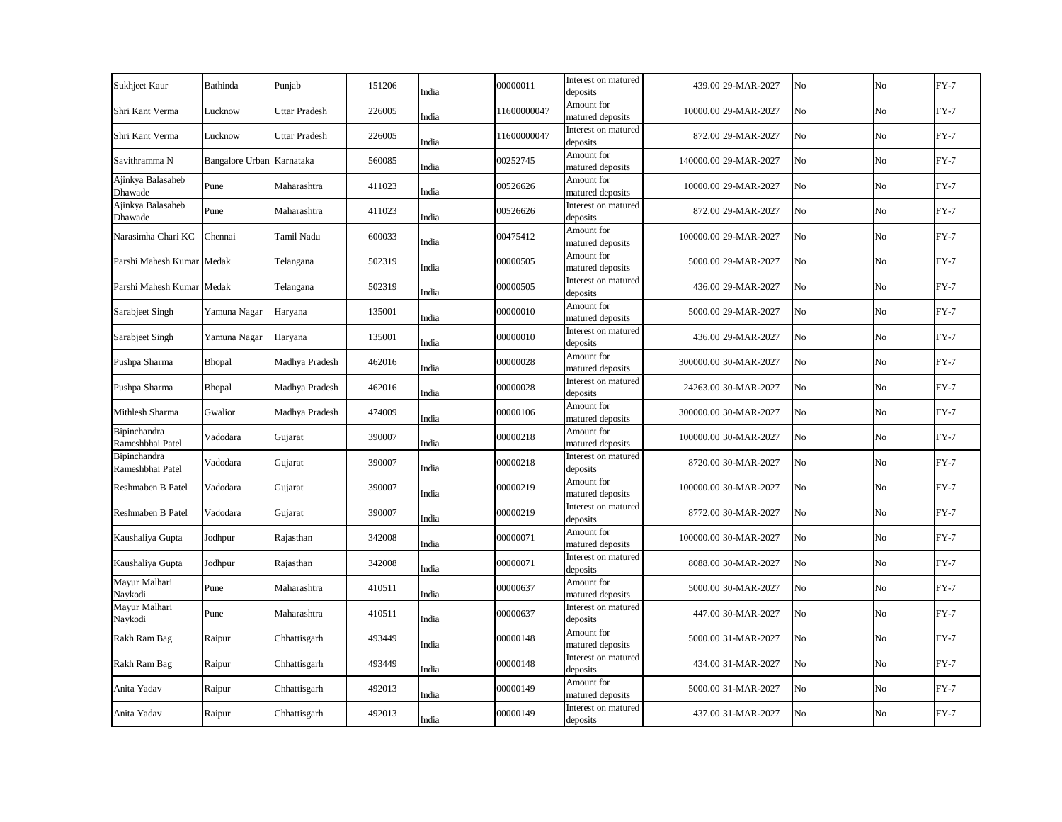| Sukhjeet Kaur                    | Bathinda                  | Punjab         | 151206 | India | 00000011    | Interest on matured<br>deposits | 439.00 29-MAR-2027    | No | No             | $FY-7$ |
|----------------------------------|---------------------------|----------------|--------|-------|-------------|---------------------------------|-----------------------|----|----------------|--------|
| Shri Kant Verma                  | Lucknow                   | Uttar Pradesh  | 226005 | India | 11600000047 | Amount for<br>matured deposits  | 10000.00 29-MAR-2027  | No | No             | $FY-7$ |
| Shri Kant Verma                  | Lucknow                   | Uttar Pradesh  | 226005 | India | 11600000047 | Interest on matured<br>deposits | 872.00 29-MAR-2027    | No | No             | $FY-7$ |
| Savithramma N                    | Bangalore Urban Karnataka |                | 560085 | India | 00252745    | Amount for<br>matured deposits  | 140000.00 29-MAR-2027 | No | N <sub>o</sub> | $FY-7$ |
| Ajinkya Balasaheb<br>Dhawade     | Pune                      | Maharashtra    | 411023 | India | 00526626    | Amount for<br>matured deposits  | 10000.00 29-MAR-2027  | No | No             | $FY-7$ |
| Ajinkya Balasaheb<br>Dhawade     | Pune                      | Maharashtra    | 411023 | India | 00526626    | Interest on matured<br>deposits | 872.00 29-MAR-2027    | No | No             | $FY-7$ |
| Narasimha Chari KC               | Chennai                   | Tamil Nadu     | 600033 | India | 00475412    | Amount for<br>matured deposits  | 100000.00 29-MAR-2027 | No | No             | $FY-7$ |
| Parshi Mahesh Kumar              | Medak                     | Telangana      | 502319 | India | 00000505    | Amount for<br>matured deposits  | 5000.00 29-MAR-2027   | No | No             | $FY-7$ |
| Parshi Mahesh Kumar              | Medak                     | Telangana      | 502319 | India | 00000505    | Interest on matured<br>deposits | 436.00 29-MAR-2027    | No | No             | $FY-7$ |
| Sarabjeet Singh                  | Yamuna Nagar              | Haryana        | 135001 | India | 00000010    | Amount for<br>matured deposits  | 5000.00 29-MAR-2027   | No | No             | $FY-7$ |
| Sarabjeet Singh                  | Yamuna Nagar              | Haryana        | 135001 | India | 00000010    | Interest on matured<br>deposits | 436.00 29-MAR-2027    | No | No             | $FY-7$ |
| Pushpa Sharma                    | Bhopal                    | Madhya Pradesh | 462016 | India | 00000028    | Amount for<br>matured deposits  | 300000.00 30-MAR-2027 | No | No             | $FY-7$ |
| Pushpa Sharma                    | Bhopal                    | Madhya Pradesh | 462016 | India | 00000028    | Interest on matured<br>deposits | 24263.00 30-MAR-2027  | No | No             | $FY-7$ |
| Mithlesh Sharma                  | Gwalior                   | Madhya Pradesh | 474009 | India | 00000106    | Amount for<br>matured deposits  | 300000.00 30-MAR-2027 | No | No             | $FY-7$ |
| Bipinchandra<br>Rameshbhai Patel | Vadodara                  | Gujarat        | 390007 | India | 00000218    | Amount for<br>matured deposits  | 100000.00 30-MAR-2027 | No | No             | $FY-7$ |
| Bipinchandra<br>Rameshbhai Patel | Vadodara                  | Gujarat        | 390007 | India | 00000218    | Interest on matured<br>deposits | 8720.00 30-MAR-2027   | No | N <sub>o</sub> | $FY-7$ |
| Reshmaben B Patel                | Vadodara                  | Gujarat        | 390007 | India | 00000219    | Amount for<br>matured deposits  | 100000.00 30-MAR-2027 | No | No             | $FY-7$ |
| Reshmaben B Patel                | Vadodara                  | Gujarat        | 390007 | India | 00000219    | Interest on matured<br>deposits | 8772.00 30-MAR-2027   | No | No             | $FY-7$ |
| Kaushaliya Gupta                 | Jodhpur                   | Rajasthan      | 342008 | India | 00000071    | Amount for<br>matured deposits  | 100000.00 30-MAR-2027 | No | No             | $FY-7$ |
| Kaushaliya Gupta                 | Jodhpur                   | Rajasthan      | 342008 | India | 00000071    | Interest on matured<br>deposits | 8088.00 30-MAR-2027   | No | No             | $FY-7$ |
| Mayur Malhari<br>Naykodi         | Pune                      | Maharashtra    | 410511 | India | 00000637    | Amount for<br>matured deposits  | 5000.00 30-MAR-2027   | No | No             | $FY-7$ |
| Mayur Malhari<br>Naykodi         | Pune                      | Maharashtra    | 410511 | India | 00000637    | Interest on matured<br>deposits | 447.00 30-MAR-2027    | No | No             | $FY-7$ |
| Rakh Ram Bag                     | Raipur                    | Chhattisgarh   | 493449 | India | 00000148    | Amount for<br>matured deposits  | 5000.00 31-MAR-2027   | No | No             | $FY-7$ |
| Rakh Ram Bag                     | Raipur                    | Chhattisgarh   | 493449 | India | 00000148    | Interest on matured<br>deposits | 434.00 31-MAR-2027    | No | No             | $FY-7$ |
| Anita Yadav                      | Raipur                    | Chhattisgarh   | 492013 | India | 00000149    | Amount for<br>matured deposits  | 5000.00 31-MAR-2027   | No | No             | $FY-7$ |
| Anita Yadav                      | Raipur                    | Chhattisgarh   | 492013 | India | 00000149    | Interest on matured<br>deposits | 437.00 31-MAR-2027    | No | No             | $FY-7$ |